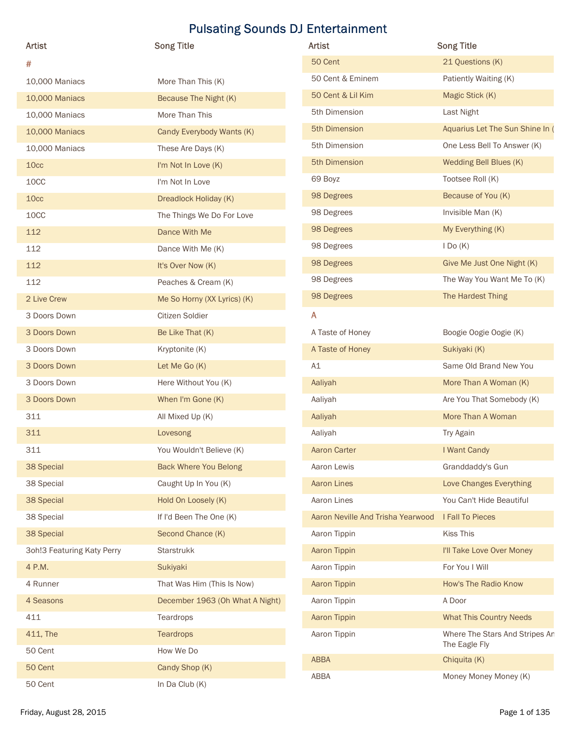| <b>Artist</b>              | <b>Song Title</b>               | Artist                            | <b>Song Title</b>                               |
|----------------------------|---------------------------------|-----------------------------------|-------------------------------------------------|
| #                          |                                 | 50 Cent                           | 21 Questions (K)                                |
| 10,000 Maniacs             | More Than This (K)              | 50 Cent & Eminem                  | Patiently Waiting (K)                           |
| 10,000 Maniacs             | Because The Night (K)           | 50 Cent & Lil Kim                 | Magic Stick (K)                                 |
| 10,000 Maniacs             | More Than This                  | 5th Dimension                     | Last Night                                      |
| 10,000 Maniacs             | Candy Everybody Wants (K)       | 5th Dimension                     | Aquarius Let The Sun Shine In (                 |
| 10,000 Maniacs             | These Are Days (K)              | 5th Dimension                     | One Less Bell To Answer (K)                     |
| 10cc                       | I'm Not In Love (K)             | 5th Dimension                     | Wedding Bell Blues (K)                          |
| 10CC                       | I'm Not In Love                 | 69 Boyz                           | Tootsee Roll (K)                                |
| 10cc                       | Dreadlock Holiday (K)           | 98 Degrees                        | Because of You (K)                              |
| 10CC                       | The Things We Do For Love       | 98 Degrees                        | Invisible Man (K)                               |
| 112                        | Dance With Me                   | 98 Degrees                        | My Everything (K)                               |
| 112                        | Dance With Me (K)               | 98 Degrees                        | $I$ Do $(K)$                                    |
| 112                        | It's Over Now (K)               | 98 Degrees                        | Give Me Just One Night (K)                      |
| 112                        | Peaches & Cream (K)             | 98 Degrees                        | The Way You Want Me To (K)                      |
| 2 Live Crew                | Me So Horny (XX Lyrics) (K)     | 98 Degrees                        | The Hardest Thing                               |
| 3 Doors Down               | Citizen Soldier                 | A                                 |                                                 |
| 3 Doors Down               | Be Like That (K)                | A Taste of Honey                  | Boogie Oogie Oogie (K)                          |
| 3 Doors Down               | Kryptonite (K)                  | A Taste of Honey                  | Sukiyaki (K)                                    |
| 3 Doors Down               | Let Me Go (K)                   | A1                                | Same Old Brand New You                          |
| 3 Doors Down               | Here Without You (K)            | Aaliyah                           | More Than A Woman (K)                           |
| 3 Doors Down               | When I'm Gone (K)               | Aaliyah                           | Are You That Somebody (K)                       |
| 311                        | All Mixed Up (K)                | Aaliyah                           | More Than A Woman                               |
| 311                        | Lovesong                        | Aaliyah                           | Try Again                                       |
| 311                        | You Wouldn't Believe (K)        | <b>Aaron Carter</b>               | I Want Candy                                    |
| 38 Special                 | <b>Back Where You Belong</b>    | Aaron Lewis                       | Granddaddy's Gun                                |
| 38 Special                 | Caught Up In You (K)            | <b>Aaron Lines</b>                | Love Changes Everything                         |
| 38 Special                 | Hold On Loosely (K)             | Aaron Lines                       | You Can't Hide Beautiful                        |
| 38 Special                 | If I'd Been The One (K)         | Aaron Neville And Trisha Yearwood | I Fall To Pieces                                |
| 38 Special                 | Second Chance (K)               | Aaron Tippin                      | Kiss This                                       |
| 3oh!3 Featuring Katy Perry | Starstrukk                      | Aaron Tippin                      | I'll Take Love Over Money                       |
| 4 P.M.                     | Sukiyaki                        | Aaron Tippin                      | For You I Will                                  |
| 4 Runner                   | That Was Him (This Is Now)      | Aaron Tippin                      | How's The Radio Know                            |
| 4 Seasons                  | December 1963 (Oh What A Night) | Aaron Tippin                      | A Door                                          |
|                            |                                 |                                   |                                                 |
| 411                        | Teardrops                       | Aaron Tippin                      | <b>What This Country Needs</b>                  |
| 411, The                   | Teardrops                       | Aaron Tippin                      | Where The Stars And Stripes An<br>The Eagle Fly |
| 50 Cent                    | How We Do                       | ABBA                              | Chiquita (K)                                    |
|                            | Candy Shop (K)                  |                                   | Money Money Money (K)                           |
| 50 Cent<br>50 Cent         | In Da Club (K)                  | ABBA                              |                                                 |

| Artist                            | <b>Song Title</b>               |
|-----------------------------------|---------------------------------|
| 50 Cent                           | 21 Questions (K)                |
| 50 Cent & Eminem                  | Patiently Waiting (K)           |
| 50 Cent & Lil Kim                 | Magic Stick (K)                 |
| 5th Dimension                     | Last Night                      |
| 5th Dimension                     | Aquarius Let The Sun Shine In ( |
| 5th Dimension                     | One Less Bell To Answer (K)     |
| 5th Dimension                     | Wedding Bell Blues (K)          |
| 69 Boyz                           | Tootsee Roll (K)                |
| 98 Degrees                        | Because of You (K)              |
| 98 Degrees                        | Invisible Man (K)               |
| 98 Degrees                        | My Everything (K)               |
| 98 Degrees                        | $I$ Do $(K)$                    |
| 98 Degrees                        | Give Me Just One Night (K)      |
| 98 Degrees                        | The Way You Want Me To (K)      |
| 98 Degrees                        | The Hardest Thing               |
| A                                 |                                 |
| A Taste of Honey                  | Boogie Oogie Oogie (K)          |
| A Taste of Honey                  | Sukiyaki (K)                    |
| A1                                | Same Old Brand New You          |
| Aaliyah                           | More Than A Woman (K)           |
| Aaliyah                           | Are You That Somebody (K)       |
| Aaliyah                           | More Than A Woman               |
| Aaliyah                           | Try Again                       |
| Aaron Carter                      | I Want Candy                    |
| Aaron Lewis                       | Granddaddy's Gun                |
| <b>Aaron Lines</b>                | Love Changes Everything         |
| Aaron Lines                       | You Can't Hide Beautiful        |
| Aaron Neville And Trisha Yearwood | I Fall To Pieces                |
| Aaron Tippin                      | Kiss This                       |
| Aaron Tippin                      | I'll Take Love Over Money       |
| Aaron Tippin                      | For You I Will                  |
| Aaron Tippin                      | How's The Radio Know            |
| Aaron Tippin                      | A Door                          |
| Aaron Tippin                      | <b>What This Country Needs</b>  |
| Aaron Tippin                      | Where The Stars And Stripes An  |
|                                   | The Eagle Fly                   |
| <b>ABBA</b>                       | Chiquita (K)                    |
| ABBA                              | Money Money Money (K)           |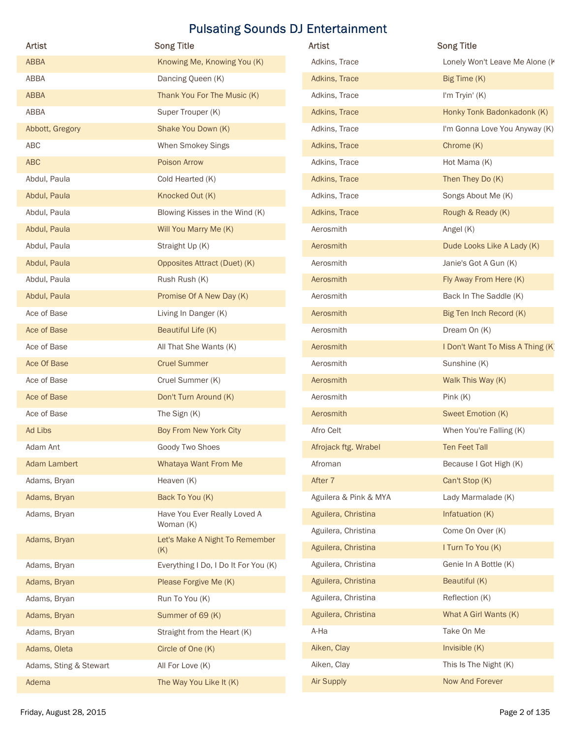| <b>Artist</b>          | <b>Song Title</b>                         | Artist                | <b>Song Title</b>                |
|------------------------|-------------------------------------------|-----------------------|----------------------------------|
| ABBA                   | Knowing Me, Knowing You (K)               | Adkins, Trace         | Lonely Won't Leave Me Alone (K   |
| ABBA                   | Dancing Queen (K)                         | Adkins, Trace         | Big Time (K)                     |
| ABBA                   | Thank You For The Music (K)               | Adkins, Trace         | I'm Tryin' (K)                   |
| ABBA                   | Super Trouper (K)                         | Adkins, Trace         | Honky Tonk Badonkadonk (K)       |
| Abbott, Gregory        | Shake You Down (K)                        | Adkins, Trace         | I'm Gonna Love You Anyway (K)    |
| ABC                    | When Smokey Sings                         | Adkins, Trace         | Chrome (K)                       |
| ABC                    | Poison Arrow                              | Adkins, Trace         | Hot Mama (K)                     |
| Abdul, Paula           | Cold Hearted (K)                          | Adkins, Trace         | Then They Do (K)                 |
| Abdul, Paula           | Knocked Out (K)                           | Adkins, Trace         | Songs About Me (K)               |
| Abdul, Paula           | Blowing Kisses in the Wind (K)            | Adkins, Trace         | Rough & Ready (K)                |
| Abdul, Paula           | Will You Marry Me (K)                     | Aerosmith             | Angel (K)                        |
| Abdul, Paula           | Straight Up (K)                           | Aerosmith             | Dude Looks Like A Lady (K)       |
| Abdul, Paula           | Opposites Attract (Duet) (K)              | Aerosmith             | Janie's Got A Gun (K)            |
| Abdul, Paula           | Rush Rush (K)                             | Aerosmith             | Fly Away From Here (K)           |
| Abdul, Paula           | Promise Of A New Day (K)                  | Aerosmith             | Back In The Saddle (K)           |
| Ace of Base            | Living In Danger (K)                      | Aerosmith             | Big Ten Inch Record (K)          |
| Ace of Base            | Beautiful Life (K)                        | Aerosmith             | Dream On (K)                     |
| Ace of Base            | All That She Wants (K)                    | Aerosmith             | I Don't Want To Miss A Thing (K) |
| Ace Of Base            | <b>Cruel Summer</b>                       | Aerosmith             | Sunshine (K)                     |
| Ace of Base            | Cruel Summer (K)                          | Aerosmith             | Walk This Way (K)                |
| Ace of Base            | Don't Turn Around (K)                     | Aerosmith             |                                  |
| Ace of Base            |                                           | Aerosmith             | Pink (K)<br>Sweet Emotion (K)    |
| Ad Libs                | The Sign (K)<br>Boy From New York City    | Afro Celt             | When You're Falling (K)          |
| Adam Ant               |                                           |                       | <b>Ten Feet Tall</b>             |
|                        | Goody Two Shoes                           | Afrojack ftg. Wrabel  |                                  |
| <b>Adam Lambert</b>    | Whataya Want From Me                      | Afroman               | Because I Got High (K)           |
| Adams, Bryan           | Heaven (K)                                | After 7               | Can't Stop (K)                   |
| Adams, Bryan           | Back To You (K)                           | Aguilera & Pink & MYA | Lady Marmalade (K)               |
| Adams, Bryan           | Have You Ever Really Loved A<br>Woman (K) | Aguilera, Christina   | Infatuation (K)                  |
| Adams, Bryan           | Let's Make A Night To Remember            | Aguilera, Christina   | Come On Over (K)                 |
|                        | (K)                                       | Aguilera, Christina   | I Turn To You (K)                |
| Adams, Bryan           | Everything I Do, I Do It For You (K)      | Aguilera, Christina   | Genie In A Bottle (K)            |
| Adams, Bryan           | Please Forgive Me (K)                     | Aguilera, Christina   | Beautiful (K)                    |
| Adams, Bryan           | Run To You (K)                            | Aguilera, Christina   | Reflection (K)                   |
| Adams, Bryan           | Summer of 69 (K)                          | Aguilera, Christina   | What A Girl Wants (K)            |
| Adams, Bryan           | Straight from the Heart (K)               | A-Ha                  | Take On Me                       |
| Adams, Oleta           | Circle of One (K)                         | Aiken, Clay           | Invisible (K)                    |
| Adams, Sting & Stewart | All For Love (K)                          | Aiken, Clay           | This Is The Night (K)            |
| Adema                  | The Way You Like It (K)                   | Air Supply            | Now And Forever                  |

| Artist                | <b>Song Title</b>                |
|-----------------------|----------------------------------|
| Adkins, Trace         | Lonely Won't Leave Me Alone (K   |
| Adkins, Trace         | Big Time (K)                     |
| Adkins, Trace         | I'm Tryin' (K)                   |
| Adkins, Trace         | Honky Tonk Badonkadonk (K)       |
| Adkins, Trace         | I'm Gonna Love You Anyway (K)    |
| Adkins, Trace         | Chrome (K)                       |
| Adkins, Trace         | Hot Mama (K)                     |
| Adkins, Trace         | Then They Do (K)                 |
| Adkins, Trace         | Songs About Me (K)               |
| Adkins, Trace         | Rough & Ready (K)                |
| Aerosmith             | Angel (K)                        |
| Aerosmith             | Dude Looks Like A Lady (K)       |
| Aerosmith             | Janie's Got A Gun (K)            |
| Aerosmith             | Fly Away From Here (K)           |
| Aerosmith             | Back In The Saddle (K)           |
| Aerosmith             | Big Ten Inch Record (K)          |
| Aerosmith             | Dream On (K)                     |
| Aerosmith             | I Don't Want To Miss A Thing (K) |
| Aerosmith             | Sunshine (K)                     |
| Aerosmith             | Walk This Way (K)                |
| Aerosmith             | Pink(K)                          |
| Aerosmith             | Sweet Emotion (K)                |
| Afro Celt             | When You're Falling (K)          |
| Afrojack ftg. Wrabel  | <b>Ten Feet Tall</b>             |
| Afroman               | Because I Got High (K)           |
| After 7               | Can't Stop (K)                   |
| Aguilera & Pink & MYA | Lady Marmalade (K)               |
| Aguilera, Christina   | Infatuation (K)                  |
| Aguilera, Christina   | Come On Over (K)                 |
| Aguilera, Christina   | I Turn To You (K)                |
| Aguilera, Christina   | Genie In A Bottle (K)            |
| Aguilera, Christina   | Beautiful (K)                    |
| Aguilera, Christina   | Reflection (K)                   |
| Aguilera, Christina   | What A Girl Wants (K)            |
| A-Ha                  | Take On Me                       |
| Aiken, Clay           | Invisible $(K)$                  |
| Aiken, Clay           | This Is The Night (K)            |
| <b>Air Supply</b>     | Now And Forever                  |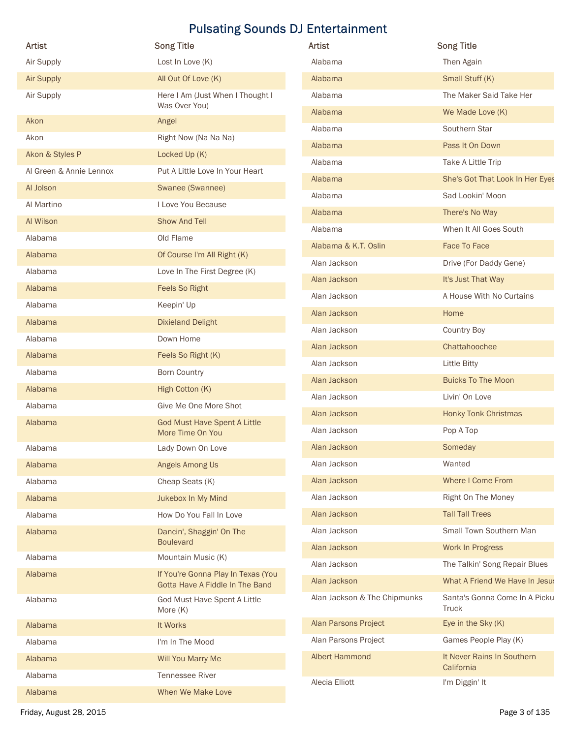| Artist                                     | <b>Song Title</b>                                                     | Artist                       | <b>Song Title</b>                      |
|--------------------------------------------|-----------------------------------------------------------------------|------------------------------|----------------------------------------|
| Air Supply                                 | Lost In Love (K)                                                      | Alabama                      | Then Again                             |
| <b>Air Supply</b>                          | All Out Of Love (K)                                                   | Alabama                      | Small Stuff (K)                        |
| Air Supply                                 | Here I Am (Just When I Thought I                                      | Alabama                      | The Maker Said Take Her                |
|                                            | Was Over You)                                                         | Alabama                      | We Made Love (K)                       |
| Akon                                       | Angel                                                                 | Alabama                      | Southern Star                          |
| Akon                                       | Right Now (Na Na Na)                                                  | Alabama                      | Pass It On Down                        |
| Akon & Styles P<br>Al Green & Annie Lennox | Locked Up (K)                                                         | Alabama                      | Take A Little Trip                     |
|                                            | Put A Little Love In Your Heart                                       | Alabama                      | She's Got That Look In Her Eyes        |
| Al Jolson                                  | Swanee (Swannee)                                                      | Alabama                      | Sad Lookin' Moon                       |
| Al Martino                                 | I Love You Because<br>Show And Tell                                   | Alabama                      | There's No Way                         |
| Al Wilson                                  |                                                                       | Alabama                      | When It All Goes South                 |
| Alabama                                    | Old Flame                                                             | Alabama & K.T. Oslin         | Face To Face                           |
| Alabama                                    | Of Course I'm All Right (K)                                           | Alan Jackson                 | Drive (For Daddy Gene)                 |
| Alabama                                    | Love In The First Degree (K)                                          | Alan Jackson                 | It's Just That Way                     |
| Alabama                                    | <b>Feels So Right</b>                                                 | Alan Jackson                 | A House With No Curtains               |
| Alabama                                    | Keepin' Up                                                            | Alan Jackson                 | Home                                   |
| Alabama                                    | <b>Dixieland Delight</b>                                              | Alan Jackson                 | <b>Country Boy</b>                     |
| Alabama                                    | Down Home                                                             | Alan Jackson                 | Chattahoochee                          |
| Alabama                                    | Feels So Right (K)                                                    | Alan Jackson                 | <b>Little Bitty</b>                    |
| Alabama                                    | <b>Born Country</b>                                                   | Alan Jackson                 | <b>Buicks To The Moon</b>              |
| Alabama                                    | High Cotton (K)                                                       | Alan Jackson                 | Livin' On Love                         |
| Alabama                                    | Give Me One More Shot                                                 | Alan Jackson                 | <b>Honky Tonk Christmas</b>            |
| Alabama                                    | <b>God Must Have Spent A Little</b><br>More Time On You               | Alan Jackson                 | Pop A Top                              |
| Alabama                                    | Lady Down On Love                                                     | Alan Jackson                 | Someday                                |
| Alabama                                    | Angels Among Us                                                       | Alan Jackson                 | Wanted                                 |
| Alabama                                    | Cheap Seats (K)                                                       | Alan Jackson                 | Where I Come From                      |
| Alabama                                    | Jukebox In My Mind                                                    | Alan Jackson                 | Right On The Money                     |
| Alabama                                    | How Do You Fall In Love                                               | Alan Jackson                 | <b>Tall Tall Trees</b>                 |
| Alabama                                    | Dancin', Shaggin' On The                                              | Alan Jackson                 | Small Town Southern Man                |
|                                            | <b>Boulevard</b>                                                      | Alan Jackson                 | Work In Progress                       |
| Alabama                                    | Mountain Music (K)                                                    | Alan Jackson                 | The Talkin' Song Repair Blues          |
| Alabama                                    | If You're Gonna Play In Texas (You<br>Gotta Have A Fiddle In The Band | Alan Jackson                 | What A Friend We Have In Jesus         |
| Alabama                                    | God Must Have Spent A Little<br>More (K)                              | Alan Jackson & The Chipmunks | Santa's Gonna Come In A Picku<br>Truck |
| Alabama                                    | It Works                                                              | Alan Parsons Project         | Eye in the Sky (K)                     |
| Alabama                                    | I'm In The Mood                                                       | Alan Parsons Project         | Games People Play (K)                  |
| Alabama                                    | Will You Marry Me                                                     | <b>Albert Hammond</b>        | It Never Rains In Southern             |
|                                            | Tennessee River                                                       |                              | California                             |
| Alabama                                    |                                                                       | Alecia Elliott               | I'm Diggin' It                         |

| Artist                       | <b>Song Title</b>                             |
|------------------------------|-----------------------------------------------|
| Alabama                      | Then Again                                    |
| Alabama                      | Small Stuff (K)                               |
| Alabama                      | The Maker Said Take Her                       |
| Alabama                      | We Made Love (K)                              |
| Alabama                      | Southern Star                                 |
| Alabama                      | Pass It On Down                               |
| Alabama                      | Take A Little Trip                            |
| Alabama                      | She's Got That Look In Her Eyes               |
| Alabama                      | Sad Lookin' Moon                              |
| Alabama                      | There's No Way                                |
| Alabama                      | When It All Goes South                        |
| Alabama & K.T. Oslin         | <b>Face To Face</b>                           |
| Alan Jackson                 | Drive (For Daddy Gene)                        |
| Alan Jackson                 | It's Just That Way                            |
| Alan Jackson                 | A House With No Curtains                      |
| Alan Jackson                 | Home                                          |
| Alan Jackson                 | <b>Country Boy</b>                            |
| Alan Jackson                 | Chattahoochee                                 |
| Alan Jackson                 | <b>Little Bitty</b>                           |
| Alan Jackson                 | <b>Buicks To The Moon</b>                     |
| Alan Jackson                 | Livin' On Love                                |
| Alan Jackson                 | <b>Honky Tonk Christmas</b>                   |
| Alan Jackson                 | Pop A Top                                     |
| Alan Jackson                 | Someday                                       |
| Alan Jackson                 | Wanted                                        |
| Alan Jackson                 | <b>Where I Come From</b>                      |
| Alan Jackson                 | Right On The Money                            |
| Alan Jackson                 | <b>Tall Tall Trees</b>                        |
| Alan Jackson                 | Small Town Southern Man                       |
| Alan Jackson                 | Work In Progress                              |
| Alan Jackson                 | The Talkin' Song Repair Blues                 |
| Alan Jackson                 | What A Friend We Have In Jesus                |
| Alan Jackson & The Chipmunks | Santa's Gonna Come In A Picku<br><b>Truck</b> |
| Alan Parsons Project         | Eye in the Sky (K)                            |
| Alan Parsons Project         | Games People Play (K)                         |
| <b>Albert Hammond</b>        | It Never Rains In Southern<br>California      |
| Alecia Elliott               | I'm Diggin' It                                |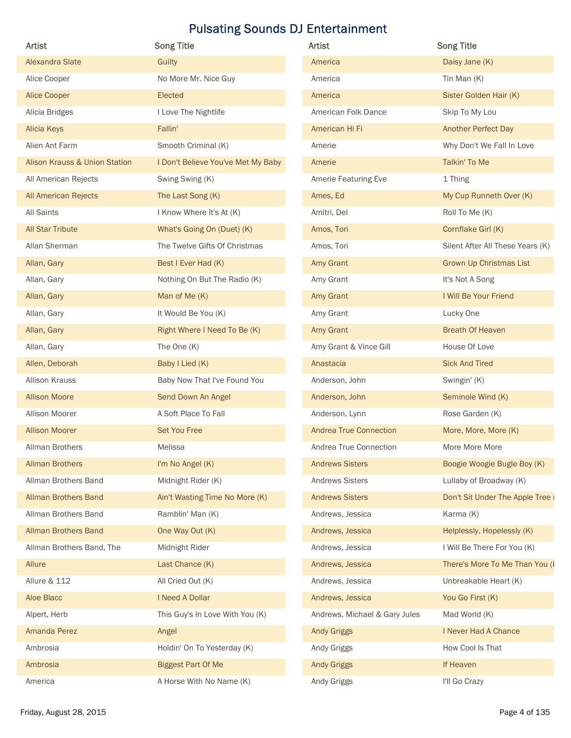| Artist                                   | <b>Song Title</b>                  | Artist                        | <b>Song Title</b>                |
|------------------------------------------|------------------------------------|-------------------------------|----------------------------------|
| Alexandra Slate                          | Guilty                             | America                       | Daisy Jane (K)                   |
| Alice Cooper                             | No More Mr. Nice Guy               | America                       | Tin Man (K)                      |
| Alice Cooper                             | Elected                            | America                       | Sister Golden Hair (K)           |
| Alicia Bridges                           | I Love The Nightlife               | American Folk Dance           | Skip To My Lou                   |
| Alicia Keys                              | Fallin'                            | American Hi Fi                | Another Perfect Day              |
| Alien Ant Farm                           | Smooth Criminal (K)                | Amerie                        | Why Don't We Fall In Love        |
| <b>Alison Krauss &amp; Union Station</b> | I Don't Believe You've Met My Baby | Amerie                        | Talkin' To Me                    |
| All American Rejects                     | Swing Swing (K)                    | Amerie Featuring Eve          | 1 Thing                          |
| All American Rejects                     | The Last Song (K)                  | Ames, Ed                      | My Cup Runneth Over (K)          |
| All Saints                               | I Know Where It's At (K)           | Amitri, Del                   | Roll To Me (K)                   |
| <b>All Star Tribute</b>                  | What's Going On (Duet) (K)         | Amos, Tori                    | Cornflake Girl (K)               |
| Allan Sherman                            | The Twelve Gifts Of Christmas      | Amos, Tori                    | Silent After All These Years (K) |
| Allan, Gary                              | Best I Ever Had (K)                | Amy Grant                     | <b>Grown Up Christmas List</b>   |
| Allan, Gary                              | Nothing On But The Radio (K)       | Amy Grant                     | It's Not A Song                  |
| Allan, Gary                              | Man of Me (K)                      | Amy Grant                     | I Will Be Your Friend            |
| Allan, Gary                              | It Would Be You (K)                | Amy Grant                     | Lucky One                        |
| Allan, Gary                              | Right Where I Need To Be (K)       | Amy Grant                     | <b>Breath Of Heaven</b>          |
| Allan, Gary                              | The One (K)                        | Amy Grant & Vince Gill        | House Of Love                    |
| Allen, Deborah                           | Baby I Lied (K)                    | Anastacia                     | <b>Sick And Tired</b>            |
| Allison Krauss                           | Baby Now That I've Found You       | Anderson, John                | Swingin' (K)                     |
| <b>Allison Moore</b>                     | Send Down An Angel                 | Anderson, John                | Seminole Wind (K)                |
| Allison Moorer                           | A Soft Place To Fall               | Anderson, Lynn                | Rose Garden (K)                  |
| <b>Allison Moorer</b>                    | Set You Free                       | <b>Andrea True Connection</b> | More, More, More (K)             |
| Allman Brothers                          | Melissa                            | Andrea True Connection        | More More More                   |
| <b>Allman Brothers</b>                   | I'm No Angel (K)                   | <b>Andrews Sisters</b>        | Boogie Woogie Bugle Boy (K)      |
| Allman Brothers Band                     | Midnight Rider (K)                 | <b>Andrews Sisters</b>        | Lullaby of Broadway (K)          |
| Allman Brothers Band                     | Ain't Wasting Time No More (K)     | <b>Andrews Sisters</b>        | Don't Sit Under The Apple Tree   |
| Allman Brothers Band                     | Ramblin' Man (K)                   | Andrews, Jessica              | Karma (K)                        |
| Allman Brothers Band                     | One Way Out (K)                    | Andrews, Jessica              | Helplessly, Hopelessly (K)       |
| Allman Brothers Band, The                | Midnight Rider                     | Andrews, Jessica              | I Will Be There For You (K)      |
| Allure                                   | Last Chance (K)                    | Andrews, Jessica              | There's More To Me Than You (I   |
| Allure & 112                             | All Cried Out (K)                  | Andrews, Jessica              | Unbreakable Heart (K)            |
| Aloe Blacc                               | I Need A Dollar                    | Andrews, Jessica              | You Go First (K)                 |
| Alpert, Herb                             | This Guy's In Love With You (K)    | Andrews, Michael & Gary Jules | Mad World (K)                    |
| Amanda Perez                             | Angel                              | <b>Andy Griggs</b>            | I Never Had A Chance             |
| Ambrosia                                 | Holdin' On To Yesterday (K)        | Andy Griggs                   | How Cool Is That                 |
| Ambrosia                                 | <b>Biggest Part Of Me</b>          | <b>Andy Griggs</b>            | If Heaven                        |
| America                                  | A Horse With No Name (K)           | Andy Griggs                   | I'll Go Crazy                    |

| Artist                        | <b>Song Title</b>                |
|-------------------------------|----------------------------------|
| America                       | Daisy Jane (K)                   |
| America                       | Tin Man $(K)$                    |
| America                       | Sister Golden Hair (K)           |
| American Folk Dance           | Skip To My Lou                   |
| American Hi Fi                | <b>Another Perfect Day</b>       |
| Amerie                        | Why Don't We Fall In Love        |
| Amerie                        | Talkin' To Me                    |
| Amerie Featuring Eve          | 1 Thing                          |
| Ames, Ed                      | My Cup Runneth Over (K)          |
| Amitri, Del                   | Roll To Me (K)                   |
| Amos, Tori                    | Cornflake Girl (K)               |
| Amos, Tori                    | Silent After All These Years (K) |
| Amy Grant                     | <b>Grown Up Christmas List</b>   |
| Amy Grant                     | It's Not A Song                  |
| Amy Grant                     | I Will Be Your Friend            |
| Amy Grant                     | Lucky One                        |
| Amy Grant                     | <b>Breath Of Heaven</b>          |
| Amy Grant & Vince Gill        | House Of Love                    |
| Anastacia                     | <b>Sick And Tired</b>            |
| Anderson, John                | Swingin' (K)                     |
| Anderson, John                | Seminole Wind (K)                |
| Anderson, Lynn                | Rose Garden (K)                  |
| <b>Andrea True Connection</b> | More, More, More (K)             |
| Andrea True Connection        | More More More                   |
| <b>Andrews Sisters</b>        | Boogie Woogie Bugle Boy (K)      |
| <b>Andrews Sisters</b>        | Lullaby of Broadway (K)          |
| <b>Andrews Sisters</b>        | Don't Sit Under The Apple Tree   |
| Andrews, Jessica              | Karma (K)                        |
| Andrews, Jessica              | Helplessly, Hopelessly (K)       |
| Andrews, Jessica              | I Will Be There For You (K)      |
| Andrews, Jessica              | There's More To Me Than You (I   |
| Andrews, Jessica              | Unbreakable Heart (K)            |
| Andrews, Jessica              | You Go First (K)                 |
| Andrews, Michael & Gary Jules | Mad World (K)                    |
| <b>Andy Griggs</b>            | I Never Had A Chance             |
| Andy Griggs                   | How Cool Is That                 |
| <b>Andy Griggs</b>            | If Heaven                        |
| Andy Griggs                   | I'll Go Crazy                    |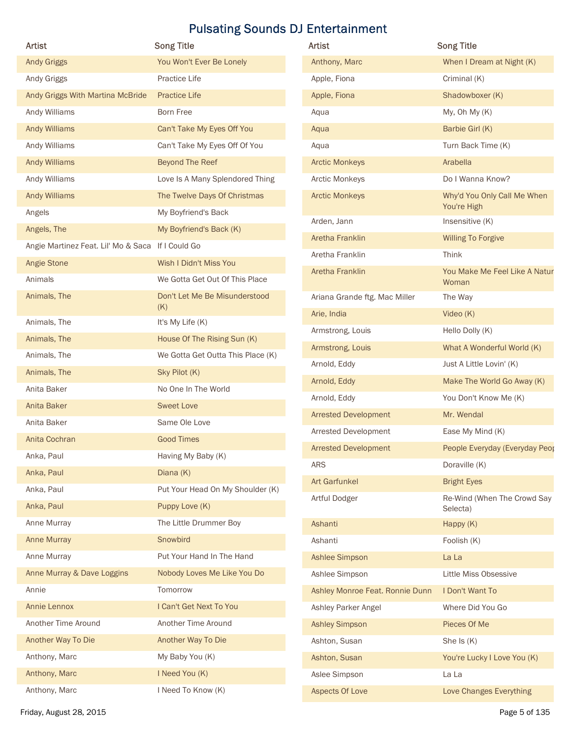| <b>Artist</b>                                     | <b>Song Title</b>                    | Artist                          | <b>Song Title</b>                          |
|---------------------------------------------------|--------------------------------------|---------------------------------|--------------------------------------------|
| <b>Andy Griggs</b>                                | You Won't Ever Be Lonely             | Anthony, Marc                   | When I Dream at Night (K)                  |
| Andy Griggs                                       | Practice Life                        | Apple, Fiona                    | Criminal (K)                               |
| Andy Griggs With Martina McBride                  | <b>Practice Life</b>                 | Apple, Fiona                    | Shadowboxer (K)                            |
| Andy Williams                                     | Born Free                            |                                 | My, Oh My (K)                              |
| Andy Williams                                     | Can't Take My Eyes Off You           | Aqua                            | Barbie Girl (K)                            |
|                                                   |                                      | Aqua                            |                                            |
| Andy Williams                                     | Can't Take My Eyes Off Of You        | Aqua                            | Turn Back Time (K)                         |
| Andy Williams                                     | Beyond The Reef                      | <b>Arctic Monkeys</b>           | Arabella                                   |
| Andy Williams                                     | Love Is A Many Splendored Thing      | Arctic Monkeys                  | Do I Wanna Know?                           |
| Andy Williams                                     | The Twelve Days Of Christmas         | <b>Arctic Monkeys</b>           | Why'd You Only Call Me When<br>You're High |
| Angels                                            | My Boyfriend's Back                  | Arden, Jann                     | Insensitive (K)                            |
| Angels, The                                       | My Boyfriend's Back (K)              | Aretha Franklin                 | <b>Willing To Forgive</b>                  |
| Angie Martinez Feat. Lil' Mo & Saca If I Could Go |                                      | Aretha Franklin                 | Think                                      |
| Angie Stone                                       | Wish I Didn't Miss You               | Aretha Franklin                 | You Make Me Feel Like A Natur              |
| Animals                                           | We Gotta Get Out Of This Place       |                                 | Woman                                      |
| Animals, The                                      | Don't Let Me Be Misunderstood<br>(K) | Ariana Grande ftg. Mac Miller   | The Way                                    |
| Animals, The                                      | It's My Life (K)                     | Arie, India                     | Video (K)                                  |
| Animals, The                                      | House Of The Rising Sun (K)          | Armstrong, Louis                | Hello Dolly (K)                            |
| Animals, The                                      | We Gotta Get Outta This Place (K)    | Armstrong, Louis                | What A Wonderful World (K)                 |
| Animals, The                                      | Sky Pilot (K)                        | Arnold, Eddy                    | Just A Little Lovin' (K)                   |
| Anita Baker                                       | No One In The World                  | Arnold, Eddy                    | Make The World Go Away (K)                 |
| Anita Baker                                       | <b>Sweet Love</b>                    | Arnold, Eddy                    | You Don't Know Me (K)                      |
| Anita Baker                                       | Same Ole Love                        | <b>Arrested Development</b>     | Mr. Wendal                                 |
|                                                   | <b>Good Times</b>                    | Arrested Development            | Ease My Mind (K)                           |
| Anita Cochran                                     |                                      | <b>Arrested Development</b>     | People Everyday (Everyday Peop             |
| Anka, Paul                                        | Having My Baby (K)                   | ARS                             | Doraville (K)                              |
| Anka, Paul                                        | Diana (K)                            | <b>Art Garfunkel</b>            | <b>Bright Eyes</b>                         |
| Anka, Paul                                        | Put Your Head On My Shoulder (K)     | Artful Dodger                   | Re-Wind (When The Crowd Say                |
| Anka, Paul                                        | Puppy Love (K)                       |                                 | Selecta)                                   |
| Anne Murray                                       | The Little Drummer Boy               | Ashanti                         | Happy (K)                                  |
| Anne Murray                                       | Snowbird                             | Ashanti                         | Foolish (K)                                |
| Anne Murray                                       | Put Your Hand In The Hand            | Ashlee Simpson                  | La La                                      |
| Anne Murray & Dave Loggins                        | Nobody Loves Me Like You Do          | Ashlee Simpson                  | Little Miss Obsessive                      |
| Annie                                             | Tomorrow                             | Ashley Monroe Feat. Ronnie Dunn | I Don't Want To                            |
| Annie Lennox                                      | I Can't Get Next To You              | Ashley Parker Angel             | Where Did You Go                           |
| Another Time Around                               | Another Time Around                  | <b>Ashley Simpson</b>           | Pieces Of Me                               |
| Another Way To Die                                | Another Way To Die                   | Ashton, Susan                   | She Is (K)                                 |
| Anthony, Marc                                     | My Baby You (K)                      | Ashton, Susan                   | You're Lucky I Love You (K)                |
| Anthony, Marc                                     | I Need You (K)                       | Aslee Simpson                   | La La                                      |
|                                                   | I Need To Know (K)                   | Aspects Of Love                 | Love Changes Everything                    |
| Anthony, Marc                                     |                                      |                                 |                                            |

| Artist                          | <b>Song Title</b>                          |
|---------------------------------|--------------------------------------------|
| Anthony, Marc                   | When I Dream at Night (K)                  |
| Apple, Fiona                    | Criminal (K)                               |
| Apple, Fiona                    | Shadowboxer (K)                            |
| Aqua                            | My, Oh My (K)                              |
| Aqua                            | Barbie Girl (K)                            |
| Aqua                            | Turn Back Time (K)                         |
| <b>Arctic Monkeys</b>           | Arabella                                   |
| <b>Arctic Monkeys</b>           | Do I Wanna Know?                           |
| <b>Arctic Monkeys</b>           | Why'd You Only Call Me When<br>You're High |
| Arden, Jann                     | Insensitive (K)                            |
| Aretha Franklin                 | <b>Willing To Forgive</b>                  |
| Aretha Franklin                 | Think                                      |
| Aretha Franklin                 | You Make Me Feel Like A Natur<br>Woman     |
| Ariana Grande ftg. Mac Miller   | The Way                                    |
| Arie, India                     | Video $(K)$                                |
| Armstrong, Louis                | Hello Dolly (K)                            |
| Armstrong, Louis                | What A Wonderful World (K)                 |
| Arnold, Eddy                    | Just A Little Lovin' (K)                   |
| Arnold, Eddy                    | Make The World Go Away (K)                 |
| Arnold, Eddy                    | You Don't Know Me (K)                      |
| <b>Arrested Development</b>     | Mr. Wendal                                 |
| Arrested Development            | Ease My Mind (K)                           |
| <b>Arrested Development</b>     | People Everyday (Everyday Peop             |
| <b>ARS</b>                      | Doraville (K)                              |
| <b>Art Garfunkel</b>            | <b>Bright Eyes</b>                         |
| Artful Dodger                   | Re-Wind (When The Crowd Say<br>Selecta)    |
| Ashanti                         | Happy (K)                                  |
| Ashanti                         | Foolish (K)                                |
| <b>Ashlee Simpson</b>           | La La                                      |
| Ashlee Simpson                  | Little Miss Obsessive                      |
| Ashley Monroe Feat. Ronnie Dunn | I Don't Want To                            |
| Ashley Parker Angel             | Where Did You Go                           |
| <b>Ashley Simpson</b>           | Pieces Of Me                               |
| Ashton, Susan                   | She Is $(K)$                               |
| Ashton, Susan                   | You're Lucky I Love You (K)                |
| Aslee Simpson                   | La La                                      |
| Aspects Of Love                 | Love Changes Everything                    |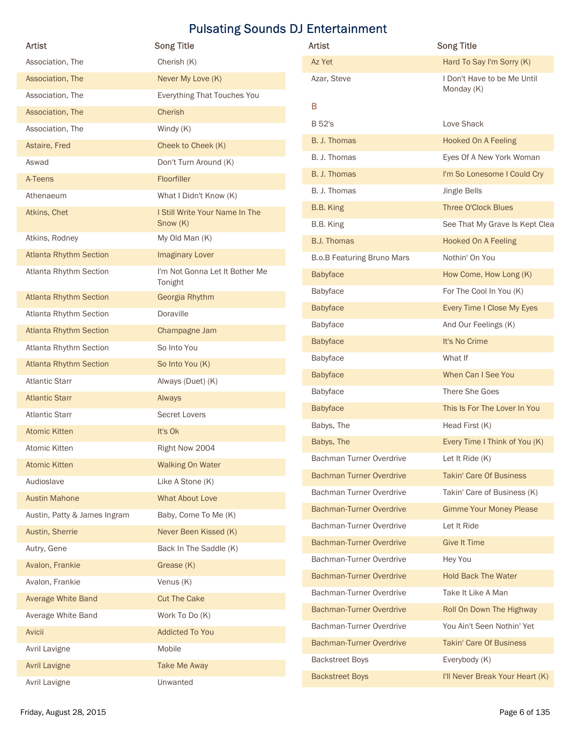| Artist                        |                                           |                                   |                                 |
|-------------------------------|-------------------------------------------|-----------------------------------|---------------------------------|
|                               | <b>Song Title</b>                         | Artist                            | <b>Song Title</b>               |
| Association, The              | Cherish (K)                               | Az Yet                            | Hard To Say I'm Sorry (K)       |
| Association, The              | Never My Love (K)                         | Azar, Steve                       | I Don't Have to be Me Until     |
| Association, The              | Everything That Touches You               |                                   | Monday (K)                      |
| Association, The              | Cherish                                   | B                                 |                                 |
| Association, The              | Windy (K)                                 | <b>B</b> 52's                     | Love Shack                      |
| Astaire, Fred                 | Cheek to Cheek (K)                        | B. J. Thomas                      | Hooked On A Feeling             |
| Aswad                         | Don't Turn Around (K)                     | B. J. Thomas                      | Eyes Of A New York Woman        |
| A-Teens                       | Floorfiller                               | B. J. Thomas                      | I'm So Lonesome I Could Cry     |
| Athenaeum                     | What I Didn't Know (K)                    | B. J. Thomas                      | Jingle Bells                    |
| Atkins, Chet                  | I Still Write Your Name In The            | B.B. King                         | Three O'Clock Blues             |
|                               | Show (K)                                  | B.B. King                         | See That My Grave Is Kept Clea  |
| Atkins, Rodney                | My Old Man (K)                            | <b>B.J. Thomas</b>                | Hooked On A Feeling             |
| <b>Atlanta Rhythm Section</b> | <b>Imaginary Lover</b>                    | <b>B.o.B Featuring Bruno Mars</b> | Nothin' On You                  |
| Atlanta Rhythm Section        | I'm Not Gonna Let It Bother Me<br>Tonight | Babyface                          | How Come, How Long (K)          |
| <b>Atlanta Rhythm Section</b> | Georgia Rhythm                            | Babyface                          | For The Cool In You (K)         |
| Atlanta Rhythm Section        | Doraville                                 | Babyface                          | Every Time I Close My Eyes      |
| <b>Atlanta Rhythm Section</b> | Champagne Jam                             | Babyface                          | And Our Feelings (K)            |
| Atlanta Rhythm Section        | So Into You                               | Babyface                          | It's No Crime                   |
| <b>Atlanta Rhythm Section</b> | So Into You (K)                           | Babyface                          | What If                         |
| <b>Atlantic Starr</b>         | Always (Duet) (K)                         | Babyface                          | When Can I See You              |
| <b>Atlantic Starr</b>         | Always                                    | Babyface                          | There She Goes                  |
| <b>Atlantic Starr</b>         | Secret Lovers                             | Babyface                          | This Is For The Lover In You    |
| <b>Atomic Kitten</b>          | It's Ok                                   | Babys, The                        | Head First (K)                  |
| Atomic Kitten                 | Right Now 2004                            | Babys, The                        | Every Time I Think of You (K)   |
| <b>Atomic Kitten</b>          | <b>Walking On Water</b>                   | Bachman Turner Overdrive          | Let It Ride (K)                 |
| Audioslave                    | Like A Stone (K)                          | <b>Bachman Turner Overdrive</b>   | <b>Takin' Care Of Business</b>  |
| <b>Austin Mahone</b>          | What About Love                           | Bachman Turner Overdrive          | Takin' Care of Business (K)     |
| Austin, Patty & James Ingram  | Baby, Come To Me (K)                      | <b>Bachman-Turner Overdrive</b>   | <b>Gimme Your Money Please</b>  |
| Austin, Sherrie               | Never Been Kissed (K)                     | Bachman-Turner Overdrive          | Let It Ride                     |
|                               |                                           | <b>Bachman-Turner Overdrive</b>   | <b>Give It Time</b>             |
| Autry, Gene                   | Back In The Saddle (K)                    | Bachman-Turner Overdrive          | Hey You                         |
| Avalon, Frankie               | Grease (K)                                | <b>Bachman-Turner Overdrive</b>   | <b>Hold Back The Water</b>      |
| Avalon, Frankie               | Venus (K)                                 | Bachman-Turner Overdrive          | Take It Like A Man              |
| Average White Band            | <b>Cut The Cake</b>                       | <b>Bachman-Turner Overdrive</b>   | Roll On Down The Highway        |
| Average White Band            | Work To Do (K)                            | Bachman-Turner Overdrive          | You Ain't Seen Nothin' Yet      |
| Avicii                        | <b>Addicted To You</b>                    | Bachman-Turner Overdrive          | Takin' Care Of Business         |
| Avril Lavigne                 | Mobile                                    | <b>Backstreet Boys</b>            | Everybody (K)                   |
| <b>Avril Lavigne</b>          | Take Me Away                              | <b>Backstreet Boys</b>            | I'll Never Break Your Heart (K) |
|                               | Unwanted                                  |                                   |                                 |

| Artist                            | <b>Song Title</b>                         |
|-----------------------------------|-------------------------------------------|
| Az Yet                            | Hard To Say I'm Sorry (K)                 |
| Azar, Steve                       | I Don't Have to be Me Until<br>Monday (K) |
| В                                 |                                           |
| B 52's                            | Love Shack                                |
| B. J. Thomas                      | <b>Hooked On A Feeling</b>                |
| B. J. Thomas                      | Eyes Of A New York Woman                  |
| B. J. Thomas                      | I'm So Lonesome I Could Cry               |
| B. J. Thomas                      | Jingle Bells                              |
| B.B. King                         | <b>Three O'Clock Blues</b>                |
| B.B. King                         | See That My Grave Is Kept Clea            |
| <b>B.J. Thomas</b>                | <b>Hooked On A Feeling</b>                |
| <b>B.o.B Featuring Bruno Mars</b> | Nothin' On You                            |
| <b>Babyface</b>                   | How Come, How Long (K)                    |
| Babyface                          | For The Cool In You (K)                   |
| <b>Babyface</b>                   | Every Time I Close My Eyes                |
| Babyface                          | And Our Feelings (K)                      |
| <b>Babyface</b>                   | It's No Crime                             |
| <b>Babyface</b>                   | What If                                   |
| <b>Babyface</b>                   | When Can I See You                        |
| Babyface                          | There She Goes                            |
| <b>Babyface</b>                   | This Is For The Lover In You              |
| Babys, The                        | Head First (K)                            |
| Babys, The                        | Every Time I Think of You (K)             |
| Bachman Turner Overdrive          | Let It Ride $(K)$                         |
| <b>Bachman Turner Overdrive</b>   | <b>Takin' Care Of Business</b>            |
| Bachman Turner Overdrive          | Takin' Care of Business (K)               |
| <b>Bachman-Turner Overdrive</b>   | <b>Gimme Your Money Please</b>            |
| Bachman-Turner Overdrive          | Let It Ride                               |
| <b>Bachman-Turner Overdrive</b>   | <b>Give It Time</b>                       |
| Bachman-Turner Overdrive          | Hey You                                   |
| <b>Bachman-Turner Overdrive</b>   | <b>Hold Back The Water</b>                |
| Bachman-Turner Overdrive          | Take It Like A Man                        |
| <b>Bachman-Turner Overdrive</b>   | Roll On Down The Highway                  |
| Bachman-Turner Overdrive          | You Ain't Seen Nothin' Yet                |
| <b>Bachman-Turner Overdrive</b>   | <b>Takin' Care Of Business</b>            |
| <b>Backstreet Boys</b>            | Everybody (K)                             |
| <b>Backstreet Boys</b>            | I'll Never Break Your Heart (K)           |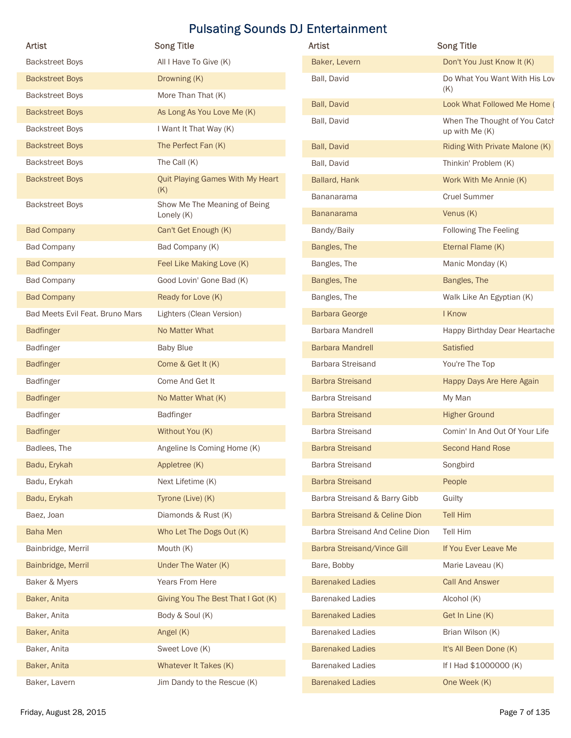| Artist                          | <b>Song Title</b>                          | Artist                           | <b>Song Title</b>                                |
|---------------------------------|--------------------------------------------|----------------------------------|--------------------------------------------------|
| <b>Backstreet Boys</b>          | All I Have To Give (K)                     | Baker, Levern                    | Don't You Just Know It (K)                       |
| <b>Backstreet Boys</b>          | Drowning (K)                               | Ball, David                      | Do What You Want With His Lov                    |
| <b>Backstreet Boys</b>          | More Than That (K)                         |                                  | (K)                                              |
| <b>Backstreet Boys</b>          | As Long As You Love Me (K)                 | Ball, David                      | Look What Followed Me Home (                     |
| <b>Backstreet Boys</b>          | I Want It That Way (K)                     | Ball, David                      | When The Thought of You Catch                    |
| <b>Backstreet Boys</b>          | The Perfect Fan (K)                        | Ball, David                      | up with Me (K)<br>Riding With Private Malone (K) |
| <b>Backstreet Boys</b>          | The Call (K)                               | Ball, David                      | Thinkin' Problem (K)                             |
| <b>Backstreet Boys</b>          | Quit Playing Games With My Heart           | Ballard, Hank                    | Work With Me Annie (K)                           |
|                                 | (K)                                        | Bananarama                       | <b>Cruel Summer</b>                              |
| <b>Backstreet Boys</b>          | Show Me The Meaning of Being<br>Lonely (K) | <b>Bananarama</b>                | Venus (K)                                        |
| <b>Bad Company</b>              | Can't Get Enough (K)                       | Bandy/Baily                      | Following The Feeling                            |
| <b>Bad Company</b>              | Bad Company (K)                            | Bangles, The                     | Eternal Flame (K)                                |
| <b>Bad Company</b>              | Feel Like Making Love (K)                  | Bangles, The                     | Manic Monday (K)                                 |
| <b>Bad Company</b>              | Good Lovin' Gone Bad (K)                   | Bangles, The                     | Bangles, The                                     |
| <b>Bad Company</b>              | Ready for Love (K)                         | Bangles, The                     | Walk Like An Egyptian (K)                        |
| Bad Meets Evil Feat. Bruno Mars | Lighters (Clean Version)                   | <b>Barbara George</b>            | I Know                                           |
| <b>Badfinger</b>                | No Matter What                             | Barbara Mandrell                 | Happy Birthday Dear Heartache                    |
| Badfinger                       | <b>Baby Blue</b>                           | <b>Barbara Mandrell</b>          | Satisfied                                        |
| <b>Badfinger</b>                | Come & Get It (K)                          | Barbara Streisand                | You're The Top                                   |
| Badfinger                       | Come And Get It                            | <b>Barbra Streisand</b>          | Happy Days Are Here Again                        |
| Badfinger                       | No Matter What (K)                         | <b>Barbra Streisand</b>          | My Man                                           |
| Badfinger                       | Badfinger                                  | <b>Barbra Streisand</b>          | <b>Higher Ground</b>                             |
| Badfinger                       | Without You (K)                            | <b>Barbra Streisand</b>          | Comin' In And Out Of Your Life                   |
| Badlees, The                    | Angeline Is Coming Home (K)                | <b>Barbra Streisand</b>          | Second Hand Rose                                 |
| Badu, Erykah                    | Appletree (K)                              | <b>Barbra Streisand</b>          | Songbird                                         |
| Badu, Erykah                    | Next Lifetime (K)                          | <b>Barbra Streisand</b>          | People                                           |
| Badu, Erykah                    | Tyrone (Live) (K)                          | Barbra Streisand & Barry Gibb    | Guilty                                           |
| Baez, Joan                      | Diamonds & Rust (K)                        | Barbra Streisand & Celine Dion   | Tell Him                                         |
| <b>Baha Men</b>                 | Who Let The Dogs Out (K)                   | Barbra Streisand And Celine Dion | Tell Him                                         |
| Bainbridge, Merril              | Mouth (K)                                  | Barbra Streisand/Vince Gill      | If You Ever Leave Me                             |
| Bainbridge, Merril              | Under The Water (K)                        | Bare, Bobby                      | Marie Laveau (K)                                 |
| Baker & Myers                   | Years From Here                            | <b>Barenaked Ladies</b>          | <b>Call And Answer</b>                           |
| Baker, Anita                    | Giving You The Best That I Got (K)         | <b>Barenaked Ladies</b>          | Alcohol (K)                                      |
| Baker, Anita                    | Body & Soul (K)                            | <b>Barenaked Ladies</b>          | Get In Line (K)                                  |
| Baker, Anita                    | Angel (K)                                  | <b>Barenaked Ladies</b>          | Brian Wilson (K)                                 |
| Baker, Anita                    | Sweet Love (K)                             | <b>Barenaked Ladies</b>          | It's All Been Done (K)                           |
| Baker, Anita                    | Whatever It Takes (K)                      | <b>Barenaked Ladies</b>          | If I Had \$1000000 (K)                           |
|                                 | Jim Dandy to the Rescue (K)                | <b>Barenaked Ladies</b>          | One Week (K)                                     |
| Baker, Lavern                   |                                            |                                  |                                                  |

| Artist                           | <b>Song Title</b>                               |
|----------------------------------|-------------------------------------------------|
| Baker, Levern                    | Don't You Just Know It (K)                      |
| Ball, David                      | Do What You Want With His Lov<br>(K)            |
| Ball, David                      | Look What Followed Me Home (                    |
| Ball, David                      | When The Thought of You Catch<br>up with Me (K) |
| Ball, David                      | Riding With Private Malone (K)                  |
| Ball, David                      | Thinkin' Problem (K)                            |
| Ballard, Hank                    | Work With Me Annie (K)                          |
| <b>Bananarama</b>                | <b>Cruel Summer</b>                             |
| <b>Bananarama</b>                | Venus (K)                                       |
| Bandy/Baily                      | <b>Following The Feeling</b>                    |
| Bangles, The                     | Eternal Flame (K)                               |
| Bangles, The                     | Manic Monday (K)                                |
| Bangles, The                     | Bangles, The                                    |
| Bangles, The                     | Walk Like An Egyptian (K)                       |
| <b>Barbara George</b>            | I Know                                          |
| <b>Barbara Mandrell</b>          | Happy Birthday Dear Heartache                   |
| <b>Barbara Mandrell</b>          | <b>Satisfied</b>                                |
| Barbara Streisand                | You're The Top                                  |
| <b>Barbra Streisand</b>          | Happy Days Are Here Again                       |
| <b>Barbra Streisand</b>          | My Man                                          |
| <b>Barbra Streisand</b>          | <b>Higher Ground</b>                            |
| <b>Barbra Streisand</b>          | Comin' In And Out Of Your Life                  |
| <b>Barbra Streisand</b>          | <b>Second Hand Rose</b>                         |
| <b>Barbra Streisand</b>          | Songbird                                        |
| <b>Barbra Streisand</b>          | People                                          |
| Barbra Streisand & Barry Gibb    | Guilty                                          |
| Barbra Streisand & Celine Dion   | <b>Tell Him</b>                                 |
| Barbra Streisand And Celine Dion | Tell Him                                        |
| Barbra Streisand/Vince Gill      | If You Ever Leave Me                            |
| Bare, Bobby                      | Marie Laveau (K)                                |
| <b>Barenaked Ladies</b>          | <b>Call And Answer</b>                          |
| <b>Barenaked Ladies</b>          | Alcohol (K)                                     |
| <b>Barenaked Ladies</b>          | Get In Line (K)                                 |
| <b>Barenaked Ladies</b>          | Brian Wilson (K)                                |
| <b>Barenaked Ladies</b>          | It's All Been Done (K)                          |
| <b>Barenaked Ladies</b>          | If I Had \$1000000 (K)                          |
| <b>Barenaked Ladies</b>          | One Week (K)                                    |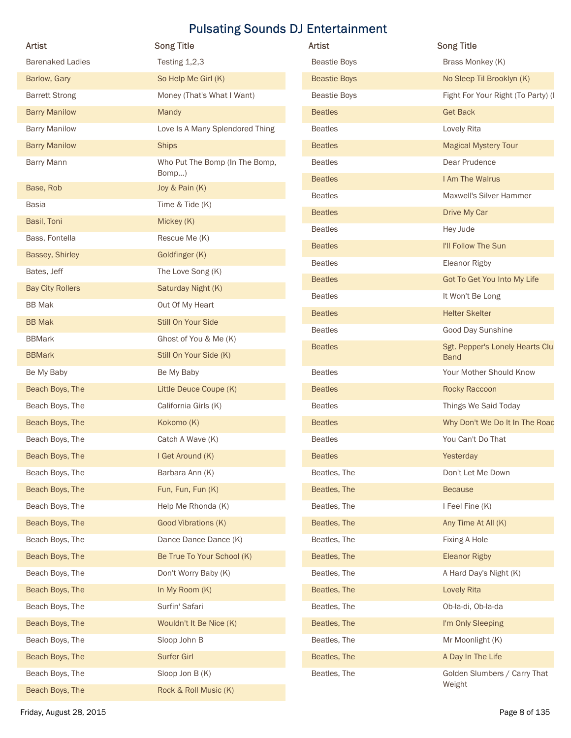| Artist                  | <b>Song Title</b>               | Artist              | <b>Song Title</b>                               |
|-------------------------|---------------------------------|---------------------|-------------------------------------------------|
| <b>Barenaked Ladies</b> | Testing 1,2,3                   | <b>Beastie Boys</b> | Brass Monkey (K)                                |
| Barlow, Gary            | So Help Me Girl (K)             | <b>Beastie Boys</b> | No Sleep Til Brooklyn (K)                       |
| <b>Barrett Strong</b>   | Money (That's What I Want)      | <b>Beastie Boys</b> | Fight For Your Right (To Party) (I              |
| <b>Barry Manilow</b>    | Mandy                           | <b>Beatles</b>      | <b>Get Back</b>                                 |
| <b>Barry Manilow</b>    | Love Is A Many Splendored Thing | <b>Beatles</b>      | Lovely Rita                                     |
| <b>Barry Manilow</b>    | <b>Ships</b>                    | <b>Beatles</b>      | <b>Magical Mystery Tour</b>                     |
| Barry Mann              | Who Put The Bomp (In The Bomp,  | <b>Beatles</b>      | Dear Prudence                                   |
|                         | Bomp)                           | <b>Beatles</b>      | I Am The Walrus                                 |
| Base, Rob               | Joy & Pain (K)                  | <b>Beatles</b>      | Maxwell's Silver Hammer                         |
| Basia                   | Time & Tide (K)                 | <b>Beatles</b>      | Drive My Car                                    |
| Basil, Toni             | Mickey (K)                      | <b>Beatles</b>      | Hey Jude                                        |
| Bass, Fontella          | Rescue Me (K)                   | <b>Beatles</b>      | I'll Follow The Sun                             |
| Bassey, Shirley         | Goldfinger (K)                  | <b>Beatles</b>      | Eleanor Rigby                                   |
| Bates, Jeff             | The Love Song (K)               | <b>Beatles</b>      | Got To Get You Into My Life                     |
| <b>Bay City Rollers</b> | Saturday Night (K)              | <b>Beatles</b>      | It Won't Be Long                                |
| <b>BB</b> Mak           | Out Of My Heart                 | <b>Beatles</b>      | <b>Helter Skelter</b>                           |
| <b>BB</b> Mak           | Still On Your Side              | <b>Beatles</b>      | Good Day Sunshine                               |
| <b>BBMark</b>           | Ghost of You & Me (K)           |                     |                                                 |
| <b>BBMark</b>           | Still On Your Side (K)          | <b>Beatles</b>      | Sgt. Pepper's Lonely Hearts Clul<br><b>Band</b> |
| Be My Baby              | Be My Baby                      | <b>Beatles</b>      | Your Mother Should Know                         |
| Beach Boys, The         | Little Deuce Coupe (K)          | <b>Beatles</b>      | Rocky Raccoon                                   |
| Beach Boys, The         | California Girls (K)            | <b>Beatles</b>      | Things We Said Today                            |
| Beach Boys, The         | Kokomo (K)                      | <b>Beatles</b>      | Why Don't We Do It In The Road                  |
| Beach Boys, The         | Catch A Wave (K)                | <b>Beatles</b>      | You Can't Do That                               |
| Beach Boys, The         | I Get Around (K)                | <b>Beatles</b>      | Yesterday                                       |
| Beach Boys, The         | Barbara Ann (K)                 | Beatles, The        | Don't Let Me Down                               |
| Beach Boys, The         | Fun, Fun, Fun (K)               | Beatles, The        | Because                                         |
| Beach Boys, The         | Help Me Rhonda (K)              | Beatles, The        | I Feel Fine (K)                                 |
| Beach Boys, The         | Good Vibrations (K)             | Beatles, The        | Any Time At All (K)                             |
| Beach Boys, The         | Dance Dance Dance (K)           | Beatles, The        | Fixing A Hole                                   |
| Beach Boys, The         | Be True To Your School (K)      | Beatles, The        | <b>Eleanor Rigby</b>                            |
| Beach Boys, The         | Don't Worry Baby (K)            | Beatles, The        | A Hard Day's Night (K)                          |
| Beach Boys, The         | In My Room (K)                  | Beatles, The        | Lovely Rita                                     |
| Beach Boys, The         | Surfin' Safari                  | Beatles, The        | Ob-la-di, Ob-la-da                              |
| Beach Boys, The         | Wouldn't It Be Nice (K)         | Beatles, The        | I'm Only Sleeping                               |
|                         |                                 |                     |                                                 |
| Beach Boys, The         | Sloop John B                    | Beatles, The        | Mr Moonlight (K)                                |
| Beach Boys, The         | Surfer Girl                     | Beatles, The        | A Day In The Life                               |
| Beach Boys, The         | Sloop Jon B (K)                 | Beatles, The        | Golden Slumbers / Carry That<br>Weight          |
| Beach Boys, The         | Rock & Roll Music (K)           |                     |                                                 |

| Artist              | <b>Song Title</b>                               |
|---------------------|-------------------------------------------------|
| <b>Beastie Boys</b> | Brass Monkey (K)                                |
| <b>Beastie Boys</b> | No Sleep Til Brooklyn (K)                       |
| Beastie Boys        | Fight For Your Right (To Party) (I              |
| <b>Beatles</b>      | <b>Get Back</b>                                 |
| <b>Beatles</b>      | Lovely Rita                                     |
| <b>Beatles</b>      | <b>Magical Mystery Tour</b>                     |
| <b>Beatles</b>      | Dear Prudence                                   |
| <b>Beatles</b>      | I Am The Walrus                                 |
| <b>Beatles</b>      | Maxwell's Silver Hammer                         |
| <b>Beatles</b>      | Drive My Car                                    |
| <b>Beatles</b>      | Hey Jude                                        |
| <b>Beatles</b>      | I'll Follow The Sun                             |
| <b>Beatles</b>      | Eleanor Rigby                                   |
| <b>Beatles</b>      | Got To Get You Into My Life                     |
| <b>Beatles</b>      | It Won't Be Long                                |
| <b>Beatles</b>      | <b>Helter Skelter</b>                           |
| <b>Beatles</b>      | Good Day Sunshine                               |
| <b>Beatles</b>      | Sgt. Pepper's Lonely Hearts Clul<br><b>Band</b> |
| <b>Beatles</b>      | Your Mother Should Know                         |
| <b>Beatles</b>      | Rocky Raccoon                                   |
| <b>Beatles</b>      | Things We Said Today                            |
| <b>Beatles</b>      | Why Don't We Do It In The Road                  |
| <b>Beatles</b>      | You Can't Do That                               |
| <b>Beatles</b>      | Yesterday                                       |
| Beatles, The        | Don't Let Me Down                               |
| Beatles, The        | <b>Because</b>                                  |
| Beatles, The        | I Feel Fine (K)                                 |
| Beatles, The        | Any Time At All (K)                             |
| Beatles, The        | Fixing A Hole                                   |
| Beatles, The        | <b>Eleanor Rigby</b>                            |
| Beatles, The        | A Hard Day's Night (K)                          |
| Beatles, The        | <b>Lovely Rita</b>                              |
| Beatles, The        | Ob-la-di, Ob-la-da                              |
| Beatles, The        | I'm Only Sleeping                               |
| Beatles, The        | Mr Moonlight (K)                                |
| Beatles, The        | A Day In The Life                               |
| Beatles, The        | Golden Slumbers / Carry That<br>Weight          |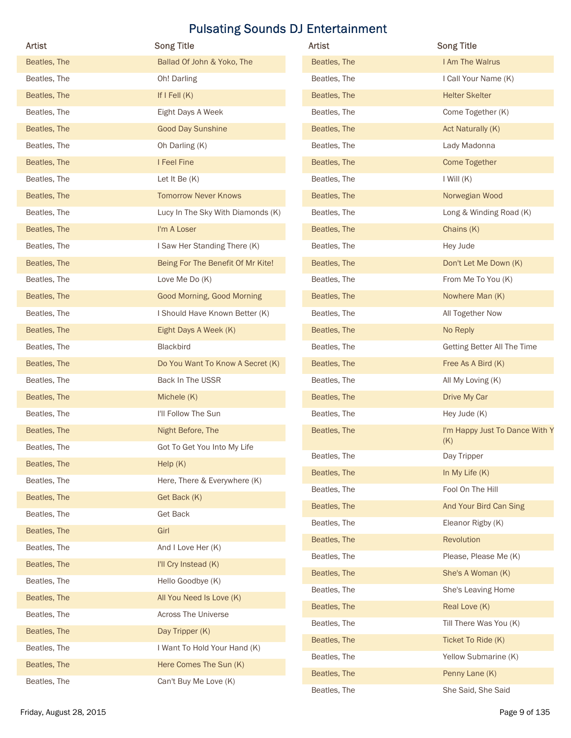| <b>Artist</b> | <b>Song Title</b>                 | Artist       | <b>Song Title</b>              |
|---------------|-----------------------------------|--------------|--------------------------------|
| Beatles, The  | Ballad Of John & Yoko, The        | Beatles, The | I Am The Walrus                |
| Beatles, The  | Oh! Darling                       | Beatles, The | I Call Your Name (K)           |
| Beatles, The  | If $I$ Fell $(K)$                 | Beatles, The | <b>Helter Skelter</b>          |
| Beatles, The  | Eight Days A Week                 | Beatles, The | Come Together (K)              |
| Beatles, The  | <b>Good Day Sunshine</b>          | Beatles, The | Act Naturally (K)              |
| Beatles, The  | Oh Darling (K)                    | Beatles, The | Lady Madonna                   |
| Beatles, The  | I Feel Fine                       | Beatles, The | <b>Come Together</b>           |
| Beatles, The  | Let It Be (K)                     | Beatles, The | $I$ Will $(K)$                 |
| Beatles, The  | <b>Tomorrow Never Knows</b>       | Beatles, The | Norwegian Wood                 |
| Beatles, The  | Lucy In The Sky With Diamonds (K) | Beatles, The | Long & Winding Road (K)        |
| Beatles, The  | I'm A Loser                       | Beatles, The | Chains (K)                     |
| Beatles, The  | I Saw Her Standing There (K)      | Beatles, The | Hey Jude                       |
| Beatles, The  | Being For The Benefit Of Mr Kite! | Beatles, The | Don't Let Me Down (K)          |
| Beatles, The  | Love Me Do (K)                    | Beatles, The | From Me To You (K)             |
| Beatles, The  | Good Morning, Good Morning        | Beatles, The | Nowhere Man (K)                |
| Beatles, The  | I Should Have Known Better (K)    | Beatles, The | All Together Now               |
| Beatles, The  | Eight Days A Week (K)             | Beatles, The | No Reply                       |
| Beatles, The  | Blackbird                         | Beatles, The | Getting Better All The Time    |
| Beatles, The  | Do You Want To Know A Secret (K)  | Beatles, The | Free As A Bird (K)             |
| Beatles, The  | Back In The USSR                  | Beatles, The | All My Loving (K)              |
| Beatles, The  | Michele (K)                       | Beatles, The | Drive My Car                   |
| Beatles, The  | I'll Follow The Sun               | Beatles, The | Hey Jude (K)                   |
| Beatles, The  | Night Before, The                 | Beatles, The | I'm Happy Just To Dance With Y |
| Beatles, The  | Got To Get You Into My Life       | Beatles, The | (K)<br>Day Tripper             |
| Beatles, The  | Help(K)                           | Beatles, The | In My Life $(K)$               |
| Beatles, The  | Here, There & Everywhere (K)      | Beatles, The | Fool On The Hill               |
| Beatles, The  | Get Back (K)                      | Beatles, The | And Your Bird Can Sing         |
| Beatles, The  | <b>Get Back</b>                   | Beatles, The | Eleanor Rigby (K)              |
| Beatles, The  | Girl                              | Beatles, The | Revolution                     |
| Beatles, The  | And I Love Her (K)                | Beatles, The | Please, Please Me (K)          |
| Beatles, The  | I'll Cry Instead (K)              | Beatles, The | She's A Woman (K)              |
| Beatles, The  | Hello Goodbye (K)                 | Beatles, The | She's Leaving Home             |
| Beatles, The  | All You Need Is Love (K)          | Beatles, The | Real Love (K)                  |
| Beatles, The  | Across The Universe               | Beatles, The | Till There Was You (K)         |
| Beatles, The  | Day Tripper (K)                   | Beatles, The | Ticket To Ride (K)             |
| Beatles, The  | I Want To Hold Your Hand (K)      | Beatles, The | Yellow Submarine (K)           |
| Beatles, The  | Here Comes The Sun (K)            | Beatles, The | Penny Lane (K)                 |
| Beatles, The  | Can't Buy Me Love (K)             | Beatles, The | She Said, She Said             |
|               |                                   |              |                                |

| <b>Artist</b> | <b>Song Title</b>                     |
|---------------|---------------------------------------|
| Beatles, The  | I Am The Walrus                       |
| Beatles, The  | I Call Your Name (K)                  |
| Beatles, The  | <b>Helter Skelter</b>                 |
| Beatles, The  | Come Together (K)                     |
| Beatles, The  | Act Naturally (K)                     |
| Beatles, The  | Lady Madonna                          |
| Beatles, The  | Come Together                         |
| Beatles, The  | I Will $(K)$                          |
| Beatles, The  | Norwegian Wood                        |
| Beatles, The  | Long & Winding Road (K)               |
| Beatles, The  | Chains (K)                            |
| Beatles, The  | Hey Jude                              |
| Beatles, The  | Don't Let Me Down (K)                 |
| Beatles, The  | From Me To You (K)                    |
| Beatles, The  | Nowhere Man (K)                       |
| Beatles, The  | All Together Now                      |
| Beatles, The  | No Reply                              |
| Beatles, The  | Getting Better All The Time           |
| Beatles, The  | Free As A Bird (K)                    |
| Beatles, The  | All My Loving (K)                     |
| Beatles, The  | Drive My Car                          |
| Beatles, The  | Hey Jude (K)                          |
| Beatles, The  | I'm Happy Just To Dance With Y<br>(K) |
| Beatles, The  | Day Tripper                           |
| Beatles, The  | In My Life $(K)$                      |
| Beatles, The  | Fool On The Hill                      |
| Beatles, The  | And Your Bird Can Sing                |
| Beatles, The  | Eleanor Rigby (K)                     |
| Beatles, The  | Revolution                            |
| Beatles, The  | Please, Please Me (K)                 |
| Beatles, The  | She's A Woman (K)                     |
| Beatles, The  | She's Leaving Home                    |
| Beatles, The  | Real Love (K)                         |
| Beatles, The  | Till There Was You (K)                |
| Beatles, The  | Ticket To Ride (K)                    |
| Beatles, The  | Yellow Submarine (K)                  |
| Beatles, The  | Penny Lane (K)                        |
| Beatles, The  | She Said, She Said                    |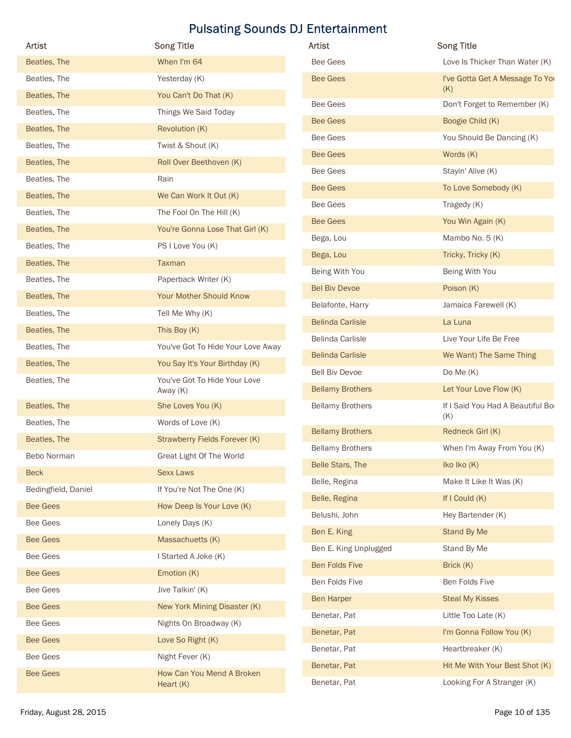| Artist              |                                               | Artist                  | <b>Song Title</b>                       |
|---------------------|-----------------------------------------------|-------------------------|-----------------------------------------|
| Beatles, The        | <b>Song Title</b><br>When I'm 64              | <b>Bee Gees</b>         | Love Is Thicker Than Water (K)          |
| Beatles, The        | Yesterday (K)                                 | <b>Bee Gees</b>         | I've Gotta Get A Message To You         |
| Beatles, The        |                                               |                         | (K)                                     |
| Beatles, The        | You Can't Do That (K)<br>Things We Said Today | <b>Bee Gees</b>         | Don't Forget to Remember (K)            |
|                     |                                               | <b>Bee Gees</b>         | Boogie Child (K)                        |
| Beatles, The        | Revolution (K)                                | <b>Bee Gees</b>         | You Should Be Dancing (K)               |
| Beatles, The        | Twist & Shout (K)                             | <b>Bee Gees</b>         | Words (K)                               |
| Beatles, The        | Roll Over Beethoven (K)                       | <b>Bee Gees</b>         | Stayin' Alive (K)                       |
| Beatles, The        | Rain                                          | <b>Bee Gees</b>         | To Love Somebody (K)                    |
| Beatles, The        | We Can Work It Out (K)                        | <b>Bee Gees</b>         | Tragedy (K)                             |
| Beatles, The        | The Fool On The Hill (K)                      | <b>Bee Gees</b>         | You Win Again (K)                       |
| Beatles, The        | You're Gonna Lose That Girl (K)               | Bega, Lou               | Mambo No. 5 (K)                         |
| Beatles, The        | PS I Love You (K)                             | Bega, Lou               | Tricky, Tricky (K)                      |
| Beatles, The        | Taxman                                        | Being With You          | Being With You                          |
| Beatles, The        | Paperback Writer (K)                          | <b>Bel Biv Devoe</b>    | Poison (K)                              |
| Beatles, The        | Your Mother Should Know                       | Belafonte, Harry        | Jamaica Farewell (K)                    |
| Beatles, The        | Tell Me Why (K)                               | <b>Belinda Carlisle</b> | La Luna                                 |
| Beatles, The        | This Boy (K)                                  | Belinda Carlisle        | Live Your Life Be Free                  |
| Beatles, The        | You've Got To Hide Your Love Away             | <b>Belinda Carlisle</b> | We Want) The Same Thing                 |
| Beatles, The        | You Say It's Your Birthday (K)                |                         |                                         |
| Beatles, The        | You've Got To Hide Your Love                  | <b>Bell Biv Devoe</b>   | Do Me (K)                               |
|                     | Away (K)                                      | <b>Bellamy Brothers</b> | Let Your Love Flow (K)                  |
| Beatles, The        | She Loves You (K)                             | <b>Bellamy Brothers</b> | If I Said You Had A Beautiful Bo<br>(K) |
| Beatles, The        | Words of Love (K)                             | <b>Bellamy Brothers</b> | Redneck Girl (K)                        |
| Beatles, The        | Strawberry Fields Forever (K)                 | <b>Bellamy Brothers</b> | When I'm Away From You (K)              |
| Bebo Norman         | Great Light Of The World                      | Belle Stars, The        | Iko Iko (K)                             |
| <b>Beck</b>         | <b>Sexx Laws</b>                              | Belle, Regina           | Make It Like It Was (K)                 |
| Bedingfield, Daniel | If You're Not The One (K)                     | Belle, Regina           | If I Could (K)                          |
| <b>Bee Gees</b>     | How Deep Is Your Love (K)                     | Belushi, John           | Hey Bartender (K)                       |
| Bee Gees            | Lonely Days (K)                               | Ben E. King             | Stand By Me                             |
| <b>Bee Gees</b>     | Massachuetts (K)                              | Ben E. King Unplugged   | Stand By Me                             |
| Bee Gees            | I Started A Joke (K)                          | Ben Folds Five          | Brick (K)                               |
| <b>Bee Gees</b>     | Emotion (K)                                   |                         |                                         |
| Bee Gees            | Jive Talkin' (K)                              | Ben Folds Five          | Ben Folds Five                          |
| <b>Bee Gees</b>     | New York Mining Disaster (K)                  | Ben Harper              | <b>Steal My Kisses</b>                  |
| Bee Gees            | Nights On Broadway (K)                        | Benetar, Pat            | Little Too Late (K)                     |
| <b>Bee Gees</b>     | Love So Right (K)                             | Benetar, Pat            | I'm Gonna Follow You (K)                |
| <b>Bee Gees</b>     | Night Fever (K)                               | Benetar, Pat            | Heartbreaker (K)                        |
|                     | How Can You Mend A Broken                     | Benetar, Pat            | Hit Me With Your Best Shot (K)          |
| <b>Bee Gees</b>     |                                               | Benetar, Pat            | Looking For A Stranger (K)              |

| Artist                  | <b>Song Title</b>                       |
|-------------------------|-----------------------------------------|
| Bee Gees                | Love Is Thicker Than Water (K)          |
| <b>Bee Gees</b>         | I've Gotta Get A Message To You<br>(K)  |
| <b>Bee Gees</b>         | Don't Forget to Remember (K)            |
| <b>Bee Gees</b>         | Boogie Child (K)                        |
| Bee Gees                | You Should Be Dancing (K)               |
| <b>Bee Gees</b>         | Words (K)                               |
| Bee Gees                | Stayin' Alive (K)                       |
| <b>Bee Gees</b>         | To Love Somebody (K)                    |
| Bee Gees                | Tragedy (K)                             |
| <b>Bee Gees</b>         | You Win Again (K)                       |
| Bega, Lou               | Mambo No. 5 (K)                         |
| Bega, Lou               | Tricky, Tricky (K)                      |
| Being With You          | Being With You                          |
| <b>Bel Biv Devoe</b>    | Poison (K)                              |
| Belafonte, Harry        | Jamaica Farewell (K)                    |
| <b>Belinda Carlisle</b> | La Luna                                 |
| Belinda Carlisle        | Live Your Life Be Free                  |
| <b>Belinda Carlisle</b> | We Want) The Same Thing                 |
| <b>Bell Biv Devoe</b>   | Do Me $(K)$                             |
| <b>Bellamy Brothers</b> | Let Your Love Flow (K)                  |
| <b>Bellamy Brothers</b> | If I Said You Had A Beautiful Bo<br>(K) |
| <b>Bellamy Brothers</b> | Redneck Girl (K)                        |
| <b>Bellamy Brothers</b> | When I'm Away From You (K)              |
| Belle Stars, The        | Iko Iko (K)                             |
| Belle, Regina           | Make It Like It Was (K)                 |
| Belle, Regina           | If I Could (K)                          |
| Belushi, John           | Hey Bartender (K)                       |
| Ben E. King             | Stand By Me                             |
| Ben E. King Unplugged   | Stand By Me                             |
| Ben Folds Five          | Brick (K)                               |
| Ben Folds Five          | Ben Folds Five                          |
| <b>Ben Harper</b>       | <b>Steal My Kisses</b>                  |
| Benetar, Pat            | Little Too Late (K)                     |
| Benetar, Pat            | I'm Gonna Follow You (K)                |
| Benetar, Pat            | Heartbreaker (K)                        |
| Benetar, Pat            | Hit Me With Your Best Shot (K)          |
| Benetar, Pat            | Looking For A Stranger (K)              |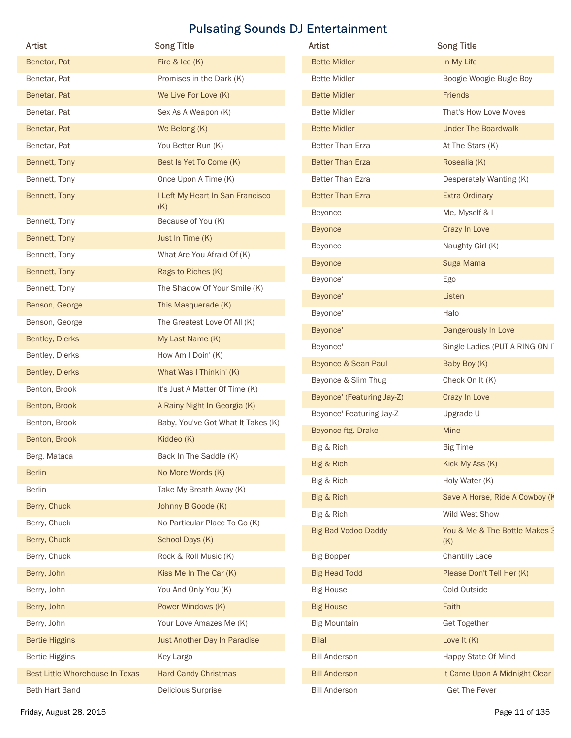| <b>Artist</b>                   | <b>Song Title</b>                       | Artist                     | <b>Song Title</b>                    |
|---------------------------------|-----------------------------------------|----------------------------|--------------------------------------|
| Benetar, Pat                    | Fire & Ice (K)                          | <b>Bette Midler</b>        | In My Life                           |
| Benetar, Pat                    | Promises in the Dark (K)                | <b>Bette Midler</b>        | Boogie Woogie Bugle Boy              |
| Benetar, Pat                    | We Live For Love (K)                    | <b>Bette Midler</b>        | Friends                              |
| Benetar, Pat                    | Sex As A Weapon (K)                     | <b>Bette Midler</b>        | That's How Love Moves                |
| Benetar, Pat                    | We Belong (K)                           | <b>Bette Midler</b>        | <b>Under The Boardwalk</b>           |
| Benetar, Pat                    | You Better Run (K)                      | Better Than Erza           | At The Stars (K)                     |
| Bennett, Tony                   | Best Is Yet To Come (K)                 | <b>Better Than Erza</b>    | Rosealia (K)                         |
| Bennett, Tony                   | Once Upon A Time (K)                    | Better Than Ezra           | Desperately Wanting (K)              |
| Bennett, Tony                   | I Left My Heart In San Francisco<br>(K) | <b>Better Than Ezra</b>    | <b>Extra Ordinary</b>                |
| Bennett, Tony                   | Because of You (K)                      | Beyonce                    | Me, Myself & I                       |
| Bennett, Tony                   | Just In Time (K)                        | <b>Beyonce</b>             | Crazy In Love                        |
| Bennett, Tony                   | What Are You Afraid Of (K)              | Beyonce                    | Naughty Girl (K)                     |
| Bennett, Tony                   | Rags to Riches (K)                      | <b>Beyonce</b>             | Suga Mama                            |
| Bennett, Tony                   | The Shadow Of Your Smile (K)            | Beyonce'                   | Ego                                  |
| Benson, George                  | This Masquerade (K)                     | Beyonce'                   | Listen                               |
| Benson, George                  | The Greatest Love Of All (K)            | Beyonce'                   | Halo                                 |
| Bentley, Dierks                 | My Last Name (K)                        | Beyonce'                   | Dangerously In Love                  |
| Bentley, Dierks                 | How Am I Doin' (K)                      | Beyonce'                   | Single Ladies (PUT A RING ON IT      |
| Bentley, Dierks                 | What Was I Thinkin' (K)                 | Beyonce & Sean Paul        | Baby Boy (K)                         |
| Benton, Brook                   | It's Just A Matter Of Time (K)          | Beyonce & Slim Thug        | Check On It (K)                      |
| Benton, Brook                   | A Rainy Night In Georgia (K)            | Beyonce' (Featuring Jay-Z) | Crazy In Love                        |
| Benton, Brook                   | Baby, You've Got What It Takes (K)      | Beyonce' Featuring Jay-Z   | Upgrade U                            |
| Benton, Brook                   | Kiddeo (K)                              | Beyonce ftg. Drake         | Mine                                 |
| Berg, Mataca                    | Back In The Saddle (K)                  | Big & Rich                 | <b>Big Time</b>                      |
| <b>Berlin</b>                   | No More Words (K)                       | Big & Rich                 | Kick My Ass (K)                      |
| Berlin                          | Take My Breath Away (K)                 | Big & Rich                 | Holy Water (K)                       |
| Berry, Chuck                    | Johnny B Goode (K)                      | Big & Rich                 | Save A Horse, Ride A Cowboy (K       |
| Berry, Chuck                    | No Particular Place To Go (K)           | Big & Rich                 | Wild West Show                       |
| Berry, Chuck                    | School Days (K)                         | <b>Big Bad Vodoo Daddy</b> | You & Me & The Bottle Makes 3<br>(K) |
| Berry, Chuck                    | Rock & Roll Music (K)                   | <b>Big Bopper</b>          | <b>Chantilly Lace</b>                |
| Berry, John                     | Kiss Me In The Car (K)                  | <b>Big Head Todd</b>       | Please Don't Tell Her (K)            |
| Berry, John                     | You And Only You (K)                    | <b>Big House</b>           | Cold Outside                         |
| Berry, John                     | Power Windows (K)                       | <b>Big House</b>           | Faith                                |
| Berry, John                     | Your Love Amazes Me (K)                 | <b>Big Mountain</b>        | <b>Get Together</b>                  |
| <b>Bertie Higgins</b>           | Just Another Day In Paradise            | <b>Bilal</b>               | Love It $(K)$                        |
| <b>Bertie Higgins</b>           | Key Largo                               | <b>Bill Anderson</b>       | Happy State Of Mind                  |
| Best Little Whorehouse In Texas | <b>Hard Candy Christmas</b>             | <b>Bill Anderson</b>       | It Came Upon A Midnight Clear        |
|                                 |                                         | <b>Bill Anderson</b>       | I Get The Fever                      |

| <b>Artist</b>              | <b>Song Title</b>                    |
|----------------------------|--------------------------------------|
| <b>Bette Midler</b>        | In My Life                           |
| <b>Bette Midler</b>        | Boogie Woogie Bugle Boy              |
| <b>Bette Midler</b>        | <b>Friends</b>                       |
| <b>Bette Midler</b>        | That's How Love Moves                |
| <b>Bette Midler</b>        | <b>Under The Boardwalk</b>           |
| <b>Better Than Erza</b>    | At The Stars (K)                     |
| <b>Better Than Erza</b>    | Rosealia (K)                         |
| <b>Better Than Ezra</b>    | Desperately Wanting (K)              |
| <b>Better Than Ezra</b>    | <b>Extra Ordinary</b>                |
| Beyonce                    | Me, Myself & I                       |
| <b>Beyonce</b>             | Crazy In Love                        |
| <b>Beyonce</b>             | Naughty Girl (K)                     |
| <b>Beyonce</b>             | Suga Mama                            |
| Beyonce'                   | Ego                                  |
| Beyonce'                   | Listen                               |
| Beyonce'                   | Halo                                 |
| Beyonce'                   | Dangerously In Love                  |
| Beyonce'                   | Single Ladies (PUT A RING ON IT      |
| Beyonce & Sean Paul        | Baby Boy (K)                         |
| Beyonce & Slim Thug        | Check On It (K)                      |
| Beyonce' (Featuring Jay-Z) | Crazy In Love                        |
| Beyonce' Featuring Jay-Z   | Upgrade U                            |
| Beyonce ftg. Drake         | Mine                                 |
| Big & Rich                 | <b>Big Time</b>                      |
| Big & Rich                 | Kick My Ass (K)                      |
| Big & Rich                 | Holy Water (K)                       |
| Big & Rich                 | Save A Horse, Ride A Cowboy (K       |
| Big & Rich                 | Wild West Show                       |
| <b>Big Bad Vodoo Daddy</b> | You & Me & The Bottle Makes 3<br>(K) |
| <b>Big Bopper</b>          | <b>Chantilly Lace</b>                |
| <b>Big Head Todd</b>       | Please Don't Tell Her (K)            |
| <b>Big House</b>           | Cold Outside                         |
| <b>Big House</b>           | Faith                                |
| <b>Big Mountain</b>        | <b>Get Together</b>                  |
| <b>Bilal</b>               | Love It $(K)$                        |
| <b>Bill Anderson</b>       | Happy State Of Mind                  |
| <b>Bill Anderson</b>       | It Came Upon A Midnight Clear        |
| <b>Bill Anderson</b>       | I Get The Fever                      |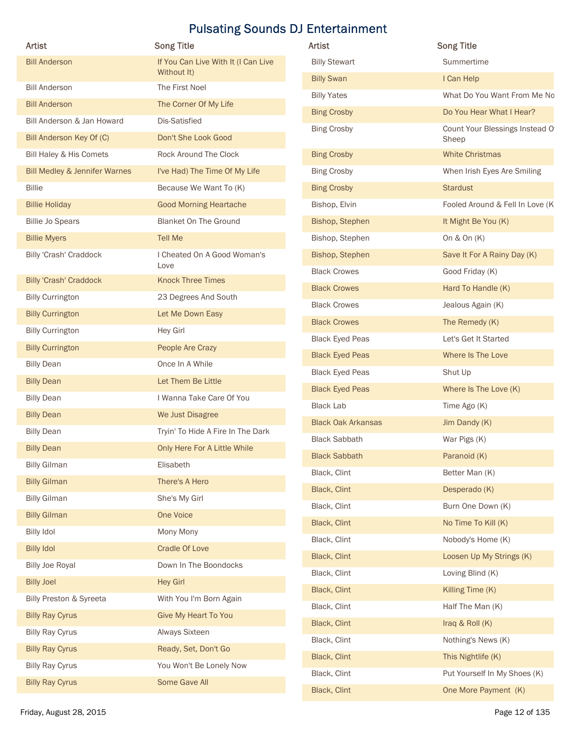| Artist                                           | <b>Song Title</b>                        | <b>Pulsating Sounds DJ Entertainment</b><br>Artist | <b>Song Title</b>                     |
|--------------------------------------------------|------------------------------------------|----------------------------------------------------|---------------------------------------|
| <b>Bill Anderson</b>                             | If You Can Live With It (I Can Live      | <b>Billy Stewart</b>                               | Summertime                            |
|                                                  | Without It)                              | <b>Billy Swan</b>                                  | I Can Help                            |
| <b>Bill Anderson</b>                             | The First Noel                           | <b>Billy Yates</b>                                 | What Do You Want From Me No           |
| <b>Bill Anderson</b>                             | The Corner Of My Life                    | <b>Bing Crosby</b>                                 | Do You Hear What I Hear?              |
| Bill Anderson & Jan Howard                       | Dis-Satisfied                            | <b>Bing Crosby</b>                                 | Count Your Blessings Instead O        |
| Bill Anderson Key Of (C)                         | Don't She Look Good                      |                                                    | Sheep                                 |
| Bill Haley & His Comets                          | Rock Around The Clock                    | <b>Bing Crosby</b>                                 | <b>White Christmas</b>                |
| <b>Bill Medley &amp; Jennifer Warnes</b>         | I've Had) The Time Of My Life            | <b>Bing Crosby</b>                                 | When Irish Eyes Are Smiling           |
| <b>Billie</b>                                    | Because We Want To (K)                   | <b>Bing Crosby</b>                                 | <b>Stardust</b>                       |
| <b>Billie Holiday</b>                            | <b>Good Morning Heartache</b>            | Bishop, Elvin                                      | Fooled Around & Fell In Love (K)      |
| <b>Billie Jo Spears</b>                          | <b>Blanket On The Ground</b>             | Bishop, Stephen                                    | It Might Be You (K)                   |
| <b>Billie Myers</b>                              | <b>Tell Me</b>                           | Bishop, Stephen                                    | On $&$ On $(K)$                       |
| Billy 'Crash' Craddock                           | I Cheated On A Good Woman's<br>Love      | Bishop, Stephen                                    | Save It For A Rainy Day (K)           |
| <b>Billy 'Crash' Craddock</b>                    | <b>Knock Three Times</b>                 | <b>Black Crowes</b>                                | Good Friday (K)                       |
| <b>Billy Currington</b>                          | 23 Degrees And South                     | <b>Black Crowes</b>                                | Hard To Handle (K)                    |
| <b>Billy Currington</b>                          | Let Me Down Easy                         | <b>Black Crowes</b>                                | Jealous Again (K)                     |
| <b>Billy Currington</b>                          | Hey Girl                                 | <b>Black Crowes</b>                                | The Remedy (K)                        |
| <b>Billy Currington</b>                          | People Are Crazy                         | <b>Black Eyed Peas</b>                             | Let's Get It Started                  |
| <b>Billy Dean</b>                                | Once In A While                          | <b>Black Eyed Peas</b>                             | Where Is The Love                     |
| <b>Billy Dean</b>                                | Let Them Be Little                       | <b>Black Eyed Peas</b>                             | Shut Up                               |
| <b>Billy Dean</b>                                | I Wanna Take Care Of You                 | <b>Black Eyed Peas</b><br><b>Black Lab</b>         | Where Is The Love (K)<br>Time Ago (K) |
| <b>Billy Dean</b>                                | We Just Disagree                         | <b>Black Oak Arkansas</b>                          | Jim Dandy (K)                         |
| <b>Billy Dean</b>                                | Tryin' To Hide A Fire In The Dark        | <b>Black Sabbath</b>                               | War Pigs (K)                          |
| <b>Billy Dean</b>                                | Only Here For A Little While             | <b>Black Sabbath</b>                               | Paranoid (K)                          |
| <b>Billy Gilman</b>                              | Elisabeth                                | Black, Clint                                       | Better Man (K)                        |
| <b>Billy Gilman</b>                              | There's A Hero                           | Black, Clint                                       | Desperado (K)                         |
| <b>Billy Gilman</b>                              | She's My Girl                            | Black, Clint                                       | Burn One Down (K)                     |
| <b>Billy Gilman</b>                              | One Voice                                | Black, Clint                                       | No Time To Kill (K)                   |
| <b>Billy Idol</b>                                | Mony Mony                                | Black, Clint                                       | Nobody's Home (K)                     |
| <b>Billy Idol</b>                                | <b>Cradle Of Love</b>                    | Black, Clint                                       | Loosen Up My Strings (K)              |
| <b>Billy Joe Royal</b>                           | Down In The Boondocks                    | Black, Clint                                       | Loving Blind (K)                      |
| <b>Billy Joel</b>                                | <b>Hey Girl</b>                          | Black, Clint                                       | Killing Time (K)                      |
| Billy Preston & Syreeta                          | With You I'm Born Again                  | Black, Clint                                       | Half The Man (K)                      |
| <b>Billy Ray Cyrus</b>                           | <b>Give My Heart To You</b>              | Black, Clint                                       | Iraq & Roll (K)                       |
| <b>Billy Ray Cyrus</b>                           | Always Sixteen                           | Black, Clint                                       | Nothing's News (K)                    |
| <b>Billy Ray Cyrus</b>                           | Ready, Set, Don't Go                     | Black, Clint                                       | This Nightlife (K)                    |
| <b>Billy Ray Cyrus</b><br><b>Billy Ray Cyrus</b> | You Won't Be Lonely Now<br>Some Gave All | Black, Clint                                       | Put Yourself In My Shoes (K)          |
|                                                  |                                          |                                                    |                                       |

| Artist                                       | <b>Song Title</b>                   | Artist                    | <b>Song Title</b>                |
|----------------------------------------------|-------------------------------------|---------------------------|----------------------------------|
| <b>Bill Anderson</b>                         | If You Can Live With It (I Can Live | <b>Billy Stewart</b>      | Summertime                       |
|                                              | Without It)                         | <b>Billy Swan</b>         | I Can Help                       |
| <b>Bill Anderson</b>                         | The First Noel                      | <b>Billy Yates</b>        | What Do You Want From Me No      |
| <b>Bill Anderson</b>                         | The Corner Of My Life               | <b>Bing Crosby</b>        | Do You Hear What I Hear?         |
| Bill Anderson & Jan Howard                   | Dis-Satisfied                       | <b>Bing Crosby</b>        | Count Your Blessings Instead O   |
| Bill Anderson Key Of (C)                     | Don't She Look Good                 |                           | Sheep                            |
| Bill Haley & His Comets                      | Rock Around The Clock               | <b>Bing Crosby</b>        | <b>White Christmas</b>           |
| <b>Bill Medley &amp; Jennifer Warnes</b>     | I've Had) The Time Of My Life       | <b>Bing Crosby</b>        | When Irish Eyes Are Smiling      |
| <b>Billie</b>                                | Because We Want To (K)              | <b>Bing Crosby</b>        | <b>Stardust</b>                  |
| <b>Billie Holiday</b>                        | <b>Good Morning Heartache</b>       | Bishop, Elvin             | Fooled Around & Fell In Love (K) |
| <b>Billie Jo Spears</b>                      | <b>Blanket On The Ground</b>        | Bishop, Stephen           | It Might Be You (K)              |
| <b>Billie Myers</b>                          | Tell Me                             | Bishop, Stephen           | On $&$ On $(K)$                  |
| Billy 'Crash' Craddock                       | I Cheated On A Good Woman's<br>Love | Bishop, Stephen           | Save It For A Rainy Day (K)      |
| <b>Billy 'Crash' Craddock</b>                | <b>Knock Three Times</b>            | <b>Black Crowes</b>       | Good Friday (K)                  |
| <b>Billy Currington</b>                      | 23 Degrees And South                | <b>Black Crowes</b>       | Hard To Handle (K)               |
| <b>Billy Currington</b>                      | Let Me Down Easy                    | <b>Black Crowes</b>       | Jealous Again (K)                |
| <b>Billy Currington</b>                      | Hey Girl                            | <b>Black Crowes</b>       | The Remedy (K)                   |
|                                              | People Are Crazy                    | <b>Black Eyed Peas</b>    | Let's Get It Started             |
| <b>Billy Currington</b><br><b>Billy Dean</b> | Once In A While                     | <b>Black Eyed Peas</b>    | Where Is The Love                |
|                                              |                                     | <b>Black Eyed Peas</b>    | Shut Up                          |
| <b>Billy Dean</b>                            | Let Them Be Little                  | <b>Black Eyed Peas</b>    | Where Is The Love (K)            |
| <b>Billy Dean</b>                            | I Wanna Take Care Of You            | <b>Black Lab</b>          | Time Ago (K)                     |
| <b>Billy Dean</b>                            | We Just Disagree                    | <b>Black Oak Arkansas</b> | Jim Dandy (K)                    |
| <b>Billy Dean</b>                            | Tryin' To Hide A Fire In The Dark   | <b>Black Sabbath</b>      | War Pigs (K)                     |
| <b>Billy Dean</b>                            | Only Here For A Little While        | <b>Black Sabbath</b>      | Paranoid (K)                     |
| <b>Billy Gilman</b>                          | Elisabeth                           | Black, Clint              | Better Man (K)                   |
| <b>Billy Gilman</b>                          | There's A Hero                      | Black, Clint              | Desperado (K)                    |
| <b>Billy Gilman</b>                          | She's My Girl                       | Black, Clint              | Burn One Down (K)                |
| <b>Billy Gilman</b>                          | One Voice                           | Black, Clint              | No Time To Kill (K)              |
| <b>Billy Idol</b>                            | Mony Mony                           | Black, Clint              | Nobody's Home (K)                |
| <b>Billy Idol</b>                            | <b>Cradle Of Love</b>               | Black, Clint              | Loosen Up My Strings (K)         |
| <b>Billy Joe Royal</b>                       | Down In The Boondocks               | Black, Clint              | Loving Blind (K)                 |
| <b>Billy Joel</b>                            | <b>Hey Girl</b>                     | Black, Clint              |                                  |
| Billy Preston & Syreeta                      | With You I'm Born Again             |                           | Killing Time (K)                 |
| <b>Billy Ray Cyrus</b>                       | <b>Give My Heart To You</b>         | Black, Clint              | Half The Man (K)                 |
| <b>Billy Ray Cyrus</b>                       | Always Sixteen                      | Black, Clint              | Iraq & Roll (K)                  |
| <b>Billy Ray Cyrus</b>                       | Ready, Set, Don't Go                | Black, Clint              | Nothing's News (K)               |
| <b>Billy Ray Cyrus</b>                       | You Won't Be Lonely Now             | Black, Clint              | This Nightlife (K)               |
| <b>Billy Ray Cyrus</b>                       | Some Gave All                       | Black, Clint              | Put Yourself In My Shoes (K)     |
|                                              |                                     | Black, Clint              | One More Payment (K)             |
| Friday, August 28, 2015                      |                                     |                           | Page 12 of 135                   |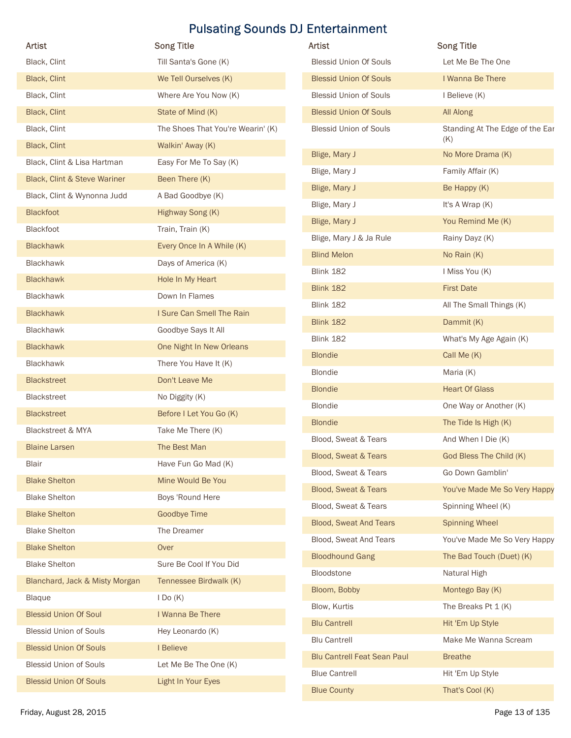|                                | <b>Pulsating Sounds DJ Entertainment</b>   |                                            |                                          |
|--------------------------------|--------------------------------------------|--------------------------------------------|------------------------------------------|
| Artist<br>Black, Clint         | <b>Song Title</b><br>Till Santa's Gone (K) | Artist<br><b>Blessid Union Of Souls</b>    | <b>Song Title</b><br>Let Me Be The One   |
| Black, Clint                   | We Tell Ourselves (K)                      | <b>Blessid Union Of Souls</b>              | I Wanna Be There                         |
| Black, Clint                   | Where Are You Now (K)                      | <b>Blessid Union of Souls</b>              | I Believe (K)                            |
| Black, Clint                   | State of Mind (K)                          | <b>Blessid Union Of Souls</b>              | All Along                                |
| Black, Clint                   | The Shoes That You're Wearin' (K)          | <b>Blessid Union of Souls</b>              | Standing At The Edge of the Ear          |
| Black, Clint                   | Walkin' Away (K)                           |                                            | (K)                                      |
| Black, Clint & Lisa Hartman    | Easy For Me To Say (K)                     | Blige, Mary J                              | No More Drama (K)                        |
| Black, Clint & Steve Wariner   | Been There (K)                             | Blige, Mary J                              | Family Affair (K)                        |
| Black, Clint & Wynonna Judd    | A Bad Goodbye (K)                          | Blige, Mary J                              | Be Happy (K)                             |
| <b>Blackfoot</b>               | Highway Song (K)                           | Blige, Mary J                              | It's A Wrap (K)                          |
| Blackfoot                      | Train, Train (K)                           | Blige, Mary J                              | You Remind Me (K)                        |
| <b>Blackhawk</b>               | Every Once In A While (K)                  | Blige, Mary J & Ja Rule                    | Rainy Dayz (K)                           |
| Blackhawk                      | Days of America (K)                        | <b>Blind Melon</b>                         | No Rain (K)                              |
| <b>Blackhawk</b>               | Hole In My Heart                           | Blink 182                                  | I Miss You (K)                           |
| Blackhawk                      | Down In Flames                             | <b>Blink 182</b>                           | <b>First Date</b>                        |
| <b>Blackhawk</b>               | I Sure Can Smell The Rain                  | Blink 182                                  | All The Small Things (K)                 |
| Blackhawk                      | Goodbye Says It All                        | <b>Blink 182</b>                           | Dammit (K)                               |
| <b>Blackhawk</b>               | One Night In New Orleans                   | <b>Blink 182</b>                           | What's My Age Again (K)                  |
| Blackhawk                      | There You Have It (K)                      | <b>Blondie</b>                             | Call Me (K)                              |
| <b>Blackstreet</b>             | Don't Leave Me                             | Blondie                                    | Maria (K)                                |
| Blackstreet                    | No Diggity (K)                             | <b>Blondie</b>                             | <b>Heart Of Glass</b>                    |
| <b>Blackstreet</b>             | Before I Let You Go (K)                    | <b>Blondie</b>                             | One Way or Another (K)                   |
| Blackstreet & MYA              | Take Me There (K)                          | <b>Blondie</b>                             | The Tide Is High (K)                     |
| <b>Blaine Larsen</b>           | The Best Man                               | Blood, Sweat & Tears                       | And When I Die (K)                       |
| Blair                          | Have Fun Go Mad (K)                        | Blood, Sweat & Tears                       | God Bless The Child (K)                  |
| <b>Blake Shelton</b>           | Mine Would Be You                          | Blood, Sweat & Tears                       | Go Down Gamblin'                         |
| <b>Blake Shelton</b>           | Boys 'Round Here                           | Blood, Sweat & Tears                       | You've Made Me So Very Happy             |
| <b>Blake Shelton</b>           | <b>Goodbye Time</b>                        | Blood, Sweat & Tears                       | Spinning Wheel (K)                       |
| <b>Blake Shelton</b>           | The Dreamer                                | <b>Blood, Sweat And Tears</b>              | <b>Spinning Wheel</b>                    |
| <b>Blake Shelton</b>           | Over                                       | Blood, Sweat And Tears                     | You've Made Me So Very Happy             |
| <b>Blake Shelton</b>           | Sure Be Cool If You Did                    | <b>Bloodhound Gang</b>                     | The Bad Touch (Duet) (K)                 |
| Blanchard, Jack & Misty Morgan | Tennessee Birdwalk (K)                     | Bloodstone                                 | Natural High                             |
| Blaque                         | IDo(K)                                     | Bloom, Bobby                               | Montego Bay (K)                          |
| <b>Blessid Union Of Soul</b>   | I Wanna Be There                           | Blow, Kurtis                               | The Breaks Pt 1 (K)                      |
| <b>Blessid Union of Souls</b>  | Hey Leonardo (K)                           | <b>Blu Cantrell</b><br><b>Blu Cantrell</b> | Hit 'Em Up Style<br>Make Me Wanna Scream |
| <b>Blessid Union Of Souls</b>  | I Believe                                  | <b>Blu Cantrell Feat Sean Paul</b>         | <b>Breathe</b>                           |
| <b>Blessid Union of Souls</b>  | Let Me Be The One (K)                      | <b>Blue Cantrell</b>                       | Hit 'Em Up Style                         |
| <b>Blessid Union Of Souls</b>  | Light In Your Eyes                         |                                            |                                          |

| Artist                                        | <b>Song Title</b>                 | <b>Artist</b>                      | <b>Song Title</b>               |
|-----------------------------------------------|-----------------------------------|------------------------------------|---------------------------------|
| Black, Clint                                  | Till Santa's Gone (K)             | <b>Blessid Union Of Souls</b>      | Let Me Be The One               |
| Black, Clint                                  | We Tell Ourselves (K)             | <b>Blessid Union Of Souls</b>      | I Wanna Be There                |
| Black, Clint                                  | Where Are You Now (K)             | <b>Blessid Union of Souls</b>      | I Believe (K)                   |
| Black, Clint                                  | State of Mind (K)                 | <b>Blessid Union Of Souls</b>      | All Along                       |
| Black, Clint                                  | The Shoes That You're Wearin' (K) | <b>Blessid Union of Souls</b>      | Standing At The Edge of the Ear |
| Black, Clint                                  | Walkin' Away (K)                  |                                    | (K)                             |
| Black, Clint & Lisa Hartman                   | Easy For Me To Say (K)            | Blige, Mary J                      | No More Drama (K)               |
| Black, Clint & Steve Wariner                  | Been There (K)                    | Blige, Mary J                      | Family Affair (K)               |
| Black, Clint & Wynonna Judd                   | A Bad Goodbye (K)                 | Blige, Mary J                      | Be Happy (K)                    |
| <b>Blackfoot</b>                              | Highway Song (K)                  | Blige, Mary J                      | It's A Wrap (K)                 |
| Blackfoot                                     | Train, Train (K)                  | Blige, Mary J                      | You Remind Me (K)               |
| <b>Blackhawk</b>                              | Every Once In A While (K)         | Blige, Mary J & Ja Rule            | Rainy Dayz (K)                  |
| Blackhawk                                     | Days of America (K)               | <b>Blind Melon</b>                 | No Rain (K)                     |
| <b>Blackhawk</b>                              | Hole In My Heart                  | <b>Blink 182</b>                   | I Miss You (K)                  |
| Blackhawk                                     | Down In Flames                    | <b>Blink 182</b>                   | <b>First Date</b>               |
| Blackhawk                                     | I Sure Can Smell The Rain         | Blink 182                          | All The Small Things (K)        |
| Blackhawk                                     | Goodbye Says It All               | <b>Blink 182</b>                   | Dammit (K)                      |
| <b>Blackhawk</b>                              | One Night In New Orleans          | Blink 182                          | What's My Age Again (K)         |
| Blackhawk                                     | There You Have It (K)             | <b>Blondie</b>                     | Call Me (K)                     |
| <b>Blackstreet</b>                            | Don't Leave Me                    | Blondie                            | Maria (K)                       |
| <b>Blackstreet</b>                            | No Diggity (K)                    | <b>Blondie</b>                     | <b>Heart Of Glass</b>           |
| <b>Blackstreet</b>                            | Before I Let You Go (K)           | Blondie                            | One Way or Another (K)          |
| Blackstreet & MYA                             | Take Me There (K)                 | <b>Blondie</b>                     | The Tide Is High (K)            |
| <b>Blaine Larsen</b>                          | The Best Man                      | Blood, Sweat & Tears               | And When I Die (K)              |
| Blair                                         | Have Fun Go Mad (K)               | <b>Blood, Sweat &amp; Tears</b>    | God Bless The Child (K)         |
| <b>Blake Shelton</b>                          | Mine Would Be You                 | Blood, Sweat & Tears               | Go Down Gamblin'                |
| <b>Blake Shelton</b>                          | Boys 'Round Here                  | Blood, Sweat & Tears               | You've Made Me So Very Happy    |
| <b>Blake Shelton</b>                          | Goodbye Time                      | Blood, Sweat & Tears               | Spinning Wheel (K)              |
| <b>Blake Shelton</b>                          | The Dreamer                       | <b>Blood, Sweat And Tears</b>      | <b>Spinning Wheel</b>           |
| <b>Blake Shelton</b>                          | Over                              | Blood, Sweat And Tears             | You've Made Me So Very Happy    |
| <b>Blake Shelton</b>                          | Sure Be Cool If You Did           | <b>Bloodhound Gang</b>             | The Bad Touch (Duet) (K)        |
| Blanchard, Jack & Misty Morgan                | Tennessee Birdwalk (K)            | Bloodstone                         | Natural High                    |
|                                               |                                   | Bloom, Bobby                       | Montego Bay (K)                 |
| <b>Blaque</b><br><b>Blessid Union Of Soul</b> | IDo(K)<br>I Wanna Be There        | Blow, Kurtis                       | The Breaks Pt 1 (K)             |
|                                               |                                   | <b>Blu Cantrell</b>                | Hit 'Em Up Style                |
| <b>Blessid Union of Souls</b>                 | Hey Leonardo (K)                  | <b>Blu Cantrell</b>                | Make Me Wanna Scream            |
| <b>Blessid Union Of Souls</b>                 | I Believe                         | <b>Blu Cantrell Feat Sean Paul</b> | <b>Breathe</b>                  |
| <b>Blessid Union of Souls</b>                 | Let Me Be The One (K)             | <b>Blue Cantrell</b>               | Hit 'Em Up Style                |
| <b>Blessid Union Of Souls</b>                 | Light In Your Eyes                | <b>Blue County</b>                 | That's Cool (K)                 |
| Friday, August 28, 2015                       |                                   |                                    | Page 13 of 135                  |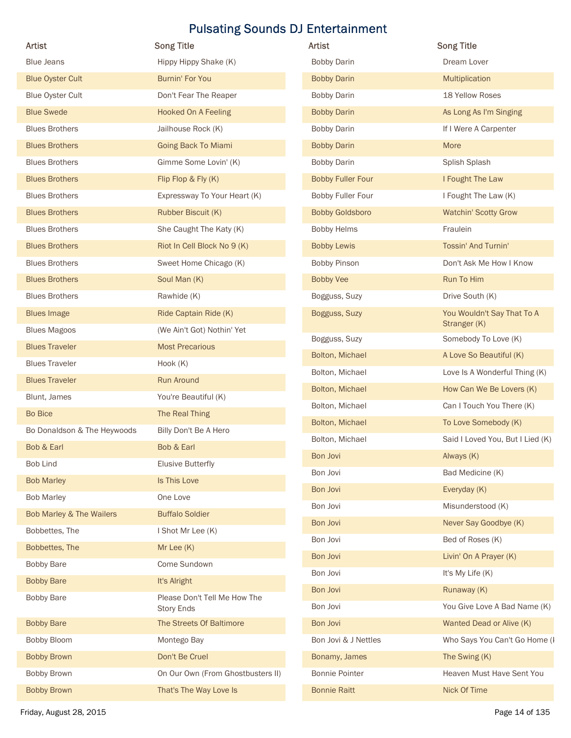| Artist                      | <b>Song Title</b>                          | Artist                   | <b>Song Title</b>                          |
|-----------------------------|--------------------------------------------|--------------------------|--------------------------------------------|
| <b>Blue Jeans</b>           | Hippy Hippy Shake (K)                      | <b>Bobby Darin</b>       | Dream Lover                                |
| <b>Blue Oyster Cult</b>     | Burnin' For You                            | <b>Bobby Darin</b>       | Multiplication                             |
| <b>Blue Oyster Cult</b>     | Don't Fear The Reaper                      | <b>Bobby Darin</b>       | 18 Yellow Roses                            |
| <b>Blue Swede</b>           | <b>Hooked On A Feeling</b>                 | <b>Bobby Darin</b>       | As Long As I'm Singing                     |
| <b>Blues Brothers</b>       | Jailhouse Rock (K)                         | <b>Bobby Darin</b>       | If I Were A Carpenter                      |
| <b>Blues Brothers</b>       | <b>Going Back To Miami</b>                 | <b>Bobby Darin</b>       | More                                       |
| <b>Blues Brothers</b>       | Gimme Some Lovin' (K)                      | <b>Bobby Darin</b>       | Splish Splash                              |
| <b>Blues Brothers</b>       | Flip Flop & Fly (K)                        | <b>Bobby Fuller Four</b> | I Fought The Law                           |
| <b>Blues Brothers</b>       | Expressway To Your Heart (K)               | Bobby Fuller Four        | I Fought The Law (K)                       |
| <b>Blues Brothers</b>       | Rubber Biscuit (K)                         | <b>Bobby Goldsboro</b>   | <b>Watchin' Scotty Grow</b>                |
| <b>Blues Brothers</b>       | She Caught The Katy (K)                    | <b>Bobby Helms</b>       | Fraulein                                   |
| <b>Blues Brothers</b>       | Riot In Cell Block No 9 (K)                | <b>Bobby Lewis</b>       | Tossin' And Turnin'                        |
| <b>Blues Brothers</b>       | Sweet Home Chicago (K)                     | Bobby Pinson             | Don't Ask Me How I Know                    |
| <b>Blues Brothers</b>       | Soul Man (K)                               | <b>Bobby Vee</b>         | Run To Him                                 |
| <b>Blues Brothers</b>       | Rawhide (K)                                | Bogguss, Suzy            | Drive South (K)                            |
| <b>Blues Image</b>          | Ride Captain Ride (K)                      | Bogguss, Suzy            | You Wouldn't Say That To A<br>Stranger (K) |
| <b>Blues Magoos</b>         | (We Ain't Got) Nothin' Yet                 | Bogguss, Suzy            | Somebody To Love (K)                       |
| <b>Blues Traveler</b>       | <b>Most Precarious</b>                     | Bolton, Michael          | A Love So Beautiful (K)                    |
| <b>Blues Traveler</b>       | Hook (K)                                   | Bolton, Michael          | Love Is A Wonderful Thing (K)              |
| <b>Blues Traveler</b>       | Run Around                                 | Bolton, Michael          | How Can We Be Lovers (K)                   |
| Blunt, James                | You're Beautiful (K)                       | Bolton, Michael          | Can I Touch You There (K)                  |
| Bo Bice                     | The Real Thing                             | Bolton, Michael          | To Love Somebody (K)                       |
| Bo Donaldson & The Heywoods | Billy Don't Be A Hero                      | Bolton, Michael          | Said I Loved You, But I Lied (K)           |
| Bob & Earl                  | Bob & Earl                                 | Bon Jovi                 | Always (K)                                 |
| Bob Lind                    | <b>Elusive Butterfly</b>                   | Bon Jovi                 | Bad Medicine (K)                           |
| <b>Bob Marley</b>           | Is This Love                               | Bon Jovi                 | Everyday (K)                               |
| <b>Bob Marley</b>           | One Love                                   | Bon Jovi                 | Misunderstood (K)                          |
| Bob Marley & The Wailers    | <b>Buffalo Soldier</b>                     | Bon Jovi                 | Never Say Goodbye (K)                      |
| Bobbettes, The              | I Shot Mr Lee (K)                          | Bon Jovi                 | Bed of Roses (K)                           |
| Bobbettes, The              | Mr Lee (K)                                 | Bon Jovi                 | Livin' On A Prayer (K)                     |
| <b>Bobby Bare</b>           | Come Sundown                               | Bon Jovi                 | It's My Life (K)                           |
| <b>Bobby Bare</b>           | It's Alright                               | Bon Jovi                 | Runaway (K)                                |
| <b>Bobby Bare</b>           | Please Don't Tell Me How The<br>Story Ends | Bon Jovi                 | You Give Love A Bad Name (K)               |
| <b>Bobby Bare</b>           | The Streets Of Baltimore                   | Bon Jovi                 | Wanted Dead or Alive (K)                   |
| Bobby Bloom                 | Montego Bay                                | Bon Jovi & J Nettles     | Who Says You Can't Go Home (I              |
| <b>Bobby Brown</b>          | Don't Be Cruel                             | Bonamy, James            | The Swing (K)                              |
| Bobby Brown                 | On Our Own (From Ghostbusters II)          | <b>Bonnie Pointer</b>    | Heaven Must Have Sent You                  |
|                             |                                            |                          | Nick Of Time                               |
| <b>Bobby Brown</b>          | That's The Way Love Is                     | <b>Bonnie Raitt</b>      |                                            |

| <b>Artist</b>            | <b>Song Title</b>                          |
|--------------------------|--------------------------------------------|
| <b>Bobby Darin</b>       | Dream Lover                                |
| <b>Bobby Darin</b>       | Multiplication                             |
| <b>Bobby Darin</b>       | 18 Yellow Roses                            |
| <b>Bobby Darin</b>       | As Long As I'm Singing                     |
| <b>Bobby Darin</b>       | If I Were A Carpenter                      |
| <b>Bobby Darin</b>       | More                                       |
| <b>Bobby Darin</b>       | Splish Splash                              |
| <b>Bobby Fuller Four</b> | I Fought The Law                           |
| Bobby Fuller Four        | I Fought The Law (K)                       |
| <b>Bobby Goldsboro</b>   | <b>Watchin' Scotty Grow</b>                |
| <b>Bobby Helms</b>       | Fraulein                                   |
| <b>Bobby Lewis</b>       | Tossin' And Turnin'                        |
| <b>Bobby Pinson</b>      | Don't Ask Me How I Know                    |
| <b>Bobby Vee</b>         | Run To Him                                 |
| Bogguss, Suzy            | Drive South (K)                            |
| Bogguss, Suzy            | You Wouldn't Say That To A<br>Stranger (K) |
| Bogguss, Suzy            | Somebody To Love (K)                       |
| Bolton, Michael          | A Love So Beautiful (K)                    |
| Bolton, Michael          | Love Is A Wonderful Thing (K)              |
| Bolton, Michael          | How Can We Be Lovers (K)                   |
| Bolton, Michael          | Can I Touch You There (K)                  |
| Bolton, Michael          | To Love Somebody (K)                       |
| Bolton, Michael          | Said I Loved You, But I Lied (K)           |
| Bon Jovi                 | Always (K)                                 |
| Bon Jovi                 | Bad Medicine (K)                           |
| Bon Jovi                 | Everyday (K)                               |
| Bon Jovi                 | Misunderstood (K)                          |
| Bon Jovi                 | Never Say Goodbye (K)                      |
| Bon Jovi                 | Bed of Roses (K)                           |
| Bon Jovi                 | Livin' On A Prayer (K)                     |
| Bon Jovi                 | It's My Life (K)                           |
| Bon Jovi                 | Runaway (K)                                |
| Bon Jovi                 | You Give Love A Bad Name (K)               |
| Bon Jovi                 | Wanted Dead or Alive (K)                   |
| Bon Jovi & J Nettles     | Who Says You Can't Go Home (I              |
| Bonamy, James            | The Swing (K)                              |
| Bonnie Pointer           | Heaven Must Have Sent You                  |
| <b>Bonnie Raitt</b>      | Nick Of Time                               |
|                          |                                            |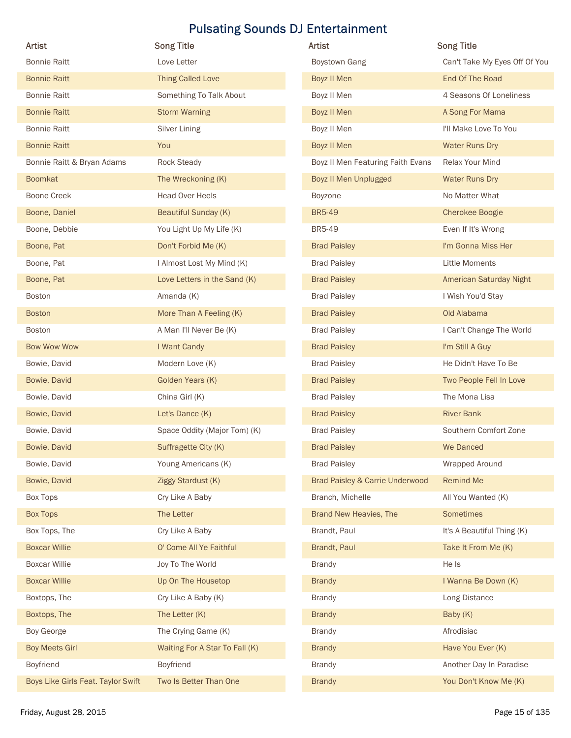| <b>Song Title</b><br>Love Letter<br><b>Thing Called Love</b><br>Something To Talk About | Artist<br>Boystown Gang                                                                                                                                                                                                                                                                            | <b>Song Title</b>                                                                                                                                                                                                                                 |
|-----------------------------------------------------------------------------------------|----------------------------------------------------------------------------------------------------------------------------------------------------------------------------------------------------------------------------------------------------------------------------------------------------|---------------------------------------------------------------------------------------------------------------------------------------------------------------------------------------------------------------------------------------------------|
|                                                                                         |                                                                                                                                                                                                                                                                                                    |                                                                                                                                                                                                                                                   |
|                                                                                         |                                                                                                                                                                                                                                                                                                    | Can't Take My Eyes Off Of You<br>End Of The Road                                                                                                                                                                                                  |
|                                                                                         | Boyz II Men                                                                                                                                                                                                                                                                                        |                                                                                                                                                                                                                                                   |
|                                                                                         | Boyz II Men                                                                                                                                                                                                                                                                                        | 4 Seasons Of Loneliness                                                                                                                                                                                                                           |
| <b>Storm Warning</b>                                                                    | Boyz II Men                                                                                                                                                                                                                                                                                        | A Song For Mama                                                                                                                                                                                                                                   |
| Silver Lining                                                                           | Boyz II Men                                                                                                                                                                                                                                                                                        | I'll Make Love To You                                                                                                                                                                                                                             |
| You                                                                                     | Boyz II Men                                                                                                                                                                                                                                                                                        | <b>Water Runs Dry</b>                                                                                                                                                                                                                             |
| Rock Steady                                                                             | Boyz II Men Featuring Faith Evans                                                                                                                                                                                                                                                                  | Relax Your Mind                                                                                                                                                                                                                                   |
|                                                                                         |                                                                                                                                                                                                                                                                                                    | <b>Water Runs Dry</b>                                                                                                                                                                                                                             |
|                                                                                         |                                                                                                                                                                                                                                                                                                    | No Matter What                                                                                                                                                                                                                                    |
|                                                                                         |                                                                                                                                                                                                                                                                                                    | <b>Cherokee Boogie</b>                                                                                                                                                                                                                            |
| You Light Up My Life (K)                                                                |                                                                                                                                                                                                                                                                                                    | Even If It's Wrong                                                                                                                                                                                                                                |
|                                                                                         |                                                                                                                                                                                                                                                                                                    | I'm Gonna Miss Her                                                                                                                                                                                                                                |
| I Almost Lost My Mind (K)                                                               | <b>Brad Paisley</b>                                                                                                                                                                                                                                                                                | Little Moments                                                                                                                                                                                                                                    |
| Love Letters in the Sand (K)                                                            | <b>Brad Paisley</b>                                                                                                                                                                                                                                                                                | American Saturday Night                                                                                                                                                                                                                           |
| Amanda (K)                                                                              | <b>Brad Paisley</b>                                                                                                                                                                                                                                                                                | I Wish You'd Stay                                                                                                                                                                                                                                 |
| More Than A Feeling (K)                                                                 | <b>Brad Paisley</b>                                                                                                                                                                                                                                                                                | Old Alabama                                                                                                                                                                                                                                       |
| A Man I'll Never Be (K)                                                                 | <b>Brad Paisley</b>                                                                                                                                                                                                                                                                                | I Can't Change The World                                                                                                                                                                                                                          |
| I Want Candy                                                                            | <b>Brad Paisley</b>                                                                                                                                                                                                                                                                                | I'm Still A Guy                                                                                                                                                                                                                                   |
| Modern Love (K)                                                                         | <b>Brad Paisley</b>                                                                                                                                                                                                                                                                                | He Didn't Have To Be                                                                                                                                                                                                                              |
| Golden Years (K)                                                                        | <b>Brad Paisley</b>                                                                                                                                                                                                                                                                                | Two People Fell In Love                                                                                                                                                                                                                           |
| China Girl (K)                                                                          | <b>Brad Paisley</b>                                                                                                                                                                                                                                                                                | The Mona Lisa                                                                                                                                                                                                                                     |
| Let's Dance (K)                                                                         | <b>Brad Paisley</b>                                                                                                                                                                                                                                                                                | <b>River Bank</b>                                                                                                                                                                                                                                 |
| Space Oddity (Major Tom) (K)                                                            | <b>Brad Paisley</b>                                                                                                                                                                                                                                                                                | Southern Comfort Zone                                                                                                                                                                                                                             |
| Suffragette City (K)                                                                    | <b>Brad Paisley</b>                                                                                                                                                                                                                                                                                | We Danced                                                                                                                                                                                                                                         |
| Young Americans (K)                                                                     | <b>Brad Paisley</b>                                                                                                                                                                                                                                                                                | Wrapped Around                                                                                                                                                                                                                                    |
| Ziggy Stardust (K)                                                                      | Brad Paisley & Carrie Underwood                                                                                                                                                                                                                                                                    | Remind Me                                                                                                                                                                                                                                         |
| Cry Like A Baby                                                                         | Branch, Michelle                                                                                                                                                                                                                                                                                   | All You Wanted (K)                                                                                                                                                                                                                                |
| The Letter                                                                              | Brand New Heavies, The                                                                                                                                                                                                                                                                             | Sometimes                                                                                                                                                                                                                                         |
| Cry Like A Baby                                                                         | Brandt, Paul                                                                                                                                                                                                                                                                                       | It's A Beautiful Thing (K)                                                                                                                                                                                                                        |
|                                                                                         |                                                                                                                                                                                                                                                                                                    | Take It From Me (K)                                                                                                                                                                                                                               |
|                                                                                         |                                                                                                                                                                                                                                                                                                    | He Is                                                                                                                                                                                                                                             |
|                                                                                         |                                                                                                                                                                                                                                                                                                    | I Wanna Be Down (K)                                                                                                                                                                                                                               |
|                                                                                         |                                                                                                                                                                                                                                                                                                    | Long Distance                                                                                                                                                                                                                                     |
|                                                                                         |                                                                                                                                                                                                                                                                                                    | Baby (K)                                                                                                                                                                                                                                          |
|                                                                                         |                                                                                                                                                                                                                                                                                                    | Afrodisiac                                                                                                                                                                                                                                        |
|                                                                                         |                                                                                                                                                                                                                                                                                                    | Have You Ever (K)                                                                                                                                                                                                                                 |
|                                                                                         |                                                                                                                                                                                                                                                                                                    |                                                                                                                                                                                                                                                   |
|                                                                                         |                                                                                                                                                                                                                                                                                                    | Another Day In Paradise<br>You Don't Know Me (K)                                                                                                                                                                                                  |
|                                                                                         | The Wreckoning (K)<br>Head Over Heels<br>Beautiful Sunday (K)<br>Don't Forbid Me (K)<br>O' Come All Ye Faithful<br>Joy To The World<br>Up On The Housetop<br>Cry Like A Baby (K)<br>The Letter (K)<br>The Crying Game (K)<br>Waiting For A Star To Fall (K)<br>Boyfriend<br>Two Is Better Than One | Boyz II Men Unplugged<br>Boyzone<br><b>BR5-49</b><br><b>BR5-49</b><br><b>Brad Paisley</b><br>Brandt, Paul<br><b>Brandy</b><br><b>Brandy</b><br><b>Brandy</b><br><b>Brandy</b><br><b>Brandy</b><br><b>Brandy</b><br><b>Brandy</b><br><b>Brandy</b> |

| <b>Artist</b>                     | <b>Song Title</b>             |
|-----------------------------------|-------------------------------|
| <b>Boystown Gang</b>              | Can't Take My Eyes Off Of You |
| Boyz II Men                       | End Of The Road               |
| Boyz II Men                       | 4 Seasons Of Loneliness       |
| Boyz II Men                       | A Song For Mama               |
| Boyz II Men                       | I'll Make Love To You         |
| Boyz II Men                       | <b>Water Runs Dry</b>         |
| Boyz II Men Featuring Faith Evans | Relax Your Mind               |
| Boyz II Men Unplugged             | <b>Water Runs Dry</b>         |
| Boyzone                           | No Matter What                |
| <b>BR5-49</b>                     | <b>Cherokee Boogie</b>        |
| <b>BR5-49</b>                     | Even If It's Wrong            |
| <b>Brad Paisley</b>               | I'm Gonna Miss Her            |
| <b>Brad Paisley</b>               | Little Moments                |
| <b>Brad Paisley</b>               | American Saturday Night       |
| <b>Brad Paisley</b>               | I Wish You'd Stay             |
| <b>Brad Paisley</b>               | Old Alabama                   |
| <b>Brad Paisley</b>               | I Can't Change The World      |
| <b>Brad Paisley</b>               | I'm Still A Guy               |
| <b>Brad Paisley</b>               | He Didn't Have To Be          |
| <b>Brad Paisley</b>               | Two People Fell In Love       |
| <b>Brad Paisley</b>               | The Mona Lisa                 |
| <b>Brad Paisley</b>               | <b>River Bank</b>             |
| <b>Brad Paisley</b>               | Southern Comfort Zone         |
| <b>Brad Paisley</b>               | We Danced                     |
| <b>Brad Paisley</b>               | Wrapped Around                |
| Brad Paisley & Carrie Underwood   | <b>Remind Me</b>              |
| Branch, Michelle                  | All You Wanted (K)            |
| Brand New Heavies, The            | <b>Sometimes</b>              |
| Brandt, Paul                      | It's A Beautiful Thing (K)    |
| Brandt, Paul                      | Take It From Me (K)           |
| <b>Brandy</b>                     | He Is                         |
| <b>Brandy</b>                     | I Wanna Be Down (K)           |
| <b>Brandy</b>                     | Long Distance                 |
| <b>Brandy</b>                     | Baby (K)                      |
| <b>Brandy</b>                     | Afrodisiac                    |
| <b>Brandy</b>                     | Have You Ever (K)             |
| <b>Brandy</b>                     | Another Day In Paradise       |
| <b>Brandy</b>                     | You Don't Know Me (K)         |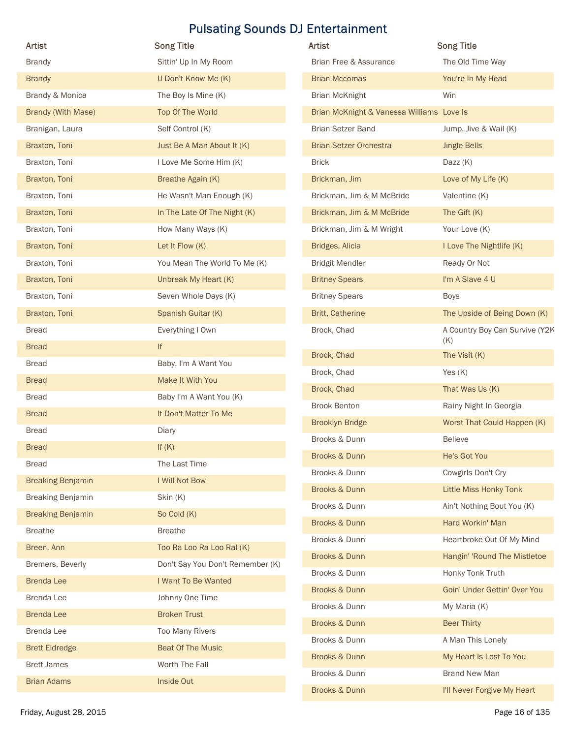|                           |                                  | <b>Pulsating Sounds DJ Entertainment</b>  |                                |
|---------------------------|----------------------------------|-------------------------------------------|--------------------------------|
| Artist                    | <b>Song Title</b>                | Artist                                    | <b>Song Title</b>              |
| <b>Brandy</b>             | Sittin' Up In My Room            | Brian Free & Assurance                    | The Old Time Way               |
| <b>Brandy</b>             | U Don't Know Me (K)              | <b>Brian Mccomas</b>                      | You're In My Head              |
| Brandy & Monica           | The Boy Is Mine (K)              | <b>Brian McKnight</b>                     | Win                            |
| <b>Brandy (With Mase)</b> | Top Of The World                 | Brian McKnight & Vanessa Williams Love Is |                                |
| Branigan, Laura           | Self Control (K)                 | Brian Setzer Band                         | Jump, Jive & Wail (K)          |
| Braxton, Toni             | Just Be A Man About It (K)       | <b>Brian Setzer Orchestra</b>             | <b>Jingle Bells</b>            |
| Braxton, Toni             | I Love Me Some Him (K)           | <b>Brick</b>                              | Dazz (K)                       |
| Braxton, Toni             | Breathe Again (K)                | Brickman, Jim                             | Love of My Life (K)            |
| Braxton, Toni             | He Wasn't Man Enough (K)         | Brickman, Jim & M McBride                 | Valentine (K)                  |
| Braxton, Toni             | In The Late Of The Night (K)     | Brickman, Jim & M McBride                 | The Gift (K)                   |
| Braxton, Toni             | How Many Ways (K)                | Brickman, Jim & M Wright                  | Your Love (K)                  |
| Braxton, Toni             | Let It Flow (K)                  | Bridges, Alicia                           | I Love The Nightlife (K)       |
| Braxton, Toni             | You Mean The World To Me (K)     | <b>Bridgit Mendler</b>                    | Ready Or Not                   |
| Braxton, Toni             | Unbreak My Heart (K)             | <b>Britney Spears</b>                     | I'm A Slave 4 U                |
| Braxton, Toni             | Seven Whole Days (K)             | <b>Britney Spears</b>                     | <b>Boys</b>                    |
| Braxton, Toni             | Spanish Guitar (K)               | <b>Britt, Catherine</b>                   | The Upside of Being Down (K)   |
| <b>Bread</b>              | Everything I Own                 | Brock, Chad                               | A Country Boy Can Survive (Y2K |
| <b>Bread</b>              | If                               | Brock, Chad                               | (K)<br>The Visit (K)           |
| <b>Bread</b>              | Baby, I'm A Want You             | Brock, Chad                               |                                |
| <b>Bread</b>              | Make It With You                 |                                           | Yes (K)                        |
| <b>Bread</b>              | Baby I'm A Want You (K)          | Brock, Chad                               | That Was Us (K)                |
| <b>Bread</b>              | It Don't Matter To Me            | <b>Brook Benton</b>                       | Rainy Night In Georgia         |
| <b>Bread</b>              | Diary                            | <b>Brooklyn Bridge</b>                    | Worst That Could Happen (K)    |
| <b>Bread</b>              | If $(K)$                         | Brooks & Dunn                             | <b>Believe</b>                 |
| <b>Bread</b>              | The Last Time                    | Brooks & Dunn                             | He's Got You                   |
| <b>Breaking Benjamin</b>  | I Will Not Bow                   | Brooks & Dunn                             | Cowgirls Don't Cry             |
| <b>Breaking Benjamin</b>  | Skin (K)                         | Brooks & Dunn                             | Little Miss Honky Tonk         |
| <b>Breaking Benjamin</b>  | So Cold (K)                      | Brooks & Dunn                             | Ain't Nothing Bout You (K)     |
| <b>Breathe</b>            | <b>Breathe</b>                   | Brooks & Dunn                             | Hard Workin' Man               |
| Breen, Ann                | Too Ra Loo Ra Loo Ral (K)        | Brooks & Dunn                             | Heartbroke Out Of My Mind      |
| Bremers, Beverly          | Don't Say You Don't Remember (K) | Brooks & Dunn                             | Hangin' 'Round The Mistletoe   |
| <b>Brenda Lee</b>         | I Want To Be Wanted              | Brooks & Dunn                             | Honky Tonk Truth               |
| Brenda Lee                | Johnny One Time                  | Brooks & Dunn                             | Goin' Under Gettin' Over You   |
| <b>Brenda Lee</b>         | <b>Broken Trust</b>              | Brooks & Dunn                             | My Maria (K)                   |
| Brenda Lee                | Too Many Rivers                  | Brooks & Dunn                             | <b>Beer Thirty</b>             |
| <b>Brett Eldredge</b>     | <b>Beat Of The Music</b>         | Brooks & Dunn                             | A Man This Lonely              |
|                           | Worth The Fall                   | Brooks & Dunn                             | My Heart Is Lost To You        |
| <b>Brett James</b>        |                                  | Brooks & Dunn                             | <b>Brand New Man</b>           |
| <b>Brian Adams</b>        | Inside Out                       | Brooks & Dunn                             | I'll Never Forgive My Heart    |
|                           |                                  |                                           |                                |

| Artist                                    | <b>Song Title</b>                     |
|-------------------------------------------|---------------------------------------|
| Brian Free & Assurance                    | The Old Time Way                      |
| <b>Brian Mccomas</b>                      | You're In My Head                     |
| <b>Brian McKnight</b>                     | Win                                   |
| Brian McKnight & Vanessa Williams Love Is |                                       |
| <b>Brian Setzer Band</b>                  | Jump, Jive & Wail (K)                 |
| <b>Brian Setzer Orchestra</b>             | <b>Jingle Bells</b>                   |
| Brick                                     | Dazz $(K)$                            |
| Brickman, Jim                             | Love of My Life (K)                   |
| Brickman, Jim & M McBride                 | Valentine (K)                         |
| Brickman, Jim & M McBride                 | The $\text{Gift}$ (K)                 |
| Brickman, Jim & M Wright                  | Your Love (K)                         |
| Bridges, Alicia                           | I Love The Nightlife (K)              |
| <b>Bridgit Mendler</b>                    | Ready Or Not                          |
| <b>Britney Spears</b>                     | I'm A Slave 4 U                       |
| <b>Britney Spears</b>                     | <b>Boys</b>                           |
| <b>Britt, Catherine</b>                   | The Upside of Being Down (K)          |
| Brock, Chad                               | A Country Boy Can Survive (Y2K<br>(K) |
| Brock, Chad                               | The Visit (K)                         |
| Brock, Chad                               | Yes $(K)$                             |
| Brock, Chad                               | That Was Us (K)                       |
| Brook Benton                              | Rainy Night In Georgia                |
| <b>Brooklyn Bridge</b>                    | Worst That Could Happen (K)           |
| Brooks & Dunn                             | <b>Believe</b>                        |
| <b>Brooks &amp; Dunn</b>                  | He's Got You                          |
| Brooks & Dunn                             | Cowgirls Don't Cry                    |
| Brooks & Dunn                             | Little Miss Honky Tonk                |
| Brooks & Dunn                             | Ain't Nothing Bout You (K)            |
| Brooks & Dunn                             | Hard Workin' Man                      |
| Brooks & Dunn                             | Heartbroke Out Of My Mind             |
| Brooks & Dunn                             | Hangin' 'Round The Mistletoe          |
| Brooks & Dunn                             | Honky Tonk Truth                      |
| <b>Brooks &amp; Dunn</b>                  | Goin' Under Gettin' Over You          |
| Brooks & Dunn                             | My Maria (K)                          |
| Brooks & Dunn                             | <b>Beer Thirty</b>                    |
| Brooks & Dunn                             | A Man This Lonely                     |
| <b>Brooks &amp; Dunn</b>                  | My Heart Is Lost To You               |
| Brooks & Dunn                             | <b>Brand New Man</b>                  |
| Brooks & Dunn                             | I'll Never Forgive My Heart           |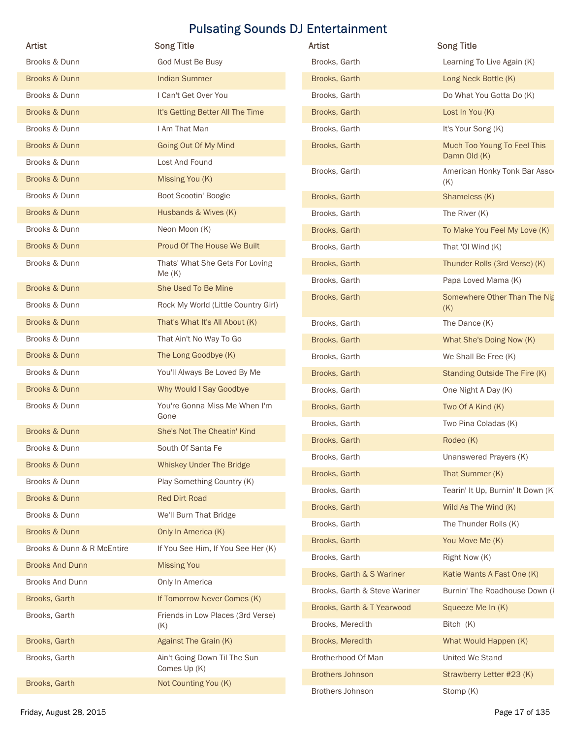| Artist                     | <b>Song Title</b>                            | Artist                        | <b>Song Title</b>                   |
|----------------------------|----------------------------------------------|-------------------------------|-------------------------------------|
| Brooks & Dunn              | God Must Be Busy                             | Brooks, Garth                 | Learning To Live Again (K)          |
| Brooks & Dunn              | <b>Indian Summer</b>                         | Brooks, Garth                 | Long Neck Bottle (K)                |
| Brooks & Dunn              | I Can't Get Over You                         | Brooks, Garth                 | Do What You Gotta Do (K)            |
| Brooks & Dunn              | It's Getting Better All The Time             | Brooks, Garth                 | Lost In You (K)                     |
| Brooks & Dunn              | I Am That Man                                | Brooks, Garth                 | It's Your Song (K)                  |
| <b>Brooks &amp; Dunn</b>   | Going Out Of My Mind                         | Brooks, Garth                 | Much Too Young To Feel This         |
| Brooks & Dunn              | Lost And Found                               |                               | Damn Old (K)                        |
| Brooks & Dunn              | Missing You (K)                              | Brooks, Garth                 | American Honky Tonk Bar Asso<br>(K) |
| Brooks & Dunn              | Boot Scootin' Boogie                         | Brooks, Garth                 | Shameless (K)                       |
| <b>Brooks &amp; Dunn</b>   | Husbands & Wives (K)                         | Brooks, Garth                 | The River (K)                       |
| Brooks & Dunn              | Neon Moon (K)                                | Brooks, Garth                 | To Make You Feel My Love (K)        |
| <b>Brooks &amp; Dunn</b>   | Proud Of The House We Built                  | Brooks, Garth                 | That 'OI Wind (K)                   |
| Brooks & Dunn              | Thats' What She Gets For Loving              | Brooks, Garth                 | Thunder Rolls (3rd Verse) (K)       |
| Brooks & Dunn              | Me(K)<br>She Used To Be Mine                 | Brooks, Garth                 | Papa Loved Mama (K)                 |
| Brooks & Dunn              |                                              | Brooks, Garth                 | Somewhere Other Than The Nig        |
|                            | Rock My World (Little Country Girl)          |                               | (K)                                 |
| Brooks & Dunn              | That's What It's All About (K)               | Brooks, Garth                 | The Dance (K)                       |
| Brooks & Dunn              | That Ain't No Way To Go                      | Brooks, Garth                 | What She's Doing Now (K)            |
| Brooks & Dunn              | The Long Goodbye (K)                         | Brooks, Garth                 | We Shall Be Free (K)                |
| Brooks & Dunn              | You'll Always Be Loved By Me                 | Brooks, Garth                 | Standing Outside The Fire (K)       |
| Brooks & Dunn              | Why Would I Say Goodbye                      | Brooks, Garth                 | One Night A Day (K)                 |
| Brooks & Dunn              | You're Gonna Miss Me When I'm<br>Gone        | Brooks, Garth                 | Two Of A Kind (K)                   |
| <b>Brooks &amp; Dunn</b>   | She's Not The Cheatin' Kind                  | Brooks, Garth                 | Two Pina Coladas (K)                |
| Brooks & Dunn              | South Of Santa Fe                            | Brooks, Garth                 | Rodeo (K)                           |
| <b>Brooks &amp; Dunn</b>   | <b>Whiskey Under The Bridge</b>              | Brooks, Garth                 | Unanswered Prayers (K)              |
| Brooks & Dunn              | Play Something Country (K)                   | Brooks, Garth                 | That Summer (K)                     |
| Brooks & Dunn              | <b>Red Dirt Road</b>                         | Brooks, Garth                 | Tearin' It Up, Burnin' It Down (K)  |
| Brooks & Dunn              | We'll Burn That Bridge                       | Brooks, Garth                 | Wild As The Wind (K)                |
| Brooks & Dunn              | Only In America (K)                          | Brooks, Garth                 | The Thunder Rolls (K)               |
| Brooks & Dunn & R McEntire | If You See Him, If You See Her (K)           | Brooks, Garth                 | You Move Me (K)                     |
| <b>Brooks And Dunn</b>     | <b>Missing You</b>                           | Brooks, Garth                 | Right Now (K)                       |
| <b>Brooks And Dunn</b>     | Only In America                              | Brooks, Garth & S Wariner     | Katie Wants A Fast One (K)          |
| Brooks, Garth              | If Tomorrow Never Comes (K)                  | Brooks, Garth & Steve Wariner | Burnin' The Roadhouse Down (I       |
| Brooks, Garth              | Friends in Low Places (3rd Verse)            | Brooks, Garth & T Yearwood    | Squeeze Me In (K)                   |
|                            | (K)                                          | Brooks, Meredith              | Bitch (K)                           |
| Brooks, Garth              | <b>Against The Grain (K)</b>                 | Brooks, Meredith              | What Would Happen (K)               |
| Brooks, Garth              | Ain't Going Down Til The Sun<br>Comes Up (K) | Brotherhood Of Man            | United We Stand                     |
| Brooks, Garth              | Not Counting You (K)                         | <b>Brothers Johnson</b>       | Strawberry Letter #23 (K)           |
|                            |                                              | Brothers Johnson              | Stomp (K)                           |
| Friday, August 28, 2015    |                                              |                               | Page 17 of 135                      |

| <b>Artist</b>              | <b>Song Title</b>                        | Artist                         | <b>Song Title</b>                    |
|----------------------------|------------------------------------------|--------------------------------|--------------------------------------|
| Brooks & Dunn              | God Must Be Busy                         | Brooks, Garth                  | Learning To Live Again (K)           |
| <b>Brooks &amp; Dunn</b>   | <b>Indian Summer</b>                     | Brooks, Garth                  | Long Neck Bottle (K)                 |
| Brooks & Dunn              | I Can't Get Over You                     | Brooks, Garth                  | Do What You Gotta Do (K)             |
| <b>Brooks &amp; Dunn</b>   | It's Getting Better All The Time         | Brooks, Garth                  | Lost In You (K)                      |
| Brooks & Dunn              | I Am That Man                            | Brooks, Garth                  | It's Your Song (K)                   |
| <b>Brooks &amp; Dunn</b>   | Going Out Of My Mind                     | Brooks, Garth                  | Much Too Young To Feel This          |
| Brooks & Dunn              | Lost And Found                           |                                | Damn Old (K)                         |
| <b>Brooks &amp; Dunn</b>   | Missing You (K)                          | Brooks, Garth                  | American Honky Tonk Bar Asso<br>(K)  |
| Brooks & Dunn              | Boot Scootin' Boogie                     | Brooks, Garth                  | Shameless (K)                        |
| <b>Brooks &amp; Dunn</b>   | Husbands & Wives (K)                     | Brooks, Garth                  | The River (K)                        |
| Brooks & Dunn              | Neon Moon (K)                            | Brooks, Garth                  | To Make You Feel My Love (K)         |
| <b>Brooks &amp; Dunn</b>   | Proud Of The House We Built              | Brooks, Garth                  | That 'OI Wind (K)                    |
| Brooks & Dunn              | Thats' What She Gets For Loving          | Brooks, Garth                  | Thunder Rolls (3rd Verse) (K)        |
|                            | Me(K)                                    | Brooks, Garth                  | Papa Loved Mama (K)                  |
| <b>Brooks &amp; Dunn</b>   | She Used To Be Mine                      | Brooks, Garth                  | Somewhere Other Than The Nig         |
| Brooks & Dunn              | Rock My World (Little Country Girl)      |                                | (K)                                  |
| <b>Brooks &amp; Dunn</b>   | That's What It's All About (K)           | Brooks, Garth                  | The Dance (K)                        |
| Brooks & Dunn              | That Ain't No Way To Go                  | Brooks, Garth                  | What She's Doing Now (K)             |
| <b>Brooks &amp; Dunn</b>   | The Long Goodbye (K)                     | Brooks, Garth                  | We Shall Be Free (K)                 |
| Brooks & Dunn              | You'll Always Be Loved By Me             | Brooks, Garth                  | <b>Standing Outside The Fire (K)</b> |
| <b>Brooks &amp; Dunn</b>   | Why Would I Say Goodbye                  | Brooks, Garth                  | One Night A Day (K)                  |
| Brooks & Dunn              | You're Gonna Miss Me When I'm<br>Gone    | Brooks, Garth                  | Two Of A Kind (K)                    |
| <b>Brooks &amp; Dunn</b>   | She's Not The Cheatin' Kind              | Brooks, Garth                  | Two Pina Coladas (K)                 |
| Brooks & Dunn              | South Of Santa Fe                        | Brooks, Garth                  | Rodeo (K)                            |
| <b>Brooks &amp; Dunn</b>   | Whiskey Under The Bridge                 | Brooks, Garth                  | Unanswered Prayers (K)               |
| Brooks & Dunn              | Play Something Country (K)               | Brooks, Garth                  | That Summer (K)                      |
| <b>Brooks &amp; Dunn</b>   | <b>Red Dirt Road</b>                     | Brooks, Garth                  | Tearin' It Up, Burnin' It Down (K)   |
| Brooks & Dunn              | We'll Burn That Bridge                   | Brooks, Garth                  | Wild As The Wind (K)                 |
| <b>Brooks &amp; Dunn</b>   | Only In America (K)                      | Brooks, Garth                  | The Thunder Rolls (K)                |
| Brooks & Dunn & R McEntire | If You See Him, If You See Her (K)       | Brooks, Garth<br>Brooks, Garth | You Move Me (K)<br>Right Now (K)     |
| <b>Brooks And Dunn</b>     | <b>Missing You</b>                       | Brooks, Garth & S Wariner      | Katie Wants A Fast One (K)           |
| Brooks And Dunn            | Only In America                          | Brooks, Garth & Steve Wariner  | Burnin' The Roadhouse Down (I        |
| Brooks, Garth              | If Tomorrow Never Comes (K)              | Brooks, Garth & T Yearwood     | Squeeze Me In (K)                    |
| Brooks, Garth              | Friends in Low Places (3rd Verse)<br>(K) | Brooks, Meredith               | Bitch (K)                            |
| Brooks, Garth              | Against The Grain (K)                    | Brooks, Meredith               | What Would Happen (K)                |
| Brooks, Garth              | Ain't Going Down Til The Sun             | Brotherhood Of Man             | United We Stand                      |
|                            | Comes Up (K)                             | <b>Brothers Johnson</b>        | Strawberry Letter #23 (K)            |
| Brooks, Garth              | Not Counting You (K)                     | Brothers Johnson               | Stomp (K)                            |
|                            |                                          |                                |                                      |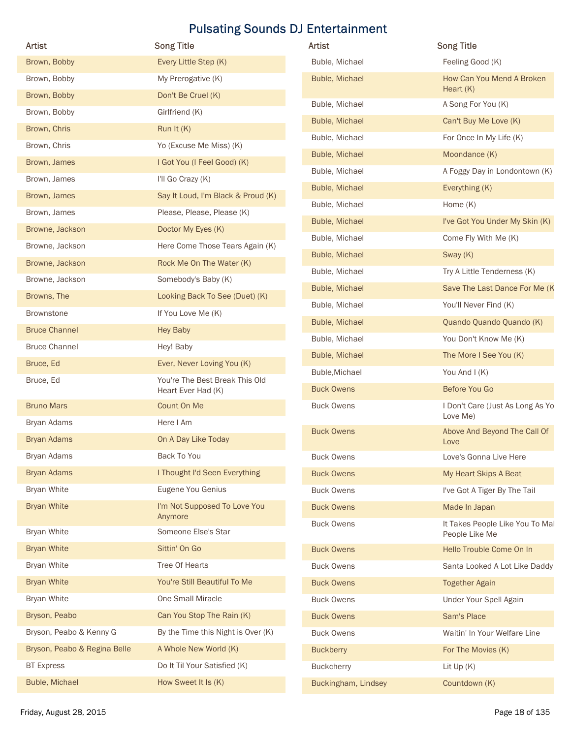| <b>Artist</b>                | <b>Song Title</b>                       | Artist              | <b>Song Title</b>                                 |
|------------------------------|-----------------------------------------|---------------------|---------------------------------------------------|
|                              |                                         |                     |                                                   |
| Brown, Bobby                 | Every Little Step (K)                   | Buble, Michael      | Feeling Good (K)                                  |
| Brown, Bobby                 | My Prerogative (K)                      | Buble, Michael      | How Can You Mend A Broken<br>Heart $(K)$          |
| Brown, Bobby                 | Don't Be Cruel (K)                      | Buble, Michael      | A Song For You (K)                                |
| Brown, Bobby                 | Girlfriend (K)                          | Buble, Michael      | Can't Buy Me Love (K)                             |
| Brown, Chris                 | Run It (K)                              | Buble, Michael      | For Once In My Life (K)                           |
| Brown, Chris                 | Yo (Excuse Me Miss) (K)                 | Buble, Michael      | Moondance (K)                                     |
| Brown, James                 | I Got You (I Feel Good) (K)             | Buble, Michael      | A Foggy Day in Londontown (K)                     |
| Brown, James                 | I'll Go Crazy (K)                       | Buble, Michael      | Everything (K)                                    |
| Brown, James                 | Say It Loud, I'm Black & Proud (K)      | Buble, Michael      | Home (K)                                          |
| Brown, James                 | Please, Please, Please (K)              | Buble, Michael      | I've Got You Under My Skin (K)                    |
| Browne, Jackson              | Doctor My Eyes (K)                      | Buble, Michael      | Come Fly With Me (K)                              |
| Browne, Jackson              | Here Come Those Tears Again (K)         | Buble, Michael      | Sway (K)                                          |
| Browne, Jackson              | Rock Me On The Water (K)                | Buble, Michael      | Try A Little Tenderness (K)                       |
| Browne, Jackson              | Somebody's Baby (K)                     | Buble, Michael      | Save The Last Dance For Me (K                     |
| Browns, The                  | Looking Back To See (Duet) (K)          | Buble, Michael      | You'll Never Find (K)                             |
| Brownstone                   | If You Love Me (K)                      | Buble, Michael      | Quando Quando Quando (K)                          |
| <b>Bruce Channel</b>         | <b>Hey Baby</b>                         | Buble, Michael      | You Don't Know Me (K)                             |
| <b>Bruce Channel</b>         | Hey! Baby                               | Buble, Michael      | The More I See You (K)                            |
| Bruce, Ed                    | Ever, Never Loving You (K)              | Buble, Michael      | You And I (K)                                     |
| Bruce, Ed                    | You're The Best Break This Old          | <b>Buck Owens</b>   | Before You Go                                     |
|                              | Heart Ever Had (K)<br>Count On Me       | <b>Buck Owens</b>   | I Don't Care (Just As Long As Yo                  |
| <b>Bruno Mars</b>            | Here I Am                               |                     | Love Me)                                          |
| Bryan Adams                  |                                         | <b>Buck Owens</b>   | Above And Beyond The Call Of                      |
| <b>Bryan Adams</b>           | On A Day Like Today                     |                     | Love                                              |
| Bryan Adams                  | Back To You                             | <b>Buck Owens</b>   | Love's Gonna Live Here                            |
| <b>Bryan Adams</b>           | I Thought I'd Seen Everything           | <b>Buck Owens</b>   | My Heart Skips A Beat                             |
| <b>Bryan White</b>           | Eugene You Genius                       | <b>Buck Owens</b>   | I've Got A Tiger By The Tail                      |
| <b>Bryan White</b>           | I'm Not Supposed To Love You<br>Anymore | <b>Buck Owens</b>   | Made In Japan                                     |
| <b>Bryan White</b>           | Someone Else's Star                     | <b>Buck Owens</b>   | It Takes People Like You To Mal<br>People Like Me |
| <b>Bryan White</b>           | Sittin' On Go                           | <b>Buck Owens</b>   | Hello Trouble Come On In                          |
| <b>Bryan White</b>           | Tree Of Hearts                          | <b>Buck Owens</b>   | Santa Looked A Lot Like Daddy                     |
| <b>Bryan White</b>           | You're Still Beautiful To Me            | <b>Buck Owens</b>   | <b>Together Again</b>                             |
| <b>Bryan White</b>           | One Small Miracle                       | <b>Buck Owens</b>   | Under Your Spell Again                            |
| Bryson, Peabo                | Can You Stop The Rain (K)               | <b>Buck Owens</b>   | Sam's Place                                       |
| Bryson, Peabo & Kenny G      | By the Time this Night is Over (K)      | <b>Buck Owens</b>   | Waitin' In Your Welfare Line                      |
| Bryson, Peabo & Regina Belle | A Whole New World (K)                   | <b>Buckberry</b>    | For The Movies (K)                                |
| <b>BT Express</b>            | Do It Til Your Satisfied (K)            |                     |                                                   |
|                              |                                         | Buckcherry          | Lit Up (K)                                        |
| Buble, Michael               | How Sweet It Is (K)                     | Buckingham, Lindsey | Countdown (K)                                     |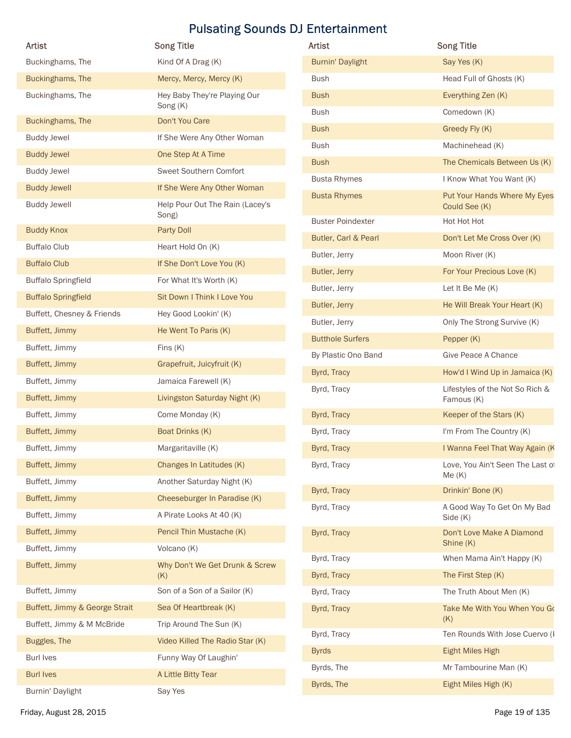| Artist                         | <b>Song Title</b>                        | Artist                   | <b>Song Title</b>                             |
|--------------------------------|------------------------------------------|--------------------------|-----------------------------------------------|
| Buckinghams, The               | Kind Of A Drag (K)                       | <b>Burnin' Daylight</b>  | Say Yes (K)                                   |
| Buckinghams, The               | Mercy, Mercy, Mercy (K)                  | <b>Bush</b>              | Head Full of Ghosts (K)                       |
| Buckinghams, The               | Hey Baby They're Playing Our             | <b>Bush</b>              | Everything Zen (K)                            |
|                                | Song (K)                                 | <b>Bush</b>              | Comedown (K)                                  |
| Buckinghams, The               | Don't You Care                           | <b>Bush</b>              | Greedy Fly (K)                                |
| <b>Buddy Jewel</b>             | If She Were Any Other Woman              | <b>Bush</b>              | Machinehead (K)                               |
| <b>Buddy Jewel</b>             | One Step At A Time                       | <b>Bush</b>              | The Chemicals Between Us (K)                  |
| <b>Buddy Jewel</b>             | Sweet Southern Comfort                   | <b>Busta Rhymes</b>      | I Know What You Want (K)                      |
| <b>Buddy Jewell</b>            | If She Were Any Other Woman              | <b>Busta Rhymes</b>      | Put Your Hands Where My Eyes                  |
| <b>Buddy Jewell</b>            | Help Pour Out The Rain (Lacey's<br>Song) |                          | Could See (K)                                 |
| <b>Buddy Knox</b>              | Party Doll                               | <b>Buster Poindexter</b> | Hot Hot Hot                                   |
| <b>Buffalo Club</b>            | Heart Hold On (K)                        | Butler, Carl & Pearl     | Don't Let Me Cross Over (K)                   |
| <b>Buffalo Club</b>            | If She Don't Love You (K)                | Butler, Jerry            | Moon River (K)                                |
| <b>Buffalo Springfield</b>     | For What It's Worth (K)                  | Butler, Jerry            | For Your Precious Love (K)                    |
| <b>Buffalo Springfield</b>     | Sit Down I Think I Love You              | Butler, Jerry            | Let It Be Me (K)                              |
| Buffett, Chesney & Friends     | Hey Good Lookin' (K)                     | Butler, Jerry            | He Will Break Your Heart (K)                  |
| Buffett, Jimmy                 | He Went To Paris (K)                     | Butler, Jerry            | Only The Strong Survive (K)                   |
| Buffett, Jimmy                 | Fins $(K)$                               | <b>Butthole Surfers</b>  | Pepper (K)                                    |
| Buffett, Jimmy                 | Grapefruit, Juicyfruit (K)               | By Plastic Ono Band      | Give Peace A Chance                           |
| Buffett, Jimmy                 | Jamaica Farewell (K)                     | Byrd, Tracy              | How'd I Wind Up in Jamaica (K)                |
| Buffett, Jimmy                 | Livingston Saturday Night (K)            | Byrd, Tracy              | Lifestyles of the Not So Rich &<br>Famous (K) |
| Buffett, Jimmy                 | Come Monday (K)                          | Byrd, Tracy              | Keeper of the Stars (K)                       |
| Buffett, Jimmy                 | Boat Drinks (K)                          | Byrd, Tracy              | I'm From The Country (K)                      |
| Buffett, Jimmy                 | Margaritaville (K)                       | Byrd, Tracy              | I Wanna Feel That Way Again (K                |
| Buffett, Jimmy                 | Changes In Latitudes (K)                 | Byrd, Tracy              | Love, You Ain't Seen The Last of              |
| Buffett, Jimmy                 | Another Saturday Night (K)               |                          | Me(K)                                         |
| Buffett, Jimmy                 | Cheeseburger In Paradise (K)             | Byrd, Tracy              | Drinkin' Bone (K)                             |
| Buffett, Jimmy                 | A Pirate Looks At 40 (K)                 | Byrd, Tracy              | A Good Way To Get On My Bad                   |
| Buffett, Jimmy                 | Pencil Thin Mustache (K)                 | Byrd, Tracy              | Side (K)<br>Don't Love Make A Diamond         |
| Buffett, Jimmy                 | Volcano (K)                              |                          | Shine (K)                                     |
| Buffett, Jimmy                 | Why Don't We Get Drunk & Screw           | Byrd, Tracy              | When Mama Ain't Happy (K)                     |
|                                | (K)                                      | Byrd, Tracy              | The First Step (K)                            |
| Buffett, Jimmy                 | Son of a Son of a Sailor (K)             | Byrd, Tracy              | The Truth About Men (K)                       |
| Buffett, Jimmy & George Strait | Sea Of Heartbreak (K)                    | Byrd, Tracy              | Take Me With You When You Go                  |
| Buffett, Jimmy & M McBride     | Trip Around The Sun (K)                  |                          | (K)                                           |
| Buggles, The                   | Video Killed The Radio Star (K)          | Byrd, Tracy              | Ten Rounds With Jose Cuervo (I                |
| <b>Burl Ives</b>               | Funny Way Of Laughin'                    | <b>Byrds</b>             | Eight Miles High                              |
| <b>Burl Ives</b>               | A Little Bitty Tear                      | Byrds, The               | Mr Tambourine Man (K)                         |
|                                | Say Yes                                  | Byrds, The               | Eight Miles High (K)                          |

| Artist                   | <b>Song Title</b>                             |
|--------------------------|-----------------------------------------------|
| <b>Burnin' Daylight</b>  | Say Yes (K)                                   |
| <b>Bush</b>              | Head Full of Ghosts (K)                       |
| <b>Bush</b>              | Everything Zen (K)                            |
| <b>Bush</b>              | Comedown (K)                                  |
| <b>Bush</b>              | Greedy Fly (K)                                |
| <b>Bush</b>              | Machinehead (K)                               |
| <b>Bush</b>              | The Chemicals Between Us (K)                  |
| <b>Busta Rhymes</b>      | I Know What You Want (K)                      |
| <b>Busta Rhymes</b>      | Put Your Hands Where My Eyes<br>Could See (K) |
| <b>Buster Poindexter</b> | Hot Hot Hot                                   |
| Butler, Carl & Pearl     | Don't Let Me Cross Over (K)                   |
| Butler, Jerry            | Moon River (K)                                |
| Butler, Jerry            | For Your Precious Love (K)                    |
| Butler, Jerry            | Let It Be Me (K)                              |
| Butler, Jerry            | He Will Break Your Heart (K)                  |
| Butler, Jerry            | Only The Strong Survive (K)                   |
| <b>Butthole Surfers</b>  | Pepper (K)                                    |
| By Plastic Ono Band      | Give Peace A Chance                           |
| Byrd, Tracy              | How'd I Wind Up in Jamaica (K)                |
| Byrd, Tracy              | Lifestyles of the Not So Rich &<br>Famous (K) |
| Byrd, Tracy              | Keeper of the Stars (K)                       |
| Byrd, Tracy              | I'm From The Country (K)                      |
| Byrd, Tracy              | I Wanna Feel That Way Again (K                |
| Byrd, Tracy              | Love, You Ain't Seen The Last of<br>Me(K)     |
| Byrd, Tracy              | Drinkin' Bone (K)                             |
| Byrd, Tracy              | A Good Way To Get On My Bad<br>Side (K)       |
| Byrd, Tracy              | Don't Love Make A Diamond<br>Shine (K)        |
| Byrd, Tracy              | When Mama Ain't Happy (K)                     |
| Byrd, Tracy              | The First Step (K)                            |
| Byrd, Tracy              | The Truth About Men (K)                       |
| Byrd, Tracy              | Take Me With You When You Go<br>(K)           |
| Byrd, Tracy              | Ten Rounds With Jose Cuervo (I                |
| <b>Byrds</b>             | <b>Eight Miles High</b>                       |
| Byrds, The               | Mr Tambourine Man (K)                         |
| Byrds, The               | Eight Miles High (K)                          |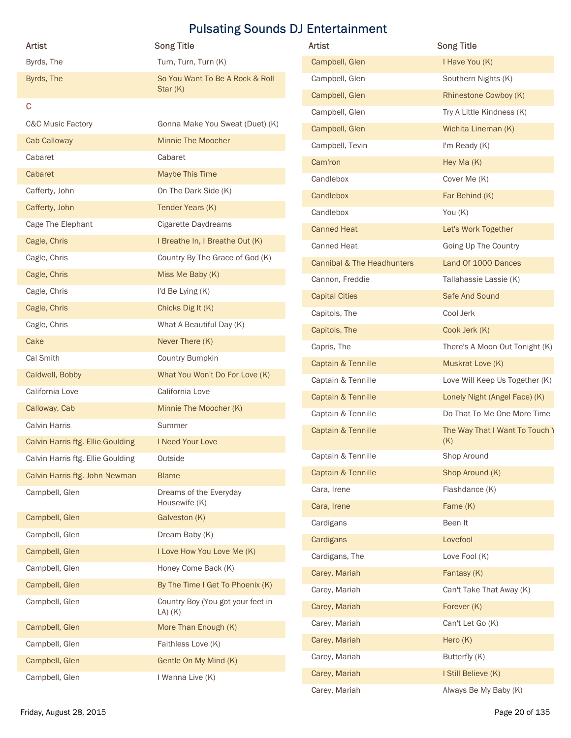|                                              | <b>Pulsating Sounds DJ Entertainment</b>              |                                        |                                 |
|----------------------------------------------|-------------------------------------------------------|----------------------------------------|---------------------------------|
| <b>Artist</b>                                | <b>Song Title</b>                                     | Artist                                 | <b>Song Title</b>               |
| Byrds, The                                   | Turn, Turn, Turn (K)                                  | Campbell, Glen                         | I Have You (K)                  |
| Byrds, The                                   | So You Want To Be A Rock & Roll                       | Campbell, Glen                         | Southern Nights (K)             |
|                                              | Star $(K)$                                            | Campbell, Glen                         | Rhinestone Cowboy (K)           |
| $\mathbf{C}$                                 |                                                       | Campbell, Glen                         | Try A Little Kindness (K)       |
| <b>C&amp;C Music Factory</b><br>Cab Calloway | Gonna Make You Sweat (Duet) (K)<br>Minnie The Moocher | Campbell, Glen                         | Wichita Lineman (K)             |
| Cabaret                                      | Cabaret                                               | Campbell, Tevin                        | I'm Ready (K)                   |
| Cabaret                                      | Maybe This Time                                       | Cam'ron                                | Hey Ma (K)                      |
| Cafferty, John                               | On The Dark Side (K)                                  | Candlebox                              | Cover Me (K)                    |
| Cafferty, John                               | Tender Years (K)                                      | Candlebox                              | Far Behind (K)                  |
| Cage The Elephant                            | Cigarette Daydreams                                   | Candlebox                              | You (K)                         |
| Cagle, Chris                                 | I Breathe In, I Breathe Out (K)                       | <b>Canned Heat</b>                     | Let's Work Together             |
| Cagle, Chris                                 | Country By The Grace of God (K)                       | Canned Heat                            | Going Up The Country            |
| Cagle, Chris                                 | Miss Me Baby (K)                                      | Cannibal & The Headhunters             | Land Of 1000 Dances             |
| Cagle, Chris                                 | I'd Be Lying (K)                                      | Cannon, Freddie                        | Tallahassie Lassie (K)          |
| Cagle, Chris                                 | Chicks Dig It (K)                                     | <b>Capital Cities</b><br>Capitols, The | Safe And Sound<br>Cool Jerk     |
| Cagle, Chris                                 | What A Beautiful Day (K)                              | Capitols, The                          | Cook Jerk (K)                   |
| Cake                                         | Never There (K)                                       | Capris, The                            | There's A Moon Out Tonight (K)  |
| Cal Smith                                    | Country Bumpkin                                       | Captain & Tennille                     | Muskrat Love (K)                |
| Caldwell, Bobby                              | What You Won't Do For Love (K)                        | Captain & Tennille                     | Love Will Keep Us Together (K)  |
| California Love                              | California Love                                       | Captain & Tennille                     | Lonely Night (Angel Face) (K)   |
| Calloway, Cab                                | Minnie The Moocher (K)                                | Captain & Tennille                     | Do That To Me One More Time     |
| Calvin Harris                                | Summer                                                | Captain & Tennille                     | The Way That I Want To Touch \  |
| Calvin Harris ftg. Ellie Goulding            | I Need Your Love                                      |                                        | (K)                             |
| Calvin Harris ftg. Ellie Goulding            | Outside                                               | Captain & Tennille                     | Shop Around                     |
| Calvin Harris ftg. John Newman               | <b>Blame</b>                                          | Captain & Tennille                     | Shop Around (K)                 |
| Campbell, Glen                               | Dreams of the Everyday<br>Housewife (K)               | Cara, Irene                            | Flashdance (K)                  |
| Campbell, Glen                               | Galveston (K)                                         | Cara, Irene                            | Fame (K)                        |
| Campbell, Glen                               | Dream Baby (K)                                        | Cardigans                              | Been It                         |
| Campbell, Glen                               | I Love How You Love Me (K)                            | Cardigans                              | Lovefool                        |
| Campbell, Glen                               | Honey Come Back (K)                                   | Cardigans, The                         | Love Fool (K)                   |
| Campbell, Glen                               | By The Time I Get To Phoenix (K)                      | Carey, Mariah                          | Fantasy (K)                     |
| Campbell, Glen                               | Country Boy (You got your feet in                     | Carey, Mariah                          | Can't Take That Away (K)        |
|                                              | $LA)$ $(K)$                                           | Carey, Mariah<br>Carey, Mariah         | Forever (K)<br>Can't Let Go (K) |
| Campbell, Glen                               | More Than Enough (K)                                  | Carey, Mariah                          | Hero (K)                        |
| Campbell, Glen                               | Faithless Love (K)                                    | Carey, Mariah                          | Butterfly (K)                   |
| Campbell, Glen                               | Gentle On My Mind (K)                                 | Carey, Mariah                          | I Still Believe (K)             |
| Campbell, Glen                               | I Wanna Live (K)                                      |                                        |                                 |

| <b>Artist</b>                     | <b>Song Title</b>                                | <b>Artist</b>              | <b>Song Title</b>              |
|-----------------------------------|--------------------------------------------------|----------------------------|--------------------------------|
| Byrds, The                        | Turn, Turn, Turn (K)                             | Campbell, Glen             | I Have You (K)                 |
| Byrds, The                        | So You Want To Be A Rock & Roll                  | Campbell, Glen             | Southern Nights (K)            |
|                                   | Star $(K)$                                       | Campbell, Glen             | Rhinestone Cowboy (K)          |
| $\mathbf c$                       |                                                  | Campbell, Glen             | Try A Little Kindness (K)      |
| C&C Music Factory                 | Gonna Make You Sweat (Duet) (K)                  | Campbell, Glen             | Wichita Lineman (K)            |
| Cab Calloway                      | Minnie The Moocher                               | Campbell, Tevin            | I'm Ready (K)                  |
| Cabaret                           | Cabaret                                          | Cam'ron                    | Hey Ma (K)                     |
| Cabaret                           | Maybe This Time                                  | Candlebox                  | Cover Me (K)                   |
| Cafferty, John                    | On The Dark Side (K)                             | Candlebox                  | Far Behind (K)                 |
| Cafferty, John                    | Tender Years (K)                                 | Candlebox                  | You $(K)$                      |
| Cage The Elephant                 | Cigarette Daydreams                              | <b>Canned Heat</b>         | Let's Work Together            |
| Cagle, Chris                      | I Breathe In, I Breathe Out (K)                  | <b>Canned Heat</b>         | Going Up The Country           |
| Cagle, Chris                      | Country By The Grace of God (K)                  | Cannibal & The Headhunters | Land Of 1000 Dances            |
| Cagle, Chris                      | Miss Me Baby (K)                                 | Cannon, Freddie            | Tallahassie Lassie (K)         |
| Cagle, Chris                      | I'd Be Lying (K)                                 | <b>Capital Cities</b>      | Safe And Sound                 |
| Cagle, Chris                      | Chicks Dig It (K)                                | Capitols, The              | Cool Jerk                      |
| Cagle, Chris                      | What A Beautiful Day (K)                         | Capitols, The              | Cook Jerk (K)                  |
| Cake                              | Never There (K)                                  | Capris, The                | There's A Moon Out Tonight (K) |
| Cal Smith                         | Country Bumpkin                                  | Captain & Tennille         | Muskrat Love (K)               |
| Caldwell, Bobby                   | What You Won't Do For Love (K)                   | Captain & Tennille         | Love Will Keep Us Together (K) |
| California Love                   | California Love                                  | Captain & Tennille         | Lonely Night (Angel Face) (K)  |
| Calloway, Cab                     | Minnie The Moocher (K)                           | Captain & Tennille         | Do That To Me One More Time    |
| Calvin Harris                     | Summer                                           | Captain & Tennille         | The Way That I Want To Touch \ |
| Calvin Harris ftg. Ellie Goulding | I Need Your Love                                 |                            | (K)                            |
| Calvin Harris ftg. Ellie Goulding | Outside                                          | Captain & Tennille         | Shop Around                    |
| Calvin Harris ftg. John Newman    | <b>Blame</b>                                     | Captain & Tennille         | Shop Around (K)                |
| Campbell, Glen                    | Dreams of the Everyday                           | Cara, Irene                | Flashdance (K)                 |
|                                   | Housewife (K)                                    | Cara, Irene                | Fame (K)                       |
| Campbell, Glen                    | Galveston (K)                                    | Cardigans                  | Been It                        |
| Campbell, Glen                    | Dream Baby (K)                                   | Cardigans                  | Lovefool                       |
| Campbell, Glen                    | I Love How You Love Me (K)                       | Cardigans, The             | Love Fool (K)                  |
| Campbell, Glen                    | Honey Come Back (K)                              | Carey, Mariah              | Fantasy (K)                    |
| Campbell, Glen                    | By The Time I Get To Phoenix (K)                 | Carey, Mariah              | Can't Take That Away (K)       |
| Campbell, Glen                    | Country Boy (You got your feet in<br>$LA)$ $(K)$ | Carey, Mariah              | Forever (K)                    |
| Campbell, Glen                    | More Than Enough (K)                             | Carey, Mariah              | Can't Let Go (K)               |
| Campbell, Glen                    | Faithless Love (K)                               | Carey, Mariah              | Hero (K)                       |
| Campbell, Glen                    | Gentle On My Mind (K)                            | Carey, Mariah              | Butterfly (K)                  |
| Campbell, Glen                    | I Wanna Live (K)                                 | Carey, Mariah              | I Still Believe (K)            |
|                                   |                                                  | Carey, Mariah              | Always Be My Baby (K)          |
| Friday, August 28, 2015           |                                                  |                            | Page 20 of 135                 |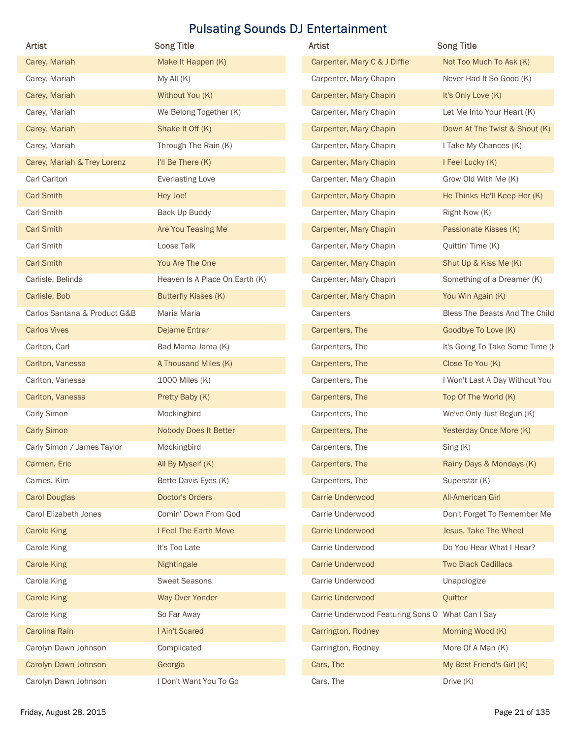| Artist                       | <b>Song Title</b>              | <b>Pulsating Sounds DJ Entertainment</b><br>Artist | <b>Song Title</b>               |
|------------------------------|--------------------------------|----------------------------------------------------|---------------------------------|
| Carey, Mariah                | Make It Happen (K)             | Carpenter, Mary C & J Diffie                       | Not Too Much To Ask (K)         |
| Carey, Mariah                | My All (K)                     | Carpenter, Mary Chapin                             | Never Had It So Good (K)        |
| Carey, Mariah                | Without You (K)                | Carpenter, Mary Chapin                             | It's Only Love (K)              |
| Carey, Mariah                | We Belong Together (K)         | Carpenter, Mary Chapin                             | Let Me Into Your Heart (K)      |
| Carey, Mariah                | Shake It Off (K)               | Carpenter, Mary Chapin                             | Down At The Twist & Shout (K)   |
| Carey, Mariah                | Through The Rain (K)           | Carpenter, Mary Chapin                             | I Take My Chances (K)           |
| Carey, Mariah & Trey Lorenz  | I'll Be There (K)              | Carpenter, Mary Chapin                             | I Feel Lucky (K)                |
| Carl Carlton                 | <b>Everlasting Love</b>        | Carpenter, Mary Chapin                             | Grow Old With Me (K)            |
| <b>Carl Smith</b>            | Hey Joe!                       | Carpenter, Mary Chapin                             | He Thinks He'll Keep Her (K)    |
| <b>Carl Smith</b>            | Back Up Buddy                  | Carpenter, Mary Chapin                             | Right Now (K)                   |
| <b>Carl Smith</b>            | Are You Teasing Me             | Carpenter, Mary Chapin                             | Passionate Kisses (K)           |
| Carl Smith                   | Loose Talk                     | Carpenter, Mary Chapin                             | Quittin' Time (K)               |
| <b>Carl Smith</b>            | You Are The One                | Carpenter, Mary Chapin                             | Shut Up & Kiss Me (K)           |
| Carlisle, Belinda            | Heaven Is A Place On Earth (K) | Carpenter, Mary Chapin                             | Something of a Dreamer (K)      |
| Carlisle, Bob                | <b>Butterfly Kisses (K)</b>    | Carpenter, Mary Chapin                             | You Win Again (K)               |
| Carlos Santana & Product G&B | Maria Maria                    | Carpenters                                         | Bless The Beasts And The Child  |
| <b>Carlos Vives</b>          | Dejame Entrar                  | Carpenters, The                                    | Goodbye To Love (K)             |
| Carlton, Carl                | Bad Mama Jama (K)              | Carpenters, The                                    | It's Going To Take Some Time (I |
| Carlton, Vanessa             | A Thousand Miles (K)           | Carpenters, The                                    | Close To You (K)                |
| Carlton, Vanessa             | 1000 Miles (K)                 | Carpenters, The                                    | I Won't Last A Day Without You  |
| Carlton, Vanessa             | Pretty Baby (K)                | Carpenters, The                                    | Top Of The World (K)            |
| Carly Simon                  | Mockingbird                    | Carpenters, The                                    | We've Only Just Begun (K)       |
| <b>Carly Simon</b>           | Nobody Does It Better          | Carpenters, The                                    | Yesterday Once More (K)         |
| Carly Simon / James Taylor   | Mockingbird                    | Carpenters, The                                    | Sing (K)                        |
| Carmen, Eric                 | All By Myself (K)              | Carpenters, The                                    | Rainy Days & Mondays (K)        |
| Carnes, Kim                  | Bette Davis Eyes (K)           | Carpenters, The                                    | Superstar (K)                   |
| <b>Carol Douglas</b>         | Doctor's Orders                | <b>Carrie Underwood</b>                            | <b>All-American Girl</b>        |
| Carol Elizabeth Jones        | Comin' Down From God           | Carrie Underwood                                   | Don't Forget To Remember Me     |
| <b>Carole King</b>           | I Feel The Earth Move          | Carrie Underwood                                   | Jesus, Take The Wheel           |
| Carole King                  | It's Too Late                  | Carrie Underwood                                   | Do You Hear What I Hear?        |
| <b>Carole King</b>           | Nightingale                    | Carrie Underwood                                   | <b>Two Black Cadillacs</b>      |
| Carole King                  | <b>Sweet Seasons</b>           | Carrie Underwood                                   | Unapologize                     |
| <b>Carole King</b>           | Way Over Yonder                | <b>Carrie Underwood</b>                            | Quitter                         |
| Carole King                  | So Far Away                    | Carrie Underwood Featuring Sons O What Can I Say   |                                 |
| Carolina Rain                | I Ain't Scared                 | Carrington, Rodney                                 | Morning Wood (K)                |
| Carolyn Dawn Johnson         | Complicated                    | Carrington, Rodney                                 | More Of A Man (K)               |
|                              | Georgia                        | Cars, The                                          | My Best Friend's Girl (K)       |
| Carolyn Dawn Johnson         |                                |                                                    |                                 |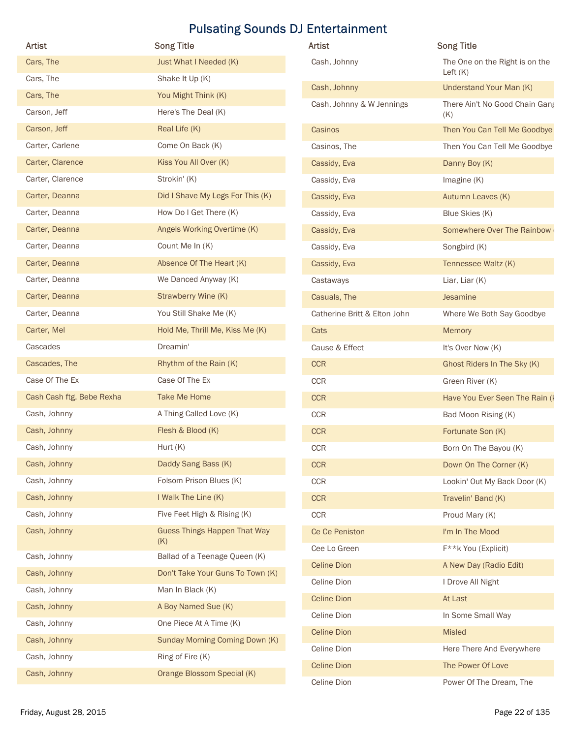|                           | <b>Song Title</b>                    | Artist                       | <b>Song Title</b>                   |
|---------------------------|--------------------------------------|------------------------------|-------------------------------------|
| Artist<br>Cars, The       | Just What I Needed (K)               | Cash, Johnny                 | The One on the Right is on the      |
| Cars, The                 | Shake It Up (K)                      |                              | Left $(K)$                          |
| Cars, The                 | You Might Think (K)                  | Cash, Johnny                 | Understand Your Man (K)             |
| Carson, Jeff              | Here's The Deal (K)                  | Cash, Johnny & W Jennings    | There Ain't No Good Chain Gang      |
| Carson, Jeff              | Real Life (K)                        | Casinos                      | (K)<br>Then You Can Tell Me Goodbye |
| Carter, Carlene           | Come On Back (K)                     | Casinos, The                 | Then You Can Tell Me Goodbye        |
| Carter, Clarence          | Kiss You All Over (K)                | Cassidy, Eva                 | Danny Boy (K)                       |
| Carter, Clarence          | Strokin' (K)                         | Cassidy, Eva                 | Imagine $(K)$                       |
| Carter, Deanna            | Did I Shave My Legs For This (K)     | Cassidy, Eva                 | Autumn Leaves (K)                   |
| Carter, Deanna            | How Do I Get There (K)               | Cassidy, Eva                 | Blue Skies (K)                      |
| Carter, Deanna            | Angels Working Overtime (K)          | Cassidy, Eva                 | Somewhere Over The Rainbow          |
| Carter, Deanna            | Count Me In (K)                      | Cassidy, Eva                 | Songbird (K)                        |
| Carter, Deanna            | Absence Of The Heart (K)             | Cassidy, Eva                 | Tennessee Waltz (K)                 |
| Carter, Deanna            | We Danced Anyway (K)                 | Castaways                    | Liar, Liar (K)                      |
| Carter, Deanna            | Strawberry Wine (K)                  | Casuals, The                 | Jesamine                            |
| Carter, Deanna            | You Still Shake Me (K)               | Catherine Britt & Elton John | Where We Both Say Goodbye           |
| Carter, Mel               | Hold Me, Thrill Me, Kiss Me (K)      | Cats                         | Memory                              |
| Cascades                  | Dreamin'                             | Cause & Effect               | It's Over Now (K)                   |
| Cascades, The             | Rhythm of the Rain (K)               | CCR                          | Ghost Riders In The Sky (K)         |
| Case Of The Ex            | Case Of The Ex                       | CCR                          | Green River (K)                     |
| Cash Cash ftg. Bebe Rexha | Take Me Home                         | CCR                          | Have You Ever Seen The Rain (       |
| Cash, Johnny              | A Thing Called Love (K)              | CCR                          | Bad Moon Rising (K)                 |
| Cash, Johnny              | Flesh & Blood (K)                    | CCR                          | Fortunate Son (K)                   |
| Cash, Johnny              | Hurt (K)                             | CCR                          | Born On The Bayou (K)               |
| Cash, Johnny              | Daddy Sang Bass (K)                  | CCR                          | Down On The Corner (K)              |
| Cash, Johnny              | Folsom Prison Blues (K)              | CCR                          | Lookin' Out My Back Door (K)        |
| Cash, Johnny              | I Walk The Line (K)                  | CCR                          | Travelin' Band (K)                  |
| Cash, Johnny              | Five Feet High & Rising (K)          | CCR                          | Proud Mary (K)                      |
| Cash, Johnny              | <b>Guess Things Happen That Way</b>  | Ce Ce Peniston               | I'm In The Mood                     |
| Cash, Johnny              | (K)<br>Ballad of a Teenage Queen (K) | Cee Lo Green                 | F**k You (Explicit)                 |
| Cash, Johnny              | Don't Take Your Guns To Town (K)     | <b>Celine Dion</b>           | A New Day (Radio Edit)              |
| Cash, Johnny              | Man In Black (K)                     | Celine Dion                  | I Drove All Night                   |
| Cash, Johnny              | A Boy Named Sue (K)                  | <b>Celine Dion</b>           | At Last                             |
| Cash, Johnny              | One Piece At A Time (K)              | Celine Dion                  | In Some Small Way                   |
| Cash, Johnny              | Sunday Morning Coming Down (K)       | <b>Celine Dion</b>           | Misled                              |
| Cash, Johnny              | Ring of Fire (K)                     | Celine Dion                  | Here There And Everywhere           |
|                           |                                      | <b>Celine Dion</b>           | The Power Of Love                   |
| Cash, Johnny              | Orange Blossom Special (K)           | Celine Dion                  | Power Of The Dream, The             |

| <b>Artist</b>                | <b>Song Title</b>                            |
|------------------------------|----------------------------------------------|
| Cash, Johnny                 | The One on the Right is on the<br>Left $(K)$ |
| Cash, Johnny                 | Understand Your Man (K)                      |
| Cash, Johnny & W Jennings    | There Ain't No Good Chain Gang<br>(K)        |
| Casinos                      | Then You Can Tell Me Goodbye                 |
| Casinos, The                 | Then You Can Tell Me Goodbye                 |
| Cassidy, Eva                 | Danny Boy (K)                                |
| Cassidy, Eva                 | Imagine $(K)$                                |
| Cassidy, Eva                 | Autumn Leaves (K)                            |
| Cassidy, Eva                 | Blue Skies (K)                               |
| Cassidy, Eva                 | Somewhere Over The Rainbow                   |
| Cassidy, Eva                 | Songbird (K)                                 |
| Cassidy, Eva                 | Tennessee Waltz (K)                          |
| Castaways                    | Liar, Liar (K)                               |
| Casuals, The                 | Jesamine                                     |
| Catherine Britt & Elton John | Where We Both Say Goodbye                    |
| Cats                         | <b>Memory</b>                                |
| Cause & Effect               | It's Over Now (K)                            |
| <b>CCR</b>                   | Ghost Riders In The Sky (K)                  |
| <b>CCR</b>                   | Green River (K)                              |
| <b>CCR</b>                   | Have You Ever Seen The Rain (I               |
| <b>CCR</b>                   | Bad Moon Rising (K)                          |
| <b>CCR</b>                   | Fortunate Son (K)                            |
| <b>CCR</b>                   | Born On The Bayou (K)                        |
| <b>CCR</b>                   | Down On The Corner (K)                       |
| CCR                          | Lookin' Out My Back Door (K)                 |
| <b>CCR</b>                   | Travelin' Band (K)                           |
| <b>CCR</b>                   | Proud Mary (K)                               |
| Ce Ce Peniston               | I'm In The Mood                              |
| Cee Lo Green                 | F**k You (Explicit)                          |
| <b>Celine Dion</b>           | A New Day (Radio Edit)                       |
| Celine Dion                  | I Drove All Night                            |
| <b>Celine Dion</b>           | At Last                                      |
| Celine Dion                  | In Some Small Way                            |
| <b>Celine Dion</b>           | <b>Misled</b>                                |
| Celine Dion                  | Here There And Everywhere                    |
| <b>Celine Dion</b>           | The Power Of Love                            |
| Celine Dion                  | Power Of The Dream, The                      |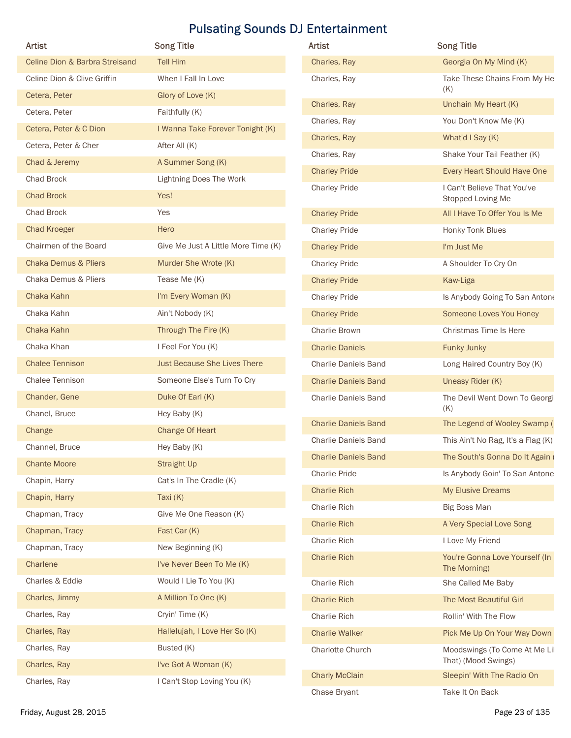|                                                 | <b>Pulsating Sounds DJ Entertainment</b> |                             |                                                    |
|-------------------------------------------------|------------------------------------------|-----------------------------|----------------------------------------------------|
| <b>Artist</b><br>Celine Dion & Barbra Streisand | <b>Song Title</b><br><b>Tell Him</b>     | Artist                      | <b>Song Title</b><br>Georgia On My Mind (K)        |
| Celine Dion & Clive Griffin                     |                                          | Charles, Ray                |                                                    |
| Cetera, Peter                                   | When I Fall In Love<br>Glory of Love (K) | Charles, Ray                | Take These Chains From My He<br>(K)                |
| Cetera, Peter                                   | Faithfully (K)                           | Charles, Ray                | Unchain My Heart (K)                               |
| Cetera, Peter & C Dion                          | I Wanna Take Forever Tonight (K)         | Charles, Ray                | You Don't Know Me (K)                              |
| Cetera, Peter & Cher                            | After All (K)                            | Charles, Ray                | What'd I Say (K)                                   |
| Chad & Jeremy                                   | A Summer Song (K)                        | Charles, Ray                | Shake Your Tail Feather (K)                        |
| Chad Brock                                      | <b>Lightning Does The Work</b>           | <b>Charley Pride</b>        | Every Heart Should Have One                        |
| <b>Chad Brock</b>                               | Yes!                                     | <b>Charley Pride</b>        | I Can't Believe That You've                        |
| Chad Brock                                      | Yes                                      | <b>Charley Pride</b>        | Stopped Loving Me<br>All I Have To Offer You Is Me |
| <b>Chad Kroeger</b>                             | Hero                                     | <b>Charley Pride</b>        | Honky Tonk Blues                                   |
| Chairmen of the Board                           | Give Me Just A Little More Time (K)      | <b>Charley Pride</b>        | I'm Just Me                                        |
| <b>Chaka Demus &amp; Pliers</b>                 | Murder She Wrote (K)                     | <b>Charley Pride</b>        | A Shoulder To Cry On                               |
| Chaka Demus & Pliers                            | Tease Me (K)                             | <b>Charley Pride</b>        | Kaw-Liga                                           |
| Chaka Kahn                                      | I'm Every Woman (K)                      | <b>Charley Pride</b>        | Is Anybody Going To San Antone                     |
| Chaka Kahn                                      | Ain't Nobody (K)                         | <b>Charley Pride</b>        | Someone Loves You Honey                            |
| Chaka Kahn                                      | Through The Fire (K)                     | Charlie Brown               | Christmas Time Is Here                             |
| Chaka Khan                                      | I Feel For You (K)                       | <b>Charlie Daniels</b>      | <b>Funky Junky</b>                                 |
| <b>Chalee Tennison</b>                          | Just Because She Lives There             | Charlie Daniels Band        | Long Haired Country Boy (K)                        |
| Chalee Tennison                                 | Someone Else's Turn To Cry               | <b>Charlie Daniels Band</b> | Uneasy Rider (K)                                   |
| Chander, Gene                                   | Duke Of Earl (K)                         | Charlie Daniels Band        | The Devil Went Down To Georgi                      |
| Chanel, Bruce                                   | Hey Baby (K)                             |                             | (K)                                                |
| Change                                          | Change Of Heart                          | <b>Charlie Daniels Band</b> | The Legend of Wooley Swamp (I                      |
| Channel, Bruce                                  | Hey Baby (K)                             | Charlie Daniels Band        | This Ain't No Rag, It's a Flag (K)                 |
| <b>Chante Moore</b>                             | <b>Straight Up</b>                       | <b>Charlie Daniels Band</b> | The South's Gonna Do It Again (                    |
| Chapin, Harry                                   | Cat's In The Cradle (K)                  | Charlie Pride               | Is Anybody Goin' To San Antone                     |
| Chapin, Harry                                   | Taxi (K)                                 | <b>Charlie Rich</b>         | My Elusive Dreams                                  |
| Chapman, Tracy                                  | Give Me One Reason (K)                   | Charlie Rich                | <b>Big Boss Man</b>                                |
| Chapman, Tracy                                  | Fast Car (K)                             | <b>Charlie Rich</b>         | A Very Special Love Song                           |
| Chapman, Tracy                                  | New Beginning (K)                        | Charlie Rich                | I Love My Friend                                   |
| Charlene                                        | I've Never Been To Me (K)                | <b>Charlie Rich</b>         | You're Gonna Love Yourself (In                     |
| Charles & Eddie                                 | Would I Lie To You (K)                   | Charlie Rich                | The Morning)<br>She Called Me Baby                 |
| Charles, Jimmy                                  | A Million To One (K)                     | <b>Charlie Rich</b>         | The Most Beautiful Girl                            |
| Charles, Ray                                    | Cryin' Time (K)                          | Charlie Rich                | Rollin' With The Flow                              |
| Charles, Ray                                    | Hallelujah, I Love Her So (K)            | <b>Charlie Walker</b>       | Pick Me Up On Your Way Down                        |
| Charles, Ray                                    | Busted (K)                               | Charlotte Church            | Moodswings (To Come At Me Lil                      |
| Charles, Ray                                    | I've Got A Woman (K)                     |                             | That) (Mood Swings)                                |
| Charles, Ray                                    | I Can't Stop Loving You (K)              | <b>Charly McClain</b>       | Sleepin' With The Radio On                         |

| <b>Artist</b>                   | <b>Song Title</b>                   | <b>Artist</b>               | <b>Song Title</b>                                |
|---------------------------------|-------------------------------------|-----------------------------|--------------------------------------------------|
| Celine Dion & Barbra Streisand  | <b>Tell Him</b>                     | Charles, Ray                | Georgia On My Mind (K)                           |
| Celine Dion & Clive Griffin     | When I Fall In Love                 | Charles, Ray                | Take These Chains From My He                     |
| Cetera, Peter                   | Glory of Love (K)                   |                             | (K)                                              |
| Cetera, Peter                   | Faithfully (K)                      | Charles, Ray                | Unchain My Heart (K)                             |
| Cetera, Peter & C Dion          | I Wanna Take Forever Tonight (K)    | Charles, Ray                | You Don't Know Me (K)                            |
| Cetera, Peter & Cher            | After All (K)                       | Charles, Ray                | What'd I Say (K)                                 |
| Chad & Jeremy                   | A Summer Song (K)                   | Charles, Ray                | Shake Your Tail Feather (K)                      |
| Chad Brock                      | <b>Lightning Does The Work</b>      | <b>Charley Pride</b>        | Every Heart Should Have One                      |
| <b>Chad Brock</b>               | Yes!                                | <b>Charley Pride</b>        | I Can't Believe That You've<br>Stopped Loving Me |
| Chad Brock                      | Yes                                 | <b>Charley Pride</b>        | All I Have To Offer You Is Me                    |
| <b>Chad Kroeger</b>             | Hero                                | <b>Charley Pride</b>        | Honky Tonk Blues                                 |
| Chairmen of the Board           | Give Me Just A Little More Time (K) | <b>Charley Pride</b>        | I'm Just Me                                      |
| <b>Chaka Demus &amp; Pliers</b> | Murder She Wrote (K)                | <b>Charley Pride</b>        | A Shoulder To Cry On                             |
| Chaka Demus & Pliers            | Tease Me (K)                        | <b>Charley Pride</b>        | Kaw-Liga                                         |
| Chaka Kahn                      | I'm Every Woman (K)                 | <b>Charley Pride</b>        | Is Anybody Going To San Antone                   |
| Chaka Kahn                      | Ain't Nobody (K)                    | <b>Charley Pride</b>        | Someone Loves You Honey                          |
| Chaka Kahn                      | Through The Fire (K)                | Charlie Brown               | Christmas Time Is Here                           |
| Chaka Khan                      | I Feel For You (K)                  | <b>Charlie Daniels</b>      | <b>Funky Junky</b>                               |
| <b>Chalee Tennison</b>          | Just Because She Lives There        | Charlie Daniels Band        | Long Haired Country Boy (K)                      |
| Chalee Tennison                 | Someone Else's Turn To Cry          | <b>Charlie Daniels Band</b> | Uneasy Rider (K)                                 |
| Chander, Gene                   | Duke Of Earl (K)                    | Charlie Daniels Band        | The Devil Went Down To Georgi                    |
| Chanel, Bruce                   | Hey Baby (K)                        |                             | (K)                                              |
| Change                          | Change Of Heart                     | <b>Charlie Daniels Band</b> | The Legend of Wooley Swamp (I                    |
| Channel, Bruce                  | Hey Baby (K)                        | <b>Charlie Daniels Band</b> | This Ain't No Rag, It's a Flag (K)               |
| <b>Chante Moore</b>             | <b>Straight Up</b>                  | <b>Charlie Daniels Band</b> | The South's Gonna Do It Again (                  |
| Chapin, Harry                   | Cat's In The Cradle (K)             | <b>Charlie Pride</b>        | Is Anybody Goin' To San Antone                   |
| Chapin, Harry                   | Taxi $(K)$                          | <b>Charlie Rich</b>         | My Elusive Dreams                                |
| Chapman, Tracy                  | Give Me One Reason (K)              | Charlie Rich                | Big Boss Man                                     |
| Chapman, Tracy                  | Fast Car (K)                        | <b>Charlie Rich</b>         | A Very Special Love Song                         |
| Chapman, Tracy                  | New Beginning (K)                   | Charlie Rich                | I Love My Friend                                 |
| Charlene                        | I've Never Been To Me (K)           | <b>Charlie Rich</b>         | You're Gonna Love Yourself (In<br>The Morning)   |
| Charles & Eddie                 | Would I Lie To You (K)              | Charlie Rich                | She Called Me Baby                               |
| Charles, Jimmy                  | A Million To One (K)                | <b>Charlie Rich</b>         | The Most Beautiful Girl                          |
| Charles, Ray                    | Cryin' Time (K)                     | Charlie Rich                | Rollin' With The Flow                            |
| Charles, Ray                    | Hallelujah, I Love Her So (K)       | <b>Charlie Walker</b>       | Pick Me Up On Your Way Down                      |
| Charles, Ray                    | Busted (K)                          | Charlotte Church            | Moodswings (To Come At Me Lil                    |
| Charles, Ray                    | I've Got A Woman (K)                |                             | That) (Mood Swings)                              |
| Charles, Ray                    | I Can't Stop Loving You (K)         | <b>Charly McClain</b>       | Sleepin' With The Radio On                       |
|                                 |                                     | Chase Bryant                | Take It On Back                                  |
| Friday, August 28, 2015         |                                     |                             | Page 23 of 135                                   |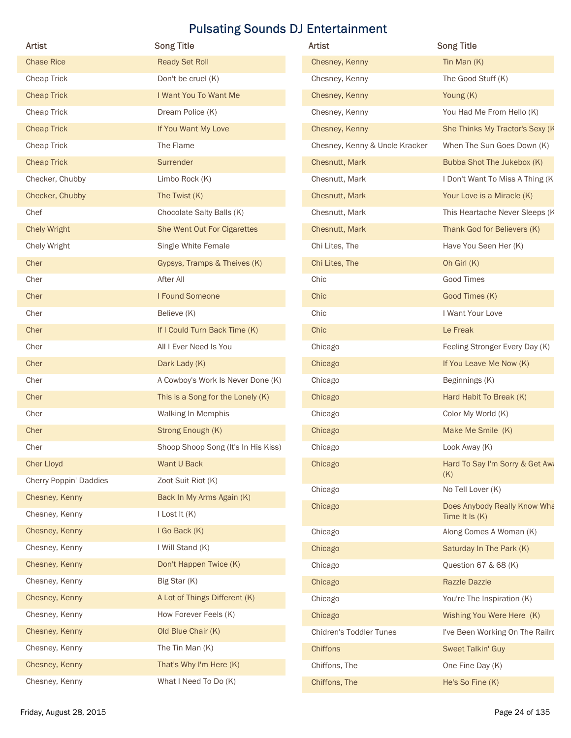| Artist                           | <b>Pulsating Sounds DJ Entertainment</b><br><b>Song Title</b> | Artist                         | <b>Song Title</b>                      |
|----------------------------------|---------------------------------------------------------------|--------------------------------|----------------------------------------|
| <b>Chase Rice</b>                | <b>Ready Set Roll</b>                                         | Chesney, Kenny                 | Tin Man (K)                            |
| Cheap Trick                      | Don't be cruel (K)                                            | Chesney, Kenny                 | The Good Stuff (K)                     |
| <b>Cheap Trick</b>               | I Want You To Want Me                                         | Chesney, Kenny                 | Young (K)                              |
| Cheap Trick                      | Dream Police (K)                                              | Chesney, Kenny                 | You Had Me From Hello (K)              |
| <b>Cheap Trick</b>               | If You Want My Love                                           | Chesney, Kenny                 | She Thinks My Tractor's Sexy (K        |
| Cheap Trick                      | The Flame                                                     | Chesney, Kenny & Uncle Kracker | When The Sun Goes Down (K)             |
| <b>Cheap Trick</b>               | Surrender                                                     | Chesnutt, Mark                 | Bubba Shot The Jukebox (K)             |
| Checker, Chubby                  | Limbo Rock (K)                                                | Chesnutt, Mark                 | I Don't Want To Miss A Thing (K)       |
| Checker, Chubby                  | The Twist (K)                                                 | Chesnutt, Mark                 | Your Love is a Miracle (K)             |
| Chef                             | Chocolate Salty Balls (K)                                     | Chesnutt, Mark                 | This Heartache Never Sleeps (K         |
| <b>Chely Wright</b>              | She Went Out For Cigarettes                                   | Chesnutt, Mark                 | Thank God for Believers (K)            |
| Chely Wright                     | Single White Female                                           | Chi Lites, The                 | Have You Seen Her (K)                  |
| Cher                             | Gypsys, Tramps & Theives (K)                                  | Chi Lites, The                 | Oh Girl (K)                            |
| Cher                             | After All                                                     | Chic                           | Good Times                             |
| Cher                             | I Found Someone                                               | Chic                           | Good Times (K)                         |
| Cher                             | Believe (K)                                                   | Chic                           | I Want Your Love                       |
| Cher                             | If I Could Turn Back Time (K)                                 | Chic                           | Le Freak                               |
| Cher                             | All I Ever Need Is You                                        | Chicago                        | Feeling Stronger Every Day (K)         |
| Cher                             | Dark Lady (K)                                                 | Chicago                        | If You Leave Me Now (K)                |
| Cher                             | A Cowboy's Work Is Never Done (K)                             | Chicago                        | Beginnings (K)                         |
| Cher                             | This is a Song for the Lonely (K)                             | Chicago                        | Hard Habit To Break (K)                |
| Cher                             | Walking In Memphis                                            | Chicago                        | Color My World (K)                     |
| Cher                             | Strong Enough (K)                                             | Chicago                        | Make Me Smile (K)                      |
| Cher                             | Shoop Shoop Song (It's In His Kiss)                           | Chicago                        | Look Away (K)                          |
| <b>Cher Lloyd</b>                | Want U Back                                                   | Chicago                        | Hard To Say I'm Sorry & Get Awa<br>(K) |
| Cherry Poppin' Daddies           | Zoot Suit Riot (K)                                            | Chicago                        | No Tell Lover (K)                      |
| Chesney, Kenny                   | Back In My Arms Again (K)                                     | Chicago                        | Does Anybody Really Know Wha           |
| Chesney, Kenny                   | I Lost It (K)                                                 |                                | Time It Is (K)                         |
| Chesney, Kenny                   | I Go Back (K)                                                 | Chicago                        | Along Comes A Woman (K)                |
| Chesney, Kenny                   | I Will Stand (K)                                              | Chicago                        | Saturday In The Park (K)               |
| Chesney, Kenny                   | Don't Happen Twice (K)                                        | Chicago                        | Question 67 & 68 (K)                   |
| Chesney, Kenny                   | Big Star (K)                                                  | Chicago                        | Razzle Dazzle                          |
| Chesney, Kenny                   | A Lot of Things Different (K)                                 | Chicago                        | You're The Inspiration (K)             |
| Chesney, Kenny                   | How Forever Feels (K)                                         | Chicago                        | Wishing You Were Here (K)              |
| Chesney, Kenny                   | Old Blue Chair (K)                                            | Chidren's Toddler Tunes        | I've Been Working On The Railro        |
|                                  | The Tin Man (K)                                               | Chiffons                       | Sweet Talkin' Guy                      |
| Chesney, Kenny                   |                                                               |                                |                                        |
| Chesney, Kenny<br>Chesney, Kenny | That's Why I'm Here (K)<br>What I Need To Do (K)              | Chiffons, The<br>Chiffons, The | One Fine Day (K)<br>He's So Fine (K)   |

| <b>Artist</b>                  | <b>Song Title</b>                              |
|--------------------------------|------------------------------------------------|
| Chesney, Kenny                 | Tin Man $(K)$                                  |
| Chesney, Kenny                 | The Good Stuff (K)                             |
| Chesney, Kenny                 | Young (K)                                      |
| Chesney, Kenny                 | You Had Me From Hello (K)                      |
| Chesney, Kenny                 | She Thinks My Tractor's Sexy (K                |
| Chesney, Kenny & Uncle Kracker | When The Sun Goes Down (K)                     |
| Chesnutt, Mark                 | Bubba Shot The Jukebox (K)                     |
| Chesnutt, Mark                 | I Don't Want To Miss A Thing (K)               |
| Chesnutt, Mark                 | Your Love is a Miracle (K)                     |
| Chesnutt, Mark                 | This Heartache Never Sleeps (K                 |
| Chesnutt, Mark                 | Thank God for Believers (K)                    |
| Chi Lites, The                 | Have You Seen Her (K)                          |
| Chi Lites, The                 | Oh Girl (K)                                    |
| Chic                           | <b>Good Times</b>                              |
| Chic                           | Good Times (K)                                 |
| Chic                           | I Want Your Love                               |
| Chic                           | Le Freak                                       |
| Chicago                        | Feeling Stronger Every Day (K)                 |
| Chicago                        | If You Leave Me Now (K)                        |
| Chicago                        | Beginnings (K)                                 |
| Chicago                        | Hard Habit To Break (K)                        |
| Chicago                        | Color My World (K)                             |
| Chicago                        | Make Me Smile (K)                              |
| Chicago                        | Look Away (K)                                  |
| Chicago                        | Hard To Say I'm Sorry & Get Awa<br>(K)         |
| Chicago                        | No Tell Lover (K)                              |
| Chicago                        | Does Anybody Really Know Wha<br>Time It Is (K) |
| Chicago                        | Along Comes A Woman (K)                        |
| Chicago                        | Saturday In The Park (K)                       |
| Chicago                        | Question 67 & 68 (K)                           |
| Chicago                        | <b>Razzle Dazzle</b>                           |
| Chicago                        | You're The Inspiration (K)                     |
| Chicago                        | Wishing You Were Here (K)                      |
| Chidren's Toddler Tunes        | I've Been Working On The Railro                |
| <b>Chiffons</b>                | Sweet Talkin' Guy                              |
| Chiffons, The                  | One Fine Day (K)                               |
| Chiffons, The                  | He's So Fine (K)                               |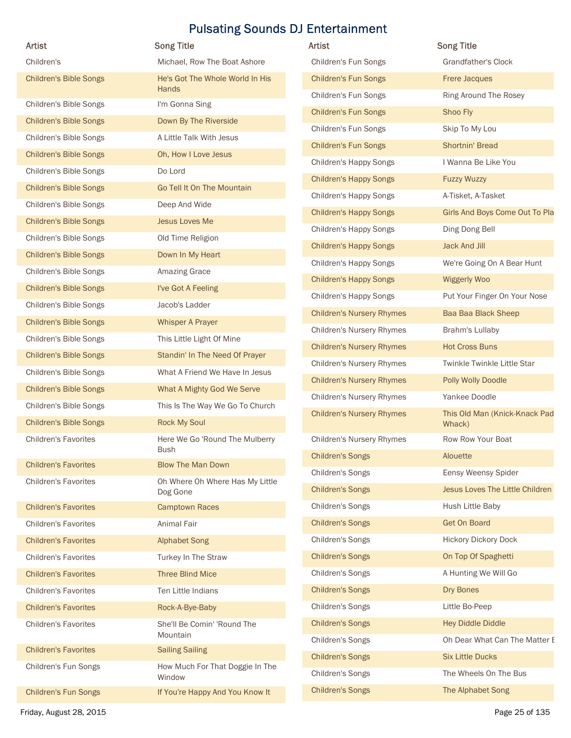|                               |                                               | Artist                           | <b>Song Title</b>                       |
|-------------------------------|-----------------------------------------------|----------------------------------|-----------------------------------------|
| Children's                    | Michael, Row The Boat Ashore                  | Children's Fun Songs             | <b>Grandfather's Clock</b>              |
| <b>Children's Bible Songs</b> | He's Got The Whole World In His<br>Hands      | <b>Children's Fun Songs</b>      | Frere Jacques                           |
| Children's Bible Songs        | I'm Gonna Sing                                | Children's Fun Songs             | Ring Around The Rosey                   |
| <b>Children's Bible Songs</b> | Down By The Riverside                         | <b>Children's Fun Songs</b>      | Shoo Fly                                |
|                               |                                               | Children's Fun Songs             | Skip To My Lou                          |
| Children's Bible Songs        | A Little Talk With Jesus                      | <b>Children's Fun Songs</b>      | Shortnin' Bread                         |
| <b>Children's Bible Songs</b> | Oh, How I Love Jesus                          | Children's Happy Songs           | I Wanna Be Like You                     |
| Children's Bible Songs        | Do Lord                                       | <b>Children's Happy Songs</b>    | <b>Fuzzy Wuzzy</b>                      |
| <b>Children's Bible Songs</b> | Go Tell It On The Mountain                    | Children's Happy Songs           | A-Tisket, A-Tasket                      |
| Children's Bible Songs        | Deep And Wide                                 | <b>Children's Happy Songs</b>    | Girls And Boys Come Out To Pla          |
| <b>Children's Bible Songs</b> | Jesus Loves Me                                | Children's Happy Songs           | Ding Dong Bell                          |
| Children's Bible Songs        | Old Time Religion                             | <b>Children's Happy Songs</b>    | Jack And Jill                           |
| <b>Children's Bible Songs</b> | Down In My Heart                              | Children's Happy Songs           | We're Going On A Bear Hunt              |
| Children's Bible Songs        | <b>Amazing Grace</b>                          | <b>Children's Happy Songs</b>    | <b>Wiggerly Woo</b>                     |
| <b>Children's Bible Songs</b> | I've Got A Feeling                            | Children's Happy Songs           | Put Your Finger On Your Nose            |
| Children's Bible Songs        | Jacob's Ladder                                | <b>Children's Nursery Rhymes</b> | Baa Baa Black Sheep                     |
| <b>Children's Bible Songs</b> | <b>Whisper A Prayer</b>                       | Children's Nursery Rhymes        | Brahm's Lullaby                         |
| Children's Bible Songs        | This Little Light Of Mine                     | <b>Children's Nursery Rhymes</b> | <b>Hot Cross Buns</b>                   |
| <b>Children's Bible Songs</b> | Standin' In The Need Of Prayer                | Children's Nursery Rhymes        | Twinkle Twinkle Little Star             |
| Children's Bible Songs        | What A Friend We Have In Jesus                | <b>Children's Nursery Rhymes</b> |                                         |
| <b>Children's Bible Songs</b> | What A Mighty God We Serve                    |                                  | Polly Wolly Doodle                      |
| Children's Bible Songs        | This Is The Way We Go To Church               | Children's Nursery Rhymes        | Yankee Doodle                           |
| <b>Children's Bible Songs</b> | <b>Rock My Soul</b>                           | <b>Children's Nursery Rhymes</b> | This Old Man (Knick-Knack Pad<br>Whack) |
| <b>Children's Favorites</b>   | Here We Go 'Round The Mulberry<br><b>Bush</b> | Children's Nursery Rhymes        | Row Row Your Boat                       |
| <b>Children's Favorites</b>   | <b>Blow The Man Down</b>                      | <b>Children's Songs</b>          | Alouette                                |
| <b>Children's Favorites</b>   | Oh Where Oh Where Has My Little               | Children's Songs                 | Eensy Weensy Spider                     |
|                               | Dog Gone                                      | <b>Children's Songs</b>          | Jesus Loves The Little Children         |
| <b>Children's Favorites</b>   | <b>Camptown Races</b>                         | Children's Songs                 | Hush Little Baby                        |
| <b>Children's Favorites</b>   | Animal Fair                                   | <b>Children's Songs</b>          | Get On Board                            |
| <b>Children's Favorites</b>   | <b>Alphabet Song</b>                          | Children's Songs                 | <b>Hickory Dickory Dock</b>             |
| <b>Children's Favorites</b>   | Turkey In The Straw                           | <b>Children's Songs</b>          | On Top Of Spaghetti                     |
| <b>Children's Favorites</b>   | <b>Three Blind Mice</b>                       | Children's Songs                 | A Hunting We Will Go                    |
| <b>Children's Favorites</b>   | Ten Little Indians                            | <b>Children's Songs</b>          | Dry Bones                               |
| <b>Children's Favorites</b>   | Rock-A-Bye-Baby                               | Children's Songs                 | Little Bo-Peep                          |
| <b>Children's Favorites</b>   | She'll Be Comin' 'Round The<br>Mountain       | <b>Children's Songs</b>          | <b>Hey Diddle Diddle</b>                |
| <b>Children's Favorites</b>   | <b>Sailing Sailing</b>                        | Children's Songs                 | Oh Dear What Can The Matter E           |
| Children's Fun Songs          | How Much For That Doggie In The               | <b>Children's Songs</b>          | <b>Six Little Ducks</b>                 |
|                               | Window                                        | Children's Songs                 | The Wheels On The Bus                   |
| <b>Children's Fun Songs</b>   | If You're Happy And You Know It               | <b>Children's Songs</b>          | The Alphabet Song                       |
| Friday, August 28, 2015       |                                               |                                  | Page 25 of 135                          |

| Artist                        | <b>Song Title</b>                           | Artist                           | <b>Song Title</b>                       |
|-------------------------------|---------------------------------------------|----------------------------------|-----------------------------------------|
| Children's                    | Michael, Row The Boat Ashore                | Children's Fun Songs             | Grandfather's Clock                     |
| <b>Children's Bible Songs</b> | He's Got The Whole World In His             | <b>Children's Fun Songs</b>      | Frere Jacques                           |
|                               | Hands                                       | Children's Fun Songs             | Ring Around The Rosey                   |
| Children's Bible Songs        | I'm Gonna Sing                              | <b>Children's Fun Songs</b>      | Shoo Fly                                |
| <b>Children's Bible Songs</b> | Down By The Riverside                       | Children's Fun Songs             | Skip To My Lou                          |
| Children's Bible Songs        | A Little Talk With Jesus                    | <b>Children's Fun Songs</b>      | Shortnin' Bread                         |
| <b>Children's Bible Songs</b> | Oh, How I Love Jesus                        | Children's Happy Songs           | I Wanna Be Like You                     |
| Children's Bible Songs        | Do Lord                                     | <b>Children's Happy Songs</b>    | <b>Fuzzy Wuzzy</b>                      |
| <b>Children's Bible Songs</b> | Go Tell It On The Mountain                  | Children's Happy Songs           | A-Tisket, A-Tasket                      |
| Children's Bible Songs        | Deep And Wide                               | <b>Children's Happy Songs</b>    | Girls And Boys Come Out To Pla          |
| <b>Children's Bible Songs</b> | Jesus Loves Me                              | Children's Happy Songs           | Ding Dong Bell                          |
| Children's Bible Songs        | Old Time Religion                           | <b>Children's Happy Songs</b>    | <b>Jack And Jill</b>                    |
| <b>Children's Bible Songs</b> | Down In My Heart                            | Children's Happy Songs           | We're Going On A Bear Hunt              |
| Children's Bible Songs        | <b>Amazing Grace</b>                        | <b>Children's Happy Songs</b>    | <b>Wiggerly Woo</b>                     |
| <b>Children's Bible Songs</b> | I've Got A Feeling                          |                                  | Put Your Finger On Your Nose            |
| Children's Bible Songs        | Jacob's Ladder                              | Children's Happy Songs           |                                         |
| <b>Children's Bible Songs</b> | Whisper A Prayer                            | <b>Children's Nursery Rhymes</b> | Baa Baa Black Sheep                     |
| Children's Bible Songs        | This Little Light Of Mine                   | Children's Nursery Rhymes        | Brahm's Lullaby                         |
| <b>Children's Bible Songs</b> | Standin' In The Need Of Prayer              | <b>Children's Nursery Rhymes</b> | <b>Hot Cross Buns</b>                   |
| Children's Bible Songs        | What A Friend We Have In Jesus              | Children's Nursery Rhymes        | Twinkle Twinkle Little Star             |
| <b>Children's Bible Songs</b> | What A Mighty God We Serve                  | <b>Children's Nursery Rhymes</b> | Polly Wolly Doodle                      |
| Children's Bible Songs        | This Is The Way We Go To Church             | Children's Nursery Rhymes        | Yankee Doodle                           |
| <b>Children's Bible Songs</b> | <b>Rock My Soul</b>                         | <b>Children's Nursery Rhymes</b> | This Old Man (Knick-Knack Pad<br>Whack) |
| Children's Favorites          | Here We Go 'Round The Mulberry              | Children's Nursery Rhymes        | Row Row Your Boat                       |
|                               | Bush                                        | <b>Children's Songs</b>          | Alouette                                |
| <b>Children's Favorites</b>   | <b>Blow The Man Down</b>                    | Children's Songs                 | Eensy Weensy Spider                     |
| Children's Favorites          | Oh Where Oh Where Has My Little<br>Dog Gone | <b>Children's Songs</b>          | Jesus Loves The Little Children         |
| <b>Children's Favorites</b>   | <b>Camptown Races</b>                       | Children's Songs                 | Hush Little Baby                        |
| <b>Children's Favorites</b>   | Animal Fair                                 | <b>Children's Songs</b>          | Get On Board                            |
| <b>Children's Favorites</b>   | <b>Alphabet Song</b>                        | Children's Songs                 | <b>Hickory Dickory Dock</b>             |
| <b>Children's Favorites</b>   | Turkey In The Straw                         | <b>Children's Songs</b>          | On Top Of Spaghetti                     |
| <b>Children's Favorites</b>   | <b>Three Blind Mice</b>                     | Children's Songs                 | A Hunting We Will Go                    |
| Children's Favorites          | Ten Little Indians                          | <b>Children's Songs</b>          | Dry Bones                               |
| <b>Children's Favorites</b>   | Rock-A-Bye-Baby                             | Children's Songs                 | Little Bo-Peep                          |
| Children's Favorites          | She'll Be Comin' 'Round The                 | <b>Children's Songs</b>          | <b>Hey Diddle Diddle</b>                |
|                               | Mountain                                    | Children's Songs                 | Oh Dear What Can The Matter E           |
| <b>Children's Favorites</b>   | <b>Sailing Sailing</b>                      | <b>Children's Songs</b>          | <b>Six Little Ducks</b>                 |
| Children's Fun Songs          | How Much For That Doggie In The<br>Window   | Children's Songs                 | The Wheels On The Bus                   |
| <b>Children's Fun Songs</b>   | If You're Happy And You Know It             | <b>Children's Songs</b>          | The Alphabet Song                       |
|                               |                                             |                                  |                                         |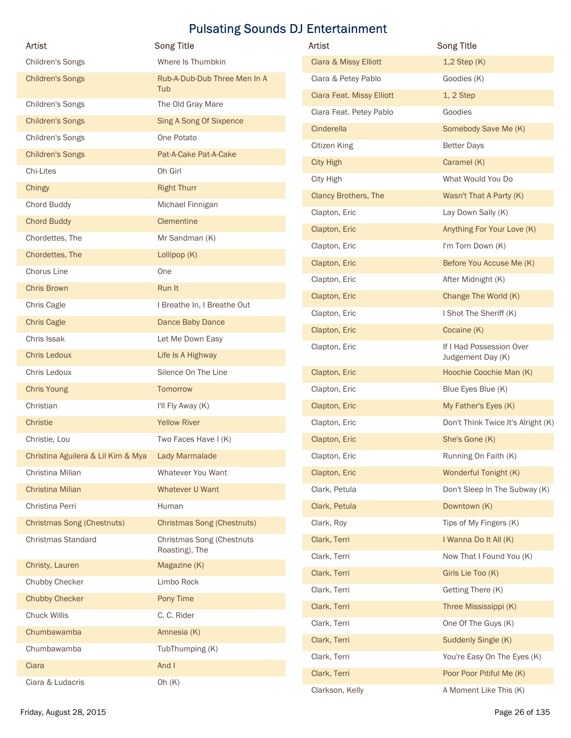|                                    |                                     | <b>Pulsating Sounds DJ Entertainment</b> |                                               |
|------------------------------------|-------------------------------------|------------------------------------------|-----------------------------------------------|
| <b>Artist</b>                      | <b>Song Title</b>                   | Artist                                   | <b>Song Title</b>                             |
| Children's Songs                   | Where Is Thumbkin                   | Ciara & Missy Elliott                    | $1,2$ Step $(K)$                              |
| <b>Children's Songs</b>            | Rub-A-Dub-Dub Three Men In A<br>Tub | Ciara & Petey Pablo                      | Goodies (K)                                   |
| Children's Songs                   | The Old Gray Mare                   | Ciara Feat. Missy Elliott                | 1, 2 Step                                     |
| <b>Children's Songs</b>            | Sing A Song Of Sixpence             | Ciara Feat. Petey Pablo                  | Goodies                                       |
| Children's Songs                   | One Potato                          | Cinderella                               | Somebody Save Me (K)                          |
| <b>Children's Songs</b>            | Pat-A-Cake Pat-A-Cake               | Citizen King                             | <b>Better Days</b>                            |
| Chi-Lites                          | Oh Girl                             | <b>City High</b>                         | Caramel (K)                                   |
| Chingy                             | <b>Right Thurr</b>                  | City High                                | What Would You Do                             |
| Chord Buddy                        | Michael Finnigan                    | Clancy Brothers, The                     | Wasn't That A Party (K)                       |
| <b>Chord Buddy</b>                 | Clementine                          | Clapton, Eric                            | Lay Down Sally (K)                            |
| Chordettes, The                    | Mr Sandman (K)                      | Clapton, Eric                            | Anything For Your Love (K)                    |
| Chordettes, The                    | Lollipop (K)                        | Clapton, Eric                            | I'm Torn Down (K)                             |
| Chorus Line                        | One                                 | Clapton, Eric                            | Before You Accuse Me (K)                      |
| Chris Brown                        | Run It                              | Clapton, Eric                            | After Midnight (K)                            |
| Chris Cagle                        | I Breathe In, I Breathe Out         | Clapton, Eric                            | Change The World (K)                          |
| <b>Chris Cagle</b>                 | Dance Baby Dance                    | Clapton, Eric                            | I Shot The Sheriff (K)                        |
| Chris Issak                        | Let Me Down Easy                    | Clapton, Eric                            | Cocaine (K)                                   |
| Chris Ledoux                       | Life Is A Highway                   | Clapton, Eric                            | If I Had Possession Over<br>Judgement Day (K) |
| Chris Ledoux                       | Silence On The Line                 | Clapton, Eric                            | Hoochie Coochie Man (K)                       |
| Chris Young                        | Tomorrow                            | Clapton, Eric                            | Blue Eyes Blue (K)                            |
| Christian                          | I'll Fly Away (K)                   | Clapton, Eric                            | My Father's Eyes (K)                          |
| Christie                           | <b>Yellow River</b>                 | Clapton, Eric                            | Don't Think Twice It's Alright (K)            |
| Christie, Lou                      | Two Faces Have I (K)                | Clapton, Eric                            | She's Gone (K)                                |
| Christina Aguilera & Lil Kim & Mya | Lady Marmalade                      | Clapton, Eric                            | Running On Faith (K)                          |
| Christina Milian                   | Whatever You Want                   | Clapton, Eric                            | Wonderful Tonight (K)                         |
| Christina Milian                   | Whatever U Want                     | Clark, Petula                            | Don't Sleep In The Subway (K)                 |
| Christina Perri                    | Human                               | Clark, Petula                            | Downtown (K)                                  |
| <b>Christmas Song (Chestnuts)</b>  | <b>Christmas Song (Chestnuts)</b>   | Clark, Roy                               | Tips of My Fingers (K)                        |
| Christmas Standard                 | Christmas Song (Chestnuts           | Clark, Terri                             | I Wanna Do It All (K)                         |
|                                    | Roasting), The                      | Clark, Terri                             | Now That I Found You (K)                      |
| Christy, Lauren                    | Magazine (K)                        | Clark, Terri                             | Girls Lie Too (K)                             |
| Chubby Checker                     | Limbo Rock                          | Clark, Terri                             | Getting There (K)                             |
| <b>Chubby Checker</b>              | Pony Time                           | Clark, Terri                             | Three Mississippi (K)                         |
| Chuck Willis                       | C. C. Rider                         | Clark, Terri                             | One Of The Guys (K)                           |
| Chumbawamba                        | Amnesia (K)                         |                                          |                                               |
| Chumbawamba                        | TubThumping (K)                     | Clark, Terri                             | Suddenly Single (K)                           |
| Ciara                              | And I                               | Clark, Terri                             | You're Easy On The Eyes (K)                   |
| Ciara & Ludacris                   | Oh $(K)$                            | Clark, Terri                             | Poor Poor Pitiful Me (K)                      |
|                                    |                                     | Clarkson, Kelly                          | A Moment Like This (K)                        |

| <b>Artist</b>               | <b>Song Title</b>                             |
|-----------------------------|-----------------------------------------------|
| Ciara & Missy Elliott       | $1,2$ Step $(K)$                              |
| Ciara & Petey Pablo         | Goodies (K)                                   |
| Ciara Feat. Missy Elliott   | $1, 2$ Step                                   |
| Ciara Feat. Petey Pablo     | Goodies                                       |
| Cinderella                  | Somebody Save Me (K)                          |
| Citizen King                | <b>Better Days</b>                            |
| <b>City High</b>            | Caramel (K)                                   |
| City High                   | What Would You Do                             |
| <b>Clancy Brothers, The</b> | Wasn't That A Party (K)                       |
| Clapton, Eric               | Lay Down Sally (K)                            |
| Clapton, Eric               | Anything For Your Love (K)                    |
| Clapton, Eric               | I'm Torn Down (K)                             |
| Clapton, Eric               | Before You Accuse Me (K)                      |
| Clapton, Eric               | After Midnight (K)                            |
| Clapton, Eric               | Change The World (K)                          |
| Clapton, Eric               | I Shot The Sheriff (K)                        |
| Clapton, Eric               | Cocaine (K)                                   |
| Clapton, Eric               | If I Had Possession Over<br>Judgement Day (K) |
| Clapton, Eric               | Hoochie Coochie Man (K)                       |
| Clapton, Eric               | Blue Eyes Blue (K)                            |
| Clapton, Eric               | My Father's Eyes (K)                          |
| Clapton, Eric               | Don't Think Twice It's Alright (K)            |
| Clapton, Eric               | She's Gone (K)                                |
| Clapton, Eric               | Running On Faith (K)                          |
| Clapton, Eric               | Wonderful Tonight (K)                         |
| Clark, Petula               | Don't Sleep In The Subway (K)                 |
| Clark, Petula               | Downtown (K)                                  |
| Clark, Roy                  | Tips of My Fingers (K)                        |
| Clark, Terri                | I Wanna Do It All (K)                         |
| Clark, Terri                | Now That I Found You (K)                      |
| Clark, Terri                | Girls Lie Too (K)                             |
| Clark, Terri                | Getting There (K)                             |
| Clark, Terri                | Three Mississippi (K)                         |
| Clark, Terri                | One Of The Guys (K)                           |
| Clark, Terri                | Suddenly Single (K)                           |
| Clark, Terri                | You're Easy On The Eyes (K)                   |
| Clark, Terri                | Poor Poor Pitiful Me (K)                      |
| Clarkson, Kelly             | A Moment Like This (K)                        |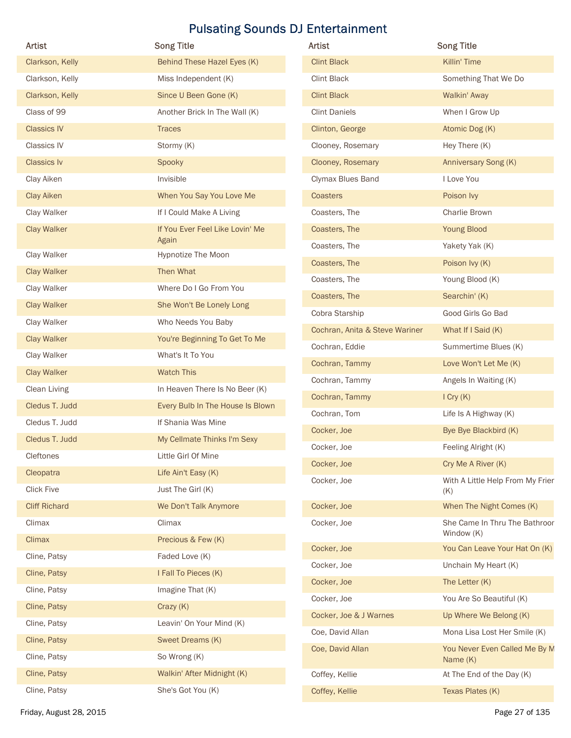|                      |                                          | <b>Pulsating Sounds DJ Entertainment</b> |                                         |
|----------------------|------------------------------------------|------------------------------------------|-----------------------------------------|
| Artist               | <b>Song Title</b>                        | Artist                                   | <b>Song Title</b>                       |
| Clarkson, Kelly      | Behind These Hazel Eyes (K)              | <b>Clint Black</b>                       | Killin' Time                            |
| Clarkson, Kelly      | Miss Independent (K)                     | Clint Black                              | Something That We Do                    |
| Clarkson, Kelly      | Since U Been Gone (K)                    | <b>Clint Black</b>                       | Walkin' Away                            |
| Class of 99          | Another Brick In The Wall (K)            | <b>Clint Daniels</b>                     | When I Grow Up                          |
| <b>Classics IV</b>   | <b>Traces</b>                            | Clinton, George                          | Atomic Dog (K)                          |
| Classics IV          | Stormy (K)                               | Clooney, Rosemary                        | Hey There (K)                           |
| <b>Classics Iv</b>   | Spooky                                   | Clooney, Rosemary                        | Anniversary Song (K)                    |
| Clay Aiken           | Invisible                                | Clymax Blues Band                        | I Love You                              |
| <b>Clay Aiken</b>    | When You Say You Love Me                 | Coasters                                 | Poison Ivy                              |
| Clay Walker          | If I Could Make A Living                 | Coasters, The                            | Charlie Brown                           |
| <b>Clay Walker</b>   | If You Ever Feel Like Lovin' Me<br>Again | Coasters, The                            | <b>Young Blood</b>                      |
| Clay Walker          | Hypnotize The Moon                       | Coasters, The                            | Yakety Yak (K)                          |
| <b>Clay Walker</b>   | Then What                                | Coasters, The                            | Poison Ivy (K)                          |
| Clay Walker          | Where Do I Go From You                   | Coasters, The                            | Young Blood (K)                         |
| <b>Clay Walker</b>   | She Won't Be Lonely Long                 | Coasters, The                            | Searchin' (K)                           |
| Clay Walker          | Who Needs You Baby                       | Cobra Starship                           | Good Girls Go Bad                       |
| <b>Clay Walker</b>   | You're Beginning To Get To Me            | Cochran, Anita & Steve Wariner           | What If I Said (K)                      |
| Clay Walker          | What's It To You                         | Cochran, Eddie                           | Summertime Blues (K)                    |
| <b>Clay Walker</b>   | <b>Watch This</b>                        | Cochran, Tammy                           | Love Won't Let Me (K)                   |
| Clean Living         | In Heaven There Is No Beer (K)           | Cochran, Tammy                           | Angels In Waiting (K)                   |
| Cledus T. Judd       | Every Bulb In The House Is Blown         | Cochran, Tammy                           | $I$ Cry $(K)$                           |
| Cledus T. Judd       | If Shania Was Mine                       | Cochran, Tom                             | Life Is A Highway (K)                   |
| Cledus T. Judd       | My Cellmate Thinks I'm Sexy              | Cocker, Joe                              | Bye Bye Blackbird (K)                   |
| Cleftones            | Little Girl Of Mine                      | Cocker, Joe                              | Feeling Alright (K)                     |
| Cleopatra            | Life Ain't Easy (K)                      | Cocker, Joe                              | Cry Me A River (K)                      |
| <b>Click Five</b>    | Just The Girl (K)                        | Cocker, Joe                              | With A Little Help From My Frier<br>(K) |
| <b>Cliff Richard</b> | We Don't Talk Anymore                    | Cocker, Joe                              | When The Night Comes (K)                |
| Climax               | Climax                                   | Cocker, Joe                              | She Came In Thru The Bathroor           |
| Climax               | Precious & Few (K)                       |                                          | Window (K)                              |
| Cline, Patsy         | Faded Love (K)                           | Cocker, Joe                              | You Can Leave Your Hat On (K)           |
| Cline, Patsy         | I Fall To Pieces (K)                     | Cocker, Joe                              | Unchain My Heart (K)                    |
| Cline, Patsy         | Imagine That (K)                         | Cocker, Joe                              | The Letter (K)                          |
|                      |                                          | Cocker, Joe                              | You Are So Beautiful (K)                |
| Cline, Patsy         | Crazy (K)<br>Leavin' On Your Mind (K)    | Cocker, Joe & J Warnes                   | Up Where We Belong (K)                  |
| Cline, Patsy         |                                          | Coe, David Allan                         | Mona Lisa Lost Her Smile (K)            |
| Cline, Patsy         | Sweet Dreams (K)                         | Coe, David Allan                         | You Never Even Called Me By M           |
| Cline, Patsy         | So Wrong (K)                             |                                          | Name (K)                                |
| Cline, Patsy         | Walkin' After Midnight (K)               | Coffey, Kellie                           | At The End of the Day (K)               |
| Cline, Patsy         | She's Got You (K)                        | Coffey, Kellie                           | Texas Plates (K)                        |

| Artist                         | <b>Song Title</b>                           |
|--------------------------------|---------------------------------------------|
| <b>Clint Black</b>             | Killin' Time                                |
| <b>Clint Black</b>             | Something That We Do                        |
| <b>Clint Black</b>             | Walkin' Away                                |
| <b>Clint Daniels</b>           | When I Grow Up                              |
| Clinton, George                | Atomic Dog (K)                              |
| Clooney, Rosemary              | Hey There (K)                               |
| Clooney, Rosemary              | Anniversary Song (K)                        |
| Clymax Blues Band              | I Love You                                  |
| Coasters                       | Poison Ivy                                  |
| Coasters, The                  | Charlie Brown                               |
| Coasters, The                  | <b>Young Blood</b>                          |
| Coasters, The                  | Yakety Yak (K)                              |
| Coasters, The                  | Poison Ivy (K)                              |
| Coasters, The                  | Young Blood (K)                             |
| Coasters, The                  | Searchin' (K)                               |
| Cobra Starship                 | Good Girls Go Bad                           |
| Cochran, Anita & Steve Wariner | What If I Said (K)                          |
| Cochran, Eddie                 | Summertime Blues (K)                        |
| Cochran, Tammy                 | Love Won't Let Me (K)                       |
| Cochran, Tammy                 | Angels In Waiting (K)                       |
| Cochran, Tammy                 | $I$ Cry $(K)$                               |
| Cochran, Tom                   | Life Is A Highway (K)                       |
| Cocker, Joe                    | Bye Bye Blackbird (K)                       |
| Cocker, Joe                    | Feeling Alright (K)                         |
| Cocker, Joe                    | Cry Me A River (K)                          |
| Cocker, Joe                    | With A Little Help From My Frier<br>(K)     |
| Cocker, Joe                    | When The Night Comes (K)                    |
| Cocker, Joe                    | She Came In Thru The Bathroor<br>Window (K) |
| Cocker, Joe                    | You Can Leave Your Hat On (K)               |
| Cocker, Joe                    | Unchain My Heart (K)                        |
| Cocker, Joe                    | The Letter (K)                              |
| Cocker, Joe                    | You Are So Beautiful (K)                    |
| Cocker, Joe & J Warnes         | Up Where We Belong (K)                      |
| Coe, David Allan               | Mona Lisa Lost Her Smile (K)                |
| Coe, David Allan               | You Never Even Called Me By M<br>Name $(K)$ |
| Coffey, Kellie                 | At The End of the Day (K)                   |
| Coffey, Kellie                 | Texas Plates (K)                            |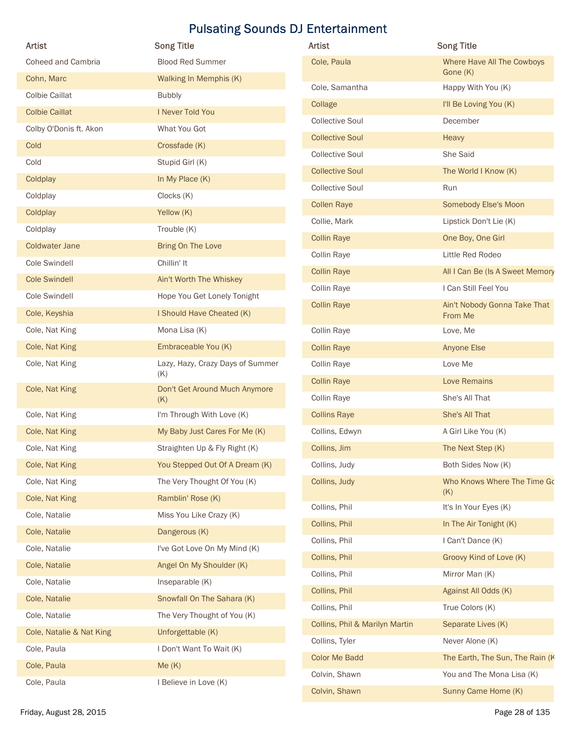|                          | <b>Pulsating Sounds DJ Entertainment</b> |                                |                                        |
|--------------------------|------------------------------------------|--------------------------------|----------------------------------------|
| Artist                   | <b>Song Title</b>                        | Artist                         | <b>Song Title</b>                      |
| Coheed and Cambria       | <b>Blood Red Summer</b>                  | Cole, Paula                    | Where Have All The Cowboys<br>Gone (K) |
| Cohn, Marc               | Walking In Memphis (K)                   | Cole, Samantha                 | Happy With You (K)                     |
| <b>Colbie Caillat</b>    | <b>Bubbly</b>                            | Collage                        | I'll Be Loving You (K)                 |
| <b>Colbie Caillat</b>    | I Never Told You                         | <b>Collective Soul</b>         | December                               |
| Colby O'Donis ft. Akon   | What You Got                             | <b>Collective Soul</b>         | Heavy                                  |
| Cold                     | Crossfade (K)                            | <b>Collective Soul</b>         | She Said                               |
| Cold                     | Stupid Girl (K)                          | <b>Collective Soul</b>         | The World I Know (K)                   |
| Coldplay                 | In My Place (K)                          | <b>Collective Soul</b>         | Run                                    |
| Coldplay                 | Clocks (K)                               | <b>Collen Raye</b>             | Somebody Else's Moon                   |
| Coldplay                 | Yellow (K)                               | Collie, Mark                   | Lipstick Don't Lie (K)                 |
| Coldplay                 | Trouble (K)                              | <b>Collin Raye</b>             | One Boy, One Girl                      |
| <b>Coldwater Jane</b>    | Bring On The Love                        | Collin Raye                    | Little Red Rodeo                       |
| Cole Swindell            | Chillin' It                              | <b>Collin Raye</b>             | All I Can Be (Is A Sweet Memory        |
| <b>Cole Swindell</b>     | Ain't Worth The Whiskey                  | Collin Raye                    | I Can Still Feel You                   |
| Cole Swindell            | Hope You Get Lonely Tonight              | <b>Collin Raye</b>             | Ain't Nobody Gonna Take That           |
| Cole, Keyshia            | I Should Have Cheated (K)                |                                | From Me                                |
| Cole, Nat King           | Mona Lisa (K)                            | Collin Raye                    | Love, Me                               |
| Cole, Nat King           | Embraceable You (K)                      | <b>Collin Raye</b>             | Anyone Else                            |
| Cole, Nat King           | Lazy, Hazy, Crazy Days of Summer<br>(K)  | Collin Raye                    | Love Me                                |
| Cole, Nat King           | Don't Get Around Much Anymore            | <b>Collin Raye</b>             | Love Remains                           |
|                          | (K)                                      | Collin Raye                    | She's All That                         |
| Cole, Nat King           | I'm Through With Love (K)                | <b>Collins Raye</b>            | She's All That                         |
| Cole, Nat King           | My Baby Just Cares For Me (K)            | Collins, Edwyn                 | A Girl Like You (K)                    |
| Cole, Nat King           | Straighten Up & Fly Right (K)            | Collins, Jim                   | The Next Step (K)                      |
| Cole, Nat King           | You Stepped Out Of A Dream (K)           | Collins, Judy                  | Both Sides Now (K)                     |
| Cole, Nat King           | The Very Thought Of You (K)              | Collins, Judy                  | Who Knows Where The Time Go<br>(K)     |
| Cole, Nat King           | Ramblin' Rose (K)                        | Collins, Phil                  | It's In Your Eyes (K)                  |
| Cole, Natalie            | Miss You Like Crazy (K)                  | Collins, Phil                  | In The Air Tonight (K)                 |
| Cole, Natalie            | Dangerous (K)                            | Collins, Phil                  | I Can't Dance (K)                      |
| Cole, Natalie            | I've Got Love On My Mind (K)             | Collins, Phil                  | Groovy Kind of Love (K)                |
| Cole, Natalie            | Angel On My Shoulder (K)                 | Collins, Phil                  | Mirror Man (K)                         |
| Cole, Natalie            | Inseparable (K)                          | Collins, Phil                  | Against All Odds (K)                   |
| Cole, Natalie            | Snowfall On The Sahara (K)               | Collins, Phil                  | True Colors (K)                        |
| Cole, Natalie            | The Very Thought of You (K)              | Collins, Phil & Marilyn Martin | Separate Lives (K)                     |
| Cole, Natalie & Nat King | Unforgettable (K)                        | Collins, Tyler                 | Never Alone (K)                        |
| Cole, Paula              | I Don't Want To Wait (K)                 | <b>Color Me Badd</b>           | The Earth, The Sun, The Rain (K        |
| Cole, Paula              | Me(K)                                    | Colvin, Shawn                  | You and The Mona Lisa (K)              |
| Cole, Paula              | I Believe in Love (K)                    |                                |                                        |

| Artist                   | <b>Song Title</b>                       | Artist                         | <b>Song Title</b>                       |
|--------------------------|-----------------------------------------|--------------------------------|-----------------------------------------|
| Coheed and Cambria       | <b>Blood Red Summer</b>                 | Cole, Paula                    | Where Have All The Cowboys              |
| Cohn, Marc               | Walking In Memphis (K)                  | Cole, Samantha                 | Gone (K)<br>Happy With You (K)          |
| <b>Colbie Caillat</b>    | <b>Bubbly</b>                           |                                | I'll Be Loving You (K)                  |
| <b>Colbie Caillat</b>    | I Never Told You                        | Collage                        |                                         |
| Colby O'Donis ft. Akon   | What You Got                            | <b>Collective Soul</b>         | December                                |
| Cold                     | Crossfade (K)                           | <b>Collective Soul</b>         | Heavy                                   |
| Cold                     | Stupid Girl (K)                         | <b>Collective Soul</b>         | She Said                                |
| Coldplay                 | In My Place (K)                         | <b>Collective Soul</b>         | The World I Know (K)                    |
| Coldplay                 | Clocks (K)                              | <b>Collective Soul</b>         | Run                                     |
| Coldplay                 | Yellow (K)                              | <b>Collen Raye</b>             | Somebody Else's Moon                    |
| Coldplay                 | Trouble (K)                             | Collie, Mark                   | Lipstick Don't Lie (K)                  |
| <b>Coldwater Jane</b>    | Bring On The Love                       | <b>Collin Raye</b>             | One Boy, One Girl                       |
| Cole Swindell            | Chillin' It                             | Collin Raye                    | Little Red Rodeo                        |
| <b>Cole Swindell</b>     | Ain't Worth The Whiskey                 | <b>Collin Raye</b>             | All I Can Be (Is A Sweet Memory         |
| Cole Swindell            | Hope You Get Lonely Tonight             | Collin Raye                    | I Can Still Feel You                    |
| Cole, Keyshia            | I Should Have Cheated (K)               | <b>Collin Raye</b>             | Ain't Nobody Gonna Take That<br>From Me |
| Cole, Nat King           | Mona Lisa (K)                           | Collin Raye                    | Love, Me                                |
| Cole, Nat King           | Embraceable You (K)                     | <b>Collin Raye</b>             | Anyone Else                             |
| Cole, Nat King           | Lazy, Hazy, Crazy Days of Summer<br>(K) | Collin Raye                    | Love Me                                 |
| Cole, Nat King           | Don't Get Around Much Anymore           | <b>Collin Raye</b>             | Love Remains                            |
|                          | (K)                                     | Collin Raye                    | She's All That                          |
| Cole, Nat King           | I'm Through With Love (K)               | <b>Collins Raye</b>            | She's All That                          |
| Cole, Nat King           | My Baby Just Cares For Me (K)           | Collins, Edwyn                 | A Girl Like You (K)                     |
| Cole, Nat King           | Straighten Up & Fly Right (K)           | Collins, Jim                   | The Next Step (K)                       |
| Cole, Nat King           | You Stepped Out Of A Dream (K)          | Collins, Judy                  | Both Sides Now (K)                      |
| Cole, Nat King           | The Very Thought Of You (K)             | Collins, Judy                  | Who Knows Where The Time Go             |
| Cole, Nat King           | Ramblin' Rose (K)                       | Collins, Phil                  | (K)<br>It's In Your Eyes (K)            |
| Cole, Natalie            | Miss You Like Crazy (K)                 | Collins, Phil                  | In The Air Tonight (K)                  |
| Cole, Natalie            | Dangerous (K)                           | Collins, Phil                  | I Can't Dance (K)                       |
| Cole, Natalie            | I've Got Love On My Mind (K)            | Collins, Phil                  | Groovy Kind of Love (K)                 |
| Cole, Natalie            | Angel On My Shoulder (K)                | Collins, Phil                  | Mirror Man (K)                          |
| Cole, Natalie            | Inseparable (K)                         |                                |                                         |
| Cole, Natalie            | Snowfall On The Sahara (K)              | Collins, Phil                  | Against All Odds (K)                    |
| Cole, Natalie            | The Very Thought of You (K)             | Collins, Phil                  | True Colors (K)                         |
| Cole, Natalie & Nat King | Unforgettable (K)                       | Collins, Phil & Marilyn Martin | Separate Lives (K)                      |
| Cole, Paula              | I Don't Want To Wait (K)                | Collins, Tyler                 | Never Alone (K)                         |
| Cole, Paula              | Me(K)                                   | Color Me Badd                  | The Earth, The Sun, The Rain (K         |
| Cole, Paula              | I Believe in Love (K)                   | Colvin, Shawn                  | You and The Mona Lisa (K)               |
|                          |                                         | Colvin, Shawn                  | Sunny Came Home (K)                     |
| Friday, August 28, 2015  |                                         |                                | Page 28 of 135                          |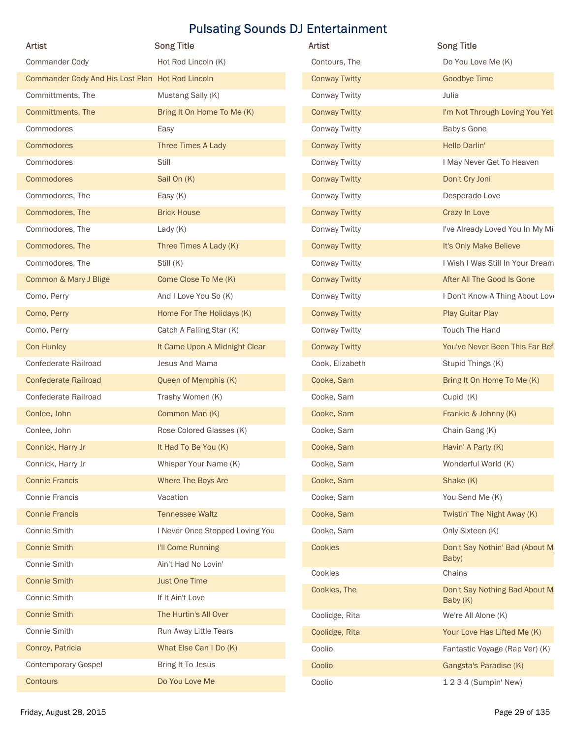| <b>Artist</b>                                    |                                 |                                       |                                           |
|--------------------------------------------------|---------------------------------|---------------------------------------|-------------------------------------------|
|                                                  | <b>Song Title</b>               | Artist                                | <b>Song Title</b>                         |
| Commander Cody                                   | Hot Rod Lincoln (K)             | Contours, The                         | Do You Love Me (K)                        |
| Commander Cody And His Lost Plan Hot Rod Lincoln |                                 | <b>Conway Twitty</b>                  | <b>Goodbye Time</b>                       |
| Committments, The                                | Mustang Sally (K)               | Conway Twitty                         | Julia                                     |
| Committments, The                                | Bring It On Home To Me (K)      | <b>Conway Twitty</b>                  | I'm Not Through Loving You Yet            |
| Commodores                                       | Easy                            | Conway Twitty                         | Baby's Gone                               |
| Commodores                                       | Three Times A Lady              | <b>Conway Twitty</b>                  | Hello Darlin'                             |
| Commodores                                       | Still                           | Conway Twitty                         | I May Never Get To Heaven                 |
| Commodores<br>Commodores, The                    | Sail On (K)<br>Easy (K)         | <b>Conway Twitty</b><br>Conway Twitty | Don't Cry Joni<br>Desperado Love          |
| Commodores, The                                  | <b>Brick House</b>              | <b>Conway Twitty</b>                  | Crazy In Love                             |
| Commodores, The                                  | Lady $(K)$                      | <b>Conway Twitty</b>                  | I've Already Loved You In My Mi           |
| Commodores, The                                  | Three Times A Lady (K)          | <b>Conway Twitty</b>                  | It's Only Make Believe                    |
| Commodores, The                                  | Still (K)                       | Conway Twitty                         | I Wish I Was Still In Your Dream          |
| Common & Mary J Blige                            | Come Close To Me (K)            | <b>Conway Twitty</b>                  | After All The Good Is Gone                |
| Como, Perry                                      | And I Love You So (K)           | Conway Twitty                         | I Don't Know A Thing About Love           |
| Como, Perry                                      | Home For The Holidays (K)       | <b>Conway Twitty</b>                  | Play Guitar Play                          |
| Como, Perry                                      | Catch A Falling Star (K)        | Conway Twitty                         | Touch The Hand                            |
| Con Hunley                                       | It Came Upon A Midnight Clear   | <b>Conway Twitty</b>                  | You've Never Been This Far Bef            |
| Confederate Railroad                             | Jesus And Mama                  | Cook, Elizabeth                       | Stupid Things (K)                         |
| <b>Confederate Railroad</b>                      | Queen of Memphis (K)            | Cooke, Sam                            | Bring It On Home To Me (K)                |
| Confederate Railroad                             | Trashy Women (K)                | Cooke, Sam                            | Cupid (K)                                 |
| Conlee, John                                     | Common Man (K)                  | Cooke, Sam                            | Frankie & Johnny (K)                      |
| Conlee, John                                     | Rose Colored Glasses (K)        | Cooke, Sam                            | Chain Gang (K)                            |
| Connick, Harry Jr                                | It Had To Be You (K)            | Cooke, Sam                            | Havin' A Party (K)                        |
| Connick, Harry Jr                                | Whisper Your Name (K)           | Cooke, Sam                            | Wonderful World (K)                       |
| <b>Connie Francis</b>                            | Where The Boys Are              | Cooke, Sam                            | Shake (K)                                 |
| Connie Francis                                   | Vacation                        | Cooke, Sam                            | You Send Me (K)                           |
| <b>Connie Francis</b>                            | <b>Tennessee Waltz</b>          | Cooke, Sam                            | Twistin' The Night Away (K)               |
| Connie Smith                                     | I Never Once Stopped Loving You | Cooke, Sam                            | Only Sixteen (K)                          |
| <b>Connie Smith</b>                              | I'll Come Running               | Cookies                               | Don't Say Nothin' Bad (About M            |
| Connie Smith                                     | Ain't Had No Lovin'             |                                       | Baby)                                     |
| <b>Connie Smith</b>                              | <b>Just One Time</b>            | Cookies                               | Chains                                    |
| Connie Smith                                     | If It Ain't Love                | Cookies, The                          | Don't Say Nothing Bad About M<br>Baby (K) |
| <b>Connie Smith</b>                              | The Hurtin's All Over           | Coolidge, Rita                        | We're All Alone (K)                       |
| Connie Smith                                     | Run Away Little Tears           | Coolidge, Rita                        | Your Love Has Lifted Me (K)               |
| Conroy, Patricia                                 | What Else Can I Do (K)          | Coolio                                | Fantastic Voyage (Rap Ver) (K)            |
|                                                  | Bring It To Jesus               | Coolio                                | Gangsta's Paradise (K)                    |
| Contemporary Gospel                              |                                 |                                       |                                           |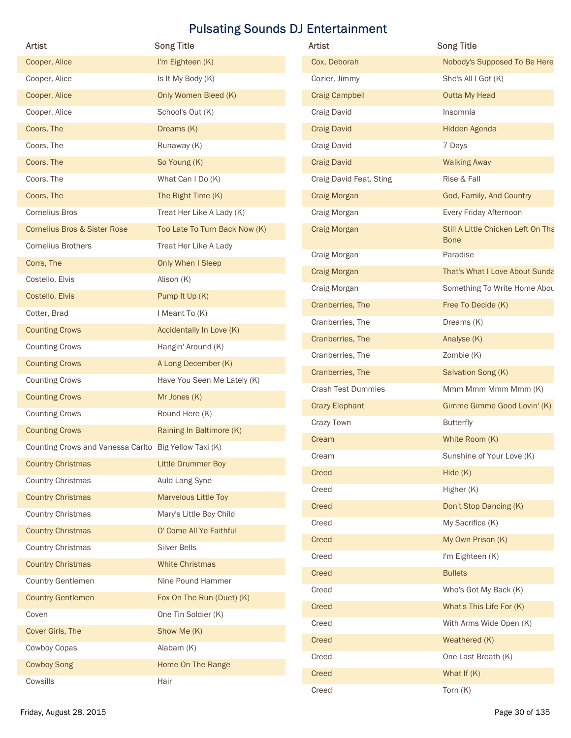| <b>Artist</b>                                         | <b>Song Title</b>             | Artist                    | <b>Song Title</b>                  |
|-------------------------------------------------------|-------------------------------|---------------------------|------------------------------------|
| Cooper, Alice                                         | I'm Eighteen (K)              | Cox, Deborah              | Nobody's Supposed To Be Here       |
| Cooper, Alice                                         | Is It My Body (K)             | Cozier, Jimmy             | She's All I Got (K)                |
| Cooper, Alice                                         | Only Women Bleed (K)          | <b>Craig Campbell</b>     | Outta My Head                      |
| Cooper, Alice                                         | School's Out (K)              | Craig David               | Insomnia                           |
| Coors, The                                            | Dreams (K)                    | <b>Craig David</b>        | Hidden Agenda                      |
| Coors, The                                            | Runaway (K)                   | Craig David               | 7 Days                             |
| Coors, The                                            | So Young (K)                  | <b>Craig David</b>        | <b>Walking Away</b>                |
| Coors, The                                            | What Can I Do (K)             | Craig David Feat. Sting   | Rise & Fall                        |
| Coors, The                                            | The Right Time (K)            | Craig Morgan              | God, Family, And Country           |
| <b>Cornelius Bros</b>                                 | Treat Her Like A Lady (K)     | Craig Morgan              | Every Friday Afternoon             |
| <b>Cornelius Bros &amp; Sister Rose</b>               | Too Late To Turn Back Now (K) | Craig Morgan              | Still A Little Chicken Left On Tha |
| <b>Cornelius Brothers</b>                             | Treat Her Like A Lady         |                           | <b>Bone</b>                        |
| Corrs, The                                            | Only When I Sleep             | Craig Morgan              | Paradise                           |
| Costello, Elvis                                       | Alison (K)                    | Craig Morgan              | That's What I Love About Sunda     |
| Costello, Elvis                                       | Pump It Up (K)                | Craig Morgan              | Something To Write Home Abou       |
| Cotter, Brad                                          | I Meant To (K)                | Cranberries, The          | Free To Decide (K)                 |
| <b>Counting Crows</b>                                 | Accidentally In Love (K)      | Cranberries, The          | Dreams (K)                         |
| <b>Counting Crows</b>                                 | Hangin' Around (K)            | Cranberries, The          | Analyse (K)                        |
| <b>Counting Crows</b>                                 | A Long December (K)           | Cranberries, The          | Zombie (K)                         |
| <b>Counting Crows</b>                                 | Have You Seen Me Lately (K)   | Cranberries, The          | Salvation Song (K)                 |
| <b>Counting Crows</b>                                 | Mr Jones (K)                  | <b>Crash Test Dummies</b> | Mmm Mmm Mmm Mmm (K)                |
| <b>Counting Crows</b>                                 | Round Here (K)                | <b>Crazy Elephant</b>     | Gimme Gimme Good Lovin' (K)        |
| <b>Counting Crows</b>                                 | Raining In Baltimore (K)      | Crazy Town                | <b>Butterfly</b>                   |
| Counting Crows and Vanessa Carlto Big Yellow Taxi (K) |                               | Cream                     | White Room (K)                     |
| <b>Country Christmas</b>                              | <b>Little Drummer Boy</b>     | Cream                     | Sunshine of Your Love (K)          |
| Country Christmas                                     | Auld Lang Syne                | Creed                     | Hide (K)                           |
| <b>Country Christmas</b>                              | Marvelous Little Toy          | Creed                     | Higher (K)                         |
| Country Christmas                                     | Mary's Little Boy Child       | Creed                     | Don't Stop Dancing (K)             |
| <b>Country Christmas</b>                              | O' Come All Ye Faithful       | Creed                     | My Sacrifice (K)                   |
| Country Christmas                                     | Silver Bells                  | Creed                     | My Own Prison (K)                  |
| <b>Country Christmas</b>                              | White Christmas               | Creed                     | I'm Eighteen (K)                   |
| Country Gentlemen                                     | Nine Pound Hammer             | Creed                     | <b>Bullets</b>                     |
| <b>Country Gentlemen</b>                              | Fox On The Run (Duet) (K)     | Creed                     | Who's Got My Back (K)              |
| Coven                                                 | One Tin Soldier (K)           | Creed                     | What's This Life For (K)           |
| Cover Girls, The                                      | Show Me (K)                   | Creed                     | With Arms Wide Open (K)            |
| Cowboy Copas                                          | Alabam (K)                    | Creed                     | Weathered (K)                      |
| <b>Cowboy Song</b>                                    | Home On The Range             | Creed                     | One Last Breath (K)                |
| Cowsills                                              | Hair                          | Creed                     | What If (K)                        |
|                                                       |                               | Creed                     | Torn (K)                           |

| Artist                    | <b>Song Title</b>                                 |
|---------------------------|---------------------------------------------------|
| Cox, Deborah              | Nobody's Supposed To Be Here                      |
| Cozier, Jimmy             | She's All I Got (K)                               |
| <b>Craig Campbell</b>     | <b>Outta My Head</b>                              |
| Craig David               | Insomnia                                          |
| <b>Craig David</b>        | Hidden Agenda                                     |
| Craig David               | 7 Days                                            |
| <b>Craig David</b>        | <b>Walking Away</b>                               |
| Craig David Feat. Sting   | Rise & Fall                                       |
| Craig Morgan              | God, Family, And Country                          |
| Craig Morgan              | Every Friday Afternoon                            |
| Craig Morgan              | Still A Little Chicken Left On Tha<br><b>Bone</b> |
| Craig Morgan              | Paradise                                          |
| Craig Morgan              | That's What I Love About Sunda                    |
| Craig Morgan              | Something To Write Home Abou                      |
| Cranberries, The          | Free To Decide (K)                                |
| Cranberries, The          | Dreams (K)                                        |
| Cranberries, The          | Analyse (K)                                       |
| Cranberries, The          | Zombie (K)                                        |
| Cranberries, The          | Salvation Song (K)                                |
| <b>Crash Test Dummies</b> | Mmm Mmm Mmm Mmm (K)                               |
| <b>Crazy Elephant</b>     | Gimme Gimme Good Lovin' (K)                       |
| Crazy Town                | <b>Butterfly</b>                                  |
| Cream                     | White Room (K)                                    |
| Cream                     | Sunshine of Your Love (K)                         |
| Creed                     | Hide $(K)$                                        |
| Creed                     | Higher (K)                                        |
| Creed                     | Don't Stop Dancing (K)                            |
| Creed                     | My Sacrifice (K)                                  |
| Creed                     | My Own Prison (K)                                 |
| Creed                     | I'm Eighteen (K)                                  |
| Creed                     | <b>Bullets</b>                                    |
| Creed                     | Who's Got My Back (K)                             |
| Creed                     | What's This Life For (K)                          |
| Creed                     | With Arms Wide Open (K)                           |
| Creed                     | Weathered (K)                                     |
| Creed                     | One Last Breath (K)                               |
| Creed                     | What If $(K)$                                     |
| Creed                     | Torn (K)                                          |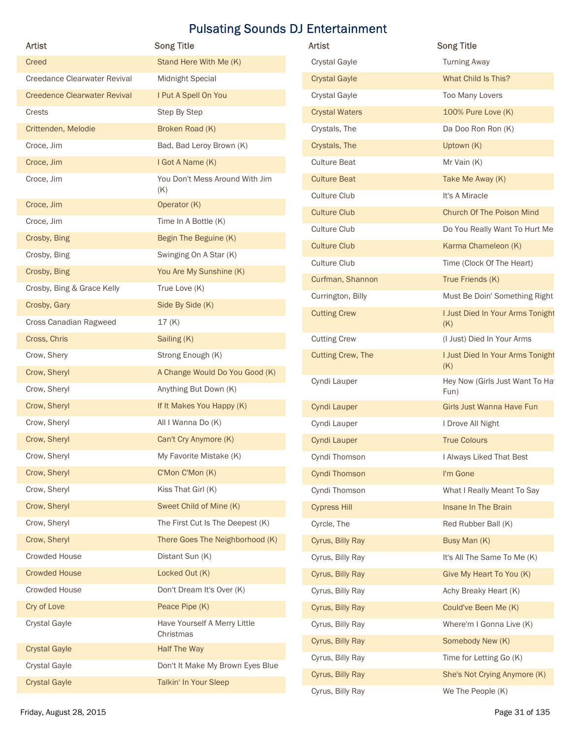| <b>Artist</b>                       | <b>Song Title</b>                         | <b>Artist</b>            |
|-------------------------------------|-------------------------------------------|--------------------------|
| Creed                               | Stand Here With Me (K)                    | <b>Crystal Gayle</b>     |
| Creedance Clearwater Revival        | <b>Midnight Special</b>                   | <b>Crystal Gayle</b>     |
| <b>Creedence Clearwater Revival</b> | I Put A Spell On You                      | <b>Crystal Gayle</b>     |
| Crests                              | Step By Step                              | <b>Crystal Waters</b>    |
| Crittenden, Melodie                 | Broken Road (K)                           | Crystals, The            |
| Croce, Jim                          | Bad, Bad Leroy Brown (K)                  | Crystals, The            |
| Croce, Jim                          | I Got A Name (K)                          | <b>Culture Beat</b>      |
| Croce, Jim                          | You Don't Mess Around With Jim<br>(K)     | <b>Culture Beat</b>      |
| Croce, Jim                          | Operator (K)                              | <b>Culture Club</b>      |
| Croce, Jim                          | Time In A Bottle (K)                      | <b>Culture Club</b>      |
| Crosby, Bing                        | Begin The Beguine (K)                     | <b>Culture Club</b>      |
| Crosby, Bing                        | Swinging On A Star (K)                    | <b>Culture Club</b>      |
| Crosby, Bing                        | You Are My Sunshine (K)                   | <b>Culture Club</b>      |
| Crosby, Bing & Grace Kelly          | True Love (K)                             | Curfman, Shannon         |
| Crosby, Gary                        | Side By Side (K)                          | Currington, Billy        |
| Cross Canadian Ragweed              | 17(K)                                     | <b>Cutting Crew</b>      |
| Cross, Chris                        | Sailing (K)                               | <b>Cutting Crew</b>      |
| Crow, Shery                         | Strong Enough (K)                         | <b>Cutting Crew, The</b> |
| Crow, Sheryl                        | A Change Would Do You Good (K)            |                          |
| Crow, Sheryl                        | Anything But Down (K)                     | Cyndi Lauper             |
| Crow, Sheryl                        | If It Makes You Happy (K)                 | Cyndi Lauper             |
| Crow, Sheryl                        | All I Wanna Do (K)                        | Cyndi Lauper             |
| Crow, Sheryl                        | Can't Cry Anymore (K)                     | <b>Cyndi Lauper</b>      |
| Crow, Sheryl                        | My Favorite Mistake (K)                   | Cyndi Thomson            |
| Crow, Sheryl                        | C'Mon C'Mon (K)                           | Cyndi Thomson            |
| Crow, Sheryl                        | Kiss That Girl (K)                        | Cyndi Thomson            |
| Crow, Sheryl                        | Sweet Child of Mine (K)                   | <b>Cypress Hill</b>      |
| Crow, Sheryl                        | The First Cut Is The Deepest (K)          | Cyrcle, The              |
| Crow, Sheryl                        | There Goes The Neighborhood (K)           | Cyrus, Billy Ray         |
| <b>Crowded House</b>                | Distant Sun (K)                           | Cyrus, Billy Ray         |
| <b>Crowded House</b>                | Locked Out (K)                            | Cyrus, Billy Ray         |
| <b>Crowded House</b>                | Don't Dream It's Over (K)                 | Cyrus, Billy Ray         |
| Cry of Love                         | Peace Pipe (K)                            | Cyrus, Billy Ray         |
| <b>Crystal Gayle</b>                | Have Yourself A Merry Little<br>Christmas | Cyrus, Billy Ray         |
| <b>Crystal Gayle</b>                | <b>Half The Way</b>                       | Cyrus, Billy Ray         |
| <b>Crystal Gayle</b>                | Don't It Make My Brown Eyes Blue          | Cyrus, Billy Ray         |
| <b>Crystal Gayle</b>                | Talkin' In Your Sleep                     | Cyrus, Billy Ray         |

| Artist                              | <b>Song Title</b>                | <b>Pulsating Sounds DJ Entertainment</b><br>Artist | <b>Song Title</b>                      |
|-------------------------------------|----------------------------------|----------------------------------------------------|----------------------------------------|
| Creed                               | Stand Here With Me (K)           | Crystal Gayle                                      | <b>Turning Away</b>                    |
| <b>Creedance Clearwater Revival</b> | Midnight Special                 | <b>Crystal Gayle</b>                               | What Child Is This?                    |
| <b>Creedence Clearwater Revival</b> | I Put A Spell On You             | Crystal Gayle                                      | Too Many Lovers                        |
| Crests                              | Step By Step                     | <b>Crystal Waters</b>                              | 100% Pure Love (K)                     |
| Crittenden, Melodie                 | Broken Road (K)                  | Crystals, The                                      | Da Doo Ron Ron (K)                     |
| Croce, Jim                          | Bad, Bad Leroy Brown (K)         | Crystals, The                                      | Uptown (K)                             |
| Croce, Jim                          | I Got A Name (K)                 | <b>Culture Beat</b>                                | Mr Vain (K)                            |
| Croce, Jim                          | You Don't Mess Around With Jim   | <b>Culture Beat</b>                                | Take Me Away (K)                       |
|                                     | (K)                              | Culture Club                                       | It's A Miracle                         |
| Croce, Jim                          | Operator (K)                     | <b>Culture Club</b>                                | Church Of The Poison Mind              |
| Croce, Jim                          | Time In A Bottle (K)             | Culture Club                                       | Do You Really Want To Hurt Me          |
| Crosby, Bing                        | Begin The Beguine (K)            | <b>Culture Club</b>                                | Karma Chameleon (K)                    |
| Crosby, Bing                        | Swinging On A Star (K)           | Culture Club                                       | Time (Clock Of The Heart)              |
| Crosby, Bing                        | You Are My Sunshine (K)          | Curfman, Shannon                                   | True Friends (K)                       |
| Crosby, Bing & Grace Kelly          | True Love (K)                    | Currington, Billy                                  | Must Be Doin' Something Right          |
| Crosby, Gary                        | Side By Side (K)                 | <b>Cutting Crew</b>                                | I Just Died In Your Arms Tonight       |
| Cross Canadian Ragweed              | 17(K)                            |                                                    | (K)                                    |
| Cross, Chris                        | Sailing (K)                      | <b>Cutting Crew</b>                                | (I Just) Died In Your Arms             |
| Crow, Shery                         | Strong Enough (K)                | <b>Cutting Crew, The</b>                           | I Just Died In Your Arms Tonight       |
| Crow, Sheryl                        | A Change Would Do You Good (K)   |                                                    | (K)                                    |
| Crow, Sheryl                        | Anything But Down (K)            | Cyndi Lauper                                       | Hey Now (Girls Just Want To Ha<br>Fun) |
| Crow, Sheryl                        | If It Makes You Happy (K)        | Cyndi Lauper                                       | Girls Just Wanna Have Fun              |
| Crow, Sheryl                        | All I Wanna Do (K)               | Cyndi Lauper                                       | I Drove All Night                      |
| Crow, Sheryl                        | Can't Cry Anymore (K)            | Cyndi Lauper                                       | <b>True Colours</b>                    |
| Crow, Sheryl                        | My Favorite Mistake (K)          | Cyndi Thomson                                      | I Always Liked That Best               |
| Crow, Sheryl                        | C'Mon C'Mon (K)                  | Cyndi Thomson                                      | I'm Gone                               |
| Crow, Sheryl                        | Kiss That Girl (K)               | Cyndi Thomson                                      | What I Really Meant To Say             |
| Crow, Sheryl                        | Sweet Child of Mine (K)          | <b>Cypress Hill</b>                                | Insane In The Brain                    |
| Crow, Sheryl                        | The First Cut Is The Deepest (K) | Cyrcle, The                                        | Red Rubber Ball (K)                    |
| Crow, Sheryl                        | There Goes The Neighborhood (K)  | Cyrus, Billy Ray                                   | Busy Man (K)                           |
| Crowded House                       | Distant Sun (K)                  | Cyrus, Billy Ray                                   | It's All The Same To Me (K)            |
| <b>Crowded House</b>                | Locked Out (K)                   | Cyrus, Billy Ray                                   | Give My Heart To You (K)               |
| Crowded House                       | Don't Dream It's Over (K)        | Cyrus, Billy Ray                                   | Achy Breaky Heart (K)                  |
| Cry of Love                         | Peace Pipe (K)                   | Cyrus, Billy Ray                                   | Could've Been Me (K)                   |
| <b>Crystal Gayle</b>                | Have Yourself A Merry Little     | Cyrus, Billy Ray                                   | Where'm I Gonna Live (K)               |
|                                     | Christmas                        | Cyrus, Billy Ray                                   | Somebody New (K)                       |
| <b>Crystal Gayle</b>                | Half The Way                     | Cyrus, Billy Ray                                   | Time for Letting Go (K)                |
| Crystal Gayle                       | Don't It Make My Brown Eyes Blue | Cyrus, Billy Ray                                   | She's Not Crying Anymore (K)           |
| <b>Crystal Gayle</b>                | Talkin' In Your Sleep            | Cyrus, Billy Ray                                   | We The People (K)                      |
|                                     |                                  |                                                    |                                        |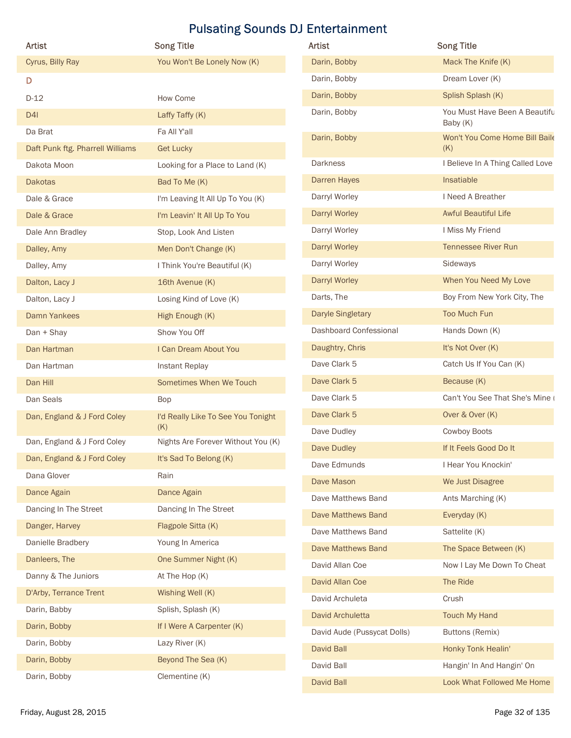|                                  |                                                  | <b>Pulsating Sounds DJ Entertainment</b> |                                         |  |
|----------------------------------|--------------------------------------------------|------------------------------------------|-----------------------------------------|--|
| Artist<br>Cyrus, Billy Ray       | <b>Song Title</b><br>You Won't Be Lonely Now (K) | Artist<br>Darin, Bobby                   | <b>Song Title</b><br>Mack The Knife (K) |  |
|                                  |                                                  | Darin, Bobby                             | Dream Lover (K)                         |  |
| D                                |                                                  | Darin, Bobby                             | Splish Splash (K)                       |  |
| $D-12$                           | How Come                                         | Darin, Bobby                             | You Must Have Been A Beautifu           |  |
| D4I<br>Da Brat                   | Laffy Taffy (K)<br>Fa All Y'all                  |                                          | Baby (K)                                |  |
| Daft Punk ftg. Pharrell Williams | <b>Get Lucky</b>                                 | Darin, Bobby                             | Won't You Come Home Bill Baile<br>(K)   |  |
| Dakota Moon                      | Looking for a Place to Land (K)                  | <b>Darkness</b>                          | I Believe In A Thing Called Love        |  |
| <b>Dakotas</b>                   | Bad To Me (K)                                    | Darren Hayes                             | Insatiable                              |  |
| Dale & Grace                     | I'm Leaving It All Up To You (K)                 | Darryl Worley                            | I Need A Breather                       |  |
| Dale & Grace                     | I'm Leavin' It All Up To You                     | <b>Darryl Worley</b>                     | <b>Awful Beautiful Life</b>             |  |
| Dale Ann Bradley                 | Stop, Look And Listen                            | Darryl Worley                            | I Miss My Friend                        |  |
| Dalley, Amy                      | Men Don't Change (K)                             | Darryl Worley                            | <b>Tennessee River Run</b>              |  |
| Dalley, Amy                      | I Think You're Beautiful (K)                     | Darryl Worley                            | Sideways                                |  |
| Dalton, Lacy J                   | 16th Avenue (K)                                  | <b>Darryl Worley</b>                     | When You Need My Love                   |  |
| Dalton, Lacy J                   | Losing Kind of Love (K)                          | Darts, The                               | Boy From New York City, The             |  |
| Damn Yankees                     | High Enough (K)                                  | <b>Daryle Singletary</b>                 | <b>Too Much Fun</b>                     |  |
| Dan + Shay                       | Show You Off                                     | Dashboard Confessional                   | Hands Down (K)                          |  |
| Dan Hartman                      | I Can Dream About You                            | Daughtry, Chris                          | It's Not Over (K)                       |  |
| Dan Hartman                      | Instant Replay                                   | Dave Clark 5                             | Catch Us If You Can (K)                 |  |
| Dan Hill                         | Sometimes When We Touch                          | Dave Clark 5                             | Because (K)                             |  |
| Dan Seals                        | Bop                                              | Dave Clark 5                             | Can't You See That She's Mine           |  |
| Dan, England & J Ford Coley      | I'd Really Like To See You Tonight               | Dave Clark 5                             | Over & Over (K)                         |  |
| Dan, England & J Ford Coley      | (K)<br>Nights Are Forever Without You (K)        | Dave Dudley                              | Cowboy Boots                            |  |
| Dan, England & J Ford Coley      | It's Sad To Belong (K)                           | Dave Dudley                              | If It Feels Good Do It                  |  |
| Dana Glover                      | Rain                                             | Dave Edmunds                             | I Hear You Knockin'                     |  |
| Dance Again                      | Dance Again                                      | Dave Mason                               | We Just Disagree                        |  |
| Dancing In The Street            | Dancing In The Street                            | Dave Matthews Band                       | Ants Marching (K)                       |  |
| Danger, Harvey                   | Flagpole Sitta (K)                               | Dave Matthews Band                       | Everyday (K)                            |  |
| Danielle Bradbery                | Young In America                                 | Dave Matthews Band                       | Sattelite (K)                           |  |
| Danleers, The                    | One Summer Night (K)                             | Dave Matthews Band                       | The Space Between (K)                   |  |
| Danny & The Juniors              | At The Hop (K)                                   | David Allan Coe<br>David Allan Coe       | Now I Lay Me Down To Cheat<br>The Ride  |  |
| D'Arby, Terrance Trent           | Wishing Well (K)                                 | David Archuleta                          | Crush                                   |  |
| Darin, Babby                     | Splish, Splash (K)                               | David Archuletta                         | <b>Touch My Hand</b>                    |  |
| Darin, Bobby                     | If I Were A Carpenter (K)                        | David Aude (Pussycat Dolls)              | <b>Buttons (Remix)</b>                  |  |
| Darin, Bobby                     | Lazy River (K)                                   | David Ball                               | Honky Tonk Healin'                      |  |
| Darin, Bobby                     | Beyond The Sea (K)                               | David Ball                               | Hangin' In And Hangin' On               |  |
| Darin, Bobby                     | Clementine (K)                                   | Dovid Poll                               | Look What Followed Mo Home              |  |

| Artist                           | <b>Song Title</b>                         | Artist                      | <b>Song Title</b>                         |
|----------------------------------|-------------------------------------------|-----------------------------|-------------------------------------------|
| Cyrus, Billy Ray                 | You Won't Be Lonely Now (K)               | Darin, Bobby                | Mack The Knife (K)                        |
| D                                |                                           | Darin, Bobby                | Dream Lover (K)                           |
| $D-12$                           | How Come                                  | Darin, Bobby                | Splish Splash (K)                         |
| D <sub>4</sub>                   | Laffy Taffy (K)                           | Darin, Bobby                | You Must Have Been A Beautifu<br>Baby (K) |
| Da Brat                          | Fa All Y'all                              | Darin, Bobby                | Won't You Come Home Bill Baile            |
| Daft Punk ftg. Pharrell Williams | <b>Get Lucky</b>                          |                             | (K)                                       |
| Dakota Moon                      | Looking for a Place to Land (K)           | <b>Darkness</b>             | I Believe In A Thing Called Love          |
| <b>Dakotas</b>                   | Bad To Me (K)                             | Darren Hayes                | Insatiable                                |
| Dale & Grace                     | I'm Leaving It All Up To You (K)          | Darryl Worley               | I Need A Breather                         |
| Dale & Grace                     | I'm Leavin' It All Up To You              | Darryl Worley               | <b>Awful Beautiful Life</b>               |
| Dale Ann Bradley                 | Stop, Look And Listen                     | Darryl Worley               | I Miss My Friend                          |
| Dalley, Amy                      | Men Don't Change (K)                      | Darryl Worley               | <b>Tennessee River Run</b>                |
| Dalley, Amy                      | I Think You're Beautiful (K)              | Darryl Worley               | Sideways                                  |
| Dalton, Lacy J                   | 16th Avenue (K)                           | Darryl Worley               | When You Need My Love                     |
| Dalton, Lacy J                   | Losing Kind of Love (K)                   | Darts, The                  | Boy From New York City, The               |
| Damn Yankees                     | High Enough (K)                           | <b>Daryle Singletary</b>    | Too Much Fun                              |
| Dan + Shay                       | Show You Off                              | Dashboard Confessional      | Hands Down (K)                            |
| Dan Hartman                      | I Can Dream About You                     | Daughtry, Chris             | It's Not Over (K)                         |
| Dan Hartman                      | Instant Replay                            | Dave Clark 5                | Catch Us If You Can (K)                   |
| Dan Hill                         | Sometimes When We Touch                   | Dave Clark 5                | Because (K)                               |
| Dan Seals                        | Bop                                       | Dave Clark 5                | Can't You See That She's Mine             |
| Dan, England & J Ford Coley      | I'd Really Like To See You Tonight        | Dave Clark 5                | Over & Over (K)                           |
|                                  | (K)<br>Nights Are Forever Without You (K) | Dave Dudley                 | Cowboy Boots                              |
| Dan, England & J Ford Coley      |                                           | Dave Dudley                 | If It Feels Good Do It                    |
| Dan, England & J Ford Coley      | It's Sad To Belong (K)                    | Dave Edmunds                | I Hear You Knockin'                       |
| Dana Glover                      | Rain                                      | Dave Mason                  | We Just Disagree                          |
| Dance Again                      | Dance Again                               | Dave Matthews Band          | Ants Marching (K)                         |
| Dancing In The Street            | Dancing In The Street                     | Dave Matthews Band          | Everyday (K)                              |
| Danger, Harvey                   | Flagpole Sitta (K)                        | Dave Matthews Band          | Sattelite (K)                             |
| Danielle Bradbery                | Young In America                          | Dave Matthews Band          | The Space Between (K)                     |
| Danleers, The                    | One Summer Night (K)                      | David Allan Coe             | Now I Lay Me Down To Cheat                |
| Danny & The Juniors              | At The Hop (K)                            | David Allan Coe             | The Ride                                  |
| D'Arby, Terrance Trent           | Wishing Well (K)                          | David Archuleta             | Crush                                     |
| Darin, Babby                     | Splish, Splash (K)                        | David Archuletta            | <b>Touch My Hand</b>                      |
| Darin, Bobby                     | If I Were A Carpenter (K)                 | David Aude (Pussycat Dolls) | Buttons (Remix)                           |
| Darin, Bobby                     | Lazy River (K)                            | David Ball                  | Honky Tonk Healin'                        |
| Darin, Bobby                     | Beyond The Sea (K)                        | David Ball                  | Hangin' In And Hangin' On                 |
| Darin, Bobby                     | Clementine (K)                            | David Ball                  | Look What Followed Me Home                |
| Friday, August 28, 2015          |                                           |                             | Page 32 of 135                            |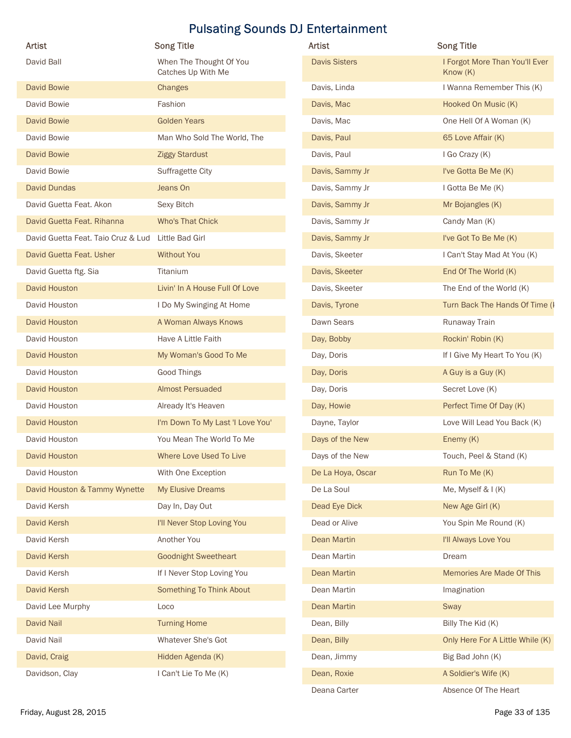|                                                    | <b>Pulsating Sounds DJ Entertainment</b>      |                      |                                              |
|----------------------------------------------------|-----------------------------------------------|----------------------|----------------------------------------------|
| Artist                                             | <b>Song Title</b>                             | Artist               | <b>Song Title</b>                            |
| David Ball                                         | When The Thought Of You<br>Catches Up With Me | <b>Davis Sisters</b> | I Forgot More Than You'll Ever<br>Know $(K)$ |
| <b>David Bowie</b>                                 | <b>Changes</b>                                | Davis, Linda         | I Wanna Remember This (K)                    |
| David Bowie                                        | Fashion                                       | Davis, Mac           | Hooked On Music (K)                          |
| <b>David Bowie</b>                                 | <b>Golden Years</b>                           | Davis, Mac           | One Hell Of A Woman (K)                      |
| David Bowie                                        | Man Who Sold The World, The                   | Davis, Paul          | 65 Love Affair (K)                           |
| <b>David Bowie</b>                                 | <b>Ziggy Stardust</b>                         | Davis, Paul          | I Go Crazy (K)                               |
| David Bowie                                        | Suffragette City                              | Davis, Sammy Jr      | I've Gotta Be Me (K)                         |
| David Dundas                                       | Jeans On                                      | Davis, Sammy Jr      | I Gotta Be Me (K)                            |
| David Guetta Feat. Akon                            | Sexy Bitch                                    | Davis, Sammy Jr      | Mr Bojangles (K)                             |
| David Guetta Feat. Rihanna                         | Who's That Chick                              | Davis, Sammy Jr      | Candy Man (K)                                |
| David Guetta Feat. Taio Cruz & Lud Little Bad Girl |                                               | Davis, Sammy Jr      | I've Got To Be Me (K)                        |
| David Guetta Feat. Usher                           | <b>Without You</b>                            | Davis, Skeeter       | I Can't Stay Mad At You (K)                  |
| David Guetta ftg. Sia                              | Titanium                                      | Davis, Skeeter       | End Of The World (K)                         |
| David Houston                                      | Livin' In A House Full Of Love                | Davis, Skeeter       | The End of the World (K)                     |
| David Houston                                      | I Do My Swinging At Home                      | Davis, Tyrone        | Turn Back The Hands Of Time (I               |
| David Houston                                      | A Woman Always Knows                          | Dawn Sears           | Runaway Train                                |
| David Houston                                      | Have A Little Faith                           | Day, Bobby           | Rockin' Robin (K)                            |
| David Houston                                      | My Woman's Good To Me                         | Day, Doris           | If I Give My Heart To You (K)                |
| David Houston                                      | Good Things                                   | Day, Doris           | A Guy is a Guy (K)                           |
| David Houston                                      | <b>Almost Persuaded</b>                       | Day, Doris           | Secret Love (K)                              |
| David Houston                                      | Already It's Heaven                           | Day, Howie           | Perfect Time Of Day (K)                      |
| David Houston                                      | I'm Down To My Last 'I Love You'              | Dayne, Taylor        | Love Will Lead You Back (K)                  |
| David Houston                                      | You Mean The World To Me                      | Days of the New      | Enemy (K)                                    |
| David Houston                                      | Where Love Used To Live                       | Days of the New      | Touch, Peel & Stand (K)                      |
| David Houston                                      | With One Exception                            | De La Hoya, Oscar    | Run To Me (K)                                |
| David Houston & Tammy Wynette                      | My Elusive Dreams                             | De La Soul           | Me, Myself & I (K)                           |
| David Kersh                                        | Day In, Day Out                               | Dead Eye Dick        | New Age Girl (K)                             |
| David Kersh                                        | I'll Never Stop Loving You                    | Dead or Alive        | You Spin Me Round (K)                        |
| David Kersh                                        | Another You                                   | Dean Martin          | I'll Always Love You                         |
| David Kersh                                        | <b>Goodnight Sweetheart</b>                   | Dean Martin          | Dream                                        |
| David Kersh                                        | If I Never Stop Loving You                    | Dean Martin          | Memories Are Made Of This                    |
| David Kersh                                        | Something To Think About                      | Dean Martin          | Imagination                                  |
| David Lee Murphy                                   | Loco                                          | Dean Martin          | Sway                                         |
| David Nail                                         | <b>Turning Home</b>                           | Dean, Billy          | Billy The Kid (K)                            |
| David Nail                                         | Whatever She's Got                            | Dean, Billy          | Only Here For A Little While (K)             |
| David, Craig                                       | Hidden Agenda (K)                             | Dean, Jimmy          | Big Bad John (K)                             |
| Davidson, Clay                                     | I Can't Lie To Me (K)                         | Dean, Roxie          | A Soldier's Wife (K)                         |

| <b>Artist</b>                      | <b>Song Title</b>                             | Artist               | <b>Song Title</b>                            |
|------------------------------------|-----------------------------------------------|----------------------|----------------------------------------------|
| David Ball                         | When The Thought Of You<br>Catches Up With Me | <b>Davis Sisters</b> | I Forgot More Than You'll Ever<br>Know $(K)$ |
| <b>David Bowie</b>                 | Changes                                       | Davis, Linda         | I Wanna Remember This (K)                    |
| David Bowie                        | Fashion                                       | Davis, Mac           | Hooked On Music (K)                          |
| <b>David Bowie</b>                 | <b>Golden Years</b>                           | Davis, Mac           | One Hell Of A Woman (K)                      |
| David Bowie                        | Man Who Sold The World, The                   | Davis, Paul          | 65 Love Affair (K)                           |
| <b>David Bowie</b>                 | <b>Ziggy Stardust</b>                         | Davis, Paul          | I Go Crazy (K)                               |
| David Bowie                        | Suffragette City                              | Davis, Sammy Jr      | I've Gotta Be Me (K)                         |
| David Dundas                       | Jeans On                                      | Davis, Sammy Jr      | I Gotta Be Me (K)                            |
| David Guetta Feat. Akon            | Sexy Bitch                                    | Davis, Sammy Jr      | Mr Bojangles (K)                             |
| David Guetta Feat. Rihanna         | <b>Who's That Chick</b>                       | Davis, Sammy Jr      | Candy Man (K)                                |
| David Guetta Feat. Taio Cruz & Lud | Little Bad Girl                               | Davis, Sammy Jr      | I've Got To Be Me (K)                        |
| David Guetta Feat. Usher           | <b>Without You</b>                            | Davis, Skeeter       | I Can't Stay Mad At You (K)                  |
| David Guetta ftg. Sia              | Titanium                                      | Davis, Skeeter       | End Of The World (K)                         |
| David Houston                      | Livin' In A House Full Of Love                | Davis, Skeeter       | The End of the World (K)                     |
| David Houston                      | I Do My Swinging At Home                      | Davis, Tyrone        | Turn Back The Hands Of Time (I               |
| <b>David Houston</b>               | A Woman Always Knows                          | Dawn Sears           | Runaway Train                                |
| David Houston                      | Have A Little Faith                           | Day, Bobby           | Rockin' Robin (K)                            |
| <b>David Houston</b>               | My Woman's Good To Me                         | Day, Doris           | If I Give My Heart To You (K)                |
| David Houston                      | Good Things                                   | Day, Doris           | A Guy is a Guy (K)                           |
| <b>David Houston</b>               | <b>Almost Persuaded</b>                       | Day, Doris           | Secret Love (K)                              |
| David Houston                      | Already It's Heaven                           | Day, Howie           | Perfect Time Of Day (K)                      |
| <b>David Houston</b>               | I'm Down To My Last 'I Love You'              | Dayne, Taylor        | Love Will Lead You Back (K)                  |
| David Houston                      | You Mean The World To Me                      | Days of the New      | Enemy (K)                                    |
| David Houston                      | Where Love Used To Live                       | Days of the New      | Touch, Peel & Stand (K)                      |
| David Houston                      | With One Exception                            | De La Hoya, Oscar    | Run To Me (K)                                |
| David Houston & Tammy Wynette      | My Elusive Dreams                             | De La Soul           | Me, Myself & I (K)                           |
| David Kersh                        | Day In, Day Out                               | Dead Eye Dick        | New Age Girl (K)                             |
| David Kersh                        | I'll Never Stop Loving You                    | Dead or Alive        | You Spin Me Round (K)                        |
| David Kersh                        | Another You                                   | Dean Martin          | I'll Always Love You                         |
| David Kersh                        | <b>Goodnight Sweetheart</b>                   | Dean Martin          | Dream                                        |
| David Kersh                        | If I Never Stop Loving You                    | Dean Martin          | Memories Are Made Of This                    |
| David Kersh                        | Something To Think About                      | Dean Martin          | Imagination                                  |
| David Lee Murphy                   | Loco                                          | <b>Dean Martin</b>   | Sway                                         |
| David Nail                         | <b>Turning Home</b>                           | Dean, Billy          | Billy The Kid (K)                            |
| David Nail                         | Whatever She's Got                            | Dean, Billy          | Only Here For A Little While (K)             |
| David, Craig                       | Hidden Agenda (K)                             | Dean, Jimmy          | Big Bad John (K)                             |
| Davidson, Clay                     | I Can't Lie To Me (K)                         | Dean, Roxie          | A Soldier's Wife (K)                         |
|                                    |                                               | Deana Carter         | Absence Of The Heart                         |
| Friday, August 28, 2015            |                                               |                      | Page 33 of 135                               |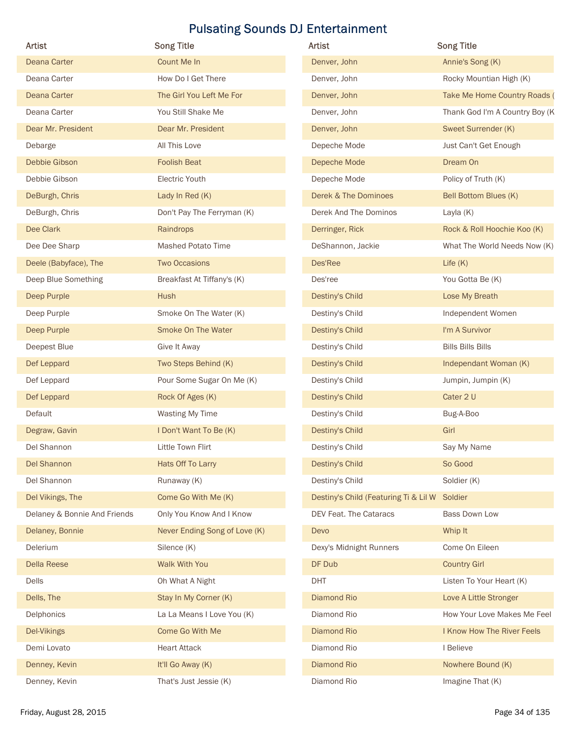|                              |                               | <b>Pulsating Sounds DJ Entertainment</b>      |                                |
|------------------------------|-------------------------------|-----------------------------------------------|--------------------------------|
| Artist                       | <b>Song Title</b>             | Artist                                        | <b>Song Title</b>              |
| Deana Carter                 | Count Me In                   | Denver, John                                  | Annie's Song (K)               |
| Deana Carter                 | How Do I Get There            | Denver, John                                  | Rocky Mountian High (K)        |
| <b>Deana Carter</b>          | The Girl You Left Me For      | Denver, John                                  | Take Me Home Country Roads (   |
| Deana Carter                 | You Still Shake Me            | Denver, John                                  | Thank God I'm A Country Boy (K |
| Dear Mr. President           | Dear Mr. President            | Denver, John                                  | Sweet Surrender (K)            |
| Debarge                      | All This Love                 | Depeche Mode                                  | Just Can't Get Enough          |
| Debbie Gibson                | <b>Foolish Beat</b>           | Depeche Mode                                  | Dream On                       |
| Debbie Gibson                | Electric Youth                | Depeche Mode                                  | Policy of Truth (K)            |
| DeBurgh, Chris               | Lady In Red (K)               | Derek & The Dominoes                          | Bell Bottom Blues (K)          |
| DeBurgh, Chris               | Don't Pay The Ferryman (K)    | Derek And The Dominos                         | Layla (K)                      |
| Dee Clark                    | Raindrops                     | Derringer, Rick                               | Rock & Roll Hoochie Koo (K)    |
| Dee Dee Sharp                | Mashed Potato Time            | DeShannon, Jackie                             | What The World Needs Now (K)   |
| Deele (Babyface), The        | <b>Two Occasions</b>          | Des'Ree                                       | Life (K)                       |
| Deep Blue Something          | Breakfast At Tiffany's (K)    | Des'ree                                       | You Gotta Be (K)               |
| Deep Purple                  | Hush                          | Destiny's Child                               | Lose My Breath                 |
| Deep Purple                  | Smoke On The Water (K)        | Destiny's Child                               | Independent Women              |
| Deep Purple                  | Smoke On The Water            | Destiny's Child                               | I'm A Survivor                 |
| Deepest Blue                 | Give It Away                  | Destiny's Child                               | <b>Bills Bills Bills</b>       |
| Def Leppard                  | Two Steps Behind (K)          | Destiny's Child                               | Independant Woman (K)          |
| Def Leppard                  | Pour Some Sugar On Me (K)     | Destiny's Child                               | Jumpin, Jumpin (K)             |
| Def Leppard                  | Rock Of Ages (K)              | Destiny's Child                               | Cater 2 U                      |
| Default                      | <b>Wasting My Time</b>        | Destiny's Child                               | Bug-A-Boo                      |
| Degraw, Gavin                | I Don't Want To Be (K)        | Destiny's Child                               | Girl                           |
| Del Shannon                  | Little Town Flirt             | Destiny's Child                               | Say My Name                    |
| Del Shannon                  | Hats Off To Larry             | Destiny's Child                               | So Good                        |
| Del Shannon                  | Runaway (K)                   | Destiny's Child                               | Soldier (K)                    |
| Del Vikings, The             | Come Go With Me (K)           | Destiny's Child (Featuring Ti & Lil W Soldier |                                |
| Delaney & Bonnie And Friends | Only You Know And I Know      | DEV Feat. The Cataracs                        | Bass Down Low                  |
| Delaney, Bonnie              | Never Ending Song of Love (K) | Devo                                          | Whip It                        |
| Delerium                     | Silence (K)                   | Dexy's Midnight Runners                       | Come On Eileen                 |
| Della Reese                  | Walk With You                 | DF Dub                                        | <b>Country Girl</b>            |
| Dells                        | Oh What A Night               | <b>DHT</b>                                    | Listen To Your Heart (K)       |
| Dells, The                   | Stay In My Corner (K)         | Diamond Rio                                   | Love A Little Stronger         |
| Delphonics                   | La La Means I Love You (K)    | Diamond Rio                                   | How Your Love Makes Me Feel    |
| Del-Vikings                  | Come Go With Me               | Diamond Rio                                   | I Know How The River Feels     |
| Demi Lovato                  | <b>Heart Attack</b>           | Diamond Rio                                   | I Believe                      |
| Denney, Kevin                | It'll Go Away (K)             | Diamond Rio                                   | Nowhere Bound (K)              |
|                              | That's Just Jessie (K)        | Diamond Rio                                   | Imagine That (K)               |

| Artist                                | <b>Song Title</b>              |
|---------------------------------------|--------------------------------|
| Denver, John                          | Annie's Song (K)               |
| Denver, John                          | Rocky Mountian High (K)        |
| Denver, John                          | Take Me Home Country Roads (   |
| Denver, John                          | Thank God I'm A Country Boy (K |
| Denver, John                          | Sweet Surrender (K)            |
| Depeche Mode                          | Just Can't Get Enough          |
| Depeche Mode                          | Dream On                       |
| Depeche Mode                          | Policy of Truth (K)            |
| Derek & The Dominoes                  | Bell Bottom Blues (K)          |
| Derek And The Dominos                 | Layla (K)                      |
| Derringer, Rick                       | Rock & Roll Hoochie Koo (K)    |
| DeShannon, Jackie                     | What The World Needs Now (K)   |
| Des'Ree                               | Life $(K)$                     |
| Des'ree                               | You Gotta Be (K)               |
| Destiny's Child                       | Lose My Breath                 |
| Destiny's Child                       | Independent Women              |
| Destiny's Child                       | I'm A Survivor                 |
| Destiny's Child                       | <b>Bills Bills Bills</b>       |
| Destiny's Child                       | Independant Woman (K)          |
| Destiny's Child                       | Jumpin, Jumpin (K)             |
| Destiny's Child                       | Cater 2 U                      |
| Destiny's Child                       | Bug-A-Boo                      |
| Destiny's Child                       | Girl                           |
| Destiny's Child                       | Say My Name                    |
| Destiny's Child                       | So Good                        |
| Destiny's Child                       | Soldier (K)                    |
| Destiny's Child (Featuring Ti & Lil W | Soldier                        |
| DEV Feat. The Cataracs                | Bass Down Low                  |
| Devo                                  | Whip It                        |
| Dexy's Midnight Runners               | Come On Eileen                 |
| DF Dub                                | <b>Country Girl</b>            |
| DHT                                   | Listen To Your Heart (K)       |
| <b>Diamond Rio</b>                    | Love A Little Stronger         |
| Diamond Rio                           | How Your Love Makes Me Feel    |
| <b>Diamond Rio</b>                    | I Know How The River Feels     |
| Diamond Rio                           | I Believe                      |
| <b>Diamond Rio</b>                    | Nowhere Bound (K)              |
|                                       |                                |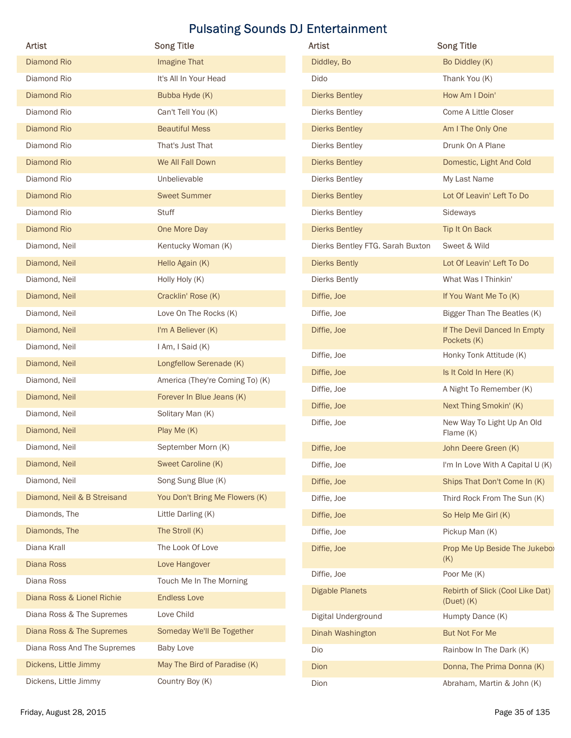|                             |                                 | <b>Pulsating Sounds DJ Entertainment</b> |                                        |
|-----------------------------|---------------------------------|------------------------------------------|----------------------------------------|
| <b>Artist</b>               | <b>Song Title</b>               | Artist                                   | <b>Song Title</b>                      |
| <b>Diamond Rio</b>          | Imagine That                    | Diddley, Bo                              | Bo Diddley (K)                         |
| Diamond Rio                 | It's All In Your Head           | Dido                                     | Thank You (K)                          |
| <b>Diamond Rio</b>          | Bubba Hyde (K)                  | <b>Dierks Bentley</b>                    | How Am I Doin'                         |
| Diamond Rio                 | Can't Tell You (K)              | <b>Dierks Bentley</b>                    | Come A Little Closer                   |
| <b>Diamond Rio</b>          | <b>Beautiful Mess</b>           | <b>Dierks Bentley</b>                    | Am I The Only One                      |
| Diamond Rio                 | That's Just That                | <b>Dierks Bentley</b>                    | Drunk On A Plane                       |
| <b>Diamond Rio</b>          | We All Fall Down                | <b>Dierks Bentley</b>                    | Domestic, Light And Cold               |
| Diamond Rio                 | Unbelievable                    | <b>Dierks Bentley</b>                    | My Last Name                           |
| <b>Diamond Rio</b>          | <b>Sweet Summer</b>             | <b>Dierks Bentley</b>                    | Lot Of Leavin' Left To Do              |
| Diamond Rio                 | Stuff                           | <b>Dierks Bentley</b>                    | Sideways                               |
| <b>Diamond Rio</b>          | One More Day                    | <b>Dierks Bentley</b>                    | Tip It On Back                         |
| Diamond, Neil               | Kentucky Woman (K)              | Dierks Bentley FTG. Sarah Buxton         | Sweet & Wild                           |
| Diamond, Neil               | Hello Again (K)                 | <b>Dierks Bently</b>                     | Lot Of Leavin' Left To Do              |
| Diamond, Neil               | Holly Holy (K)                  | Dierks Bently                            | What Was I Thinkin'                    |
| Diamond, Neil               | Cracklin' Rose (K)              | Diffie, Joe                              | If You Want Me To (K)                  |
| Diamond, Neil               | Love On The Rocks (K)           | Diffie, Joe                              | Bigger Than The Beatles (K)            |
| Diamond, Neil               | I'm A Believer (K)              | Diffie, Joe                              | If The Devil Danced In Empty           |
| Diamond, Neil               | I Am, I Said (K)                | Diffie, Joe                              | Pockets (K)<br>Honky Tonk Attitude (K) |
| Diamond, Neil               | Longfellow Serenade (K)         | Diffie, Joe                              | Is It Cold In Here (K)                 |
| Diamond, Neil               | America (They're Coming To) (K) | Diffie, Joe                              | A Night To Remember (K)                |
| Diamond, Neil               | Forever In Blue Jeans (K)       | Diffie, Joe                              | Next Thing Smokin' (K)                 |
| Diamond, Neil               | Solitary Man (K)                | Diffie, Joe                              | New Way To Light Up An Old             |
| Diamond, Neil               | Play Me (K)                     |                                          | Flame (K)                              |
| Diamond, Neil               | September Morn (K)              | Diffie, Joe                              | John Deere Green (K)                   |
| Diamond, Neil               | Sweet Caroline (K)              | Diffie, Joe                              | I'm In Love With A Capital U (K)       |
| Diamond, Neil               | Song Sung Blue (K)              | Diffie, Joe                              | Ships That Don't Come In (K)           |
| Diamond, Neil & B Streisand | You Don't Bring Me Flowers (K)  | Diffie, Joe                              | Third Rock From The Sun (K)            |
| Diamonds, The               | Little Darling (K)              | Diffie, Joe                              | So Help Me Girl (K)                    |
| Diamonds, The               | The Stroll (K)                  | Diffie, Joe                              | Pickup Man (K)                         |
| Diana Krall                 | The Look Of Love                | Diffie, Joe                              | Prop Me Up Beside The Jukebo:<br>(K)   |
| Diana Ross                  | Love Hangover                   | Diffie, Joe                              | Poor Me (K)                            |
| Diana Ross                  | Touch Me In The Morning         | <b>Digable Planets</b>                   | Rebirth of Slick (Cool Like Dat)       |
| Diana Ross & Lionel Richie  | <b>Endless Love</b>             |                                          | $(Duet)$ $(K)$                         |
| Diana Ross & The Supremes   | Love Child                      | Digital Underground                      | Humpty Dance (K)                       |
| Diana Ross & The Supremes   | Someday We'll Be Together       | Dinah Washington                         | But Not For Me                         |
| Diana Ross And The Supremes | <b>Baby Love</b>                | Dio                                      | Rainbow In The Dark (K)                |
| Dickens, Little Jimmy       | May The Bird of Paradise (K)    | Dion                                     | Donna, The Prima Donna (K)             |
| Dickens, Little Jimmy       | Country Boy (K)                 | Dion                                     | Abraham, Martin & John (K)             |

| Artist                           | <b>Song Title</b>                                  |
|----------------------------------|----------------------------------------------------|
| Diddley, Bo                      | Bo Diddley (K)                                     |
| Dido                             | Thank You (K)                                      |
| <b>Dierks Bentley</b>            | How Am I Doin'                                     |
| Dierks Bentley                   | Come A Little Closer                               |
| <b>Dierks Bentley</b>            | Am I The Only One                                  |
| Dierks Bentley                   | Drunk On A Plane                                   |
| <b>Dierks Bentley</b>            | Domestic, Light And Cold                           |
| Dierks Bentley                   | My Last Name                                       |
| <b>Dierks Bentley</b>            | Lot Of Leavin' Left To Do                          |
| Dierks Bentley                   | Sideways                                           |
| <b>Dierks Bentley</b>            | Tip It On Back                                     |
| Dierks Bentley FTG. Sarah Buxton | Sweet & Wild                                       |
| <b>Dierks Bently</b>             | Lot Of Leavin' Left To Do                          |
| Dierks Bently                    | What Was I Thinkin'                                |
| Diffie, Joe                      | If You Want Me To (K)                              |
| Diffie, Joe                      | Bigger Than The Beatles (K)                        |
| Diffie, Joe                      | If The Devil Danced In Empty<br>Pockets (K)        |
| Diffie, Joe                      | Honky Tonk Attitude (K)                            |
| Diffie, Joe                      | Is It Cold In Here (K)                             |
| Diffie, Joe                      | A Night To Remember (K)                            |
| Diffie, Joe                      | Next Thing Smokin' (K)                             |
| Diffie, Joe                      | New Way To Light Up An Old<br>Flame (K)            |
| Diffie, Joe                      | John Deere Green (K)                               |
| Diffie, Joe                      | I'm In Love With A Capital U (K)                   |
| Diffie, Joe                      | Ships That Don't Come In (K)                       |
| Diffie, Joe                      | Third Rock From The Sun (K)                        |
| Diffie, Joe                      | So Help Me Girl (K)                                |
| Diffie, Joe                      | Pickup Man (K)                                     |
| Diffie, Joe                      | Prop Me Up Beside The Jukebo:<br>(K)               |
| Diffie, Joe                      | Poor Me (K)                                        |
| <b>Digable Planets</b>           | Rebirth of Slick (Cool Like Dat)<br>$(Duet)$ $(K)$ |
| Digital Underground              | Humpty Dance (K)                                   |
| Dinah Washington                 | <b>But Not For Me</b>                              |
| Dio                              | Rainbow In The Dark (K)                            |
| Dion                             | Donna, The Prima Donna (K)                         |
| Dion                             | Abraham, Martin & John (K)                         |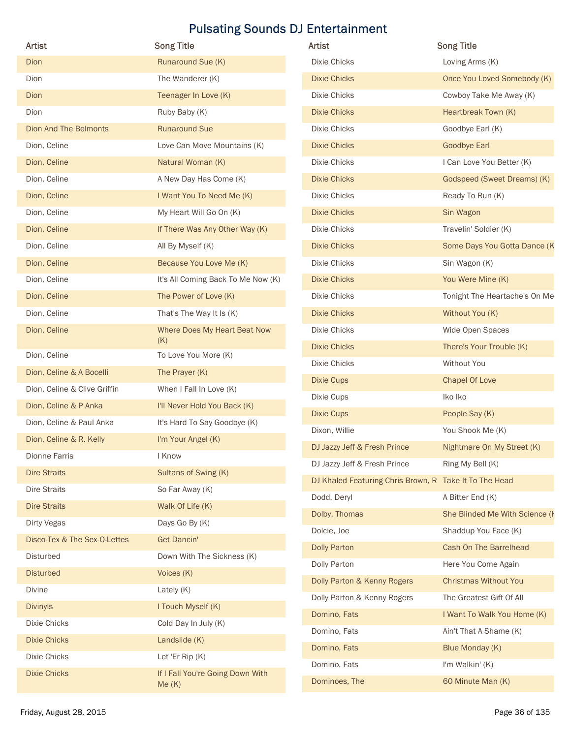| Artist                       | <b>Song Title</b>                         | Artist                                                 | <b>Song Title</b>              |
|------------------------------|-------------------------------------------|--------------------------------------------------------|--------------------------------|
| Dion                         | Runaround Sue (K)                         | Dixie Chicks                                           | Loving Arms (K)                |
| Dion                         | The Wanderer (K)                          | <b>Dixie Chicks</b>                                    | Once You Loved Somebody (K)    |
| Dion                         | Teenager In Love (K)                      | Dixie Chicks                                           | Cowboy Take Me Away (K)        |
| Dion                         | Ruby Baby (K)                             | <b>Dixie Chicks</b>                                    | Heartbreak Town (K)            |
| <b>Dion And The Belmonts</b> | <b>Runaround Sue</b>                      | Dixie Chicks                                           | Goodbye Earl (K)               |
| Dion, Celine                 | Love Can Move Mountains (K)               | <b>Dixie Chicks</b>                                    | <b>Goodbye Earl</b>            |
| Dion, Celine                 | Natural Woman (K)                         | Dixie Chicks                                           | I Can Love You Better (K)      |
| Dion, Celine                 | A New Day Has Come (K)                    | <b>Dixie Chicks</b>                                    | Godspeed (Sweet Dreams) (K)    |
| Dion, Celine                 | I Want You To Need Me (K)                 | Dixie Chicks                                           | Ready To Run (K)               |
| Dion, Celine                 | My Heart Will Go On (K)                   | <b>Dixie Chicks</b>                                    | Sin Wagon                      |
| Dion, Celine                 | If There Was Any Other Way (K)            | Dixie Chicks                                           | Travelin' Soldier (K)          |
| Dion, Celine                 | All By Myself (K)                         | <b>Dixie Chicks</b>                                    | Some Days You Gotta Dance (K   |
| Dion, Celine                 | Because You Love Me (K)                   | Dixie Chicks                                           | Sin Wagon (K)                  |
| Dion, Celine                 | It's All Coming Back To Me Now (K)        | Dixie Chicks                                           | You Were Mine (K)              |
| Dion, Celine                 | The Power of Love (K)                     | Dixie Chicks                                           | Tonight The Heartache's On Me  |
| Dion, Celine                 | That's The Way It Is (K)                  | <b>Dixie Chicks</b>                                    | Without You (K)                |
| Dion, Celine                 | Where Does My Heart Beat Now              | Dixie Chicks                                           | Wide Open Spaces               |
|                              | (K)                                       | <b>Dixie Chicks</b>                                    | There's Your Trouble (K)       |
| Dion, Celine                 | To Love You More (K)                      | Dixie Chicks                                           | Without You                    |
| Dion, Celine & A Bocelli     | The Prayer (K)                            | <b>Dixie Cups</b>                                      | <b>Chapel Of Love</b>          |
| Dion, Celine & Clive Griffin | When I Fall In Love (K)                   | Dixie Cups                                             | lko lko                        |
| Dion, Celine & P Anka        | I'll Never Hold You Back (K)              | <b>Dixie Cups</b>                                      | People Say (K)                 |
| Dion, Celine & Paul Anka     | It's Hard To Say Goodbye (K)              | Dixon, Willie                                          | You Shook Me (K)               |
| Dion, Celine & R. Kelly      | I'm Your Angel (K)                        | DJ Jazzy Jeff & Fresh Prince                           | Nightmare On My Street (K)     |
| Dionne Farris                | I Know                                    | DJ Jazzy Jeff & Fresh Prince                           | Ring My Bell (K)               |
| <b>Dire Straits</b>          | Sultans of Swing (K)                      | DJ Khaled Featuring Chris Brown, R Take It To The Head |                                |
| Dire Straits                 | So Far Away (K)                           | Dodd, Deryl                                            | A Bitter End (K)               |
| <b>Dire Straits</b>          | Walk Of Life (K)                          | Dolby, Thomas                                          | She Blinded Me With Science (k |
| Dirty Vegas                  | Days Go By (K)                            | Dolcie, Joe                                            | Shaddup You Face (K)           |
| Disco-Tex & The Sex-O-Lettes | Get Dancin'                               | <b>Dolly Parton</b>                                    | Cash On The Barrelhead         |
| Disturbed                    | Down With The Sickness (K)                | Dolly Parton                                           | Here You Come Again            |
| <b>Disturbed</b>             | Voices (K)                                | Dolly Parton & Kenny Rogers                            | <b>Christmas Without You</b>   |
| Divine                       | Lately (K)                                | Dolly Parton & Kenny Rogers                            | The Greatest Gift Of All       |
| <b>Divinyls</b>              | I Touch Myself (K)                        | Domino, Fats                                           | I Want To Walk You Home (K)    |
| Dixie Chicks                 | Cold Day In July (K)                      | Domino, Fats                                           | Ain't That A Shame (K)         |
| <b>Dixie Chicks</b>          | Landslide (K)                             | Domino, Fats                                           | Blue Monday (K)                |
| Dixie Chicks                 | Let 'Er Rip (K)                           | Domino, Fats                                           | I'm Walkin' (K)                |
| <b>Dixie Chicks</b>          | If I Fall You're Going Down With<br>Me(K) | Dominoes, The                                          | 60 Minute Man (K)              |
| Friday, August 28, 2015      |                                           |                                                        | Page 36 of 135                 |

| <b>Artist</b>                | <b>Song Title</b>                         | Artist                                                 | <b>Song Title</b>              |
|------------------------------|-------------------------------------------|--------------------------------------------------------|--------------------------------|
| Dion                         | Runaround Sue (K)                         | <b>Dixie Chicks</b>                                    | Loving Arms (K)                |
| Dion                         | The Wanderer (K)                          | <b>Dixie Chicks</b>                                    | Once You Loved Somebody (K)    |
| Dion                         | Teenager In Love (K)                      | Dixie Chicks                                           | Cowboy Take Me Away (K)        |
| Dion                         | Ruby Baby (K)                             | <b>Dixie Chicks</b>                                    | Heartbreak Town (K)            |
| <b>Dion And The Belmonts</b> | <b>Runaround Sue</b>                      | Dixie Chicks                                           | Goodbye Earl (K)               |
| Dion, Celine                 | Love Can Move Mountains (K)               | <b>Dixie Chicks</b>                                    | <b>Goodbye Earl</b>            |
| Dion, Celine                 | Natural Woman (K)                         | Dixie Chicks                                           | I Can Love You Better (K)      |
| Dion, Celine                 | A New Day Has Come (K)                    | <b>Dixie Chicks</b>                                    | Godspeed (Sweet Dreams) (K)    |
| Dion, Celine                 | I Want You To Need Me (K)                 | Dixie Chicks                                           | Ready To Run (K)               |
| Dion, Celine                 | My Heart Will Go On (K)                   | <b>Dixie Chicks</b>                                    | Sin Wagon                      |
| Dion, Celine                 | If There Was Any Other Way (K)            | Dixie Chicks                                           | Travelin' Soldier (K)          |
| Dion, Celine                 | All By Myself (K)                         | <b>Dixie Chicks</b>                                    | Some Days You Gotta Dance (K   |
| Dion, Celine                 | Because You Love Me (K)                   | Dixie Chicks                                           | Sin Wagon (K)                  |
| Dion, Celine                 | It's All Coming Back To Me Now (K)        | <b>Dixie Chicks</b>                                    | You Were Mine (K)              |
| Dion, Celine                 | The Power of Love (K)                     | Dixie Chicks                                           | Tonight The Heartache's On Me  |
| Dion, Celine                 | That's The Way It Is (K)                  | <b>Dixie Chicks</b>                                    | Without You (K)                |
| Dion, Celine                 | Where Does My Heart Beat Now              | Dixie Chicks                                           | Wide Open Spaces               |
|                              | (K)                                       | <b>Dixie Chicks</b>                                    | There's Your Trouble (K)       |
| Dion, Celine                 | To Love You More (K)                      | Dixie Chicks                                           | Without You                    |
| Dion, Celine & A Bocelli     | The Prayer (K)                            | <b>Dixie Cups</b>                                      | Chapel Of Love                 |
| Dion, Celine & Clive Griffin | When I Fall In Love (K)                   | Dixie Cups                                             | lko lko                        |
| Dion, Celine & P Anka        | I'll Never Hold You Back (K)              | <b>Dixie Cups</b>                                      | People Say (K)                 |
| Dion, Celine & Paul Anka     | It's Hard To Say Goodbye (K)              | Dixon, Willie                                          | You Shook Me (K)               |
| Dion, Celine & R. Kelly      | I'm Your Angel (K)                        | DJ Jazzy Jeff & Fresh Prince                           | Nightmare On My Street (K)     |
| Dionne Farris                | I Know                                    | DJ Jazzy Jeff & Fresh Prince                           | Ring My Bell (K)               |
| <b>Dire Straits</b>          | Sultans of Swing (K)                      | DJ Khaled Featuring Chris Brown, R Take It To The Head |                                |
| Dire Straits                 | So Far Away (K)                           | Dodd, Deryl                                            | A Bitter End (K)               |
| <b>Dire Straits</b>          | Walk Of Life (K)                          | Dolby, Thomas                                          | She Blinded Me With Science (k |
| Dirty Vegas                  | Days Go By (K)                            | Dolcie, Joe                                            | Shaddup You Face (K)           |
| Disco-Tex & The Sex-O-Lettes | <b>Get Dancin'</b>                        | <b>Dolly Parton</b>                                    | Cash On The Barrelhead         |
| Disturbed                    | Down With The Sickness (K)                | Dolly Parton                                           | Here You Come Again            |
| <b>Disturbed</b>             | Voices (K)                                | Dolly Parton & Kenny Rogers                            | <b>Christmas Without You</b>   |
| Divine                       | Lately (K)                                | Dolly Parton & Kenny Rogers                            | The Greatest Gift Of All       |
| <b>Divinyls</b>              | I Touch Myself (K)                        | Domino, Fats                                           | I Want To Walk You Home (K)    |
| Dixie Chicks                 | Cold Day In July (K)                      | Domino, Fats                                           | Ain't That A Shame (K)         |
| Dixie Chicks                 | Landslide (K)                             | Domino, Fats                                           | Blue Monday (K)                |
| Dixie Chicks                 | Let 'Er Rip (K)                           | Domino, Fats                                           | I'm Walkin' (K)                |
| <b>Dixie Chicks</b>          | If I Fall You're Going Down With<br>Me(K) | Dominoes, The                                          | 60 Minute Man (K)              |
|                              |                                           |                                                        |                                |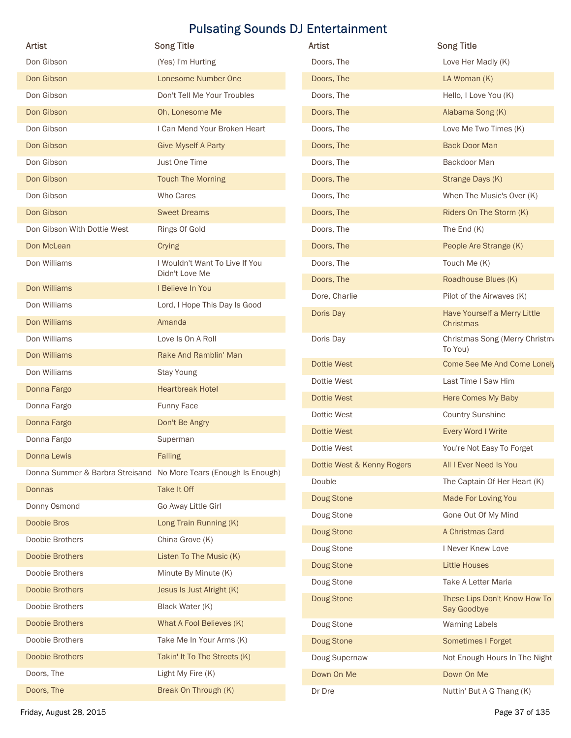|                             |                                                                  | <b>Pulsating Sounds DJ Entertainment</b> |                                                 |
|-----------------------------|------------------------------------------------------------------|------------------------------------------|-------------------------------------------------|
| Artist                      | <b>Song Title</b>                                                | Artist                                   | <b>Song Title</b>                               |
| Don Gibson                  | (Yes) I'm Hurting                                                | Doors, The                               | Love Her Madly (K)                              |
| Don Gibson                  | Lonesome Number One                                              | Doors, The                               | LA Woman (K)                                    |
| Don Gibson                  | Don't Tell Me Your Troubles                                      | Doors, The                               | Hello, I Love You (K)                           |
| Don Gibson                  | Oh, Lonesome Me                                                  | Doors, The                               | Alabama Song (K)                                |
| Don Gibson                  | I Can Mend Your Broken Heart                                     | Doors, The                               | Love Me Two Times (K)                           |
| Don Gibson                  | <b>Give Myself A Party</b>                                       | Doors, The                               | <b>Back Door Man</b>                            |
| Don Gibson                  | Just One Time                                                    | Doors, The                               | Backdoor Man                                    |
| Don Gibson                  | <b>Touch The Morning</b>                                         | Doors, The                               | Strange Days (K)                                |
| Don Gibson                  | Who Cares                                                        | Doors, The                               | When The Music's Over (K)                       |
| Don Gibson                  | <b>Sweet Dreams</b>                                              | Doors, The                               | Riders On The Storm (K)                         |
| Don Gibson With Dottie West | Rings Of Gold                                                    | Doors, The                               | The End $(K)$                                   |
| Don McLean                  | Crying                                                           | Doors, The                               | People Are Strange (K)                          |
| Don Williams                | I Wouldn't Want To Live If You<br>Didn't Love Me                 | Doors, The                               | Touch Me (K)                                    |
| Don Williams                | I Believe In You                                                 | Doors, The                               | Roadhouse Blues (K)                             |
| Don Williams                | Lord, I Hope This Day Is Good                                    | Dore, Charlie                            | Pilot of the Airwaves (K)                       |
| Don Williams                | Amanda                                                           | Doris Day                                | Have Yourself a Merry Little<br>Christmas       |
| Don Williams                | Love Is On A Roll                                                | Doris Day                                | Christmas Song (Merry Christma                  |
| Don Williams                | Rake And Ramblin' Man                                            |                                          | To You)                                         |
| Don Williams                | Stay Young                                                       | <b>Dottie West</b>                       | Come See Me And Come Lonely                     |
| Donna Fargo                 | <b>Heartbreak Hotel</b>                                          | Dottie West                              | Last Time I Saw Him                             |
| Donna Fargo                 | Funny Face                                                       | <b>Dottie West</b>                       | Here Comes My Baby                              |
| Donna Fargo                 | Don't Be Angry                                                   | Dottie West                              | <b>Country Sunshine</b>                         |
| Donna Fargo                 | Superman                                                         | Dottie West<br>Dottie West               | Every Word I Write<br>You're Not Easy To Forget |
| Donna Lewis                 | <b>Falling</b>                                                   | Dottie West & Kenny Rogers               | All I Ever Need Is You                          |
|                             | Donna Summer & Barbra Streisand No More Tears (Enough Is Enough) | Double                                   | The Captain Of Her Heart (K)                    |
| <b>Donnas</b>               | Take It Off                                                      | Doug Stone                               | Made For Loving You                             |
| Donny Osmond                | Go Away Little Girl                                              | Doug Stone                               | Gone Out Of My Mind                             |
| Doobie Bros                 | Long Train Running (K)                                           | Doug Stone                               | A Christmas Card                                |
| Doobie Brothers             | China Grove (K)                                                  | Doug Stone                               | I Never Knew Love                               |
| <b>Doobie Brothers</b>      | Listen To The Music (K)                                          | Doug Stone                               | <b>Little Houses</b>                            |
| Doobie Brothers             | Minute By Minute (K)                                             | Doug Stone                               | Take A Letter Maria                             |
| Doobie Brothers             | Jesus Is Just Alright (K)                                        | Doug Stone                               | These Lips Don't Know How To                    |
| Doobie Brothers             | Black Water (K)                                                  |                                          | Say Goodbye                                     |
| Doobie Brothers             | What A Fool Believes (K)                                         | Doug Stone                               | <b>Warning Labels</b>                           |
| Doobie Brothers             | Take Me In Your Arms (K)                                         | Doug Stone                               | Sometimes I Forget                              |
| Doobie Brothers             | Takin' It To The Streets (K)                                     | Doug Supernaw                            | Not Enough Hours In The Night                   |
| Doors, The<br>Doors, The    | Light My Fire (K)                                                | Down On Me                               | Down On Me                                      |
|                             | Break On Through (K)                                             | Dr Dre                                   | Nuttin' But A G Thang (K)                       |

| Artist                     | <b>Song Title</b>                                |
|----------------------------|--------------------------------------------------|
| Doors, The                 | Love Her Madly (K)                               |
| Doors, The                 | LA Woman (K)                                     |
| Doors, The                 | Hello, I Love You (K)                            |
| Doors, The                 | Alabama Song (K)                                 |
| Doors, The                 | Love Me Two Times (K)                            |
| Doors, The                 | <b>Back Door Man</b>                             |
| Doors, The                 | Backdoor Man                                     |
| Doors, The                 | Strange Days (K)                                 |
| Doors, The                 | When The Music's Over (K)                        |
| Doors, The                 | Riders On The Storm (K)                          |
| Doors, The                 | The End $(K)$                                    |
| Doors, The                 | People Are Strange (K)                           |
| Doors, The                 | Touch Me (K)                                     |
| Doors, The                 | Roadhouse Blues (K)                              |
| Dore, Charlie              | Pilot of the Airwaves (K)                        |
| Doris Day                  | Have Yourself a Merry Little<br><b>Christmas</b> |
| Doris Day                  | Christmas Song (Merry Christma<br>To You)        |
| Dottie West                | Come See Me And Come Lonely                      |
| Dottie West                | Last Time I Saw Him                              |
| Dottie West                | Here Comes My Baby                               |
| Dottie West                | <b>Country Sunshine</b>                          |
| Dottie West                | Every Word I Write                               |
| Dottie West                | You're Not Easy To Forget                        |
| Dottie West & Kenny Rogers | All I Ever Need Is You                           |
| Double                     | The Captain Of Her Heart (K)                     |
| Doug Stone                 | Made For Loving You                              |
| Doug Stone                 | Gone Out Of My Mind                              |
| Doug Stone                 | A Christmas Card                                 |
| Doug Stone                 | I Never Knew Love                                |
| Doug Stone                 | <b>Little Houses</b>                             |
| Doug Stone                 | Take A Letter Maria                              |
| Doug Stone                 | These Lips Don't Know How To<br>Say Goodbye      |
| Doug Stone                 | <b>Warning Labels</b>                            |
| Doug Stone                 | Sometimes I Forget                               |
| Doug Supernaw              | Not Enough Hours In The Night                    |
| Down On Me                 | Down On Me                                       |
| Dr Dre                     | Nuttin' But A G Thang (K)                        |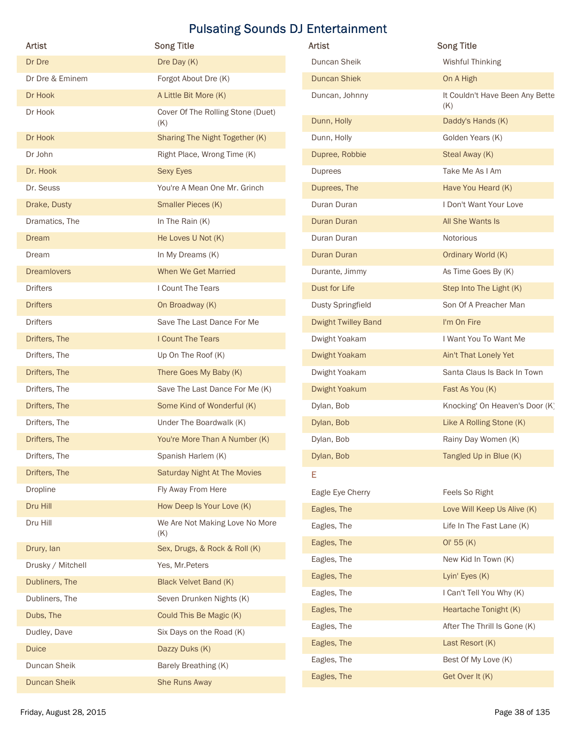| <b>Artist</b>       | <b>Song Title</b>                     | <b>Pulsating Sounds DJ Entertainment</b><br>Artist | <b>Song Title</b>               |
|---------------------|---------------------------------------|----------------------------------------------------|---------------------------------|
| Dr Dre              | Dre Day (K)                           | Duncan Sheik                                       | <b>Wishful Thinking</b>         |
| Dr Dre & Eminem     | Forgot About Dre (K)                  | <b>Duncan Shiek</b>                                | On A High                       |
| Dr Hook             | A Little Bit More (K)                 | Duncan, Johnny                                     | It Couldn't Have Been Any Bette |
| Dr Hook             | Cover Of The Rolling Stone (Duet)     | Dunn, Holly                                        | (K)<br>Daddy's Hands (K)        |
| Dr Hook             | (K)<br>Sharing The Night Together (K) | Dunn, Holly                                        | Golden Years (K)                |
| Dr John             | Right Place, Wrong Time (K)           | Dupree, Robbie                                     | Steal Away (K)                  |
| Dr. Hook            | Sexy Eyes                             | Duprees                                            | Take Me As I Am                 |
| Dr. Seuss           | You're A Mean One Mr. Grinch          | Duprees, The                                       | Have You Heard (K)              |
| Drake, Dusty        | Smaller Pieces (K)                    | Duran Duran                                        | I Don't Want Your Love          |
| Dramatics, The      | In The Rain (K)                       | Duran Duran                                        | All She Wants Is                |
| Dream               | He Loves U Not (K)                    | Duran Duran                                        | Notorious                       |
| Dream               | In My Dreams (K)                      | Duran Duran                                        | Ordinary World (K)              |
| <b>Dreamlovers</b>  | When We Get Married                   | Durante, Jimmy                                     | As Time Goes By (K)             |
| Drifters            | I Count The Tears                     | Dust for Life                                      | Step Into The Light (K)         |
| <b>Drifters</b>     | On Broadway (K)                       | <b>Dusty Springfield</b>                           | Son Of A Preacher Man           |
| Drifters            | Save The Last Dance For Me            | Dwight Twilley Band                                | I'm On Fire                     |
| Drifters, The       | I Count The Tears                     | Dwight Yoakam                                      | I Want You To Want Me           |
| Drifters, The       | Up On The Roof (K)                    | Dwight Yoakam                                      | Ain't That Lonely Yet           |
| Drifters, The       | There Goes My Baby (K)                | Dwight Yoakam                                      | Santa Claus Is Back In Town     |
| Drifters, The       | Save The Last Dance For Me (K)        | Dwight Yoakum                                      | Fast As You (K)                 |
| Drifters, The       | Some Kind of Wonderful (K)            | Dylan, Bob                                         | Knocking' On Heaven's Door (K)  |
| Drifters, The       | Under The Boardwalk (K)               | Dylan, Bob                                         | Like A Rolling Stone (K)        |
| Drifters, The       | You're More Than A Number (K)         | Dylan, Bob                                         | Rainy Day Women (K)             |
| Drifters, The       | Spanish Harlem (K)                    | Dylan, Bob                                         | Tangled Up in Blue (K)          |
| Drifters, The       | <b>Saturday Night At The Movies</b>   | Е                                                  |                                 |
| Dropline            | Fly Away From Here                    | Eagle Eye Cherry                                   | Feels So Right                  |
| Dru Hill            | How Deep Is Your Love (K)             | Eagles, The                                        | Love Will Keep Us Alive (K)     |
| Dru Hill            | We Are Not Making Love No More        | Eagles, The                                        | Life In The Fast Lane (K)       |
| Drury, lan          | (K)<br>Sex, Drugs, & Rock & Roll (K)  | Eagles, The                                        | OI' 55 (K)                      |
| Drusky / Mitchell   | Yes, Mr.Peters                        | Eagles, The                                        | New Kid In Town (K)             |
| Dubliners, The      | <b>Black Velvet Band (K)</b>          | Eagles, The                                        | Lyin' Eyes (K)                  |
| Dubliners, The      | Seven Drunken Nights (K)              | Eagles, The                                        | I Can't Tell You Why (K)        |
| Dubs, The           | Could This Be Magic (K)               | Eagles, The                                        | Heartache Tonight (K)           |
| Dudley, Dave        | Six Days on the Road (K)              | Eagles, The                                        | After The Thrill Is Gone (K)    |
| <b>Duice</b>        | Dazzy Duks (K)                        | Eagles, The                                        | Last Resort (K)                 |
| Duncan Sheik        | Barely Breathing (K)                  | Eagles, The                                        | Best Of My Love (K)             |
| <b>Duncan Sheik</b> | She Runs Away                         | Eagles, The                                        | Get Over It (K)                 |
|                     |                                       |                                                    |                                 |

| Artist                     | <b>Song Title</b>                      |
|----------------------------|----------------------------------------|
| Duncan Sheik               | Wishful Thinking                       |
| <b>Duncan Shiek</b>        | On A High                              |
| Duncan, Johnny             | It Couldn't Have Been Any Bette<br>(K) |
| Dunn, Holly                | Daddy's Hands (K)                      |
| Dunn, Holly                | Golden Years (K)                       |
| Dupree, Robbie             | Steal Away (K)                         |
| Duprees                    | Take Me As I Am                        |
| Duprees, The               | Have You Heard (K)                     |
| Duran Duran                | I Don't Want Your Love                 |
| Duran Duran                | All She Wants Is                       |
| Duran Duran                | Notorious                              |
| <b>Duran Duran</b>         | Ordinary World (K)                     |
| Durante, Jimmy             | As Time Goes By (K)                    |
| Dust for Life              | Step Into The Light (K)                |
| <b>Dusty Springfield</b>   | Son Of A Preacher Man                  |
| <b>Dwight Twilley Band</b> | I'm On Fire                            |
| Dwight Yoakam              | I Want You To Want Me                  |
| Dwight Yoakam              | Ain't That Lonely Yet                  |
| Dwight Yoakam              | Santa Claus Is Back In Town            |
| Dwight Yoakum              | Fast As You (K)                        |
| Dylan, Bob                 | Knocking' On Heaven's Door (K)         |
| Dylan, Bob                 | Like A Rolling Stone (K)               |
| Dylan, Bob                 | Rainy Day Women (K)                    |
| Dylan, Bob                 | Tangled Up in Blue (K)                 |
| Е                          |                                        |
| Eagle Eye Cherry           | Feels So Right                         |
| Eagles, The                | Love Will Keep Us Alive (K)            |
| Eagles, The                | Life In The Fast Lane (K)              |
| Eagles, The                | OI' 55 (K)                             |
| Eagles, The                | New Kid In Town (K)                    |
| Eagles, The                | Lyin' Eyes (K)                         |
| Eagles, The                | I Can't Tell You Why (K)               |
| Eagles, The                | Heartache Tonight (K)                  |
| Eagles, The                | After The Thrill Is Gone (K)           |
| Eagles, The                | Last Resort (K)                        |
| Eagles, The                | Best Of My Love (K)                    |
| Eagles, The                | Get Over It (K)                        |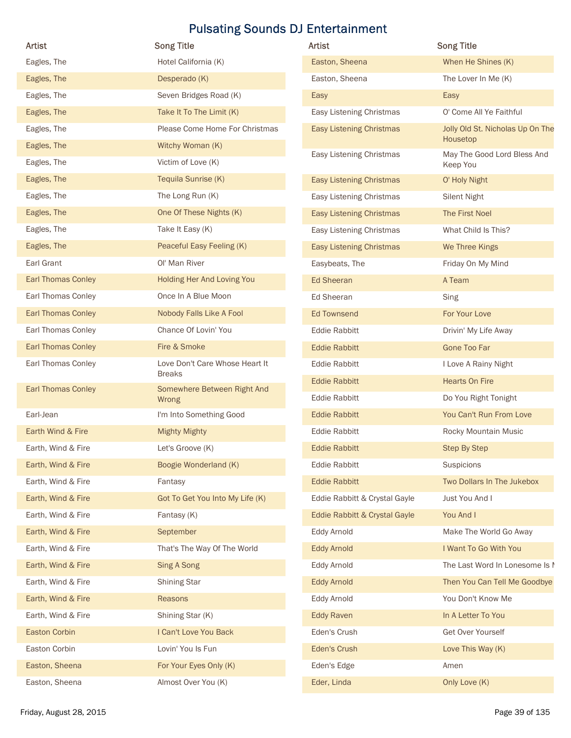| Artist                    | <b>Song Title</b>                    | Artist                          | <b>Song Title</b>                       |
|---------------------------|--------------------------------------|---------------------------------|-----------------------------------------|
| Eagles, The               | Hotel California (K)                 | Easton, Sheena                  | When He Shines (K)                      |
| Eagles, The               | Desperado (K)                        | Easton, Sheena                  | The Lover In Me (K)                     |
| Eagles, The               | Seven Bridges Road (K)               | Easy                            | Easy                                    |
| Eagles, The               | Take It To The Limit (K)             | Easy Listening Christmas        | O' Come All Ye Faithful                 |
| Eagles, The               | Please Come Home For Christmas       | <b>Easy Listening Christmas</b> | Jolly Old St. Nicholas Up On The        |
| Eagles, The               | Witchy Woman (K)                     |                                 | Housetop                                |
| Eagles, The               | Victim of Love (K)                   | Easy Listening Christmas        | May The Good Lord Bless And<br>Keep You |
| Eagles, The               | Tequila Sunrise (K)                  | <b>Easy Listening Christmas</b> | O' Holy Night                           |
| Eagles, The               | The Long Run (K)                     | Easy Listening Christmas        | Silent Night                            |
| Eagles, The               | One Of These Nights (K)              | <b>Easy Listening Christmas</b> | The First Noel                          |
| Eagles, The               | Take It Easy (K)                     | Easy Listening Christmas        | What Child Is This?                     |
| Eagles, The               | Peaceful Easy Feeling (K)            | <b>Easy Listening Christmas</b> | We Three Kings                          |
| Earl Grant                | Ol' Man River                        | Easybeats, The                  | Friday On My Mind                       |
| <b>Earl Thomas Conley</b> | Holding Her And Loving You           | <b>Ed Sheeran</b>               | A Team                                  |
| Earl Thomas Conley        | Once In A Blue Moon                  | Ed Sheeran                      | Sing                                    |
| <b>Earl Thomas Conley</b> | Nobody Falls Like A Fool             | <b>Ed Townsend</b>              | For Your Love                           |
| Earl Thomas Conley        | Chance Of Lovin' You                 | Eddie Rabbitt                   | Drivin' My Life Away                    |
| <b>Earl Thomas Conley</b> | Fire & Smoke                         | <b>Eddie Rabbitt</b>            | <b>Gone Too Far</b>                     |
| Earl Thomas Conley        | Love Don't Care Whose Heart It       | <b>Eddie Rabbitt</b>            | I Love A Rainy Night                    |
|                           | <b>Breaks</b>                        | <b>Eddie Rabbitt</b>            | <b>Hearts On Fire</b>                   |
| <b>Earl Thomas Conley</b> | Somewhere Between Right And<br>Wrong | Eddie Rabbitt                   | Do You Right Tonight                    |
| Earl-Jean                 | I'm Into Something Good              | <b>Eddie Rabbitt</b>            | You Can't Run From Love                 |
| Earth Wind & Fire         | <b>Mighty Mighty</b>                 | Eddie Rabbitt                   | Rocky Mountain Music                    |
| Earth, Wind & Fire        | Let's Groove (K)                     | <b>Eddie Rabbitt</b>            | <b>Step By Step</b>                     |
| Earth, Wind & Fire        | Boogie Wonderland (K)                | Eddie Rabbitt                   | Suspicions                              |
| Earth, Wind & Fire        | Fantasy                              | <b>Eddie Rabbitt</b>            | Two Dollars In The Jukebox              |
| Earth, Wind & Fire        | Got To Get You Into My Life (K)      | Eddie Rabbitt & Crystal Gayle   | Just You And I                          |
| Earth, Wind & Fire        | Fantasy (K)                          | Eddie Rabbitt & Crystal Gayle   | You And I                               |
| Earth, Wind & Fire        | September                            | Eddy Arnold                     | Make The World Go Away                  |
| Earth, Wind & Fire        | That's The Way Of The World          | <b>Eddy Arnold</b>              | I Want To Go With You                   |
| Earth, Wind & Fire        | Sing A Song                          | Eddy Arnold                     | The Last Word In Lonesome Is I          |
| Earth, Wind & Fire        | <b>Shining Star</b>                  | <b>Eddy Arnold</b>              | Then You Can Tell Me Goodbye            |
| Earth, Wind & Fire        | Reasons                              | Eddy Arnold                     | You Don't Know Me                       |
| Earth, Wind & Fire        | Shining Star (K)                     | <b>Eddy Raven</b>               | In A Letter To You                      |
| <b>Easton Corbin</b>      | I Can't Love You Back                | Eden's Crush                    | Get Over Yourself                       |
| Easton Corbin             | Lovin' You Is Fun                    | Eden's Crush                    | Love This Way (K)                       |
| Easton, Sheena            | For Your Eyes Only (K)               | Eden's Edge                     | Amen                                    |
|                           |                                      |                                 |                                         |
| Easton, Sheena            | Almost Over You (K)                  | Eder, Linda                     | Only Love (K)                           |

| Artist                          | <b>Song Title</b>                            |
|---------------------------------|----------------------------------------------|
| Easton, Sheena                  | When He Shines (K)                           |
| Easton, Sheena                  | The Lover In Me (K)                          |
| Easy                            | Easy                                         |
| Easy Listening Christmas        | O' Come All Ye Faithful                      |
| <b>Easy Listening Christmas</b> | Jolly Old St. Nicholas Up On The<br>Housetop |
| Easy Listening Christmas        | May The Good Lord Bless And<br>Keep You      |
| <b>Easy Listening Christmas</b> | O' Holy Night                                |
| Easy Listening Christmas        | <b>Silent Night</b>                          |
| <b>Easy Listening Christmas</b> | The First Noel                               |
| Easy Listening Christmas        | What Child Is This?                          |
| <b>Easy Listening Christmas</b> | We Three Kings                               |
| Easybeats, The                  | Friday On My Mind                            |
| <b>Ed Sheeran</b>               | A Team                                       |
| Ed Sheeran                      | Sing                                         |
| <b>Ed Townsend</b>              | For Your Love                                |
| <b>Eddie Rabbitt</b>            | Drivin' My Life Away                         |
| <b>Eddie Rabbitt</b>            | <b>Gone Too Far</b>                          |
| <b>Eddie Rabbitt</b>            | I Love A Rainy Night                         |
| <b>Eddie Rabbitt</b>            | <b>Hearts On Fire</b>                        |
| <b>Eddie Rabbitt</b>            | Do You Right Tonight                         |
| <b>Eddie Rabbitt</b>            | You Can't Run From Love                      |
| <b>Eddie Rabbitt</b>            | Rocky Mountain Music                         |
| <b>Eddie Rabbitt</b>            | <b>Step By Step</b>                          |
| <b>Eddie Rabbitt</b>            | Suspicions                                   |
| <b>Eddie Rabbitt</b>            | Two Dollars In The Jukebox                   |
| Eddie Rabbitt & Crystal Gayle   | Just You And I                               |
| Eddie Rabbitt & Crystal Gayle   | You And I                                    |
| <b>Eddy Arnold</b>              | Make The World Go Away                       |
| <b>Eddy Arnold</b>              | I Want To Go With You                        |
| <b>Eddy Arnold</b>              | The Last Word In Lonesome Is I               |
| <b>Eddy Arnold</b>              | Then You Can Tell Me Goodbye                 |
| <b>Eddy Arnold</b>              | You Don't Know Me                            |
| <b>Eddy Raven</b>               | In A Letter To You                           |
| Eden's Crush                    | Get Over Yourself                            |
| Eden's Crush                    | Love This Way (K)                            |
| Eden's Edge                     | Amen                                         |
| Eder, Linda                     | Only Love (K)                                |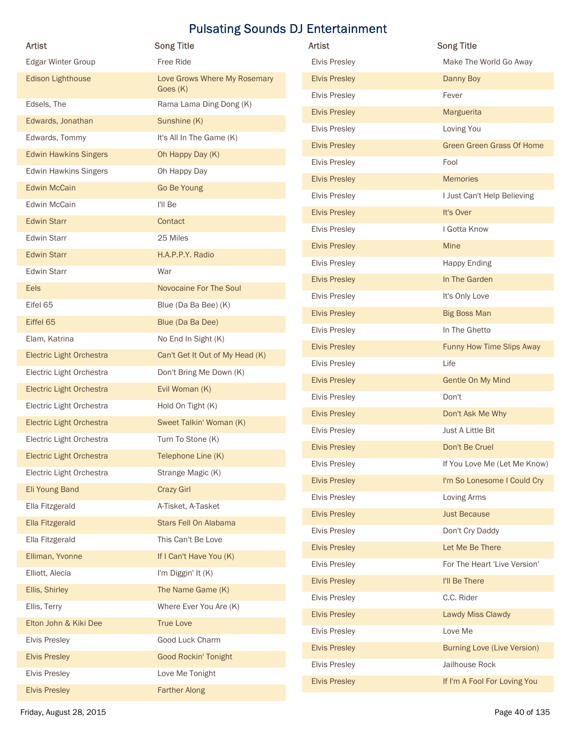| Artist                          |                                          | Artist               | <b>Song Title</b>                  |
|---------------------------------|------------------------------------------|----------------------|------------------------------------|
|                                 | <b>Song Title</b><br>Free Ride           | <b>Elvis Presley</b> |                                    |
| Edgar Winter Group              |                                          |                      | Make The World Go Away             |
| Edison Lighthouse               | Love Grows Where My Rosemary<br>Goes (K) | <b>Elvis Presley</b> | Danny Boy                          |
| Edsels, The                     | Rama Lama Ding Dong (K)                  | <b>Elvis Presley</b> | Fever                              |
| Edwards, Jonathan               | Sunshine (K)                             | <b>Elvis Presley</b> | Marguerita                         |
| Edwards, Tommy                  | It's All In The Game (K)                 | <b>Elvis Presley</b> | Loving You                         |
| <b>Edwin Hawkins Singers</b>    | Oh Happy Day (K)                         | <b>Elvis Presley</b> | Green Green Grass Of Home          |
| <b>Edwin Hawkins Singers</b>    | Oh Happy Day                             | <b>Elvis Presley</b> | Fool                               |
| <b>Edwin McCain</b>             | Go Be Young                              | <b>Elvis Presley</b> | <b>Memories</b>                    |
| Edwin McCain                    | I'll Be                                  | <b>Elvis Presley</b> | I Just Can't Help Believing        |
| Edwin Starr                     | Contact                                  | <b>Elvis Presley</b> | It's Over                          |
| <b>Edwin Starr</b>              | 25 Miles                                 | <b>Elvis Presley</b> | I Gotta Know                       |
| <b>Edwin Starr</b>              | H.A.P.P.Y. Radio                         | <b>Elvis Presley</b> | Mine                               |
| <b>Edwin Starr</b>              | War                                      | Elvis Presley        | <b>Happy Ending</b>                |
| Eels                            | Novocaine For The Soul                   | <b>Elvis Presley</b> | In The Garden                      |
| Eifel 65                        | Blue (Da Ba Bee) (K)                     | Elvis Presley        | It's Only Love                     |
| Eiffel 65                       | Blue (Da Ba Dee)                         | <b>Elvis Presley</b> | <b>Big Boss Man</b>                |
| Elam, Katrina                   | No End In Sight (K)                      | Elvis Presley        | In The Ghetto                      |
| Electric Light Orchestra        | Can't Get It Out of My Head (K)          | <b>Elvis Presley</b> | Funny How Time Slips Away          |
| Electric Light Orchestra        | Don't Bring Me Down (K)                  | <b>Elvis Presley</b> | Life                               |
| <b>Electric Light Orchestra</b> | Evil Woman (K)                           | <b>Elvis Presley</b> | Gentle On My Mind                  |
| Electric Light Orchestra        | Hold On Tight (K)                        | <b>Elvis Presley</b> | Don't                              |
| <b>Electric Light Orchestra</b> | Sweet Talkin' Woman (K)                  | <b>Elvis Presley</b> | Don't Ask Me Why                   |
| Electric Light Orchestra        | Turn To Stone (K)                        | <b>Elvis Presley</b> | Just A Little Bit                  |
| <b>Electric Light Orchestra</b> | Telephone Line (K)                       | <b>Elvis Presley</b> | Don't Be Cruel                     |
| Electric Light Orchestra        | Strange Magic (K)                        | <b>Elvis Presley</b> | If You Love Me (Let Me Know)       |
| Eli Young Band                  | <b>Crazy Girl</b>                        | <b>Elvis Presley</b> | I'm So Lonesome I Could Cry        |
| Ella Fitzgerald                 | A-Tisket, A-Tasket                       | <b>Elvis Presley</b> | Loving Arms                        |
| Ella Fitzgerald                 | Stars Fell On Alabama                    | <b>Elvis Presley</b> | <b>Just Because</b>                |
| Ella Fitzgerald                 | This Can't Be Love                       | <b>Elvis Presley</b> | Don't Cry Daddy                    |
| Elliman, Yvonne                 | If I Can't Have You (K)                  | <b>Elvis Presley</b> | Let Me Be There                    |
| Elliott, Alecia                 | I'm Diggin' It (K)                       | <b>Elvis Presley</b> | For The Heart 'Live Version'       |
| Ellis, Shirley                  | The Name Game (K)                        | <b>Elvis Presley</b> | I'll Be There                      |
| Ellis, Terry                    | Where Ever You Are (K)                   | <b>Elvis Presley</b> | C.C. Rider                         |
| Elton John & Kiki Dee           | <b>True Love</b>                         | <b>Elvis Presley</b> | Lawdy Miss Clawdy                  |
|                                 |                                          | <b>Elvis Presley</b> | Love Me                            |
| <b>Elvis Presley</b>            | Good Luck Charm                          | <b>Elvis Presley</b> | <b>Burning Love (Live Version)</b> |
| <b>Elvis Presley</b>            | Good Rockin' Tonight                     | <b>Elvis Presley</b> | Jailhouse Rock                     |
| <b>Elvis Presley</b>            | Love Me Tonight<br><b>Farther Along</b>  | <b>Elvis Presley</b> | If I'm A Fool For Loving You       |
| <b>Elvis Presley</b>            |                                          |                      |                                    |

| Artist               | <b>Song Title</b>                  |
|----------------------|------------------------------------|
| <b>Elvis Presley</b> | Make The World Go Away             |
| <b>Elvis Presley</b> | Danny Boy                          |
| <b>Elvis Presley</b> | Fever                              |
| <b>Elvis Presley</b> | Marguerita                         |
| <b>Elvis Presley</b> | Loving You                         |
| <b>Elvis Presley</b> | <b>Green Green Grass Of Home</b>   |
| <b>Elvis Presley</b> | Fool                               |
| <b>Elvis Presley</b> | <b>Memories</b>                    |
| <b>Elvis Presley</b> | I Just Can't Help Believing        |
| <b>Elvis Presley</b> | It's Over                          |
| <b>Elvis Presley</b> | I Gotta Know                       |
| <b>Elvis Presley</b> | <b>Mine</b>                        |
| <b>Elvis Presley</b> | <b>Happy Ending</b>                |
| <b>Elvis Presley</b> | In The Garden                      |
| <b>Elvis Presley</b> | It's Only Love                     |
| <b>Elvis Presley</b> | <b>Big Boss Man</b>                |
| <b>Elvis Presley</b> | In The Ghetto                      |
| <b>Elvis Presley</b> | Funny How Time Slips Away          |
| <b>Elvis Presley</b> | Life                               |
| <b>Elvis Presley</b> | Gentle On My Mind                  |
| <b>Elvis Presley</b> | Don't                              |
| <b>Elvis Presley</b> | Don't Ask Me Why                   |
| <b>Elvis Presley</b> | Just A Little Bit                  |
| <b>Elvis Presley</b> | Don't Be Cruel                     |
| <b>Elvis Presley</b> | If You Love Me (Let Me Know)       |
| <b>Elvis Presley</b> | I'm So Lonesome I Could Cry        |
| <b>Elvis Presley</b> | Loving Arms                        |
| <b>Elvis Presley</b> | <b>Just Because</b>                |
| <b>Elvis Presley</b> | Don't Cry Daddy                    |
| <b>Elvis Presley</b> | Let Me Be There                    |
| <b>Elvis Presley</b> | For The Heart 'Live Version'       |
| <b>Elvis Presley</b> | I'll Be There                      |
| <b>Elvis Presley</b> | C.C. Rider                         |
| <b>Elvis Presley</b> | Lawdy Miss Clawdy                  |
| <b>Elvis Presley</b> | Love Me                            |
| <b>Elvis Presley</b> | <b>Burning Love (Live Version)</b> |
| <b>Elvis Presley</b> | Jailhouse Rock                     |
| <b>Elvis Presley</b> | If I'm A Fool For Loving You       |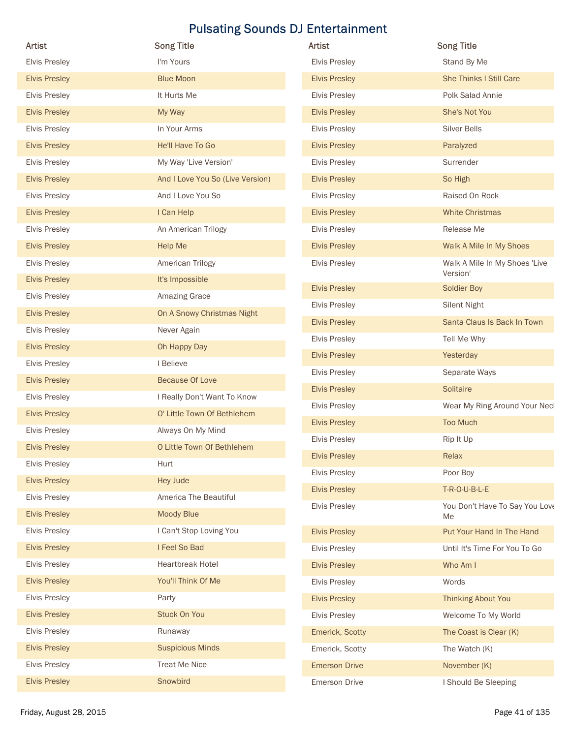| Artist                                       |                                  |                      |                                      |
|----------------------------------------------|----------------------------------|----------------------|--------------------------------------|
|                                              | <b>Song Title</b>                | Artist               | <b>Song Title</b>                    |
| <b>Elvis Presley</b>                         | I'm Yours                        | <b>Elvis Presley</b> | Stand By Me                          |
| <b>Elvis Presley</b>                         | <b>Blue Moon</b>                 | <b>Elvis Presley</b> | <b>She Thinks I Still Care</b>       |
| <b>Elvis Presley</b>                         | It Hurts Me                      | <b>Elvis Presley</b> | Polk Salad Annie                     |
| <b>Elvis Presley</b>                         | My Way                           | <b>Elvis Presley</b> | She's Not You                        |
| <b>Elvis Presley</b>                         | In Your Arms                     | <b>Elvis Presley</b> | Silver Bells                         |
| <b>Elvis Presley</b>                         | He'll Have To Go                 | <b>Elvis Presley</b> | Paralyzed                            |
| <b>Elvis Presley</b>                         | My Way 'Live Version'            | <b>Elvis Presley</b> | Surrender                            |
| <b>Elvis Presley</b>                         | And I Love You So (Live Version) | <b>Elvis Presley</b> | So High                              |
| <b>Elvis Presley</b>                         | And I Love You So                | <b>Elvis Presley</b> | Raised On Rock                       |
| <b>Elvis Presley</b>                         | I Can Help                       | <b>Elvis Presley</b> | <b>White Christmas</b>               |
| <b>Elvis Presley</b>                         | An American Trilogy              | <b>Elvis Presley</b> | Release Me                           |
| <b>Elvis Presley</b>                         | Help Me                          | <b>Elvis Presley</b> | Walk A Mile In My Shoes              |
| <b>Elvis Presley</b>                         | American Trilogy                 | <b>Elvis Presley</b> | Walk A Mile In My Shoes 'Live        |
| <b>Elvis Presley</b>                         | It's Impossible                  | <b>Elvis Presley</b> | Version'<br>Soldier Boy              |
| <b>Elvis Presley</b>                         | Amazing Grace                    |                      |                                      |
| <b>Elvis Presley</b>                         | On A Snowy Christmas Night       | <b>Elvis Presley</b> | <b>Silent Night</b>                  |
| <b>Elvis Presley</b>                         | Never Again                      | <b>Elvis Presley</b> | Santa Claus Is Back In Town          |
| <b>Elvis Presley</b>                         | Oh Happy Day                     | <b>Elvis Presley</b> | Tell Me Why                          |
| <b>Elvis Presley</b>                         | I Believe                        | <b>Elvis Presley</b> | Yesterday                            |
| <b>Elvis Presley</b>                         | <b>Because Of Love</b>           | <b>Elvis Presley</b> | Separate Ways                        |
| <b>Elvis Presley</b>                         | I Really Don't Want To Know      | <b>Elvis Presley</b> | Solitaire                            |
| <b>Elvis Presley</b>                         | O' Little Town Of Bethlehem      | <b>Elvis Presley</b> | Wear My Ring Around Your Necl        |
| <b>Elvis Presley</b>                         | Always On My Mind                | <b>Elvis Presley</b> | <b>Too Much</b>                      |
| <b>Elvis Presley</b>                         | O Little Town Of Bethlehem       | <b>Elvis Presley</b> | Rip It Up                            |
| <b>Elvis Presley</b>                         | Hurt                             | <b>Elvis Presley</b> | Relax                                |
| <b>Elvis Presley</b>                         | Hey Jude                         | <b>Elvis Presley</b> | Poor Boy                             |
| <b>Elvis Presley</b>                         | America The Beautiful            | <b>Elvis Presley</b> | T-R-O-U-B-L-E                        |
| <b>Elvis Presley</b>                         | Moody Blue                       | <b>Elvis Presley</b> | You Don't Have To Say You Love<br>Me |
| <b>Elvis Presley</b>                         | I Can't Stop Loving You          | <b>Elvis Presley</b> | Put Your Hand In The Hand            |
| <b>Elvis Presley</b>                         | I Feel So Bad                    | <b>Elvis Presley</b> | Until It's Time For You To Go        |
| <b>Elvis Presley</b>                         | Heartbreak Hotel                 | <b>Elvis Presley</b> | Who Am I                             |
| <b>Elvis Presley</b>                         | You'll Think Of Me               | Elvis Presley        | Words                                |
| <b>Elvis Presley</b>                         | Party                            | <b>Elvis Presley</b> | <b>Thinking About You</b>            |
| <b>Elvis Presley</b>                         | <b>Stuck On You</b>              |                      |                                      |
|                                              |                                  | <b>Elvis Presley</b> | Welcome To My World                  |
| <b>Elvis Presley</b>                         | Runaway                          | Emerick, Scotty      | The Coast is Clear (K)               |
| <b>Elvis Presley</b><br><b>Elvis Presley</b> | <b>Suspicious Minds</b>          | Emerick, Scotty      | The Watch (K)                        |
|                                              | <b>Treat Me Nice</b>             | <b>Emerson Drive</b> | November (K)                         |
| <b>Elvis Presley</b>                         | Snowbird                         | <b>Emerson Drive</b> | I Should Be Sleeping                 |

| Artist               | <b>Song Title</b>                         |
|----------------------|-------------------------------------------|
| <b>Elvis Presley</b> | Stand By Me                               |
| <b>Elvis Presley</b> | <b>She Thinks I Still Care</b>            |
| <b>Elvis Presley</b> | Polk Salad Annie                          |
| <b>Elvis Presley</b> | She's Not You                             |
| <b>Elvis Presley</b> | <b>Silver Bells</b>                       |
| <b>Elvis Presley</b> | Paralyzed                                 |
| <b>Elvis Presley</b> | Surrender                                 |
| <b>Elvis Presley</b> | So High                                   |
| <b>Elvis Presley</b> | Raised On Rock                            |
| <b>Elvis Presley</b> | <b>White Christmas</b>                    |
| <b>Elvis Presley</b> | Release Me                                |
| <b>Elvis Presley</b> | Walk A Mile In My Shoes                   |
| <b>Elvis Presley</b> | Walk A Mile In My Shoes 'Live<br>Version' |
| <b>Elvis Presley</b> | Soldier Boy                               |
| <b>Elvis Presley</b> | <b>Silent Night</b>                       |
| <b>Elvis Presley</b> | Santa Claus Is Back In Town               |
| <b>Elvis Presley</b> | Tell Me Why                               |
| <b>Elvis Presley</b> | Yesterday                                 |
| <b>Elvis Presley</b> | Separate Ways                             |
| <b>Elvis Presley</b> | Solitaire                                 |
| <b>Elvis Presley</b> | Wear My Ring Around Your Necl             |
| <b>Elvis Presley</b> | <b>Too Much</b>                           |
| <b>Elvis Presley</b> | Rip It Up                                 |
| <b>Elvis Presley</b> | Relax                                     |
| <b>Elvis Presley</b> | Poor Boy                                  |
| <b>Elvis Presley</b> | T-R-O-U-B-L-E                             |
| <b>Elvis Presley</b> | You Don't Have To Say You Love<br>Me      |
| <b>Elvis Presley</b> | Put Your Hand In The Hand                 |
| <b>Elvis Presley</b> | Until It's Time For You To Go             |
| <b>Elvis Presley</b> | Who Am I                                  |
| <b>Elvis Presley</b> | Words                                     |
| <b>Elvis Presley</b> | <b>Thinking About You</b>                 |
| <b>Elvis Presley</b> | Welcome To My World                       |
| Emerick, Scotty      | The Coast is Clear (K)                    |
| Emerick, Scotty      | The Watch (K)                             |
| <b>Emerson Drive</b> | November (K)                              |
| Emerson Drive        | I Should Be Sleeping                      |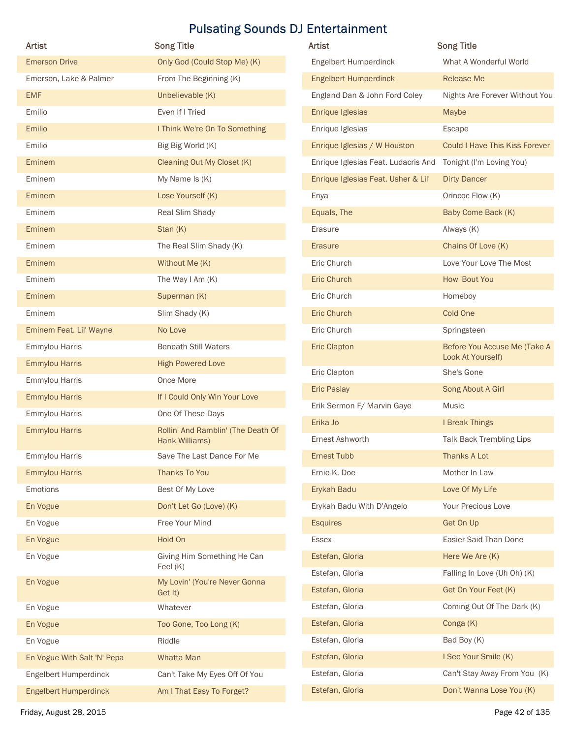| <b>Artist</b>                                         | <b>Song Title</b>                                    | <b>Pulsating Sounds DJ Entertainment</b><br>Artist | <b>Song Title</b>                                  |
|-------------------------------------------------------|------------------------------------------------------|----------------------------------------------------|----------------------------------------------------|
| <b>Emerson Drive</b>                                  | Only God (Could Stop Me) (K)                         | Engelbert Humperdinck                              | What A Wonderful World                             |
| Emerson, Lake & Palmer                                | From The Beginning (K)                               | <b>Engelbert Humperdinck</b>                       | Release Me                                         |
| <b>EMF</b>                                            | Unbelievable (K)                                     | England Dan & John Ford Coley                      | Nights Are Forever Without You                     |
| Emilio                                                | Even If I Tried                                      | Enrique Iglesias                                   | Maybe                                              |
| Emilio                                                | I Think We're On To Something                        | Enrique Iglesias                                   | Escape                                             |
| Emilio                                                | Big Big World (K)                                    | Enrique Iglesias / W Houston                       | Could I Have This Kiss Forever                     |
| Eminem                                                | Cleaning Out My Closet (K)                           | Enrique Iglesias Feat. Ludacris And                | Tonight (I'm Loving You)                           |
| Eminem                                                | My Name Is (K)                                       | Enrique Iglesias Feat. Usher & Lil'                | <b>Dirty Dancer</b>                                |
| Eminem                                                | Lose Yourself (K)                                    | Enya                                               | Orincoc Flow (K)                                   |
| Eminem                                                | Real Slim Shady                                      | Equals, The                                        | Baby Come Back (K)                                 |
| Eminem                                                | Stan (K)                                             | Erasure                                            | Always (K)                                         |
| Eminem                                                | The Real Slim Shady (K)                              | Erasure                                            | Chains Of Love (K)                                 |
| Eminem                                                | Without Me (K)                                       | Eric Church                                        | Love Your Love The Most                            |
| Eminem                                                | The Way I Am (K)                                     | Eric Church                                        | How 'Bout You                                      |
| Eminem                                                | Superman (K)                                         | Eric Church                                        | Homeboy                                            |
| Eminem                                                | Slim Shady (K)                                       | Eric Church                                        | Cold One                                           |
| Eminem Feat. Lil' Wayne                               | No Love                                              | Eric Church                                        | Springsteen                                        |
| Emmylou Harris                                        | <b>Beneath Still Waters</b>                          | <b>Eric Clapton</b>                                | Before You Accuse Me (Take A                       |
| <b>Emmylou Harris</b>                                 | <b>High Powered Love</b>                             | Eric Clapton                                       | Look At Yourself)<br>She's Gone                    |
| Emmylou Harris                                        | Once More                                            | Eric Paslay                                        | Song About A Girl                                  |
| <b>Emmylou Harris</b>                                 | If I Could Only Win Your Love                        | Erik Sermon F/ Marvin Gaye                         | Music                                              |
| Emmylou Harris                                        | One Of These Days                                    | Erika Jo                                           | I Break Things                                     |
| <b>Emmylou Harris</b>                                 | Rollin' And Ramblin' (The Death Of<br>Hank Williams) | Ernest Ashworth                                    | Talk Back Trembling Lips                           |
| Emmylou Harris                                        | Save The Last Dance For Me                           | Ernest Tubb                                        | Thanks A Lot                                       |
| <b>Emmylou Harris</b>                                 | Thanks To You                                        | Ernie K. Doe                                       | Mother In Law                                      |
| Emotions                                              | Best Of My Love                                      | Erykah Badu                                        | Love Of My Life                                    |
| En Vogue                                              | Don't Let Go (Love) (K)                              | Erykah Badu With D'Angelo                          | Your Precious Love                                 |
| En Vogue                                              | Free Your Mind                                       | <b>Esquires</b>                                    | Get On Up                                          |
| En Vogue                                              | Hold On                                              | Essex                                              | Easier Said Than Done                              |
| En Vogue                                              | Giving Him Something He Can                          | Estefan, Gloria                                    | Here We Are (K)                                    |
| En Vogue                                              | Feel (K)<br>My Lovin' (You're Never Gonna            | Estefan, Gloria                                    | Falling In Love (Uh Oh) (K)                        |
|                                                       | Get It)                                              | Estefan, Gloria<br>Estefan, Gloria                 | Get On Your Feet (K)<br>Coming Out Of The Dark (K) |
| En Vogue                                              | Whatever                                             | Estefan, Gloria                                    | Conga (K)                                          |
| En Vogue                                              | Too Gone, Too Long (K)                               | Estefan, Gloria                                    | Bad Boy (K)                                        |
| En Vogue                                              | Riddle                                               | Estefan, Gloria                                    | I See Your Smile (K)                               |
| En Vogue With Salt 'N' Pepa                           | Whatta Man                                           | Estefan, Gloria                                    | Can't Stay Away From You (K)                       |
| Engelbert Humperdinck<br><b>Engelbert Humperdinck</b> | Can't Take My Eyes Off Of You                        |                                                    |                                                    |
|                                                       | Am I That Easy To Forget?                            | Estefan, Gloria                                    | Don't Wanna Lose You (K)                           |

| Artist                              | <b>Song Title</b>                                 |
|-------------------------------------|---------------------------------------------------|
| Engelbert Humperdinck               | What A Wonderful World                            |
| <b>Engelbert Humperdinck</b>        | Release Me                                        |
| England Dan & John Ford Coley       | Nights Are Forever Without You                    |
| Enrique Iglesias                    | Maybe                                             |
| Enrique Iglesias                    | <b>Escape</b>                                     |
| Enrique Iglesias / W Houston        | <b>Could I Have This Kiss Forever</b>             |
| Enrique Iglesias Feat. Ludacris And | Tonight (I'm Loving You)                          |
| Enrique Iglesias Feat. Usher & Lil' | <b>Dirty Dancer</b>                               |
| Enya                                | Orincoc Flow (K)                                  |
| Equals, The                         | Baby Come Back (K)                                |
| Erasure                             | Always (K)                                        |
| Erasure                             | Chains Of Love (K)                                |
| Eric Church                         | Love Your Love The Most                           |
| <b>Eric Church</b>                  | How 'Bout You                                     |
| Eric Church                         | Homeboy                                           |
| <b>Eric Church</b>                  | Cold One                                          |
| Eric Church                         | Springsteen                                       |
| <b>Eric Clapton</b>                 | Before You Accuse Me (Take A<br>Look At Yourself) |
| Eric Clapton                        | She's Gone                                        |
| <b>Eric Paslay</b>                  | Song About A Girl                                 |
| Erik Sermon F/ Marvin Gaye          | Music                                             |
| Erika Jo                            | I Break Things                                    |
| Ernest Ashworth                     | Talk Back Trembling Lips                          |
| Ernest Tubb                         | Thanks A Lot                                      |
| Ernie K. Doe                        | Mother In Law                                     |
| Erykah Badu                         | Love Of My Life                                   |
| Erykah Badu With D'Angelo           | Your Precious Love                                |
| <b>Esquires</b>                     | Get On Up                                         |
| <b>Essex</b>                        | Easier Said Than Done                             |
| Estefan, Gloria                     | Here We Are (K)                                   |
| Estefan, Gloria                     | Falling In Love (Uh Oh) (K)                       |
| Estefan, Gloria                     | Get On Your Feet (K)                              |
| Estefan, Gloria                     | Coming Out Of The Dark (K)                        |
| Estefan, Gloria                     | Conga (K)                                         |
| Estefan, Gloria                     | Bad Boy (K)                                       |
| Estefan, Gloria                     | I See Your Smile (K)                              |
| Estefan, Gloria                     | Can't Stay Away From You (K)                      |
| Estefan, Gloria                     |                                                   |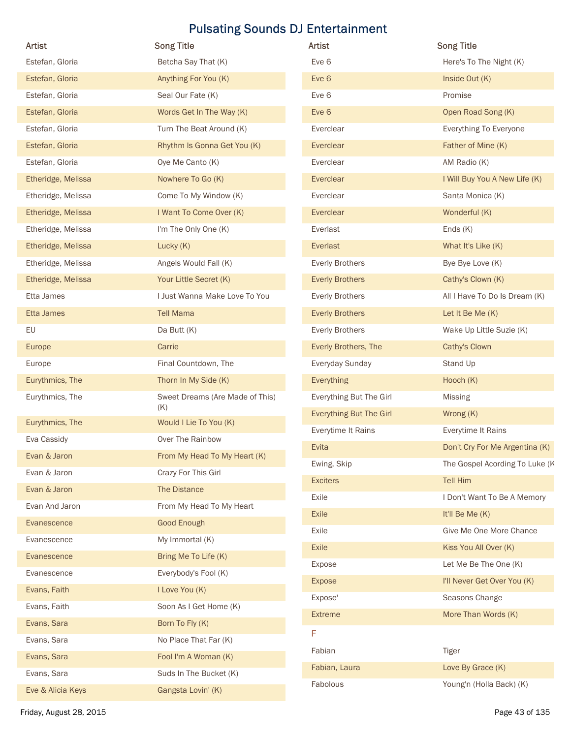| Artist                      | <b>Song Title</b>               | Artist                         | <b>Song Title</b>              |
|-----------------------------|---------------------------------|--------------------------------|--------------------------------|
| Estefan, Gloria             | Betcha Say That (K)             | Eve 6                          | Here's To The Night (K)        |
| Estefan, Gloria             | Anything For You (K)            | Eve 6                          | Inside Out (K)                 |
| Estefan, Gloria             | Seal Our Fate (K)               | Eve 6                          | Promise                        |
| Estefan, Gloria             | Words Get In The Way (K)        | Eve 6                          | Open Road Song (K)             |
| Estefan, Gloria             | Turn The Beat Around (K)        | Everclear                      | Everything To Everyone         |
| Estefan, Gloria             | Rhythm Is Gonna Get You (K)     | Everclear                      | Father of Mine (K)             |
| Estefan, Gloria             | Oye Me Canto (K)                | Everclear                      | AM Radio (K)                   |
| Etheridge, Melissa          | Nowhere To Go (K)               | Everclear                      | I Will Buy You A New Life (K)  |
| Etheridge, Melissa          | Come To My Window (K)           | Everclear                      | Santa Monica (K)               |
| Etheridge, Melissa          | I Want To Come Over (K)         | Everclear                      | Wonderful (K)                  |
| Etheridge, Melissa          | I'm The Only One (K)            | Everlast                       | Ends (K)                       |
| Etheridge, Melissa          | Lucky (K)                       | Everlast                       | What It's Like (K)             |
| Etheridge, Melissa          | Angels Would Fall (K)           | <b>Everly Brothers</b>         | Bye Bye Love (K)               |
| Etheridge, Melissa          | Your Little Secret (K)          | <b>Everly Brothers</b>         | Cathy's Clown (K)              |
| Etta James                  | I Just Wanna Make Love To You   | <b>Everly Brothers</b>         | All I Have To Do Is Dream (K)  |
| Etta James                  | <b>Tell Mama</b>                | <b>Everly Brothers</b>         | Let It Be Me (K)               |
| EU                          | Da Butt (K)                     | <b>Everly Brothers</b>         | Wake Up Little Suzie (K)       |
| Europe                      | Carrie                          | Everly Brothers, The           | Cathy's Clown                  |
| Europe                      | Final Countdown, The            | Everyday Sunday                | Stand Up                       |
| Eurythmics, The             | Thorn In My Side (K)            | Everything                     | Hooch (K)                      |
| Eurythmics, The             | Sweet Dreams (Are Made of This) | Everything But The Girl        | <b>Missing</b>                 |
| Eurythmics, The             | (K)<br>Would I Lie To You (K)   | <b>Everything But The Girl</b> | Wrong (K)                      |
|                             |                                 | Everytime It Rains             | Everytime It Rains             |
| Eva Cassidy<br>Evan & Jaron | Over The Rainbow                | Evita                          | Don't Cry For Me Argentina (K) |
|                             | From My Head To My Heart (K)    | Ewing, Skip                    | The Gospel Acording To Luke (K |
| Evan & Jaron                | Crazy For This Girl             | <b>Exciters</b>                | Tell Him                       |
| Evan & Jaron                | The Distance                    | Exile                          | I Don't Want To Be A Memory    |
| Evan And Jaron              | From My Head To My Heart        | Exile                          | It'll Be Me (K)                |
| Evanescence                 | Good Enough                     | Exile                          | Give Me One More Chance        |
| Evanescence                 | My Immortal (K)                 | Exile                          | Kiss You All Over (K)          |
| Evanescence                 | Bring Me To Life (K)            | Expose                         | Let Me Be The One (K)          |
| Evanescence                 | Everybody's Fool (K)            | <b>Expose</b>                  | I'll Never Get Over You (K)    |
| Evans, Faith                | I Love You (K)                  | Expose'                        | Seasons Change                 |
| Evans, Faith                | Soon As I Get Home (K)          | <b>Extreme</b>                 | More Than Words (K)            |
| Evans, Sara                 | Born To Fly (K)                 | F                              |                                |
| Evans, Sara                 | No Place That Far (K)           | Fabian                         | Tiger                          |
| Evans, Sara                 | Fool I'm A Woman (K)            | Fabian, Laura                  | Love By Grace (K)              |
| Evans, Sara                 | Suds In The Bucket (K)          | Fabolous                       | Young'n (Holla Back) (K)       |
| Eve & Alicia Keys           | Gangsta Lovin' (K)              |                                |                                |

| <b>Artist</b>                  | <b>Song Title</b>              |
|--------------------------------|--------------------------------|
| Eve 6                          | Here's To The Night (K)        |
| Eve 6                          | Inside Out (K)                 |
| Eve 6                          | Promise                        |
| Eve 6                          | Open Road Song (K)             |
| Everclear                      | Everything To Everyone         |
| Everclear                      | Father of Mine (K)             |
| Everclear                      | AM Radio (K)                   |
| Everclear                      | I Will Buy You A New Life (K)  |
| Everclear                      | Santa Monica (K)               |
| Everclear                      | Wonderful (K)                  |
| Everlast                       | Ends $(K)$                     |
| Everlast                       | What It's Like (K)             |
| <b>Everly Brothers</b>         | Bye Bye Love (K)               |
| <b>Everly Brothers</b>         | Cathy's Clown (K)              |
| <b>Everly Brothers</b>         | All I Have To Do Is Dream (K)  |
| <b>Everly Brothers</b>         | Let It Be Me $(K)$             |
| <b>Everly Brothers</b>         | Wake Up Little Suzie (K)       |
| Everly Brothers, The           | Cathy's Clown                  |
| Everyday Sunday                | Stand Up                       |
| <b>Everything</b>              | Hooch $(K)$                    |
| Everything But The Girl        | <b>Missing</b>                 |
| <b>Everything But The Girl</b> | Wrong (K)                      |
| Everytime It Rains             | Everytime It Rains             |
| Evita                          | Don't Cry For Me Argentina (K) |
| Ewing, Skip                    | The Gospel Acording To Luke (K |
| <b>Exciters</b>                | <b>Tell Him</b>                |
| Exile                          | I Don't Want To Be A Memory    |
| <b>Exile</b>                   | It'll Be Me (K)                |
| Exile                          | Give Me One More Chance        |
| <b>Exile</b>                   | Kiss You All Over (K)          |
| Expose                         | Let Me Be The One (K)          |
| <b>Expose</b>                  | I'll Never Get Over You (K)    |
| Expose'                        | Seasons Change                 |
| <b>Extreme</b>                 | More Than Words (K)            |
| F                              |                                |
| Fabian                         | <b>Tiger</b>                   |
| Fabian, Laura                  | Love By Grace (K)              |
| Fabolous                       | Young'n (Holla Back) (K)       |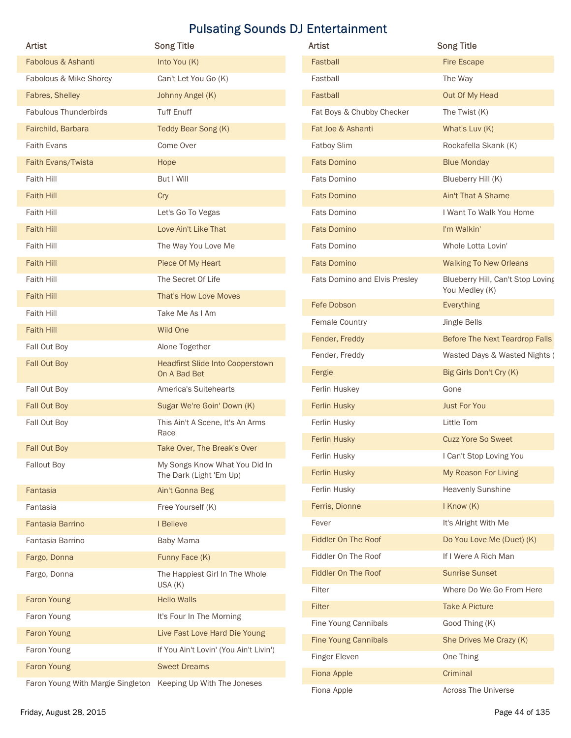|                                                                                                                        | <b>Pulsating Sounds DJ Entertainment</b>                      |                               |                                                          |
|------------------------------------------------------------------------------------------------------------------------|---------------------------------------------------------------|-------------------------------|----------------------------------------------------------|
| Artist                                                                                                                 | <b>Song Title</b>                                             | Artist                        | <b>Song Title</b>                                        |
| Fabolous & Ashanti                                                                                                     | Into You (K)                                                  | Fastball                      | <b>Fire Escape</b>                                       |
| Fabolous & Mike Shorey                                                                                                 | Can't Let You Go (K)                                          | Fastball                      | The Way                                                  |
| Fabres, Shelley                                                                                                        | Johnny Angel (K)                                              | Fastball                      | Out Of My Head                                           |
| Fabulous Thunderbirds                                                                                                  | <b>Tuff Enuff</b>                                             | Fat Boys & Chubby Checker     | The Twist (K)                                            |
| Fairchild, Barbara                                                                                                     | Teddy Bear Song (K)                                           | Fat Joe & Ashanti             | What's Luv (K)                                           |
| <b>Faith Evans</b>                                                                                                     | Come Over                                                     | Fatboy Slim                   | Rockafella Skank (K)                                     |
| Faith Evans/Twista                                                                                                     | Hope                                                          | <b>Fats Domino</b>            | <b>Blue Monday</b>                                       |
| Faith Hill                                                                                                             | But I Will                                                    | Fats Domino                   | Blueberry Hill (K)                                       |
| <b>Faith Hill</b>                                                                                                      | Cry                                                           | <b>Fats Domino</b>            | Ain't That A Shame                                       |
| Faith Hill                                                                                                             | Let's Go To Vegas                                             | Fats Domino                   | I Want To Walk You Home                                  |
| <b>Faith Hill</b>                                                                                                      | Love Ain't Like That                                          | <b>Fats Domino</b>            | I'm Walkin'                                              |
| Faith Hill                                                                                                             | The Way You Love Me                                           | Fats Domino                   | Whole Lotta Lovin'                                       |
| <b>Faith Hill</b>                                                                                                      | Piece Of My Heart                                             | <b>Fats Domino</b>            | <b>Walking To New Orleans</b>                            |
| Faith Hill                                                                                                             | The Secret Of Life                                            | Fats Domino and Elvis Presley | Blueberry Hill, Can't Stop Loving                        |
| <b>Faith Hill</b>                                                                                                      | That's How Love Moves                                         |                               | You Medley (K)                                           |
| Faith Hill                                                                                                             | Take Me As I Am                                               | Fefe Dobson                   | Everything                                               |
| <b>Faith Hill</b>                                                                                                      | Wild One                                                      | Female Country                | Jingle Bells                                             |
| Fall Out Boy                                                                                                           | Alone Together                                                | Fender, Freddy                | Before The Next Teardrop Falls                           |
| Fall Out Boy                                                                                                           | <b>Headfirst Slide Into Cooperstown</b><br>On A Bad Bet       | Fender, Freddy<br>Fergie      | Wasted Days & Wasted Nights (<br>Big Girls Don't Cry (K) |
| Fall Out Boy                                                                                                           | America's Suitehearts                                         | Ferlin Huskey                 | Gone                                                     |
| Fall Out Boy                                                                                                           | Sugar We're Goin' Down (K)                                    | Ferlin Husky                  | <b>Just For You</b>                                      |
| Fall Out Boy                                                                                                           | This Ain't A Scene, It's An Arms                              | Ferlin Husky                  | Little Tom                                               |
|                                                                                                                        | Race                                                          | Ferlin Husky                  | <b>Cuzz Yore So Sweet</b>                                |
| Fall Out Boy                                                                                                           | Take Over, The Break's Over                                   | Ferlin Husky                  | I Can't Stop Loving You                                  |
| <b>Fallout Boy</b>                                                                                                     | My Songs Know What You Did In<br>The Dark (Light 'Em Up)      | Ferlin Husky                  | My Reason For Living                                     |
| Fantasia                                                                                                               | Ain't Gonna Beg                                               | Ferlin Husky                  | <b>Heavenly Sunshine</b>                                 |
| Fantasia                                                                                                               | Free Yourself (K)                                             | Ferris, Dionne                | I Know (K)                                               |
| Fantasia Barrino                                                                                                       | I Believe                                                     | Fever                         | It's Alright With Me                                     |
| Fantasia Barrino                                                                                                       | Baby Mama                                                     | Fiddler On The Roof           | Do You Love Me (Duet) (K)                                |
| Fargo, Donna                                                                                                           | Funny Face (K)                                                | Fiddler On The Roof           | If I Were A Rich Man                                     |
| Fargo, Donna                                                                                                           | The Happiest Girl In The Whole<br>USA (K)                     | Fiddler On The Roof           | <b>Sunrise Sunset</b>                                    |
| Faron Young                                                                                                            | <b>Hello Walls</b>                                            | Filter                        | Where Do We Go From Here                                 |
| Faron Young                                                                                                            | It's Four In The Morning                                      | Filter                        | <b>Take A Picture</b>                                    |
| <b>Faron Young</b>                                                                                                     | Live Fast Love Hard Die Young                                 | Fine Young Cannibals          | Good Thing (K)                                           |
|                                                                                                                        |                                                               | <b>Fine Young Cannibals</b>   | She Drives Me Crazy (K)                                  |
|                                                                                                                        |                                                               | Finger Eleven                 | One Thing                                                |
|                                                                                                                        |                                                               | Fiona Apple                   | Criminal                                                 |
|                                                                                                                        |                                                               | Fiona Apple                   | Across The Universe                                      |
| Faron Young<br>Faron Young<br>Faron Young With Margie Singleton Keeping Up With The Joneses<br>Friday, August 28, 2015 | If You Ain't Lovin' (You Ain't Livin')<br><b>Sweet Dreams</b> |                               | Page 44 of 135                                           |

| Artist                        | <b>Song Title</b>                                   |
|-------------------------------|-----------------------------------------------------|
| Fastball                      | <b>Fire Escape</b>                                  |
| Fastball                      | The Way                                             |
| Fastball                      | Out Of My Head                                      |
| Fat Boys & Chubby Checker     | The Twist (K)                                       |
| Fat Joe & Ashanti             | What's Luv (K)                                      |
| Fatboy Slim                   | Rockafella Skank (K)                                |
| <b>Fats Domino</b>            | <b>Blue Monday</b>                                  |
| Fats Domino                   | Blueberry Hill (K)                                  |
| <b>Fats Domino</b>            | Ain't That A Shame                                  |
| Fats Domino                   | I Want To Walk You Home                             |
| <b>Fats Domino</b>            | I'm Walkin'                                         |
| Fats Domino                   | Whole Lotta Lovin'                                  |
| <b>Fats Domino</b>            | <b>Walking To New Orleans</b>                       |
| Fats Domino and Elvis Presley | Blueberry Hill, Can't Stop Loving<br>You Medley (K) |
| Fefe Dobson                   | <b>Everything</b>                                   |
| Female Country                | Jingle Bells                                        |
| Fender, Freddy                | Before The Next Teardrop Falls                      |
| Fender, Freddy                | Wasted Days & Wasted Nights (                       |
| Fergie                        | Big Girls Don't Cry (K)                             |
| Ferlin Huskey                 | Gone                                                |
| Ferlin Husky                  | <b>Just For You</b>                                 |
| Ferlin Husky                  | Little Tom                                          |
| Ferlin Husky                  | <b>Cuzz Yore So Sweet</b>                           |
| Ferlin Husky                  | I Can't Stop Loving You                             |
| Ferlin Husky                  | My Reason For Living                                |
| Ferlin Husky                  | <b>Heavenly Sunshine</b>                            |
| Ferris, Dionne                | I Know (K)                                          |
| Fever                         | It's Alright With Me                                |
| Fiddler On The Roof           | Do You Love Me (Duet) (K)                           |
| Fiddler On The Roof           | If I Were A Rich Man                                |
| Fiddler On The Roof           | <b>Sunrise Sunset</b>                               |
| Filter                        | Where Do We Go From Here                            |
| <b>Filter</b>                 | <b>Take A Picture</b>                               |
| Fine Young Cannibals          | Good Thing (K)                                      |
| <b>Fine Young Cannibals</b>   | She Drives Me Crazy (K)                             |
| Finger Eleven                 | One Thing                                           |
| Fiona Apple                   | Criminal                                            |
| Fiona Apple                   | Across The Universe                                 |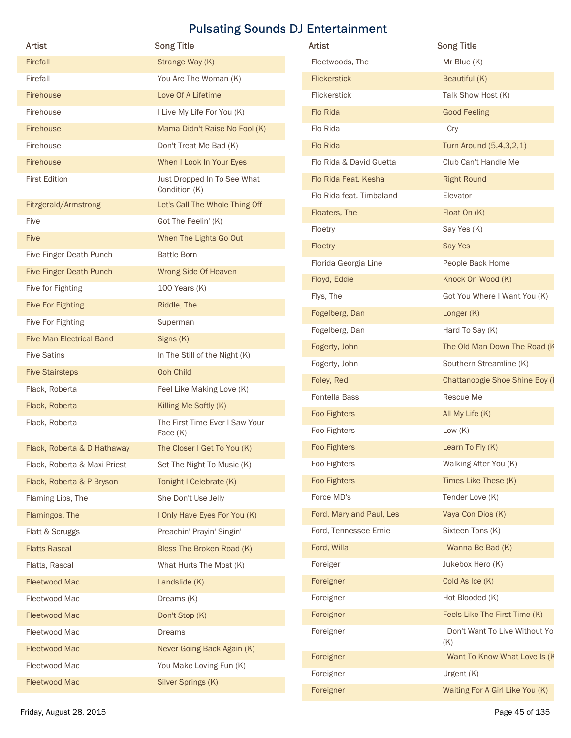|                                               |                                          | <b>Pulsating Sounds DJ Entertainment</b> |                                        |
|-----------------------------------------------|------------------------------------------|------------------------------------------|----------------------------------------|
| Artist                                        | <b>Song Title</b>                        | Artist                                   | <b>Song Title</b>                      |
| Firefall<br>Firefall                          | Strange Way (K)<br>You Are The Woman (K) | Fleetwoods, The<br><b>Flickerstick</b>   | Mr Blue (K)<br>Beautiful (K)           |
| Firehouse                                     | Love Of A Lifetime                       | Flickerstick                             | Talk Show Host (K)                     |
| Firehouse                                     | I Live My Life For You (K)               | Flo Rida                                 | <b>Good Feeling</b>                    |
| Firehouse                                     | Mama Didn't Raise No Fool (K)            | Flo Rida                                 | I Cry                                  |
| Firehouse                                     | Don't Treat Me Bad (K)                   | Flo Rida                                 | Turn Around (5,4,3,2,1)                |
| Firehouse                                     | When I Look In Your Eyes                 | Flo Rida & David Guetta                  | Club Can't Handle Me                   |
| <b>First Edition</b>                          | Just Dropped In To See What              | Flo Rida Feat. Kesha                     | <b>Right Round</b>                     |
|                                               | Condition (K)                            | Flo Rida feat. Timbaland                 | Elevator                               |
| Fitzgerald/Armstrong                          | Let's Call The Whole Thing Off           | Floaters, The                            | Float On (K)                           |
| Five                                          | Got The Feelin' (K)                      | Floetry                                  | Say Yes (K)                            |
| Five                                          | When The Lights Go Out                   | Floetry                                  | Say Yes                                |
| Five Finger Death Punch                       | <b>Battle Born</b>                       | Florida Georgia Line                     | People Back Home                       |
| Five Finger Death Punch                       | Wrong Side Of Heaven                     | Floyd, Eddie                             | Knock On Wood (K)                      |
| Five for Fighting<br><b>Five For Fighting</b> | 100 Years (K)<br>Riddle, The             | Flys, The                                | Got You Where I Want You (K)           |
| Five For Fighting                             | Superman                                 | Fogelberg, Dan                           | Longer (K)                             |
| <b>Five Man Electrical Band</b>               | Signs (K)                                | Fogelberg, Dan                           | Hard To Say (K)                        |
| <b>Five Satins</b>                            | In The Still of the Night (K)            | Fogerty, John                            | The Old Man Down The Road (K           |
| <b>Five Stairsteps</b>                        | Ooh Child                                | Fogerty, John                            | Southern Streamline (K)                |
| Flack, Roberta                                | Feel Like Making Love (K)                | Foley, Red                               | <b>Chattanoogie Shoe Shine Boy (I</b>  |
| Flack, Roberta                                | Killing Me Softly (K)                    | Fontella Bass                            | Rescue Me                              |
| Flack, Roberta                                | The First Time Ever I Saw Your           | Foo Fighters                             | All My Life (K)                        |
|                                               | Face (K)                                 | Foo Fighters                             | Low $(K)$                              |
| Flack, Roberta & D Hathaway                   | The Closer I Get To You (K)              | Foo Fighters                             | Learn To Fly (K)                       |
| Flack, Roberta & Maxi Priest                  | Set The Night To Music (K)               | Foo Fighters                             | Walking After You (K)                  |
| Flack, Roberta & P Bryson                     | Tonight I Celebrate (K)                  | Foo Fighters                             | Times Like These (K)                   |
| Flaming Lips, The                             | She Don't Use Jelly                      | Force MD's                               | Tender Love (K)                        |
| Flamingos, The                                | I Only Have Eyes For You (K)             | Ford, Mary and Paul, Les                 | Vaya Con Dios (K)                      |
| Flatt & Scruggs                               | Preachin' Prayin' Singin'                | Ford, Tennessee Ernie<br>Ford, Willa     | Sixteen Tons (K)<br>I Wanna Be Bad (K) |
| <b>Flatts Rascal</b>                          | Bless The Broken Road (K)                | Foreiger                                 | Jukebox Hero (K)                       |
| Flatts, Rascal<br><b>Fleetwood Mac</b>        | What Hurts The Most (K)<br>Landslide (K) | Foreigner                                | Cold As Ice (K)                        |
| Fleetwood Mac                                 | Dreams (K)                               | Foreigner                                | Hot Blooded (K)                        |
| <b>Fleetwood Mac</b>                          | Don't Stop (K)                           | Foreigner                                | Feels Like The First Time (K)          |
| Fleetwood Mac                                 | Dreams                                   | Foreigner                                | I Don't Want To Live Without Yo        |
| Fleetwood Mac                                 | Never Going Back Again (K)               |                                          | (K)                                    |
| Fleetwood Mac                                 | You Make Loving Fun (K)                  | Foreigner                                | I Want To Know What Love Is (K         |
| Fleetwood Mac                                 | Silver Springs (K)                       | Foreigner                                | Urgent (K)                             |
|                                               |                                          |                                          |                                        |

| Artist                          | <b>Song Title</b>                          | Artist                   | <b>Song Title</b>                     |
|---------------------------------|--------------------------------------------|--------------------------|---------------------------------------|
| Firefall                        | Strange Way (K)                            | Fleetwoods, The          | Mr Blue (K)                           |
| Firefall                        | You Are The Woman (K)                      | <b>Flickerstick</b>      | Beautiful (K)                         |
| Firehouse                       | Love Of A Lifetime                         | Flickerstick             | Talk Show Host (K)                    |
| Firehouse                       | I Live My Life For You (K)                 | Flo Rida                 | <b>Good Feeling</b>                   |
| Firehouse                       | Mama Didn't Raise No Fool (K)              | Flo Rida                 | I Cry                                 |
| Firehouse                       | Don't Treat Me Bad (K)                     | Flo Rida                 | Turn Around (5,4,3,2,1)               |
| Firehouse                       | When I Look In Your Eyes                   | Flo Rida & David Guetta  | Club Can't Handle Me                  |
| <b>First Edition</b>            | Just Dropped In To See What                | Flo Rida Feat. Kesha     | <b>Right Round</b>                    |
|                                 | Condition (K)                              | Flo Rida feat. Timbaland | Elevator                              |
| Fitzgerald/Armstrong            | Let's Call The Whole Thing Off             | Floaters, The            | Float On (K)                          |
| Five                            | Got The Feelin' (K)                        | Floetry                  | Say Yes (K)                           |
| Five                            | When The Lights Go Out                     | Floetry                  | Say Yes                               |
| Five Finger Death Punch         | <b>Battle Born</b>                         | Florida Georgia Line     | People Back Home                      |
| Five Finger Death Punch         | Wrong Side Of Heaven                       | Floyd, Eddie             | Knock On Wood (K)                     |
| Five for Fighting               | 100 Years (K)                              | Flys, The                | Got You Where I Want You (K)          |
| <b>Five For Fighting</b>        | Riddle, The                                | Fogelberg, Dan           | Longer (K)                            |
| Five For Fighting               | Superman                                   | Fogelberg, Dan           | Hard To Say (K)                       |
| <b>Five Man Electrical Band</b> | Signs (K)                                  | Fogerty, John            | The Old Man Down The Road (K          |
| <b>Five Satins</b>              | In The Still of the Night (K)              | Fogerty, John            | Southern Streamline (K)               |
| <b>Five Stairsteps</b>          | Ooh Child                                  | Foley, Red               | <b>Chattanoogie Shoe Shine Boy (I</b> |
| Flack, Roberta                  | Feel Like Making Love (K)                  | Fontella Bass            | Rescue Me                             |
| Flack, Roberta                  | Killing Me Softly (K)                      | Foo Fighters             | All My Life (K)                       |
| Flack, Roberta                  | The First Time Ever I Saw Your<br>Face (K) | Foo Fighters             | Low $(K)$                             |
| Flack, Roberta & D Hathaway     | The Closer I Get To You (K)                | Foo Fighters             | Learn To Fly (K)                      |
| Flack, Roberta & Maxi Priest    | Set The Night To Music (K)                 | Foo Fighters             | Walking After You (K)                 |
| Flack, Roberta & P Bryson       | Tonight I Celebrate (K)                    | Foo Fighters             | Times Like These (K)                  |
| Flaming Lips, The               | She Don't Use Jelly                        | Force MD's               | Tender Love (K)                       |
| Flamingos, The                  | I Only Have Eyes For You (K)               | Ford, Mary and Paul, Les | Vaya Con Dios (K)                     |
| Flatt & Scruggs                 | Preachin' Prayin' Singin'                  | Ford, Tennessee Ernie    | Sixteen Tons (K)                      |
| <b>Flatts Rascal</b>            | Bless The Broken Road (K)                  | Ford, Willa              | I Wanna Be Bad (K)                    |
| Flatts, Rascal                  | What Hurts The Most (K)                    | Foreiger                 | Jukebox Hero (K)                      |
| Fleetwood Mac                   | Landslide (K)                              | Foreigner                | Cold As Ice (K)                       |
| Fleetwood Mac                   | Dreams (K)                                 | Foreigner                | Hot Blooded (K)                       |
| Fleetwood Mac                   | Don't Stop (K)                             | Foreigner                | Feels Like The First Time (K)         |
| Fleetwood Mac                   | <b>Dreams</b>                              | Foreigner                | I Don't Want To Live Without Yo       |
| Fleetwood Mac                   | Never Going Back Again (K)                 |                          | (K)                                   |
| Fleetwood Mac                   | You Make Loving Fun (K)                    | Foreigner                | I Want To Know What Love Is (K        |
| Fleetwood Mac                   | Silver Springs (K)                         | Foreigner                | Urgent (K)                            |
|                                 |                                            | Foreigner                | Waiting For A Girl Like You (K)       |
| Friday, August 28, 2015         |                                            |                          | Page 45 of 135                        |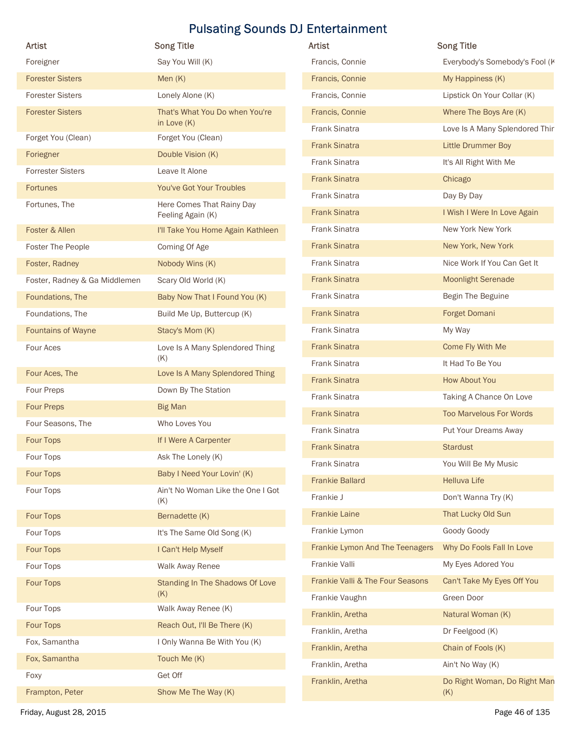|                               |                                                 | <b>Pulsating Sounds DJ Entertainment</b>           |                                          |
|-------------------------------|-------------------------------------------------|----------------------------------------------------|------------------------------------------|
| Artist                        | <b>Song Title</b>                               | Artist                                             | <b>Song Title</b>                        |
| Foreigner                     | Say You Will (K)                                | Francis, Connie                                    | Everybody's Somebody's Fool (K           |
| <b>Forester Sisters</b>       | Men $(K)$                                       | Francis, Connie                                    | My Happiness (K)                         |
| <b>Forester Sisters</b>       | Lonely Alone (K)                                | Francis, Connie                                    | Lipstick On Your Collar (K)              |
| <b>Forester Sisters</b>       | That's What You Do when You're<br>in Love $(K)$ | Francis, Connie                                    | Where The Boys Are (K)                   |
| Forget You (Clean)            | Forget You (Clean)                              | Frank Sinatra                                      | Love Is A Many Splendored Thir           |
| Foriegner                     | Double Vision (K)                               | <b>Frank Sinatra</b>                               | <b>Little Drummer Boy</b>                |
| <b>Forrester Sisters</b>      | Leave It Alone                                  | Frank Sinatra                                      | It's All Right With Me                   |
| <b>Fortunes</b>               | You've Got Your Troubles                        | <b>Frank Sinatra</b>                               | Chicago                                  |
| Fortunes, The                 | Here Comes That Rainy Day                       | Frank Sinatra                                      | Day By Day                               |
|                               | Feeling Again (K)                               | <b>Frank Sinatra</b>                               | I Wish I Were In Love Again              |
| Foster & Allen                | I'll Take You Home Again Kathleen               | Frank Sinatra                                      | New York New York                        |
| Foster The People             | Coming Of Age                                   | <b>Frank Sinatra</b>                               | New York, New York                       |
| Foster, Radney                | Nobody Wins (K)                                 | Frank Sinatra                                      | Nice Work If You Can Get It              |
| Foster, Radney & Ga Middlemen | Scary Old World (K)                             | <b>Frank Sinatra</b>                               | <b>Moonlight Serenade</b>                |
| Foundations, The              | Baby Now That I Found You (K)                   | Frank Sinatra                                      | Begin The Beguine                        |
| Foundations, The              | Build Me Up, Buttercup (K)                      | <b>Frank Sinatra</b>                               | Forget Domani                            |
| Fountains of Wayne            | Stacy's Mom (K)                                 | Frank Sinatra                                      | My Way                                   |
| Four Aces                     | Love Is A Many Splendored Thing<br>(K)          | <b>Frank Sinatra</b><br>Frank Sinatra              | Come Fly With Me<br>It Had To Be You     |
| Four Aces, The                | Love Is A Many Splendored Thing                 |                                                    |                                          |
| Four Preps                    | Down By The Station                             | <b>Frank Sinatra</b>                               | How About You                            |
| <b>Four Preps</b>             | <b>Big Man</b>                                  | Frank Sinatra                                      | Taking A Chance On Love                  |
| Four Seasons, The             | Who Loves You                                   | <b>Frank Sinatra</b>                               | <b>Too Marvelous For Words</b>           |
| Four Tops                     | If I Were A Carpenter                           | Frank Sinatra                                      | Put Your Dreams Away                     |
| Four Tops                     | Ask The Lonely (K)                              | <b>Frank Sinatra</b>                               | <b>Stardust</b>                          |
| Four Tops                     | Baby I Need Your Lovin' (K)                     | Frank Sinatra                                      | You Will Be My Music                     |
| Four Tops                     | Ain't No Woman Like the One I Got               | <b>Frankie Ballard</b>                             | <b>Helluva Life</b>                      |
|                               | (K)                                             | Frankie J                                          | Don't Wanna Try (K)                      |
| Four Tops                     | Bernadette (K)                                  | <b>Frankie Laine</b>                               | That Lucky Old Sun                       |
| Four Tops                     | It's The Same Old Song (K)                      | Frankie Lymon                                      | Goody Goody                              |
| Four Tops                     | I Can't Help Myself                             | Frankie Lymon And The Teenagers                    | Why Do Fools Fall In Love                |
| Four Tops                     | Walk Away Renee                                 | Frankie Valli                                      | My Eyes Adored You                       |
| Four Tops                     | Standing In The Shadows Of Love<br>(K)          | Frankie Valli & The Four Seasons<br>Frankie Vaughn | Can't Take My Eyes Off You<br>Green Door |
| Four Tops                     | Walk Away Renee (K)                             | Franklin, Aretha                                   | Natural Woman (K)                        |
| Four Tops                     | Reach Out, I'll Be There (K)                    | Franklin, Aretha                                   | Dr Feelgood (K)                          |
| Fox, Samantha                 | I Only Wanna Be With You (K)                    | Franklin, Aretha                                   | Chain of Fools (K)                       |
| Fox, Samantha                 | Touch Me (K)                                    | Franklin, Aretha                                   | Ain't No Way (K)                         |
| Foxy                          | Get Off                                         | Franklin, Aretha                                   | Do Right Woman, Do Right Man             |
| Frampton, Peter               | Show Me The Way (K)                             |                                                    | (K)                                      |
| Friday, August 28, 2015       |                                                 |                                                    | Page 46 of 135                           |

| Artist                           | <b>Song Title</b>                   |
|----------------------------------|-------------------------------------|
| Francis, Connie                  | Everybody's Somebody's Fool (K      |
| Francis, Connie                  | My Happiness (K)                    |
| Francis, Connie                  | Lipstick On Your Collar (K)         |
| Francis, Connie                  | Where The Boys Are (K)              |
| <b>Frank Sinatra</b>             | Love Is A Many Splendored Thir      |
| <b>Frank Sinatra</b>             | <b>Little Drummer Boy</b>           |
| <b>Frank Sinatra</b>             | It's All Right With Me              |
| <b>Frank Sinatra</b>             | Chicago                             |
| <b>Frank Sinatra</b>             | Day By Day                          |
| <b>Frank Sinatra</b>             | I Wish I Were In Love Again         |
| <b>Frank Sinatra</b>             | New York New York                   |
| <b>Frank Sinatra</b>             | New York, New York                  |
| <b>Frank Sinatra</b>             | Nice Work If You Can Get It         |
| <b>Frank Sinatra</b>             | <b>Moonlight Serenade</b>           |
| <b>Frank Sinatra</b>             | Begin The Beguine                   |
| <b>Frank Sinatra</b>             | Forget Domani                       |
| <b>Frank Sinatra</b>             | My Way                              |
| <b>Frank Sinatra</b>             | Come Fly With Me                    |
| <b>Frank Sinatra</b>             | It Had To Be You                    |
| <b>Frank Sinatra</b>             | <b>How About You</b>                |
| <b>Frank Sinatra</b>             | Taking A Chance On Love             |
| <b>Frank Sinatra</b>             | <b>Too Marvelous For Words</b>      |
| <b>Frank Sinatra</b>             | Put Your Dreams Away                |
| <b>Frank Sinatra</b>             | <b>Stardust</b>                     |
| Frank Sinatra                    | You Will Be My Music                |
| <b>Frankie Ballard</b>           | <b>Helluva Life</b>                 |
| Frankie J                        | Don't Wanna Try (K)                 |
| <b>Frankie Laine</b>             | That Lucky Old Sun                  |
| Frankie Lymon                    | Goody Goody                         |
| Frankie Lymon And The Teenagers  | Why Do Fools Fall In Love           |
| Frankie Valli                    | My Eyes Adored You                  |
| Frankie Valli & The Four Seasons | Can't Take My Eyes Off You          |
| Frankie Vaughn                   | Green Door                          |
| Franklin, Aretha                 | Natural Woman (K)                   |
| Franklin, Aretha                 | Dr Feelgood (K)                     |
| Franklin, Aretha                 | Chain of Fools (K)                  |
| Franklin, Aretha                 | Ain't No Way (K)                    |
| Franklin, Aretha                 | Do Right Woman, Do Right Man<br>(K) |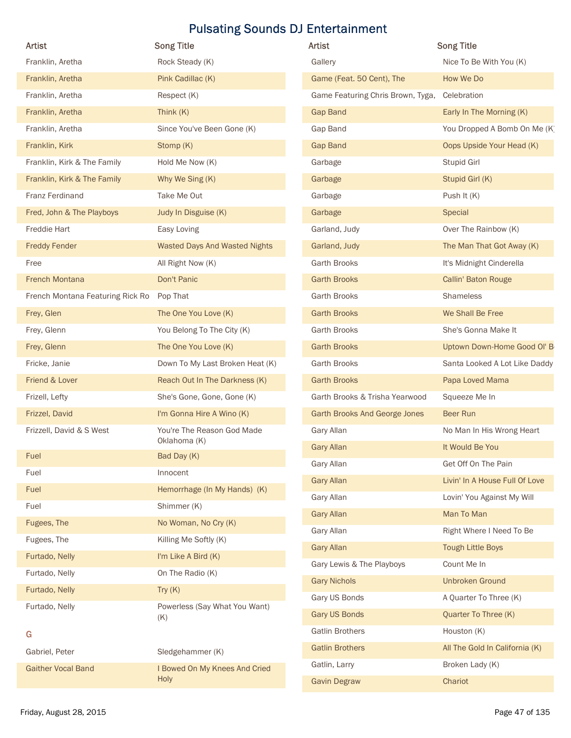|                                      | <b>Pulsating Sounds DJ Entertainment</b> |                                      |                                                           |
|--------------------------------------|------------------------------------------|--------------------------------------|-----------------------------------------------------------|
| Artist                               | <b>Song Title</b>                        | <b>Artist</b>                        | <b>Song Title</b>                                         |
| Franklin, Aretha                     | Rock Steady (K)                          | Gallery                              | Nice To Be With You (K)                                   |
| Franklin, Aretha                     | Pink Cadillac (K)                        | Game (Feat. 50 Cent), The            | How We Do                                                 |
| Franklin, Aretha                     | Respect (K)                              | Game Featuring Chris Brown, Tyga,    | Celebration                                               |
| Franklin, Aretha<br>Franklin, Aretha | Think (K)<br>Since You've Been Gone (K)  | <b>Gap Band</b><br>Gap Band          | Early In The Morning (K)                                  |
| Franklin, Kirk                       | Stomp (K)                                | <b>Gap Band</b>                      | You Dropped A Bomb On Me (K)<br>Oops Upside Your Head (K) |
| Franklin, Kirk & The Family          | Hold Me Now (K)                          | Garbage                              | Stupid Girl                                               |
| Franklin, Kirk & The Family          | Why We Sing (K)                          | Garbage                              | Stupid Girl (K)                                           |
| <b>Franz Ferdinand</b>               | Take Me Out                              | Garbage                              | Push It (K)                                               |
| Fred, John & The Playboys            | Judy In Disguise (K)                     | Garbage                              | Special                                                   |
| Freddie Hart                         | Easy Loving                              | Garland, Judy                        | Over The Rainbow (K)                                      |
| <b>Freddy Fender</b>                 | <b>Wasted Days And Wasted Nights</b>     | Garland, Judy                        | The Man That Got Away (K)                                 |
| Free                                 | All Right Now (K)                        | Garth Brooks                         | It's Midnight Cinderella                                  |
| French Montana                       | Don't Panic                              | <b>Garth Brooks</b>                  | Callin' Baton Rouge                                       |
| French Montana Featuring Rick Ro     | Pop That                                 | <b>Garth Brooks</b>                  | Shameless                                                 |
| Frey, Glen                           | The One You Love (K)                     | <b>Garth Brooks</b>                  | We Shall Be Free                                          |
| Frey, Glenn                          | You Belong To The City (K)               | Garth Brooks                         | She's Gonna Make It                                       |
| Frey, Glenn                          | The One You Love (K)                     | <b>Garth Brooks</b>                  | Uptown Down-Home Good OI' B                               |
| Fricke, Janie                        | Down To My Last Broken Heat (K)          | Garth Brooks                         | Santa Looked A Lot Like Daddy                             |
| Friend & Lover                       | Reach Out In The Darkness (K)            | <b>Garth Brooks</b>                  | Papa Loved Mama                                           |
| Frizell, Lefty                       | She's Gone, Gone, Gone (K)               | Garth Brooks & Trisha Yearwood       | Squeeze Me In                                             |
| Frizzel, David                       | I'm Gonna Hire A Wino (K)                | Garth Brooks And George Jones        | Beer Run                                                  |
| Frizzell, David & S West             | You're The Reason God Made               | Gary Allan                           | No Man In His Wrong Heart                                 |
|                                      | Oklahoma (K)                             | <b>Gary Allan</b>                    | It Would Be You                                           |
| Fuel                                 | Bad Day (K)                              | Gary Allan                           | Get Off On The Pain                                       |
| Fuel<br>Fuel                         | Innocent<br>Hemorrhage (In My Hands) (K) | <b>Gary Allan</b>                    | Livin' In A House Full Of Love                            |
| Fuel                                 | Shimmer (K)                              | Gary Allan                           | Lovin' You Against My Will                                |
| Fugees, The                          | No Woman, No Cry (K)                     | <b>Gary Allan</b>                    | Man To Man                                                |
| Fugees, The                          | Killing Me Softly (K)                    | Gary Allan                           | Right Where I Need To Be                                  |
| Furtado, Nelly                       | I'm Like A Bird (K)                      | <b>Gary Allan</b>                    | <b>Tough Little Boys</b>                                  |
| Furtado, Nelly                       | On The Radio (K)                         | Gary Lewis & The Playboys            | Count Me In                                               |
| Furtado, Nelly                       | Try $(K)$                                | <b>Gary Nichols</b>                  | <b>Unbroken Ground</b>                                    |
| Furtado, Nelly                       | Powerless (Say What You Want)            | Gary US Bonds                        | A Quarter To Three (K)                                    |
|                                      | (K)                                      | Gary US Bonds                        | Quarter To Three (K)                                      |
| G                                    |                                          | <b>Gatlin Brothers</b>               | Houston (K)                                               |
| Gabriel, Peter                       | Sledgehammer (K)                         | <b>Gatlin Brothers</b>               | All The Gold In California (K)                            |
| <b>Gaither Vocal Band</b>            | I Bowed On My Knees And Cried<br>Holy    | Gatlin, Larry<br><b>Gavin Degraw</b> | Broken Lady (K)<br>Chariot                                |
|                                      |                                          |                                      |                                                           |

| Artist                           | <b>Song Title</b>                    | Artist                               | <b>Song Title</b>              |
|----------------------------------|--------------------------------------|--------------------------------------|--------------------------------|
| Franklin, Aretha                 | Rock Steady (K)                      | Gallery                              | Nice To Be With You (K)        |
| Franklin, Aretha                 | Pink Cadillac (K)                    | Game (Feat. 50 Cent), The            | How We Do                      |
| Franklin, Aretha                 | Respect (K)                          | Game Featuring Chris Brown, Tyga,    | Celebration                    |
| Franklin, Aretha                 | Think (K)                            | Gap Band                             | Early In The Morning (K)       |
| Franklin, Aretha                 | Since You've Been Gone (K)           | Gap Band                             | You Dropped A Bomb On Me (K)   |
| Franklin, Kirk                   | Stomp (K)                            | Gap Band                             | Oops Upside Your Head (K)      |
| Franklin, Kirk & The Family      | Hold Me Now (K)                      | Garbage                              | Stupid Girl                    |
| Franklin, Kirk & The Family      | Why We Sing (K)                      | Garbage                              | Stupid Girl (K)                |
| Franz Ferdinand                  | Take Me Out                          | Garbage                              | Push It (K)                    |
| Fred, John & The Playboys        | Judy In Disguise (K)                 | Garbage                              | Special                        |
| Freddie Hart                     | Easy Loving                          | Garland, Judy                        | Over The Rainbow (K)           |
| <b>Freddy Fender</b>             | <b>Wasted Days And Wasted Nights</b> | Garland, Judy                        | The Man That Got Away (K)      |
| Free                             | All Right Now (K)                    | <b>Garth Brooks</b>                  | It's Midnight Cinderella       |
| <b>French Montana</b>            | Don't Panic                          | <b>Garth Brooks</b>                  | Callin' Baton Rouge            |
| French Montana Featuring Rick Ro | Pop That                             | Garth Brooks                         | Shameless                      |
| Frey, Glen                       | The One You Love (K)                 | <b>Garth Brooks</b>                  | We Shall Be Free               |
| Frey, Glenn                      | You Belong To The City (K)           | Garth Brooks                         | She's Gonna Make It            |
| Frey, Glenn                      | The One You Love (K)                 | <b>Garth Brooks</b>                  | Uptown Down-Home Good OI' B    |
| Fricke, Janie                    | Down To My Last Broken Heat (K)      | Garth Brooks                         | Santa Looked A Lot Like Daddy  |
| Friend & Lover                   | Reach Out In The Darkness (K)        | <b>Garth Brooks</b>                  | Papa Loved Mama                |
| Frizell, Lefty                   | She's Gone, Gone, Gone (K)           | Garth Brooks & Trisha Yearwood       | Squeeze Me In                  |
| Frizzel, David                   | I'm Gonna Hire A Wino (K)            | <b>Garth Brooks And George Jones</b> | Beer Run                       |
| Frizzell, David & S West         | You're The Reason God Made           | Gary Allan                           | No Man In His Wrong Heart      |
|                                  | Oklahoma (K)                         | <b>Gary Allan</b>                    | It Would Be You                |
| Fuel                             | Bad Day (K)                          | Gary Allan                           | Get Off On The Pain            |
| Fuel                             | Innocent                             | <b>Gary Allan</b>                    | Livin' In A House Full Of Love |
| Fuel                             | Hemorrhage (In My Hands) (K)         | Gary Allan                           | Lovin' You Against My Will     |
| Fuel                             | Shimmer (K)                          | <b>Gary Allan</b>                    | Man To Man                     |
| Fugees, The                      | No Woman, No Cry (K)                 | Gary Allan                           | Right Where I Need To Be       |
| Fugees, The                      | Killing Me Softly (K)                | <b>Gary Allan</b>                    | <b>Tough Little Boys</b>       |
| Furtado, Nelly                   | I'm Like A Bird (K)                  | Gary Lewis & The Playboys            | Count Me In                    |
| Furtado, Nelly                   | On The Radio (K)                     | <b>Gary Nichols</b>                  | <b>Unbroken Ground</b>         |
| Furtado, Nelly                   | Try $(K)$                            | Gary US Bonds                        | A Quarter To Three (K)         |
| Furtado, Nelly                   | Powerless (Say What You Want)<br>(K) | <b>Gary US Bonds</b>                 | Quarter To Three (K)           |
| G                                |                                      | <b>Gatlin Brothers</b>               | Houston (K)                    |
| Gabriel, Peter                   | Sledgehammer (K)                     | <b>Gatlin Brothers</b>               | All The Gold In California (K) |
| <b>Gaither Vocal Band</b>        | I Bowed On My Knees And Cried        | Gatlin, Larry                        | Broken Lady (K)                |
|                                  | Holy                                 | <b>Gavin Degraw</b>                  | Chariot                        |
| Friday, August 28, 2015          |                                      |                                      | Page 47 of 135                 |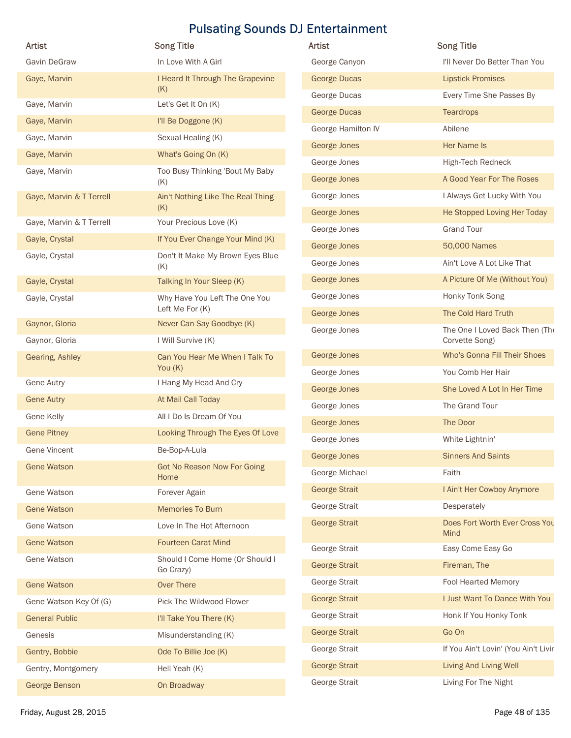|                               | <b>Song Title</b>                            | Artist               | <b>Song Title</b>                      |
|-------------------------------|----------------------------------------------|----------------------|----------------------------------------|
| <b>Artist</b><br>Gavin DeGraw | In Love With A Girl                          | George Canyon        | I'll Never Do Better Than You          |
| Gaye, Marvin                  | I Heard It Through The Grapevine             | <b>George Ducas</b>  | <b>Lipstick Promises</b>               |
|                               | (K)                                          | George Ducas         | Every Time She Passes By               |
| Gaye, Marvin                  | Let's Get It On (K)                          | <b>George Ducas</b>  | <b>Teardrops</b>                       |
| Gaye, Marvin                  | I'll Be Doggone (K)                          | George Hamilton IV   | Abilene                                |
| Gaye, Marvin                  | Sexual Healing (K)                           | George Jones         | Her Name Is                            |
| Gaye, Marvin                  | What's Going On (K)                          | George Jones         | High-Tech Redneck                      |
| Gaye, Marvin                  | Too Busy Thinking 'Bout My Baby              | George Jones         | A Good Year For The Roses              |
| Gaye, Marvin & T Terrell      | (K)<br>Ain't Nothing Like The Real Thing     | George Jones         | I Always Get Lucky With You            |
|                               | (K)                                          | George Jones         | He Stopped Loving Her Today            |
| Gaye, Marvin & T Terrell      | Your Precious Love (K)                       | George Jones         | <b>Grand Tour</b>                      |
| Gayle, Crystal                | If You Ever Change Your Mind (K)             | George Jones         | 50,000 Names                           |
| Gayle, Crystal                | Don't It Make My Brown Eyes Blue             | George Jones         | Ain't Love A Lot Like That             |
| Gayle, Crystal                | (K)<br>Talking In Your Sleep (K)             | George Jones         | A Picture Of Me (Without You)          |
| Gayle, Crystal                | Why Have You Left The One You                | George Jones         | Honky Tonk Song                        |
|                               | Left Me For (K)                              | George Jones         | The Cold Hard Truth                    |
| Gaynor, Gloria                | Never Can Say Goodbye (K)                    | George Jones         | The One I Loved Back Then (The         |
| Gaynor, Gloria                | I Will Survive (K)                           |                      | Corvette Song)                         |
| Gearing, Ashley               | Can You Hear Me When I Talk To<br>You (K)    | George Jones         | Who's Gonna Fill Their Shoes           |
| <b>Gene Autry</b>             | I Hang My Head And Cry                       | George Jones         | You Comb Her Hair                      |
| <b>Gene Autry</b>             | At Mail Call Today                           | George Jones         | She Loved A Lot In Her Time            |
| Gene Kelly                    | All I Do Is Dream Of You                     | George Jones         | The Grand Tour                         |
| <b>Gene Pitney</b>            | Looking Through The Eyes Of Love             | George Jones         | The Door                               |
| <b>Gene Vincent</b>           | Be-Bop-A-Lula                                | George Jones         | White Lightnin'                        |
| <b>Gene Watson</b>            | <b>Got No Reason Now For Going</b>           | George Jones         | <b>Sinners And Saints</b>              |
|                               | Home                                         | George Michael       | Faith                                  |
| Gene Watson                   | Forever Again                                | <b>George Strait</b> | I Ain't Her Cowboy Anymore             |
| <b>Gene Watson</b>            | Memories To Burn                             | George Strait        | Desperately                            |
| Gene Watson                   | Love In The Hot Afternoon                    | <b>George Strait</b> | Does Fort Worth Ever Cross You<br>Mind |
| <b>Gene Watson</b>            | <b>Fourteen Carat Mind</b>                   | George Strait        | Easy Come Easy Go                      |
| Gene Watson                   | Should I Come Home (Or Should I<br>Go Crazy) | <b>George Strait</b> | Fireman, The                           |
| <b>Gene Watson</b>            | <b>Over There</b>                            | George Strait        | Fool Hearted Memory                    |
| Gene Watson Key Of (G)        | Pick The Wildwood Flower                     | <b>George Strait</b> | I Just Want To Dance With You          |
| <b>General Public</b>         | I'll Take You There (K)                      | George Strait        | Honk If You Honky Tonk                 |
| Genesis                       | Misunderstanding (K)                         | <b>George Strait</b> | Go On                                  |
| Gentry, Bobbie                | Ode To Billie Joe (K)                        | George Strait        | If You Ain't Lovin' (You Ain't Livir   |
| Gentry, Montgomery            | Hell Yeah (K)                                | <b>George Strait</b> | Living And Living Well                 |
|                               | On Broadway                                  | George Strait        | Living For The Night                   |
| George Benson                 |                                              |                      |                                        |

| Artist                                | <b>Song Title</b>                                                     |
|---------------------------------------|-----------------------------------------------------------------------|
| George Canyon                         | I'll Never Do Better Than You                                         |
| <b>George Ducas</b>                   | <b>Lipstick Promises</b>                                              |
| George Ducas                          | Every Time She Passes By                                              |
| <b>George Ducas</b>                   | <b>Teardrops</b>                                                      |
| George Hamilton IV                    | Abilene                                                               |
| George Jones                          | <b>Her Name Is</b>                                                    |
| George Jones                          | High-Tech Redneck                                                     |
| George Jones                          | A Good Year For The Roses                                             |
| George Jones                          | I Always Get Lucky With You                                           |
| George Jones                          | He Stopped Loving Her Today                                           |
| George Jones                          | <b>Grand Tour</b>                                                     |
| George Jones                          | 50,000 Names                                                          |
| George Jones                          | Ain't Love A Lot Like That                                            |
| George Jones                          | A Picture Of Me (Without You)                                         |
| George Jones                          | Honky Tonk Song                                                       |
| George Jones                          | The Cold Hard Truth                                                   |
| George Jones                          | The One I Loved Back Then (The<br>Corvette Song)                      |
| George Jones                          | Who's Gonna Fill Their Shoes                                          |
| George Jones                          | You Comb Her Hair                                                     |
| George Jones                          | She Loved A Lot In Her Time                                           |
| George Jones                          | The Grand Tour                                                        |
| George Jones                          | The Door                                                              |
| George Jones                          | White Lightnin'                                                       |
| <b>George Jones</b>                   | <b>Sinners And Saints</b>                                             |
| George Michael                        | Faith                                                                 |
| <b>George Strait</b>                  | I Ain't Her Cowboy Anymore                                            |
| George Strait                         | Desperately                                                           |
| <b>George Strait</b>                  | Does Fort Worth Ever Cross You<br>Mind                                |
| George Strait                         | Easy Come Easy Go                                                     |
| <b>George Strait</b>                  | Fireman, The                                                          |
| George Strait                         | Fool Hearted Memory                                                   |
| <b>George Strait</b>                  | I Just Want To Dance With You                                         |
| George Strait                         | Honk If You Honky Tonk                                                |
| <b>George Strait</b>                  |                                                                       |
|                                       | Go On                                                                 |
|                                       |                                                                       |
| George Strait<br><b>George Strait</b> | If You Ain't Lovin' (You Ain't Livir<br><b>Living And Living Well</b> |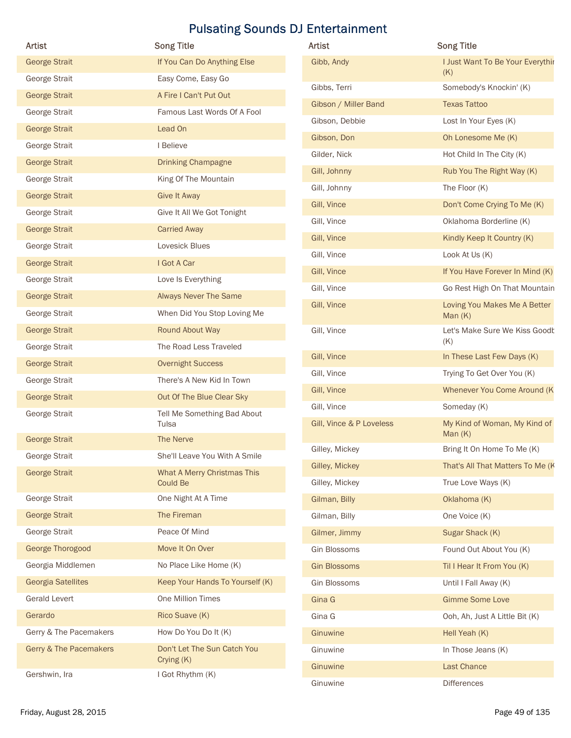| Artist                            | <b>Song Title</b>                       | Artist                   | <b>Song Title</b>                          |
|-----------------------------------|-----------------------------------------|--------------------------|--------------------------------------------|
| <b>George Strait</b>              | If You Can Do Anything Else             | Gibb, Andy               | I Just Want To Be Your Everythir           |
| George Strait                     | Easy Come, Easy Go                      |                          | (K)                                        |
| <b>George Strait</b>              | A Fire I Can't Put Out                  | Gibbs, Terri             | Somebody's Knockin' (K)                    |
| George Strait                     | Famous Last Words Of A Fool             | Gibson / Miller Band     | <b>Texas Tattoo</b>                        |
| <b>George Strait</b>              | Lead On                                 | Gibson, Debbie           | Lost In Your Eyes (K)                      |
| George Strait                     | I Believe                               | Gibson, Don              | Oh Lonesome Me (K)                         |
| <b>George Strait</b>              | <b>Drinking Champagne</b>               | Gilder, Nick             | Hot Child In The City (K)                  |
| George Strait                     | King Of The Mountain                    | Gill, Johnny             | Rub You The Right Way (K)                  |
| <b>George Strait</b>              | <b>Give It Away</b>                     | Gill, Johnny             | The Floor (K)                              |
| George Strait                     | Give It All We Got Tonight              | Gill, Vince              | Don't Come Crying To Me (K)                |
| <b>George Strait</b>              | <b>Carried Away</b>                     | Gill, Vince              | Oklahoma Borderline (K)                    |
| George Strait                     | Lovesick Blues                          | Gill, Vince              | Kindly Keep It Country (K)                 |
| <b>George Strait</b>              | I Got A Car                             | Gill, Vince              | Look At Us (K)                             |
| George Strait                     | Love Is Everything                      | Gill, Vince              | If You Have Forever In Mind (K)            |
| <b>George Strait</b>              | <b>Always Never The Same</b>            | Gill, Vince              | Go Rest High On That Mountain              |
| George Strait                     | When Did You Stop Loving Me             | Gill, Vince              | Loving You Makes Me A Better               |
| <b>George Strait</b>              | Round About Way                         | Gill, Vince              | Man $(K)$<br>Let's Make Sure We Kiss Goodk |
| George Strait                     | The Road Less Traveled                  |                          | (K)                                        |
| <b>George Strait</b>              | <b>Overnight Success</b>                | Gill, Vince              | In These Last Few Days (K)                 |
|                                   |                                         | Gill, Vince              | Trying To Get Over You (K)                 |
| George Strait                     | There's A New Kid In Town               | Gill, Vince              | Whenever You Come Around (K)               |
| <b>George Strait</b>              | Out Of The Blue Clear Sky               | Gill, Vince              | Someday (K)                                |
| George Strait                     | Tell Me Something Bad About<br>Tulsa    | Gill, Vince & P Loveless | My Kind of Woman, My Kind of<br>Man $(K)$  |
| <b>George Strait</b>              | The Nerve                               | Gilley, Mickey           | Bring It On Home To Me (K)                 |
| George Strait                     | She'll Leave You With A Smile           | Gilley, Mickey           | That's All That Matters To Me (K           |
| <b>George Strait</b>              | What A Merry Christmas This<br>Could Be | Gilley, Mickey           | True Love Ways (K)                         |
| George Strait                     | One Night At A Time                     | Gilman, Billy            | Oklahoma (K)                               |
| <b>George Strait</b>              | The Fireman                             | Gilman, Billy            | One Voice (K)                              |
| George Strait                     | Peace Of Mind                           | Gilmer, Jimmy            | Sugar Shack (K)                            |
| George Thorogood                  | Move It On Over                         | Gin Blossoms             | Found Out About You (K)                    |
| Georgia Middlemen                 | No Place Like Home (K)                  | <b>Gin Blossoms</b>      | Til I Hear It From You (K)                 |
| <b>Georgia Satellites</b>         | Keep Your Hands To Yourself (K)         | Gin Blossoms             | Until I Fall Away (K)                      |
| Gerald Levert                     | One Million Times                       | Gina G                   | <b>Gimme Some Love</b>                     |
| Gerardo                           | Rico Suave (K)                          | Gina G                   | Ooh, Ah, Just A Little Bit (K)             |
| Gerry & The Pacemakers            | How Do You Do It (K)                    | Ginuwine                 | Hell Yeah (K)                              |
| <b>Gerry &amp; The Pacemakers</b> | Don't Let The Sun Catch You             | Ginuwine                 | In Those Jeans (K)                         |
|                                   | Crying (K)                              | Ginuwine                 | Last Chance                                |
| Gershwin, Ira                     | I Got Rhythm (K)                        | Ginuwine                 | <b>Differences</b>                         |
|                                   |                                         |                          |                                            |

| Artist                   | <b>Song Title</b>                         |
|--------------------------|-------------------------------------------|
| Gibb, Andy               | I Just Want To Be Your Everythir<br>(K)   |
| Gibbs, Terri             | Somebody's Knockin' (K)                   |
| Gibson / Miller Band     | <b>Texas Tattoo</b>                       |
| Gibson, Debbie           | Lost In Your Eyes (K)                     |
| Gibson, Don              | Oh Lonesome Me (K)                        |
| Gilder, Nick             | Hot Child In The City (K)                 |
| Gill, Johnny             | Rub You The Right Way (K)                 |
| Gill, Johnny             | The Floor (K)                             |
| Gill, Vince              | Don't Come Crying To Me (K)               |
| Gill, Vince              | Oklahoma Borderline (K)                   |
| Gill, Vince              | Kindly Keep It Country (K)                |
| Gill, Vince              | Look At Us (K)                            |
| Gill, Vince              | If You Have Forever In Mind (K)           |
| Gill, Vince              | Go Rest High On That Mountain             |
| Gill, Vince              | Loving You Makes Me A Better<br>Man $(K)$ |
| Gill, Vince              | Let's Make Sure We Kiss Goodt<br>(K)      |
| Gill, Vince              | In These Last Few Days (K)                |
| Gill, Vince              | Trying To Get Over You (K)                |
| Gill, Vince              | <b>Whenever You Come Around (K</b>        |
| Gill, Vince              | Someday (K)                               |
| Gill, Vince & P Loveless | My Kind of Woman, My Kind of<br>Man $(K)$ |
| Gilley, Mickey           | Bring It On Home To Me (K)                |
| Gilley, Mickey           | That's All That Matters To Me (K)         |
| Gilley, Mickey           | True Love Ways (K)                        |
| Gilman, Billy            | Oklahoma (K)                              |
| Gilman, Billy            | One Voice (K)                             |
| Gilmer, Jimmy            | Sugar Shack (K)                           |
| <b>Gin Blossoms</b>      | Found Out About You (K)                   |
| <b>Gin Blossoms</b>      | Til I Hear It From You (K)                |
| <b>Gin Blossoms</b>      | Until I Fall Away (K)                     |
| Gina G                   | <b>Gimme Some Love</b>                    |
| Gina G                   | Ooh, Ah, Just A Little Bit (K)            |
| Ginuwine                 | Hell Yeah (K)                             |
| Ginuwine                 | In Those Jeans (K)                        |
| Ginuwine                 | Last Chance                               |
| Ginuwine                 | <b>Differences</b>                        |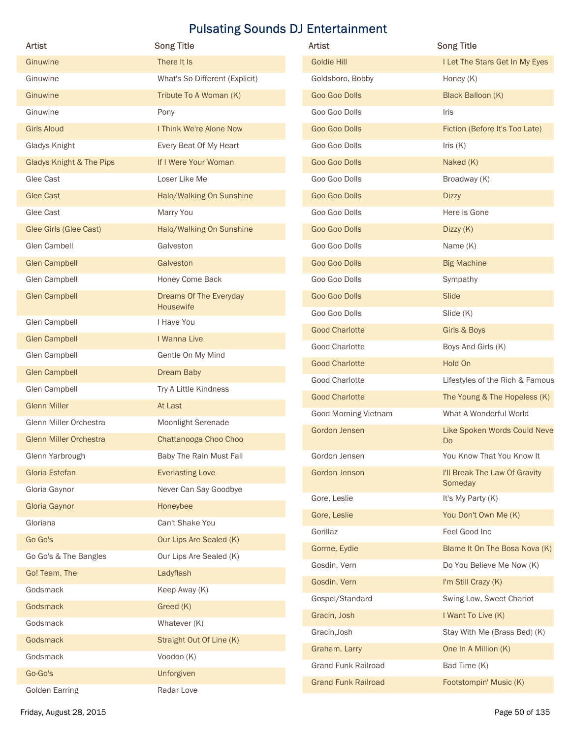| Artist                              | <b>Song Title</b>              | Artist                      | <b>Song Title</b>                        |
|-------------------------------------|--------------------------------|-----------------------------|------------------------------------------|
| Ginuwine                            | There It Is                    | <b>Goldie Hill</b>          | I Let The Stars Get In My Eyes           |
| Ginuwine                            | What's So Different (Explicit) | Goldsboro, Bobby            | Honey (K)                                |
| Ginuwine                            | Tribute To A Woman (K)         | Goo Goo Dolls               | Black Balloon (K)                        |
| Ginuwine                            | Pony                           | Goo Goo Dolls               | Iris                                     |
| <b>Girls Aloud</b>                  | I Think We're Alone Now        | Goo Goo Dolls               | Fiction (Before It's Too Late)           |
| Gladys Knight                       | Every Beat Of My Heart         | Goo Goo Dolls               | Iris $(K)$                               |
| <b>Gladys Knight &amp; The Pips</b> | If I Were Your Woman           | Goo Goo Dolls               | Naked (K)                                |
| Glee Cast                           | Loser Like Me                  | Goo Goo Dolls               | Broadway (K)                             |
| <b>Glee Cast</b>                    | Halo/Walking On Sunshine       | Goo Goo Dolls               | <b>Dizzy</b>                             |
| Glee Cast                           | Marry You                      | Goo Goo Dolls               | Here Is Gone                             |
| Glee Girls (Glee Cast)              | Halo/Walking On Sunshine       | Goo Goo Dolls               | Dizzy (K)                                |
| Glen Cambell                        | Galveston                      | Goo Goo Dolls               | Name (K)                                 |
| <b>Glen Campbell</b>                | Galveston                      | Goo Goo Dolls               | <b>Big Machine</b>                       |
| Glen Campbell                       | Honey Come Back                | Goo Goo Dolls               | Sympathy                                 |
| <b>Glen Campbell</b>                | Dreams Of The Everyday         | Goo Goo Dolls               | Slide                                    |
|                                     | Housewife                      | Goo Goo Dolls               | Slide (K)                                |
| Glen Campbell                       | I Have You                     | <b>Good Charlotte</b>       | Girls & Boys                             |
| <b>Glen Campbell</b>                | I Wanna Live                   | Good Charlotte              | Boys And Girls (K)                       |
| Glen Campbell                       | Gentle On My Mind              | <b>Good Charlotte</b>       | Hold On                                  |
| <b>Glen Campbell</b>                | Dream Baby                     | Good Charlotte              | Lifestyles of the Rich & Famous          |
| Glen Campbell                       | Try A Little Kindness          | <b>Good Charlotte</b>       | The Young & The Hopeless (K)             |
| <b>Glenn Miller</b>                 | At Last                        | <b>Good Morning Vietnam</b> | What A Wonderful World                   |
| Glenn Miller Orchestra              | Moonlight Serenade             | Gordon Jensen               | Like Spoken Words Could Nevel            |
| <b>Glenn Miller Orchestra</b>       | Chattanooga Choo Choo          |                             | <b>Do</b>                                |
| Glenn Yarbrough                     | Baby The Rain Must Fall        | Gordon Jensen               | You Know That You Know It                |
| Gloria Estefan                      | <b>Everlasting Love</b>        | Gordon Jenson               | I'll Break The Law Of Gravity<br>Someday |
| Gloria Gaynor                       | Never Can Say Goodbye          | Gore, Leslie                | It's My Party (K)                        |
| Gloria Gaynor                       | Honeybee                       | Gore, Leslie                | You Don't Own Me (K)                     |
| Gloriana                            | Can't Shake You                | Gorillaz                    | Feel Good Inc                            |
| Go Go's                             | Our Lips Are Sealed (K)        | Gorme, Eydie                | Blame It On The Bosa Nova (K)            |
| Go Go's & The Bangles               | Our Lips Are Sealed (K)        | Gosdin, Vern                | Do You Believe Me Now (K)                |
| Go! Team, The                       | Ladyflash                      | Gosdin, Vern                | I'm Still Crazy (K)                      |
| Godsmack                            | Keep Away (K)                  | Gospel/Standard             | Swing Low, Sweet Chariot                 |
| Godsmack                            | Greed (K)                      | Gracin, Josh                | I Want To Live (K)                       |
| Godsmack                            | Whatever (K)                   | Gracin, Josh                | Stay With Me (Brass Bed) (K)             |
| Godsmack                            | Straight Out Of Line (K)       | Graham, Larry               | One In A Million (K)                     |
| Godsmack                            | Voodoo (K)                     | <b>Grand Funk Railroad</b>  | Bad Time (K)                             |
| Go-Go's                             | Unforgiven                     | <b>Grand Funk Railroad</b>  | Footstompin' Music (K)                   |
|                                     | Radar Love                     |                             |                                          |

| Artist                      | <b>Song Title</b>                        |
|-----------------------------|------------------------------------------|
| <b>Goldie Hill</b>          | I Let The Stars Get In My Eyes           |
| Goldsboro, Bobby            | Honey (K)                                |
| Goo Goo Dolls               | Black Balloon (K)                        |
| Goo Goo Dolls               | Iris                                     |
| Goo Goo Dolls               | Fiction (Before It's Too Late)           |
| Goo Goo Dolls               | Iris $(K)$                               |
| Goo Goo Dolls               | Naked (K)                                |
| Goo Goo Dolls               | Broadway (K)                             |
| Goo Goo Dolls               | <b>Dizzy</b>                             |
| Goo Goo Dolls               | Here Is Gone                             |
| Goo Goo Dolls               | Dizzy $(K)$                              |
| Goo Goo Dolls               | Name (K)                                 |
| Goo Goo Dolls               | <b>Big Machine</b>                       |
| Goo Goo Dolls               | Sympathy                                 |
| Goo Goo Dolls               | Slide                                    |
| Goo Goo Dolls               | Slide (K)                                |
| <b>Good Charlotte</b>       | Girls & Boys                             |
| <b>Good Charlotte</b>       | Boys And Girls (K)                       |
| <b>Good Charlotte</b>       | Hold On                                  |
| <b>Good Charlotte</b>       | Lifestyles of the Rich & Famous          |
| <b>Good Charlotte</b>       | The Young & The Hopeless (K)             |
| <b>Good Morning Vietnam</b> | What A Wonderful World                   |
| Gordon Jensen               | Like Spoken Words Could Nevel<br>Do      |
| Gordon Jensen               | You Know That You Know It                |
| Gordon Jenson               | I'll Break The Law Of Gravity<br>Someday |
| Gore, Leslie                | It's My Party (K)                        |
| Gore, Leslie                | You Don't Own Me (K)                     |
| Gorillaz                    | Feel Good Inc                            |
| Gorme, Eydie                | Blame It On The Bosa Nova (K)            |
| Gosdin, Vern                | Do You Believe Me Now (K)                |
| Gosdin, Vern                | I'm Still Crazy (K)                      |
| Gospel/Standard             | Swing Low, Sweet Chariot                 |
| Gracin, Josh                | I Want To Live (K)                       |
| Gracin, Josh                | Stay With Me (Brass Bed) (K)             |
| Graham, Larry               | One In A Million (K)                     |
| <b>Grand Funk Railroad</b>  | Bad Time (K)                             |
| <b>Grand Funk Railroad</b>  | Footstompin' Music (K)                   |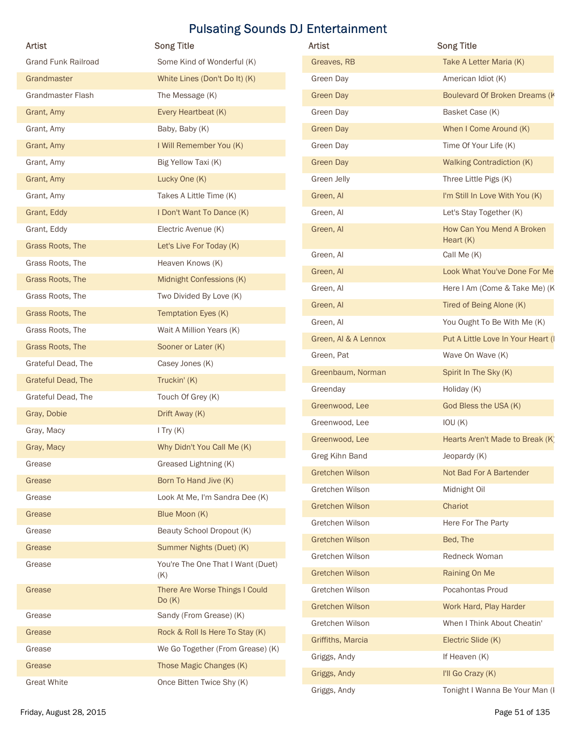| Artist                     | <b>Song Title</b>                       | Artist               | <b>Song Title</b>                        |
|----------------------------|-----------------------------------------|----------------------|------------------------------------------|
| <b>Grand Funk Railroad</b> | Some Kind of Wonderful (K)              | Greaves, RB          | Take A Letter Maria (K)                  |
|                            |                                         |                      |                                          |
| Grandmaster                | White Lines (Don't Do It) (K)           | Green Day            | American Idiot (K)                       |
| Grandmaster Flash          | The Message (K)                         | <b>Green Day</b>     | Boulevard Of Broken Dreams (K            |
| Grant, Amy                 | Every Heartbeat (K)                     | Green Day            | Basket Case (K)                          |
| Grant, Amy                 | Baby, Baby (K)                          | <b>Green Day</b>     | When I Come Around (K)                   |
| Grant, Amy                 | I Will Remember You (K)                 | Green Day            | Time Of Your Life (K)                    |
| Grant, Amy                 | Big Yellow Taxi (K)                     | <b>Green Day</b>     | <b>Walking Contradiction (K)</b>         |
| Grant, Amy                 | Lucky One (K)                           | Green Jelly          | Three Little Pigs (K)                    |
| Grant, Amy                 | Takes A Little Time (K)                 | Green, Al            | I'm Still In Love With You (K)           |
| Grant, Eddy                | I Don't Want To Dance (K)               | Green, Al            | Let's Stay Together (K)                  |
| Grant, Eddy                | Electric Avenue (K)                     | Green, Al            | How Can You Mend A Broken<br>Heart $(K)$ |
| Grass Roots, The           | Let's Live For Today (K)                | Green, Al            | Call Me (K)                              |
| Grass Roots, The           | Heaven Knows (K)                        | Green, Al            | Look What You've Done For Me             |
| Grass Roots, The           | Midnight Confessions (K)                | Green, Al            | Here I Am (Come & Take Me) (K            |
| Grass Roots, The           | Two Divided By Love (K)                 | Green, Al            | Tired of Being Alone (K)                 |
| Grass Roots, The           | Temptation Eyes (K)                     | Green, Al            | You Ought To Be With Me (K)              |
| Grass Roots, The           | Wait A Million Years (K)                | Green, Al & A Lennox | Put A Little Love In Your Heart (I       |
| Grass Roots, The           | Sooner or Later (K)                     | Green, Pat           | Wave On Wave (K)                         |
| Grateful Dead, The         | Casey Jones (K)                         | Greenbaum, Norman    | Spirit In The Sky (K)                    |
| Grateful Dead, The         | Truckin' (K)                            | Greenday             | Holiday (K)                              |
| Grateful Dead, The         | Touch Of Grey (K)                       | Greenwood, Lee       | God Bless the USA (K)                    |
| Gray, Dobie                | Drift Away (K)                          | Greenwood, Lee       | IOU(K)                                   |
| Gray, Macy                 | $I$ Try $(K)$                           |                      |                                          |
| Gray, Macy                 | Why Didn't You Call Me (K)              | Greenwood, Lee       | Hearts Aren't Made to Break (K)          |
| Grease                     | Greased Lightning (K)                   | Greg Kihn Band       | Jeopardy (K)                             |
| Grease                     | Born To Hand Jive (K)                   | Gretchen Wilson      | Not Bad For A Bartender                  |
| Grease                     | Look At Me, I'm Sandra Dee (K)          | Gretchen Wilson      | Midnight Oil                             |
| Grease                     | Blue Moon (K)                           | Gretchen Wilson      | Chariot                                  |
| Grease                     | Beauty School Dropout (K)               | Gretchen Wilson      | Here For The Party                       |
| Grease                     | Summer Nights (Duet) (K)                | Gretchen Wilson      | Bed, The                                 |
| Grease                     | You're The One That I Want (Duet)       | Gretchen Wilson      | Redneck Woman                            |
|                            | (K)                                     | Gretchen Wilson      | Raining On Me                            |
| Grease                     | There Are Worse Things I Could<br>Do(K) | Gretchen Wilson      | Pocahontas Proud                         |
| Grease                     | Sandy (From Grease) (K)                 | Gretchen Wilson      | Work Hard, Play Harder                   |
| Grease                     | Rock & Roll Is Here To Stay (K)         | Gretchen Wilson      | When I Think About Cheatin'              |
| Grease                     | We Go Together (From Grease) (K)        | Griffiths, Marcia    | Electric Slide (K)                       |
| Grease                     | Those Magic Changes (K)                 | Griggs, Andy         | If Heaven (K)                            |
| <b>Great White</b>         | Once Bitten Twice Shy (K)               | Griggs, Andy         | I'll Go Crazy (K)                        |
|                            |                                         | Griggs, Andy         | Tonight I Wanna Be Your Man (I           |
| Friday, August 28, 2015    |                                         |                      | Page 51 of 135                           |

| <b>Artist</b>          | <b>Song Title</b>                        |
|------------------------|------------------------------------------|
| Greaves, RB            | Take A Letter Maria (K)                  |
| Green Day              | American Idiot (K)                       |
| <b>Green Day</b>       | Boulevard Of Broken Dreams (K            |
| Green Day              | Basket Case (K)                          |
| <b>Green Day</b>       | When I Come Around (K)                   |
| Green Day              | Time Of Your Life (K)                    |
| <b>Green Day</b>       | <b>Walking Contradiction (K)</b>         |
| Green Jelly            | Three Little Pigs (K)                    |
| Green, Al              | I'm Still In Love With You (K)           |
| Green, Al              | Let's Stay Together (K)                  |
| Green, Al              | How Can You Mend A Broken<br>Heart $(K)$ |
| Green, Al              | Call Me (K)                              |
| Green, Al              | Look What You've Done For Me             |
| Green, Al              | Here I Am (Come & Take Me) (K            |
| Green, Al              | Tired of Being Alone (K)                 |
| Green, Al              | You Ought To Be With Me (K)              |
| Green, Al & A Lennox   | Put A Little Love In Your Heart (I       |
| Green, Pat             | Wave On Wave (K)                         |
| Greenbaum, Norman      | Spirit In The Sky (K)                    |
| Greenday               | Holiday (K)                              |
| Greenwood, Lee         | God Bless the USA (K)                    |
| Greenwood, Lee         | IOU(K)                                   |
| Greenwood, Lee         | Hearts Aren't Made to Break (K)          |
| Greg Kihn Band         | Jeopardy (K)                             |
| <b>Gretchen Wilson</b> | Not Bad For A Bartender                  |
| Gretchen Wilson        | Midnight Oil                             |
| Gretchen Wilson        | Chariot                                  |
| Gretchen Wilson        | Here For The Party                       |
| Gretchen Wilson        | Bed, The                                 |
| Gretchen Wilson        | Redneck Woman                            |
| Gretchen Wilson        | Raining On Me                            |
| Gretchen Wilson        | Pocahontas Proud                         |
| Gretchen Wilson        | Work Hard, Play Harder                   |
| Gretchen Wilson        | When I Think About Cheatin'              |
| Griffiths, Marcia      | Electric Slide (K)                       |
| Griggs, Andy           | If Heaven (K)                            |
| Griggs, Andy           | I'll Go Crazy (K)                        |
| Griggs, Andy           | Tonight I Wanna Be Your Man (I           |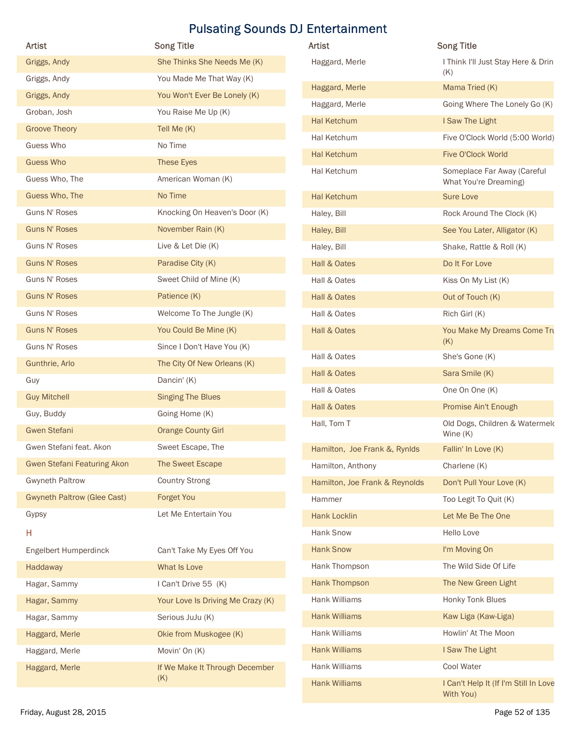|                                    | <b>Pulsating Sounds DJ Entertainment</b> |                                |                                              |
|------------------------------------|------------------------------------------|--------------------------------|----------------------------------------------|
| <b>Artist</b>                      | <b>Song Title</b>                        | Artist                         | <b>Song Title</b>                            |
| Griggs, Andy                       | She Thinks She Needs Me (K)              | Haggard, Merle                 | I Think I'll Just Stay Here & Drin<br>(K)    |
| Griggs, Andy                       | You Made Me That Way (K)                 | Haggard, Merle                 | Mama Tried (K)                               |
| Griggs, Andy                       | You Won't Ever Be Lonely (K)             | Haggard, Merle                 | Going Where The Lonely Go (K)                |
| Groban, Josh                       | You Raise Me Up (K)                      | <b>Hal Ketchum</b>             | I Saw The Light                              |
| <b>Groove Theory</b>               | Tell Me (K)                              | Hal Ketchum                    | Five O'Clock World (5:00 World)              |
| Guess Who                          | No Time                                  | <b>Hal Ketchum</b>             | Five O'Clock World                           |
| <b>Guess Who</b><br>Guess Who, The | These Eyes<br>American Woman (K)         | Hal Ketchum                    | Someplace Far Away (Careful                  |
| Guess Who, The                     | No Time                                  | <b>Hal Ketchum</b>             | What You're Dreaming)<br><b>Sure Love</b>    |
| Guns N' Roses                      | Knocking On Heaven's Door (K)            |                                | Rock Around The Clock (K)                    |
| <b>Guns N' Roses</b>               | November Rain (K)                        | Haley, Bill<br>Haley, Bill     | See You Later, Alligator (K)                 |
| Guns N' Roses                      | Live & Let Die (K)                       | Haley, Bill                    | Shake, Rattle & Roll (K)                     |
| <b>Guns N' Roses</b>               | Paradise City (K)                        | Hall & Oates                   | Do It For Love                               |
| Guns N' Roses                      | Sweet Child of Mine (K)                  | Hall & Oates                   | Kiss On My List (K)                          |
| <b>Guns N' Roses</b>               | Patience (K)                             | Hall & Oates                   | Out of Touch (K)                             |
| Guns N' Roses                      | Welcome To The Jungle (K)                | Hall & Oates                   | Rich Girl (K)                                |
| <b>Guns N' Roses</b>               | You Could Be Mine (K)                    | Hall & Oates                   | You Make My Dreams Come Tru                  |
| Guns N' Roses                      | Since I Don't Have You (K)               |                                | (K)                                          |
| Gunthrie, Arlo                     | The City Of New Orleans (K)              | Hall & Oates                   | She's Gone (K)                               |
| Guy                                | Dancin' (K)                              | Hall & Oates                   | Sara Smile (K)                               |
| <b>Guy Mitchell</b>                | <b>Singing The Blues</b>                 | Hall & Oates                   | One On One (K)                               |
| Guy, Buddy                         | Going Home (K)                           | Hall & Oates                   | Promise Ain't Enough                         |
| <b>Gwen Stefani</b>                | <b>Orange County Girl</b>                | Hall, Tom T                    | Old Dogs, Children & Watermeld<br>Wine $(K)$ |
| Gwen Stefani feat. Akon            | Sweet Escape, The                        | Hamilton, Joe Frank &, Rynlds  | Fallin' In Love (K)                          |
| <b>Gwen Stefani Featuring Akon</b> | The Sweet Escape                         | Hamilton, Anthony              | Charlene (K)                                 |
| <b>Gwyneth Paltrow</b>             | <b>Country Strong</b>                    | Hamilton, Joe Frank & Reynolds | Don't Pull Your Love (K)                     |
| <b>Gwyneth Paltrow (Glee Cast)</b> | Forget You                               | Hammer                         | Too Legit To Quit (K)                        |
| Gypsy                              | Let Me Entertain You                     | <b>Hank Locklin</b>            | Let Me Be The One                            |
| н                                  |                                          | Hank Snow                      | Hello Love                                   |
| <b>Engelbert Humperdinck</b>       | Can't Take My Eyes Off You               | <b>Hank Snow</b>               | I'm Moving On                                |
| Haddaway                           | What Is Love                             | Hank Thompson                  | The Wild Side Of Life                        |
| Hagar, Sammy                       | I Can't Drive 55 (K)                     | Hank Thompson                  | The New Green Light                          |
| Hagar, Sammy                       | Your Love Is Driving Me Crazy (K)        | Hank Williams                  | Honky Tonk Blues                             |
| Hagar, Sammy                       | Serious JuJu (K)                         | <b>Hank Williams</b>           | Kaw Liga (Kaw-Liga)                          |
| Haggard, Merle                     | Okie from Muskogee (K)                   | Hank Williams                  | Howlin' At The Moon                          |
| Haggard, Merle                     | Movin' On (K)                            | <b>Hank Williams</b>           | I Saw The Light                              |
| Haggard, Merle                     | If We Make It Through December<br>(K)    | Hank Williams                  | Cool Water                                   |
|                                    |                                          | <b>Hank Williams</b>           | I Can't Help It (If I'm Still In Love        |

| Artist                             | <b>Song Title</b>                 | Artist                         | <b>Song Title</b>                                    |
|------------------------------------|-----------------------------------|--------------------------------|------------------------------------------------------|
| Griggs, Andy                       | She Thinks She Needs Me (K)       | Haggard, Merle                 | I Think I'll Just Stay Here & Drin                   |
| Griggs, Andy                       | You Made Me That Way (K)          |                                | (K)                                                  |
| Griggs, Andy                       | You Won't Ever Be Lonely (K)      | Haggard, Merle                 | Mama Tried (K)                                       |
| Groban, Josh                       | You Raise Me Up (K)               | Haggard, Merle                 | Going Where The Lonely Go (K)                        |
| <b>Groove Theory</b>               | Tell Me (K)                       | Hal Ketchum                    | I Saw The Light                                      |
| Guess Who                          | No Time                           | Hal Ketchum                    | Five O'Clock World (5:00 World)                      |
| <b>Guess Who</b>                   | These Eyes                        | Hal Ketchum                    | Five O'Clock World                                   |
| Guess Who, The                     | American Woman (K)                | Hal Ketchum                    | Someplace Far Away (Careful<br>What You're Dreaming) |
| Guess Who, The                     | No Time                           | Hal Ketchum                    | <b>Sure Love</b>                                     |
| Guns N' Roses                      | Knocking On Heaven's Door (K)     | Haley, Bill                    | Rock Around The Clock (K)                            |
| <b>Guns N' Roses</b>               | November Rain (K)                 | Haley, Bill                    | See You Later, Alligator (K)                         |
| Guns N' Roses                      | Live & Let Die (K)                | Haley, Bill                    | Shake, Rattle & Roll (K)                             |
| <b>Guns N' Roses</b>               | Paradise City (K)                 | Hall & Oates                   | Do It For Love                                       |
| Guns N' Roses                      | Sweet Child of Mine (K)           | Hall & Oates                   | Kiss On My List (K)                                  |
| <b>Guns N' Roses</b>               | Patience (K)                      | Hall & Oates                   | Out of Touch (K)                                     |
| Guns N' Roses                      | Welcome To The Jungle (K)         | Hall & Oates                   | Rich Girl (K)                                        |
| <b>Guns N' Roses</b>               | You Could Be Mine (K)             | Hall & Oates                   | You Make My Dreams Come Tru                          |
| Guns N' Roses                      | Since I Don't Have You (K)        |                                | (K)                                                  |
| Gunthrie, Arlo                     | The City Of New Orleans (K)       | Hall & Oates                   | She's Gone (K)                                       |
| Guy                                | Dancin' (K)                       | Hall & Oates                   | Sara Smile (K)                                       |
| <b>Guy Mitchell</b>                | <b>Singing The Blues</b>          | Hall & Oates                   | One On One (K)                                       |
| Guy, Buddy                         | Going Home (K)                    | Hall & Oates                   | Promise Ain't Enough                                 |
| <b>Gwen Stefani</b>                | <b>Orange County Girl</b>         | Hall, Tom T                    | Old Dogs, Children & Watermeld<br>Wine $(K)$         |
| Gwen Stefani feat. Akon            | Sweet Escape, The                 | Hamilton, Joe Frank &, Rynlds  | Fallin' In Love (K)                                  |
| <b>Gwen Stefani Featuring Akon</b> | The Sweet Escape                  | Hamilton, Anthony              | Charlene (K)                                         |
| <b>Gwyneth Paltrow</b>             | <b>Country Strong</b>             | Hamilton, Joe Frank & Reynolds | Don't Pull Your Love (K)                             |
| <b>Gwyneth Paltrow (Glee Cast)</b> | Forget You                        | Hammer                         | Too Legit To Quit (K)                                |
| Gypsy                              | Let Me Entertain You              | <b>Hank Locklin</b>            | Let Me Be The One                                    |
| Н                                  |                                   | Hank Snow                      | Hello Love                                           |
| Engelbert Humperdinck              | Can't Take My Eyes Off You        | <b>Hank Snow</b>               | I'm Moving On                                        |
| Haddaway                           | What Is Love                      | Hank Thompson                  | The Wild Side Of Life                                |
| Hagar, Sammy                       | I Can't Drive 55 (K)              | Hank Thompson                  | The New Green Light                                  |
| Hagar, Sammy                       | Your Love Is Driving Me Crazy (K) | Hank Williams                  | Honky Tonk Blues                                     |
| Hagar, Sammy                       | Serious JuJu (K)                  | <b>Hank Williams</b>           | Kaw Liga (Kaw-Liga)                                  |
| Haggard, Merle                     | Okie from Muskogee (K)            | Hank Williams                  | Howlin' At The Moon                                  |
| Haggard, Merle                     | Movin' On (K)                     | <b>Hank Williams</b>           | I Saw The Light                                      |
| Haggard, Merle                     | If We Make It Through December    | Hank Williams                  | Cool Water                                           |
|                                    | (K)                               | <b>Hank Williams</b>           | I Can't Help It (If I'm Still In Love<br>With You)   |
| Friday, August 28, 2015            |                                   |                                | Page 52 of 135                                       |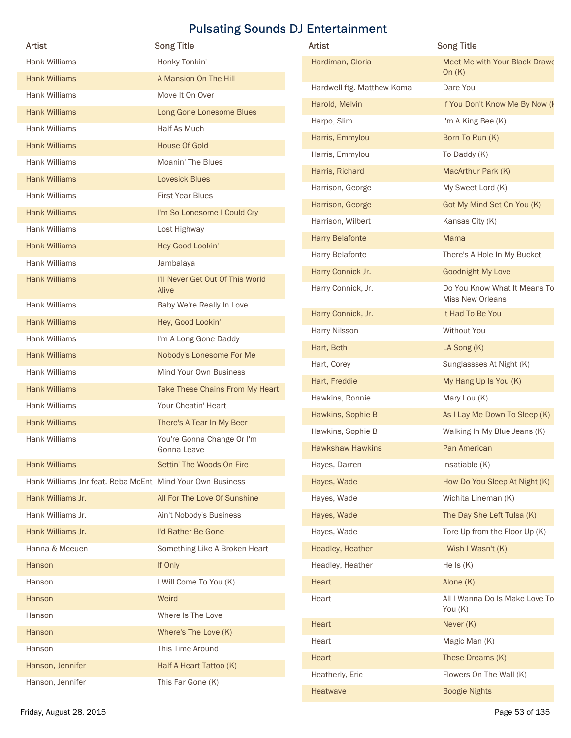| <b>Artist</b>                                             | <b>Song Title</b>                         | Artist                     | <b>Song Title</b>                                |
|-----------------------------------------------------------|-------------------------------------------|----------------------------|--------------------------------------------------|
| Hank Williams                                             | Honky Tonkin'                             | Hardiman, Gloria           | Meet Me with Your Black Drawe                    |
| <b>Hank Williams</b>                                      | A Mansion On The Hill                     |                            | On $(K)$                                         |
| Hank Williams                                             | Move It On Over                           | Hardwell ftg. Matthew Koma | Dare You                                         |
| <b>Hank Williams</b>                                      | Long Gone Lonesome Blues                  | Harold, Melvin             | If You Don't Know Me By Now (I                   |
| Hank Williams                                             | Half As Much                              | Harpo, Slim                | I'm A King Bee (K)                               |
| <b>Hank Williams</b>                                      | <b>House Of Gold</b>                      | Harris, Emmylou            | Born To Run (K)                                  |
| Hank Williams                                             | Moanin' The Blues                         | Harris, Emmylou            | To Daddy (K)                                     |
| <b>Hank Williams</b>                                      | <b>Lovesick Blues</b>                     | Harris, Richard            | MacArthur Park (K)                               |
| Hank Williams                                             | First Year Blues                          | Harrison, George           | My Sweet Lord (K)                                |
| <b>Hank Williams</b>                                      | I'm So Lonesome I Could Cry               | Harrison, George           | Got My Mind Set On You (K)                       |
| Hank Williams                                             | Lost Highway                              | Harrison, Wilbert          | Kansas City (K)                                  |
| <b>Hank Williams</b>                                      | Hey Good Lookin'                          | <b>Harry Belafonte</b>     | Mama                                             |
| Hank Williams                                             | Jambalaya                                 | Harry Belafonte            | There's A Hole In My Bucket                      |
| <b>Hank Williams</b>                                      | I'll Never Get Out Of This World          | Harry Connick Jr.          | Goodnight My Love                                |
|                                                           | Alive                                     | Harry Connick, Jr.         | Do You Know What It Means To<br>Miss New Orleans |
| Hank Williams                                             | Baby We're Really In Love                 | Harry Connick, Jr.         | It Had To Be You                                 |
| <b>Hank Williams</b>                                      | Hey, Good Lookin'                         | Harry Nilsson              | Without You                                      |
| Hank Williams                                             | I'm A Long Gone Daddy                     | Hart, Beth                 | LA Song (K)                                      |
| <b>Hank Williams</b>                                      | Nobody's Lonesome For Me                  | Hart, Corey                | Sunglassses At Night (K)                         |
| Hank Williams                                             | Mind Your Own Business                    | Hart, Freddie              | My Hang Up Is You (K)                            |
| <b>Hank Williams</b>                                      | Take These Chains From My Heart           | Hawkins, Ronnie            | Mary Lou (K)                                     |
| Hank Williams                                             | Your Cheatin' Heart                       | Hawkins, Sophie B          | As I Lay Me Down To Sleep (K)                    |
| <b>Hank Williams</b>                                      | There's A Tear In My Beer                 | Hawkins, Sophie B          | Walking In My Blue Jeans (K)                     |
| Hank Williams                                             | You're Gonna Change Or I'm<br>Gonna Leave | <b>Hawkshaw Hawkins</b>    | Pan American                                     |
| <b>Hank Williams</b>                                      | Settin' The Woods On Fire                 | Hayes, Darren              | Insatiable (K)                                   |
| Hank Williams Jnr feat. Reba McEnt Mind Your Own Business |                                           | Hayes, Wade                | How Do You Sleep At Night (K)                    |
| Hank Williams Jr.                                         | All For The Love Of Sunshine              | Hayes, Wade                | Wichita Lineman (K)                              |
| Hank Williams Jr.                                         | Ain't Nobody's Business                   | Hayes, Wade                | The Day She Left Tulsa (K)                       |
| Hank Williams Jr.                                         | I'd Rather Be Gone                        | Hayes, Wade                | Tore Up from the Floor Up (K)                    |
| Hanna & Mceuen                                            | Something Like A Broken Heart             | Headley, Heather           | I Wish I Wasn't (K)                              |
| Hanson                                                    | If Only                                   | Headley, Heather           | He Is $(K)$                                      |
| Hanson                                                    | I Will Come To You (K)                    | Heart                      | Alone (K)                                        |
| Hanson                                                    | Weird                                     | Heart                      | All I Wanna Do Is Make Love To                   |
|                                                           | Where Is The Love                         |                            | You (K)                                          |
| Hanson                                                    |                                           | Heart                      | Never (K)                                        |
| Hanson                                                    | Where's The Love (K)                      | Heart                      | Magic Man (K)                                    |
| Hanson                                                    | This Time Around                          | Heart                      | These Dreams (K)                                 |
| Hanson, Jennifer                                          | Half A Heart Tattoo (K)                   | Heatherly, Eric            | Flowers On The Wall (K)                          |
| Hanson, Jennifer                                          | This Far Gone (K)                         | Heatwave                   | <b>Boogie Nights</b>                             |

| Artist                     | <b>Song Title</b>                                       |
|----------------------------|---------------------------------------------------------|
| Hardiman, Gloria           | Meet Me with Your Black Drawe<br>On $(K)$               |
| Hardwell ftg. Matthew Koma | Dare You                                                |
| Harold, Melvin             | If You Don't Know Me By Now (k                          |
| Harpo, Slim                | I'm A King Bee (K)                                      |
| Harris, Emmylou            | Born To Run (K)                                         |
| Harris, Emmylou            | To Daddy (K)                                            |
| Harris, Richard            | MacArthur Park (K)                                      |
| Harrison, George           | My Sweet Lord (K)                                       |
| Harrison, George           | Got My Mind Set On You (K)                              |
| Harrison, Wilbert          | Kansas City (K)                                         |
| <b>Harry Belafonte</b>     | Mama                                                    |
| Harry Belafonte            | There's A Hole In My Bucket                             |
| Harry Connick Jr.          | <b>Goodnight My Love</b>                                |
| Harry Connick, Jr.         | Do You Know What It Means To<br><b>Miss New Orleans</b> |
| Harry Connick, Jr.         | It Had To Be You                                        |
| Harry Nilsson              | Without You                                             |
| Hart, Beth                 | LA Song (K)                                             |
| Hart, Corey                | Sunglassses At Night (K)                                |
| Hart, Freddie              | My Hang Up Is You (K)                                   |
| Hawkins, Ronnie            | Mary Lou (K)                                            |
| Hawkins, Sophie B          | As I Lay Me Down To Sleep (K)                           |
| Hawkins, Sophie B          | Walking In My Blue Jeans (K)                            |
| <b>Hawkshaw Hawkins</b>    | Pan American                                            |
| Hayes, Darren              | Insatiable (K)                                          |
| Hayes, Wade                | How Do You Sleep At Night (K)                           |
| Hayes, Wade                | Wichita Lineman (K)                                     |
| Hayes, Wade                | The Day She Left Tulsa (K)                              |
| Hayes, Wade                | Tore Up from the Floor Up (K)                           |
| Headley, Heather           | I Wish I Wasn't (K)                                     |
| Headley, Heather           | He $Is(K)$                                              |
| Heart                      | Alone (K)                                               |
| Heart                      | All I Wanna Do Is Make Love To<br>You (K)               |
| <b>Heart</b>               | Never (K)                                               |
| Heart                      | Magic Man (K)                                           |
| <b>Heart</b>               | These Dreams (K)                                        |
| Heatherly, Eric            | Flowers On The Wall (K)                                 |
| Heatwave                   | <b>Boogie Nights</b>                                    |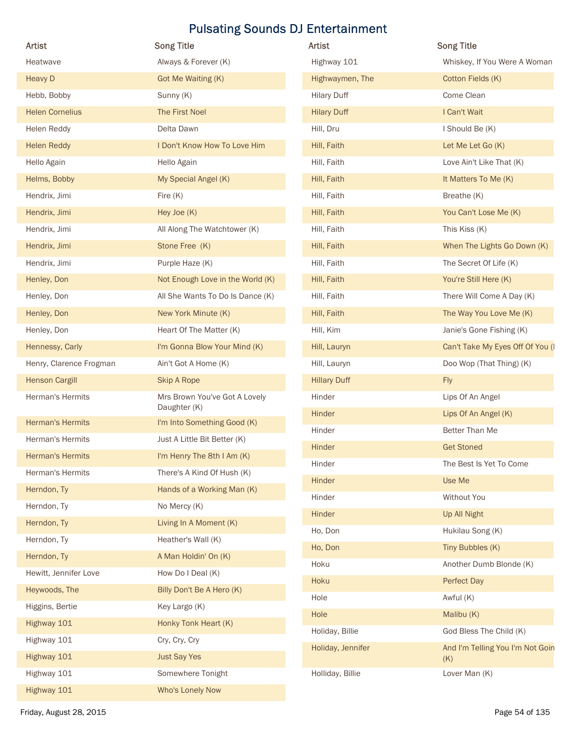| Artist                  | <b>Song Title</b>                             | <b>Pulsating Sounds DJ Entertainment</b><br>Artist | <b>Song Title</b>                       |
|-------------------------|-----------------------------------------------|----------------------------------------------------|-----------------------------------------|
| Heatwave                | Always & Forever (K)                          | Highway 101                                        | Whiskey, If You Were A Woman            |
| <b>Heavy D</b>          | Got Me Waiting (K)                            | Highwaymen, The                                    | Cotton Fields (K)                       |
| Hebb, Bobby             | Sunny (K)                                     | <b>Hilary Duff</b>                                 | Come Clean                              |
| <b>Helen Cornelius</b>  | The First Noel                                | <b>Hilary Duff</b>                                 | I Can't Wait                            |
| Helen Reddy             | Delta Dawn                                    | Hill, Dru                                          | I Should Be (K)                         |
| <b>Helen Reddy</b>      | I Don't Know How To Love Him                  | Hill, Faith                                        | Let Me Let Go (K)                       |
| Hello Again             | Hello Again                                   | Hill, Faith                                        | Love Ain't Like That (K)                |
| Helms, Bobby            | My Special Angel (K)                          | Hill, Faith                                        | It Matters To Me (K)                    |
| Hendrix, Jimi           | Fire (K)                                      | Hill, Faith                                        | Breathe (K)                             |
| Hendrix, Jimi           | Hey Joe (K)                                   | Hill, Faith                                        | You Can't Lose Me (K)                   |
| Hendrix, Jimi           | All Along The Watchtower (K)                  | Hill, Faith                                        | This Kiss (K)                           |
| Hendrix, Jimi           | Stone Free (K)                                | Hill, Faith                                        | When The Lights Go Down (K)             |
| Hendrix, Jimi           | Purple Haze (K)                               | Hill, Faith                                        | The Secret Of Life (K)                  |
| Henley, Don             | Not Enough Love in the World (K)              | Hill, Faith                                        | You're Still Here (K)                   |
| Henley, Don             | All She Wants To Do Is Dance (K)              | Hill, Faith                                        | There Will Come A Day (K)               |
| Henley, Don             | New York Minute (K)                           | Hill, Faith                                        | The Way You Love Me (K)                 |
| Henley, Don             | Heart Of The Matter (K)                       | Hill, Kim                                          | Janie's Gone Fishing (K)                |
| Hennessy, Carly         | I'm Gonna Blow Your Mind (K)                  | Hill, Lauryn                                       | Can't Take My Eyes Off Of You (I        |
| Henry, Clarence Frogman | Ain't Got A Home (K)                          | Hill, Lauryn                                       | Doo Wop (That Thing) (K)                |
| <b>Henson Cargill</b>   | Skip A Rope                                   | <b>Hillary Duff</b>                                | Fly                                     |
| Herman's Hermits        | Mrs Brown You've Got A Lovely<br>Daughter (K) | Hinder                                             | Lips Of An Angel                        |
| <b>Herman's Hermits</b> | I'm Into Something Good (K)                   | Hinder                                             | Lips Of An Angel (K)                    |
| Herman's Hermits        | Just A Little Bit Better (K)                  | Hinder                                             | Better Than Me                          |
| <b>Herman's Hermits</b> | I'm Henry The 8th I Am (K)                    | Hinder                                             | <b>Get Stoned</b>                       |
| Herman's Hermits        | There's A Kind Of Hush (K)                    | Hinder                                             | The Best Is Yet To Come                 |
| Herndon, Ty             | Hands of a Working Man (K)                    | Hinder                                             | Use Me                                  |
| Herndon, Ty             | No Mercy (K)                                  | Hinder                                             | Without You                             |
| Herndon, Ty             | Living In A Moment (K)                        | Hinder                                             | Up All Night                            |
| Herndon, Ty             | Heather's Wall (K)                            | Ho, Don                                            | Hukilau Song (K)                        |
| Herndon, Ty             | A Man Holdin' On (K)                          | Ho, Don                                            | Tiny Bubbles (K)                        |
| Hewitt, Jennifer Love   | How Do I Deal (K)                             | Hoku                                               | Another Dumb Blonde (K)                 |
| Heywoods, The           | Billy Don't Be A Hero (K)                     | Hoku                                               | Perfect Day                             |
| Higgins, Bertie         | Key Largo (K)                                 | Hole                                               | Awful (K)                               |
| Highway 101             | Honky Tonk Heart (K)                          | Hole                                               | Malibu (K)                              |
| Highway 101             | Cry, Cry, Cry                                 | Holiday, Billie                                    | God Bless The Child (K)                 |
| Highway 101             | <b>Just Say Yes</b>                           | Holiday, Jennifer                                  | And I'm Telling You I'm Not Goin<br>(K) |
| Highway 101             | Somewhere Tonight                             | Holliday, Billie                                   | Lover Man (K)                           |
| Highway 101             | Who's Lonely Now                              |                                                    |                                         |
| Friday, August 28, 2015 |                                               |                                                    | Page 54 of 135                          |

| Artist              | <b>Song Title</b>                       |
|---------------------|-----------------------------------------|
| Highway 101         | Whiskey, If You Were A Woman            |
| Highwaymen, The     | Cotton Fields (K)                       |
| <b>Hilary Duff</b>  | Come Clean                              |
| <b>Hilary Duff</b>  | I Can't Wait                            |
| Hill, Dru           | I Should Be (K)                         |
| Hill, Faith         | Let Me Let Go (K)                       |
| Hill, Faith         | Love Ain't Like That (K)                |
| Hill, Faith         | It Matters To Me (K)                    |
| Hill, Faith         | Breathe (K)                             |
| Hill, Faith         | You Can't Lose Me (K)                   |
| Hill, Faith         | This Kiss (K)                           |
| Hill, Faith         | When The Lights Go Down (K)             |
| Hill, Faith         | The Secret Of Life (K)                  |
| Hill, Faith         | You're Still Here (K)                   |
| Hill, Faith         | There Will Come A Day (K)               |
| Hill, Faith         | The Way You Love Me (K)                 |
| Hill, Kim           | Janie's Gone Fishing (K)                |
| Hill, Lauryn        | Can't Take My Eyes Off Of You (I        |
| Hill, Lauryn        | Doo Wop (That Thing) (K)                |
| <b>Hillary Duff</b> | Fly                                     |
| Hinder              | Lips Of An Angel                        |
| Hinder              | Lips Of An Angel (K)                    |
| Hinder              | Better Than Me                          |
| Hinder              | <b>Get Stoned</b>                       |
| Hinder              | The Best Is Yet To Come                 |
| Hinder              | Use Me                                  |
| Hinder              | Without You                             |
| Hinder              | Up All Night                            |
| Ho, Don             | Hukilau Song (K)                        |
| Ho, Don             | Tiny Bubbles (K)                        |
| Hoku                | Another Dumb Blonde (K)                 |
| Hoku                | Perfect Day                             |
| Hole                | Awful (K)                               |
| Hole                | Malibu (K)                              |
| Holiday, Billie     | God Bless The Child (K)                 |
| Holiday, Jennifer   | And I'm Telling You I'm Not Goin<br>(K) |
| Holliday, Billie    | Lover Man (K)                           |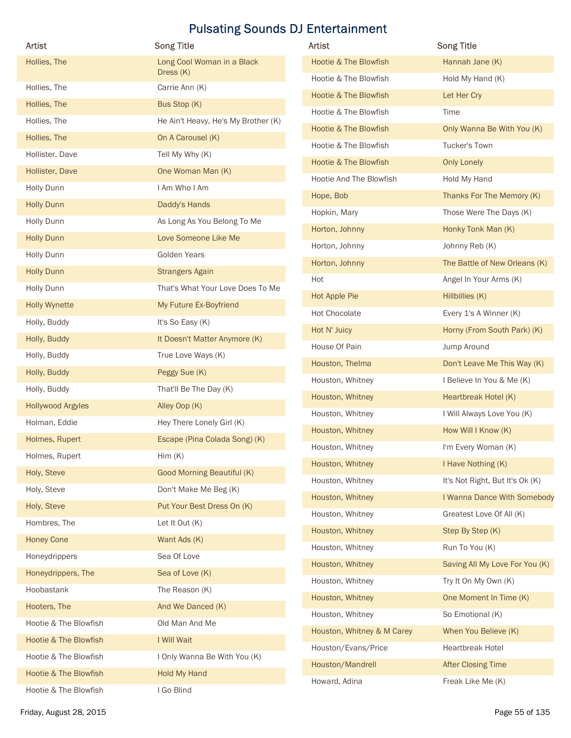| <b>Artist</b>         | <b>Song Title</b>                   | Artist                           | <b>Song Title</b>               |
|-----------------------|-------------------------------------|----------------------------------|---------------------------------|
| Hollies, The          | Long Cool Woman in a Black          | <b>Hootie &amp; The Blowfish</b> | Hannah Jane (K)                 |
|                       | Dress (K)                           | Hootie & The Blowfish            | Hold My Hand (K)                |
| Hollies, The          | Carrie Ann (K)                      | Hootie & The Blowfish            | Let Her Cry                     |
| Hollies, The          | Bus Stop (K)                        | Hootie & The Blowfish            | Time                            |
| Hollies, The          | He Ain't Heavy, He's My Brother (K) | Hootie & The Blowfish            | Only Wanna Be With You (K)      |
| Hollies, The          | On A Carousel (K)                   | Hootie & The Blowfish            | Tucker's Town                   |
| Hollister, Dave       | Tell My Why (K)                     | Hootie & The Blowfish            | <b>Only Lonely</b>              |
| Hollister, Dave       | One Woman Man (K)                   | Hootie And The Blowfish          | Hold My Hand                    |
| <b>Holly Dunn</b>     | I Am Who I Am                       | Hope, Bob                        | Thanks For The Memory (K)       |
| <b>Holly Dunn</b>     | Daddy's Hands                       | Hopkin, Mary                     | Those Were The Days (K)         |
| Holly Dunn            | As Long As You Belong To Me         | Horton, Johnny                   | Honky Tonk Man (K)              |
| <b>Holly Dunn</b>     | Love Someone Like Me                | Horton, Johnny                   | Johnny Reb (K)                  |
| Holly Dunn            | <b>Golden Years</b>                 | Horton, Johnny                   | The Battle of New Orleans (K)   |
| <b>Holly Dunn</b>     | <b>Strangers Again</b>              | Hot                              | Angel In Your Arms (K)          |
| Holly Dunn            | That's What Your Love Does To Me    | Hot Apple Pie                    | Hillbillies (K)                 |
| <b>Holly Wynette</b>  | My Future Ex-Boyfriend              | Hot Chocolate                    | Every 1's A Winner (K)          |
| Holly, Buddy          | It's So Easy (K)                    | Hot N' Juicy                     | Horny (From South Park) (K)     |
| Holly, Buddy          | It Doesn't Matter Anymore (K)       | House Of Pain                    | Jump Around                     |
| Holly, Buddy          | True Love Ways (K)                  | Houston, Thelma                  | Don't Leave Me This Way (K)     |
| Holly, Buddy          | Peggy Sue (K)                       | Houston, Whitney                 | I Believe In You & Me (K)       |
| Holly, Buddy          | That'll Be The Day (K)              | Houston, Whitney                 | Heartbreak Hotel (K)            |
| Hollywood Argyles     | Alley Oop (K)                       | Houston, Whitney                 | I Will Always Love You (K)      |
| Holman, Eddie         | Hey There Lonely Girl (K)           | Houston, Whitney                 | How Will I Know (K)             |
| Holmes, Rupert        | Escape (Pina Colada Song) (K)       | Houston, Whitney                 | I'm Every Woman (K)             |
| Holmes, Rupert        | Him(K)                              | Houston, Whitney                 | I Have Nothing (K)              |
| Holy, Steve           | <b>Good Morning Beautiful (K)</b>   | Houston, Whitney                 | It's Not Right, But It's Ok (K) |
| Holy, Steve           | Don't Make Me Beg (K)               | Houston, Whitney                 | I Wanna Dance With Somebody     |
| Holy, Steve           | Put Your Best Dress On (K)          | Houston, Whitney                 | Greatest Love Of All (K)        |
| Hombres, The          | Let It Out (K)                      | Houston, Whitney                 | Step By Step (K)                |
| <b>Honey Cone</b>     | Want Ads (K)                        | Houston, Whitney                 | Run To You (K)                  |
| Honeydrippers         | Sea Of Love                         | Houston, Whitney                 | Saving All My Love For You (K)  |
| Honeydrippers, The    | Sea of Love (K)                     | Houston, Whitney                 | Try It On My Own (K)            |
| Hoobastank            | The Reason (K)                      | Houston, Whitney                 | One Moment In Time (K)          |
| Hooters, The          | And We Danced (K)                   | Houston, Whitney                 | So Emotional (K)                |
| Hootie & The Blowfish | Old Man And Me                      | Houston, Whitney & M Carey       | When You Believe (K)            |
| Hootie & The Blowfish | I Will Wait                         | Houston/Evans/Price              | <b>Heartbreak Hotel</b>         |
| Hootie & The Blowfish | I Only Wanna Be With You (K)        | Houston/Mandrell                 | <b>After Closing Time</b>       |
| Hootie & The Blowfish | Hold My Hand                        | Howard, Adina                    | Freak Like Me (K)               |
|                       | I Go Blind                          |                                  |                                 |

| Artist                           | <b>Song Title</b>               |
|----------------------------------|---------------------------------|
| Hootie & The Blowfish            | Hannah Jane (K)                 |
| Hootie & The Blowfish            | Hold My Hand (K)                |
| <b>Hootie &amp; The Blowfish</b> | Let Her Cry                     |
| Hootie & The Blowfish            | Time                            |
| <b>Hootie &amp; The Blowfish</b> | Only Wanna Be With You (K)      |
| Hootie & The Blowfish            | Tucker's Town                   |
| <b>Hootie &amp; The Blowfish</b> | <b>Only Lonely</b>              |
| Hootie And The Blowfish          | Hold My Hand                    |
| Hope, Bob                        | Thanks For The Memory (K)       |
| Hopkin, Mary                     | Those Were The Days (K)         |
| Horton, Johnny                   | Honky Tonk Man (K)              |
| Horton, Johnny                   | Johnny Reb (K)                  |
| Horton, Johnny                   | The Battle of New Orleans (K)   |
| Hot                              | Angel In Your Arms (K)          |
| Hot Apple Pie                    | Hillbillies (K)                 |
| <b>Hot Chocolate</b>             | Every 1's A Winner (K)          |
| Hot N' Juicy                     | Horny (From South Park) (K)     |
| House Of Pain                    | Jump Around                     |
| Houston, Thelma                  | Don't Leave Me This Way (K)     |
| Houston, Whitney                 | I Believe In You & Me (K)       |
| Houston, Whitney                 | Heartbreak Hotel (K)            |
| Houston, Whitney                 | I Will Always Love You (K)      |
| Houston, Whitney                 | How Will I Know (K)             |
| Houston, Whitney                 | I'm Every Woman (K)             |
| Houston, Whitney                 | I Have Nothing (K)              |
| Houston, Whitney                 | It's Not Right, But It's Ok (K) |
| Houston, Whitney                 | I Wanna Dance With Somebody     |
| Houston, Whitney                 | Greatest Love Of All (K)        |
| Houston, Whitney                 | Step By Step (K)                |
| Houston, Whitney                 | Run To You (K)                  |
| Houston, Whitney                 | Saving All My Love For You (K)  |
| Houston, Whitney                 | Try It On My Own (K)            |
| Houston, Whitney                 | One Moment In Time (K)          |
| Houston, Whitney                 | So Emotional (K)                |
| Houston, Whitney & M Carey       | When You Believe (K)            |
| Houston/Evans/Price              | <b>Heartbreak Hotel</b>         |
| Houston/Mandrell                 | <b>After Closing Time</b>       |
| Howard, Adina                    | Freak Like Me (K)               |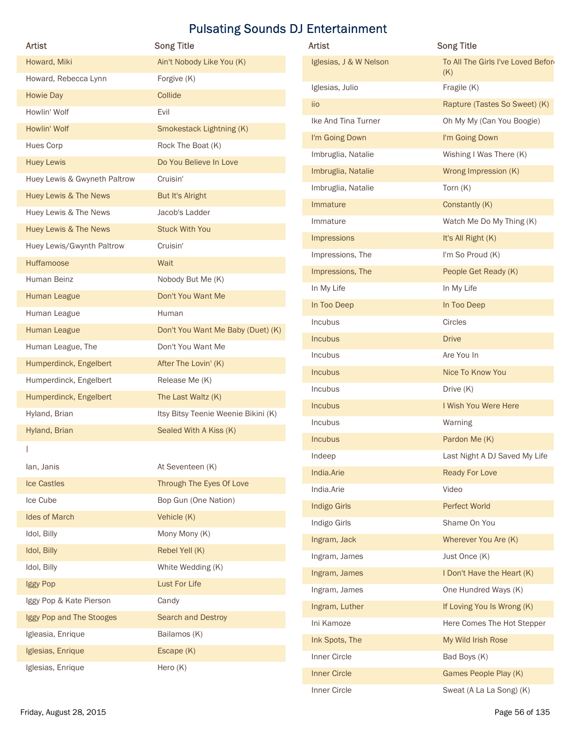|                                                       | <b>Pulsating Sounds DJ Entertainment</b> |                                 |                                                          |
|-------------------------------------------------------|------------------------------------------|---------------------------------|----------------------------------------------------------|
| <b>Artist</b>                                         | <b>Song Title</b>                        | Artist                          | <b>Song Title</b>                                        |
| Howard, Miki                                          | Ain't Nobody Like You (K)                | Iglesias, J & W Nelson          | To All The Girls I've Loved Before<br>(K)                |
| Howard, Rebecca Lynn                                  | Forgive (K)                              | Iglesias, Julio                 | Fragile (K)                                              |
| Howie Day                                             | Collide                                  | iio                             | Rapture (Tastes So Sweet) (K)                            |
| Howlin' Wolf                                          | Evil                                     | Ike And Tina Turner             | Oh My My (Can You Boogie)                                |
| Howlin' Wolf                                          | Smokestack Lightning (K)                 | I'm Going Down                  | I'm Going Down                                           |
| <b>Hues Corp</b>                                      | Rock The Boat (K)                        | Imbruglia, Natalie              | Wishing I Was There (K)                                  |
| <b>Huey Lewis</b>                                     | Do You Believe In Love                   | Imbruglia, Natalie              | Wrong Impression (K)                                     |
| Huey Lewis & Gwyneth Paltrow<br>Huey Lewis & The News | Cruisin'<br>But It's Alright             | Imbruglia, Natalie              | Torn $(K)$                                               |
| Huey Lewis & The News                                 | Jacob's Ladder                           | Immature                        | Constantly (K)                                           |
| Huey Lewis & The News                                 | <b>Stuck With You</b>                    | Immature                        | Watch Me Do My Thing (K)                                 |
| Huey Lewis/Gwynth Paltrow                             | Cruisin'                                 | Impressions                     | It's All Right (K)                                       |
| Huffamoose                                            | Wait                                     | Impressions, The                | I'm So Proud (K)                                         |
| Human Beinz                                           | Nobody But Me (K)                        | Impressions, The                | People Get Ready (K)                                     |
| Human League                                          | Don't You Want Me                        | In My Life                      | In My Life                                               |
| Human League                                          | Human                                    | In Too Deep                     | In Too Deep                                              |
| Human League                                          | Don't You Want Me Baby (Duet) (K)        | Incubus                         | Circles                                                  |
| Human League, The                                     | Don't You Want Me                        | Incubus                         | <b>Drive</b>                                             |
| Humperdinck, Engelbert                                | After The Lovin' (K)                     | Incubus                         | Are You In                                               |
| Humperdinck, Engelbert                                | Release Me (K)                           | Incubus                         | Nice To Know You                                         |
| Humperdinck, Engelbert                                | The Last Waltz (K)                       | Incubus                         | Drive (K)                                                |
| Hyland, Brian                                         | Itsy Bitsy Teenie Weenie Bikini (K)      | Incubus                         | I Wish You Were Here                                     |
| Hyland, Brian                                         | Sealed With A Kiss (K)                   | Incubus                         | Warning                                                  |
|                                                       |                                          | Incubus                         | Pardon Me (K)                                            |
| lan, Janis                                            | At Seventeen (K)                         | Indeep                          | Last Night A DJ Saved My Life                            |
| Ice Castles                                           | Through The Eyes Of Love                 | India.Arie                      | Ready For Love                                           |
| Ice Cube                                              | Bop Gun (One Nation)                     | India.Arie                      | Video                                                    |
| Ides of March                                         | Vehicle (K)                              | <b>Indigo Girls</b>             | Perfect World                                            |
| Idol, Billy                                           | Mony Mony (K)                            | Indigo Girls                    | Shame On You                                             |
| Idol, Billy                                           | Rebel Yell (K)                           | Ingram, Jack                    | Wherever You Are (K)                                     |
| Idol, Billy                                           | White Wedding (K)                        | Ingram, James                   | Just Once (K)                                            |
| Iggy Pop                                              | Lust For Life                            | Ingram, James                   | I Don't Have the Heart (K)                               |
| Iggy Pop & Kate Pierson                               | Candy                                    | Ingram, James<br>Ingram, Luther | One Hundred Ways (K)                                     |
| Iggy Pop and The Stooges                              | Search and Destroy                       | Ini Kamoze                      | If Loving You Is Wrong (K)<br>Here Comes The Hot Stepper |
| Igleasia, Enrique                                     | Bailamos (K)                             | Ink Spots, The                  | My Wild Irish Rose                                       |
| Iglesias, Enrique                                     | Escape (K)                               | Inner Circle                    | Bad Boys (K)                                             |
| Iglesias, Enrique                                     | Hero (K)                                 | Innov Cival                     | Campon Departs Digit IV                                  |

| Artist                       | <b>Song Title</b>                   | Artist                 | <b>Song Title</b>                  |
|------------------------------|-------------------------------------|------------------------|------------------------------------|
| Howard, Miki                 | Ain't Nobody Like You (K)           | Iglesias, J & W Nelson | To All The Girls I've Loved Before |
| Howard, Rebecca Lynn         | Forgive (K)                         |                        | (K)                                |
| Howie Day                    | Collide                             | Iglesias, Julio        | Fragile (K)                        |
| Howlin' Wolf                 | Evil                                | iio                    | Rapture (Tastes So Sweet) (K)      |
| Howlin' Wolf                 | Smokestack Lightning (K)            | Ike And Tina Turner    | Oh My My (Can You Boogie)          |
| Hues Corp                    | Rock The Boat (K)                   | I'm Going Down         | I'm Going Down                     |
| <b>Huey Lewis</b>            | Do You Believe In Love              | Imbruglia, Natalie     | Wishing I Was There (K)            |
| Huey Lewis & Gwyneth Paltrow | Cruisin'                            | Imbruglia, Natalie     | Wrong Impression (K)               |
| Huey Lewis & The News        | But It's Alright                    | Imbruglia, Natalie     | Torn $(K)$                         |
| Huey Lewis & The News        | Jacob's Ladder                      | Immature               | Constantly (K)                     |
| Huey Lewis & The News        | <b>Stuck With You</b>               | Immature               | Watch Me Do My Thing (K)           |
| Huey Lewis/Gwynth Paltrow    | Cruisin'                            | Impressions            | It's All Right (K)                 |
| Huffamoose                   | Wait                                | Impressions, The       | I'm So Proud (K)                   |
| Human Beinz                  | Nobody But Me (K)                   | Impressions, The       | People Get Ready (K)               |
| Human League                 | Don't You Want Me                   | In My Life             | In My Life                         |
| Human League                 | Human                               | In Too Deep            | In Too Deep                        |
| Human League                 | Don't You Want Me Baby (Duet) (K)   | Incubus                | Circles                            |
|                              | Don't You Want Me                   | Incubus                | <b>Drive</b>                       |
| Human League, The            |                                     | Incubus                | Are You In                         |
| Humperdinck, Engelbert       | After The Lovin' (K)                | Incubus                | Nice To Know You                   |
| Humperdinck, Engelbert       | Release Me (K)                      | Incubus                | Drive (K)                          |
| Humperdinck, Engelbert       | The Last Waltz (K)                  | Incubus                | I Wish You Were Here               |
| Hyland, Brian                | Itsy Bitsy Teenie Weenie Bikini (K) | Incubus                | Warning                            |
| Hyland, Brian                | Sealed With A Kiss (K)              | Incubus                | Pardon Me (K)                      |
|                              |                                     | Indeep                 | Last Night A DJ Saved My Life      |
| lan, Janis                   | At Seventeen (K)                    | India.Arie             | Ready For Love                     |
| <b>Ice Castles</b>           | Through The Eyes Of Love            | India.Arie             | Video                              |
| Ice Cube                     | Bop Gun (One Nation)                | <b>Indigo Girls</b>    | Perfect World                      |
| Ides of March                | Vehicle (K)                         | Indigo Girls           | Shame On You                       |
| Idol, Billy                  | Mony Mony (K)                       | Ingram, Jack           | Wherever You Are (K)               |
| Idol, Billy                  | Rebel Yell (K)                      | Ingram, James          | Just Once (K)                      |
| Idol, Billy                  | White Wedding (K)                   | Ingram, James          | I Don't Have the Heart (K)         |
| Iggy Pop                     | Lust For Life                       | Ingram, James          | One Hundred Ways (K)               |
| Iggy Pop & Kate Pierson      | Candy                               | Ingram, Luther         | If Loving You Is Wrong (K)         |
| Iggy Pop and The Stooges     | Search and Destroy                  | Ini Kamoze             | Here Comes The Hot Stepper         |
| Igleasia, Enrique            | Bailamos (K)                        | Ink Spots, The         | My Wild Irish Rose                 |
| Iglesias, Enrique            | Escape (K)                          | Inner Circle           |                                    |
| Iglesias, Enrique            | Hero (K)                            |                        | Bad Boys (K)                       |
|                              |                                     | <b>Inner Circle</b>    | Games People Play (K)              |
|                              |                                     | Inner Circle           | Sweat (A La La Song) (K)           |
| Friday, August 28, 2015      |                                     |                        | Page 56 of 135                     |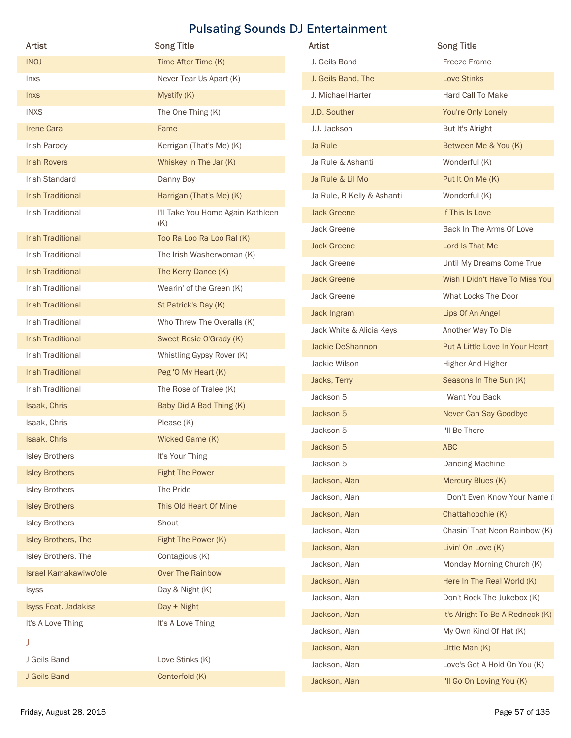| Artist                                        | <b>Song Title</b>                        | Artist                                           | <b>Song Title</b>                        |
|-----------------------------------------------|------------------------------------------|--------------------------------------------------|------------------------------------------|
| <b>INOJ</b>                                   | Time After Time (K)                      | J. Geils Band                                    | Freeze Frame                             |
| Inxs                                          | Never Tear Us Apart (K)                  | J. Geils Band, The                               | Love Stinks                              |
|                                               | Mystify (K)                              | J. Michael Harter                                | Hard Call To Make                        |
| <b>Inxs</b>                                   |                                          |                                                  |                                          |
| <b>INXS</b>                                   | The One Thing (K)                        | J.D. Souther                                     | You're Only Lonely                       |
| <b>Irene Cara</b>                             | Fame                                     | J.J. Jackson                                     | But It's Alright<br>Between Me & You (K) |
| Irish Parody<br><b>Irish Rovers</b>           | Kerrigan (That's Me) (K)                 | Ja Rule<br>Ja Rule & Ashanti                     |                                          |
|                                               | Whiskey In The Jar (K)                   |                                                  | Wonderful (K)                            |
| Irish Standard                                | Danny Boy                                | Ja Rule & Lil Mo                                 | Put It On Me (K)                         |
| <b>Irish Traditional</b><br>Irish Traditional | Harrigan (That's Me) (K)                 | Ja Rule, R Kelly & Ashanti<br><b>Jack Greene</b> | Wonderful (K)<br>If This Is Love         |
|                                               | I'll Take You Home Again Kathleen<br>(K) |                                                  |                                          |
| <b>Irish Traditional</b>                      | Too Ra Loo Ra Loo Ral (K)                | Jack Greene                                      | Back In The Arms Of Love                 |
| Irish Traditional                             | The Irish Washerwoman (K)                | <b>Jack Greene</b>                               | Lord Is That Me                          |
| <b>Irish Traditional</b>                      | The Kerry Dance (K)                      | Jack Greene                                      | Until My Dreams Come True                |
| Irish Traditional                             | Wearin' of the Green (K)                 | <b>Jack Greene</b>                               | Wish I Didn't Have To Miss You           |
| <b>Irish Traditional</b>                      | St Patrick's Day (K)                     | Jack Greene                                      | What Locks The Door                      |
| Irish Traditional                             | Who Threw The Overalls (K)               | Jack Ingram                                      | Lips Of An Angel                         |
| <b>Irish Traditional</b>                      | Sweet Rosie O'Grady (K)                  | Jack White & Alicia Keys                         | Another Way To Die                       |
| Irish Traditional                             | Whistling Gypsy Rover (K)                | Jackie DeShannon                                 | Put A Little Love In Your Heart          |
| <b>Irish Traditional</b>                      | Peg 'O My Heart (K)                      | Jackie Wilson                                    | Higher And Higher                        |
| Irish Traditional                             | The Rose of Tralee (K)                   | Jacks, Terry                                     | Seasons In The Sun (K)                   |
| Isaak, Chris                                  | Baby Did A Bad Thing (K)                 | Jackson 5                                        | I Want You Back                          |
| Isaak, Chris                                  | Please (K)                               | Jackson 5                                        | Never Can Say Goodbye                    |
| Isaak, Chris                                  | Wicked Game (K)                          | Jackson 5                                        | I'll Be There                            |
| <b>Isley Brothers</b>                         | It's Your Thing                          | Jackson 5                                        | ABC                                      |
| <b>Isley Brothers</b>                         | <b>Fight The Power</b>                   | Jackson 5                                        | Dancing Machine                          |
| <b>Isley Brothers</b>                         | The Pride                                | Jackson, Alan                                    | Mercury Blues (K)                        |
| <b>Isley Brothers</b>                         | This Old Heart Of Mine                   | Jackson, Alan                                    | I Don't Even Know Your Name (I           |
| <b>Isley Brothers</b>                         | Shout                                    | Jackson, Alan                                    | Chattahoochie (K)                        |
| Isley Brothers, The                           | Fight The Power (K)                      | Jackson, Alan                                    | Chasin' That Neon Rainbow (K)            |
| Isley Brothers, The                           |                                          | Jackson, Alan                                    | Livin' On Love (K)                       |
|                                               | Contagious (K)                           | Jackson, Alan                                    | Monday Morning Church (K)                |
| Israel Kamakawiwo'ole                         | Over The Rainbow                         | Jackson, Alan                                    | Here In The Real World (K)               |
| Isyss                                         | Day & Night (K)                          | Jackson, Alan                                    | Don't Rock The Jukebox (K)               |
| Isyss Feat. Jadakiss                          | Day + Night                              | Jackson, Alan                                    | It's Alright To Be A Redneck (K)         |
| It's A Love Thing                             | It's A Love Thing                        | Jackson, Alan                                    | My Own Kind Of Hat (K)                   |
| J.                                            |                                          | Jackson, Alan                                    | Little Man (K)                           |
| J Geils Band                                  | Love Stinks (K)                          | Jackson, Alan                                    | Love's Got A Hold On You (K)             |
|                                               | Centerfold (K)                           | Jackson, Alan                                    | I'll Go On Loving You (K)                |

| Artist                     | <b>Song Title</b>                |
|----------------------------|----------------------------------|
| J. Geils Band              | <b>Freeze Frame</b>              |
| J. Geils Band, The         | <b>Love Stinks</b>               |
| J. Michael Harter          | Hard Call To Make                |
| J.D. Souther               | You're Only Lonely               |
| J.J. Jackson               | But It's Alright                 |
| Ja Rule                    | Between Me & You (K)             |
| Ja Rule & Ashanti          | Wonderful (K)                    |
| Ja Rule & Lil Mo           | Put It On Me (K)                 |
| Ja Rule, R Kelly & Ashanti | Wonderful (K)                    |
| <b>Jack Greene</b>         | If This Is Love                  |
| Jack Greene                | Back In The Arms Of Love         |
| <b>Jack Greene</b>         | Lord Is That Me                  |
| Jack Greene                | Until My Dreams Come True        |
| <b>Jack Greene</b>         | Wish I Didn't Have To Miss You   |
| Jack Greene                | What Locks The Door              |
| Jack Ingram                | Lips Of An Angel                 |
| Jack White & Alicia Keys   | Another Way To Die               |
| Jackie DeShannon           | Put A Little Love In Your Heart  |
| Jackie Wilson              | Higher And Higher                |
| Jacks, Terry               | Seasons In The Sun (K)           |
| Jackson 5                  | I Want You Back                  |
| Jackson 5                  | Never Can Say Goodbye            |
| Jackson 5                  | I'll Be There                    |
| Jackson 5                  | <b>ABC</b>                       |
| Jackson 5                  | Dancing Machine                  |
| Jackson, Alan              | Mercury Blues (K)                |
| Jackson, Alan              | I Don't Even Know Your Name (I   |
| Jackson, Alan              | Chattahoochie (K)                |
| Jackson, Alan              | Chasin' That Neon Rainbow (K)    |
| Jackson, Alan              | Livin' On Love (K)               |
| Jackson, Alan              | Monday Morning Church (K)        |
| Jackson, Alan              | Here In The Real World (K)       |
| Jackson, Alan              | Don't Rock The Jukebox (K)       |
| Jackson, Alan              | It's Alright To Be A Redneck (K) |
| Jackson, Alan              | My Own Kind Of Hat (K)           |
| Jackson, Alan              | Little Man (K)                   |
| Jackson, Alan              | Love's Got A Hold On You (K)     |
| Jackson, Alan              | I'll Go On Loving You (K)        |
|                            |                                  |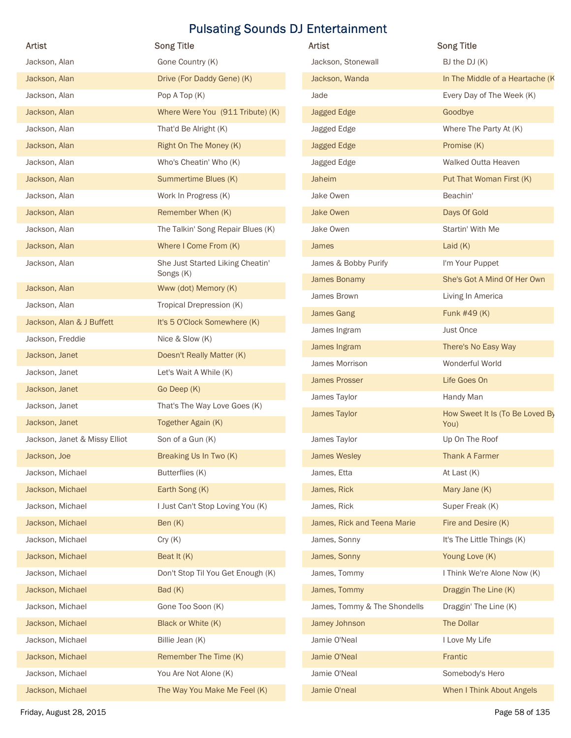| Artist                         |                                                            |                              |                                 |
|--------------------------------|------------------------------------------------------------|------------------------------|---------------------------------|
|                                | <b>Song Title</b>                                          | Artist                       | <b>Song Title</b>               |
| Jackson, Alan                  | Gone Country (K)                                           | Jackson, Stonewall           | BJ the DJ (K)                   |
| Jackson, Alan                  | Drive (For Daddy Gene) (K)                                 | Jackson, Wanda               | In The Middle of a Heartache (K |
| Jackson, Alan                  | Pop A Top (K)                                              | Jade                         | Every Day of The Week (K)       |
| Jackson, Alan                  | Where Were You (911 Tribute) (K)                           | <b>Jagged Edge</b>           | Goodbye                         |
| Jackson, Alan                  | That'd Be Alright (K)                                      | Jagged Edge                  | Where The Party At (K)          |
| Jackson, Alan                  | Right On The Money (K)                                     | <b>Jagged Edge</b>           | Promise (K)                     |
| Jackson, Alan                  | Who's Cheatin' Who (K)                                     | Jagged Edge                  | Walked Outta Heaven             |
| Jackson, Alan                  | Summertime Blues (K)<br>Work In Progress (K)               | Jaheim                       | Put That Woman First (K)        |
| Jackson, Alan                  |                                                            | Jake Owen                    | Beachin'<br>Days Of Gold        |
| Jackson, Alan                  | Remember When (K)                                          | Jake Owen                    | Startin' With Me                |
| Jackson, Alan<br>Jackson, Alan | The Talkin' Song Repair Blues (K)<br>Where I Come From (K) | Jake Owen<br>James           | Laid $(K)$                      |
| Jackson, Alan                  | She Just Started Liking Cheatin'                           | James & Bobby Purify         | I'm Your Puppet                 |
|                                | Songs (K)                                                  | James Bonamy                 | She's Got A Mind Of Her Own     |
| Jackson, Alan                  | Www (dot) Memory (K)                                       | James Brown                  | Living In America               |
| Jackson, Alan                  | Tropical Drepression (K)                                   | <b>James Gang</b>            | Funk #49 (K)                    |
| Jackson, Alan & J Buffett      | It's 5 O'Clock Somewhere (K)                               | James Ingram                 | Just Once                       |
| Jackson, Freddie               | Nice & Slow (K)                                            | James Ingram                 | There's No Easy Way             |
| Jackson, Janet                 | Doesn't Really Matter (K)                                  | James Morrison               | Wonderful World                 |
| Jackson, Janet                 | Let's Wait A While (K)                                     | <b>James Prosser</b>         | Life Goes On                    |
| Jackson, Janet                 | Go Deep (K)                                                | James Taylor                 | Handy Man                       |
| Jackson, Janet                 | That's The Way Love Goes (K)                               | James Taylor                 | How Sweet It Is (To Be Loved By |
| Jackson, Janet                 | Together Again (K)                                         |                              | You)                            |
| Jackson, Janet & Missy Elliot  | Son of a Gun (K)                                           | James Taylor                 | Up On The Roof                  |
| Jackson, Joe                   | Breaking Us In Two (K)                                     | <b>James Wesley</b>          | <b>Thank A Farmer</b>           |
| Jackson, Michael               | Butterflies (K)                                            | James, Etta                  | At Last (K)                     |
| Jackson, Michael               | Earth Song (K)                                             | James, Rick                  | Mary Jane (K)                   |
| Jackson, Michael               | I Just Can't Stop Loving You (K)                           | James, Rick                  | Super Freak (K)                 |
| Jackson, Michael               | Ben (K)                                                    | James, Rick and Teena Marie  | Fire and Desire (K)             |
| Jackson, Michael               | Cry(K)                                                     | James, Sonny                 | It's The Little Things (K)      |
| Jackson, Michael               | Beat It (K)                                                | James, Sonny                 | Young Love (K)                  |
| Jackson, Michael               | Don't Stop Til You Get Enough (K)                          | James, Tommy                 | I Think We're Alone Now (K)     |
| Jackson, Michael               | Bad (K)                                                    | James, Tommy                 | Draggin The Line (K)            |
| Jackson, Michael               | Gone Too Soon (K)                                          | James, Tommy & The Shondells | Draggin' The Line (K)           |
| Jackson, Michael               | Black or White (K)                                         | Jamey Johnson                | The Dollar                      |
| Jackson, Michael               | Billie Jean (K)                                            | Jamie O'Neal                 | I Love My Life                  |
| Jackson, Michael               | Remember The Time (K)                                      | Jamie O'Neal                 | Frantic                         |
| Jackson, Michael               | You Are Not Alone (K)                                      | Jamie O'Neal                 | Somebody's Hero                 |
| Jackson, Michael               | The Way You Make Me Feel (K)                               | Jamie O'neal                 | When I Think About Angels       |

| <b>Artist</b>                | <b>Song Title</b>                       |
|------------------------------|-----------------------------------------|
| Jackson, Stonewall           | BJ the $DJ(K)$                          |
| Jackson, Wanda               | In The Middle of a Heartache (K         |
| Jade                         | Every Day of The Week (K)               |
| <b>Jagged Edge</b>           | Goodbye                                 |
| Jagged Edge                  | Where The Party At (K)                  |
| <b>Jagged Edge</b>           | Promise (K)                             |
| Jagged Edge                  | Walked Outta Heaven                     |
| Jaheim                       | Put That Woman First (K)                |
| Jake Owen                    | Beachin'                                |
| Jake Owen                    | Days Of Gold                            |
| Jake Owen                    | Startin' With Me                        |
| James                        | Laid $(K)$                              |
| James & Bobby Purify         | I'm Your Puppet                         |
| James Bonamy                 | She's Got A Mind Of Her Own             |
| James Brown                  | Living In America                       |
| James Gang                   | Funk #49 (K)                            |
| James Ingram                 | Just Once                               |
| James Ingram                 | There's No Easy Way                     |
| James Morrison               | Wonderful World                         |
| James Prosser                | Life Goes On                            |
| James Taylor                 | Handy Man                               |
| James Taylor                 | How Sweet It Is (To Be Loved By<br>You) |
| James Taylor                 | Up On The Roof                          |
| <b>James Wesley</b>          | <b>Thank A Farmer</b>                   |
| James, Etta                  | At Last $(K)$                           |
| James, Rick                  | Mary Jane (K)                           |
| James, Rick                  | Super Freak (K)                         |
| James, Rick and Teena Marie  | Fire and Desire (K)                     |
| James, Sonny                 | It's The Little Things (K)              |
| James, Sonny                 | Young Love (K)                          |
| James, Tommy                 | I Think We're Alone Now (K)             |
| James, Tommy                 | Draggin The Line (K)                    |
| James, Tommy & The Shondells | Draggin' The Line (K)                   |
| Jamey Johnson                | The Dollar                              |
| Jamie O'Neal                 | I Love My Life                          |
| Jamie O'Neal                 | Frantic                                 |
| Jamie O'Neal                 | Somebody's Hero                         |
| Jamie O'neal                 | When I Think About Angels               |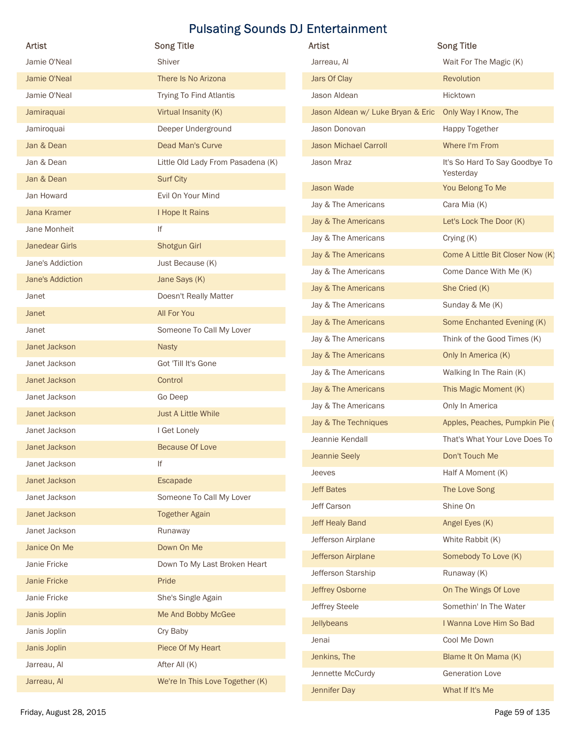| Artist                         | <b>Song Title</b>                 | Artist                            | <b>Song Title</b>                           |
|--------------------------------|-----------------------------------|-----------------------------------|---------------------------------------------|
| Jamie O'Neal                   | Shiver                            | Jarreau, Al                       | Wait For The Magic (K)                      |
| Jamie O'Neal                   | There Is No Arizona               | Jars Of Clay                      | Revolution                                  |
| Jamie O'Neal                   | Trying To Find Atlantis           | Jason Aldean                      | Hicktown                                    |
| Jamiraquai                     | Virtual Insanity (K)              | Jason Aldean w/ Luke Bryan & Eric | Only Way I Know, The                        |
| Jamiroquai                     | Deeper Underground                | Jason Donovan                     | Happy Together                              |
| Jan & Dean                     | Dead Man's Curve                  | <b>Jason Michael Carroll</b>      | Where I'm From                              |
| Jan & Dean                     | Little Old Lady From Pasadena (K) | Jason Mraz                        | It's So Hard To Say Goodbye To<br>Yesterday |
| Jan & Dean                     | <b>Surf City</b>                  | Jason Wade                        | You Belong To Me                            |
| Jan Howard                     | Evil On Your Mind                 | Jay & The Americans               | Cara Mia (K)                                |
| Jana Kramer                    | I Hope It Rains                   | Jay & The Americans               | Let's Lock The Door (K)                     |
| Jane Monheit<br>Janedear Girls | lf<br>Shotgun Girl                | Jay & The Americans               | Crying (K)                                  |
| Jane's Addiction               | Just Because (K)                  | Jay & The Americans               | Come A Little Bit Closer Now (K)            |
| Jane's Addiction               | Jane Says (K)                     | Jay & The Americans               | Come Dance With Me (K)                      |
| Janet                          | Doesn't Really Matter             | Jay & The Americans               | She Cried (K)                               |
| Janet                          | All For You                       | Jay & The Americans               | Sunday & Me (K)                             |
| Janet                          | Someone To Call My Lover          | Jay & The Americans               | Some Enchanted Evening (K)                  |
| Janet Jackson                  | Nasty                             | Jay & The Americans               | Think of the Good Times (K)                 |
| Janet Jackson                  | Got 'Till It's Gone               | Jay & The Americans               | Only In America (K)                         |
| Janet Jackson                  | Control                           | Jay & The Americans               | Walking In The Rain (K)                     |
| Janet Jackson                  | Go Deep                           | Jay & The Americans               | This Magic Moment (K)                       |
| Janet Jackson                  | Just A Little While               | Jay & The Americans               | Only In America                             |
| Janet Jackson                  | I Get Lonely                      | Jay & The Techniques              | Apples, Peaches, Pumpkin Pie (              |
| Janet Jackson                  | <b>Because Of Love</b>            | Jeannie Kendall                   | That's What Your Love Does To               |
| Janet Jackson                  | lf                                | Jeannie Seely                     | Don't Touch Me                              |
| Janet Jackson                  | Escapade                          | Jeeves                            | Half A Moment (K)                           |
| Janet Jackson                  | Someone To Call My Lover          | <b>Jeff Bates</b>                 | The Love Song                               |
| Janet Jackson                  | <b>Together Again</b>             | Jeff Carson                       | Shine On                                    |
| Janet Jackson                  | Runaway                           | Jeff Healy Band                   | Angel Eyes (K)                              |
| Janice On Me                   | Down On Me                        | Jefferson Airplane                | White Rabbit (K)                            |
| Janie Fricke                   | Down To My Last Broken Heart      | Jefferson Airplane                | Somebody To Love (K)                        |
| Janie Fricke                   | Pride                             | Jefferson Starship                | Runaway (K)                                 |
| Janie Fricke                   | She's Single Again                | Jeffrey Osborne                   | On The Wings Of Love                        |
| Janis Joplin                   | Me And Bobby McGee                | Jeffrey Steele                    | Somethin' In The Water                      |
| Janis Joplin                   | Cry Baby                          | Jellybeans                        | I Wanna Love Him So Bad                     |
| Janis Joplin                   | Piece Of My Heart                 | Jenai                             | Cool Me Down                                |
| Jarreau, Al                    | After All (K)                     | Jenkins, The                      | Blame It On Mama (K)                        |
| Jarreau, Al                    | We're In This Love Together (K)   | Jennette McCurdy                  | <b>Generation Love</b>                      |
|                                |                                   | Jennifer Day                      | What If It's Me                             |

| <b>Artist</b>                     | <b>Song Title</b>                           |
|-----------------------------------|---------------------------------------------|
| Jarreau, Al                       | Wait For The Magic (K)                      |
| Jars Of Clay                      | Revolution                                  |
| Jason Aldean                      | Hicktown                                    |
| Jason Aldean w/ Luke Bryan & Eric | Only Way I Know, The                        |
| Jason Donovan                     | <b>Happy Together</b>                       |
| <b>Jason Michael Carroll</b>      | Where I'm From                              |
| Jason Mraz                        | It's So Hard To Say Goodbye To<br>Yesterday |
| <b>Jason Wade</b>                 | You Belong To Me                            |
| Jay & The Americans               | Cara Mia (K)                                |
| Jay & The Americans               | Let's Lock The Door (K)                     |
| Jay & The Americans               | Crying (K)                                  |
| Jay & The Americans               | Come A Little Bit Closer Now (K)            |
| Jay & The Americans               | Come Dance With Me (K)                      |
| Jay & The Americans               | She Cried (K)                               |
| Jay & The Americans               | Sunday & Me (K)                             |
| Jay & The Americans               | Some Enchanted Evening (K)                  |
| Jay & The Americans               | Think of the Good Times (K)                 |
| Jay & The Americans               | Only In America (K)                         |
| Jay & The Americans               | Walking In The Rain (K)                     |
| Jay & The Americans               | This Magic Moment (K)                       |
| Jay & The Americans               | Only In America                             |
| Jay & The Techniques              | Apples, Peaches, Pumpkin Pie (              |
| Jeannie Kendall                   | That's What Your Love Does To               |
| Jeannie Seely                     | Don't Touch Me                              |
| Jeeves                            | Half A Moment (K)                           |
| <b>Jeff Bates</b>                 | The Love Song                               |
| Jeff Carson                       | Shine On                                    |
| <b>Jeff Healy Band</b>            | Angel Eyes (K)                              |
| Jefferson Airplane                | White Rabbit (K)                            |
| Jefferson Airplane                | Somebody To Love (K)                        |
| Jefferson Starship                | Runaway (K)                                 |
| Jeffrey Osborne                   | On The Wings Of Love                        |
| Jeffrey Steele                    | Somethin' In The Water                      |
| Jellybeans                        | I Wanna Love Him So Bad                     |
| Jenai                             | Cool Me Down                                |
| Jenkins, The                      | Blame It On Mama (K)                        |
| Jennette McCurdy                  | <b>Generation Love</b>                      |
| Jennifer Day                      | What If It's Me                             |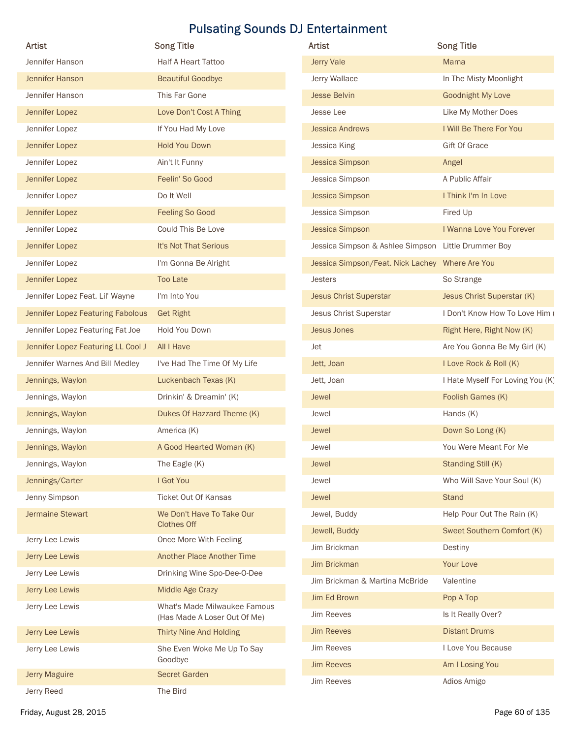| Artist                             |                                                              |                                           |                                  |
|------------------------------------|--------------------------------------------------------------|-------------------------------------------|----------------------------------|
|                                    | <b>Song Title</b>                                            | Artist                                    | <b>Song Title</b>                |
| Jennifer Hanson                    | Half A Heart Tattoo                                          | Jerry Vale                                | Mama                             |
| Jennifer Hanson                    | <b>Beautiful Goodbye</b>                                     | Jerry Wallace                             | In The Misty Moonlight           |
| Jennifer Hanson                    | This Far Gone                                                | <b>Jesse Belvin</b>                       | Goodnight My Love                |
| Jennifer Lopez                     | Love Don't Cost A Thing                                      | Jesse Lee                                 | Like My Mother Does              |
| Jennifer Lopez                     | If You Had My Love                                           | <b>Jessica Andrews</b>                    | I Will Be There For You          |
| Jennifer Lopez                     | <b>Hold You Down</b>                                         | Jessica King                              | <b>Gift Of Grace</b>             |
| Jennifer Lopez<br>Jennifer Lopez   | Ain't It Funny<br>Feelin' So Good                            | <b>Jessica Simpson</b><br>Jessica Simpson | Angel<br>A Public Affair         |
| Jennifer Lopez                     | Do It Well                                                   | <b>Jessica Simpson</b>                    | I Think I'm In Love              |
| Jennifer Lopez                     | Feeling So Good                                              | Jessica Simpson                           | Fired Up                         |
| Jennifer Lopez                     | Could This Be Love                                           | Jessica Simpson                           | I Wanna Love You Forever         |
| Jennifer Lopez                     | It's Not That Serious                                        | Jessica Simpson & Ashlee Simpson          | Little Drummer Boy               |
| Jennifer Lopez                     | I'm Gonna Be Alright                                         | Jessica Simpson/Feat. Nick Lachey         | Where Are You                    |
| Jennifer Lopez                     | <b>Too Late</b>                                              | Jesters                                   | So Strange                       |
| Jennifer Lopez Feat. Lil' Wayne    | I'm Into You                                                 | <b>Jesus Christ Superstar</b>             | Jesus Christ Superstar (K)       |
| Jennifer Lopez Featuring Fabolous  | <b>Get Right</b>                                             | Jesus Christ Superstar                    | I Don't Know How To Love Him (   |
| Jennifer Lopez Featuring Fat Joe   | Hold You Down                                                | <b>Jesus Jones</b>                        | Right Here, Right Now (K)        |
| Jennifer Lopez Featuring LL Cool J | All I Have                                                   | Jet                                       | Are You Gonna Be My Girl (K)     |
| Jennifer Warnes And Bill Medley    | I've Had The Time Of My Life                                 | Jett, Joan                                | I Love Rock & Roll (K)           |
| Jennings, Waylon                   | Luckenbach Texas (K)                                         | Jett, Joan                                | I Hate Myself For Loving You (K) |
| Jennings, Waylon                   | Drinkin' & Dreamin' (K)                                      | Jewel                                     | Foolish Games (K)                |
| Jennings, Waylon                   | Dukes Of Hazzard Theme (K)                                   | Jewel                                     | Hands (K)                        |
| Jennings, Waylon                   | America (K)                                                  | Jewel                                     | Down So Long (K)                 |
| Jennings, Waylon                   | A Good Hearted Woman (K)                                     | Jewel                                     | You Were Meant For Me            |
| Jennings, Waylon                   | The Eagle (K)                                                | Jewel                                     | Standing Still (K)               |
| Jennings/Carter                    | I Got You                                                    | Jewel                                     | Who Will Save Your Soul (K)      |
| Jenny Simpson                      | Ticket Out Of Kansas                                         | Jewel                                     | <b>Stand</b>                     |
| <b>Jermaine Stewart</b>            | We Don't Have To Take Our                                    | Jewel, Buddy                              | Help Pour Out The Rain (K)       |
|                                    | <b>Clothes Off</b>                                           | Jewell, Buddy                             | Sweet Southern Comfort (K)       |
| Jerry Lee Lewis                    | Once More With Feeling                                       | Jim Brickman                              | Destiny                          |
| Jerry Lee Lewis                    | Another Place Another Time                                   | <b>Jim Brickman</b>                       | Your Love                        |
| Jerry Lee Lewis                    | Drinking Wine Spo-Dee-O-Dee                                  | Jim Brickman & Martina McBride            | Valentine                        |
| Jerry Lee Lewis                    | Middle Age Crazy                                             | Jim Ed Brown                              | Pop A Top                        |
| Jerry Lee Lewis                    | What's Made Milwaukee Famous<br>(Has Made A Loser Out Of Me) | Jim Reeves                                | Is It Really Over?               |
| Jerry Lee Lewis                    | Thirty Nine And Holding                                      | <b>Jim Reeves</b>                         | <b>Distant Drums</b>             |
| Jerry Lee Lewis                    | She Even Woke Me Up To Say                                   | Jim Reeves                                | I Love You Because               |
| Jerry Maguire                      | Goodbye                                                      | <b>Jim Reeves</b>                         | Am I Losing You                  |
|                                    | <b>Secret Garden</b>                                         | Jim Reeves                                | Adios Amigo                      |

| <b>Jerry Vale</b><br>Mama<br>In The Misty Moonlight<br>Jerry Wallace<br><b>Jesse Belvin</b><br><b>Goodnight My Love</b><br>Jesse Lee<br>Like My Mother Does<br>I Will Be There For You<br><b>Jessica Andrews</b><br><b>Gift Of Grace</b><br>Jessica King<br><b>Jessica Simpson</b><br>Angel<br>A Public Affair<br>Jessica Simpson<br>I Think I'm In Love<br><b>Jessica Simpson</b><br>Fired Up<br>Jessica Simpson<br>I Wanna Love You Forever<br><b>Jessica Simpson</b><br>Jessica Simpson & Ashlee Simpson Little Drummer Boy<br>Jessica Simpson/Feat. Nick Lachey Where Are You<br><b>Jesters</b><br>So Strange<br>Jesus Christ Superstar (K)<br><b>Jesus Christ Superstar</b><br><b>Jesus Christ Superstar</b><br><b>Jesus Jones</b><br>Right Here, Right Now (K)<br>Are You Gonna Be My Girl (K)<br>Jet<br>I Love Rock & Roll (K)<br>Jett, Joan<br>Jett, Joan<br>Foolish Games (K)<br>Jewel<br>Jewel<br>Hands (K)<br>Jewel<br>Down So Long (K)<br>Jewel<br>You Were Meant For Me<br>Standing Still (K)<br>Jewel<br>Who Will Save Your Soul (K)<br>Jewel<br>Jewel<br><b>Stand</b><br>Help Pour Out The Rain (K)<br>Jewel, Buddy<br>Sweet Southern Comfort (K)<br>Jewell, Buddy<br>Jim Brickman<br>Destiny<br><b>Jim Brickman</b><br>Your Love<br>Jim Brickman & Martina McBride<br>Valentine<br>Jim Ed Brown<br>Pop A Top<br><b>Jim Reeves</b><br>Is It Really Over?<br><b>Jim Reeves</b><br><b>Distant Drums</b><br><b>Jim Reeves</b><br>I Love You Because<br><b>Jim Reeves</b><br>Am I Losing You | <b>Artist</b>     | <b>Song Title</b> |
|---------------------------------------------------------------------------------------------------------------------------------------------------------------------------------------------------------------------------------------------------------------------------------------------------------------------------------------------------------------------------------------------------------------------------------------------------------------------------------------------------------------------------------------------------------------------------------------------------------------------------------------------------------------------------------------------------------------------------------------------------------------------------------------------------------------------------------------------------------------------------------------------------------------------------------------------------------------------------------------------------------------------------------------------------------------------------------------------------------------------------------------------------------------------------------------------------------------------------------------------------------------------------------------------------------------------------------------------------------------------------------------------------------------------------------------------------------------------------------------------------------|-------------------|-------------------|
|                                                                                                                                                                                                                                                                                                                                                                                                                                                                                                                                                                                                                                                                                                                                                                                                                                                                                                                                                                                                                                                                                                                                                                                                                                                                                                                                                                                                                                                                                                         |                   |                   |
|                                                                                                                                                                                                                                                                                                                                                                                                                                                                                                                                                                                                                                                                                                                                                                                                                                                                                                                                                                                                                                                                                                                                                                                                                                                                                                                                                                                                                                                                                                         |                   |                   |
|                                                                                                                                                                                                                                                                                                                                                                                                                                                                                                                                                                                                                                                                                                                                                                                                                                                                                                                                                                                                                                                                                                                                                                                                                                                                                                                                                                                                                                                                                                         |                   |                   |
|                                                                                                                                                                                                                                                                                                                                                                                                                                                                                                                                                                                                                                                                                                                                                                                                                                                                                                                                                                                                                                                                                                                                                                                                                                                                                                                                                                                                                                                                                                         |                   |                   |
|                                                                                                                                                                                                                                                                                                                                                                                                                                                                                                                                                                                                                                                                                                                                                                                                                                                                                                                                                                                                                                                                                                                                                                                                                                                                                                                                                                                                                                                                                                         |                   |                   |
|                                                                                                                                                                                                                                                                                                                                                                                                                                                                                                                                                                                                                                                                                                                                                                                                                                                                                                                                                                                                                                                                                                                                                                                                                                                                                                                                                                                                                                                                                                         |                   |                   |
|                                                                                                                                                                                                                                                                                                                                                                                                                                                                                                                                                                                                                                                                                                                                                                                                                                                                                                                                                                                                                                                                                                                                                                                                                                                                                                                                                                                                                                                                                                         |                   |                   |
|                                                                                                                                                                                                                                                                                                                                                                                                                                                                                                                                                                                                                                                                                                                                                                                                                                                                                                                                                                                                                                                                                                                                                                                                                                                                                                                                                                                                                                                                                                         |                   |                   |
|                                                                                                                                                                                                                                                                                                                                                                                                                                                                                                                                                                                                                                                                                                                                                                                                                                                                                                                                                                                                                                                                                                                                                                                                                                                                                                                                                                                                                                                                                                         |                   |                   |
|                                                                                                                                                                                                                                                                                                                                                                                                                                                                                                                                                                                                                                                                                                                                                                                                                                                                                                                                                                                                                                                                                                                                                                                                                                                                                                                                                                                                                                                                                                         |                   |                   |
| I Don't Know How To Love Him (                                                                                                                                                                                                                                                                                                                                                                                                                                                                                                                                                                                                                                                                                                                                                                                                                                                                                                                                                                                                                                                                                                                                                                                                                                                                                                                                                                                                                                                                          |                   |                   |
|                                                                                                                                                                                                                                                                                                                                                                                                                                                                                                                                                                                                                                                                                                                                                                                                                                                                                                                                                                                                                                                                                                                                                                                                                                                                                                                                                                                                                                                                                                         |                   |                   |
|                                                                                                                                                                                                                                                                                                                                                                                                                                                                                                                                                                                                                                                                                                                                                                                                                                                                                                                                                                                                                                                                                                                                                                                                                                                                                                                                                                                                                                                                                                         |                   |                   |
|                                                                                                                                                                                                                                                                                                                                                                                                                                                                                                                                                                                                                                                                                                                                                                                                                                                                                                                                                                                                                                                                                                                                                                                                                                                                                                                                                                                                                                                                                                         |                   |                   |
|                                                                                                                                                                                                                                                                                                                                                                                                                                                                                                                                                                                                                                                                                                                                                                                                                                                                                                                                                                                                                                                                                                                                                                                                                                                                                                                                                                                                                                                                                                         |                   |                   |
|                                                                                                                                                                                                                                                                                                                                                                                                                                                                                                                                                                                                                                                                                                                                                                                                                                                                                                                                                                                                                                                                                                                                                                                                                                                                                                                                                                                                                                                                                                         |                   |                   |
| I Hate Myself For Loving You (K)                                                                                                                                                                                                                                                                                                                                                                                                                                                                                                                                                                                                                                                                                                                                                                                                                                                                                                                                                                                                                                                                                                                                                                                                                                                                                                                                                                                                                                                                        |                   |                   |
|                                                                                                                                                                                                                                                                                                                                                                                                                                                                                                                                                                                                                                                                                                                                                                                                                                                                                                                                                                                                                                                                                                                                                                                                                                                                                                                                                                                                                                                                                                         |                   |                   |
|                                                                                                                                                                                                                                                                                                                                                                                                                                                                                                                                                                                                                                                                                                                                                                                                                                                                                                                                                                                                                                                                                                                                                                                                                                                                                                                                                                                                                                                                                                         |                   |                   |
|                                                                                                                                                                                                                                                                                                                                                                                                                                                                                                                                                                                                                                                                                                                                                                                                                                                                                                                                                                                                                                                                                                                                                                                                                                                                                                                                                                                                                                                                                                         |                   |                   |
|                                                                                                                                                                                                                                                                                                                                                                                                                                                                                                                                                                                                                                                                                                                                                                                                                                                                                                                                                                                                                                                                                                                                                                                                                                                                                                                                                                                                                                                                                                         |                   |                   |
|                                                                                                                                                                                                                                                                                                                                                                                                                                                                                                                                                                                                                                                                                                                                                                                                                                                                                                                                                                                                                                                                                                                                                                                                                                                                                                                                                                                                                                                                                                         |                   |                   |
|                                                                                                                                                                                                                                                                                                                                                                                                                                                                                                                                                                                                                                                                                                                                                                                                                                                                                                                                                                                                                                                                                                                                                                                                                                                                                                                                                                                                                                                                                                         |                   |                   |
|                                                                                                                                                                                                                                                                                                                                                                                                                                                                                                                                                                                                                                                                                                                                                                                                                                                                                                                                                                                                                                                                                                                                                                                                                                                                                                                                                                                                                                                                                                         |                   |                   |
|                                                                                                                                                                                                                                                                                                                                                                                                                                                                                                                                                                                                                                                                                                                                                                                                                                                                                                                                                                                                                                                                                                                                                                                                                                                                                                                                                                                                                                                                                                         |                   |                   |
|                                                                                                                                                                                                                                                                                                                                                                                                                                                                                                                                                                                                                                                                                                                                                                                                                                                                                                                                                                                                                                                                                                                                                                                                                                                                                                                                                                                                                                                                                                         |                   |                   |
|                                                                                                                                                                                                                                                                                                                                                                                                                                                                                                                                                                                                                                                                                                                                                                                                                                                                                                                                                                                                                                                                                                                                                                                                                                                                                                                                                                                                                                                                                                         |                   |                   |
|                                                                                                                                                                                                                                                                                                                                                                                                                                                                                                                                                                                                                                                                                                                                                                                                                                                                                                                                                                                                                                                                                                                                                                                                                                                                                                                                                                                                                                                                                                         |                   |                   |
|                                                                                                                                                                                                                                                                                                                                                                                                                                                                                                                                                                                                                                                                                                                                                                                                                                                                                                                                                                                                                                                                                                                                                                                                                                                                                                                                                                                                                                                                                                         |                   |                   |
|                                                                                                                                                                                                                                                                                                                                                                                                                                                                                                                                                                                                                                                                                                                                                                                                                                                                                                                                                                                                                                                                                                                                                                                                                                                                                                                                                                                                                                                                                                         |                   |                   |
|                                                                                                                                                                                                                                                                                                                                                                                                                                                                                                                                                                                                                                                                                                                                                                                                                                                                                                                                                                                                                                                                                                                                                                                                                                                                                                                                                                                                                                                                                                         |                   |                   |
|                                                                                                                                                                                                                                                                                                                                                                                                                                                                                                                                                                                                                                                                                                                                                                                                                                                                                                                                                                                                                                                                                                                                                                                                                                                                                                                                                                                                                                                                                                         |                   |                   |
|                                                                                                                                                                                                                                                                                                                                                                                                                                                                                                                                                                                                                                                                                                                                                                                                                                                                                                                                                                                                                                                                                                                                                                                                                                                                                                                                                                                                                                                                                                         |                   |                   |
|                                                                                                                                                                                                                                                                                                                                                                                                                                                                                                                                                                                                                                                                                                                                                                                                                                                                                                                                                                                                                                                                                                                                                                                                                                                                                                                                                                                                                                                                                                         |                   |                   |
|                                                                                                                                                                                                                                                                                                                                                                                                                                                                                                                                                                                                                                                                                                                                                                                                                                                                                                                                                                                                                                                                                                                                                                                                                                                                                                                                                                                                                                                                                                         |                   |                   |
|                                                                                                                                                                                                                                                                                                                                                                                                                                                                                                                                                                                                                                                                                                                                                                                                                                                                                                                                                                                                                                                                                                                                                                                                                                                                                                                                                                                                                                                                                                         |                   |                   |
|                                                                                                                                                                                                                                                                                                                                                                                                                                                                                                                                                                                                                                                                                                                                                                                                                                                                                                                                                                                                                                                                                                                                                                                                                                                                                                                                                                                                                                                                                                         |                   |                   |
|                                                                                                                                                                                                                                                                                                                                                                                                                                                                                                                                                                                                                                                                                                                                                                                                                                                                                                                                                                                                                                                                                                                                                                                                                                                                                                                                                                                                                                                                                                         | <b>Jim Reeves</b> | Adios Amigo       |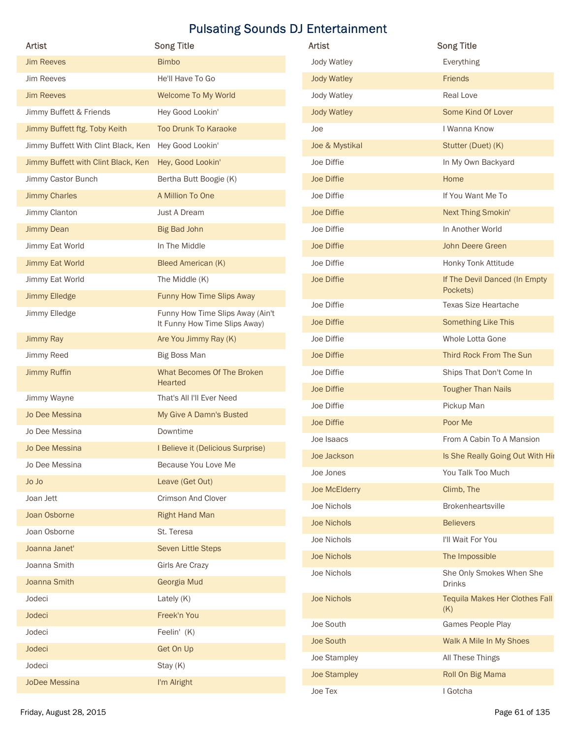|                                                      | <b>Song Title</b>                                                 | Artist              | <b>Song Title</b>                         |
|------------------------------------------------------|-------------------------------------------------------------------|---------------------|-------------------------------------------|
| Artist<br><b>Jim Reeves</b>                          | <b>Bimbo</b>                                                      | Jody Watley         | Everything                                |
| Jim Reeves                                           | He'll Have To Go                                                  | <b>Jody Watley</b>  | Friends                                   |
|                                                      |                                                                   |                     | Real Love                                 |
| <b>Jim Reeves</b>                                    | Welcome To My World                                               | Jody Watley         |                                           |
| Jimmy Buffett & Friends                              | Hey Good Lookin'                                                  | <b>Jody Watley</b>  | Some Kind Of Lover                        |
| Jimmy Buffett ftg. Toby Keith                        | <b>Too Drunk To Karaoke</b>                                       | Joe                 | I Wanna Know                              |
| Jimmy Buffett With Clint Black, Ken Hey Good Lookin' |                                                                   | Joe & Mystikal      | Stutter (Duet) (K)                        |
| Jimmy Buffett with Clint Black, Ken                  | Hey, Good Lookin'                                                 | Joe Diffie          | In My Own Backyard                        |
| Jimmy Castor Bunch                                   | Bertha Butt Boogie (K)                                            | Joe Diffie          | Home                                      |
| <b>Jimmy Charles</b>                                 | A Million To One                                                  | Joe Diffie          | If You Want Me To                         |
| Jimmy Clanton                                        | Just A Dream                                                      | Joe Diffie          | Next Thing Smokin'                        |
| <b>Jimmy Dean</b>                                    | <b>Big Bad John</b>                                               | Joe Diffie          | In Another World                          |
| Jimmy Eat World                                      | In The Middle                                                     | Joe Diffie          | John Deere Green                          |
| <b>Jimmy Eat World</b>                               | <b>Bleed American (K)</b>                                         | Joe Diffie          | Honky Tonk Attitude                       |
| Jimmy Eat World                                      | The Middle (K)                                                    | Joe Diffie          | If The Devil Danced (In Empty<br>Pockets) |
| Jimmy Elledge                                        | Funny How Time Slips Away                                         | Joe Diffie          | <b>Texas Size Heartache</b>               |
| Jimmy Elledge                                        | Funny How Time Slips Away (Ain't<br>It Funny How Time Slips Away) | Joe Diffie          | Something Like This                       |
| Jimmy Ray                                            | Are You Jimmy Ray (K)                                             | Joe Diffie          | Whole Lotta Gone                          |
| Jimmy Reed                                           | Big Boss Man                                                      | Joe Diffie          | Third Rock From The Sun                   |
| Jimmy Ruffin                                         | What Becomes Of The Broken                                        | Joe Diffie          | Ships That Don't Come In                  |
|                                                      | Hearted                                                           | Joe Diffie          | <b>Tougher Than Nails</b>                 |
| Jimmy Wayne                                          | That's All I'll Ever Need                                         | Joe Diffie          | Pickup Man                                |
| Jo Dee Messina                                       | My Give A Damn's Busted                                           | Joe Diffie          | Poor Me                                   |
| Jo Dee Messina                                       | Downtime                                                          | Joe Isaacs          | From A Cabin To A Mansion                 |
| Jo Dee Messina                                       | I Believe it (Delicious Surprise)                                 | Joe Jackson         | Is She Really Going Out With Hir          |
| Jo Dee Messina                                       | Because You Love Me                                               | Joe Jones           | You Talk Too Much                         |
| Jo Jo                                                | Leave (Get Out)                                                   | Joe McElderry       | Climb, The                                |
| Joan Jett                                            | Crimson And Clover                                                | Joe Nichols         | Brokenheartsville                         |
| Joan Osborne                                         | <b>Right Hand Man</b>                                             | Joe Nichols         | <b>Believers</b>                          |
| Joan Osborne                                         | St. Teresa                                                        |                     | I'll Wait For You                         |
| Joanna Janet'                                        | Seven Little Steps                                                | Joe Nichols         |                                           |
| Joanna Smith                                         | <b>Girls Are Crazy</b>                                            | Joe Nichols         | The Impossible                            |
| Joanna Smith                                         | Georgia Mud                                                       | Joe Nichols         | She Only Smokes When She<br><b>Drinks</b> |
| Jodeci                                               | Lately (K)                                                        | Joe Nichols         | <b>Tequila Makes Her Clothes Fall</b>     |
| Jodeci                                               | Freek'n You                                                       |                     | (K)                                       |
| Jodeci                                               | Feelin' (K)                                                       | Joe South           | Games People Play                         |
| Jodeci                                               | Get On Up                                                         | Joe South           | Walk A Mile In My Shoes                   |
| Jodeci                                               | Stay (K)                                                          | Joe Stampley        | All These Things                          |
|                                                      | I'm Alright                                                       | <b>Joe Stampley</b> | Roll On Big Mama                          |
| <b>JoDee Messina</b>                                 |                                                                   | Joe Tex             | I Gotcha                                  |

| <b>Artist</b>       | <b>Song Title</b>                         |
|---------------------|-------------------------------------------|
| Jody Watley         | Everything                                |
| <b>Jody Watley</b>  | Friends                                   |
| Jody Watley         | Real Love                                 |
| <b>Jody Watley</b>  | Some Kind Of Lover                        |
| Joe                 | I Wanna Know                              |
| Joe & Mystikal      | Stutter (Duet) (K)                        |
| Joe Diffie          | In My Own Backyard                        |
| Joe Diffie          | Home                                      |
| Joe Diffie          | If You Want Me To                         |
| Joe Diffie          | Next Thing Smokin'                        |
| Joe Diffie          | In Another World                          |
| Joe Diffie          | John Deere Green                          |
| Joe Diffie          | Honky Tonk Attitude                       |
| Joe Diffie          | If The Devil Danced (In Empty<br>Pockets) |
| Joe Diffie          | <b>Texas Size Heartache</b>               |
| Joe Diffie          | Something Like This                       |
| Joe Diffie          | Whole Lotta Gone                          |
| Joe Diffie          | Third Rock From The Sun                   |
| Joe Diffie          | Ships That Don't Come In                  |
| Joe Diffie          | <b>Tougher Than Nails</b>                 |
| Joe Diffie          | Pickup Man                                |
| Joe Diffie          | Poor Me                                   |
| Joe Isaacs          | From A Cabin To A Mansion                 |
| Joe Jackson         | Is She Really Going Out With Hir          |
| Joe Jones           | You Talk Too Much                         |
| Joe McElderry       | Climb, The                                |
| Joe Nichols         | Brokenheartsville                         |
| <b>Joe Nichols</b>  | <b>Believers</b>                          |
| Joe Nichols         | I'll Wait For You                         |
| <b>Joe Nichols</b>  | The Impossible                            |
| Joe Nichols         | She Only Smokes When She<br><b>Drinks</b> |
| <b>Joe Nichols</b>  | Tequila Makes Her Clothes Fall<br>(K)     |
| Joe South           | Games People Play                         |
| Joe South           | Walk A Mile In My Shoes                   |
| Joe Stampley        | All These Things                          |
| <b>Joe Stampley</b> | Roll On Big Mama                          |
| Joe Tex             | I Gotcha                                  |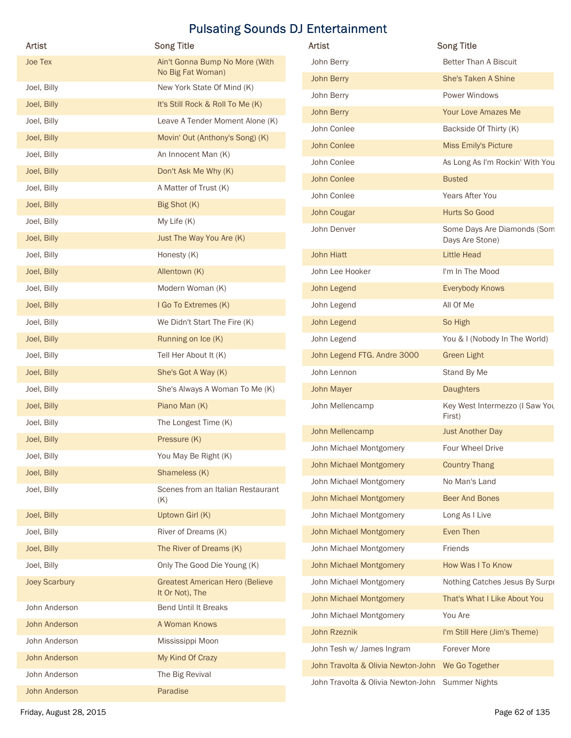| <b>Artist</b>                  | <b>Song Title</b>                                   | Artist                                            | <b>Song Title</b>                              |
|--------------------------------|-----------------------------------------------------|---------------------------------------------------|------------------------------------------------|
| <b>Joe Tex</b>                 | Ain't Gonna Bump No More (With<br>No Big Fat Woman) | John Berry                                        | Better Than A Biscuit                          |
| Joel, Billy                    | New York State Of Mind (K)                          | John Berry                                        | She's Taken A Shine                            |
| Joel, Billy                    | It's Still Rock & Roll To Me (K)                    | John Berry                                        | Power Windows                                  |
| Joel, Billy                    | Leave A Tender Moment Alone (K)                     | John Berry                                        | Your Love Amazes Me                            |
| Joel, Billy                    | Movin' Out (Anthony's Song) (K)                     | John Conlee                                       | Backside Of Thirty (K)                         |
| Joel, Billy                    | An Innocent Man (K)                                 | John Conlee                                       | Miss Emily's Picture                           |
| Joel, Billy                    | Don't Ask Me Why (K)                                | John Conlee                                       | As Long As I'm Rockin' With You                |
| Joel, Billy                    | A Matter of Trust (K)                               | John Conlee                                       | <b>Busted</b>                                  |
| Joel, Billy                    | Big Shot (K)                                        | John Conlee                                       | Years After You                                |
| Joel, Billy                    | My Life (K)                                         | John Cougar                                       | Hurts So Good                                  |
| Joel, Billy                    | Just The Way You Are (K)                            | John Denver                                       | Some Days Are Diamonds (Som<br>Days Are Stone) |
| Joel, Billy                    | Honesty (K)                                         | John Hiatt                                        | <b>Little Head</b>                             |
| Joel, Billy                    | Allentown (K)                                       | John Lee Hooker                                   | I'm In The Mood                                |
| Joel, Billy                    | Modern Woman (K)                                    | John Legend                                       | Everybody Knows                                |
| Joel, Billy                    | I Go To Extremes (K)                                | John Legend                                       | All Of Me                                      |
| Joel, Billy                    | We Didn't Start The Fire (K)                        | John Legend                                       | So High                                        |
| Joel, Billy                    | Running on Ice (K)                                  | John Legend                                       | You & I (Nobody In The World)                  |
| Joel, Billy                    | Tell Her About It (K)                               | John Legend FTG. Andre 3000                       | <b>Green Light</b>                             |
| Joel, Billy                    | She's Got A Way (K)                                 | John Lennon                                       | Stand By Me                                    |
| Joel, Billy                    | She's Always A Woman To Me (K)                      | John Mayer                                        | Daughters                                      |
| Joel, Billy                    | Piano Man (K)                                       | John Mellencamp                                   | Key West Intermezzo (I Saw You                 |
| Joel, Billy                    | The Longest Time (K)                                |                                                   | First)                                         |
| Joel, Billy                    | Pressure (K)                                        | John Mellencamp                                   | <b>Just Another Day</b>                        |
| Joel, Billy                    | You May Be Right (K)                                | John Michael Montgomery                           | Four Wheel Drive                               |
| Joel, Billy                    | Shameless (K)                                       | John Michael Montgomery                           | <b>Country Thang</b>                           |
| Joel, Billy                    | Scenes from an Italian Restaurant                   | John Michael Montgomery                           | No Man's Land                                  |
|                                | (K)                                                 | John Michael Montgomery                           | <b>Beer And Bones</b>                          |
| Joel, Billy                    | Uptown Girl (K)                                     | John Michael Montgomery                           | Long As I Live                                 |
| Joel, Billy                    | River of Dreams (K)                                 | <b>John Michael Montgomery</b>                    | Even Then                                      |
| Joel, Billy                    | The River of Dreams (K)                             | John Michael Montgomery                           | Friends                                        |
| Joel, Billy                    | Only The Good Die Young (K)                         | John Michael Montgomery                           | How Was I To Know                              |
| <b>Joey Scarbury</b>           | <b>Greatest American Hero (Believe</b>              | John Michael Montgomery                           | Nothing Catches Jesus By Surpi                 |
| John Anderson                  | It Or Not), The<br>Bend Until It Breaks             | John Michael Montgomery                           | That's What I Like About You                   |
| John Anderson                  | A Woman Knows                                       | John Michael Montgomery                           | You Are                                        |
|                                |                                                     | John Rzeznik                                      | I'm Still Here (Jim's Theme)                   |
| John Anderson                  | Mississippi Moon                                    | John Tesh w/ James Ingram                         | Forever More                                   |
| John Anderson<br>John Anderson | My Kind Of Crazy                                    | John Travolta & Olivia Newton-John We Go Together |                                                |
|                                | The Big Revival                                     | John Travolta & Olivia Newton-John Summer Nights  |                                                |
| John Anderson                  | Paradise                                            |                                                   |                                                |

| <b>Artist</b>                      | <b>Song Title</b>                              |
|------------------------------------|------------------------------------------------|
| John Berry                         | <b>Better Than A Biscuit</b>                   |
| John Berry                         | <b>She's Taken A Shine</b>                     |
| John Berry                         | Power Windows                                  |
| John Berry                         | <b>Your Love Amazes Me</b>                     |
| John Conlee                        | Backside Of Thirty (K)                         |
| <b>John Conlee</b>                 | <b>Miss Emily's Picture</b>                    |
| John Conlee                        | As Long As I'm Rockin' With You                |
| <b>John Conlee</b>                 | <b>Busted</b>                                  |
| John Conlee                        | <b>Years After You</b>                         |
| John Cougar                        | Hurts So Good                                  |
| John Denver                        | Some Days Are Diamonds (Som<br>Days Are Stone) |
| <b>John Hiatt</b>                  | <b>Little Head</b>                             |
| John Lee Hooker                    | I'm In The Mood                                |
| John Legend                        | <b>Everybody Knows</b>                         |
| John Legend                        | All Of Me                                      |
| John Legend                        | So High                                        |
| John Legend                        | You & I (Nobody In The World)                  |
| John Legend FTG. Andre 3000        | <b>Green Light</b>                             |
| John Lennon                        | Stand By Me                                    |
| John Mayer                         | <b>Daughters</b>                               |
| John Mellencamp                    | Key West Intermezzo (I Saw You<br>First)       |
| John Mellencamp                    | <b>Just Another Day</b>                        |
| John Michael Montgomery            | Four Wheel Drive                               |
| <b>John Michael Montgomery</b>     | <b>Country Thang</b>                           |
| John Michael Montgomery            | No Man's Land                                  |
| John Michael Montgomery            | <b>Beer And Bones</b>                          |
| John Michael Montgomery            | Long As I Live                                 |
| John Michael Montgomery            | Even Then                                      |
| John Michael Montgomery            | Friends                                        |
| John Michael Montgomery            | How Was I To Know                              |
| John Michael Montgomery            | Nothing Catches Jesus By Surpi                 |
| John Michael Montgomery            | That's What I Like About You                   |
| John Michael Montgomery            | You Are                                        |
| John Rzeznik                       | I'm Still Here (Jim's Theme)                   |
| John Tesh w/ James Ingram          | <b>Forever More</b>                            |
| John Travolta & Olivia Newton-John | We Go Together                                 |
| John Travolta & Olivia Newton-John | <b>Summer Nights</b>                           |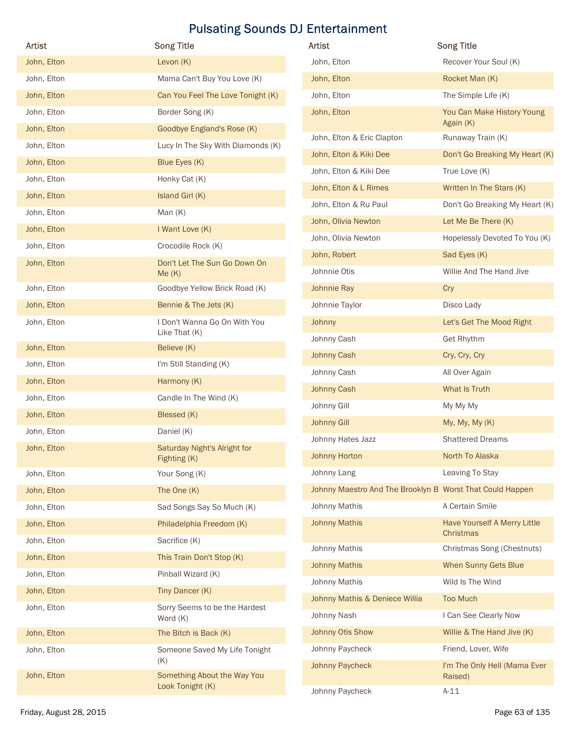| <b>Artist</b>           | <b>Song Title</b>                             | Artist                                                    | <b>Song Title</b>                         |
|-------------------------|-----------------------------------------------|-----------------------------------------------------------|-------------------------------------------|
| John, Elton             | Levon $(K)$                                   | John, Elton                                               | Recover Your Soul (K)                     |
| John, Elton             | Mama Can't Buy You Love (K)                   | John, Elton                                               | Rocket Man (K)                            |
| John, Elton             | Can You Feel The Love Tonight (K)             | John, Elton                                               | The Simple Life (K)                       |
| John, Elton             | Border Song (K)                               | John, Elton                                               | You Can Make History Young                |
| John, Elton             | Goodbye England's Rose (K)                    | John, Elton & Eric Clapton                                | Again (K)                                 |
| John, Elton             | Lucy In The Sky With Diamonds (K)             |                                                           | Runaway Train (K)                         |
| John, Elton             | Blue Eyes (K)                                 | John, Elton & Kiki Dee                                    | Don't Go Breaking My Heart (K)            |
| John, Elton             | Honky Cat (K)                                 | John, Elton & Kiki Dee                                    | True Love (K)                             |
| John, Elton             | Island Girl (K)                               | John, Elton & L Rimes                                     | Written In The Stars (K)                  |
| John, Elton             | Man $(K)$                                     | John, Elton & Ru Paul                                     | Don't Go Breaking My Heart (K)            |
| John, Elton             | I Want Love (K)                               | John, Olivia Newton                                       | Let Me Be There (K)                       |
| John, Elton             | Crocodile Rock (K)                            | John, Olivia Newton                                       | Hopelessly Devoted To You (K)             |
| John, Elton             | Don't Let The Sun Go Down On                  | John, Robert                                              | Sad Eyes (K)                              |
|                         | Me(K)                                         | Johnnie Otis                                              | Willie And The Hand Jive                  |
| John, Elton             | Goodbye Yellow Brick Road (K)                 | Johnnie Ray                                               | Cry                                       |
| John, Elton             | Bennie & The Jets (K)                         | Johnnie Taylor                                            | Disco Lady                                |
| John, Elton             | I Don't Wanna Go On With You<br>Like That (K) | <b>Johnny</b>                                             | Let's Get The Mood Right                  |
| John, Elton             | Believe (K)                                   | Johnny Cash                                               | Get Rhythm                                |
| John, Elton             | I'm Still Standing (K)                        | Johnny Cash                                               | Cry, Cry, Cry                             |
| John, Elton             | Harmony (K)                                   | Johnny Cash                                               | All Over Again                            |
| John, Elton             | Candle In The Wind (K)                        | <b>Johnny Cash</b>                                        | What Is Truth                             |
| John, Elton             | Blessed (K)                                   | Johnny Gill                                               | My My My                                  |
| John, Elton             | Daniel (K)                                    | <b>Johnny Gill</b>                                        | My, My, My (K)                            |
| John, Elton             | Saturday Night's Alright for                  | Johnny Hates Jazz                                         | <b>Shattered Dreams</b>                   |
|                         | Fighting (K)                                  | <b>Johnny Horton</b>                                      | North To Alaska                           |
| John, Elton             | Your Song (K)                                 | Johnny Lang                                               | Leaving To Stay                           |
| John, Elton             | The One (K)                                   | Johnny Maestro And The Brooklyn B Worst That Could Happen |                                           |
| John, Elton             | Sad Songs Say So Much (K)                     | Johnny Mathis                                             | A Certain Smile                           |
| John, Elton             | Philadelphia Freedom (K)                      | <b>Johnny Mathis</b>                                      | Have Yourself A Merry Little<br>Christmas |
| John, Elton             | Sacrifice (K)                                 | Johnny Mathis                                             | Christmas Song (Chestnuts)                |
| John, Elton             | This Train Don't Stop (K)                     | <b>Johnny Mathis</b>                                      | When Sunny Gets Blue                      |
| John, Elton             | Pinball Wizard (K)                            | Johnny Mathis                                             | Wild Is The Wind                          |
| John, Elton             | Tiny Dancer (K)                               | Johnny Mathis & Deniece Willia                            | <b>Too Much</b>                           |
| John, Elton             | Sorry Seems to be the Hardest<br>Word (K)     | Johnny Nash                                               | I Can See Clearly Now                     |
| John, Elton             | The Bitch is Back (K)                         | Johnny Otis Show                                          | Willie & The Hand Jive (K)                |
| John, Elton             | Someone Saved My Life Tonight                 | Johnny Paycheck                                           | Friend, Lover, Wife                       |
| John, Elton             | (K)<br>Something About the Way You            | Johnny Paycheck                                           | I'm The Only Hell (Mama Ever<br>Raised)   |
|                         | Look Tonight (K)                              | Johnny Paycheck                                           | $A-11$                                    |
| Friday, August 28, 2015 |                                               |                                                           | Page 63 of 135                            |

| Artist                     | <b>Song Title</b>                               | Artist                                                    | <b>Song Title</b>                                   |
|----------------------------|-------------------------------------------------|-----------------------------------------------------------|-----------------------------------------------------|
| John, Elton                | Levon $(K)$                                     | John, Elton                                               | Recover Your Soul (K)                               |
| John, Elton                | Mama Can't Buy You Love (K)                     | John, Elton                                               | Rocket Man (K)                                      |
| John, Elton                | Can You Feel The Love Tonight (K)               | John, Elton                                               | The Simple Life (K)                                 |
| John, Elton                | Border Song (K)                                 | John, Elton                                               | You Can Make History Young                          |
| John, Elton                | Goodbye England's Rose (K)                      |                                                           | Again (K)                                           |
| John, Elton                | Lucy In The Sky With Diamonds (K)               | John, Elton & Eric Clapton                                | Runaway Train (K)                                   |
| John, Elton                | Blue Eyes (K)                                   | John, Elton & Kiki Dee                                    | Don't Go Breaking My Heart (K)                      |
| John, Elton                | Honky Cat (K)                                   | John, Elton & Kiki Dee                                    | True Love (K)                                       |
| John, Elton                | Island Girl (K)                                 | John, Elton & L Rimes                                     | Written In The Stars (K)                            |
| John, Elton                | Man $(K)$                                       | John, Elton & Ru Paul                                     | Don't Go Breaking My Heart (K)                      |
| John, Elton                | I Want Love (K)                                 | John, Olivia Newton                                       | Let Me Be There (K)                                 |
| John, Elton                | Crocodile Rock (K)                              | John, Olivia Newton                                       | Hopelessly Devoted To You (K)                       |
| John, Elton                | Don't Let The Sun Go Down On                    | John, Robert                                              | Sad Eyes (K)                                        |
|                            | Me(K)                                           | Johnnie Otis                                              | Willie And The Hand Jive                            |
| John, Elton                | Goodbye Yellow Brick Road (K)                   | Johnnie Ray                                               | Cry                                                 |
| John, Elton                | Bennie & The Jets (K)                           | Johnnie Taylor                                            | Disco Lady                                          |
| John, Elton                | I Don't Wanna Go On With You<br>Like That (K)   | Johnny                                                    | Let's Get The Mood Right                            |
| John, Elton                | Believe (K)                                     | Johnny Cash                                               | Get Rhythm                                          |
| John, Elton                | I'm Still Standing (K)                          | <b>Johnny Cash</b>                                        | Cry, Cry, Cry                                       |
| John, Elton                | Harmony (K)                                     | Johnny Cash                                               | All Over Again                                      |
| John, Elton                | Candle In The Wind (K)                          | <b>Johnny Cash</b><br>Johnny Gill                         | What Is Truth<br>My My My                           |
| John, Elton                | Blessed (K)                                     | <b>Johnny Gill</b>                                        | My, My, My (K)                                      |
| John, Elton                | Daniel (K)                                      | Johnny Hates Jazz                                         | <b>Shattered Dreams</b>                             |
| John, Elton                | Saturday Night's Alright for                    | <b>Johnny Horton</b>                                      | North To Alaska                                     |
|                            | Fighting (K)<br>Your Song (K)                   | Johnny Lang                                               | Leaving To Stay                                     |
| John, Elton<br>John, Elton | The One (K)                                     | Johnny Maestro And The Brooklyn B Worst That Could Happen |                                                     |
| John, Elton                | Sad Songs Say So Much (K)                       | Johnny Mathis                                             | A Certain Smile                                     |
| John, Elton                | Philadelphia Freedom (K)                        | <b>Johnny Mathis</b>                                      | Have Yourself A Merry Little                        |
| John, Elton                | Sacrifice (K)                                   |                                                           | <b>Christmas</b>                                    |
| John, Elton                | This Train Don't Stop (K)                       | Johnny Mathis                                             | Christmas Song (Chestnuts)                          |
| John, Elton                | Pinball Wizard (K)                              | <b>Johnny Mathis</b>                                      | When Sunny Gets Blue                                |
| John, Elton                | Tiny Dancer (K)                                 | Johnny Mathis                                             | Wild Is The Wind                                    |
| John, Elton                | Sorry Seems to be the Hardest                   | Johnny Mathis & Deniece Willia                            | <b>Too Much</b>                                     |
|                            | Word (K)                                        | Johnny Nash                                               | I Can See Clearly Now                               |
| John, Elton                | The Bitch is Back (K)                           | Johnny Otis Show                                          | Willie & The Hand Jive (K)                          |
| John, Elton                | Someone Saved My Life Tonight<br>(K)            | Johnny Paycheck<br>Johnny Paycheck                        | Friend, Lover, Wife<br>I'm The Only Hell (Mama Ever |
| John, Elton                | Something About the Way You<br>Look Tonight (K) |                                                           | Raised)                                             |
|                            |                                                 | Johnny Paycheck                                           | $A-11$                                              |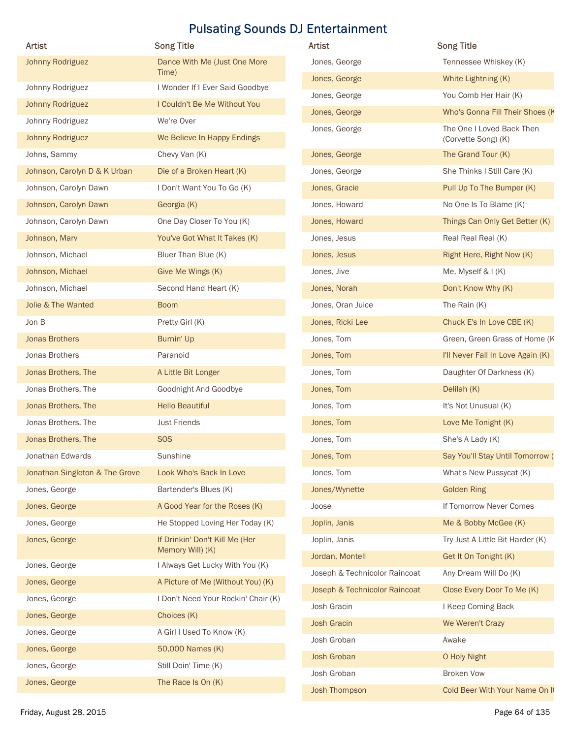| Artist                                 | <b>Pulsating Sounds DJ Entertainment</b><br><b>Song Title</b>            | Artist                            | <b>Song Title</b>                  |
|----------------------------------------|--------------------------------------------------------------------------|-----------------------------------|------------------------------------|
| Johnny Rodriguez                       | Dance With Me (Just One More                                             | Jones, George                     | Tennessee Whiskey (K)              |
|                                        | Time)                                                                    | Jones, George                     | White Lightning (K)                |
| Johnny Rodriguez                       | I Wonder If I Ever Said Goodbye                                          | Jones, George                     | You Comb Her Hair (K)              |
| Johnny Rodriguez                       | I Couldn't Be Me Without You                                             | Jones, George                     | Who's Gonna Fill Their Shoes (K    |
| Johnny Rodriguez                       | We're Over                                                               | Jones, George                     | The One I Loved Back Then          |
| Johnny Rodriguez                       | We Believe In Happy Endings                                              |                                   | (Corvette Song) (K)                |
| Johns, Sammy                           | Chevy Van (K)                                                            | Jones, George                     | The Grand Tour (K)                 |
| Johnson, Carolyn D & K Urban           | Die of a Broken Heart (K)                                                | Jones, George                     | She Thinks I Still Care (K)        |
| Johnson, Carolyn Dawn                  | I Don't Want You To Go (K)                                               | Jones, Gracie                     | Pull Up To The Bumper (K)          |
| Johnson, Carolyn Dawn                  | Georgia (K)                                                              | Jones, Howard                     | No One Is To Blame (K)             |
| Johnson, Carolyn Dawn                  | One Day Closer To You (K)                                                | Jones, Howard                     | Things Can Only Get Better (K)     |
| Johnson, Marv                          | You've Got What It Takes (K)                                             | Jones, Jesus                      | Real Real Real (K)                 |
| Johnson, Michael                       | Bluer Than Blue (K)                                                      | Jones, Jesus                      | Right Here, Right Now (K)          |
| Johnson, Michael                       | Give Me Wings (K)                                                        | Jones, Jive                       | Me, Myself & I (K)                 |
| Johnson, Michael<br>Jolie & The Wanted | Second Hand Heart (K)                                                    | Jones, Norah<br>Jones, Oran Juice | Don't Know Why (K)<br>The Rain (K) |
| Jon B                                  | <b>Boom</b><br>Pretty Girl (K)                                           | Jones, Ricki Lee                  | Chuck E's In Love CBE (K)          |
| <b>Jonas Brothers</b>                  | Burnin' Up                                                               | Jones, Tom                        | Green, Green Grass of Home (K      |
| Jonas Brothers                         | Paranoid                                                                 | Jones, Tom                        | I'll Never Fall In Love Again (K)  |
| Jonas Brothers, The                    | A Little Bit Longer                                                      | Jones, Tom                        | Daughter Of Darkness (K)           |
| Jonas Brothers, The                    | Goodnight And Goodbye                                                    | Jones, Tom                        | Delilah (K)                        |
| Jonas Brothers, The                    | <b>Hello Beautiful</b>                                                   | Jones, Tom                        | It's Not Unusual (K)               |
| Jonas Brothers, The                    | <b>Just Friends</b>                                                      | Jones, Tom                        | Love Me Tonight (K)                |
| Jonas Brothers, The                    | <b>SOS</b>                                                               | Jones, Tom                        | She's A Lady (K)                   |
| Jonathan Edwards                       | Sunshine                                                                 | Jones, Tom                        | Say You'll Stay Until Tomorrow (   |
| Jonathan Singleton & The Grove         | Look Who's Back In Love                                                  | Jones, Tom                        | What's New Pussycat (K)            |
| Jones, George                          | Bartender's Blues (K)                                                    | Jones/Wynette                     | <b>Golden Ring</b>                 |
| Jones, George                          | A Good Year for the Roses (K)                                            | Joose                             | If Tomorrow Never Comes            |
| Jones, George                          | He Stopped Loving Her Today (K)                                          | Joplin, Janis                     | Me & Bobby McGee (K)               |
| Jones, George                          | If Drinkin' Don't Kill Me (Her                                           | Joplin, Janis                     | Try Just A Little Bit Harder (K)   |
|                                        | Memory Will) (K)                                                         | Jordan, Montell                   | Get It On Tonight (K)              |
| Jones, George                          | I Always Get Lucky With You (K)                                          | Joseph & Technicolor Raincoat     | Any Dream Will Do (K)              |
| Jones, George<br>Jones, George         | A Picture of Me (Without You) (K)<br>I Don't Need Your Rockin' Chair (K) | Joseph & Technicolor Raincoat     | Close Every Door To Me (K)         |
| Jones, George                          | Choices (K)                                                              | Josh Gracin                       | I Keep Coming Back                 |
| Jones, George                          | A Girl I Used To Know (K)                                                | <b>Josh Gracin</b>                | We Weren't Crazy                   |
| Jones, George                          | 50,000 Names (K)                                                         | Josh Groban                       | Awake                              |
| Jones, George                          | Still Doin' Time (K)                                                     | Josh Groban                       | O Holy Night                       |
| Jones, George                          | The Race Is On (K)                                                       | Josh Groban                       | <b>Broken Vow</b>                  |
|                                        |                                                                          |                                   |                                    |

| Artist                         | <b>Song Title</b>                     | Artist                        | <b>Song Title</b>                                |
|--------------------------------|---------------------------------------|-------------------------------|--------------------------------------------------|
| Johnny Rodriguez               | Dance With Me (Just One More<br>Time) | Jones, George                 | Tennessee Whiskey (K)                            |
| Johnny Rodriguez               | I Wonder If I Ever Said Goodbye       | Jones, George                 | White Lightning (K)                              |
| Johnny Rodriguez               | I Couldn't Be Me Without You          | Jones, George                 | You Comb Her Hair (K)                            |
| Johnny Rodriguez               | We're Over                            | Jones, George                 | Who's Gonna Fill Their Shoes (K                  |
| Johnny Rodriguez               | We Believe In Happy Endings           | Jones, George                 | The One I Loved Back Then<br>(Corvette Song) (K) |
| Johns, Sammy                   | Chevy Van (K)                         | Jones, George                 | The Grand Tour (K)                               |
| Johnson, Carolyn D & K Urban   | Die of a Broken Heart (K)             | Jones, George                 | She Thinks I Still Care (K)                      |
| Johnson, Carolyn Dawn          | I Don't Want You To Go (K)            | Jones, Gracie                 | Pull Up To The Bumper (K)                        |
|                                |                                       | Jones, Howard                 | No One Is To Blame (K)                           |
| Johnson, Carolyn Dawn          | Georgia (K)                           |                               |                                                  |
| Johnson, Carolyn Dawn          | One Day Closer To You (K)             | Jones, Howard                 | Things Can Only Get Better (K)                   |
| Johnson, Marv                  | You've Got What It Takes (K)          | Jones, Jesus                  | Real Real Real (K)                               |
| Johnson, Michael               | Bluer Than Blue (K)                   | Jones, Jesus                  | Right Here, Right Now (K)                        |
| Johnson, Michael               | Give Me Wings (K)                     | Jones, Jive                   | Me, Myself & $I(K)$                              |
| Johnson, Michael               | Second Hand Heart (K)                 | Jones, Norah                  | Don't Know Why (K)                               |
| Jolie & The Wanted             | <b>Boom</b>                           | Jones, Oran Juice             | The Rain (K)                                     |
| Jon B                          | Pretty Girl (K)                       | Jones, Ricki Lee              | Chuck E's In Love CBE (K)                        |
| <b>Jonas Brothers</b>          | Burnin' Up                            | Jones, Tom                    | Green, Green Grass of Home (K                    |
| Jonas Brothers                 | Paranoid                              | Jones, Tom                    | I'll Never Fall In Love Again (K)                |
| Jonas Brothers, The            | A Little Bit Longer                   | Jones, Tom                    | Daughter Of Darkness (K)                         |
| Jonas Brothers, The            | Goodnight And Goodbye                 | Jones, Tom                    | Delilah (K)                                      |
| Jonas Brothers, The            | <b>Hello Beautiful</b>                | Jones, Tom                    | It's Not Unusual (K)                             |
| Jonas Brothers, The            | <b>Just Friends</b>                   | Jones, Tom                    | Love Me Tonight (K)                              |
| Jonas Brothers, The            | <b>SOS</b>                            | Jones, Tom                    | She's A Lady (K)                                 |
| Jonathan Edwards               | Sunshine                              | Jones, Tom                    | Say You'll Stay Until Tomorrow (                 |
| Jonathan Singleton & The Grove | Look Who's Back In Love               | Jones, Tom                    | What's New Pussycat (K)                          |
| Jones, George                  | Bartender's Blues (K)                 | Jones/Wynette                 | <b>Golden Ring</b>                               |
| Jones, George                  | A Good Year for the Roses (K)         | Joose                         | If Tomorrow Never Comes                          |
| Jones, George                  | He Stopped Loving Her Today (K)       | Joplin, Janis                 | Me & Bobby McGee (K)                             |
| Jones, George                  | If Drinkin' Don't Kill Me (Her        | Joplin, Janis                 | Try Just A Little Bit Harder (K)                 |
|                                | Memory Will) (K)                      | Jordan, Montell               | Get It On Tonight (K)                            |
| Jones, George                  | I Always Get Lucky With You (K)       | Joseph & Technicolor Raincoat | Any Dream Will Do (K)                            |
| Jones, George                  | A Picture of Me (Without You) (K)     | Joseph & Technicolor Raincoat | Close Every Door To Me (K)                       |
| Jones, George                  | I Don't Need Your Rockin' Chair (K)   | Josh Gracin                   | I Keep Coming Back                               |
| Jones, George                  | Choices (K)                           | <b>Josh Gracin</b>            | We Weren't Crazy                                 |
| Jones, George                  | A Girl I Used To Know (K)             | Josh Groban                   | Awake                                            |
| Jones, George                  | 50,000 Names (K)                      | Josh Groban                   | O Holy Night                                     |
| Jones, George                  | Still Doin' Time (K)                  | Josh Groban                   | <b>Broken Vow</b>                                |
| Jones, George                  | The Race Is On (K)                    | Josh Thompson                 | Cold Beer With Your Name On It                   |
| Friday, August 28, 2015        |                                       |                               | Page 64 of 135                                   |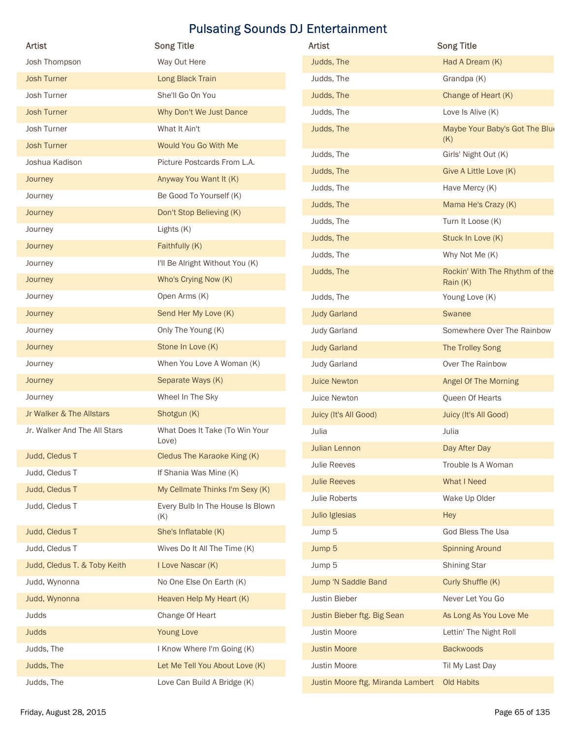| <b>Artist</b>                |                                         |                                                    |                                       |
|------------------------------|-----------------------------------------|----------------------------------------------------|---------------------------------------|
|                              | <b>Song Title</b>                       | <b>Pulsating Sounds DJ Entertainment</b><br>Artist | <b>Song Title</b>                     |
| Josh Thompson                | Way Out Here                            | Judds, The                                         | Had A Dream (K)                       |
| <b>Josh Turner</b>           | Long Black Train                        | Judds, The                                         | Grandpa (K)                           |
| Josh Turner                  | She'll Go On You                        | Judds, The                                         | Change of Heart (K)                   |
|                              |                                         |                                                    |                                       |
| <b>Josh Turner</b>           | Why Don't We Just Dance                 | Judds, The                                         | Love Is Alive (K)                     |
| Josh Turner                  | What It Ain't                           | Judds, The                                         | Maybe Your Baby's Got The Blue<br>(K) |
| <b>Josh Turner</b>           | Would You Go With Me                    | Judds, The                                         | Girls' Night Out (K)                  |
| Joshua Kadison               | Picture Postcards From L.A.             | Judds, The                                         | Give A Little Love (K)                |
| Journey                      | Anyway You Want It (K)                  | Judds, The                                         | Have Mercy (K)                        |
| Journey                      | Be Good To Yourself (K)                 | Judds, The                                         | Mama He's Crazy (K)                   |
| Journey                      | Don't Stop Believing (K)                | Judds, The                                         | Turn It Loose (K)                     |
| Journey                      | Lights (K)                              | Judds, The                                         | Stuck In Love (K)                     |
| Journey                      | Faithfully (K)                          | Judds, The                                         | Why Not Me (K)                        |
| Journey                      | I'll Be Alright Without You (K)         | Judds, The                                         | Rockin' With The Rhythm of the        |
| Journey                      | Who's Crying Now (K)                    |                                                    | Rain (K)                              |
| Journey                      | Open Arms (K)                           | Judds, The                                         | Young Love (K)                        |
| Journey                      | Send Her My Love (K)                    | <b>Judy Garland</b>                                | Swanee                                |
| Journey                      | Only The Young (K)                      | <b>Judy Garland</b>                                | Somewhere Over The Rainbow            |
| Journey                      | Stone In Love (K)                       | <b>Judy Garland</b>                                | The Trolley Song                      |
| Journey                      | When You Love A Woman (K)               | <b>Judy Garland</b>                                | Over The Rainbow                      |
| Journey                      | Separate Ways (K)                       | <b>Juice Newton</b>                                | Angel Of The Morning                  |
| Journey                      | Wheel In The Sky                        | Juice Newton                                       | Queen Of Hearts                       |
| Jr Walker & The Allstars     | Shotgun (K)                             | Juicy (It's All Good)                              | Juicy (It's All Good)                 |
| Jr. Walker And The All Stars | What Does It Take (To Win Your          | Julia                                              | Julia                                 |
|                              | Love)                                   | Julian Lennon                                      | Day After Day                         |
| Judd, Cledus T               | Cledus The Karaoke King (K)             | Julie Reeves                                       | Trouble Is A Woman                    |
| Judd, Cledus T               | If Shania Was Mine (K)                  | <b>Julie Reeves</b>                                | What I Need                           |
| Judd, Cledus T               | My Cellmate Thinks I'm Sexy (K)         | Julie Roberts                                      | Wake Up Older                         |
| Judd, Cledus T               | Every Bulb In The House Is Blown<br>(K) | Julio Iglesias                                     | Hey                                   |
| Judd, Cledus T               | She's Inflatable (K)                    | Jump 5                                             | God Bless The Usa                     |
| Judd, Cledus T               | Wives Do It All The Time (K)            | Jump 5                                             | <b>Spinning Around</b>                |
|                              |                                         |                                                    |                                       |
| Judd, Cledus T. & Toby Keith | I Love Nascar (K)                       | Jump 5                                             | <b>Shining Star</b>                   |
| Judd, Wynonna                | No One Else On Earth (K)                | Jump 'N Saddle Band                                | Curly Shuffle (K)                     |
| Judd, Wynonna                | Heaven Help My Heart (K)                | Justin Bieber                                      | Never Let You Go                      |
| Judds                        | Change Of Heart                         | Justin Bieber ftg. Big Sean                        | As Long As You Love Me                |
| <b>Judds</b>                 | Young Love                              | Justin Moore                                       | Lettin' The Night Roll                |
| Judds, The                   | I Know Where I'm Going (K)              | <b>Justin Moore</b>                                | <b>Backwoods</b>                      |
| Judds, The                   | Let Me Tell You About Love (K)          | Justin Moore                                       | Til My Last Day                       |
| Judds, The                   | Love Can Build A Bridge (K)             | Justin Moore ftg. Miranda Lambert                  | Old Habits                            |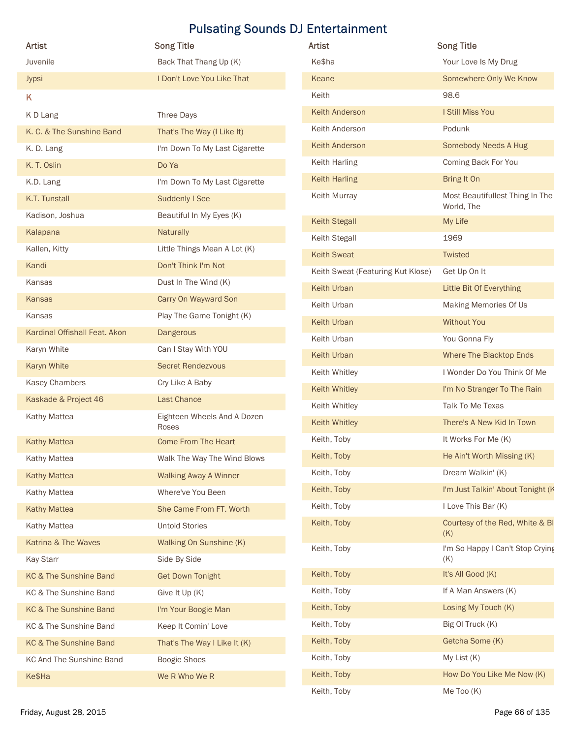|                               |                                      | <b>Pulsating Sounds DJ Entertainment</b> |                                               |
|-------------------------------|--------------------------------------|------------------------------------------|-----------------------------------------------|
| Artist                        | <b>Song Title</b>                    | Artist                                   | <b>Song Title</b>                             |
| Juvenile                      | Back That Thang Up (K)               | Ke\$ha                                   | Your Love Is My Drug                          |
| Jypsi                         | I Don't Love You Like That           | Keane                                    | Somewhere Only We Know                        |
| Κ                             |                                      | Keith                                    | 98.6                                          |
| K D Lang                      | Three Days                           | Keith Anderson                           | I Still Miss You                              |
| K. C. & The Sunshine Band     | That's The Way (I Like It)           | Keith Anderson                           | Podunk                                        |
| K.D. Lang                     | I'm Down To My Last Cigarette        | Keith Anderson                           | Somebody Needs A Hug                          |
| K. T. Oslin                   | Do Ya                                | Keith Harling                            | Coming Back For You                           |
| K.D. Lang                     | I'm Down To My Last Cigarette        | <b>Keith Harling</b>                     | Bring It On                                   |
| K.T. Tunstall                 | Suddenly I See                       | Keith Murray                             | Most Beautifullest Thing In The<br>World, The |
| Kadison, Joshua               | Beautiful In My Eyes (K)             | Keith Stegall                            | My Life                                       |
| Kalapana                      | Naturally                            | <b>Keith Stegall</b>                     | 1969                                          |
| Kallen, Kitty                 | Little Things Mean A Lot (K)         | <b>Keith Sweat</b>                       | Twisted                                       |
| Kandi                         | Don't Think I'm Not                  | Keith Sweat (Featuring Kut Klose)        | Get Up On It                                  |
| Kansas                        | Dust In The Wind (K)                 | Keith Urban                              | Little Bit Of Everything                      |
| Kansas                        | Carry On Wayward Son                 | Keith Urban                              | Making Memories Of Us                         |
| Kansas                        | Play The Game Tonight (K)            | Keith Urban                              | <b>Without You</b>                            |
| Kardinal Offishall Feat. Akon | Dangerous                            | Keith Urban                              | You Gonna Fly                                 |
| Karyn White                   | Can I Stay With YOU                  | Keith Urban                              | Where The Blacktop Ends                       |
| Karyn White                   | <b>Secret Rendezvous</b>             | Keith Whitley                            | I Wonder Do You Think Of Me                   |
| Kasey Chambers                | Cry Like A Baby                      | Keith Whitley                            | I'm No Stranger To The Rain                   |
| Kaskade & Project 46          | <b>Last Chance</b>                   | Keith Whitley                            | Talk To Me Texas                              |
| Kathy Mattea                  | Eighteen Wheels And A Dozen<br>Roses | Keith Whitley                            | There's A New Kid In Town                     |
| <b>Kathy Mattea</b>           | <b>Come From The Heart</b>           | Keith, Toby                              | It Works For Me (K)                           |
| Kathy Mattea                  | Walk The Way The Wind Blows          | Keith, Toby                              | He Ain't Worth Missing (K)                    |
| <b>Kathy Mattea</b>           | <b>Walking Away A Winner</b>         | Keith, Toby                              | Dream Walkin' (K)                             |
| Kathy Mattea                  | Where've You Been                    | Keith, Toby                              | I'm Just Talkin' About Tonight (K             |
| <b>Kathy Mattea</b>           | She Came From FT. Worth              | Keith, Toby                              | I Love This Bar (K)                           |
| Kathy Mattea                  | <b>Untold Stories</b>                | Keith, Toby                              | Courtesy of the Red, White & BI               |
| Katrina & The Waves           | Walking On Sunshine (K)              | Keith, Toby                              | (K)<br>I'm So Happy I Can't Stop Crying       |
| <b>Kay Starr</b>              | Side By Side                         |                                          | (K)                                           |
| KC & The Sunshine Band        | <b>Get Down Tonight</b>              | Keith, Toby                              | It's All Good (K)                             |
| KC & The Sunshine Band        | Give It Up (K)                       | Keith, Toby                              | If A Man Answers (K)                          |
| KC & The Sunshine Band        | I'm Your Boogie Man                  | Keith, Toby                              | Losing My Touch (K)                           |
| KC & The Sunshine Band        | Keep It Comin' Love                  | Keith, Toby                              | Big OI Truck (K)                              |
| KC & The Sunshine Band        | That's The Way I Like It (K)         | Keith, Toby                              | Getcha Some (K)                               |
| KC And The Sunshine Band      | Boogie Shoes                         | Keith, Toby                              | My List (K)                                   |
| Ke\$Ha                        | We R Who We R                        | Keith, Toby                              | How Do You Like Me Now (K)                    |
|                               |                                      |                                          |                                               |

| Artist                           | <b>Song Title</b>                       | Artist                            | <b>Song Title</b>                       |
|----------------------------------|-----------------------------------------|-----------------------------------|-----------------------------------------|
| Juvenile                         | Back That Thang Up (K)                  | Ke\$ha                            | Your Love Is My Drug                    |
| Jypsi                            | I Don't Love You Like That              | Keane                             | Somewhere Only We Know                  |
| K                                |                                         | Keith                             | 98.6                                    |
| K D Lang                         | Three Days                              | Keith Anderson                    | I Still Miss You                        |
| K. C. & The Sunshine Band        | That's The Way (I Like It)              | Keith Anderson                    | Podunk                                  |
| K.D. Lang                        | I'm Down To My Last Cigarette           | Keith Anderson                    | <b>Somebody Needs A Hug</b>             |
| K.T.Oslin                        | Do Ya                                   | Keith Harling                     | Coming Back For You                     |
| K.D. Lang                        | I'm Down To My Last Cigarette           | <b>Keith Harling</b>              | Bring It On                             |
| K.T. Tunstall                    | Suddenly I See                          | Keith Murray                      | Most Beautifullest Thing In The         |
| Kadison, Joshua                  | Beautiful In My Eyes (K)                | <b>Keith Stegall</b>              | World, The<br>My Life                   |
| Kalapana                         | Naturally                               | Keith Stegall                     | 1969                                    |
| Kallen, Kitty                    | Little Things Mean A Lot (K)            | <b>Keith Sweat</b>                | <b>Twisted</b>                          |
| Kandi                            | Don't Think I'm Not                     | Keith Sweat (Featuring Kut Klose) | Get Up On It                            |
| Kansas                           | Dust In The Wind (K)                    | Keith Urban                       | Little Bit Of Everything                |
| Kansas                           | Carry On Wayward Son                    | Keith Urban                       | Making Memories Of Us                   |
| Kansas                           | Play The Game Tonight (K)               | Keith Urban                       | <b>Without You</b>                      |
| Kardinal Offishall Feat. Akon    | <b>Dangerous</b>                        | Keith Urban                       | You Gonna Fly                           |
| Karyn White                      | Can I Stay With YOU                     | Keith Urban                       | Where The Blacktop Ends                 |
| Karyn White                      | <b>Secret Rendezvous</b>                | Keith Whitley                     | I Wonder Do You Think Of Me             |
| Kasey Chambers                   | Cry Like A Baby                         | Keith Whitley                     | I'm No Stranger To The Rain             |
| Kaskade & Project 46             | <b>Last Chance</b>                      | Keith Whitley                     | Talk To Me Texas                        |
| Kathy Mattea                     | Eighteen Wheels And A Dozen<br>Roses    | Keith Whitley                     | There's A New Kid In Town               |
| <b>Kathy Mattea</b>              | <b>Come From The Heart</b>              | Keith, Toby                       | It Works For Me (K)                     |
| Kathy Mattea                     | Walk The Way The Wind Blows             | Keith, Toby                       | He Ain't Worth Missing (K)              |
| <b>Kathy Mattea</b>              | <b>Walking Away A Winner</b>            | Keith, Toby                       | Dream Walkin' (K)                       |
| Kathy Mattea                     | Where've You Been                       | Keith, Toby                       | I'm Just Talkin' About Tonight (K       |
| <b>Kathy Mattea</b>              | She Came From FT. Worth                 | Keith, Toby                       | I Love This Bar (K)                     |
| Kathy Mattea                     | <b>Untold Stories</b>                   | Keith, Toby                       | Courtesy of the Red, White & BI<br>(K)  |
| Katrina & The Waves<br>Kay Starr | Walking On Sunshine (K)<br>Side By Side | Keith, Toby                       | I'm So Happy I Can't Stop Crying<br>(K) |
| KC & The Sunshine Band           | <b>Get Down Tonight</b>                 | Keith, Toby                       | It's All Good (K)                       |
| KC & The Sunshine Band           | Give It Up (K)                          | Keith, Toby                       | If A Man Answers (K)                    |
| KC & The Sunshine Band           | I'm Your Boogie Man                     | Keith, Toby                       | Losing My Touch (K)                     |
| KC & The Sunshine Band           | Keep It Comin' Love                     | Keith, Toby                       | Big OI Truck (K)                        |
| KC & The Sunshine Band           | That's The Way I Like It (K)            | Keith, Toby                       | Getcha Some (K)                         |
| KC And The Sunshine Band         | Boogie Shoes                            | Keith, Toby                       | My List (K)                             |
| Ke\$Ha                           | We R Who We R                           | Keith, Toby                       | How Do You Like Me Now (K)              |
|                                  |                                         | Keith, Toby                       | Me Too (K)                              |
| Friday, August 28, 2015          |                                         |                                   | Page 66 of 135                          |
|                                  |                                         |                                   |                                         |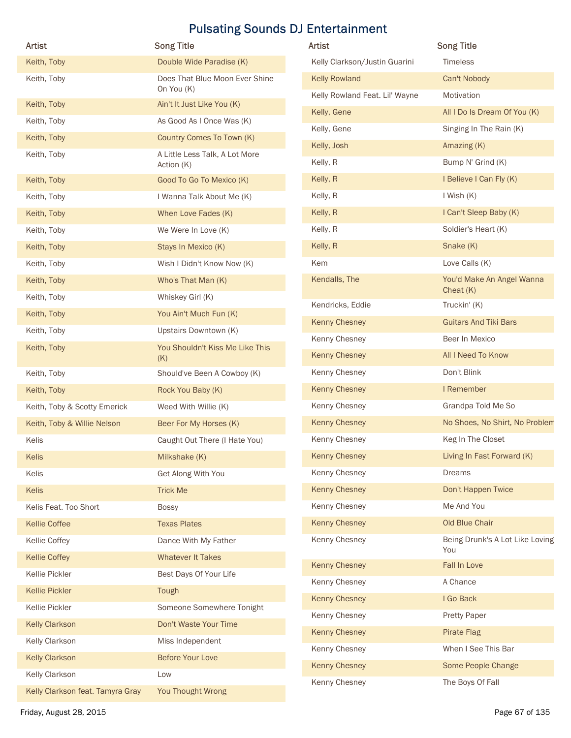| Artist                                  | <b>Song Title</b>                            | <b>Pulsating Sounds DJ Entertainment</b><br>Artist | <b>Song Title</b>                    |
|-----------------------------------------|----------------------------------------------|----------------------------------------------------|--------------------------------------|
| Keith, Toby                             | Double Wide Paradise (K)                     | Kelly Clarkson/Justin Guarini                      | Timeless                             |
| Keith, Toby                             | Does That Blue Moon Ever Shine<br>On You (K) | <b>Kelly Rowland</b>                               | Can't Nobody                         |
| Keith, Toby                             | Ain't It Just Like You (K)                   | Kelly Rowland Feat. Lil' Wayne                     | Motivation                           |
| Keith, Toby                             | As Good As I Once Was (K)                    | Kelly, Gene                                        | All I Do Is Dream Of You (K)         |
| Keith, Toby                             | Country Comes To Town (K)                    | Kelly, Gene                                        | Singing In The Rain (K)              |
| Keith, Toby                             | A Little Less Talk, A Lot More               | Kelly, Josh<br>Kelly, R                            | Amazing (K)<br>Bump N' Grind (K)     |
|                                         | Action (K)<br>Good To Go To Mexico (K)       | Kelly, R                                           | I Believe I Can Fly (K)              |
| Keith, Toby<br>Keith, Toby              | I Wanna Talk About Me (K)                    | Kelly, R                                           | I Wish (K)                           |
| Keith, Toby                             | When Love Fades (K)                          | Kelly, R                                           | I Can't Sleep Baby (K)               |
| Keith, Toby                             | We Were In Love (K)                          | Kelly, R                                           | Soldier's Heart (K)                  |
| Keith, Toby                             | Stays In Mexico (K)                          | Kelly, R                                           | Snake (K)                            |
| Keith, Toby                             | Wish I Didn't Know Now (K)                   | Kem                                                | Love Calls (K)                       |
| Keith, Toby                             | Who's That Man (K)                           | Kendalls, The                                      | You'd Make An Angel Wanna            |
| Keith, Toby                             | Whiskey Girl (K)                             |                                                    | Cheat $(K)$                          |
| Keith, Toby                             | You Ain't Much Fun (K)                       | Kendricks, Eddie                                   | Truckin' (K)                         |
| Keith, Toby                             | Upstairs Downtown (K)                        | <b>Kenny Chesney</b>                               | <b>Guitars And Tiki Bars</b>         |
| Keith, Toby                             | You Shouldn't Kiss Me Like This              | Kenny Chesney                                      | Beer In Mexico                       |
|                                         | (K)                                          | <b>Kenny Chesney</b>                               | All I Need To Know                   |
| Keith, Toby                             | Should've Been A Cowboy (K)                  | Kenny Chesney                                      | Don't Blink                          |
| Keith, Toby                             | Rock You Baby (K)                            | <b>Kenny Chesney</b>                               | I Remember                           |
| Keith, Toby & Scotty Emerick            | Weed With Willie (K)                         | Kenny Chesney                                      | Grandpa Told Me So                   |
| Keith, Toby & Willie Nelson             | Beer For My Horses (K)                       | <b>Kenny Chesney</b>                               | No Shoes, No Shirt, No Problem       |
| Kelis                                   | Caught Out There (I Hate You)                | Kenny Chesney                                      | Keg In The Closet                    |
| Kelis                                   | Milkshake (K)                                | <b>Kenny Chesney</b>                               | Living In Fast Forward (K)<br>Dreams |
| Kelis                                   | Get Along With You                           | Kenny Chesney<br><b>Kenny Chesney</b>              | Don't Happen Twice                   |
| Kelis<br>Kelis Feat. Too Short          | <b>Trick Me</b><br><b>Bossy</b>              | Kenny Chesney                                      | Me And You                           |
| <b>Kellie Coffee</b>                    | <b>Texas Plates</b>                          | <b>Kenny Chesney</b>                               | Old Blue Chair                       |
| Kellie Coffey                           | Dance With My Father                         | Kenny Chesney                                      | Being Drunk's A Lot Like Loving      |
| <b>Kellie Coffey</b>                    | <b>Whatever It Takes</b>                     |                                                    | You                                  |
| Kellie Pickler                          | Best Days Of Your Life                       | <b>Kenny Chesney</b>                               | Fall In Love                         |
| <b>Kellie Pickler</b>                   | Tough                                        | Kenny Chesney                                      | A Chance                             |
| Kellie Pickler                          | Someone Somewhere Tonight                    | <b>Kenny Chesney</b>                               | I Go Back                            |
| <b>Kelly Clarkson</b>                   | Don't Waste Your Time                        | Kenny Chesney                                      | <b>Pretty Paper</b>                  |
| Kelly Clarkson                          | Miss Independent                             | <b>Kenny Chesney</b>                               | Pirate Flag                          |
|                                         | <b>Before Your Love</b>                      | Kenny Chesney                                      | When I See This Bar                  |
|                                         |                                              | <b>Kenny Chesney</b>                               | Some People Change                   |
| <b>Kelly Clarkson</b><br>Kelly Clarkson | Low                                          | Kenny Chesney                                      | The Boys Of Fall                     |

| <b>Artist</b>                  | <b>Song Title</b>                        |
|--------------------------------|------------------------------------------|
| Kelly Clarkson/Justin Guarini  | <b>Timeless</b>                          |
| <b>Kelly Rowland</b>           | Can't Nobody                             |
| Kelly Rowland Feat. Lil' Wayne | Motivation                               |
| Kelly, Gene                    | All I Do Is Dream Of You (K)             |
| Kelly, Gene                    | Singing In The Rain (K)                  |
| Kelly, Josh                    | Amazing (K)                              |
| Kelly, R                       | Bump N' Grind (K)                        |
| Kelly, R                       | I Believe I Can Fly (K)                  |
| Kelly, R                       | I Wish (K)                               |
| Kelly, R                       | I Can't Sleep Baby (K)                   |
| Kelly, R                       | Soldier's Heart (K)                      |
| Kelly, R                       | Snake (K)                                |
| Kem                            | Love Calls (K)                           |
| Kendalls, The                  | You'd Make An Angel Wanna<br>Cheat $(K)$ |
| Kendricks, Eddie               | Truckin' (K)                             |
| <b>Kenny Chesney</b>           | <b>Guitars And Tiki Bars</b>             |
| Kenny Chesney                  | Beer In Mexico                           |
| <b>Kenny Chesney</b>           | All I Need To Know                       |
| Kenny Chesney                  | Don't Blink                              |
| <b>Kenny Chesney</b>           | I Remember                               |
| Kenny Chesney                  | Grandpa Told Me So                       |
| <b>Kenny Chesney</b>           | No Shoes, No Shirt, No Problem           |
| Kenny Chesney                  | Keg In The Closet                        |
| Kenny Chesney                  | Living In Fast Forward (K)               |
| Kenny Chesney                  | Dreams                                   |
| <b>Kenny Chesney</b>           | Don't Happen Twice                       |
| Kenny Chesney                  | Me And You                               |
| <b>Kenny Chesney</b>           | Old Blue Chair                           |
| Kenny Chesney                  | Being Drunk's A Lot Like Loving<br>You   |
| <b>Kenny Chesney</b>           | Fall In Love                             |
| Kenny Chesney                  | A Chance                                 |
| <b>Kenny Chesney</b>           | I Go Back                                |
| Kenny Chesney                  | <b>Pretty Paper</b>                      |
| <b>Kenny Chesney</b>           | <b>Pirate Flag</b>                       |
| Kenny Chesney                  | When I See This Bar                      |
| <b>Kenny Chesney</b>           | Some People Change                       |
| Kenny Chesney                  | The Boys Of Fall                         |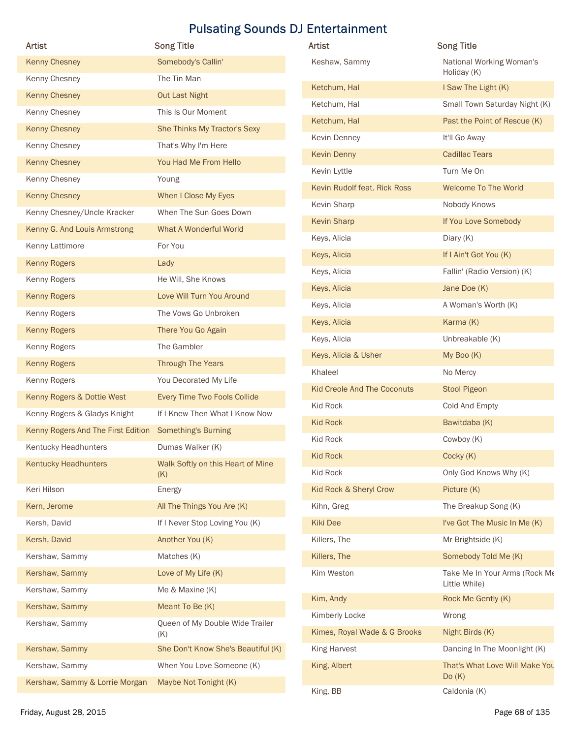| <b>Artist</b>                      | <b>Pulsating Sounds DJ Entertainment</b><br><b>Song Title</b> | Artist                       | <b>Song Title</b>              |
|------------------------------------|---------------------------------------------------------------|------------------------------|--------------------------------|
| <b>Kenny Chesney</b>               | Somebody's Callin'                                            | Keshaw, Sammy                | National Working Woman's       |
| Kenny Chesney                      | The Tin Man                                                   |                              | Holiday (K)                    |
| <b>Kenny Chesney</b>               | <b>Out Last Night</b>                                         | Ketchum, Hal                 | I Saw The Light (K)            |
| Kenny Chesney                      | This Is Our Moment                                            | Ketchum, Hal                 | Small Town Saturday Night (K)  |
| <b>Kenny Chesney</b>               | She Thinks My Tractor's Sexy                                  | Ketchum, Hal                 | Past the Point of Rescue (K)   |
| Kenny Chesney                      | That's Why I'm Here                                           | Kevin Denney                 | It'll Go Away                  |
| <b>Kenny Chesney</b>               | You Had Me From Hello                                         | <b>Kevin Denny</b>           | <b>Cadillac Tears</b>          |
| Kenny Chesney                      | Young                                                         | Kevin Lyttle                 | Turn Me On                     |
| <b>Kenny Chesney</b>               | When I Close My Eyes                                          | Kevin Rudolf feat. Rick Ross | Welcome To The World           |
| Kenny Chesney/Uncle Kracker        | When The Sun Goes Down                                        | Kevin Sharp                  | Nobody Knows                   |
| Kenny G. And Louis Armstrong       | What A Wonderful World                                        | <b>Kevin Sharp</b>           | If You Love Somebody           |
| Kenny Lattimore                    | For You                                                       | Keys, Alicia                 | Diary (K)                      |
| <b>Kenny Rogers</b>                | Lady                                                          | Keys, Alicia                 | If I Ain't Got You (K)         |
| Kenny Rogers                       | He Will, She Knows                                            | Keys, Alicia                 | Fallin' (Radio Version) (K)    |
| <b>Kenny Rogers</b>                | Love Will Turn You Around                                     | Keys, Alicia                 | Jane Doe (K)                   |
| Kenny Rogers                       | The Vows Go Unbroken                                          | Keys, Alicia                 | A Woman's Worth (K)            |
| <b>Kenny Rogers</b>                | There You Go Again                                            | Keys, Alicia                 | Karma (K)                      |
| Kenny Rogers                       | The Gambler                                                   | Keys, Alicia                 | Unbreakable (K)                |
| <b>Kenny Rogers</b>                | Through The Years                                             | Keys, Alicia & Usher         | My Boo (K)                     |
| Kenny Rogers                       | You Decorated My Life                                         | Khaleel                      | No Mercy                       |
| Kenny Rogers & Dottie West         | Every Time Two Fools Collide                                  | Kid Creole And The Coconuts  | <b>Stool Pigeon</b>            |
| Kenny Rogers & Gladys Knight       | If I Knew Then What I Know Now                                | Kid Rock                     | Cold And Empty                 |
|                                    |                                                               | <b>Kid Rock</b>              | Bawitdaba (K)                  |
| Kenny Rogers And The First Edition | <b>Something's Burning</b>                                    | Kid Rock                     | Cowboy (K)                     |
| Kentucky Headhunters               | Dumas Walker (K)                                              | <b>Kid Rock</b>              | Cocky (K)                      |
| <b>Kentucky Headhunters</b>        | Walk Softly on this Heart of Mine<br>(K)                      | Kid Rock                     | Only God Knows Why (K)         |
| Keri Hilson                        | Energy                                                        | Kid Rock & Sheryl Crow       | Picture (K)                    |
| Kern, Jerome                       | All The Things You Are (K)                                    | Kihn, Greg                   | The Breakup Song (K)           |
| Kersh, David                       | If I Never Stop Loving You (K)                                | Kiki Dee                     | I've Got The Music In Me (K)   |
| Kersh, David                       | Another You (K)                                               | Killers, The                 | Mr Brightside (K)              |
| Kershaw, Sammy                     | Matches (K)                                                   | Killers, The                 | Somebody Told Me (K)           |
| Kershaw, Sammy                     | Love of My Life (K)                                           | Kim Weston                   | Take Me In Your Arms (Rock Me  |
| Kershaw, Sammy                     | Me & Maxine (K)                                               |                              | Little While)                  |
| Kershaw, Sammy                     | Meant To Be (K)                                               | Kim, Andy                    | Rock Me Gently (K)             |
| Kershaw, Sammy                     | Queen of My Double Wide Trailer                               | Kimberly Locke               | Wrong                          |
|                                    | (K)                                                           | Kimes, Royal Wade & G Brooks | Night Birds (K)                |
| Kershaw, Sammy                     | She Don't Know She's Beautiful (K)                            | <b>King Harvest</b>          | Dancing In The Moonlight (K)   |
| Kershaw, Sammy                     | When You Love Someone (K)                                     | King, Albert                 | That's What Love Will Make You |
| Kershaw, Sammy & Lorrie Morgan     | Maybe Not Tonight (K)                                         | King, BB                     | Do(K)<br>Caldonia (K)          |
|                                    |                                                               |                              |                                |

| Artist                             | <b>Song Title</b>                              |
|------------------------------------|------------------------------------------------|
| Keshaw, Sammy                      | National Working Woman's<br>Holiday (K)        |
| Ketchum, Hal                       | I Saw The Light (K)                            |
| Ketchum, Hal                       | Small Town Saturday Night (K)                  |
| Ketchum, Hal                       | Past the Point of Rescue (K)                   |
| Kevin Denney                       | It'll Go Away                                  |
| Kevin Denny                        | <b>Cadillac Tears</b>                          |
| Kevin Lyttle                       | Turn Me On                                     |
| Kevin Rudolf feat. Rick Ross       | <b>Welcome To The World</b>                    |
| Kevin Sharp                        | Nobody Knows                                   |
| <b>Kevin Sharp</b>                 | If You Love Somebody                           |
| Keys, Alicia                       | Diary (K)                                      |
| Keys, Alicia                       | If I Ain't Got You (K)                         |
| Keys, Alicia                       | Fallin' (Radio Version) (K)                    |
| Keys, Alicia                       | Jane Doe (K)                                   |
| Keys, Alicia                       | A Woman's Worth (K)                            |
| Keys, Alicia                       | Karma (K)                                      |
| Keys, Alicia                       | Unbreakable (K)                                |
| Keys, Alicia & Usher               | My Boo (K)                                     |
| Khaleel                            | No Mercy                                       |
| <b>Kid Creole And The Coconuts</b> | Stool Pigeon                                   |
| <b>Kid Rock</b>                    | Cold And Empty                                 |
| <b>Kid Rock</b>                    | Bawitdaba (K)                                  |
| Kid Rock                           | Cowboy (K)                                     |
| <b>Kid Rock</b>                    | Cocky (K)                                      |
| Kid Rock                           | Only God Knows Why (K)                         |
| Kid Rock & Sheryl Crow             | Picture (K)                                    |
| Kihn, Greg                         | The Breakup Song (K)                           |
| <b>Kiki Dee</b>                    | I've Got The Music In Me (K)                   |
| Killers, The                       | Mr Brightside (K)                              |
| Killers, The                       | Somebody Told Me (K)                           |
| Kim Weston                         | Take Me In Your Arms (Rock Me<br>Little While) |
| Kim, Andy                          | Rock Me Gently (K)                             |
| Kimberly Locke                     | Wrong                                          |
| Kimes, Royal Wade & G Brooks       | Night Birds (K)                                |
| <b>King Harvest</b>                | Dancing In The Moonlight (K)                   |
| King, Albert                       | That's What Love Will Make You<br>Do(K)        |
| King, BB                           | Caldonia (K)                                   |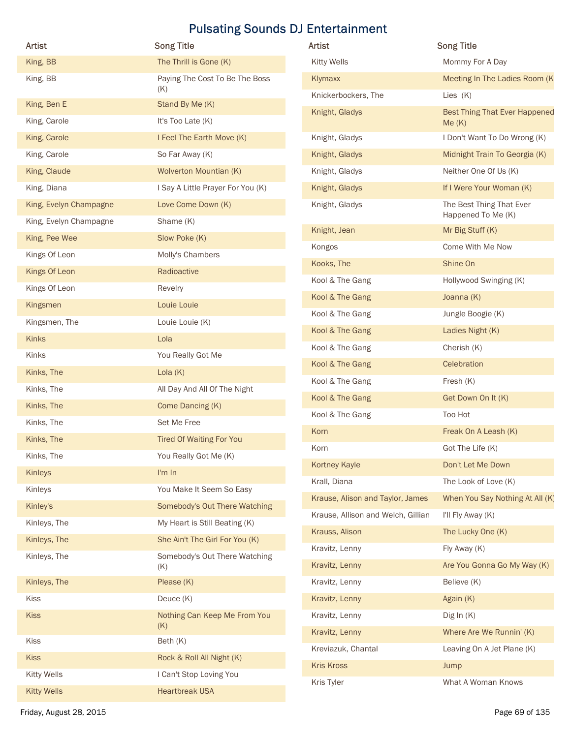| Artist                 | <b>Song Title</b>                    | Artist                             | <b>Song Title</b>                              |
|------------------------|--------------------------------------|------------------------------------|------------------------------------------------|
| King, BB               | The Thrill is Gone (K)               | <b>Kitty Wells</b>                 | Mommy For A Day                                |
| King, BB               | Paying The Cost To Be The Boss       | Klymaxx                            | Meeting In The Ladies Room (K)                 |
|                        | (K)                                  | Knickerbockers, The                | Lies (K)                                       |
| King, Ben E            | Stand By Me (K)                      | Knight, Gladys                     | <b>Best Thing That Ever Happened</b>           |
| King, Carole           | It's Too Late (K)                    |                                    | Me(K)                                          |
| King, Carole           | I Feel The Earth Move (K)            | Knight, Gladys                     | I Don't Want To Do Wrong (K)                   |
| King, Carole           | So Far Away (K)                      | Knight, Gladys                     | Midnight Train To Georgia (K)                  |
| King, Claude           | Wolverton Mountian (K)               | Knight, Gladys                     | Neither One Of Us (K)                          |
| King, Diana            | I Say A Little Prayer For You (K)    | Knight, Gladys                     | If I Were Your Woman (K)                       |
| King, Evelyn Champagne | Love Come Down (K)                   | Knight, Gladys                     | The Best Thing That Ever<br>Happened To Me (K) |
| King, Evelyn Champagne | Shame (K)                            | Knight, Jean                       | Mr Big Stuff (K)                               |
| King, Pee Wee          | Slow Poke (K)                        | Kongos                             | Come With Me Now                               |
| Kings Of Leon          | Molly's Chambers                     | Kooks, The                         | Shine On                                       |
| Kings Of Leon          | Radioactive                          | Kool & The Gang                    | Hollywood Swinging (K)                         |
| Kings Of Leon          | Revelry                              | Kool & The Gang                    | Joanna (K)                                     |
| Kingsmen               | Louie Louie                          | Kool & The Gang                    | Jungle Boogie (K)                              |
| Kingsmen, The          | Louie Louie (K)                      | Kool & The Gang                    | Ladies Night (K)                               |
| Kinks                  | Lola                                 | Kool & The Gang                    | Cherish (K)                                    |
| Kinks                  | You Really Got Me                    | Kool & The Gang                    | Celebration                                    |
| Kinks, The             | Lola $(K)$                           | Kool & The Gang                    | Fresh (K)                                      |
| Kinks, The             | All Day And All Of The Night         | Kool & The Gang                    | Get Down On It (K)                             |
| Kinks, The             | Come Dancing (K)                     | Kool & The Gang                    | Too Hot                                        |
| Kinks, The             | Set Me Free                          | Korn                               | Freak On A Leash (K)                           |
| Kinks, The             | <b>Tired Of Waiting For You</b>      | Korn                               | Got The Life (K)                               |
| Kinks, The             | You Really Got Me (K)                | Kortney Kayle                      | Don't Let Me Down                              |
| Kinleys                | I'm In                               | Krall, Diana                       | The Look of Love (K)                           |
| Kinleys                | You Make It Seem So Easy             | Krause, Alison and Taylor, James   | When You Say Nothing At All (K)                |
| Kinley's               | Somebody's Out There Watching        | Krause, Allison and Welch, Gillian | I'll Fly Away (K)                              |
| Kinleys, The           | My Heart is Still Beating (K)        | Krauss, Alison                     | The Lucky One (K)                              |
| Kinleys, The           | She Ain't The Girl For You (K)       | Kravitz, Lenny                     | Fly Away (K)                                   |
| Kinleys, The           | Somebody's Out There Watching<br>(K) | Kravitz, Lenny                     | Are You Gonna Go My Way (K)                    |
| Kinleys, The           | Please (K)                           | Kravitz, Lenny                     | Believe (K)                                    |
| Kiss                   | Deuce (K)                            | Kravitz, Lenny                     | Again (K)                                      |
| Kiss                   | Nothing Can Keep Me From You         | Kravitz, Lenny                     | Dig In $(K)$                                   |
|                        | (K)                                  | Kravitz, Lenny                     | Where Are We Runnin' (K)                       |
| Kiss                   | Beth (K)                             | Kreviazuk, Chantal                 | Leaving On A Jet Plane (K)                     |
| Kiss                   | Rock & Roll All Night (K)            | <b>Kris Kross</b>                  | Jump                                           |
| <b>Kitty Wells</b>     | I Can't Stop Loving You              | Kris Tyler                         | What A Woman Knows                             |
|                        | <b>Heartbreak USA</b>                |                                    |                                                |

| <b>Artist</b>                      | <b>Song Title</b>                              |
|------------------------------------|------------------------------------------------|
| <b>Kitty Wells</b>                 | Mommy For A Day                                |
| Klymaxx                            | Meeting In The Ladies Room (K)                 |
| Knickerbockers, The                | Lies $(K)$                                     |
| Knight, Gladys                     | <b>Best Thing That Ever Happened</b><br>Me(K)  |
| Knight, Gladys                     | I Don't Want To Do Wrong (K)                   |
| Knight, Gladys                     | Midnight Train To Georgia (K)                  |
| Knight, Gladys                     | Neither One Of Us (K)                          |
| Knight, Gladys                     | If I Were Your Woman (K)                       |
| Knight, Gladys                     | The Best Thing That Ever<br>Happened To Me (K) |
| Knight, Jean                       | Mr Big Stuff (K)                               |
| Kongos                             | Come With Me Now                               |
| Kooks, The                         | Shine On                                       |
| Kool & The Gang                    | Hollywood Swinging (K)                         |
| Kool & The Gang                    | Joanna (K)                                     |
| Kool & The Gang                    | Jungle Boogie (K)                              |
| Kool & The Gang                    | Ladies Night (K)                               |
| Kool & The Gang                    | Cherish (K)                                    |
| Kool & The Gang                    | Celebration                                    |
| Kool & The Gang                    | Fresh (K)                                      |
| Kool & The Gang                    | Get Down On It (K)                             |
| Kool & The Gang                    | Too Hot                                        |
| Korn                               | Freak On A Leash (K)                           |
| Korn                               | Got The Life (K)                               |
| <b>Kortney Kayle</b>               | Don't Let Me Down                              |
| Krall, Diana                       | The Look of Love (K)                           |
| Krause, Alison and Taylor, James   | When You Say Nothing At All (K)                |
| Krause, Allison and Welch, Gillian | I'll Fly Away (K)                              |
| Krauss, Alison                     | The Lucky One (K)                              |
| Kravitz, Lenny                     | Fly Away (K)                                   |
| Kravitz, Lenny                     | Are You Gonna Go My Way (K)                    |
| Kravitz, Lenny                     | Believe (K)                                    |
| Kravitz, Lenny                     | Again (K)                                      |
| Kravitz, Lenny                     | Dig In $(K)$                                   |
| Kravitz, Lenny                     | Where Are We Runnin' (K)                       |
| Kreviazuk, Chantal                 | Leaving On A Jet Plane (K)                     |
| <b>Kris Kross</b>                  | Jump                                           |
| Kris Tyler                         | What A Woman Knows                             |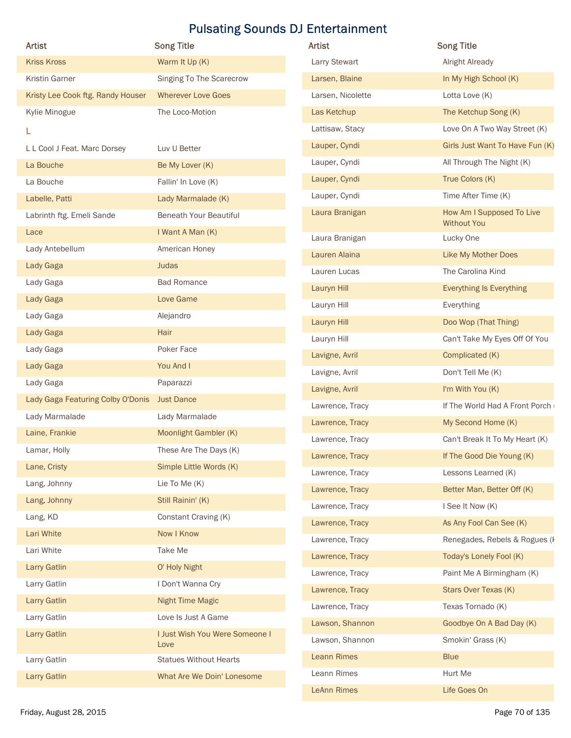| <b>Artist</b>                     | <b>Song Title</b>                     | <b>Artist</b>      | <b>So</b>    |
|-----------------------------------|---------------------------------------|--------------------|--------------|
| <b>Kriss Kross</b>                | Warm It Up (K)                        | Larry Stewart      |              |
| Kristin Garner                    | Singing To The Scarecrow              | Larsen, Blaine     | $\mathsf{l}$ |
| Kristy Lee Cook ftg. Randy Houser | <b>Wherever Love Goes</b>             | Larsen, Nicolette  |              |
| Kylie Minogue                     | The Loco-Motion                       | Las Ketchup        |              |
| L                                 |                                       | Lattisaw, Stacy    |              |
| L L Cool J Feat. Marc Dorsey      | Luv U Better                          | Lauper, Cyndi      |              |
| La Bouche                         | Be My Lover (K)                       | Lauper, Cyndi      |              |
| La Bouche                         | Fallin' In Love (K)                   | Lauper, Cyndi      |              |
| Labelle, Patti                    | Lady Marmalade (K)                    | Lauper, Cyndi      |              |
| Labrinth ftg. Emeli Sande         | <b>Beneath Your Beautiful</b>         | Laura Branigan     |              |
| Lace                              | I Want A Man (K)                      | Laura Branigan     |              |
| Lady Antebellum                   | American Honey                        | Lauren Alaina      |              |
| Lady Gaga                         | <b>Judas</b>                          | Lauren Lucas       |              |
| Lady Gaga                         | <b>Bad Romance</b>                    | Lauryn Hill        |              |
| Lady Gaga                         | Love Game                             | Lauryn Hill        |              |
| Lady Gaga                         | Alejandro                             | Lauryn Hill        |              |
| Lady Gaga                         | Hair                                  | Lauryn Hill        |              |
| Lady Gaga                         | Poker Face                            | Lavigne, Avril     |              |
| Lady Gaga                         | You And I                             | Lavigne, Avril     |              |
| Lady Gaga                         | Paparazzi                             | Lavigne, Avril     |              |
| Lady Gaga Featuring Colby O'Donis | <b>Just Dance</b>                     | Lawrence, Tracy    |              |
| Lady Marmalade                    | Lady Marmalade                        | Lawrence, Tracy    |              |
| Laine, Frankie                    | Moonlight Gambler (K)                 | Lawrence, Tracy    |              |
| Lamar, Holly                      | These Are The Days (K)                | Lawrence, Tracy    |              |
| Lane, Cristy                      | Simple Little Words (K)               | Lawrence, Tracy    |              |
| Lang, Johnny                      | Lie To Me (K)                         | Lawrence, Tracy    |              |
| Lang, Johnny                      | Still Rainin' (K)                     | Lawrence, Tracy    |              |
| Lang, KD                          | Constant Craving (K)                  | Lawrence, Tracy    |              |
| Lari White                        | Now I Know                            | Lawrence, Tracy    |              |
| Lari White                        | Take Me                               | Lawrence, Tracy    |              |
| Larry Gatlin                      | O' Holy Night                         | Lawrence, Tracy    |              |
| Larry Gatlin                      | I Don't Wanna Cry                     | Lawrence, Tracy    |              |
| Larry Gatlin                      | <b>Night Time Magic</b>               | Lawrence, Tracy    |              |
| Larry Gatlin                      | Love Is Just A Game                   | Lawson, Shannon    |              |
| Larry Gatlin                      | I Just Wish You Were Someone I        | Lawson, Shannon    |              |
| Larry Gatlin                      | Love<br><b>Statues Without Hearts</b> | <b>Leann Rimes</b> |              |
| Larry Gatlin                      | What Are We Doin' Lonesome            | Leann Rimes        |              |
|                                   |                                       |                    |              |

| Artist                            | <b>Song Title</b>                      | <b>Pulsating Sounds DJ Entertainment</b><br>Artist | <b>Song Title</b>                        |
|-----------------------------------|----------------------------------------|----------------------------------------------------|------------------------------------------|
| <b>Kriss Kross</b>                | Warm It Up (K)                         | Larry Stewart                                      | <b>Alright Already</b>                   |
| <b>Kristin Garner</b>             | Singing To The Scarecrow               | Larsen, Blaine                                     | In My High School (K)                    |
|                                   |                                        |                                                    |                                          |
| Kristy Lee Cook ftg. Randy Houser | <b>Wherever Love Goes</b>              | Larsen, Nicolette                                  | Lotta Love (K)                           |
| Kylie Minogue                     | The Loco-Motion                        | Las Ketchup                                        | The Ketchup Song (K)                     |
| L                                 |                                        | Lattisaw, Stacy                                    | Love On A Two Way Street (K)             |
| L L Cool J Feat. Marc Dorsey      | Luv U Better                           | Lauper, Cyndi                                      | Girls Just Want To Have Fun (K)          |
| La Bouche                         | Be My Lover (K)                        | Lauper, Cyndi                                      | All Through The Night (K)                |
| La Bouche                         | Fallin' In Love (K)                    | Lauper, Cyndi                                      | True Colors (K)                          |
| Labelle, Patti                    | Lady Marmalade (K)                     | Lauper, Cyndi                                      | Time After Time (K)                      |
| Labrinth ftg. Emeli Sande         | <b>Beneath Your Beautiful</b>          | Laura Branigan                                     | How Am I Supposed To Live<br>Without You |
| Lace                              | I Want A Man (K)                       | Laura Branigan                                     | Lucky One                                |
| Lady Antebellum                   | American Honey                         | Lauren Alaina                                      | Like My Mother Does                      |
| Lady Gaga                         | Judas                                  | Lauren Lucas                                       | The Carolina Kind                        |
| Lady Gaga                         | <b>Bad Romance</b>                     | Lauryn Hill                                        | <b>Everything Is Everything</b>          |
| Lady Gaga                         | Love Game                              | Lauryn Hill                                        | Everything                               |
| Lady Gaga                         | Alejandro                              | Lauryn Hill                                        | Doo Wop (That Thing)                     |
| Lady Gaga                         | Hair                                   | Lauryn Hill                                        | Can't Take My Eyes Off Of You            |
| Lady Gaga                         | Poker Face                             | Lavigne, Avril                                     | Complicated (K)                          |
| Lady Gaga                         | You And I                              | Lavigne, Avril                                     | Don't Tell Me (K)                        |
| Lady Gaga                         | Paparazzi                              | Lavigne, Avril                                     | I'm With You (K)                         |
| Lady Gaga Featuring Colby O'Donis | <b>Just Dance</b>                      | Lawrence, Tracy                                    | If The World Had A Front Porch           |
| Lady Marmalade                    | Lady Marmalade                         | Lawrence, Tracy                                    | My Second Home (K)                       |
| Laine, Frankie                    | Moonlight Gambler (K)                  |                                                    |                                          |
| Lamar, Holly                      | These Are The Days (K)                 | Lawrence, Tracy                                    | Can't Break It To My Heart (K)           |
| Lane, Cristy                      | Simple Little Words (K)                | Lawrence, Tracy                                    | If The Good Die Young (K)                |
| Lang, Johnny                      | Lie To Me (K)                          | Lawrence, Tracy                                    | Lessons Learned (K)                      |
| Lang, Johnny                      | Still Rainin' (K)                      | Lawrence, Tracy                                    | Better Man, Better Off (K)               |
| Lang, KD                          | Constant Craving (K)                   | Lawrence, Tracy                                    | I See It Now (K)                         |
| Lari White                        | Now I Know                             | Lawrence, Tracy                                    | As Any Fool Can See (K)                  |
| Lari White                        | Take Me                                | Lawrence, Tracy                                    | Renegades, Rebels & Rogues (I            |
| Larry Gatlin                      | O' Holy Night                          | Lawrence, Tracy                                    | Today's Lonely Fool (K)                  |
| Larry Gatlin                      | I Don't Wanna Cry                      | Lawrence, Tracy                                    | Paint Me A Birmingham (K)                |
| Larry Gatlin                      | Night Time Magic                       | Lawrence, Tracy                                    | Stars Over Texas (K)                     |
|                                   |                                        | Lawrence, Tracy                                    | Texas Tornado (K)                        |
| Larry Gatlin                      | Love Is Just A Game                    | Lawson, Shannon                                    | Goodbye On A Bad Day (K)                 |
| Larry Gatlin                      | I Just Wish You Were Someone I<br>Love | Lawson, Shannon                                    | Smokin' Grass (K)                        |
| Larry Gatlin                      | <b>Statues Without Hearts</b>          | <b>Leann Rimes</b>                                 | <b>Blue</b>                              |
|                                   | What Are We Doin' Lonesome             | Leann Rimes                                        | Hurt Me                                  |
| Larry Gatlin                      |                                        |                                                    |                                          |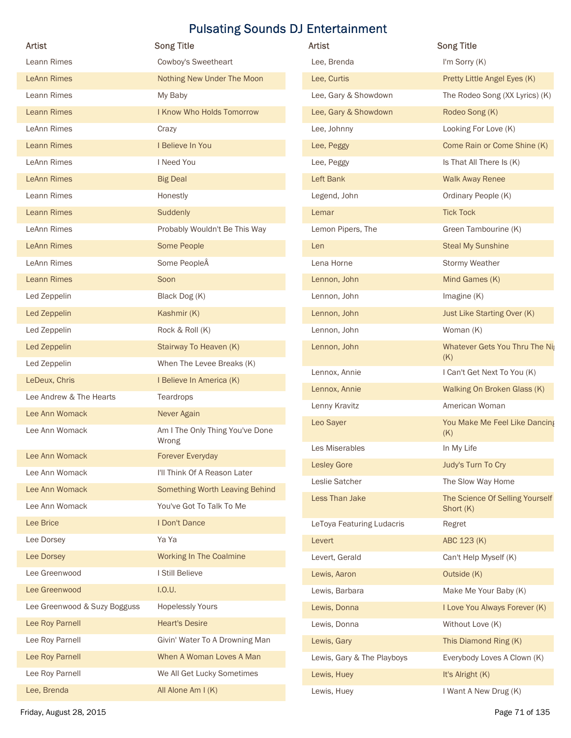| <b>Artist</b>                | <b>Pulsating Sounds DJ Entertainment</b> |                                  |                                                      |
|------------------------------|------------------------------------------|----------------------------------|------------------------------------------------------|
|                              |                                          |                                  |                                                      |
|                              | <b>Song Title</b>                        | Artist                           | <b>Song Title</b>                                    |
| Leann Rimes                  | Cowboy's Sweetheart                      | Lee, Brenda                      | I'm Sorry (K)                                        |
| <b>LeAnn Rimes</b>           | Nothing New Under The Moon               | Lee, Curtis                      | Pretty Little Angel Eyes (K)                         |
| Leann Rimes                  | My Baby                                  | Lee, Gary & Showdown             | The Rodeo Song (XX Lyrics) (K)                       |
| <b>Leann Rimes</b>           | I Know Who Holds Tomorrow                | Lee, Gary & Showdown             | Rodeo Song (K)                                       |
| LeAnn Rimes                  | Crazy                                    | Lee, Johnny                      | Looking For Love (K)                                 |
| <b>Leann Rimes</b>           | I Believe In You                         | Lee, Peggy                       | Come Rain or Come Shine (K)                          |
| LeAnn Rimes                  | I Need You                               | Lee, Peggy                       | Is That All There Is (K)                             |
| <b>LeAnn Rimes</b>           | <b>Big Deal</b>                          | Left Bank                        | <b>Walk Away Renee</b>                               |
| Leann Rimes                  | Honestly                                 | Legend, John                     | Ordinary People (K)                                  |
| <b>Leann Rimes</b>           | Suddenly                                 | Lemar                            | <b>Tick Tock</b>                                     |
| LeAnn Rimes                  | Probably Wouldn't Be This Way            | Lemon Pipers, The                | Green Tambourine (K)                                 |
| <b>LeAnn Rimes</b>           | Some People                              | Len                              | <b>Steal My Sunshine</b>                             |
| LeAnn Rimes                  | Some PeopleÂ                             | Lena Horne                       | Stormy Weather                                       |
| <b>Leann Rimes</b>           | Soon                                     | Lennon, John                     | Mind Games (K)                                       |
| Led Zeppelin                 | Black Dog (K)                            | Lennon, John                     | Imagine (K)                                          |
| Led Zeppelin                 | Kashmir (K)                              | Lennon, John                     | Just Like Starting Over (K)                          |
| Led Zeppelin                 | Rock & Roll (K)                          | Lennon, John                     | Woman (K)                                            |
| Led Zeppelin                 | Stairway To Heaven (K)                   | Lennon, John                     | Whatever Gets You Thru The Nig                       |
| Led Zeppelin                 | When The Levee Breaks (K)                |                                  | (K)                                                  |
| LeDeux, Chris                | I Believe In America (K)                 | Lennox, Annie                    | I Can't Get Next To You (K)                          |
| Lee Andrew & The Hearts      | Teardrops                                | Lennox, Annie                    | Walking On Broken Glass (K)                          |
| Lee Ann Womack               | Never Again                              | Lenny Kravitz                    | American Woman                                       |
| Lee Ann Womack               | Am I The Only Thing You've Done<br>Wrong | Leo Sayer                        | You Make Me Feel Like Dancing<br>(K)                 |
| Lee Ann Womack               | Forever Everyday                         | Les Miserables                   | In My Life                                           |
| Lee Ann Womack               | I'll Think Of A Reason Later             | <b>Lesley Gore</b>               | Judy's Turn To Cry                                   |
| Lee Ann Womack               | Something Worth Leaving Behind           | Leslie Satcher<br>Less Than Jake | The Slow Way Home<br>The Science Of Selling Yourself |
| Lee Ann Womack               | You've Got To Talk To Me                 |                                  | Short (K)                                            |
| Lee Brice                    | I Don't Dance                            | LeToya Featuring Ludacris        | Regret                                               |
| Lee Dorsey                   | Ya Ya                                    | Levert                           | ABC 123 (K)                                          |
| Lee Dorsey                   | Working In The Coalmine                  | Levert, Gerald                   | Can't Help Myself (K)                                |
| Lee Greenwood                | I Still Believe                          | Lewis, Aaron                     | Outside (K)                                          |
| Lee Greenwood                | I.0.U.                                   | Lewis, Barbara                   | Make Me Your Baby (K)                                |
| Lee Greenwood & Suzy Bogguss | <b>Hopelessly Yours</b>                  | Lewis, Donna                     | I Love You Always Forever (K)                        |
| Lee Roy Parnell              | <b>Heart's Desire</b>                    | Lewis, Donna                     | Without Love (K)                                     |
| Lee Roy Parnell              | Givin' Water To A Drowning Man           | Lewis, Gary                      | This Diamond Ring (K)                                |
| Lee Roy Parnell              | When A Woman Loves A Man                 | Lewis, Gary & The Playboys       | Everybody Loves A Clown (K)                          |
| Lee Roy Parnell              | We All Get Lucky Sometimes               | Lewis, Huey                      | It's Alright (K)                                     |
| Lee, Brenda                  | All Alone Am I (K)                       | Lewis, Huey                      | I Want A New Drug (K)                                |
| Friday, August 28, 2015      |                                          |                                  | Page 71 of 135                                       |

| <b>Artist</b>              | <b>Song Title</b>                            |
|----------------------------|----------------------------------------------|
| Lee, Brenda                | I'm Sorry (K)                                |
| Lee, Curtis                | Pretty Little Angel Eyes (K)                 |
| Lee, Gary & Showdown       | The Rodeo Song (XX Lyrics) (K)               |
| Lee, Gary & Showdown       | Rodeo Song (K)                               |
| Lee, Johnny                | Looking For Love (K)                         |
| Lee, Peggy                 | Come Rain or Come Shine (K)                  |
| Lee, Peggy                 | Is That All There Is (K)                     |
| Left Bank                  | <b>Walk Away Renee</b>                       |
| Legend, John               | Ordinary People (K)                          |
| Lemar                      | <b>Tick Tock</b>                             |
| Lemon Pipers, The          | Green Tambourine (K)                         |
| Len                        | <b>Steal My Sunshine</b>                     |
| Lena Horne                 | <b>Stormy Weather</b>                        |
| Lennon, John               | Mind Games (K)                               |
| Lennon, John               | Imagine $(K)$                                |
| Lennon, John               | Just Like Starting Over (K)                  |
| Lennon, John               | Woman (K)                                    |
| Lennon, John               | Whatever Gets You Thru The Nig<br>(K)        |
| Lennox, Annie              | I Can't Get Next To You (K)                  |
| Lennox, Annie              | Walking On Broken Glass (K)                  |
| Lenny Kravitz              | American Woman                               |
| Leo Sayer                  | You Make Me Feel Like Dancing<br>(K)         |
| Les Miserables             | In My Life                                   |
| <b>Lesley Gore</b>         | Judy's Turn To Cry                           |
| Leslie Satcher             | The Slow Way Home                            |
| Less Than Jake             | The Science Of Selling Yourself<br>Short (K) |
| LeToya Featuring Ludacris  | Regret                                       |
| Levert                     | ABC 123 (K)                                  |
| Levert, Gerald             | Can't Help Myself (K)                        |
| Lewis, Aaron               | Outside (K)                                  |
| Lewis, Barbara             | Make Me Your Baby (K)                        |
| Lewis, Donna               | I Love You Always Forever (K)                |
| Lewis, Donna               | Without Love (K)                             |
| Lewis, Gary                | This Diamond Ring (K)                        |
| Lewis, Gary & The Playboys | Everybody Loves A Clown (K)                  |
| Lewis, Huey                | It's Alright (K)                             |
| Lewis, Huey                | I Want A New Drug (K)                        |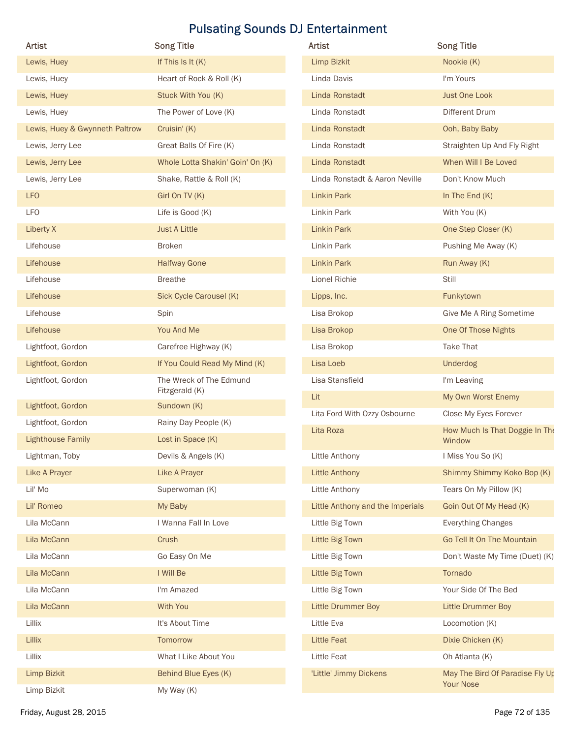|                                        |                                                       | <b>Pulsating Sounds DJ Entertainment</b> |                                                     |
|----------------------------------------|-------------------------------------------------------|------------------------------------------|-----------------------------------------------------|
| Artist                                 | <b>Song Title</b>                                     | Artist                                   | <b>Song Title</b>                                   |
| Lewis, Huey                            | If This Is It $(K)$                                   | <b>Limp Bizkit</b>                       | Nookie (K)                                          |
| Lewis, Huey                            | Heart of Rock & Roll (K)                              | Linda Davis                              | I'm Yours                                           |
| Lewis, Huey                            | Stuck With You (K)                                    | Linda Ronstadt                           | <b>Just One Look</b>                                |
| Lewis, Huey                            | The Power of Love (K)                                 | Linda Ronstadt                           | Different Drum                                      |
| Lewis, Huey & Gwynneth Paltrow         | Cruisin' (K)                                          | Linda Ronstadt                           | Ooh, Baby Baby                                      |
| Lewis, Jerry Lee                       | Great Balls Of Fire (K)                               | Linda Ronstadt                           | Straighten Up And Fly Right                         |
| Lewis, Jerry Lee                       | Whole Lotta Shakin' Goin' On (K)                      | Linda Ronstadt                           | When Will I Be Loved                                |
| Lewis, Jerry Lee                       | Shake, Rattle & Roll (K)                              | Linda Ronstadt & Aaron Neville           | Don't Know Much                                     |
| <b>LFO</b>                             | Girl On TV (K)                                        | Linkin Park                              | In The End $(K)$                                    |
| LFO                                    | Life is Good (K)                                      | Linkin Park                              | With You (K)                                        |
| Liberty X                              | <b>Just A Little</b>                                  | Linkin Park                              | One Step Closer (K)                                 |
| Lifehouse                              | Broken                                                | Linkin Park                              | Pushing Me Away (K)                                 |
| Lifehouse                              | <b>Halfway Gone</b>                                   | Linkin Park                              | Run Away (K)                                        |
| Lifehouse                              | <b>Breathe</b>                                        | Lionel Richie                            | Still                                               |
| Lifehouse                              | Sick Cycle Carousel (K)                               | Lipps, Inc.                              | Funkytown                                           |
| Lifehouse                              | Spin<br>You And Me                                    | Lisa Brokop                              | Give Me A Ring Sometime<br>One Of Those Nights      |
| Lifehouse                              |                                                       | Lisa Brokop                              | Take That                                           |
| Lightfoot, Gordon<br>Lightfoot, Gordon | Carefree Highway (K)<br>If You Could Read My Mind (K) | Lisa Brokop<br>Lisa Loeb                 | Underdog                                            |
| Lightfoot, Gordon                      | The Wreck of The Edmund                               | Lisa Stansfield                          | I'm Leaving                                         |
|                                        | Fitzgerald (K)                                        | Lit                                      | My Own Worst Enemy                                  |
| Lightfoot, Gordon                      | Sundown (K)                                           | Lita Ford With Ozzy Osbourne             | Close My Eyes Forever                               |
| Lightfoot, Gordon                      | Rainy Day People (K)                                  | Lita Roza                                | How Much Is That Doggie In The                      |
| <b>Lighthouse Family</b>               | Lost in Space (K)                                     |                                          | Window                                              |
| Lightman, Toby                         | Devils & Angels (K)                                   | Little Anthony                           | I Miss You So (K)                                   |
| Like A Prayer                          | Like A Prayer                                         | Little Anthony                           | Shimmy Shimmy Koko Bop (K)                          |
| Lil' Mo                                | Superwoman (K)                                        | Little Anthony                           | Tears On My Pillow (K)                              |
| Lil' Romeo                             | My Baby                                               | Little Anthony and the Imperials         | Goin Out Of My Head (K)                             |
| Lila McCann                            | I Wanna Fall In Love                                  | Little Big Town                          | <b>Everything Changes</b>                           |
| Lila McCann                            | Crush                                                 | Little Big Town                          | Go Tell It On The Mountain                          |
| Lila McCann                            | Go Easy On Me                                         | Little Big Town                          | Don't Waste My Time (Duet) (K)                      |
| Lila McCann                            | I Will Be                                             | Little Big Town                          | Tornado                                             |
| Lila McCann                            | I'm Amazed                                            | Little Big Town                          | Your Side Of The Bed                                |
| Lila McCann                            | With You                                              | Little Drummer Boy                       | Little Drummer Boy                                  |
| Lillix                                 | It's About Time                                       | Little Eva                               | Locomotion (K)                                      |
| Lillix                                 | Tomorrow                                              | Little Feat                              | Dixie Chicken (K)                                   |
| Lillix                                 | What I Like About You                                 | Little Feat                              | Oh Atlanta (K)                                      |
| Limp Bizkit                            | Behind Blue Eyes (K)                                  | 'Little' Jimmy Dickens                   | May The Bird Of Paradise Fly Up<br><b>Your Nose</b> |
| Limp Bizkit                            | My Way (K)                                            |                                          |                                                     |

| <b>Artist</b>                    | <b>Song Title</b>                                   |
|----------------------------------|-----------------------------------------------------|
| Limp Bizkit                      | Nookie (K)                                          |
| Linda Davis                      | I'm Yours                                           |
| Linda Ronstadt                   | Just One Look                                       |
| Linda Ronstadt                   | Different Drum                                      |
| Linda Ronstadt                   | Ooh, Baby Baby                                      |
| Linda Ronstadt                   | Straighten Up And Fly Right                         |
| Linda Ronstadt                   | When Will I Be Loved                                |
| Linda Ronstadt & Aaron Neville   | Don't Know Much                                     |
| <b>Linkin Park</b>               | In The End $(K)$                                    |
| Linkin Park                      | With You (K)                                        |
| <b>Linkin Park</b>               | One Step Closer (K)                                 |
| Linkin Park                      | Pushing Me Away (K)                                 |
| <b>Linkin Park</b>               | Run Away (K)                                        |
| Lionel Richie                    | Still                                               |
| Lipps, Inc.                      | Funkytown                                           |
| Lisa Brokop                      | Give Me A Ring Sometime                             |
| Lisa Brokop                      | One Of Those Nights                                 |
| Lisa Brokop                      | Take That                                           |
| Lisa Loeb                        | <b>Underdog</b>                                     |
| Lisa Stansfield                  | I'm Leaving                                         |
| Lit                              | My Own Worst Enemy                                  |
| Lita Ford With Ozzy Osbourne     | Close My Eyes Forever                               |
| Lita Roza                        | How Much Is That Doggie In The<br>Window            |
| Little Anthony                   | I Miss You So (K)                                   |
| Little Anthony                   | Shimmy Shimmy Koko Bop (K)                          |
| Little Anthony                   | Tears On My Pillow (K)                              |
| Little Anthony and the Imperials | Goin Out Of My Head (K)                             |
| Little Big Town                  | <b>Everything Changes</b>                           |
| Little Big Town                  | Go Tell It On The Mountain                          |
| Little Big Town                  | Don't Waste My Time (Duet) (K)                      |
| Little Big Town                  | Tornado                                             |
| Little Big Town                  | Your Side Of The Bed                                |
| Little Drummer Boy               | <b>Little Drummer Boy</b>                           |
| Little Eva                       | Locomotion (K)                                      |
| Little Feat                      | Dixie Chicken (K)                                   |
| Little Feat                      | Oh Atlanta (K)                                      |
| 'Little' Jimmy Dickens           | May The Bird Of Paradise Fly Up<br><b>Your Nose</b> |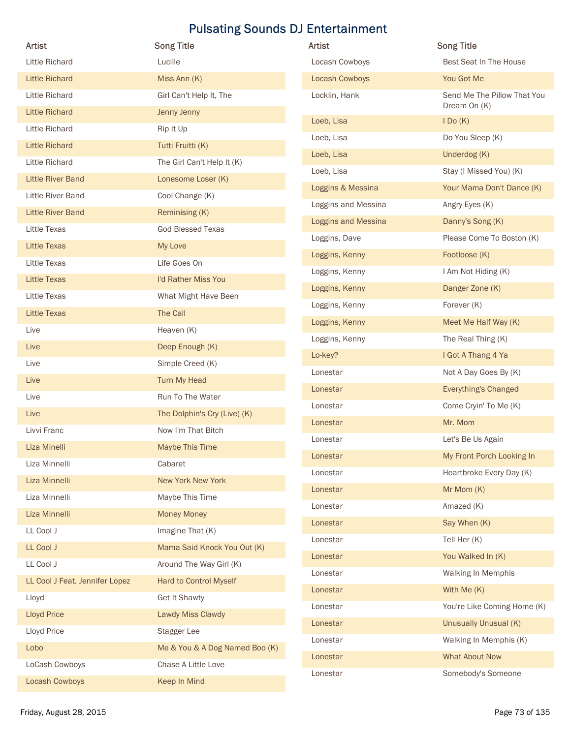| Artist                         | <b>Song Title</b>              | Artist              | <b>Song Title</b>           |
|--------------------------------|--------------------------------|---------------------|-----------------------------|
| <b>Little Richard</b>          | Lucille                        | Locash Cowboys      | Best Seat In The House      |
| <b>Little Richard</b>          | Miss Ann (K)                   | Locash Cowboys      | You Got Me                  |
| Little Richard                 | Girl Can't Help It, The        | Locklin, Hank       | Send Me The Pillow That You |
| <b>Little Richard</b>          | Jenny Jenny                    |                     | Dream On (K)                |
| Little Richard                 | Rip It Up                      | Loeb, Lisa          | IOo(K)                      |
| <b>Little Richard</b>          | Tutti Fruitti (K)              | Loeb, Lisa          | Do You Sleep (K)            |
| Little Richard                 | The Girl Can't Help It (K)     | Loeb, Lisa          | Underdog (K)                |
| <b>Little River Band</b>       | Lonesome Loser (K)             | Loeb, Lisa          | Stay (I Missed You) (K)     |
| Little River Band              | Cool Change (K)                | Loggins & Messina   | Your Mama Don't Dance (K)   |
| <b>Little River Band</b>       | Reminising (K)                 | Loggins and Messina | Angry Eyes (K)              |
| Little Texas                   | <b>God Blessed Texas</b>       | Loggins and Messina | Danny's Song (K)            |
| Little Texas                   |                                | Loggins, Dave       | Please Come To Boston (K)   |
|                                | My Love                        | Loggins, Kenny      | Footloose (K)               |
| Little Texas                   | Life Goes On                   | Loggins, Kenny      | I Am Not Hiding (K)         |
| Little Texas                   | I'd Rather Miss You            | Loggins, Kenny      | Danger Zone (K)             |
| Little Texas                   | What Might Have Been           | Loggins, Kenny      | Forever (K)                 |
| <b>Little Texas</b>            | The Call                       | Loggins, Kenny      | Meet Me Half Way (K)        |
| Live                           | Heaven (K)                     | Loggins, Kenny      | The Real Thing (K)          |
| Live                           | Deep Enough (K)                | Lo-key?             | I Got A Thang 4 Ya          |
| Live                           | Simple Creed (K)               | Lonestar            | Not A Day Goes By (K)       |
| Live                           | Turn My Head                   | Lonestar            | Everything's Changed        |
| Live                           | Run To The Water               | Lonestar            | Come Cryin' To Me (K)       |
| Live                           | The Dolphin's Cry (Live) (K)   | Lonestar            | Mr. Mom                     |
| Livvi Franc                    | Now I'm That Bitch             |                     | Let's Be Us Again           |
| Liza Minelli                   | Maybe This Time                | Lonestar            |                             |
| Liza Minnelli                  | Cabaret                        | Lonestar            | My Front Porch Looking In   |
| Liza Minnelli                  | New York New York              | Lonestar            | Heartbroke Every Day (K)    |
| Liza Minnelli                  | Maybe This Time                | Lonestar            | Mr Mom (K)                  |
| Liza Minnelli                  | <b>Money Money</b>             | Lonestar            | Amazed (K)                  |
| LL Cool J                      | Imagine That (K)               | Lonestar            | Say When (K)                |
| LL Cool J                      | Mama Said Knock You Out (K)    | Lonestar            | Tell Her (K)                |
| <b>LL Cool J</b>               | Around The Way Girl (K)        | Lonestar            | You Walked In (K)           |
| LL Cool J Feat. Jennifer Lopez | Hard to Control Myself         | Lonestar            | Walking In Memphis          |
| Lloyd                          | Get It Shawty                  | Lonestar            | With Me (K)                 |
| <b>Lloyd Price</b>             | Lawdy Miss Clawdy              | Lonestar            | You're Like Coming Home (K) |
| Lloyd Price                    | Stagger Lee                    | Lonestar            | Unusually Unusual (K)       |
| Lobo                           | Me & You & A Dog Named Boo (K) | Lonestar            | Walking In Memphis (K)      |
| LoCash Cowboys                 | Chase A Little Love            | Lonestar            | <b>What About Now</b>       |
|                                | Keep In Mind                   | Lonestar            | Somebody's Someone          |
| Locash Cowboys                 |                                |                     |                             |

| Artist              | <b>Song Title</b>                           |
|---------------------|---------------------------------------------|
| Locash Cowboys      | Best Seat In The House                      |
| Locash Cowboys      | You Got Me                                  |
| Locklin, Hank       | Send Me The Pillow That You<br>Dream On (K) |
| Loeb, Lisa          | IDo(K)                                      |
| Loeb, Lisa          | Do You Sleep (K)                            |
| Loeb, Lisa          | Underdog (K)                                |
| Loeb, Lisa          | Stay (I Missed You) (K)                     |
| Loggins & Messina   | Your Mama Don't Dance (K)                   |
| Loggins and Messina | Angry Eyes (K)                              |
| Loggins and Messina | Danny's Song (K)                            |
| Loggins, Dave       | Please Come To Boston (K)                   |
| Loggins, Kenny      | Footloose (K)                               |
| Loggins, Kenny      | I Am Not Hiding (K)                         |
| Loggins, Kenny      | Danger Zone (K)                             |
| Loggins, Kenny      | Forever (K)                                 |
| Loggins, Kenny      | Meet Me Half Way (K)                        |
| Loggins, Kenny      | The Real Thing (K)                          |
| Lo-key?             | I Got A Thang 4 Ya                          |
| Lonestar            | Not A Day Goes By (K)                       |
| Lonestar            | Everything's Changed                        |
| Lonestar            | Come Cryin' To Me (K)                       |
| Lonestar            | Mr. Mom                                     |
| Lonestar            | Let's Be Us Again                           |
| Lonestar            | My Front Porch Looking In                   |
| Lonestar            | Heartbroke Every Day (K)                    |
| Lonestar            | Mr Mom (K)                                  |
| Lonestar            | Amazed (K)                                  |
| Lonestar            | Say When (K)                                |
| Lonestar            | Tell Her (K)                                |
| Lonestar            | You Walked In (K)                           |
| Lonestar            | Walking In Memphis                          |
| Lonestar            | With Me (K)                                 |
| Lonestar            | You're Like Coming Home (K)                 |
| Lonestar            | <b>Unusually Unusual (K)</b>                |
| Lonestar            | Walking In Memphis (K)                      |
| Lonestar            | <b>What About Now</b>                       |
| Lonestar            | Somebody's Someone                          |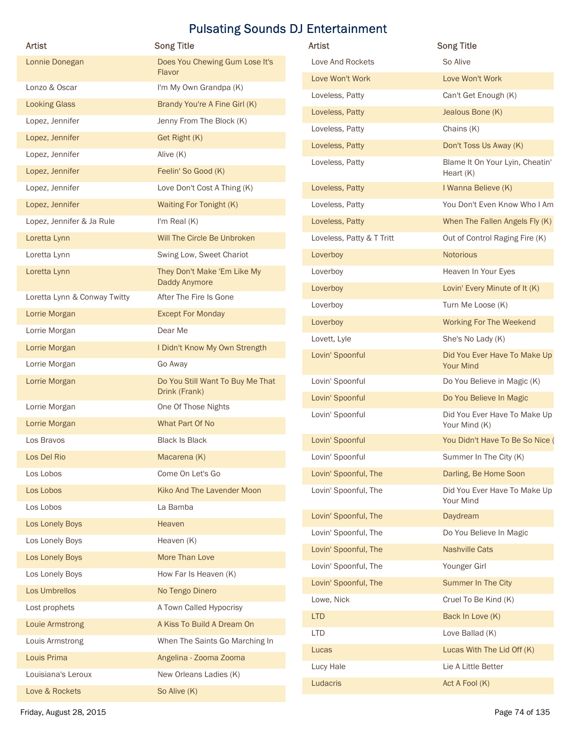| <b>Artist</b>                | <b>Song Title</b><br>Does You Chewing Gum Lose It's | Artist<br>Love And Rockets | <b>Song Title</b><br>So Alive                 |
|------------------------------|-----------------------------------------------------|----------------------------|-----------------------------------------------|
| Lonnie Donegan               | Flavor                                              |                            |                                               |
| Lonzo & Oscar                | I'm My Own Grandpa (K)                              | Love Won't Work            | Love Won't Work                               |
| <b>Looking Glass</b>         | Brandy You're A Fine Girl (K)                       | Loveless, Patty            | Can't Get Enough (K)                          |
| Lopez, Jennifer              | Jenny From The Block (K)                            | Loveless, Patty            | Jealous Bone (K)                              |
| Lopez, Jennifer              | Get Right (K)                                       | Loveless, Patty            | Chains (K)                                    |
| Lopez, Jennifer              | Alive (K)                                           | Loveless, Patty            | Don't Toss Us Away (K)                        |
| Lopez, Jennifer              | Feelin' So Good (K)                                 | Loveless, Patty            | Blame It On Your Lyin, Cheatin'<br>Heart (K)  |
| Lopez, Jennifer              | Love Don't Cost A Thing (K)                         | Loveless, Patty            | I Wanna Believe (K)                           |
| Lopez, Jennifer              | Waiting For Tonight (K)                             | Loveless, Patty            | You Don't Even Know Who I Am                  |
| Lopez, Jennifer & Ja Rule    | I'm Real (K)                                        | Loveless, Patty            | When The Fallen Angels Fly (K)                |
| Loretta Lynn                 | Will The Circle Be Unbroken                         | Loveless, Patty & T Tritt  | Out of Control Raging Fire (K)                |
| Loretta Lynn                 | Swing Low, Sweet Chariot                            | Loverboy                   | Notorious                                     |
| Loretta Lynn                 | They Don't Make 'Em Like My                         | Loverboy                   | Heaven In Your Eyes                           |
|                              | Daddy Anymore                                       | Loverboy                   | Lovin' Every Minute of It (K)                 |
| Loretta Lynn & Conway Twitty | After The Fire Is Gone                              | Loverboy                   | Turn Me Loose (K)                             |
| Lorrie Morgan                | <b>Except For Monday</b>                            | Loverboy                   | Working For The Weekend                       |
| Lorrie Morgan                | Dear Me                                             | Lovett, Lyle               | She's No Lady (K)                             |
| Lorrie Morgan                | I Didn't Know My Own Strength                       | Lovin' Spoonful            | Did You Ever Have To Make Up                  |
| Lorrie Morgan                | Go Away                                             |                            | <b>Your Mind</b>                              |
| Lorrie Morgan                | Do You Still Want To Buy Me That<br>Drink (Frank)   | Lovin' Spoonful            | Do You Believe in Magic (K)                   |
| Lorrie Morgan                | One Of Those Nights                                 | Lovin' Spoonful            | Do You Believe In Magic                       |
| Lorrie Morgan                | What Part Of No                                     | Lovin' Spoonful            | Did You Ever Have To Make Up<br>Your Mind (K) |
| Los Bravos                   | <b>Black Is Black</b>                               | Lovin' Spoonful            | You Didn't Have To Be So Nice (               |
| Los Del Rio                  | Macarena (K)                                        | Lovin' Spoonful            | Summer In The City (K)                        |
| Los Lobos                    | Come On Let's Go                                    | Lovin' Spoonful, The       | Darling, Be Home Soon                         |
| Los Lobos                    | Kiko And The Lavender Moon                          | Lovin' Spoonful, The       | Did You Ever Have To Make Up                  |
| Los Lobos                    | La Bamba                                            |                            | Your Mind                                     |
| Los Lonely Boys              | Heaven                                              | Lovin' Spoonful, The       | Daydream                                      |
| Los Lonely Boys              | Heaven (K)                                          | Lovin' Spoonful, The       | Do You Believe In Magic                       |
| Los Lonely Boys              | More Than Love                                      | Lovin' Spoonful, The       | <b>Nashville Cats</b>                         |
| Los Lonely Boys              | How Far Is Heaven (K)                               | Lovin' Spoonful, The       | Younger Girl                                  |
| Los Umbrellos                | No Tengo Dinero                                     | Lovin' Spoonful, The       | Summer In The City                            |
| Lost prophets                | A Town Called Hypocrisy                             | Lowe, Nick                 | Cruel To Be Kind (K)                          |
| <b>Louie Armstrong</b>       | A Kiss To Build A Dream On                          | <b>LTD</b>                 | Back In Love (K)                              |
| Louis Armstrong              | When The Saints Go Marching In                      | <b>LTD</b>                 | Love Ballad (K)                               |
| Louis Prima                  | Angelina - Zooma Zooma                              | Lucas                      | Lucas With The Lid Off (K)                    |
| Louisiana's Leroux           | New Orleans Ladies (K)                              | Lucy Hale                  | Lie A Little Better                           |
|                              |                                                     | Ludacris                   | Act A Fool (K)                                |
| Love & Rockets               | So Alive (K)                                        |                            |                                               |

| <b>Artist</b>             | <b>Song Title</b>                                |
|---------------------------|--------------------------------------------------|
| Love And Rockets          | So Alive                                         |
| Love Won't Work           | Love Won't Work                                  |
| Loveless, Patty           | Can't Get Enough (K)                             |
| Loveless, Patty           | Jealous Bone (K)                                 |
| Loveless, Patty           | Chains $(K)$                                     |
| Loveless, Patty           | Don't Toss Us Away (K)                           |
| Loveless, Patty           | Blame It On Your Lyin, Cheatin'<br>Heart $(K)$   |
| Loveless, Patty           | I Wanna Believe (K)                              |
| Loveless, Patty           | You Don't Even Know Who I Am                     |
| Loveless, Patty           | When The Fallen Angels Fly (K)                   |
| Loveless, Patty & T Tritt | Out of Control Raging Fire (K)                   |
| Loverboy                  | <b>Notorious</b>                                 |
| Loverboy                  | Heaven In Your Eyes                              |
| Loverboy                  | Lovin' Every Minute of It (K)                    |
| Loverboy                  | Turn Me Loose (K)                                |
| Loverboy                  | <b>Working For The Weekend</b>                   |
| Lovett, Lyle              | She's No Lady (K)                                |
| Lovin' Spoonful           | Did You Ever Have To Make Up<br><b>Your Mind</b> |
| Lovin' Spoonful           | Do You Believe in Magic (K)                      |
| Lovin' Spoonful           | Do You Believe In Magic                          |
| Lovin' Spoonful           | Did You Ever Have To Make Up<br>Your Mind (K)    |
| Lovin' Spoonful           | You Didn't Have To Be So Nice (                  |
| Lovin' Spoonful           | Summer In The City (K)                           |
| Lovin' Spoonful, The      | Darling, Be Home Soon                            |
| Lovin' Spoonful, The      | Did You Ever Have To Make Up<br>Your Mind        |
| Lovin' Spoonful, The      | Daydream                                         |
| Lovin' Spoonful, The      | Do You Believe In Magic                          |
| Lovin' Spoonful, The      | <b>Nashville Cats</b>                            |
| Lovin' Spoonful, The      | Younger Girl                                     |
| Lovin' Spoonful, The      | <b>Summer In The City</b>                        |
| Lowe, Nick                | Cruel To Be Kind (K)                             |
| <b>LTD</b>                | Back In Love (K)                                 |
| <b>LTD</b>                | Love Ballad (K)                                  |
| Lucas                     | Lucas With The Lid Off (K)                       |
| Lucy Hale                 | Lie A Little Better                              |
| Ludacris                  | Act A Fool (K)                                   |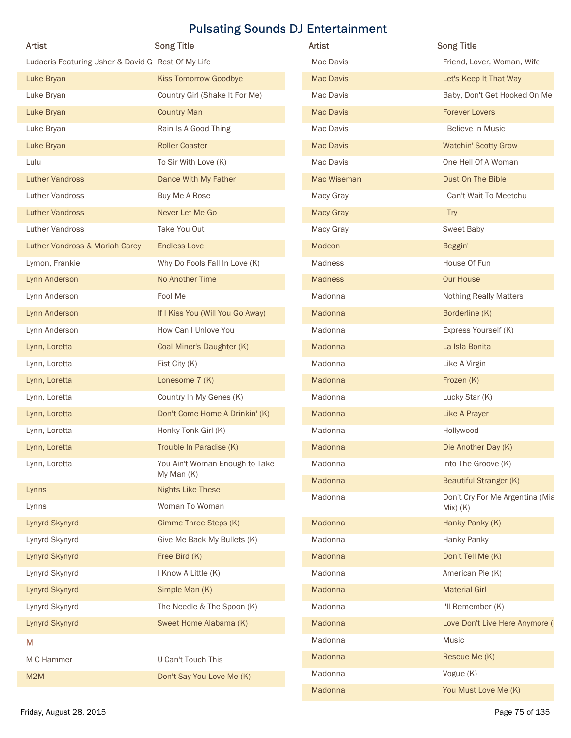|                                                    | <b>Pulsating Sounds DJ Entertainment</b>     |                          |                                                    |
|----------------------------------------------------|----------------------------------------------|--------------------------|----------------------------------------------------|
| Artist                                             | <b>Song Title</b>                            | Artist                   | <b>Song Title</b>                                  |
| Ludacris Featuring Usher & David G Rest Of My Life |                                              | Mac Davis                | Friend, Lover, Woman, Wife                         |
| Luke Bryan                                         | <b>Kiss Tomorrow Goodbye</b>                 | <b>Mac Davis</b>         | Let's Keep It That Way                             |
| Luke Bryan                                         | Country Girl (Shake It For Me)               | Mac Davis                | Baby, Don't Get Hooked On Me                       |
| Luke Bryan                                         | <b>Country Man</b>                           | <b>Mac Davis</b>         | <b>Forever Lovers</b>                              |
| Luke Bryan                                         | Rain Is A Good Thing                         | Mac Davis                | I Believe In Music                                 |
| Luke Bryan                                         | <b>Roller Coaster</b>                        | <b>Mac Davis</b>         | <b>Watchin' Scotty Grow</b><br>One Hell Of A Woman |
| Lulu                                               | To Sir With Love (K)<br>Dance With My Father | Mac Davis<br>Mac Wiseman |                                                    |
| <b>Luther Vandross</b><br><b>Luther Vandross</b>   | Buy Me A Rose                                | Macy Gray                | Dust On The Bible<br>I Can't Wait To Meetchu       |
| <b>Luther Vandross</b>                             | Never Let Me Go                              | <b>Macy Gray</b>         | I Try                                              |
| Luther Vandross                                    | Take You Out                                 | Macy Gray                | Sweet Baby                                         |
| Luther Vandross & Mariah Carey                     | <b>Endless Love</b>                          | Madcon                   | Beggin'                                            |
| Lymon, Frankie                                     | Why Do Fools Fall In Love (K)                | Madness                  | House Of Fun                                       |
| Lynn Anderson                                      | No Another Time                              | <b>Madness</b>           | Our House                                          |
| Lynn Anderson                                      | Fool Me                                      | Madonna                  | <b>Nothing Really Matters</b>                      |
| Lynn Anderson                                      | If I Kiss You (Will You Go Away)             | Madonna                  | Borderline (K)                                     |
| Lynn Anderson                                      | How Can I Unlove You                         | Madonna                  | Express Yourself (K)                               |
| Lynn, Loretta                                      | Coal Miner's Daughter (K)                    | Madonna                  | La Isla Bonita                                     |
| Lynn, Loretta                                      | Fist City (K)                                | Madonna                  | Like A Virgin                                      |
| Lynn, Loretta                                      | Lonesome 7 (K)                               | Madonna                  | Frozen (K)                                         |
| Lynn, Loretta                                      | Country In My Genes (K)                      | Madonna                  | Lucky Star (K)                                     |
| Lynn, Loretta                                      | Don't Come Home A Drinkin' (K)               | Madonna                  | Like A Prayer                                      |
| Lynn, Loretta                                      | Honky Tonk Girl (K)                          | Madonna                  | Hollywood                                          |
| Lynn, Loretta                                      | Trouble In Paradise (K)                      | Madonna                  | Die Another Day (K)                                |
| Lynn, Loretta                                      | You Ain't Woman Enough to Take               | Madonna                  | Into The Groove (K)                                |
|                                                    | My Man (K)<br><b>Nights Like These</b>       | Madonna                  | <b>Beautiful Stranger (K)</b>                      |
| Lynns<br>Lynns                                     | Woman To Woman                               | Madonna                  | Don't Cry For Me Argentina (Mia                    |
| Lynyrd Skynyrd                                     | <b>Gimme Three Steps (K)</b>                 | Madonna                  | Mix) (K)<br>Hanky Panky (K)                        |
| Lynyrd Skynyrd                                     | Give Me Back My Bullets (K)                  | Madonna                  | Hanky Panky                                        |
| Lynyrd Skynyrd                                     | Free Bird (K)                                | Madonna                  | Don't Tell Me (K)                                  |
| Lynyrd Skynyrd                                     | I Know A Little (K)                          | Madonna                  | American Pie (K)                                   |
| Lynyrd Skynyrd                                     | Simple Man (K)                               | Madonna                  | <b>Material Girl</b>                               |
| Lynyrd Skynyrd                                     | The Needle & The Spoon (K)                   | Madonna                  | I'll Remember (K)                                  |
| Lynyrd Skynyrd                                     | Sweet Home Alabama (K)                       | Madonna                  | Love Don't Live Here Anymore (I                    |
| M                                                  |                                              | Madonna                  | Music                                              |
| M C Hammer                                         | U Can't Touch This                           | Madonna                  | Rescue Me (K)                                      |
| M2M                                                | Don't Say You Love Me (K)                    | Madonna                  | Vogue (K)                                          |
|                                                    |                                              |                          |                                                    |

| Mac Davis<br>Friend, Lover, Woman, Wife<br>Ludacris Featuring Usher & David G Rest Of My Life<br><b>Mac Davis</b><br>Luke Bryan<br><b>Kiss Tomorrow Goodbye</b><br>Let's Keep It That Way<br>Mac Davis<br>Baby, Don't Get Hooked On Me<br>Luke Bryan<br>Country Girl (Shake It For Me)<br>Luke Bryan<br><b>Mac Davis</b><br><b>Forever Lovers</b><br><b>Country Man</b><br>Rain Is A Good Thing<br>Mac Davis<br>I Believe In Music<br>Luke Bryan<br><b>Mac Davis</b><br>Luke Bryan<br><b>Roller Coaster</b><br><b>Watchin' Scotty Grow</b><br>One Hell Of A Woman<br>Mac Davis<br>Lulu<br>To Sir With Love (K)<br>Mac Wiseman<br><b>Luther Vandross</b><br>Dance With My Father<br>Dust On The Bible<br>I Can't Wait To Meetchu<br>Luther Vandross<br>Buy Me A Rose<br>Macy Gray<br><b>Luther Vandross</b><br>Never Let Me Go<br><b>Macy Gray</b><br>I Try<br>Take You Out<br>Luther Vandross<br>Sweet Baby<br>Macy Gray<br>Luther Vandross & Mariah Carey<br>Madcon<br><b>Endless Love</b><br>Beggin'<br>House Of Fun<br>Why Do Fools Fall In Love (K)<br>Lymon, Frankie<br>Madness<br><b>Madness</b><br>Our House<br>Lynn Anderson<br>No Another Time<br>Fool Me<br><b>Nothing Really Matters</b><br>Lynn Anderson<br>Madonna<br>If I Kiss You (Will You Go Away)<br>Madonna<br>Lynn Anderson<br>Borderline (K)<br>How Can I Unlove You<br>Express Yourself (K)<br>Madonna<br>Lynn Anderson<br>Madonna<br>La Isla Bonita<br>Coal Miner's Daughter (K)<br>Lynn, Loretta<br>Fist City (K)<br>Like A Virgin<br>Madonna<br>Lynn, Loretta<br>Madonna<br>Lonesome 7 (K)<br>Frozen (K)<br>Lynn, Loretta<br>Country In My Genes (K)<br>Lucky Star (K)<br>Madonna<br>Lynn, Loretta<br>Madonna<br>Like A Prayer<br>Don't Come Home A Drinkin' (K)<br>Lynn, Loretta<br>Honky Tonk Girl (K)<br>Madonna<br>Hollywood<br>Lynn, Loretta<br>Trouble In Paradise (K)<br>Madonna<br>Lynn, Loretta<br>Die Another Day (K)<br>Into The Groove (K)<br>You Ain't Woman Enough to Take<br>Madonna<br>Lynn, Loretta<br>My Man (K)<br>Madonna<br><b>Beautiful Stranger (K)</b><br><b>Nights Like These</b><br>Lynns<br>Madonna<br>Don't Cry For Me Argentina (Mia<br>Woman To Woman<br>Lynns<br>Mix) (K)<br>Lynyrd Skynyrd<br><b>Gimme Three Steps (K)</b><br>Madonna<br>Hanky Panky (K)<br>Lynyrd Skynyrd<br>Give Me Back My Bullets (K)<br>Madonna<br>Hanky Panky<br>Lynyrd Skynyrd<br>Free Bird (K)<br>Madonna<br>Don't Tell Me (K)<br>Lynyrd Skynyrd<br>I Know A Little (K)<br>Madonna<br>American Pie (K)<br>Lynyrd Skynyrd<br>Simple Man (K)<br>Madonna<br><b>Material Girl</b><br>The Needle & The Spoon (K)<br>I'll Remember (K)<br>Lynyrd Skynyrd<br>Madonna<br>Sweet Home Alabama (K)<br>Lynyrd Skynyrd<br>Madonna<br>Love Don't Live Here Anymore (I<br>Madonna<br>Music<br>M<br>Rescue Me (K)<br>Madonna<br>U Can't Touch This<br>M C Hammer<br>Vogue (K)<br>Madonna<br>Don't Say You Love Me (K)<br>M2M<br>Madonna<br>You Must Love Me (K)<br>Page 75 of 135<br>Friday, August 28, 2015 | Artist | <b>Song Title</b> | Artist | <b>Song Title</b> |
|-------------------------------------------------------------------------------------------------------------------------------------------------------------------------------------------------------------------------------------------------------------------------------------------------------------------------------------------------------------------------------------------------------------------------------------------------------------------------------------------------------------------------------------------------------------------------------------------------------------------------------------------------------------------------------------------------------------------------------------------------------------------------------------------------------------------------------------------------------------------------------------------------------------------------------------------------------------------------------------------------------------------------------------------------------------------------------------------------------------------------------------------------------------------------------------------------------------------------------------------------------------------------------------------------------------------------------------------------------------------------------------------------------------------------------------------------------------------------------------------------------------------------------------------------------------------------------------------------------------------------------------------------------------------------------------------------------------------------------------------------------------------------------------------------------------------------------------------------------------------------------------------------------------------------------------------------------------------------------------------------------------------------------------------------------------------------------------------------------------------------------------------------------------------------------------------------------------------------------------------------------------------------------------------------------------------------------------------------------------------------------------------------------------------------------------------------------------------------------------------------------------------------------------------------------------------------------------------------------------------------------------------------------------------------------------------------------------------------------------------------------------------------------------------------------------------------------------------------------------------------------------------------------------------------------------------------------------------------------|--------|-------------------|--------|-------------------|
|                                                                                                                                                                                                                                                                                                                                                                                                                                                                                                                                                                                                                                                                                                                                                                                                                                                                                                                                                                                                                                                                                                                                                                                                                                                                                                                                                                                                                                                                                                                                                                                                                                                                                                                                                                                                                                                                                                                                                                                                                                                                                                                                                                                                                                                                                                                                                                                                                                                                                                                                                                                                                                                                                                                                                                                                                                                                                                                                                                               |        |                   |        |                   |
|                                                                                                                                                                                                                                                                                                                                                                                                                                                                                                                                                                                                                                                                                                                                                                                                                                                                                                                                                                                                                                                                                                                                                                                                                                                                                                                                                                                                                                                                                                                                                                                                                                                                                                                                                                                                                                                                                                                                                                                                                                                                                                                                                                                                                                                                                                                                                                                                                                                                                                                                                                                                                                                                                                                                                                                                                                                                                                                                                                               |        |                   |        |                   |
|                                                                                                                                                                                                                                                                                                                                                                                                                                                                                                                                                                                                                                                                                                                                                                                                                                                                                                                                                                                                                                                                                                                                                                                                                                                                                                                                                                                                                                                                                                                                                                                                                                                                                                                                                                                                                                                                                                                                                                                                                                                                                                                                                                                                                                                                                                                                                                                                                                                                                                                                                                                                                                                                                                                                                                                                                                                                                                                                                                               |        |                   |        |                   |
|                                                                                                                                                                                                                                                                                                                                                                                                                                                                                                                                                                                                                                                                                                                                                                                                                                                                                                                                                                                                                                                                                                                                                                                                                                                                                                                                                                                                                                                                                                                                                                                                                                                                                                                                                                                                                                                                                                                                                                                                                                                                                                                                                                                                                                                                                                                                                                                                                                                                                                                                                                                                                                                                                                                                                                                                                                                                                                                                                                               |        |                   |        |                   |
|                                                                                                                                                                                                                                                                                                                                                                                                                                                                                                                                                                                                                                                                                                                                                                                                                                                                                                                                                                                                                                                                                                                                                                                                                                                                                                                                                                                                                                                                                                                                                                                                                                                                                                                                                                                                                                                                                                                                                                                                                                                                                                                                                                                                                                                                                                                                                                                                                                                                                                                                                                                                                                                                                                                                                                                                                                                                                                                                                                               |        |                   |        |                   |
|                                                                                                                                                                                                                                                                                                                                                                                                                                                                                                                                                                                                                                                                                                                                                                                                                                                                                                                                                                                                                                                                                                                                                                                                                                                                                                                                                                                                                                                                                                                                                                                                                                                                                                                                                                                                                                                                                                                                                                                                                                                                                                                                                                                                                                                                                                                                                                                                                                                                                                                                                                                                                                                                                                                                                                                                                                                                                                                                                                               |        |                   |        |                   |
|                                                                                                                                                                                                                                                                                                                                                                                                                                                                                                                                                                                                                                                                                                                                                                                                                                                                                                                                                                                                                                                                                                                                                                                                                                                                                                                                                                                                                                                                                                                                                                                                                                                                                                                                                                                                                                                                                                                                                                                                                                                                                                                                                                                                                                                                                                                                                                                                                                                                                                                                                                                                                                                                                                                                                                                                                                                                                                                                                                               |        |                   |        |                   |
|                                                                                                                                                                                                                                                                                                                                                                                                                                                                                                                                                                                                                                                                                                                                                                                                                                                                                                                                                                                                                                                                                                                                                                                                                                                                                                                                                                                                                                                                                                                                                                                                                                                                                                                                                                                                                                                                                                                                                                                                                                                                                                                                                                                                                                                                                                                                                                                                                                                                                                                                                                                                                                                                                                                                                                                                                                                                                                                                                                               |        |                   |        |                   |
|                                                                                                                                                                                                                                                                                                                                                                                                                                                                                                                                                                                                                                                                                                                                                                                                                                                                                                                                                                                                                                                                                                                                                                                                                                                                                                                                                                                                                                                                                                                                                                                                                                                                                                                                                                                                                                                                                                                                                                                                                                                                                                                                                                                                                                                                                                                                                                                                                                                                                                                                                                                                                                                                                                                                                                                                                                                                                                                                                                               |        |                   |        |                   |
|                                                                                                                                                                                                                                                                                                                                                                                                                                                                                                                                                                                                                                                                                                                                                                                                                                                                                                                                                                                                                                                                                                                                                                                                                                                                                                                                                                                                                                                                                                                                                                                                                                                                                                                                                                                                                                                                                                                                                                                                                                                                                                                                                                                                                                                                                                                                                                                                                                                                                                                                                                                                                                                                                                                                                                                                                                                                                                                                                                               |        |                   |        |                   |
|                                                                                                                                                                                                                                                                                                                                                                                                                                                                                                                                                                                                                                                                                                                                                                                                                                                                                                                                                                                                                                                                                                                                                                                                                                                                                                                                                                                                                                                                                                                                                                                                                                                                                                                                                                                                                                                                                                                                                                                                                                                                                                                                                                                                                                                                                                                                                                                                                                                                                                                                                                                                                                                                                                                                                                                                                                                                                                                                                                               |        |                   |        |                   |
|                                                                                                                                                                                                                                                                                                                                                                                                                                                                                                                                                                                                                                                                                                                                                                                                                                                                                                                                                                                                                                                                                                                                                                                                                                                                                                                                                                                                                                                                                                                                                                                                                                                                                                                                                                                                                                                                                                                                                                                                                                                                                                                                                                                                                                                                                                                                                                                                                                                                                                                                                                                                                                                                                                                                                                                                                                                                                                                                                                               |        |                   |        |                   |
|                                                                                                                                                                                                                                                                                                                                                                                                                                                                                                                                                                                                                                                                                                                                                                                                                                                                                                                                                                                                                                                                                                                                                                                                                                                                                                                                                                                                                                                                                                                                                                                                                                                                                                                                                                                                                                                                                                                                                                                                                                                                                                                                                                                                                                                                                                                                                                                                                                                                                                                                                                                                                                                                                                                                                                                                                                                                                                                                                                               |        |                   |        |                   |
|                                                                                                                                                                                                                                                                                                                                                                                                                                                                                                                                                                                                                                                                                                                                                                                                                                                                                                                                                                                                                                                                                                                                                                                                                                                                                                                                                                                                                                                                                                                                                                                                                                                                                                                                                                                                                                                                                                                                                                                                                                                                                                                                                                                                                                                                                                                                                                                                                                                                                                                                                                                                                                                                                                                                                                                                                                                                                                                                                                               |        |                   |        |                   |
|                                                                                                                                                                                                                                                                                                                                                                                                                                                                                                                                                                                                                                                                                                                                                                                                                                                                                                                                                                                                                                                                                                                                                                                                                                                                                                                                                                                                                                                                                                                                                                                                                                                                                                                                                                                                                                                                                                                                                                                                                                                                                                                                                                                                                                                                                                                                                                                                                                                                                                                                                                                                                                                                                                                                                                                                                                                                                                                                                                               |        |                   |        |                   |
|                                                                                                                                                                                                                                                                                                                                                                                                                                                                                                                                                                                                                                                                                                                                                                                                                                                                                                                                                                                                                                                                                                                                                                                                                                                                                                                                                                                                                                                                                                                                                                                                                                                                                                                                                                                                                                                                                                                                                                                                                                                                                                                                                                                                                                                                                                                                                                                                                                                                                                                                                                                                                                                                                                                                                                                                                                                                                                                                                                               |        |                   |        |                   |
|                                                                                                                                                                                                                                                                                                                                                                                                                                                                                                                                                                                                                                                                                                                                                                                                                                                                                                                                                                                                                                                                                                                                                                                                                                                                                                                                                                                                                                                                                                                                                                                                                                                                                                                                                                                                                                                                                                                                                                                                                                                                                                                                                                                                                                                                                                                                                                                                                                                                                                                                                                                                                                                                                                                                                                                                                                                                                                                                                                               |        |                   |        |                   |
|                                                                                                                                                                                                                                                                                                                                                                                                                                                                                                                                                                                                                                                                                                                                                                                                                                                                                                                                                                                                                                                                                                                                                                                                                                                                                                                                                                                                                                                                                                                                                                                                                                                                                                                                                                                                                                                                                                                                                                                                                                                                                                                                                                                                                                                                                                                                                                                                                                                                                                                                                                                                                                                                                                                                                                                                                                                                                                                                                                               |        |                   |        |                   |
|                                                                                                                                                                                                                                                                                                                                                                                                                                                                                                                                                                                                                                                                                                                                                                                                                                                                                                                                                                                                                                                                                                                                                                                                                                                                                                                                                                                                                                                                                                                                                                                                                                                                                                                                                                                                                                                                                                                                                                                                                                                                                                                                                                                                                                                                                                                                                                                                                                                                                                                                                                                                                                                                                                                                                                                                                                                                                                                                                                               |        |                   |        |                   |
|                                                                                                                                                                                                                                                                                                                                                                                                                                                                                                                                                                                                                                                                                                                                                                                                                                                                                                                                                                                                                                                                                                                                                                                                                                                                                                                                                                                                                                                                                                                                                                                                                                                                                                                                                                                                                                                                                                                                                                                                                                                                                                                                                                                                                                                                                                                                                                                                                                                                                                                                                                                                                                                                                                                                                                                                                                                                                                                                                                               |        |                   |        |                   |
|                                                                                                                                                                                                                                                                                                                                                                                                                                                                                                                                                                                                                                                                                                                                                                                                                                                                                                                                                                                                                                                                                                                                                                                                                                                                                                                                                                                                                                                                                                                                                                                                                                                                                                                                                                                                                                                                                                                                                                                                                                                                                                                                                                                                                                                                                                                                                                                                                                                                                                                                                                                                                                                                                                                                                                                                                                                                                                                                                                               |        |                   |        |                   |
|                                                                                                                                                                                                                                                                                                                                                                                                                                                                                                                                                                                                                                                                                                                                                                                                                                                                                                                                                                                                                                                                                                                                                                                                                                                                                                                                                                                                                                                                                                                                                                                                                                                                                                                                                                                                                                                                                                                                                                                                                                                                                                                                                                                                                                                                                                                                                                                                                                                                                                                                                                                                                                                                                                                                                                                                                                                                                                                                                                               |        |                   |        |                   |
|                                                                                                                                                                                                                                                                                                                                                                                                                                                                                                                                                                                                                                                                                                                                                                                                                                                                                                                                                                                                                                                                                                                                                                                                                                                                                                                                                                                                                                                                                                                                                                                                                                                                                                                                                                                                                                                                                                                                                                                                                                                                                                                                                                                                                                                                                                                                                                                                                                                                                                                                                                                                                                                                                                                                                                                                                                                                                                                                                                               |        |                   |        |                   |
|                                                                                                                                                                                                                                                                                                                                                                                                                                                                                                                                                                                                                                                                                                                                                                                                                                                                                                                                                                                                                                                                                                                                                                                                                                                                                                                                                                                                                                                                                                                                                                                                                                                                                                                                                                                                                                                                                                                                                                                                                                                                                                                                                                                                                                                                                                                                                                                                                                                                                                                                                                                                                                                                                                                                                                                                                                                                                                                                                                               |        |                   |        |                   |
|                                                                                                                                                                                                                                                                                                                                                                                                                                                                                                                                                                                                                                                                                                                                                                                                                                                                                                                                                                                                                                                                                                                                                                                                                                                                                                                                                                                                                                                                                                                                                                                                                                                                                                                                                                                                                                                                                                                                                                                                                                                                                                                                                                                                                                                                                                                                                                                                                                                                                                                                                                                                                                                                                                                                                                                                                                                                                                                                                                               |        |                   |        |                   |
|                                                                                                                                                                                                                                                                                                                                                                                                                                                                                                                                                                                                                                                                                                                                                                                                                                                                                                                                                                                                                                                                                                                                                                                                                                                                                                                                                                                                                                                                                                                                                                                                                                                                                                                                                                                                                                                                                                                                                                                                                                                                                                                                                                                                                                                                                                                                                                                                                                                                                                                                                                                                                                                                                                                                                                                                                                                                                                                                                                               |        |                   |        |                   |
|                                                                                                                                                                                                                                                                                                                                                                                                                                                                                                                                                                                                                                                                                                                                                                                                                                                                                                                                                                                                                                                                                                                                                                                                                                                                                                                                                                                                                                                                                                                                                                                                                                                                                                                                                                                                                                                                                                                                                                                                                                                                                                                                                                                                                                                                                                                                                                                                                                                                                                                                                                                                                                                                                                                                                                                                                                                                                                                                                                               |        |                   |        |                   |
|                                                                                                                                                                                                                                                                                                                                                                                                                                                                                                                                                                                                                                                                                                                                                                                                                                                                                                                                                                                                                                                                                                                                                                                                                                                                                                                                                                                                                                                                                                                                                                                                                                                                                                                                                                                                                                                                                                                                                                                                                                                                                                                                                                                                                                                                                                                                                                                                                                                                                                                                                                                                                                                                                                                                                                                                                                                                                                                                                                               |        |                   |        |                   |
|                                                                                                                                                                                                                                                                                                                                                                                                                                                                                                                                                                                                                                                                                                                                                                                                                                                                                                                                                                                                                                                                                                                                                                                                                                                                                                                                                                                                                                                                                                                                                                                                                                                                                                                                                                                                                                                                                                                                                                                                                                                                                                                                                                                                                                                                                                                                                                                                                                                                                                                                                                                                                                                                                                                                                                                                                                                                                                                                                                               |        |                   |        |                   |
|                                                                                                                                                                                                                                                                                                                                                                                                                                                                                                                                                                                                                                                                                                                                                                                                                                                                                                                                                                                                                                                                                                                                                                                                                                                                                                                                                                                                                                                                                                                                                                                                                                                                                                                                                                                                                                                                                                                                                                                                                                                                                                                                                                                                                                                                                                                                                                                                                                                                                                                                                                                                                                                                                                                                                                                                                                                                                                                                                                               |        |                   |        |                   |
|                                                                                                                                                                                                                                                                                                                                                                                                                                                                                                                                                                                                                                                                                                                                                                                                                                                                                                                                                                                                                                                                                                                                                                                                                                                                                                                                                                                                                                                                                                                                                                                                                                                                                                                                                                                                                                                                                                                                                                                                                                                                                                                                                                                                                                                                                                                                                                                                                                                                                                                                                                                                                                                                                                                                                                                                                                                                                                                                                                               |        |                   |        |                   |
|                                                                                                                                                                                                                                                                                                                                                                                                                                                                                                                                                                                                                                                                                                                                                                                                                                                                                                                                                                                                                                                                                                                                                                                                                                                                                                                                                                                                                                                                                                                                                                                                                                                                                                                                                                                                                                                                                                                                                                                                                                                                                                                                                                                                                                                                                                                                                                                                                                                                                                                                                                                                                                                                                                                                                                                                                                                                                                                                                                               |        |                   |        |                   |
|                                                                                                                                                                                                                                                                                                                                                                                                                                                                                                                                                                                                                                                                                                                                                                                                                                                                                                                                                                                                                                                                                                                                                                                                                                                                                                                                                                                                                                                                                                                                                                                                                                                                                                                                                                                                                                                                                                                                                                                                                                                                                                                                                                                                                                                                                                                                                                                                                                                                                                                                                                                                                                                                                                                                                                                                                                                                                                                                                                               |        |                   |        |                   |
|                                                                                                                                                                                                                                                                                                                                                                                                                                                                                                                                                                                                                                                                                                                                                                                                                                                                                                                                                                                                                                                                                                                                                                                                                                                                                                                                                                                                                                                                                                                                                                                                                                                                                                                                                                                                                                                                                                                                                                                                                                                                                                                                                                                                                                                                                                                                                                                                                                                                                                                                                                                                                                                                                                                                                                                                                                                                                                                                                                               |        |                   |        |                   |
|                                                                                                                                                                                                                                                                                                                                                                                                                                                                                                                                                                                                                                                                                                                                                                                                                                                                                                                                                                                                                                                                                                                                                                                                                                                                                                                                                                                                                                                                                                                                                                                                                                                                                                                                                                                                                                                                                                                                                                                                                                                                                                                                                                                                                                                                                                                                                                                                                                                                                                                                                                                                                                                                                                                                                                                                                                                                                                                                                                               |        |                   |        |                   |
|                                                                                                                                                                                                                                                                                                                                                                                                                                                                                                                                                                                                                                                                                                                                                                                                                                                                                                                                                                                                                                                                                                                                                                                                                                                                                                                                                                                                                                                                                                                                                                                                                                                                                                                                                                                                                                                                                                                                                                                                                                                                                                                                                                                                                                                                                                                                                                                                                                                                                                                                                                                                                                                                                                                                                                                                                                                                                                                                                                               |        |                   |        |                   |
|                                                                                                                                                                                                                                                                                                                                                                                                                                                                                                                                                                                                                                                                                                                                                                                                                                                                                                                                                                                                                                                                                                                                                                                                                                                                                                                                                                                                                                                                                                                                                                                                                                                                                                                                                                                                                                                                                                                                                                                                                                                                                                                                                                                                                                                                                                                                                                                                                                                                                                                                                                                                                                                                                                                                                                                                                                                                                                                                                                               |        |                   |        |                   |
|                                                                                                                                                                                                                                                                                                                                                                                                                                                                                                                                                                                                                                                                                                                                                                                                                                                                                                                                                                                                                                                                                                                                                                                                                                                                                                                                                                                                                                                                                                                                                                                                                                                                                                                                                                                                                                                                                                                                                                                                                                                                                                                                                                                                                                                                                                                                                                                                                                                                                                                                                                                                                                                                                                                                                                                                                                                                                                                                                                               |        |                   |        |                   |
|                                                                                                                                                                                                                                                                                                                                                                                                                                                                                                                                                                                                                                                                                                                                                                                                                                                                                                                                                                                                                                                                                                                                                                                                                                                                                                                                                                                                                                                                                                                                                                                                                                                                                                                                                                                                                                                                                                                                                                                                                                                                                                                                                                                                                                                                                                                                                                                                                                                                                                                                                                                                                                                                                                                                                                                                                                                                                                                                                                               |        |                   |        |                   |
|                                                                                                                                                                                                                                                                                                                                                                                                                                                                                                                                                                                                                                                                                                                                                                                                                                                                                                                                                                                                                                                                                                                                                                                                                                                                                                                                                                                                                                                                                                                                                                                                                                                                                                                                                                                                                                                                                                                                                                                                                                                                                                                                                                                                                                                                                                                                                                                                                                                                                                                                                                                                                                                                                                                                                                                                                                                                                                                                                                               |        |                   |        |                   |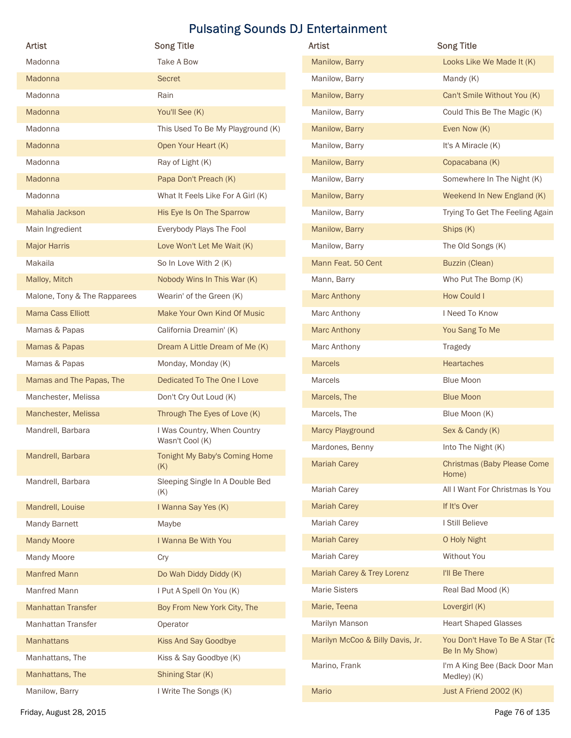| <b>Artist</b>                  | <b>Song Title</b>                                          | Artist                               | <b>Song Title</b>                                        |
|--------------------------------|------------------------------------------------------------|--------------------------------------|----------------------------------------------------------|
| Madonna                        | Take A Bow                                                 | Manilow, Barry                       | Looks Like We Made It (K)                                |
| Madonna                        | Secret                                                     | Manilow, Barry                       | Mandy (K)                                                |
| Madonna                        | Rain                                                       | Manilow, Barry                       |                                                          |
|                                |                                                            |                                      | Can't Smile Without You (K)                              |
| Madonna                        | You'll See (K)<br>This Used To Be My Playground (K)        | Manilow, Barry                       | Could This Be The Magic (K)                              |
| Madonna<br>Madonna             | Open Your Heart (K)                                        | Manilow, Barry<br>Manilow, Barry     | Even Now (K)<br>It's A Miracle (K)                       |
| Madonna                        |                                                            | Manilow, Barry                       |                                                          |
|                                | Ray of Light (K)                                           |                                      | Copacabana (K)                                           |
| Madonna<br>Madonna             | Papa Don't Preach (K)<br>What It Feels Like For A Girl (K) | Manilow, Barry                       | Somewhere In The Night (K)<br>Weekend In New England (K) |
|                                |                                                            | Manilow, Barry                       |                                                          |
| Mahalia Jackson                | His Eye Is On The Sparrow                                  | Manilow, Barry                       | Trying To Get The Feeling Again                          |
| Main Ingredient                | Everybody Plays The Fool                                   | Manilow, Barry                       | Ships (K)                                                |
| <b>Major Harris</b><br>Makaila | Love Won't Let Me Wait (K)<br>So In Love With 2 (K)        | Manilow, Barry<br>Mann Feat. 50 Cent | The Old Songs (K)<br><b>Buzzin (Clean)</b>               |
|                                | Nobody Wins In This War (K)                                |                                      | Who Put The Bomp (K)                                     |
| Malloy, Mitch                  |                                                            | Mann, Barry                          |                                                          |
| Malone, Tony & The Rapparees   | Wearin' of the Green (K)                                   | <b>Marc Anthony</b>                  | <b>How Could I</b>                                       |
| Mama Cass Elliott              | Make Your Own Kind Of Music                                | Marc Anthony                         | I Need To Know                                           |
| Mamas & Papas                  | California Dreamin' (K)                                    | <b>Marc Anthony</b>                  | You Sang To Me                                           |
| Mamas & Papas                  | Dream A Little Dream of Me (K)                             | Marc Anthony                         | <b>Tragedy</b>                                           |
| Mamas & Papas                  | Monday, Monday (K)                                         | <b>Marcels</b>                       | Heartaches                                               |
| Mamas and The Papas, The       | Dedicated To The One I Love                                | Marcels                              | <b>Blue Moon</b>                                         |
| Manchester, Melissa            | Don't Cry Out Loud (K)                                     | Marcels, The                         | <b>Blue Moon</b>                                         |
| Manchester, Melissa            | Through The Eyes of Love (K)                               | Marcels, The                         | Blue Moon (K)                                            |
| Mandrell, Barbara              | I Was Country, When Country<br>Wasn't Cool (K)             | Marcy Playground                     | Sex & Candy (K)                                          |
| Mandrell, Barbara              | Tonight My Baby's Coming Home                              | Mardones, Benny                      | Into The Night (K)                                       |
| Mandrell, Barbara              | (K)<br>Sleeping Single In A Double Bed                     | <b>Mariah Carey</b>                  | <b>Christmas (Baby Please Come</b><br>Home)              |
|                                | (K)                                                        | <b>Mariah Carey</b>                  | All I Want For Christmas Is You                          |
| Mandrell, Louise               | I Wanna Say Yes (K)                                        | <b>Mariah Carey</b>                  | If It's Over                                             |
| Mandy Barnett                  | Maybe                                                      | <b>Mariah Carey</b>                  | I Still Believe                                          |
| <b>Mandy Moore</b>             | I Wanna Be With You                                        | <b>Mariah Carey</b>                  | O Holy Night                                             |
| Mandy Moore                    | Cry                                                        | Mariah Carey                         | Without You                                              |
| <b>Manfred Mann</b>            | Do Wah Diddy Diddy (K)                                     | Mariah Carey & Trey Lorenz           | I'll Be There                                            |
| Manfred Mann                   | I Put A Spell On You (K)                                   | <b>Marie Sisters</b>                 | Real Bad Mood (K)                                        |
| <b>Manhattan Transfer</b>      | Boy From New York City, The                                | Marie, Teena                         | Lovergirl (K)                                            |
| Manhattan Transfer             | Operator                                                   | Marilyn Manson                       | <b>Heart Shaped Glasses</b>                              |
| Manhattans                     | Kiss And Say Goodbye                                       | Marilyn McCoo & Billy Davis, Jr.     | You Don't Have To Be A Star (To                          |
| Manhattans, The                | Kiss & Say Goodbye (K)                                     |                                      | Be In My Show)                                           |
| Manhattans, The                | Shining Star (K)                                           | Marino, Frank                        | I'm A King Bee (Back Door Man<br>Medley) (K)             |
| Manilow, Barry                 | I Write The Songs (K)                                      | Mario                                | Just A Friend 2002 (K)                                   |
|                                |                                                            |                                      |                                                          |

| Artist                           | <b>Song Title</b>                                 |
|----------------------------------|---------------------------------------------------|
| Manilow, Barry                   | Looks Like We Made It (K)                         |
| Manilow, Barry                   | Mandy (K)                                         |
| Manilow, Barry                   | Can't Smile Without You (K)                       |
| Manilow, Barry                   | Could This Be The Magic (K)                       |
| Manilow, Barry                   | Even Now (K)                                      |
| Manilow, Barry                   | It's A Miracle (K)                                |
| Manilow, Barry                   | Copacabana (K)                                    |
| Manilow, Barry                   | Somewhere In The Night (K)                        |
| Manilow, Barry                   | Weekend In New England (K)                        |
| Manilow, Barry                   | Trying To Get The Feeling Again                   |
| Manilow, Barry                   | Ships (K)                                         |
| Manilow, Barry                   | The Old Songs (K)                                 |
| Mann Feat. 50 Cent               | <b>Buzzin (Clean)</b>                             |
| Mann, Barry                      | Who Put The Bomp (K)                              |
| <b>Marc Anthony</b>              | <b>How Could I</b>                                |
| Marc Anthony                     | I Need To Know                                    |
| <b>Marc Anthony</b>              | You Sang To Me                                    |
| Marc Anthony                     | <b>Tragedy</b>                                    |
| <b>Marcels</b>                   | <b>Heartaches</b>                                 |
| <b>Marcels</b>                   | <b>Blue Moon</b>                                  |
| Marcels, The                     | <b>Blue Moon</b>                                  |
| Marcels, The                     | Blue Moon (K)                                     |
| Marcy Playground                 | Sex & Candy (K)                                   |
| Mardones, Benny                  | Into The Night (K)                                |
| <b>Mariah Carey</b>              | <b>Christmas (Baby Please Come</b><br>Home)       |
| Mariah Carey                     | All I Want For Christmas Is You                   |
| <b>Mariah Carey</b>              | If It's Over                                      |
| Mariah Carey                     | I Still Believe                                   |
| <b>Mariah Carey</b>              | O Holy Night                                      |
| Mariah Carey                     | Without You                                       |
| Mariah Carey & Trey Lorenz       | I'll Be There                                     |
| <b>Marie Sisters</b>             | Real Bad Mood (K)                                 |
| Marie, Teena                     | Lovergirl (K)                                     |
| Marilyn Manson                   | <b>Heart Shaped Glasses</b>                       |
| Marilyn McCoo & Billy Davis, Jr. | You Don't Have To Be A Star (To<br>Be In My Show) |
| Marino, Frank                    | I'm A King Bee (Back Door Man<br>Medley) (K)      |
| <b>Mario</b>                     | Just A Friend 2002 (K)                            |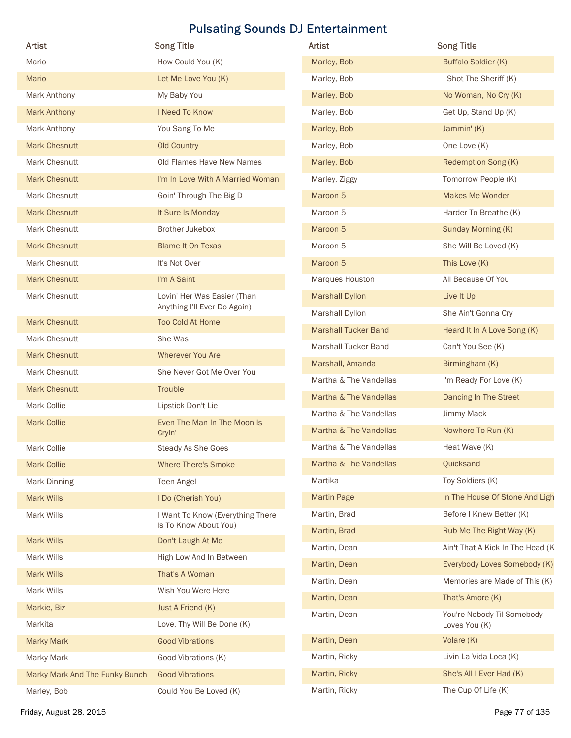| <b>Artist</b>                  | <b>Song Title</b>                                           | Artist                      | <b>Song Title</b>                |
|--------------------------------|-------------------------------------------------------------|-----------------------------|----------------------------------|
| Mario                          | How Could You (K)                                           | Marley, Bob                 | <b>Buffalo Soldier (K)</b>       |
|                                |                                                             |                             | I Shot The Sheriff (K)           |
| Mario                          | Let Me Love You (K)                                         | Marley, Bob                 |                                  |
| Mark Anthony                   | My Baby You                                                 | Marley, Bob                 | No Woman, No Cry (K)             |
| <b>Mark Anthony</b>            | I Need To Know                                              | Marley, Bob                 | Get Up, Stand Up (K)             |
| Mark Anthony                   | You Sang To Me                                              | Marley, Bob                 | Jammin' (K)                      |
| <b>Mark Chesnutt</b>           | <b>Old Country</b>                                          | Marley, Bob                 | One Love (K)                     |
| Mark Chesnutt                  | Old Flames Have New Names                                   | Marley, Bob                 | Redemption Song (K)              |
| <b>Mark Chesnutt</b>           | I'm In Love With A Married Woman                            | Marley, Ziggy               | Tomorrow People (K)              |
| Mark Chesnutt                  | Goin' Through The Big D                                     | Maroon 5                    | <b>Makes Me Wonder</b>           |
| <b>Mark Chesnutt</b>           | It Sure Is Monday                                           | Maroon 5                    | Harder To Breathe (K)            |
| Mark Chesnutt                  | <b>Brother Jukebox</b>                                      | Maroon 5                    | Sunday Morning (K)               |
| <b>Mark Chesnutt</b>           | <b>Blame It On Texas</b>                                    | Maroon 5                    | She Will Be Loved (K)            |
| Mark Chesnutt                  | It's Not Over                                               | Maroon 5                    | This Love (K)                    |
| <b>Mark Chesnutt</b>           | I'm A Saint                                                 | Marques Houston             | All Because Of You               |
| Mark Chesnutt                  | Lovin' Her Was Easier (Than<br>Anything I'll Ever Do Again) | <b>Marshall Dyllon</b>      | Live It Up                       |
| <b>Mark Chesnutt</b>           | Too Cold At Home                                            | Marshall Dyllon             | She Ain't Gonna Cry              |
| Mark Chesnutt                  | She Was                                                     | <b>Marshall Tucker Band</b> | Heard It In A Love Song (K)      |
| <b>Mark Chesnutt</b>           | Wherever You Are                                            | Marshall Tucker Band        | Can't You See (K)                |
| Mark Chesnutt                  | She Never Got Me Over You                                   | Marshall, Amanda            | Birmingham (K)                   |
| <b>Mark Chesnutt</b>           | Trouble                                                     | Martha & The Vandellas      | I'm Ready For Love (K)           |
| Mark Collie                    | Lipstick Don't Lie                                          | Martha & The Vandellas      | Dancing In The Street            |
| <b>Mark Collie</b>             | Even The Man In The Moon Is                                 | Martha & The Vandellas      | Jimmy Mack                       |
|                                | Cryin'                                                      | Martha & The Vandellas      | Nowhere To Run (K)               |
| Mark Collie                    | Steady As She Goes                                          | Martha & The Vandellas      | Heat Wave (K)                    |
| <b>Mark Collie</b>             | <b>Where There's Smoke</b>                                  | Martha & The Vandellas      | Quicksand                        |
| Mark Dinning                   | Teen Angel                                                  | Martika                     | Toy Soldiers (K)                 |
| Mark Wills                     | I Do (Cherish You)                                          | <b>Martin Page</b>          | In The House Of Stone And Ligh   |
| Mark Wills                     | I Want To Know (Everything There                            | Martin, Brad                | Before I Knew Better (K)         |
|                                | Is To Know About You)                                       | Martin, Brad                | Rub Me The Right Way (K)         |
| Mark Wills                     | Don't Laugh At Me                                           | Martin, Dean                | Ain't That A Kick In The Head (K |
| Mark Wills                     | High Low And In Between                                     | Martin, Dean                | Everybody Loves Somebody (K)     |
| Mark Wills                     | That's A Woman                                              | Martin, Dean                | Memories are Made of This (K)    |
| Mark Wills                     | Wish You Were Here                                          | Martin, Dean                | That's Amore (K)                 |
| Markie, Biz                    | Just A Friend (K)                                           | Martin, Dean                | You're Nobody Til Somebody       |
| Markita                        | Love, Thy Will Be Done (K)                                  |                             | Loves You (K)                    |
| <b>Marky Mark</b>              | <b>Good Vibrations</b>                                      | Martin, Dean                | Volare (K)                       |
| Marky Mark                     | Good Vibrations (K)                                         | Martin, Ricky               | Livin La Vida Loca (K)           |
|                                | <b>Good Vibrations</b>                                      | Martin, Ricky               | She's All I Ever Had (K)         |
| Marky Mark And The Funky Bunch | Could You Be Loved (K)                                      | Martin, Ricky               | The Cup Of Life (K)              |

| Artist                      | <b>Song Title</b>                           |
|-----------------------------|---------------------------------------------|
| Marley, Bob                 | Buffalo Soldier (K)                         |
| Marley, Bob                 | I Shot The Sheriff (K)                      |
| Marley, Bob                 | No Woman, No Cry (K)                        |
| Marley, Bob                 | Get Up, Stand Up (K)                        |
| Marley, Bob                 | Jammin' (K)                                 |
| Marley, Bob                 | One Love (K)                                |
| Marley, Bob                 | Redemption Song (K)                         |
| Marley, Ziggy               | Tomorrow People (K)                         |
| Maroon 5                    | <b>Makes Me Wonder</b>                      |
| Maroon 5                    | Harder To Breathe (K)                       |
| Maroon 5                    | Sunday Morning (K)                          |
| Maroon 5                    | She Will Be Loved (K)                       |
| Maroon 5                    | This Love (K)                               |
| Marques Houston             | All Because Of You                          |
| <b>Marshall Dyllon</b>      | Live It Up                                  |
| Marshall Dyllon             | She Ain't Gonna Cry                         |
| <b>Marshall Tucker Band</b> | Heard It In A Love Song (K)                 |
| Marshall Tucker Band        | Can't You See (K)                           |
| Marshall, Amanda            | Birmingham (K)                              |
| Martha & The Vandellas      | I'm Ready For Love (K)                      |
| Martha & The Vandellas      | Dancing In The Street                       |
| Martha & The Vandellas      | Jimmy Mack                                  |
| Martha & The Vandellas      | Nowhere To Run (K)                          |
| Martha & The Vandellas      | Heat Wave (K)                               |
| Martha & The Vandellas      | Quicksand                                   |
| Martika                     | Toy Soldiers (K)                            |
| <b>Martin Page</b>          | In The House Of Stone And Ligh              |
| Martin, Brad                | Before I Knew Better (K)                    |
| Martin, Brad                | Rub Me The Right Way (K)                    |
| Martin, Dean                | Ain't That A Kick In The Head (K            |
| Martin, Dean                | Everybody Loves Somebody (K)                |
| Martin, Dean                | Memories are Made of This (K)               |
| Martin, Dean                | That's Amore (K)                            |
| Martin, Dean                | You're Nobody Til Somebody<br>Loves You (K) |
| Martin, Dean                | Volare (K)                                  |
| Martin, Ricky               | Livin La Vida Loca (K)                      |
| Martin, Ricky               | She's All I Ever Had (K)                    |
| Martin, Ricky               | The Cup Of Life (K)                         |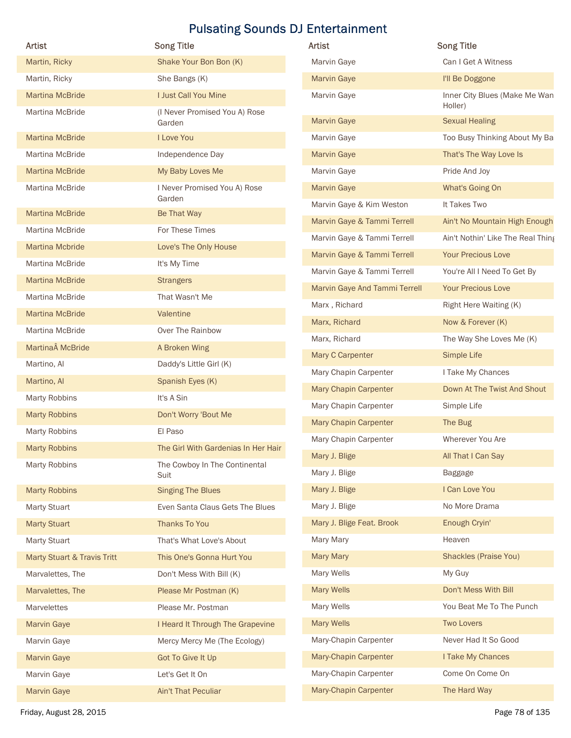| Artist                                    | <b>Song Title</b>                                     | Artist                        | <b>Song Title</b>                        |
|-------------------------------------------|-------------------------------------------------------|-------------------------------|------------------------------------------|
| Martin, Ricky                             | Shake Your Bon Bon (K)                                | Marvin Gaye                   | Can I Get A Witness                      |
| Martin, Ricky                             | She Bangs (K)                                         | <b>Marvin Gaye</b>            | I'll Be Doggone                          |
| <b>Martina McBride</b><br>Martina McBride | I Just Call You Mine<br>(I Never Promised You A) Rose | Marvin Gaye                   | Inner City Blues (Make Me Wan<br>Holler) |
|                                           | Garden                                                | <b>Marvin Gaye</b>            | <b>Sexual Healing</b>                    |
| <b>Martina McBride</b>                    | I Love You                                            | Marvin Gaye                   | Too Busy Thinking About My Ba            |
| Martina McBride                           | Independence Day                                      | <b>Marvin Gaye</b>            | That's The Way Love Is                   |
| <b>Martina McBride</b>                    | My Baby Loves Me                                      | Marvin Gaye                   | Pride And Joy                            |
| Martina McBride                           | I Never Promised You A) Rose                          | <b>Marvin Gaye</b>            | What's Going On                          |
| <b>Martina McBride</b>                    | Garden<br>Be That Way                                 | Marvin Gaye & Kim Weston      | It Takes Two                             |
| Martina McBride                           | For These Times                                       | Marvin Gaye & Tammi Terrell   | Ain't No Mountain High Enough            |
| <b>Martina Mcbride</b>                    | Love's The Only House                                 | Marvin Gaye & Tammi Terrell   | Ain't Nothin' Like The Real Thing        |
| Martina McBride                           | It's My Time                                          | Marvin Gaye & Tammi Terrell   | <b>Your Precious Love</b>                |
| <b>Martina McBride</b>                    | <b>Strangers</b>                                      | Marvin Gaye & Tammi Terrell   | You're All I Need To Get By              |
| Martina McBride                           | That Wasn't Me                                        | Marvin Gaye And Tammi Terrell | <b>Your Precious Love</b>                |
| <b>Martina McBride</b>                    | Valentine                                             | Marx, Richard                 | Right Here Waiting (K)                   |
| Martina McBride                           | Over The Rainbow                                      | Marx, Richard                 | Now & Forever (K)                        |
| Martina McBride                           | A Broken Wing                                         | Marx, Richard                 | The Way She Loves Me (K)                 |
| Martino, Al                               | Daddy's Little Girl (K)                               | Mary C Carpenter              | Simple Life                              |
| Martino, Al                               | Spanish Eyes (K)                                      | Mary Chapin Carpenter         | I Take My Chances                        |
| Marty Robbins                             | It's A Sin                                            | Mary Chapin Carpenter         | Down At The Twist And Shout              |
| <b>Marty Robbins</b>                      | Don't Worry 'Bout Me                                  | Mary Chapin Carpenter         | Simple Life                              |
| Marty Robbins                             | El Paso                                               | Mary Chapin Carpenter         | The Bug                                  |
| <b>Marty Robbins</b>                      | The Girl With Gardenias In Her Hair                   | Mary Chapin Carpenter         | Wherever You Are                         |
| Marty Robbins                             | The Cowboy In The Continental                         | Mary J. Blige                 | All That I Can Say                       |
|                                           | Suit                                                  | Mary J. Blige                 | Baggage                                  |
| <b>Marty Robbins</b>                      | <b>Singing The Blues</b>                              | Mary J. Blige                 | I Can Love You                           |
| <b>Marty Stuart</b>                       | Even Santa Claus Gets The Blues                       | Mary J. Blige                 | No More Drama                            |
| <b>Marty Stuart</b>                       | Thanks To You                                         | Mary J. Blige Feat. Brook     | Enough Cryin'                            |
| <b>Marty Stuart</b>                       | That's What Love's About                              | Mary Mary                     | Heaven                                   |
| Marty Stuart & Travis Tritt               | This One's Gonna Hurt You                             | <b>Mary Mary</b>              | <b>Shackles (Praise You)</b>             |
| Marvalettes, The                          | Don't Mess With Bill (K)                              | Mary Wells                    | My Guy                                   |
| Marvalettes, The                          | Please Mr Postman (K)                                 | <b>Mary Wells</b>             | Don't Mess With Bill                     |
| Marvelettes                               | Please Mr. Postman                                    | Mary Wells                    | You Beat Me To The Punch                 |
| <b>Marvin Gaye</b>                        | I Heard It Through The Grapevine                      | <b>Mary Wells</b>             | <b>Two Lovers</b>                        |
| Marvin Gaye                               | Mercy Mercy Me (The Ecology)                          | Mary-Chapin Carpenter         | Never Had It So Good                     |
| <b>Marvin Gaye</b>                        | Got To Give It Up                                     | Mary-Chapin Carpenter         | I Take My Chances                        |
| Marvin Gaye                               | Let's Get It On                                       | Mary-Chapin Carpenter         | Come On Come On                          |
| <b>Marvin Gaye</b>                        | Ain't That Peculiar                                   | Mary-Chapin Carpenter         | The Hard Way                             |

| Artist                             | <b>Song Title</b>                        |
|------------------------------------|------------------------------------------|
| Marvin Gaye                        | Can I Get A Witness                      |
| <b>Marvin Gaye</b>                 | I'll Be Doggone                          |
| Marvin Gaye                        | Inner City Blues (Make Me Wan<br>Holler) |
| <b>Marvin Gaye</b>                 | <b>Sexual Healing</b>                    |
| Marvin Gaye                        | Too Busy Thinking About My Ba            |
| <b>Marvin Gaye</b>                 | That's The Way Love Is                   |
| Marvin Gaye                        | Pride And Joy                            |
| <b>Marvin Gaye</b>                 | What's Going On                          |
| Marvin Gaye & Kim Weston           | It Takes Two                             |
| Marvin Gaye & Tammi Terrell        | Ain't No Mountain High Enough            |
| Marvin Gaye & Tammi Terrell        | Ain't Nothin' Like The Real Thing        |
| Marvin Gaye & Tammi Terrell        | <b>Your Precious Love</b>                |
| Marvin Gaye & Tammi Terrell        | You're All I Need To Get By              |
| Marvin Gaye And Tammi Terrell      | <b>Your Precious Love</b>                |
| Marx, Richard                      | Right Here Waiting (K)                   |
| Marx, Richard                      | Now & Forever (K)                        |
| Marx, Richard                      | The Way She Loves Me (K)                 |
| Mary C Carpenter                   | Simple Life                              |
| Mary Chapin Carpenter              | I Take My Chances                        |
| <b>Mary Chapin Carpenter</b>       | Down At The Twist And Shout              |
| Mary Chapin Carpenter              | Simple Life                              |
| <b>Mary Chapin Carpenter</b>       | The Bug                                  |
| Mary Chapin Carpenter              | Wherever You Are                         |
| Mary J. Blige <b>Mary A.</b> Blige | All That I Can Say                       |
| Mary J. Blige                      | Baggage                                  |
| Mary J. Blige                      | I Can Love You                           |
| Mary J. Blige                      | No More Drama                            |
| Mary J. Blige Feat. Brook          | Enough Cryin'                            |
| Mary Mary                          | Heaven                                   |
| <b>Mary Mary</b>                   | <b>Shackles (Praise You)</b>             |
| Mary Wells                         | My Guy                                   |
| <b>Mary Wells</b>                  | Don't Mess With Bill                     |
| Mary Wells                         | You Beat Me To The Punch                 |
| <b>Mary Wells</b>                  | <b>Two Lovers</b>                        |
| Mary-Chapin Carpenter              | Never Had It So Good                     |
| Mary-Chapin Carpenter              | I Take My Chances                        |
| Mary-Chapin Carpenter              |                                          |
|                                    | Come On Come On                          |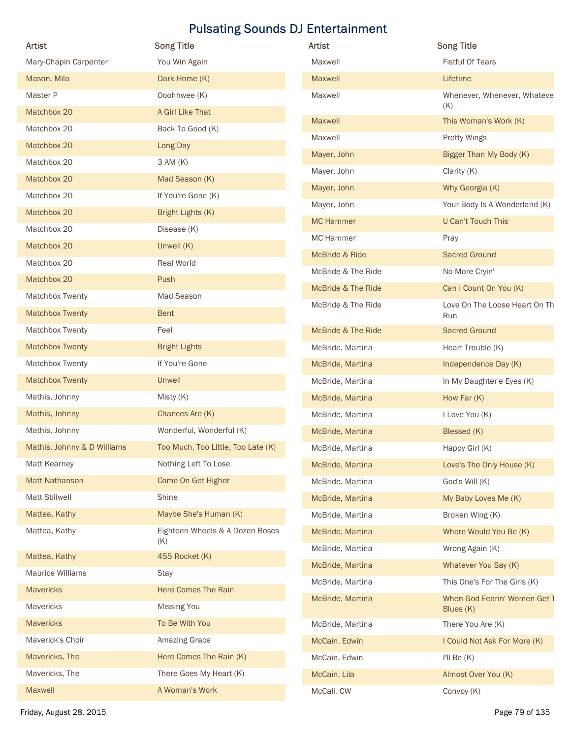| <b>Artist</b>               | <b>Song Title</b>                  | <b>Pulsating Sounds DJ Entertainment</b><br>Artist | <b>Song Title</b>             |
|-----------------------------|------------------------------------|----------------------------------------------------|-------------------------------|
| Mary-Chapin Carpenter       | You Win Again                      | Maxwell                                            | <b>Fistful Of Tears</b>       |
| Mason, Mila                 | Dark Horse (K)                     | Maxwell                                            | Lifetime                      |
| Master P                    | Ooohhwee (K)                       | Maxwell                                            | Whenever, Whenever, Whateve   |
| Matchbox 20                 | A Girl Like That                   |                                                    | (K)                           |
| Matchbox 20                 | Back To Good (K)                   | Maxwell                                            | This Woman's Work (K)         |
| Matchbox 20                 | Long Day                           | Maxwell                                            | Pretty Wings                  |
| Matchbox 20                 | 3 AM (K)                           | Mayer, John                                        | Bigger Than My Body (K)       |
| Matchbox 20                 | Mad Season (K)                     | Mayer, John                                        | Clarity (K)                   |
| Matchbox 20                 | If You're Gone (K)                 | Mayer, John                                        | Why Georgia (K)               |
| Matchbox 20                 | Bright Lights (K)                  | Mayer, John                                        | Your Body Is A Wonderland (K) |
| Matchbox 20                 | Disease (K)                        | <b>MC Hammer</b>                                   | U Can't Touch This            |
| Matchbox 20                 | Unwell (K)                         | <b>MC Hammer</b>                                   | Pray                          |
| Matchbox 20                 | Real World                         | McBride & Ride                                     | <b>Sacred Ground</b>          |
| Matchbox 20                 | Push                               | McBride & The Ride                                 | No More Cryin'                |
| Matchbox Twenty             | Mad Season                         | McBride & The Ride                                 | Can I Count On You (K)        |
| <b>Matchbox Twenty</b>      | Bent                               | McBride & The Ride                                 | Love On The Loose Heart On Th |
| Matchbox Twenty             | Feel                               | McBride & The Ride                                 | Run<br><b>Sacred Ground</b>   |
| <b>Matchbox Twenty</b>      | <b>Bright Lights</b>               |                                                    |                               |
| Matchbox Twenty             | If You're Gone                     | McBride, Martina                                   | Heart Trouble (K)             |
|                             |                                    | McBride, Martina                                   | Independence Day (K)          |
| <b>Matchbox Twenty</b>      | Unwell                             | McBride, Martina                                   | In My Daughter'e Eyes (K)     |
| Mathis, Johnny              | Misty (K)                          | McBride, Martina                                   | How Far (K)                   |
| Mathis, Johnny              | Chances Are (K)                    | McBride, Martina                                   | I Love You (K)                |
| Mathis, Johnny              | Wonderful, Wonderful (K)           | McBride, Martina                                   | Blessed (K)                   |
| Mathis, Johnny & D Williams | Too Much, Too Little, Too Late (K) | McBride, Martina                                   | Happy Girl (K)                |
| Matt Kearney                | Nothing Left To Lose               | McBride, Martina                                   | Love's The Only House (K)     |
| <b>Matt Nathanson</b>       | Come On Get Higher                 | McBride, Martina                                   | God's Will (K)                |
| <b>Matt Stillwell</b>       | Shine                              | McBride, Martina                                   | My Baby Loves Me (K)          |
| Mattea, Kathy               | Maybe She's Human (K)              | McBride, Martina                                   | Broken Wing (K)               |
| Mattea, Kathy               | Eighteen Wheels & A Dozen Roses    | McBride, Martina                                   | Where Would You Be (K)        |
| Mattea, Kathy               | (K)<br>455 Rocket (K)              | McBride, Martina                                   | Wrong Again (K)               |
| Maurice Williams            | Stay                               | McBride, Martina                                   | Whatever You Say (K)          |
| Mavericks                   | Here Comes The Rain                | McBride, Martina                                   | This One's For The Girls (K)  |
| Mavericks                   | Missing You                        | McBride, Martina                                   | When God Fearin' Women Get 1  |
| <b>Mavericks</b>            | To Be With You                     |                                                    | Blues (K)                     |
|                             |                                    | McBride, Martina                                   | There You Are (K)             |
| Maverick's Choir            | Amazing Grace                      | McCain, Edwin                                      | I Could Not Ask For More (K)  |
| Mavericks, The              | Here Comes The Rain (K)            | McCain, Edwin                                      | I'll Be $(K)$                 |
|                             | There Goes My Heart (K)            | McCain, Lila<br>McCall, CW                         | Almost Over You (K)           |
| Mavericks, The<br>Maxwell   | A Woman's Work                     |                                                    | Convoy (K)                    |

| Artist             | <b>Song Title</b>                         |
|--------------------|-------------------------------------------|
| Maxwell            | <b>Fistful Of Tears</b>                   |
| <b>Maxwell</b>     | Lifetime                                  |
| Maxwell            | Whenever, Whenever, Whateve<br>(K)        |
| <b>Maxwell</b>     | This Woman's Work (K)                     |
| Maxwell            | <b>Pretty Wings</b>                       |
| Mayer, John        | Bigger Than My Body (K)                   |
| Mayer, John        | Clarity $(K)$                             |
| Mayer, John        | Why Georgia (K)                           |
| Mayer, John        | Your Body Is A Wonderland (K)             |
| <b>MC Hammer</b>   | <b>U Can't Touch This</b>                 |
| MC Hammer          | Pray                                      |
| McBride & Ride     | <b>Sacred Ground</b>                      |
| McBride & The Ride | No More Cryin'                            |
| McBride & The Ride | Can I Count On You (K)                    |
| McBride & The Ride | Love On The Loose Heart On Th<br>Run      |
| McBride & The Ride | <b>Sacred Ground</b>                      |
| McBride, Martina   | Heart Trouble (K)                         |
| McBride, Martina   | Independence Day (K)                      |
| McBride, Martina   | In My Daughter'e Eyes (K)                 |
| McBride, Martina   | How Far (K)                               |
| McBride, Martina   | I Love You (K)                            |
| McBride, Martina   | Blessed (K)                               |
| McBride, Martina   | Happy Girl (K)                            |
| McBride, Martina   | Love's The Only House (K)                 |
| McBride, Martina   | God's Will (K)                            |
| McBride, Martina   | My Baby Loves Me (K)                      |
| McBride, Martina   | Broken Wing (K)                           |
| McBride, Martina   | Where Would You Be (K)                    |
| McBride, Martina   | Wrong Again (K)                           |
| McBride, Martina   | Whatever You Say (K)                      |
| McBride, Martina   | This One's For The Girls (K)              |
| McBride, Martina   | When God Fearin' Women Get 1<br>Blues (K) |
| McBride, Martina   | There You Are (K)                         |
| McCain, Edwin      | I Could Not Ask For More (K)              |
| McCain, Edwin      | I'll Be $(K)$                             |
| McCain, Lila       | Almost Over You (K)                       |
| McCall, CW         | Convoy (K)                                |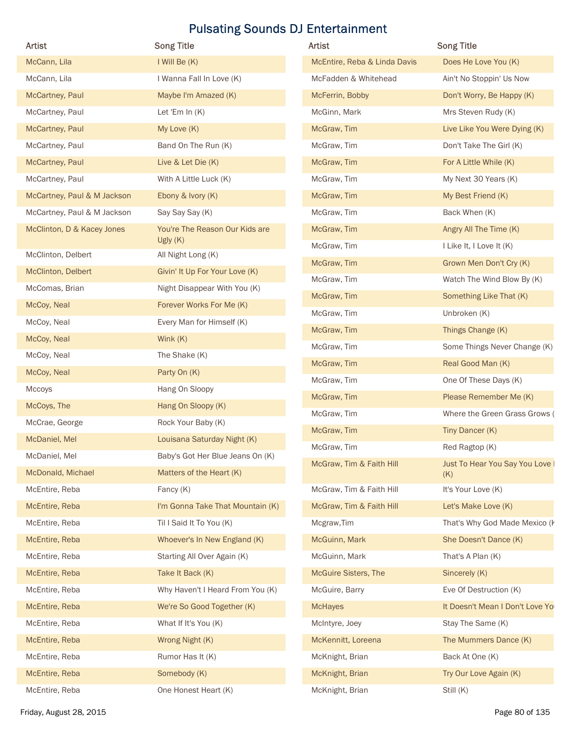| Artist                      | <b>Song Title</b>                          | Artist                       | <b>Song Title</b>                      |
|-----------------------------|--------------------------------------------|------------------------------|----------------------------------------|
| McCann, Lila                | I Will Be (K)                              | McEntire, Reba & Linda Davis | Does He Love You (K)                   |
| McCann, Lila                | I Wanna Fall In Love (K)                   | McFadden & Whitehead         | Ain't No Stoppin' Us Now               |
| McCartney, Paul             | Maybe I'm Amazed (K)                       | McFerrin, Bobby              | Don't Worry, Be Happy (K)              |
| McCartney, Paul             | Let 'Em In (K)                             | McGinn, Mark                 | Mrs Steven Rudy (K)                    |
| McCartney, Paul             | My Love (K)                                | McGraw, Tim                  | Live Like You Were Dying (K)           |
| McCartney, Paul             | Band On The Run (K)                        | McGraw, Tim                  | Don't Take The Girl (K)                |
| McCartney, Paul             | Live & Let Die (K)                         | McGraw, Tim                  | For A Little While (K)                 |
| McCartney, Paul             | With A Little Luck (K)                     | McGraw, Tim                  | My Next 30 Years (K)                   |
| McCartney, Paul & M Jackson | Ebony & Ivory (K)                          | McGraw, Tim                  | My Best Friend (K)                     |
| McCartney, Paul & M Jackson | Say Say Say (K)                            | McGraw, Tim                  | Back When (K)                          |
| McClinton, D & Kacey Jones  | You're The Reason Our Kids are<br>Ugly (K) | McGraw, Tim                  | Angry All The Time (K)                 |
| McClinton, Delbert          | All Night Long (K)                         | McGraw, Tim                  | I Like It, I Love It (K)               |
| McClinton, Delbert          | Givin' It Up For Your Love (K)             | McGraw, Tim                  | Grown Men Don't Cry (K)                |
| McComas, Brian              | Night Disappear With You (K)               | McGraw, Tim                  | Watch The Wind Blow By (K)             |
| McCoy, Neal                 | Forever Works For Me (K)                   | McGraw, Tim                  | Something Like That (K)                |
| McCoy, Neal                 | Every Man for Himself (K)                  | McGraw, Tim                  | Unbroken (K)                           |
| McCoy, Neal                 | Wink (K)                                   | McGraw, Tim                  | Things Change (K)                      |
| McCoy, Neal                 | The Shake (K)                              | McGraw, Tim                  | Some Things Never Change (K)           |
| McCoy, Neal                 | Party On (K)                               | McGraw, Tim                  | Real Good Man (K)                      |
| Mccoys                      | Hang On Sloopy                             | McGraw, Tim                  | One Of These Days (K)                  |
| McCoys, The                 | Hang On Sloopy (K)                         | McGraw, Tim                  | Please Remember Me (K)                 |
| McCrae, George              | Rock Your Baby (K)                         | McGraw, Tim                  | Where the Green Grass Grows (          |
| McDaniel, Mel               | Louisana Saturday Night (K)                | McGraw, Tim                  | Tiny Dancer (K)                        |
| McDaniel, Mel               | Baby's Got Her Blue Jeans On (K)           | McGraw, Tim                  | Red Ragtop (K)                         |
| McDonald, Michael           | Matters of the Heart (K)                   | McGraw, Tim & Faith Hill     | Just To Hear You Say You Love  <br>(K) |
| McEntire, Reba              | Fancy (K)                                  | McGraw, Tim & Faith Hill     | It's Your Love (K)                     |
| McEntire, Reba              | I'm Gonna Take That Mountain (K)           | McGraw, Tim & Faith Hill     | Let's Make Love (K)                    |
| McEntire, Reba              | Til I Said It To You (K)                   | Mcgraw, Tim                  | That's Why God Made Mexico (I          |
| McEntire, Reba              | Whoever's In New England (K)               | McGuinn, Mark                | She Doesn't Dance (K)                  |
| McEntire, Reba              | Starting All Over Again (K)                | McGuinn, Mark                | That's A Plan (K)                      |
| McEntire, Reba              | Take It Back (K)                           | <b>McGuire Sisters, The</b>  | Sincerely (K)                          |
| McEntire, Reba              | Why Haven't I Heard From You (K)           | McGuire, Barry               | Eve Of Destruction (K)                 |
| McEntire, Reba              | We're So Good Together (K)                 | <b>McHayes</b>               | It Doesn't Mean I Don't Love Yo        |
| McEntire, Reba              | What If It's You (K)                       | McIntyre, Joey               | Stay The Same (K)                      |
| McEntire, Reba              | Wrong Night (K)                            | McKennitt, Loreena           | The Mummers Dance (K)                  |
| McEntire, Reba              | Rumor Has It (K)                           | McKnight, Brian              | Back At One (K)                        |
| McEntire, Reba              | Somebody (K)                               | McKnight, Brian              | Try Our Love Again (K)                 |
|                             |                                            | McKnight, Brian              | Still (K)                              |

| Artist                       | <b>Song Title</b>                      |
|------------------------------|----------------------------------------|
| McEntire, Reba & Linda Davis | Does He Love You (K)                   |
| McFadden & Whitehead         | Ain't No Stoppin' Us Now               |
| McFerrin, Bobby              | Don't Worry, Be Happy (K)              |
| McGinn, Mark                 | Mrs Steven Rudy (K)                    |
| McGraw, Tim                  | Live Like You Were Dying (K)           |
| McGraw, Tim                  | Don't Take The Girl (K)                |
| McGraw, Tim                  | For A Little While (K)                 |
| McGraw, Tim                  | My Next 30 Years (K)                   |
| McGraw, Tim                  | My Best Friend (K)                     |
| McGraw, Tim                  | Back When (K)                          |
| McGraw, Tim                  | Angry All The Time (K)                 |
| McGraw, Tim                  | I Like It, I Love It (K)               |
| McGraw, Tim                  | Grown Men Don't Cry (K)                |
| McGraw, Tim                  | Watch The Wind Blow By (K)             |
| McGraw, Tim                  | Something Like That (K)                |
| McGraw, Tim                  | Unbroken (K)                           |
| McGraw, Tim                  | Things Change (K)                      |
| McGraw, Tim                  | Some Things Never Change (K)           |
| McGraw, Tim                  | Real Good Man (K)                      |
| McGraw, Tim                  | One Of These Days (K)                  |
| McGraw, Tim                  | Please Remember Me (K)                 |
| McGraw, Tim                  | Where the Green Grass Grows (          |
| McGraw, Tim                  | Tiny Dancer (K)                        |
| McGraw, Tim                  | Red Ragtop (K)                         |
| McGraw, Tim & Faith Hill     | Just To Hear You Say You Love  <br>(K) |
| McGraw, Tim & Faith Hill     | It's Your Love (K)                     |
| McGraw, Tim & Faith Hill     | Let's Make Love (K)                    |
| Mcgraw, Tim                  | That's Why God Made Mexico (k          |
| McGuinn, Mark                | She Doesn't Dance (K)                  |
| McGuinn, Mark                | That's A Plan (K)                      |
| <b>McGuire Sisters, The</b>  | Sincerely (K)                          |
| McGuire, Barry               | Eve Of Destruction (K)                 |
| <b>McHayes</b>               | It Doesn't Mean I Don't Love Yo        |
| McIntyre, Joey               | Stay The Same (K)                      |
| McKennitt, Loreena           | The Mummers Dance (K)                  |
| McKnight, Brian              | Back At One (K)                        |
| McKnight, Brian              | Try Our Love Again (K)                 |
| McKnight, Brian              | Still (K)                              |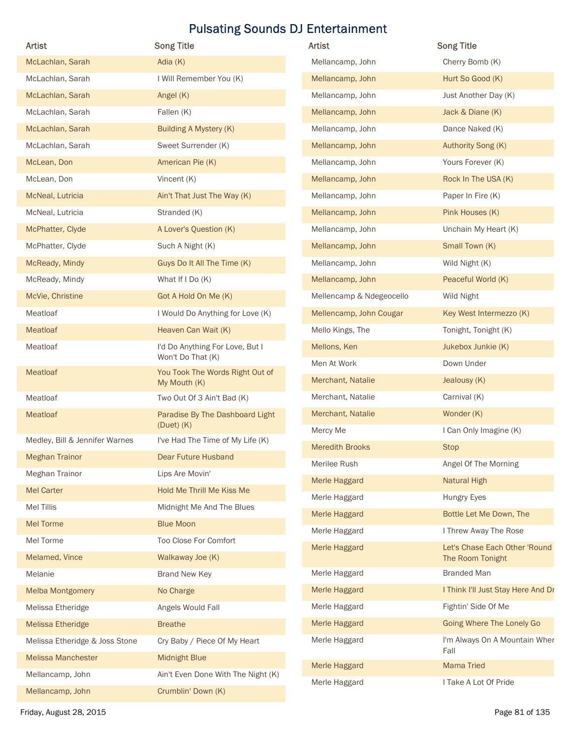| Artist                         | <b>Song Title</b>                               | <b>Pulsating Sounds DJ Entertainment</b><br>Artist | <b>Song Title</b>                  |
|--------------------------------|-------------------------------------------------|----------------------------------------------------|------------------------------------|
| McLachlan, Sarah               | Adia (K)                                        | Mellancamp, John                                   | Cherry Bomb (K)                    |
| McLachlan, Sarah               | I Will Remember You (K)                         | Mellancamp, John                                   | Hurt So Good (K)                   |
| McLachlan, Sarah               | Angel (K)                                       | Mellancamp, John                                   | Just Another Day (K)               |
| McLachlan, Sarah               | Fallen (K)                                      | Mellancamp, John                                   | Jack & Diane (K)                   |
| McLachlan, Sarah               | <b>Building A Mystery (K)</b>                   | Mellancamp, John                                   | Dance Naked (K)                    |
| McLachlan, Sarah               | Sweet Surrender (K)                             | Mellancamp, John                                   | Authority Song (K)                 |
| McLean, Don                    | American Pie (K)                                | Mellancamp, John                                   | Yours Forever (K)                  |
| McLean, Don                    | Vincent (K)                                     | Mellancamp, John                                   | Rock In The USA (K)                |
| McNeal, Lutricia               | Ain't That Just The Way (K)                     | Mellancamp, John                                   | Paper In Fire (K)                  |
| McNeal, Lutricia               | Stranded (K)                                    | Mellancamp, John                                   | Pink Houses (K)                    |
| McPhatter, Clyde               | A Lover's Question (K)                          | Mellancamp, John                                   | Unchain My Heart (K)               |
| McPhatter, Clyde               | Such A Night (K)                                | Mellancamp, John                                   | Small Town (K)                     |
| McReady, Mindy                 | Guys Do It All The Time (K)                     | Mellancamp, John                                   | Wild Night (K)                     |
| McReady, Mindy                 | What If I Do (K)                                | Mellancamp, John                                   | Peaceful World (K)                 |
| McVie, Christine               | Got A Hold On Me (K)                            | Mellencamp & Ndegeocello                           | Wild Night                         |
| Meatloaf                       | I Would Do Anything for Love (K)                | Mellencamp, John Cougar                            | Key West Intermezzo (K)            |
| Meatloaf                       | Heaven Can Wait (K)                             | Mello Kings, The                                   | Tonight, Tonight (K)               |
| Meatloaf                       | I'd Do Anything For Love, But I                 | Mellons, Ken                                       | Jukebox Junkie (K)                 |
|                                | Won't Do That (K)                               | Men At Work                                        | Down Under                         |
| Meatloaf                       | You Took The Words Right Out of<br>My Mouth (K) | Merchant, Natalie                                  | Jealousy (K)                       |
| Meatloaf                       | Two Out Of 3 Ain't Bad (K)                      | Merchant, Natalie                                  | Carnival (K)                       |
| Meatloaf                       | Paradise By The Dashboard Light                 | Merchant, Natalie                                  | Wonder (K)                         |
|                                | $(Duet)$ $(K)$                                  | Mercy Me                                           | I Can Only Imagine (K)             |
| Medley, Bill & Jennifer Warnes | I've Had The Time of My Life (K)                | <b>Meredith Brooks</b>                             | <b>Stop</b>                        |
| <b>Meghan Trainor</b>          | Dear Future Husband                             | Merilee Rush                                       | Angel Of The Morning               |
| Meghan Trainor                 | Lips Are Movin'                                 | Merle Haggard                                      | <b>Natural High</b>                |
| <b>Mel Carter</b>              | Hold Me Thrill Me Kiss Me                       | Merle Haggard                                      | Hungry Eyes                        |
| Mel Tillis                     | Midnight Me And The Blues                       | Merle Haggard                                      | Bottle Let Me Down, The            |
| <b>Mel Torme</b>               | <b>Blue Moon</b>                                | Merle Haggard                                      | I Threw Away The Rose              |
| Mel Torme                      | Too Close For Comfort                           | Merle Haggard                                      | Let's Chase Each Other 'Round      |
| Melamed, Vince                 | Walkaway Joe (K)                                |                                                    | The Room Tonight                   |
| Melanie                        | <b>Brand New Key</b>                            | Merle Haggard                                      | <b>Branded Man</b>                 |
| <b>Melba Montgomery</b>        | No Charge                                       | Merle Haggard                                      | I Think I'll Just Stay Here And Dr |
| Melissa Etheridge              | Angels Would Fall                               | Merle Haggard                                      | Fightin' Side Of Me                |
| <b>Melissa Etheridge</b>       | <b>Breathe</b>                                  | Merle Haggard                                      | Going Where The Lonely Go          |
| Melissa Etheridge & Joss Stone | Cry Baby / Piece Of My Heart                    | Merle Haggard                                      | I'm Always On A Mountain Wher      |
| <b>Melissa Manchester</b>      | Midnight Blue                                   | Merle Haggard                                      | Fall<br><b>Mama Tried</b>          |
| Mellancamp, John               | Ain't Even Done With The Night (K)              | Merle Haggard                                      | I Take A Lot Of Pride              |
|                                |                                                 |                                                    |                                    |

| Artist                   | <b>Song Title</b>                                 |
|--------------------------|---------------------------------------------------|
| Mellancamp, John         | Cherry Bomb (K)                                   |
| Mellancamp, John         | Hurt So Good (K)                                  |
| Mellancamp, John         | Just Another Day (K)                              |
| Mellancamp, John         | Jack & Diane (K)                                  |
| Mellancamp, John         | Dance Naked (K)                                   |
| Mellancamp, John         | Authority Song (K)                                |
| Mellancamp, John         | Yours Forever (K)                                 |
| Mellancamp, John         | Rock In The USA (K)                               |
| Mellancamp, John         | Paper In Fire (K)                                 |
| Mellancamp, John         | Pink Houses (K)                                   |
| Mellancamp, John         | Unchain My Heart (K)                              |
| Mellancamp, John         | Small Town (K)                                    |
| Mellancamp, John         | Wild Night (K)                                    |
| Mellancamp, John         | Peaceful World (K)                                |
| Mellencamp & Ndegeocello | Wild Night                                        |
| Mellencamp, John Cougar  | Key West Intermezzo (K)                           |
| Mello Kings, The         | Tonight, Tonight (K)                              |
| Mellons, Ken             | Jukebox Junkie (K)                                |
| Men At Work              | Down Under                                        |
| Merchant, Natalie        | Jealousy (K)                                      |
| Merchant, Natalie        | Carnival (K)                                      |
| Merchant, Natalie        | Wonder (K)                                        |
| Mercy Me                 | I Can Only Imagine (K)                            |
| <b>Meredith Brooks</b>   | <b>Stop</b>                                       |
| Merilee Rush             | Angel Of The Morning                              |
| Merle Haggard            | <b>Natural High</b>                               |
| Merle Haggard            | <b>Hungry Eyes</b>                                |
| Merle Haggard            | Bottle Let Me Down, The                           |
| Merle Haggard            | I Threw Away The Rose                             |
| Merle Haggard            | Let's Chase Each Other 'Round<br>The Room Tonight |
| Merle Haggard            | <b>Branded Man</b>                                |
| Merle Haggard            | I Think I'll Just Stay Here And Dr                |
| Merle Haggard            | Fightin' Side Of Me                               |
| Merle Haggard            | Going Where The Lonely Go                         |
| Merle Haggard            | I'm Always On A Mountain Wher<br>Fall             |
| Merle Haggard            | <b>Mama Tried</b>                                 |
| Merle Haggard            | I Take A Lot Of Pride                             |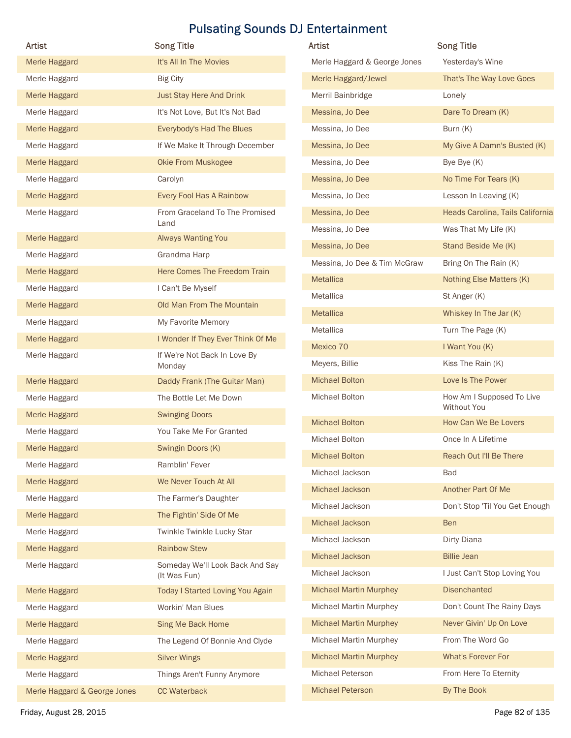| Artist        | <b>Song Title</b>                 | <b>Pulsating Sounds DJ Entertainment</b><br>Artist | <b>Song Title</b>                |
|---------------|-----------------------------------|----------------------------------------------------|----------------------------------|
| Merle Haggard | It's All In The Movies            | Merle Haggard & George Jones                       | Yesterday's Wine                 |
| Merle Haggard | <b>Big City</b>                   | Merle Haggard/Jewel                                | That's The Way Love Goes         |
| Merle Haggard | <b>Just Stay Here And Drink</b>   | Merril Bainbridge                                  | Lonely                           |
| Merle Haggard | It's Not Love, But It's Not Bad   | Messina, Jo Dee                                    | Dare To Dream (K)                |
| Merle Haggard | Everybody's Had The Blues         | Messina, Jo Dee                                    | Burn (K)                         |
| Merle Haggard | If We Make It Through December    | Messina, Jo Dee                                    | My Give A Damn's Busted (K)      |
| Merle Haggard | Okie From Muskogee                | Messina, Jo Dee                                    | Bye Bye (K)                      |
| Merle Haggard | Carolyn                           | Messina, Jo Dee                                    | No Time For Tears (K)            |
| Merle Haggard | Every Fool Has A Rainbow          | Messina, Jo Dee                                    | Lesson In Leaving (K)            |
| Merle Haggard | From Graceland To The Promised    | Messina, Jo Dee                                    | Heads Carolina, Tails California |
| Merle Haggard | Land<br>Always Wanting You        | Messina, Jo Dee                                    | Was That My Life (K)             |
| Merle Haggard | Grandma Harp                      | Messina, Jo Dee                                    | Stand Beside Me (K)              |
| Merle Haggard | Here Comes The Freedom Train      | Messina, Jo Dee & Tim McGraw                       | Bring On The Rain (K)            |
| Merle Haggard | I Can't Be Myself                 | Metallica                                          | Nothing Else Matters (K)         |
| Merle Haggard | Old Man From The Mountain         | Metallica                                          | St Anger (K)                     |
| Merle Haggard | My Favorite Memory                | Metallica                                          | Whiskey In The Jar (K)           |
| Merle Haggard | I Wonder If They Ever Think Of Me | Metallica                                          | Turn The Page (K)                |
| Merle Haggard | If We're Not Back In Love By      | Mexico 70                                          | I Want You (K)                   |
|               | Monday                            | Meyers, Billie                                     | Kiss The Rain (K)                |
| Merle Haggard | Daddy Frank (The Guitar Man)      | <b>Michael Bolton</b>                              | Love Is The Power                |
| Merle Haggard | The Bottle Let Me Down            | Michael Bolton                                     | How Am I Supposed To Live        |
| Merle Haggard | <b>Swinging Doors</b>             |                                                    | Without You                      |
| Merle Haggard | You Take Me For Granted           | <b>Michael Bolton</b>                              | How Can We Be Lovers             |
| Merle Haggard | Swingin Doors (K)                 | Michael Bolton                                     | Once In A Lifetime               |
| Merle Haggard | Ramblin' Fever                    | <b>Michael Bolton</b>                              | Reach Out I'll Be There          |
| Merle Haggard | We Never Touch At All             | Michael Jackson                                    | Bad                              |
| Merle Haggard | The Farmer's Daughter             | Michael Jackson                                    | Another Part Of Me               |
| Merle Haggard | The Fightin' Side Of Me           | Michael Jackson                                    | Don't Stop 'Til You Get Enough   |
| Merle Haggard | Twinkle Twinkle Lucky Star        | Michael Jackson                                    | Ben                              |
| Merle Haggard | <b>Rainbow Stew</b>               | Michael Jackson                                    | Dirty Diana                      |
| Merle Haggard | Someday We'll Look Back And Say   | Michael Jackson                                    | <b>Billie Jean</b>               |
|               | (It Was Fun)                      | Michael Jackson                                    | I Just Can't Stop Loving You     |
| Merle Haggard | Today I Started Loving You Again  | <b>Michael Martin Murphey</b>                      | <b>Disenchanted</b>              |
| Merle Haggard | Workin' Man Blues                 | Michael Martin Murphey                             | Don't Count The Rainy Days       |
| Merle Haggard | Sing Me Back Home                 | <b>Michael Martin Murphey</b>                      | Never Givin' Up On Love          |
|               | The Legend Of Bonnie And Clyde    | <b>Michael Martin Murphey</b>                      | From The Word Go                 |
| Merle Haggard | <b>Silver Wings</b>               | <b>Michael Martin Murphey</b>                      | What's Forever For               |
| Merle Haggard |                                   |                                                    |                                  |
| Merle Haggard | Things Aren't Funny Anymore       | Michael Peterson                                   | From Here To Eternity            |

| <b>Artist</b>                 | <b>Song Title</b>                               |
|-------------------------------|-------------------------------------------------|
| Merle Haggard & George Jones  | Yesterday's Wine                                |
| Merle Haggard/Jewel           | That's The Way Love Goes                        |
| Merril Bainbridge             | Lonely                                          |
| Messina, Jo Dee               | Dare To Dream (K)                               |
| Messina, Jo Dee               | Burn (K)                                        |
| Messina, Jo Dee               | My Give A Damn's Busted (K)                     |
| Messina, Jo Dee               | Bye Bye (K)                                     |
| Messina, Jo Dee               | No Time For Tears (K)                           |
| Messina, Jo Dee               | Lesson In Leaving (K)                           |
| Messina, Jo Dee               | Heads Carolina, Tails California                |
| Messina, Jo Dee               | Was That My Life (K)                            |
| Messina, Jo Dee               | Stand Beside Me (K)                             |
| Messina, Jo Dee & Tim McGraw  | Bring On The Rain (K)                           |
| <b>Metallica</b>              | Nothing Else Matters (K)                        |
| Metallica                     | St Anger (K)                                    |
| <b>Metallica</b>              | Whiskey In The Jar (K)                          |
| Metallica                     | Turn The Page (K)                               |
| Mexico 70                     | I Want You (K)                                  |
| Meyers, Billie                | Kiss The Rain (K)                               |
| <b>Michael Bolton</b>         | Love Is The Power                               |
| Michael Bolton                | How Am I Supposed To Live<br><b>Without You</b> |
| <b>Michael Bolton</b>         | How Can We Be Lovers                            |
| Michael Bolton                | Once In A Lifetime                              |
| <b>Michael Bolton</b>         | Reach Out I'll Be There                         |
| Michael Jackson               | <b>Bad</b>                                      |
| Michael Jackson               | Another Part Of Me                              |
| Michael Jackson               | Don't Stop 'Til You Get Enough                  |
| Michael Jackson               | <b>Ben</b>                                      |
| Michael Jackson               | Dirty Diana                                     |
| Michael Jackson               | <b>Billie Jean</b>                              |
| Michael Jackson               | I Just Can't Stop Loving You                    |
| <b>Michael Martin Murphey</b> | <b>Disenchanted</b>                             |
| <b>Michael Martin Murphey</b> | Don't Count The Rainy Days                      |
| <b>Michael Martin Murphey</b> | Never Givin' Up On Love                         |
| <b>Michael Martin Murphey</b> | From The Word Go                                |
| <b>Michael Martin Murphey</b> | <b>What's Forever For</b>                       |
| Michael Peterson              | From Here To Eternity                           |
| <b>Michael Peterson</b>       | By The Book                                     |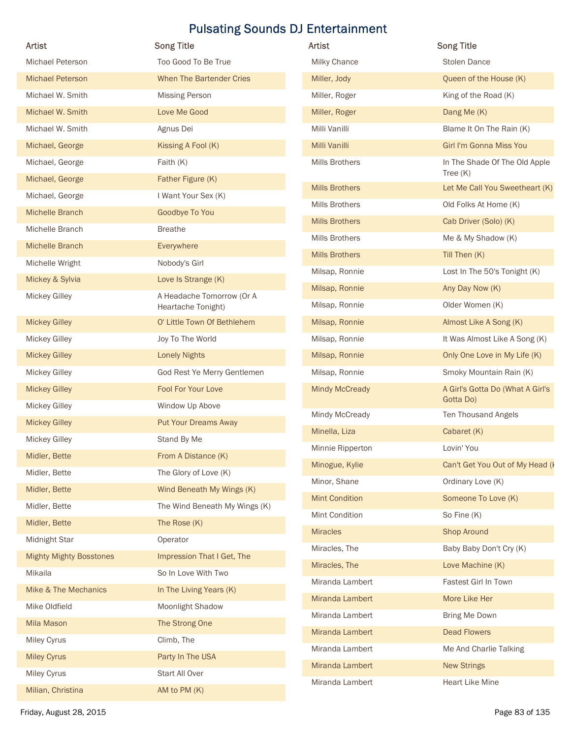| Too Good To Be True<br>When The Bartender Cries<br><b>Missing Person</b><br>Love Me Good<br>Agnus Dei<br>Kissing A Fool (K)<br>Faith (K)<br>Father Figure (K)<br>I Want Your Sex (K)<br>Goodbye To You<br><b>Breathe</b><br>Everywhere<br>Nobody's Girl<br>Love Is Strange (K)<br>A Headache Tomorrow (Or A<br>Heartache Tonight) | Milky Chance<br>Miller, Jody<br>Miller, Roger<br>Miller, Roger<br>Milli Vanilli<br>Milli Vanilli<br>Mills Brothers<br><b>Mills Brothers</b><br><b>Mills Brothers</b><br><b>Mills Brothers</b><br><b>Mills Brothers</b><br><b>Mills Brothers</b><br>Milsap, Ronnie | <b>Stolen Dance</b><br>Queen of the House (K)<br>King of the Road (K)<br>Dang Me (K)<br>Blame It On The Rain (K)<br>Girl I'm Gonna Miss You<br>In The Shade Of The Old Apple<br>Tree $(K)$<br>Let Me Call You Sweetheart (K)<br>Old Folks At Home (K)<br>Cab Driver (Solo) (K)<br>Me & My Shadow (K)<br>Till Then (K)      |
|-----------------------------------------------------------------------------------------------------------------------------------------------------------------------------------------------------------------------------------------------------------------------------------------------------------------------------------|-------------------------------------------------------------------------------------------------------------------------------------------------------------------------------------------------------------------------------------------------------------------|----------------------------------------------------------------------------------------------------------------------------------------------------------------------------------------------------------------------------------------------------------------------------------------------------------------------------|
|                                                                                                                                                                                                                                                                                                                                   |                                                                                                                                                                                                                                                                   |                                                                                                                                                                                                                                                                                                                            |
|                                                                                                                                                                                                                                                                                                                                   |                                                                                                                                                                                                                                                                   |                                                                                                                                                                                                                                                                                                                            |
|                                                                                                                                                                                                                                                                                                                                   |                                                                                                                                                                                                                                                                   |                                                                                                                                                                                                                                                                                                                            |
|                                                                                                                                                                                                                                                                                                                                   |                                                                                                                                                                                                                                                                   |                                                                                                                                                                                                                                                                                                                            |
|                                                                                                                                                                                                                                                                                                                                   |                                                                                                                                                                                                                                                                   |                                                                                                                                                                                                                                                                                                                            |
|                                                                                                                                                                                                                                                                                                                                   |                                                                                                                                                                                                                                                                   |                                                                                                                                                                                                                                                                                                                            |
|                                                                                                                                                                                                                                                                                                                                   |                                                                                                                                                                                                                                                                   |                                                                                                                                                                                                                                                                                                                            |
|                                                                                                                                                                                                                                                                                                                                   |                                                                                                                                                                                                                                                                   |                                                                                                                                                                                                                                                                                                                            |
|                                                                                                                                                                                                                                                                                                                                   |                                                                                                                                                                                                                                                                   |                                                                                                                                                                                                                                                                                                                            |
|                                                                                                                                                                                                                                                                                                                                   |                                                                                                                                                                                                                                                                   |                                                                                                                                                                                                                                                                                                                            |
|                                                                                                                                                                                                                                                                                                                                   |                                                                                                                                                                                                                                                                   |                                                                                                                                                                                                                                                                                                                            |
|                                                                                                                                                                                                                                                                                                                                   |                                                                                                                                                                                                                                                                   |                                                                                                                                                                                                                                                                                                                            |
|                                                                                                                                                                                                                                                                                                                                   |                                                                                                                                                                                                                                                                   | Lost In The 50's Tonight (K)                                                                                                                                                                                                                                                                                               |
|                                                                                                                                                                                                                                                                                                                                   | Milsap, Ronnie                                                                                                                                                                                                                                                    | Any Day Now (K)                                                                                                                                                                                                                                                                                                            |
|                                                                                                                                                                                                                                                                                                                                   | Milsap, Ronnie                                                                                                                                                                                                                                                    | Older Women (K)                                                                                                                                                                                                                                                                                                            |
| O' Little Town Of Bethlehem                                                                                                                                                                                                                                                                                                       | Milsap, Ronnie                                                                                                                                                                                                                                                    | Almost Like A Song (K)                                                                                                                                                                                                                                                                                                     |
| Joy To The World                                                                                                                                                                                                                                                                                                                  | Milsap, Ronnie                                                                                                                                                                                                                                                    | It Was Almost Like A Song (K)                                                                                                                                                                                                                                                                                              |
| <b>Lonely Nights</b>                                                                                                                                                                                                                                                                                                              | Milsap, Ronnie                                                                                                                                                                                                                                                    | Only One Love in My Life (K)                                                                                                                                                                                                                                                                                               |
| God Rest Ye Merry Gentlemen                                                                                                                                                                                                                                                                                                       | Milsap, Ronnie                                                                                                                                                                                                                                                    | Smoky Mountain Rain (K)                                                                                                                                                                                                                                                                                                    |
| Fool For Your Love                                                                                                                                                                                                                                                                                                                | <b>Mindy McCready</b>                                                                                                                                                                                                                                             | A Girl's Gotta Do (What A Girl's                                                                                                                                                                                                                                                                                           |
| Window Up Above                                                                                                                                                                                                                                                                                                                   |                                                                                                                                                                                                                                                                   | Gotta Do)                                                                                                                                                                                                                                                                                                                  |
| <b>Put Your Dreams Away</b>                                                                                                                                                                                                                                                                                                       |                                                                                                                                                                                                                                                                   | Ten Thousand Angels                                                                                                                                                                                                                                                                                                        |
| Stand By Me                                                                                                                                                                                                                                                                                                                       |                                                                                                                                                                                                                                                                   | Cabaret (K)                                                                                                                                                                                                                                                                                                                |
| From A Distance (K)                                                                                                                                                                                                                                                                                                               |                                                                                                                                                                                                                                                                   | Lovin' You                                                                                                                                                                                                                                                                                                                 |
| The Glory of Love (K)                                                                                                                                                                                                                                                                                                             |                                                                                                                                                                                                                                                                   | Can't Get You Out of My Head (I                                                                                                                                                                                                                                                                                            |
| Wind Beneath My Wings (K)                                                                                                                                                                                                                                                                                                         |                                                                                                                                                                                                                                                                   | Ordinary Love (K)                                                                                                                                                                                                                                                                                                          |
| The Wind Beneath My Wings (K)                                                                                                                                                                                                                                                                                                     |                                                                                                                                                                                                                                                                   | Someone To Love (K)                                                                                                                                                                                                                                                                                                        |
| The Rose (K)                                                                                                                                                                                                                                                                                                                      |                                                                                                                                                                                                                                                                   | So Fine (K)                                                                                                                                                                                                                                                                                                                |
| Operator                                                                                                                                                                                                                                                                                                                          |                                                                                                                                                                                                                                                                   | <b>Shop Around</b>                                                                                                                                                                                                                                                                                                         |
| Impression That I Get, The                                                                                                                                                                                                                                                                                                        |                                                                                                                                                                                                                                                                   | Baby Baby Don't Cry (K)                                                                                                                                                                                                                                                                                                    |
| So In Love With Two                                                                                                                                                                                                                                                                                                               |                                                                                                                                                                                                                                                                   | Love Machine (K)                                                                                                                                                                                                                                                                                                           |
| In The Living Years (K)                                                                                                                                                                                                                                                                                                           |                                                                                                                                                                                                                                                                   | Fastest Girl In Town                                                                                                                                                                                                                                                                                                       |
| Moonlight Shadow                                                                                                                                                                                                                                                                                                                  |                                                                                                                                                                                                                                                                   | More Like Her                                                                                                                                                                                                                                                                                                              |
| The Strong One                                                                                                                                                                                                                                                                                                                    |                                                                                                                                                                                                                                                                   | Bring Me Down                                                                                                                                                                                                                                                                                                              |
| Climb, The                                                                                                                                                                                                                                                                                                                        |                                                                                                                                                                                                                                                                   | <b>Dead Flowers</b>                                                                                                                                                                                                                                                                                                        |
| Party In The USA                                                                                                                                                                                                                                                                                                                  |                                                                                                                                                                                                                                                                   | Me And Charlie Talking                                                                                                                                                                                                                                                                                                     |
| Start All Over                                                                                                                                                                                                                                                                                                                    |                                                                                                                                                                                                                                                                   | <b>New Strings</b>                                                                                                                                                                                                                                                                                                         |
| AM to PM (K)                                                                                                                                                                                                                                                                                                                      |                                                                                                                                                                                                                                                                   | <b>Heart Like Mine</b>                                                                                                                                                                                                                                                                                                     |
|                                                                                                                                                                                                                                                                                                                                   |                                                                                                                                                                                                                                                                   | Mindy McCready<br>Minella, Liza<br>Minnie Ripperton<br>Minogue, Kylie<br>Minor, Shane<br><b>Mint Condition</b><br>Mint Condition<br><b>Miracles</b><br>Miracles, The<br>Miracles, The<br>Miranda Lambert<br>Miranda Lambert<br>Miranda Lambert<br>Miranda Lambert<br>Miranda Lambert<br>Miranda Lambert<br>Miranda Lambert |

| Artist                | <b>Song Title</b>                             |
|-----------------------|-----------------------------------------------|
| <b>Milky Chance</b>   | Stolen Dance                                  |
| Miller, Jody          | Queen of the House (K)                        |
| Miller, Roger         | King of the Road (K)                          |
| Miller, Roger         | Dang Me (K)                                   |
| Milli Vanilli         | Blame It On The Rain (K)                      |
| Milli Vanilli         | Girl I'm Gonna Miss You                       |
| Mills Brothers        | In The Shade Of The Old Apple<br>Tree $(K)$   |
| <b>Mills Brothers</b> | Let Me Call You Sweetheart (K)                |
| Mills Brothers        | Old Folks At Home (K)                         |
| <b>Mills Brothers</b> | Cab Driver (Solo) (K)                         |
| <b>Mills Brothers</b> | Me & My Shadow (K)                            |
| <b>Mills Brothers</b> | Till Then (K)                                 |
| Milsap, Ronnie        | Lost In The 50's Tonight (K)                  |
| Milsap, Ronnie        | Any Day Now (K)                               |
| Milsap, Ronnie        | Older Women (K)                               |
| Milsap, Ronnie        | Almost Like A Song (K)                        |
| Milsap, Ronnie        | It Was Almost Like A Song (K)                 |
| Milsap, Ronnie        | Only One Love in My Life (K)                  |
| Milsap, Ronnie        | Smoky Mountain Rain (K)                       |
| <b>Mindy McCready</b> | A Girl's Gotta Do (What A Girl's<br>Gotta Do) |
| Mindy McCready        | Ten Thousand Angels                           |
| Minella, Liza         | Cabaret (K)                                   |
| Minnie Ripperton      | Lovin' You                                    |
| Minogue, Kylie        | Can't Get You Out of My Head (I               |
| Minor, Shane          | Ordinary Love (K)                             |
| <b>Mint Condition</b> | Someone To Love (K)                           |
| Mint Condition        | So Fine (K)                                   |
| <b>Miracles</b>       | <b>Shop Around</b>                            |
| Miracles, The         | Baby Baby Don't Cry (K)                       |
| Miracles, The         | Love Machine (K)                              |
| Miranda Lambert       | Fastest Girl In Town                          |
| Miranda Lambert       | More Like Her                                 |
| Miranda Lambert       | Bring Me Down                                 |
| Miranda Lambert       | <b>Dead Flowers</b>                           |
| Miranda Lambert       | Me And Charlie Talking                        |
| Miranda Lambert       | <b>New Strings</b>                            |
| Miranda Lambert       | Heart Like Mine                               |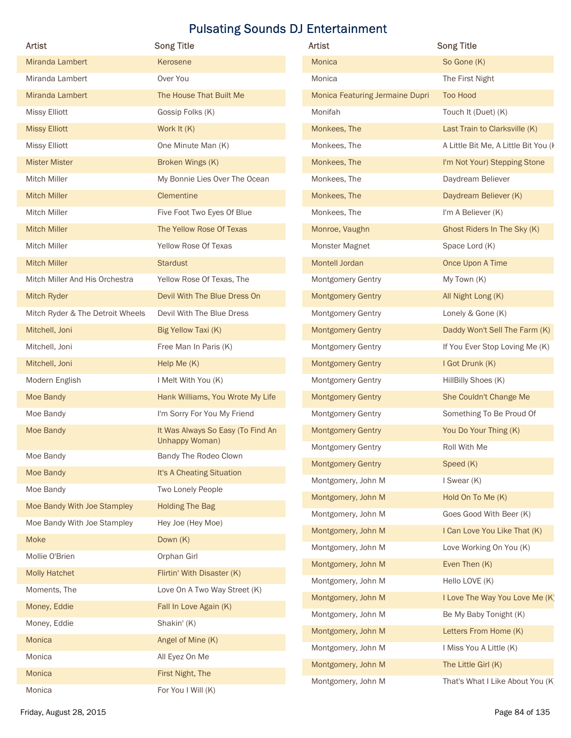| <b>Artist</b>                    | <b>Song Title</b>                                   | Artist                                   | <b>Song Title</b>                                |
|----------------------------------|-----------------------------------------------------|------------------------------------------|--------------------------------------------------|
| Miranda Lambert                  | Kerosene                                            | <b>Monica</b>                            | So Gone (K)                                      |
| Miranda Lambert                  | Over You                                            | Monica                                   | The First Night                                  |
| Miranda Lambert                  | The House That Built Me                             | Monica Featuring Jermaine Dupri          | <b>Too Hood</b>                                  |
| <b>Missy Elliott</b>             | Gossip Folks (K)                                    | Monifah                                  | Touch It (Duet) (K)                              |
| <b>Missy Elliott</b>             | Work It (K)                                         | Monkees, The                             | Last Train to Clarksville (K)                    |
| <b>Missy Elliott</b>             | One Minute Man (K)                                  | Monkees, The                             | A Little Bit Me, A Little Bit You (k             |
| <b>Mister Mister</b>             | Broken Wings (K)                                    | Monkees, The                             | I'm Not Your) Stepping Stone                     |
| Mitch Miller                     | My Bonnie Lies Over The Ocean                       | Monkees, The                             | Daydream Believer                                |
| <b>Mitch Miller</b>              | Clementine                                          | Monkees, The                             | Daydream Believer (K)                            |
| Mitch Miller                     | Five Foot Two Eyes Of Blue                          | Monkees, The                             | I'm A Believer (K)                               |
| <b>Mitch Miller</b>              | The Yellow Rose Of Texas                            | Monroe, Vaughn                           | Ghost Riders In The Sky (K)                      |
| Mitch Miller                     | Yellow Rose Of Texas                                | Monster Magnet                           | Space Lord (K)                                   |
| <b>Mitch Miller</b>              | <b>Stardust</b>                                     | Montell Jordan                           | Once Upon A Time                                 |
| Mitch Miller And His Orchestra   | Yellow Rose Of Texas, The                           | Montgomery Gentry                        | My Town (K)                                      |
| Mitch Ryder                      | Devil With The Blue Dress On                        | <b>Montgomery Gentry</b>                 | All Night Long (K)                               |
| Mitch Ryder & The Detroit Wheels | Devil With The Blue Dress                           | <b>Montgomery Gentry</b>                 | Lonely & Gone (K)                                |
| Mitchell, Joni                   | Big Yellow Taxi (K)                                 | <b>Montgomery Gentry</b>                 | Daddy Won't Sell The Farm (K)                    |
| Mitchell, Joni                   | Free Man In Paris (K)                               | Montgomery Gentry                        | If You Ever Stop Loving Me (K)                   |
| Mitchell, Joni                   | Help Me (K)                                         | <b>Montgomery Gentry</b>                 | I Got Drunk (K)                                  |
| Modern English                   | I Melt With You (K)                                 | Montgomery Gentry                        | HillBilly Shoes (K)                              |
| Moe Bandy                        | Hank Williams, You Wrote My Life                    | <b>Montgomery Gentry</b>                 | She Couldn't Change Me                           |
| Moe Bandy                        | I'm Sorry For You My Friend                         | Montgomery Gentry                        | Something To Be Proud Of                         |
| Moe Bandy                        | It Was Always So Easy (To Find An<br>Unhappy Woman) | <b>Montgomery Gentry</b>                 | You Do Your Thing (K)                            |
| Moe Bandy                        | Bandy The Rodeo Clown                               | Montgomery Gentry                        | Roll With Me                                     |
| Moe Bandy                        | It's A Cheating Situation                           | <b>Montgomery Gentry</b>                 | Speed (K)                                        |
| Moe Bandy                        | Two Lonely People                                   | Montgomery, John M                       | I Swear (K)                                      |
| Moe Bandy With Joe Stampley      | <b>Holding The Bag</b>                              | Montgomery, John M                       | Hold On To Me (K)                                |
| Moe Bandy With Joe Stampley      | Hey Joe (Hey Moe)                                   | Montgomery, John M                       | Goes Good With Beer (K)                          |
| Moke                             | Down (K)                                            | Montgomery, John M                       | I Can Love You Like That (K)                     |
| Mollie O'Brien                   | Orphan Girl                                         | Montgomery, John M                       | Love Working On You (K)                          |
| <b>Molly Hatchet</b>             | Flirtin' With Disaster (K)                          | Montgomery, John M                       | Even Then (K)                                    |
| Moments, The                     | Love On A Two Way Street (K)                        | Montgomery, John M                       | Hello LOVE (K)                                   |
| Money, Eddie                     | Fall In Love Again (K)                              | Montgomery, John M                       | I Love The Way You Love Me (K)                   |
| Money, Eddie                     | Shakin' (K)                                         | Montgomery, John M                       | Be My Baby Tonight (K)                           |
| Monica                           | Angel of Mine (K)                                   | Montgomery, John M<br>Montgomery, John M | Letters From Home (K)<br>I Miss You A Little (K) |
| Monica                           | All Eyez On Me                                      | Montgomery, John M                       | The Little Girl (K)                              |
|                                  | First Night, The                                    | Montgomery, John M                       | That's What I Like About You (K)                 |
| Monica                           |                                                     |                                          |                                                  |

| <b>Artist</b>                   | <b>Song Title</b>                    |
|---------------------------------|--------------------------------------|
| <b>Monica</b>                   | So Gone (K)                          |
| Monica                          | The First Night                      |
| Monica Featuring Jermaine Dupri | <b>Too Hood</b>                      |
| Monifah                         | Touch It (Duet) (K)                  |
| Monkees, The                    | Last Train to Clarksville (K)        |
| Monkees, The                    | A Little Bit Me, A Little Bit You (k |
| Monkees, The                    | I'm Not Your) Stepping Stone         |
| Monkees, The                    | Daydream Believer                    |
| Monkees, The                    | Daydream Believer (K)                |
| Monkees, The                    | I'm A Believer (K)                   |
| Monroe, Vaughn                  | Ghost Riders In The Sky (K)          |
| Monster Magnet                  | Space Lord (K)                       |
| Montell Jordan                  | Once Upon A Time                     |
| <b>Montgomery Gentry</b>        | My Town (K)                          |
| <b>Montgomery Gentry</b>        | All Night Long (K)                   |
| <b>Montgomery Gentry</b>        | Lonely & Gone (K)                    |
| <b>Montgomery Gentry</b>        | Daddy Won't Sell The Farm (K)        |
| <b>Montgomery Gentry</b>        | If You Ever Stop Loving Me (K)       |
| <b>Montgomery Gentry</b>        | I Got Drunk (K)                      |
| <b>Montgomery Gentry</b>        | HillBilly Shoes (K)                  |
| <b>Montgomery Gentry</b>        | She Couldn't Change Me               |
| <b>Montgomery Gentry</b>        | Something To Be Proud Of             |
| <b>Montgomery Gentry</b>        | You Do Your Thing (K)                |
| <b>Montgomery Gentry</b>        | Roll With Me                         |
| <b>Montgomery Gentry</b>        | Speed (K)                            |
| Montgomery, John M              | I Swear (K)                          |
| Montgomery, John M              | Hold On To Me (K)                    |
| Montgomery, John M              | Goes Good With Beer (K)              |
| Montgomery, John M              | I Can Love You Like That (K)         |
| Montgomery, John M              | Love Working On You (K)              |
| Montgomery, John M              | Even Then (K)                        |
| Montgomery, John M              | Hello LOVE (K)                       |
| Montgomery, John M              | I Love The Way You Love Me (K)       |
| Montgomery, John M              | Be My Baby Tonight (K)               |
| Montgomery, John M              | Letters From Home (K)                |
| Montgomery, John M              | I Miss You A Little (K)              |
| Montgomery, John M              | The Little Girl (K)                  |
| Montgomery, John M              | That's What I Like About You (K)     |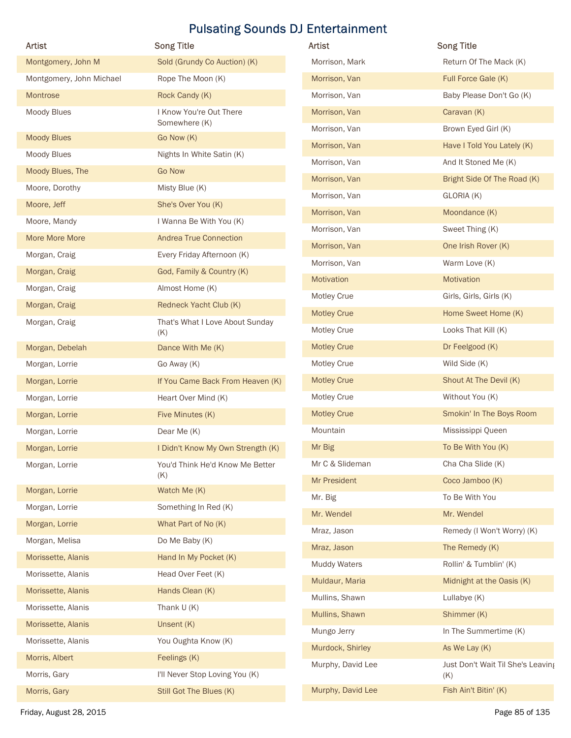| Artist                      | <b>Song Title</b>                                         | Artist              | <b>Song Title</b>                 |
|-----------------------------|-----------------------------------------------------------|---------------------|-----------------------------------|
| Montgomery, John M          | Sold (Grundy Co Auction) (K)                              | Morrison, Mark      | Return Of The Mack (K)            |
| Montgomery, John Michael    | Rope The Moon (K)                                         | Morrison, Van       | Full Force Gale (K)               |
| Montrose                    | Rock Candy (K)                                            | Morrison, Van       | Baby Please Don't Go (K)          |
| Moody Blues                 | I Know You're Out There                                   | Morrison, Van       | Caravan (K)                       |
| <b>Moody Blues</b>          | Somewhere (K)<br>Go Now (K)                               | Morrison, Van       | Brown Eyed Girl (K)               |
| Moody Blues                 | Nights In White Satin (K)                                 | Morrison, Van       | Have I Told You Lately (K)        |
| Moody Blues, The            | <b>Go Now</b>                                             | Morrison, Van       | And It Stoned Me (K)              |
| Moore, Dorothy              |                                                           | Morrison, Van       | Bright Side Of The Road (K)       |
|                             | Misty Blue (K)<br>She's Over You (K)                      | Morrison, Van       | GLORIA (K)                        |
| Moore, Jeff<br>Moore, Mandy | I Wanna Be With You (K)                                   | Morrison, Van       | Moondance (K)                     |
| More More More              | <b>Andrea True Connection</b>                             | Morrison, Van       | Sweet Thing (K)                   |
| Morgan, Craig               |                                                           | Morrison, Van       | One Irish Rover (K)               |
|                             | Every Friday Afternoon (K)                                | Morrison, Van       | Warm Love (K)                     |
| Morgan, Craig               | God, Family & Country (K)                                 | Motivation          | Motivation                        |
| Morgan, Craig               | Almost Home (K)                                           | Motley Crue         | Girls, Girls, Girls (K)           |
| Morgan, Craig               | Redneck Yacht Club (K)                                    | <b>Motley Crue</b>  | Home Sweet Home (K)               |
| Morgan, Craig               | That's What I Love About Sunday<br>(K)                    | Motley Crue         | Looks That Kill (K)               |
| Morgan, Debelah             | Dance With Me (K)                                         | <b>Motley Crue</b>  | Dr Feelgood (K)                   |
| Morgan, Lorrie              | Go Away (K)                                               | Motley Crue         | Wild Side (K)                     |
| Morgan, Lorrie              | If You Came Back From Heaven (K)                          | <b>Motley Crue</b>  | Shout At The Devil (K)            |
| Morgan, Lorrie              | Heart Over Mind (K)                                       | Motley Crue         | Without You (K)                   |
| Morgan, Lorrie              | Five Minutes (K)                                          | <b>Motley Crue</b>  | Smokin' In The Boys Room          |
| Morgan, Lorrie              | Dear Me (K)                                               | Mountain            | Mississippi Queen                 |
| Morgan, Lorrie              | I Didn't Know My Own Strength (K)                         | Mr Big              | To Be With You (K)                |
| Morgan, Lorrie              | You'd Think He'd Know Me Better                           | Mr C & Slideman     | Cha Cha Slide (K)                 |
|                             | (K)                                                       | Mr President        | Coco Jamboo (K)                   |
| Morgan, Lorrie              | Watch Me (K)                                              | Mr. Big             | To Be With You                    |
| Morgan, Lorrie              | Something In Red (K)                                      | Mr. Wendel          | Mr. Wendel                        |
| Morgan, Lorrie              | What Part of No (K)                                       | Mraz, Jason         | Remedy (I Won't Worry) (K)        |
| Morgan, Melisa              | Do Me Baby (K)                                            | Mraz, Jason         | The Remedy (K)                    |
| Morissette, Alanis          | Hand In My Pocket (K)                                     | <b>Muddy Waters</b> | Rollin' & Tumblin' (K)            |
| Morissette, Alanis          | Head Over Feet (K)                                        | Muldaur, Maria      | Midnight at the Oasis (K)         |
| Morissette, Alanis          | Hands Clean (K)                                           | Mullins, Shawn      | Lullabye (K)                      |
| Morissette, Alanis          | Thank $U(K)$                                              | Mullins, Shawn      | Shimmer (K)                       |
| Morissette, Alanis          | Unsent (K)                                                | Mungo Jerry         | In The Summertime (K)             |
| Morissette, Alanis          | You Oughta Know (K)                                       | Murdock, Shirley    | As We Lay (K)                     |
| Morris, Albert              | Feelings (K)                                              | Murphy, David Lee   | Just Don't Wait Til She's Leaving |
| Morris, Gary                | I'll Never Stop Loving You (K)<br>Still Got The Blues (K) | Murphy, David Lee   | (K)<br>Fish Ain't Bitin' (K)      |
| Morris, Gary                |                                                           |                     |                                   |

| Artist              | <b>Song Title</b>                 |
|---------------------|-----------------------------------|
| Morrison, Mark      | Return Of The Mack (K)            |
| Morrison, Van       | Full Force Gale (K)               |
| Morrison, Van       | Baby Please Don't Go (K)          |
| Morrison, Van       | Caravan (K)                       |
| Morrison, Van       | Brown Eyed Girl (K)               |
| Morrison, Van       | Have I Told You Lately (K)        |
| Morrison, Van       | And It Stoned Me (K)              |
| Morrison, Van       | Bright Side Of The Road (K)       |
| Morrison, Van       | GLORIA (K)                        |
| Morrison, Van       | Moondance (K)                     |
| Morrison, Van       | Sweet Thing (K)                   |
| Morrison, Van       | One Irish Rover (K)               |
| Morrison, Van       | Warm Love (K)                     |
| Motivation          | Motivation                        |
| Motley Crue         | Girls, Girls, Girls (K)           |
| <b>Motley Crue</b>  | Home Sweet Home (K)               |
| Motley Crue         | Looks That Kill (K)               |
| <b>Motley Crue</b>  | Dr Feelgood (K)                   |
| Motley Crue         | Wild Side (K)                     |
| <b>Motley Crue</b>  | Shout At The Devil (K)            |
| Motley Crue         | Without You (K)                   |
| <b>Motley Crue</b>  | Smokin' In The Boys Room          |
| Mountain            | Mississippi Queen                 |
| Mr Big              | To Be With You (K)                |
| Mr C & Slideman     | Cha Cha Slide (K)                 |
| Mr President        | Coco Jamboo (K)                   |
| Mr. Big             | To Be With You                    |
| Mr. Wendel          | Mr. Wendel                        |
| Mraz, Jason         | Remedy (I Won't Worry) (K)        |
| Mraz, Jason         | The Remedy (K)                    |
| <b>Muddy Waters</b> | Rollin' & Tumblin' (K)            |
| Muldaur, Maria      | Midnight at the Oasis (K)         |
| Mullins, Shawn      | Lullabye (K)                      |
| Mullins, Shawn      | Shimmer (K)                       |
| Mungo Jerry         | In The Summertime (K)             |
| Murdock, Shirley    | As We Lay (K)                     |
| Murphy, David Lee   | Just Don't Wait Til She's Leaving |
|                     | (K)                               |
| Murphy, David Lee   | Fish Ain't Bitin' (K)             |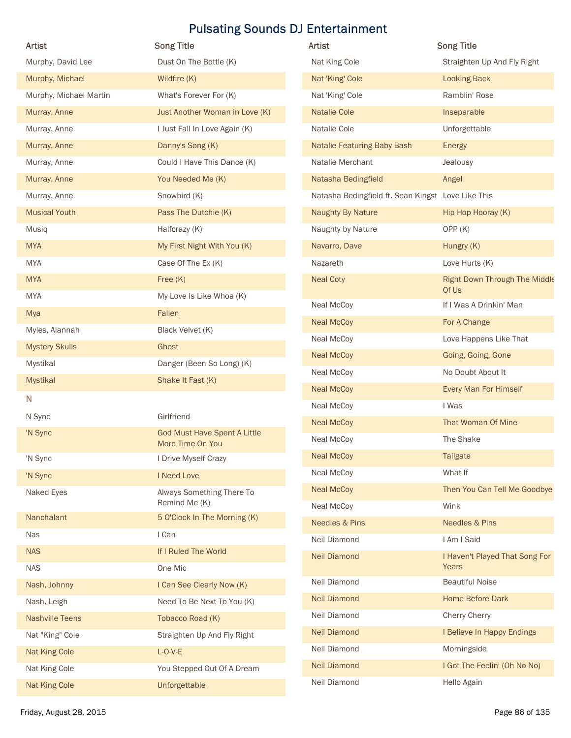|                        |                                            | <b>Pulsating Sounds DJ Entertainment</b>           |                                         |
|------------------------|--------------------------------------------|----------------------------------------------------|-----------------------------------------|
| Artist                 | <b>Song Title</b>                          | Artist                                             | <b>Song Title</b>                       |
| Murphy, David Lee      | Dust On The Bottle (K)                     | Nat King Cole                                      | Straighten Up And Fly Right             |
| Murphy, Michael        | Wildfire (K)                               | Nat 'King' Cole                                    | <b>Looking Back</b>                     |
| Murphy, Michael Martin | What's Forever For (K)                     | Nat 'King' Cole                                    | Ramblin' Rose                           |
| Murray, Anne           | Just Another Woman in Love (K)             | <b>Natalie Cole</b>                                | Inseparable                             |
| Murray, Anne           | I Just Fall In Love Again (K)              | Natalie Cole                                       | Unforgettable                           |
| Murray, Anne           | Danny's Song (K)                           | Natalie Featuring Baby Bash                        | Energy                                  |
| Murray, Anne           | Could I Have This Dance (K)                | Natalie Merchant                                   | Jealousy                                |
| Murray, Anne           | You Needed Me (K)                          | Natasha Bedingfield                                | Angel                                   |
| Murray, Anne           | Snowbird (K)                               | Natasha Bedingfield ft. Sean Kingst Love Like This |                                         |
| <b>Musical Youth</b>   | Pass The Dutchie (K)                       | Naughty By Nature                                  | Hip Hop Hooray (K)                      |
| Musiq                  | Halfcrazy (K)                              | Naughty by Nature                                  | OPP(K)                                  |
| <b>MYA</b>             | My First Night With You (K)                | Navarro, Dave                                      | Hungry (K)                              |
| <b>MYA</b>             | Case Of The Ex (K)                         | Nazareth                                           | Love Hurts (K)                          |
| <b>MYA</b>             | Free $(K)$                                 | <b>Neal Coty</b>                                   | Right Down Through The Middle           |
| <b>MYA</b>             | My Love Is Like Whoa (K)                   | Neal McCoy                                         | Of Us<br>If I Was A Drinkin' Man        |
| Mya                    | Fallen                                     | <b>Neal McCoy</b>                                  | For A Change                            |
| Myles, Alannah         | Black Velvet (K)                           |                                                    | Love Happens Like That                  |
| <b>Mystery Skulls</b>  | Ghost                                      | Neal McCoy<br><b>Neal McCoy</b>                    |                                         |
| Mystikal               | Danger (Been So Long) (K)                  |                                                    | Going, Going, Gone                      |
| Mystikal               | Shake It Fast (K)                          | Neal McCoy                                         | No Doubt About It                       |
| N                      |                                            | <b>Neal McCoy</b>                                  | Every Man For Himself                   |
| N Sync                 | Girlfriend                                 | Neal McCoy                                         | I Was                                   |
| 'N Sync                | <b>God Must Have Spent A Little</b>        | <b>Neal McCoy</b>                                  | That Woman Of Mine                      |
|                        | More Time On You                           | Neal McCoy                                         | The Shake                               |
| 'N Sync                | I Drive Myself Crazy                       | <b>Neal McCoy</b>                                  | Tailgate                                |
| 'N Sync                | I Need Love                                | Neal McCoy                                         | What If                                 |
| Naked Eyes             | Always Something There To<br>Remind Me (K) | <b>Neal McCoy</b>                                  | Then You Can Tell Me Goodbye            |
| Nanchalant             | 5 O'Clock In The Morning (K)               | Neal McCoy                                         | Wink                                    |
| Nas                    | I Can                                      | <b>Needles &amp; Pins</b>                          | Needles & Pins                          |
| <b>NAS</b>             | If I Ruled The World                       | Neil Diamond                                       | I Am I Said                             |
| <b>NAS</b>             | One Mic                                    | <b>Neil Diamond</b>                                | I Haven't Played That Song For<br>Years |
| Nash, Johnny           | I Can See Clearly Now (K)                  | Neil Diamond                                       | <b>Beautiful Noise</b>                  |
| Nash, Leigh            | Need To Be Next To You (K)                 | <b>Neil Diamond</b>                                | Home Before Dark                        |
| <b>Nashville Teens</b> | Tobacco Road (K)                           | Neil Diamond                                       | <b>Cherry Cherry</b>                    |
|                        |                                            | <b>Neil Diamond</b>                                | I Believe In Happy Endings              |
| Nat "King" Cole        | Straighten Up And Fly Right                | Neil Diamond                                       | Morningside                             |
| Nat King Cole          | $L-O-V-E$                                  | <b>Neil Diamond</b>                                | I Got The Feelin' (Oh No No)            |
| Nat King Cole          | You Stepped Out Of A Dream                 | Neil Diamond                                       | Hello Again                             |
| Nat King Cole          | Unforgettable                              |                                                    |                                         |

| Artist                                             | <b>Song Title</b>                       |
|----------------------------------------------------|-----------------------------------------|
| Nat King Cole                                      | Straighten Up And Fly Right             |
| Nat 'King' Cole                                    | <b>Looking Back</b>                     |
| Nat 'King' Cole                                    | Ramblin' Rose                           |
| <b>Natalie Cole</b>                                | Inseparable                             |
| Natalie Cole                                       | Unforgettable                           |
| <b>Natalie Featuring Baby Bash</b>                 | <b>Energy</b>                           |
| Natalie Merchant                                   | Jealousy                                |
| Natasha Bedingfield                                | Angel                                   |
| Natasha Bedingfield ft. Sean Kingst Love Like This |                                         |
| <b>Naughty By Nature</b>                           | Hip Hop Hooray (K)                      |
| Naughty by Nature                                  | OPP(K)                                  |
| Navarro, Dave                                      | Hungry (K)                              |
| Nazareth                                           | Love Hurts (K)                          |
| <b>Neal Coty</b>                                   | Right Down Through The Middle<br>Of Us  |
| Neal McCoy                                         | If I Was A Drinkin' Man                 |
| <b>Neal McCoy</b>                                  | For A Change                            |
| Neal McCoy                                         | Love Happens Like That                  |
| <b>Neal McCoy</b>                                  | Going, Going, Gone                      |
| Neal McCoy                                         | No Doubt About It                       |
| <b>Neal McCoy</b>                                  | Every Man For Himself                   |
| Neal McCoy                                         | I Was                                   |
| <b>Neal McCoy</b>                                  | That Woman Of Mine                      |
| Neal McCoy                                         | The Shake                               |
| <b>Neal McCoy</b>                                  | <b>Tailgate</b>                         |
| Neal McCoy                                         | What If                                 |
| <b>Neal McCoy</b>                                  | Then You Can Tell Me Goodbye            |
| Neal McCoy                                         | Wink                                    |
| <b>Needles &amp; Pins</b>                          | <b>Needles &amp; Pins</b>               |
| Neil Diamond                                       | I Am I Said                             |
| <b>Neil Diamond</b>                                | I Haven't Played That Song For<br>Years |
| <b>Neil Diamond</b>                                | <b>Beautiful Noise</b>                  |
| <b>Neil Diamond</b>                                | <b>Home Before Dark</b>                 |
| Neil Diamond                                       | Cherry Cherry                           |
| <b>Neil Diamond</b>                                | I Believe In Happy Endings              |
| Neil Diamond                                       | Morningside                             |
| <b>Neil Diamond</b>                                | I Got The Feelin' (Oh No No)            |
| Neil Diamond                                       | Hello Again                             |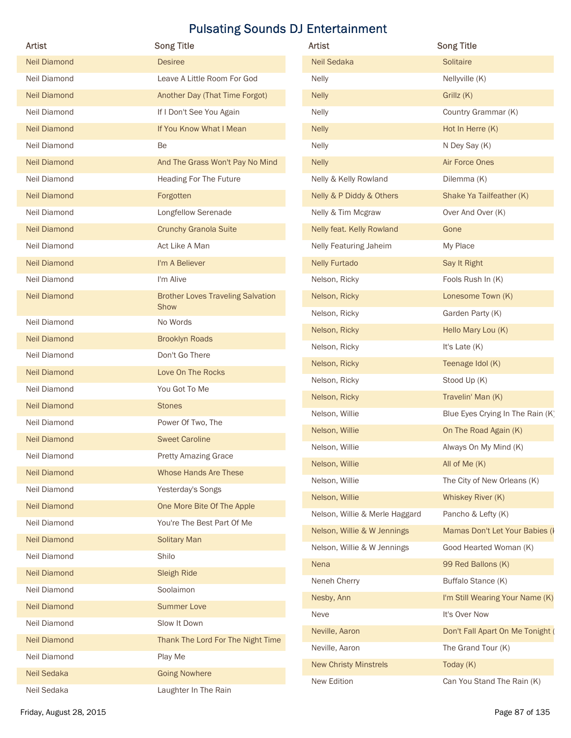| Artist                              | <b>Song Title</b>                        | Artist                         | <b>Song Title</b>                |
|-------------------------------------|------------------------------------------|--------------------------------|----------------------------------|
| <b>Neil Diamond</b>                 | <b>Desiree</b>                           | Neil Sedaka                    | Solitaire                        |
| Neil Diamond                        | Leave A Little Room For God              | <b>Nelly</b>                   | Nellyville (K)                   |
| <b>Neil Diamond</b>                 | Another Day (That Time Forgot)           | <b>Nelly</b>                   | Grillz (K)                       |
| Neil Diamond                        | If I Don't See You Again                 | <b>Nelly</b>                   | Country Grammar (K)              |
| <b>Neil Diamond</b>                 | If You Know What I Mean                  | <b>Nelly</b>                   | Hot In Herre (K)                 |
| Neil Diamond                        | Be                                       | <b>Nelly</b>                   | N Dey Say (K)                    |
| <b>Neil Diamond</b>                 | And The Grass Won't Pay No Mind          | <b>Nelly</b>                   | Air Force Ones                   |
| Neil Diamond                        | Heading For The Future                   | Nelly & Kelly Rowland          | Dilemma (K)                      |
| <b>Neil Diamond</b>                 | Forgotten                                | Nelly & P Diddy & Others       | Shake Ya Tailfeather (K)         |
| Neil Diamond                        | Longfellow Serenade                      | Nelly & Tim Mcgraw             | Over And Over (K)                |
| <b>Neil Diamond</b>                 | <b>Crunchy Granola Suite</b>             | Nelly feat. Kelly Rowland      | Gone                             |
| Neil Diamond                        | Act Like A Man                           | Nelly Featuring Jaheim         | My Place                         |
| <b>Neil Diamond</b>                 | I'm A Believer                           | <b>Nelly Furtado</b>           | Say It Right                     |
| Neil Diamond                        | I'm Alive                                | Nelson, Ricky                  | Fools Rush In (K)                |
| <b>Neil Diamond</b>                 | <b>Brother Loves Traveling Salvation</b> | Nelson, Ricky                  | Lonesome Town (K)                |
|                                     | Show                                     | Nelson, Ricky                  | Garden Party (K)                 |
| Neil Diamond                        | No Words                                 | Nelson, Ricky                  | Hello Mary Lou (K)               |
| <b>Neil Diamond</b>                 | <b>Brooklyn Roads</b><br>Don't Go There  | Nelson, Ricky                  | It's Late (K)                    |
| Neil Diamond                        | Love On The Rocks                        | Nelson, Ricky                  | Teenage Idol (K)                 |
| <b>Neil Diamond</b><br>Neil Diamond | You Got To Me                            | Nelson, Ricky                  | Stood Up (K)                     |
| <b>Neil Diamond</b>                 | <b>Stones</b>                            | Nelson, Ricky                  | Travelin' Man (K)                |
| Neil Diamond                        | Power Of Two, The                        | Nelson, Willie                 | Blue Eyes Crying In The Rain (K) |
| <b>Neil Diamond</b>                 | <b>Sweet Caroline</b>                    | Nelson, Willie                 | On The Road Again (K)            |
| Neil Diamond                        | <b>Pretty Amazing Grace</b>              | Nelson, Willie                 | Always On My Mind (K)            |
| <b>Neil Diamond</b>                 | Whose Hands Are These                    | Nelson, Willie                 | All of Me (K)                    |
| Neil Diamond                        | Yesterday's Songs                        | Nelson, Willie                 | The City of New Orleans (K)      |
| <b>Neil Diamond</b>                 | One More Bite Of The Apple               | Nelson, Willie                 | Whiskey River (K)                |
| Neil Diamond                        | You're The Best Part Of Me               | Nelson, Willie & Merle Haggard | Pancho & Lefty (K)               |
| <b>Neil Diamond</b>                 | <b>Solitary Man</b>                      | Nelson, Willie & W Jennings    | Mamas Don't Let Your Babies (I   |
| Neil Diamond                        | Shilo                                    | Nelson, Willie & W Jennings    | Good Hearted Woman (K)           |
| <b>Neil Diamond</b>                 | <b>Sleigh Ride</b>                       | Nena                           | 99 Red Ballons (K)               |
| Neil Diamond                        | Soolaimon                                | Neneh Cherry                   | Buffalo Stance (K)               |
| <b>Neil Diamond</b>                 | <b>Summer Love</b>                       | Nesby, Ann                     | I'm Still Wearing Your Name (K)  |
| Neil Diamond                        | Slow It Down                             | Neve                           | It's Over Now                    |
| Neil Diamond                        | Thank The Lord For The Night Time        | Neville, Aaron                 | Don't Fall Apart On Me Tonight ( |
| Neil Diamond                        | Play Me                                  | Neville, Aaron                 | The Grand Tour (K)               |
|                                     |                                          | <b>New Christy Minstrels</b>   | Today (K)                        |
| Neil Sedaka                         | <b>Going Nowhere</b>                     | New Edition                    | Can You Stand The Rain (K)       |

| Neil Sedaka<br><b>Solitaire</b>                               |
|---------------------------------------------------------------|
| Nellyville (K)<br><b>Nelly</b>                                |
| <b>Nelly</b><br>Grillz (K)                                    |
| Country Grammar (K)<br><b>Nelly</b>                           |
| Hot In Herre (K)<br><b>Nelly</b>                              |
| <b>Nelly</b><br>N Dey Say (K)                                 |
| Air Force Ones<br><b>Nelly</b>                                |
| Nelly & Kelly Rowland<br>Dilemma (K)                          |
| Nelly & P Diddy & Others<br>Shake Ya Tailfeather (K)          |
| Over And Over (K)<br>Nelly & Tim Mcgraw                       |
| Nelly feat. Kelly Rowland<br>Gone                             |
| <b>Nelly Featuring Jaheim</b><br>My Place                     |
| <b>Nelly Furtado</b><br>Say It Right                          |
| Fools Rush In (K)<br>Nelson, Ricky                            |
| Lonesome Town (K)<br>Nelson, Ricky                            |
| Nelson, Ricky<br>Garden Party (K)                             |
| Nelson, Ricky<br>Hello Mary Lou (K)                           |
| Nelson, Ricky<br>It's Late $(K)$                              |
| Nelson, Ricky<br>Teenage Idol (K)                             |
| Nelson, Ricky<br>Stood Up (K)                                 |
| Travelin' Man (K)<br>Nelson, Ricky                            |
| Nelson, Willie<br>Blue Eyes Crying In The Rain (K)            |
| Nelson, Willie<br>On The Road Again (K)                       |
| Nelson, Willie<br>Always On My Mind (K)                       |
| Nelson, Willie<br>All of Me (K)                               |
| The City of New Orleans (K)<br>Nelson, Willie                 |
| Nelson, Willie<br>Whiskey River (K)                           |
| Nelson, Willie & Merle Haggard<br>Pancho & Lefty (K)          |
| Nelson, Willie & W Jennings<br>Mamas Don't Let Your Babies (I |
| Nelson, Willie & W Jennings<br>Good Hearted Woman (K)         |
| Nena<br>99 Red Ballons (K)                                    |
| Buffalo Stance (K)<br>Neneh Cherry                            |
| Nesby, Ann<br>I'm Still Wearing Your Name (K)                 |
| It's Over Now<br>Neve                                         |
| Neville, Aaron<br>Don't Fall Apart On Me Tonight (            |
| Neville, Aaron<br>The Grand Tour (K)                          |
| <b>New Christy Minstrels</b><br>Today $(K)$                   |
| New Edition<br>Can You Stand The Rain (K)                     |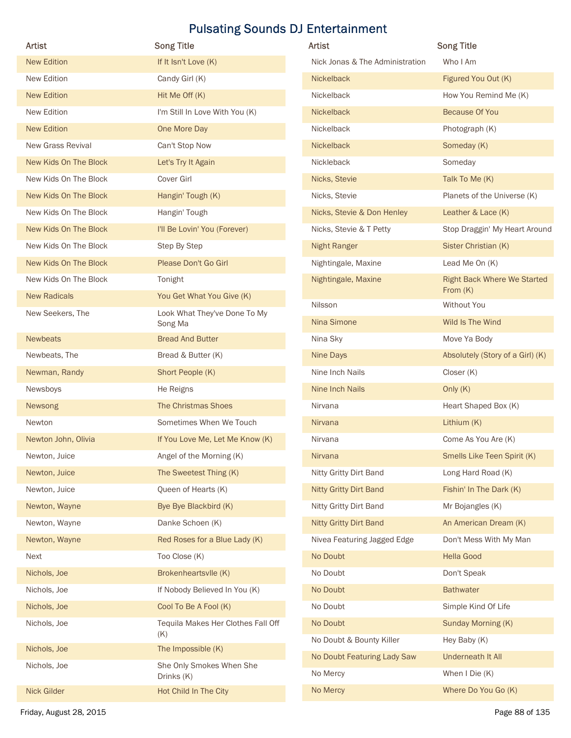| Artist                | <b>Song Title</b>                         | <b>Pulsating Sounds DJ Entertainment</b><br>Artist | <b>Song Title</b>                                |
|-----------------------|-------------------------------------------|----------------------------------------------------|--------------------------------------------------|
| <b>New Edition</b>    | If It Isn't Love (K)                      | Nick Jonas & The Administration                    | Who I Am                                         |
| New Edition           | Candy Girl (K)                            | Nickelback                                         | Figured You Out (K)                              |
| <b>New Edition</b>    | Hit Me Off (K)                            | Nickelback                                         | How You Remind Me (K)                            |
| New Edition           | I'm Still In Love With You (K)            | Nickelback                                         | <b>Because Of You</b>                            |
| <b>New Edition</b>    | One More Day                              | Nickelback                                         | Photograph (K)                                   |
| New Grass Revival     | Can't Stop Now                            | Nickelback                                         | Someday (K)                                      |
| New Kids On The Block | Let's Try It Again                        | Nickleback                                         | Someday                                          |
| New Kids On The Block | Cover Girl                                | Nicks, Stevie                                      | Talk To Me (K)                                   |
| New Kids On The Block | Hangin' Tough (K)                         | Nicks, Stevie                                      | Planets of the Universe (K)                      |
| New Kids On The Block | Hangin' Tough                             | Nicks, Stevie & Don Henley                         | Leather & Lace (K)                               |
| New Kids On The Block | I'll Be Lovin' You (Forever)              | Nicks, Stevie & T Petty                            | Stop Draggin' My Heart Around                    |
| New Kids On The Block | Step By Step                              | <b>Night Ranger</b>                                | Sister Christian (K)                             |
| New Kids On The Block | Please Don't Go Girl                      | Nightingale, Maxine                                | Lead Me On (K)                                   |
| New Kids On The Block | Tonight                                   | Nightingale, Maxine                                | <b>Right Back Where We Started</b><br>From $(K)$ |
| <b>New Radicals</b>   | You Get What You Give (K)                 | Nilsson                                            | Without You                                      |
| New Seekers, The      | Look What They've Done To My<br>Song Ma   | Nina Simone                                        | Wild Is The Wind                                 |
| <b>Newbeats</b>       | <b>Bread And Butter</b>                   | Nina Sky                                           | Move Ya Body                                     |
| Newbeats, The         | Bread & Butter (K)                        | Nine Days                                          | Absolutely (Story of a Girl) (K)                 |
| Newman, Randy         | Short People (K)                          | Nine Inch Nails                                    | Closer (K)                                       |
| Newsboys              | He Reigns                                 | Nine Inch Nails                                    | Only (K)                                         |
| Newsong               | The Christmas Shoes                       | Nirvana                                            | Heart Shaped Box (K)                             |
| Newton                | Sometimes When We Touch                   | Nirvana                                            | Lithium (K)                                      |
| Newton John, Olivia   | If You Love Me, Let Me Know (K)           | Nirvana                                            | Come As You Are (K)                              |
| Newton, Juice         | Angel of the Morning (K)                  | Nirvana                                            | Smells Like Teen Spirit (K)                      |
| Newton, Juice         | The Sweetest Thing (K)                    | Nitty Gritty Dirt Band                             | Long Hard Road (K)                               |
| Newton, Juice         | Queen of Hearts (K)                       | Nitty Gritty Dirt Band                             | Fishin' In The Dark (K)                          |
| Newton, Wayne         | Bye Bye Blackbird (K)                     | Nitty Gritty Dirt Band                             | Mr Bojangles (K)                                 |
| Newton, Wayne         | Danke Schoen (K)                          | <b>Nitty Gritty Dirt Band</b>                      | An American Dream (K)                            |
| Newton, Wayne         | Red Roses for a Blue Lady (K)             | Nivea Featuring Jagged Edge                        | Don't Mess With My Man                           |
| Next                  | Too Close (K)                             | No Doubt                                           | <b>Hella Good</b>                                |
| Nichols, Joe          | Brokenheartsvlle (K)                      | No Doubt                                           | Don't Speak                                      |
| Nichols, Joe          | If Nobody Believed In You (K)             | No Doubt                                           | <b>Bathwater</b>                                 |
| Nichols, Joe          | Cool To Be A Fool (K)                     | No Doubt                                           | Simple Kind Of Life                              |
| Nichols, Joe          | Tequila Makes Her Clothes Fall Off<br>(K) | No Doubt                                           | Sunday Morning (K)                               |
| Nichols, Joe          | The Impossible (K)                        | No Doubt & Bounty Killer                           | Hey Baby (K)                                     |
| Nichols, Joe          | She Only Smokes When She                  | No Doubt Featuring Lady Saw                        | Underneath It All                                |
|                       | Drinks (K)                                | No Mercy                                           | When I Die (K)<br>Where Do You Go (K)            |
|                       |                                           | No Mercy                                           |                                                  |

| <b>Artist</b>                   | <b>Song Title</b>                              |
|---------------------------------|------------------------------------------------|
| Nick Jonas & The Administration | Who I Am                                       |
| <b>Nickelback</b>               | Figured You Out (K)                            |
| Nickelback                      | How You Remind Me (K)                          |
| Nickelback                      | <b>Because Of You</b>                          |
| Nickelback                      | Photograph (K)                                 |
| Nickelback                      | Someday (K)                                    |
| Nickleback                      | Someday                                        |
| Nicks, Stevie                   | Talk To Me (K)                                 |
| Nicks, Stevie                   | Planets of the Universe (K)                    |
| Nicks, Stevie & Don Henley      | Leather & Lace (K)                             |
| Nicks, Stevie & T Petty         | Stop Draggin' My Heart Around                  |
| <b>Night Ranger</b>             | Sister Christian (K)                           |
| Nightingale, Maxine             | Lead Me On (K)                                 |
| Nightingale, Maxine             | <b>Right Back Where We Started</b><br>From (K) |
| Nilsson                         | Without You                                    |
| Nina Simone                     | Wild Is The Wind                               |
| Nina Sky                        | Move Ya Body                                   |
| <b>Nine Days</b>                | Absolutely (Story of a Girl) (K)               |
| Nine Inch Nails                 | Closer (K)                                     |
| Nine Inch Nails                 | Only $(K)$                                     |
| Nirvana                         | Heart Shaped Box (K)                           |
| <b>Nirvana</b>                  | Lithium (K)                                    |
| Nirvana                         | Come As You Are (K)                            |
| Nirvana                         | Smells Like Teen Spirit (K)                    |
| Nitty Gritty Dirt Band          | Long Hard Road (K)                             |
| <b>Nitty Gritty Dirt Band</b>   | Fishin' In The Dark (K)                        |
| Nitty Gritty Dirt Band          | Mr Bojangles (K)                               |
| <b>Nitty Gritty Dirt Band</b>   | An American Dream (K)                          |
| Nivea Featuring Jagged Edge     | Don't Mess With My Man                         |
| No Doubt                        | <b>Hella Good</b>                              |
| No Doubt                        | Don't Speak                                    |
| No Doubt                        | <b>Bathwater</b>                               |
| No Doubt                        | Simple Kind Of Life                            |
| No Doubt                        | Sunday Morning (K)                             |
| No Doubt & Bounty Killer        | Hey Baby (K)                                   |
| No Doubt Featuring Lady Saw     | Underneath It All                              |
| No Mercy                        | When I Die (K)                                 |
| No Mercy                        | Where Do You Go (K)                            |
|                                 |                                                |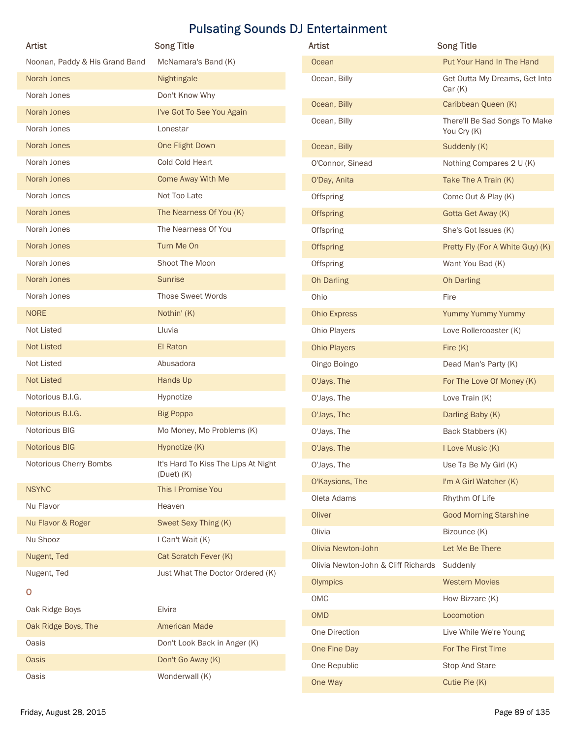|                                | <b>Pulsating Sounds DJ Entertainment</b>              |                                     |                                          |
|--------------------------------|-------------------------------------------------------|-------------------------------------|------------------------------------------|
| <b>Artist</b>                  | <b>Song Title</b>                                     | <b>Artist</b>                       | <b>Song Title</b>                        |
| Noonan, Paddy & His Grand Band | McNamara's Band (K)                                   | Ocean                               | Put Your Hand In The Hand                |
| Norah Jones                    | Nightingale                                           | Ocean, Billy                        | Get Outta My Dreams, Get Into<br>Car(K)  |
| Norah Jones                    | Don't Know Why                                        | Ocean, Billy                        | Caribbean Queen (K)                      |
| Norah Jones                    | I've Got To See You Again                             | Ocean, Billy                        | There'll Be Sad Songs To Make            |
| Norah Jones<br>Norah Jones     | Lonestar<br>One Flight Down                           |                                     | You Cry (K)                              |
| Norah Jones                    | Cold Cold Heart                                       | Ocean, Billy<br>O'Connor, Sinead    | Suddenly (K)<br>Nothing Compares 2 U (K) |
| Norah Jones                    | Come Away With Me                                     | O'Day, Anita                        | Take The A Train (K)                     |
| Norah Jones                    | Not Too Late                                          | Offspring                           | Come Out & Play (K)                      |
| Norah Jones                    | The Nearness Of You (K)                               | <b>Offspring</b>                    | Gotta Get Away (K)                       |
| Norah Jones                    | The Nearness Of You                                   | Offspring                           | She's Got Issues (K)                     |
| Norah Jones                    | Turn Me On                                            | <b>Offspring</b>                    | Pretty Fly (For A White Guy) (K)         |
| Norah Jones                    | Shoot The Moon                                        | Offspring                           | Want You Bad (K)                         |
| Norah Jones                    | Sunrise                                               | Oh Darling                          | Oh Darling                               |
| Norah Jones                    | Those Sweet Words                                     | Ohio                                | Fire                                     |
| <b>NORE</b>                    | Nothin' (K)                                           | <b>Ohio Express</b>                 | Yummy Yummy Yummy                        |
| Not Listed                     | Lluvia                                                | Ohio Players                        | Love Rollercoaster (K)                   |
| Not Listed                     | El Raton                                              | <b>Ohio Players</b>                 | Fire (K)                                 |
| Not Listed                     | Abusadora                                             | Oingo Boingo                        | Dead Man's Party (K)                     |
| Not Listed                     | Hands Up                                              | O'Jays, The                         | For The Love Of Money (K)                |
| Notorious B.I.G.               | Hypnotize                                             | O'Jays, The                         | Love Train (K)                           |
| Notorious B.I.G.               | <b>Big Poppa</b>                                      | O'Jays, The                         | Darling Baby (K)                         |
| Notorious BIG                  | Mo Money, Mo Problems (K)                             | O'Jays, The                         | Back Stabbers (K)                        |
| <b>Notorious BIG</b>           | Hypnotize (K)                                         | O'Jays, The                         | I Love Music (K)                         |
| Notorious Cherry Bombs         | It's Hard To Kiss The Lips At Night<br>$(Duet)$ $(K)$ | O'Jays, The                         | Use Ta Be My Girl (K)                    |
| <b>NSYNC</b>                   | This I Promise You                                    | O'Kaysions, The                     | I'm A Girl Watcher (K)                   |
| Nu Flavor                      | Heaven                                                | Oleta Adams                         | Rhythm Of Life                           |
| Nu Flavor & Roger              | Sweet Sexy Thing (K)                                  | Oliver                              | <b>Good Morning Starshine</b>            |
| Nu Shooz                       | I Can't Wait (K)                                      | Olivia                              | Bizounce (K)                             |
| Nugent, Ted                    | Cat Scratch Fever (K)                                 | Olivia Newton-John                  | Let Me Be There                          |
| Nugent, Ted                    | Just What The Doctor Ordered (K)                      | Olivia Newton-John & Cliff Richards | Suddenly                                 |
| $\mathbf 0$                    |                                                       | Olympics<br>OMC                     | <b>Western Movies</b><br>How Bizzare (K) |
| Oak Ridge Boys                 | Elvira                                                | OMD                                 | Locomotion                               |
| Oak Ridge Boys, The            | <b>American Made</b>                                  | One Direction                       | Live While We're Young                   |
| Oasis                          | Don't Look Back in Anger (K)                          | One Fine Day                        | For The First Time                       |
| <b>Oasis</b>                   | Don't Go Away (K)                                     | $\mathbf{D}$                        | $A_{rad}$ $C_{tan}$                      |

| Artist                         | <b>Song Title</b>                   | Artist                                       | <b>Song Title</b>                |
|--------------------------------|-------------------------------------|----------------------------------------------|----------------------------------|
| Noonan, Paddy & His Grand Band | McNamara's Band (K)                 | Ocean                                        | Put Your Hand In The Hand        |
| Norah Jones                    | Nightingale                         | Ocean, Billy                                 | Get Outta My Dreams, Get Into    |
| Norah Jones                    | Don't Know Why                      | Ocean, Billy                                 | Car(K)<br>Caribbean Queen (K)    |
| Norah Jones                    | I've Got To See You Again           | Ocean, Billy                                 | There'll Be Sad Songs To Make    |
| Norah Jones                    | Lonestar                            |                                              | You Cry (K)                      |
| Norah Jones                    | One Flight Down                     | Ocean, Billy                                 | Suddenly (K)                     |
| Norah Jones                    | Cold Cold Heart                     | O'Connor, Sinead                             | Nothing Compares 2 U (K)         |
| Norah Jones                    | Come Away With Me                   | O'Day, Anita                                 | Take The A Train (K)             |
| Norah Jones                    | Not Too Late                        | Offspring                                    | Come Out & Play (K)              |
| Norah Jones                    | The Nearness Of You (K)             | <b>Offspring</b>                             | Gotta Get Away (K)               |
| Norah Jones                    | The Nearness Of You                 | Offspring                                    | She's Got Issues (K)             |
| Norah Jones                    | Turn Me On                          | <b>Offspring</b>                             | Pretty Fly (For A White Guy) (K) |
| Norah Jones                    | Shoot The Moon                      | Offspring                                    | Want You Bad (K)                 |
| Norah Jones                    | Sunrise                             | <b>Oh Darling</b>                            | Oh Darling                       |
| Norah Jones                    | Those Sweet Words                   | Ohio                                         | Fire                             |
| <b>NORE</b>                    | Nothin' (K)                         | <b>Ohio Express</b>                          | Yummy Yummy Yummy                |
| Not Listed                     | Lluvia                              | Ohio Players                                 | Love Rollercoaster (K)           |
| <b>Not Listed</b>              | El Raton                            | <b>Ohio Players</b>                          | Fire $(K)$                       |
| Not Listed                     | Abusadora                           | Oingo Boingo                                 | Dead Man's Party (K)             |
| <b>Not Listed</b>              | Hands Up                            | O'Jays, The                                  | For The Love Of Money (K)        |
| Notorious B.I.G.               | Hypnotize                           | O'Jays, The                                  | Love Train (K)                   |
| Notorious B.I.G.               | <b>Big Poppa</b>                    | O'Jays, The                                  | Darling Baby (K)                 |
| Notorious BIG                  | Mo Money, Mo Problems (K)           | O'Jays, The                                  | Back Stabbers (K)                |
| <b>Notorious BIG</b>           | Hypnotize (K)                       | O'Jays, The                                  | I Love Music (K)                 |
| Notorious Cherry Bombs         | It's Hard To Kiss The Lips At Night | O'Jays, The                                  | Use Ta Be My Girl (K)            |
|                                | $(Duet)$ $(K)$                      | O'Kaysions, The                              | I'm A Girl Watcher (K)           |
| <b>NSYNC</b>                   | This I Promise You                  | Oleta Adams                                  | Rhythm Of Life                   |
| Nu Flavor                      | Heaven                              | Oliver                                       | <b>Good Morning Starshine</b>    |
| Nu Flavor & Roger              | Sweet Sexy Thing (K)                | Olivia                                       | Bizounce (K)                     |
| Nu Shooz                       | I Can't Wait (K)                    | Olivia Newton-John                           | Let Me Be There                  |
| Nugent, Ted                    | Cat Scratch Fever (K)               | Olivia Newton-John & Cliff Richards Suddenly |                                  |
| Nugent, Ted                    | Just What The Doctor Ordered (K)    | Olympics                                     | <b>Western Movies</b>            |
| $\mathbf 0$                    |                                     | $\mathsf{OMC}$                               | How Bizzare (K)                  |
| Oak Ridge Boys                 | Elvira                              | OMD                                          | Locomotion                       |
| Oak Ridge Boys, The            | American Made                       | One Direction                                | Live While We're Young           |
| Oasis                          | Don't Look Back in Anger (K)        | One Fine Day                                 | For The First Time               |
| Oasis                          | Don't Go Away (K)                   | One Republic                                 | Stop And Stare                   |
| Oasis                          | Wonderwall (K)                      | One Way                                      | Cutie Pie (K)                    |
| Friday, August 28, 2015        |                                     |                                              | Page 89 of 135                   |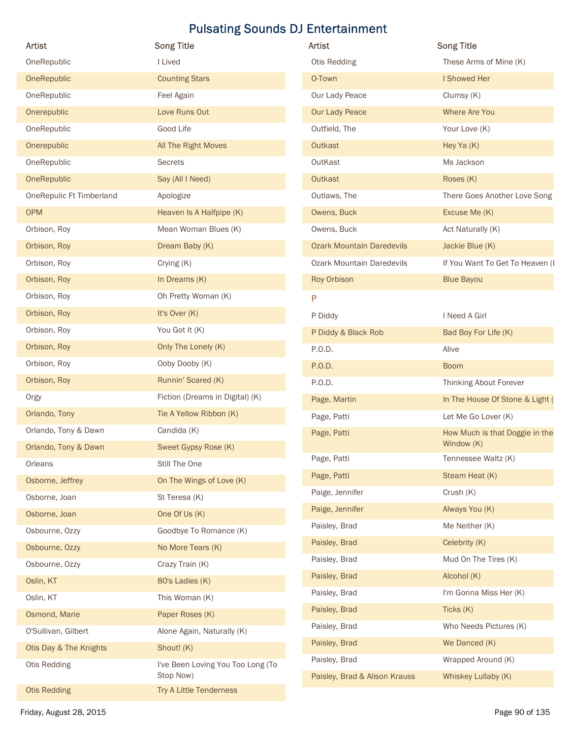| Artist                   | <b>Song Title</b>                 | Artist                           | <b>Song Title</b>               |
|--------------------------|-----------------------------------|----------------------------------|---------------------------------|
| OneRepublic              | I Lived                           | Otis Redding                     | These Arms of Mine (K)          |
| OneRepublic              | <b>Counting Stars</b>             | O-Town                           | I Showed Her                    |
| OneRepublic              | Feel Again                        | Our Lady Peace                   | Clumsy (K)                      |
| Onerepublic              | Love Runs Out                     | <b>Our Lady Peace</b>            | Where Are You                   |
| OneRepublic              | Good Life                         | Outfield, The                    | Your Love (K)                   |
| Onerepublic              | All The Right Moves               | Outkast                          | Hey Ya (K)                      |
| OneRepublic              | Secrets                           | OutKast                          | Ms Jackson                      |
| OneRepublic              | Say (All I Need)                  | Outkast                          | Roses (K)                       |
| OneRepulic Ft Timberland | Apologize                         | Outlaws, The                     | There Goes Another Love Song    |
| <b>OPM</b>               | Heaven Is A Halfpipe (K)          | Owens, Buck                      | Excuse Me (K)                   |
| Orbison, Roy             | Mean Woman Blues (K)              | Owens, Buck                      | Act Naturally (K)               |
| Orbison, Roy             | Dream Baby (K)                    | <b>Ozark Mountain Daredevils</b> | Jackie Blue (K)                 |
| Orbison, Roy             | Crying (K)                        | <b>Ozark Mountain Daredevils</b> | If You Want To Get To Heaven (I |
| Orbison, Roy             | In Dreams (K)                     | Roy Orbison                      | <b>Blue Bayou</b>               |
| Orbison, Roy             | Oh Pretty Woman (K)               | P                                |                                 |
| Orbison, Roy             | It's Over (K)                     | P Diddy                          | I Need A Girl                   |
| Orbison, Roy             | You Got It (K)                    | P Diddy & Black Rob              | Bad Boy For Life (K)            |
| Orbison, Roy             | Only The Lonely (K)               | P.O.D.                           | Alive                           |
| Orbison, Roy             | Ooby Dooby (K)                    | P.O.D.                           | <b>Boom</b>                     |
| Orbison, Roy             | Runnin' Scared (K)                | P.O.D.                           | Thinking About Forever          |
| Orgy                     | Fiction (Dreams in Digital) (K)   | Page, Martin                     | In The House Of Stone & Light ( |
| Orlando, Tony            | Tie A Yellow Ribbon (K)           | Page, Patti                      | Let Me Go Lover (K)             |
| Orlando, Tony & Dawn     | Candida (K)                       | Page, Patti                      | How Much is that Doggie in the  |
| Orlando, Tony & Dawn     | Sweet Gypsy Rose (K)              |                                  | Window (K)                      |
| Orleans                  | Still The One                     | Page, Patti                      | Tennessee Waltz (K)             |
| Osborne, Jeffrey         | On The Wings of Love (K)          | Page, Patti                      | Steam Heat (K)                  |
| Osborne, Joan            | St Teresa (K)                     | Paige, Jennifer                  | Crush (K)                       |
| Osborne, Joan            | One Of Us (K)                     | Paige, Jennifer                  | Always You (K)                  |
| Osbourne, Ozzy           | Goodbye To Romance (K)            | Paisley, Brad                    | Me Neither (K)                  |
| Osbourne, Ozzy           | No More Tears (K)                 | Paisley, Brad                    | Celebrity (K)                   |
| Osbourne, Ozzy           | Crazy Train (K)                   | Paisley, Brad                    | Mud On The Tires (K)            |
| Oslin, KT                | 80's Ladies (K)                   | Paisley, Brad                    | Alcohol (K)                     |
| Oslin, KT                | This Woman (K)                    | Paisley, Brad                    | I'm Gonna Miss Her (K)          |
| Osmond, Marie            | Paper Roses (K)                   | Paisley, Brad                    | Ticks (K)                       |
| O'Sullivan, Gilbert      | Alone Again, Naturally (K)        | Paisley, Brad                    | Who Needs Pictures (K)          |
| Otis Day & The Knights   | Shout! (K)                        | Paisley, Brad                    | We Danced (K)                   |
| Otis Redding             | I've Been Loving You Too Long (To | Paisley, Brad                    | Wrapped Around (K)              |
|                          | Stop Now)                         | Paisley, Brad & Alison Krauss    | Whiskey Lullaby (K)             |
| <b>Otis Redding</b>      | Try A Little Tenderness           |                                  |                                 |

| <b>Artist</b>                    | <b>Song Title</b>                            |
|----------------------------------|----------------------------------------------|
| Otis Redding                     | These Arms of Mine (K)                       |
| O-Town                           | I Showed Her                                 |
| Our Lady Peace                   | Clumsy (K)                                   |
| <b>Our Lady Peace</b>            | <b>Where Are You</b>                         |
| Outfield, The                    | Your Love (K)                                |
| Outkast                          | Hey Ya (K)                                   |
| OutKast                          | Ms Jackson                                   |
| Outkast                          | Roses (K)                                    |
| Outlaws, The                     | There Goes Another Love Song                 |
| Owens, Buck                      | Excuse Me (K)                                |
| Owens, Buck                      | Act Naturally (K)                            |
| <b>Ozark Mountain Daredevils</b> | Jackie Blue (K)                              |
| <b>Ozark Mountain Daredevils</b> | If You Want To Get To Heaven (I              |
| Roy Orbison                      | <b>Blue Bayou</b>                            |
| P                                |                                              |
| P Diddy                          | I Need A Girl                                |
| P Diddy & Black Rob              | Bad Boy For Life (K)                         |
| P.O.D.                           | Alive                                        |
| P.O.D.                           | <b>Boom</b>                                  |
| P.O.D.                           | Thinking About Forever                       |
| Page, Martin                     | In The House Of Stone & Light (              |
| Page, Patti                      | Let Me Go Lover (K)                          |
| Page, Patti                      | How Much is that Doggie in the<br>Window (K) |
| Page, Patti                      | Tennessee Waltz (K)                          |
| Page, Patti                      | Steam Heat (K)                               |
| Paige, Jennifer                  | Crush (K)                                    |
| Paige, Jennifer                  | Always You (K)                               |
| Paisley, Brad                    | Me Neither (K)                               |
| Paisley, Brad                    | Celebrity (K)                                |
| Paisley, Brad                    | Mud On The Tires (K)                         |
| Paisley, Brad                    | Alcohol (K)                                  |
| Paisley, Brad                    | I'm Gonna Miss Her (K)                       |
| Paisley, Brad                    | Ticks (K)                                    |
| Paisley, Brad                    | Who Needs Pictures (K)                       |
| Paisley, Brad                    | We Danced (K)                                |
| Paisley, Brad                    | Wrapped Around (K)                           |
| Paisley, Brad & Alison Krauss    | Whiskey Lullaby (K)                          |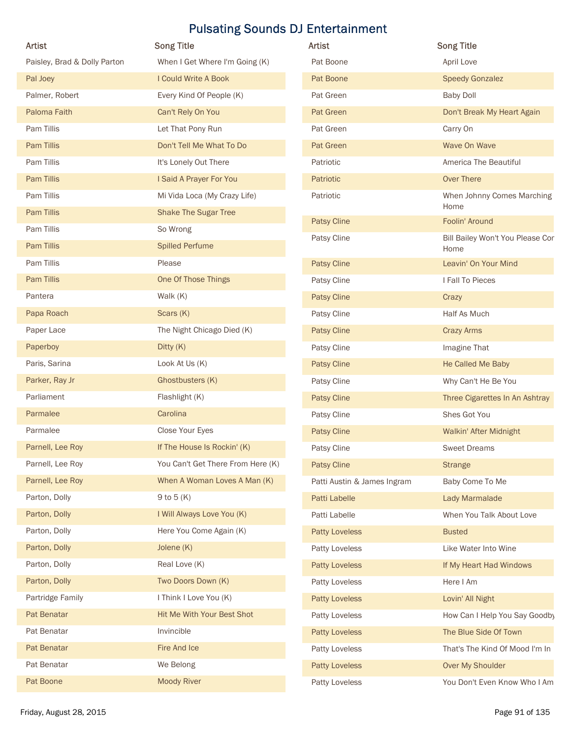| Artist                       | <b>Song Title</b>                 | Artist                      | <b>Song Title</b>                |
|------------------------------|-----------------------------------|-----------------------------|----------------------------------|
| Paisley, Brad & Dolly Parton | When I Get Where I'm Going (K)    | Pat Boone                   | April Love                       |
| Pal Joey                     | I Could Write A Book              | Pat Boone                   | <b>Speedy Gonzalez</b>           |
| Palmer, Robert               | Every Kind Of People (K)          | Pat Green                   | <b>Baby Doll</b>                 |
| Paloma Faith                 | Can't Rely On You                 | Pat Green                   | Don't Break My Heart Again       |
| Pam Tillis                   | Let That Pony Run                 | Pat Green                   | Carry On                         |
| Pam Tillis                   | Don't Tell Me What To Do          | Pat Green                   | Wave On Wave                     |
| Pam Tillis                   | It's Lonely Out There             | Patriotic                   | America The Beautiful            |
| Pam Tillis                   | I Said A Prayer For You           | Patriotic                   | Over There                       |
| Pam Tillis                   | Mi Vida Loca (My Crazy Life)      | Patriotic                   | When Johnny Comes Marching       |
| Pam Tillis                   | <b>Shake The Sugar Tree</b>       | Patsy Cline                 | Home<br>Foolin' Around           |
| Pam Tillis                   | So Wrong                          | Patsy Cline                 | Bill Bailey Won't You Please Cor |
| Pam Tillis                   | <b>Spilled Perfume</b>            |                             | Home                             |
| Pam Tillis                   | Please                            | Patsy Cline                 | Leavin' On Your Mind             |
| Pam Tillis                   | One Of Those Things               | Patsy Cline                 | I Fall To Pieces                 |
| Pantera                      | Walk (K)                          | Patsy Cline                 | Crazy                            |
| Papa Roach                   | Scars (K)                         | Patsy Cline                 | Half As Much                     |
| Paper Lace                   | The Night Chicago Died (K)        | Patsy Cline                 | <b>Crazy Arms</b>                |
| Paperboy                     | Ditty (K)                         | Patsy Cline                 | Imagine That                     |
| Paris, Sarina                | Look At Us (K)                    | Patsy Cline                 | He Called Me Baby                |
| Parker, Ray Jr               | Ghostbusters (K)                  | Patsy Cline                 | Why Can't He Be You              |
| Parliament                   | Flashlight (K)                    | Patsy Cline                 | Three Cigarettes In An Ashtray   |
| Parmalee                     | Carolina                          | Patsy Cline                 | Shes Got You                     |
| Parmalee                     | Close Your Eyes                   | Patsy Cline                 | Walkin' After Midnight           |
| Parnell, Lee Roy             | If The House Is Rockin' (K)       | Patsy Cline                 | <b>Sweet Dreams</b>              |
| Parnell, Lee Roy             | You Can't Get There From Here (K) | Patsy Cline                 | <b>Strange</b>                   |
| Parnell, Lee Roy             | When A Woman Loves A Man (K)      | Patti Austin & James Ingram | Baby Come To Me                  |
| Parton, Dolly                | 9 to 5 $(K)$                      | Patti Labelle               | Lady Marmalade                   |
| Parton, Dolly                | I Will Always Love You (K)        | Patti Labelle               | When You Talk About Love         |
| Parton, Dolly                | Here You Come Again (K)           | <b>Patty Loveless</b>       | <b>Busted</b>                    |
| Parton, Dolly                | Jolene (K)                        | Patty Loveless              | Like Water Into Wine             |
| Parton, Dolly                | Real Love (K)                     | <b>Patty Loveless</b>       | If My Heart Had Windows          |
| Parton, Dolly                | Two Doors Down (K)                | Patty Loveless              | Here I Am                        |
| Partridge Family             | I Think I Love You (K)            | <b>Patty Loveless</b>       | Lovin' All Night                 |
| Pat Benatar                  | Hit Me With Your Best Shot        | Patty Loveless              | How Can I Help You Say Goodby    |
| Pat Benatar                  | Invincible                        | <b>Patty Loveless</b>       | The Blue Side Of Town            |
| Pat Benatar                  | Fire And Ice                      | Patty Loveless              | That's The Kind Of Mood I'm In   |
| Pat Benatar                  | We Belong                         | <b>Patty Loveless</b>       | Over My Shoulder                 |
|                              | <b>Moody River</b>                | Patty Loveless              | You Don't Even Know Who I Am     |
| Pat Boone                    |                                   |                             |                                  |

| Artist                      | <b>Song Title</b>                        |
|-----------------------------|------------------------------------------|
| Pat Boone                   | April Love                               |
| Pat Boone                   | <b>Speedy Gonzalez</b>                   |
| Pat Green                   | <b>Baby Doll</b>                         |
| Pat Green                   | Don't Break My Heart Again               |
| Pat Green                   | Carry On                                 |
| <b>Pat Green</b>            | Wave On Wave                             |
| Patriotic                   | America The Beautiful                    |
| Patriotic                   | <b>Over There</b>                        |
| Patriotic                   | When Johnny Comes Marching<br>Home       |
| <b>Patsy Cline</b>          | Foolin' Around                           |
| Patsy Cline                 | Bill Bailey Won't You Please Cor<br>Home |
| <b>Patsy Cline</b>          | Leavin' On Your Mind                     |
| Patsy Cline                 | I Fall To Pieces                         |
| <b>Patsy Cline</b>          | Crazy                                    |
| Patsy Cline                 | Half As Much                             |
| <b>Patsy Cline</b>          | <b>Crazy Arms</b>                        |
| Patsy Cline                 | Imagine That                             |
| <b>Patsy Cline</b>          | He Called Me Baby                        |
| Patsy Cline                 | Why Can't He Be You                      |
| <b>Patsy Cline</b>          | Three Cigarettes In An Ashtray           |
| Patsy Cline                 | Shes Got You                             |
| <b>Patsy Cline</b>          | Walkin' After Midnight                   |
| Patsy Cline                 | <b>Sweet Dreams</b>                      |
| <b>Patsy Cline</b>          | <b>Strange</b>                           |
| Patti Austin & James Ingram | Baby Come To Me                          |
| Patti Labelle               | Lady Marmalade                           |
| Patti Labelle               | When You Talk About Love                 |
| <b>Patty Loveless</b>       | <b>Busted</b>                            |
| Patty Loveless              | Like Water Into Wine                     |
| <b>Patty Loveless</b>       | If My Heart Had Windows                  |
| Patty Loveless              | Here I Am                                |
| <b>Patty Loveless</b>       | Lovin' All Night                         |
| Patty Loveless              | How Can I Help You Say Goodby            |
| <b>Patty Loveless</b>       | The Blue Side Of Town                    |
| Patty Loveless              | That's The Kind Of Mood I'm In           |
| <b>Patty Loveless</b>       | Over My Shoulder                         |
| Patty Loveless              | You Don't Even Know Who I Am             |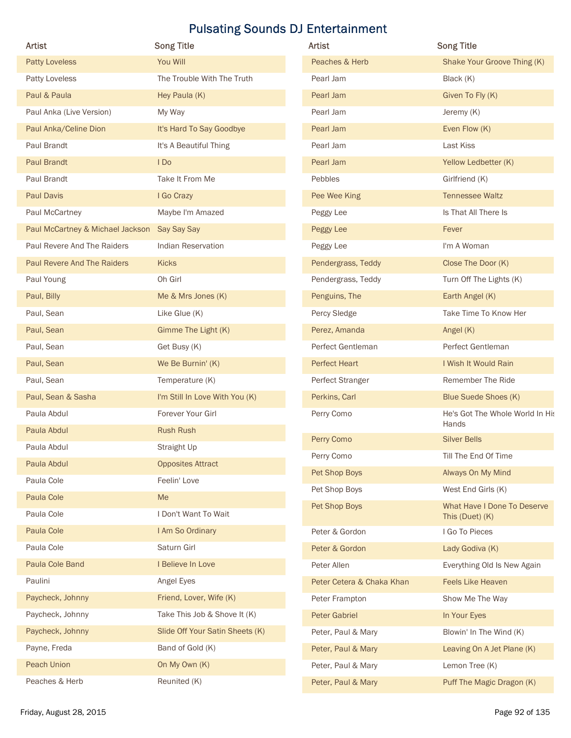| Artist                                       | <b>Song Title</b>               | Artist                    | <b>Song Title</b>                              |
|----------------------------------------------|---------------------------------|---------------------------|------------------------------------------------|
| <b>Patty Loveless</b>                        | You Will                        | Peaches & Herb            | Shake Your Groove Thing (K)                    |
| Patty Loveless                               | The Trouble With The Truth      | Pearl Jam                 | Black (K)                                      |
| Paul & Paula                                 | Hey Paula (K)                   | Pearl Jam                 | Given To Fly (K)                               |
| Paul Anka (Live Version)                     | My Way                          | Pearl Jam                 | Jeremy (K)                                     |
| Paul Anka/Celine Dion                        | It's Hard To Say Goodbye        | Pearl Jam                 | Even Flow (K)                                  |
| Paul Brandt                                  | It's A Beautiful Thing          | Pearl Jam                 | Last Kiss                                      |
| <b>Paul Brandt</b>                           | I Do                            | Pearl Jam                 | Yellow Ledbetter (K)                           |
| Paul Brandt                                  | Take It From Me                 | Pebbles                   | Girlfriend (K)                                 |
| <b>Paul Davis</b>                            | I Go Crazy                      | Pee Wee King              | <b>Tennessee Waltz</b>                         |
| Paul McCartney                               | Maybe I'm Amazed                | Peggy Lee                 | Is That All There Is                           |
| Paul McCartney & Michael Jackson Say Say Say |                                 | Peggy Lee                 | Fever                                          |
| Paul Revere And The Raiders                  | Indian Reservation              | Peggy Lee                 | I'm A Woman                                    |
| Paul Revere And The Raiders                  | Kicks                           | Pendergrass, Teddy        | Close The Door (K)                             |
| Paul Young                                   | Oh Girl                         | Pendergrass, Teddy        | Turn Off The Lights (K)                        |
| Paul, Billy                                  | Me & Mrs Jones (K)              | Penguins, The             | Earth Angel (K)                                |
| Paul, Sean                                   | Like Glue (K)                   | Percy Sledge              | Take Time To Know Her                          |
| Paul, Sean                                   | Gimme The Light (K)             | Perez, Amanda             | Angel (K)                                      |
| Paul, Sean                                   | Get Busy (K)                    | Perfect Gentleman         | Perfect Gentleman                              |
| Paul, Sean                                   | We Be Burnin' (K)               | <b>Perfect Heart</b>      | I Wish It Would Rain                           |
| Paul, Sean                                   | Temperature (K)                 | Perfect Stranger          | Remember The Ride                              |
| Paul, Sean & Sasha                           | I'm Still In Love With You (K)  | Perkins, Carl             | Blue Suede Shoes (K)                           |
| Paula Abdul                                  | Forever Your Girl               | Perry Como                | He's Got The Whole World In His                |
| Paula Abdul                                  | Rush Rush                       |                           | Hands                                          |
| Paula Abdul                                  | Straight Up                     | Perry Como                | <b>Silver Bells</b>                            |
| Paula Abdul                                  | <b>Opposites Attract</b>        | Perry Como                | Till The End Of Time                           |
| Paula Cole                                   | Feelin' Love                    | Pet Shop Boys             | Always On My Mind                              |
| Paula Cole                                   | Me                              | Pet Shop Boys             | West End Girls (K)                             |
| Paula Cole                                   | I Don't Want To Wait            | Pet Shop Boys             | What Have I Done To Deserve<br>This (Duet) (K) |
| Paula Cole                                   | I Am So Ordinary                | Peter & Gordon            | I Go To Pieces                                 |
| Paula Cole                                   | Saturn Girl                     | Peter & Gordon            | Lady Godiva (K)                                |
| Paula Cole Band                              | I Believe In Love               | Peter Allen               | Everything Old Is New Again                    |
| Paulini                                      | Angel Eyes                      | Peter Cetera & Chaka Khan | Feels Like Heaven                              |
| Paycheck, Johnny                             | Friend, Lover, Wife (K)         | Peter Frampton            | Show Me The Way                                |
| Paycheck, Johnny                             | Take This Job & Shove It (K)    | <b>Peter Gabriel</b>      | In Your Eyes                                   |
| Paycheck, Johnny                             | Slide Off Your Satin Sheets (K) | Peter, Paul & Mary        | Blowin' In The Wind (K)                        |
| Payne, Freda                                 | Band of Gold (K)                | Peter, Paul & Mary        | Leaving On A Jet Plane (K)                     |
| Peach Union                                  | On My Own (K)                   | Peter, Paul & Mary        | Lemon Tree (K)                                 |
| Peaches & Herb                               | Reunited (K)                    | Peter, Paul & Mary        | Puff The Magic Dragon (K)                      |
|                                              |                                 |                           |                                                |

| Artist                    | <b>Song Title</b>                                     |
|---------------------------|-------------------------------------------------------|
| Peaches & Herb            | Shake Your Groove Thing (K)                           |
| Pearl Jam                 | Black (K)                                             |
| Pearl Jam                 | Given To Fly (K)                                      |
| Pearl Jam                 | Jeremy (K)                                            |
| Pearl Jam                 | Even Flow (K)                                         |
| Pearl Jam                 | Last Kiss                                             |
| Pearl Jam                 | Yellow Ledbetter (K)                                  |
| Pebbles                   | Girlfriend (K)                                        |
| Pee Wee King              | <b>Tennessee Waltz</b>                                |
| Peggy Lee                 | Is That All There Is                                  |
| <b>Peggy Lee</b>          | Fever                                                 |
| Peggy Lee                 | I'm A Woman                                           |
| Pendergrass, Teddy        | Close The Door (K)                                    |
| Pendergrass, Teddy        | Turn Off The Lights (K)                               |
| Penguins, The             | Earth Angel (K)                                       |
| Percy Sledge              | Take Time To Know Her                                 |
| Perez, Amanda             | Angel $(K)$                                           |
| Perfect Gentleman         | Perfect Gentleman                                     |
| <b>Perfect Heart</b>      | I Wish It Would Rain                                  |
| Perfect Stranger          | Remember The Ride                                     |
| Perkins, Carl             | <b>Blue Suede Shoes (K)</b>                           |
| Perry Como                | He's Got The Whole World In His<br>Hands              |
| Perry Como                | <b>Silver Bells</b>                                   |
| Perry Como                | Till The End Of Time                                  |
| Pet Shop Boys             | Always On My Mind                                     |
| Pet Shop Boys             | West End Girls (K)                                    |
| Pet Shop Boys             | <b>What Have I Done To Deserve</b><br>This (Duet) (K) |
| Peter & Gordon            | I Go To Pieces                                        |
| Peter & Gordon            | Lady Godiva (K)                                       |
| Peter Allen               | Everything Old Is New Again                           |
| Peter Cetera & Chaka Khan | <b>Feels Like Heaven</b>                              |
| Peter Frampton            | Show Me The Way                                       |
| <b>Peter Gabriel</b>      | In Your Eyes                                          |
| Peter, Paul & Mary        | Blowin' In The Wind (K)                               |
| Peter, Paul & Mary        | Leaving On A Jet Plane (K)                            |
| Peter, Paul & Mary        | Lemon Tree (K)                                        |
| Peter, Paul & Mary        | Puff The Magic Dragon (K)                             |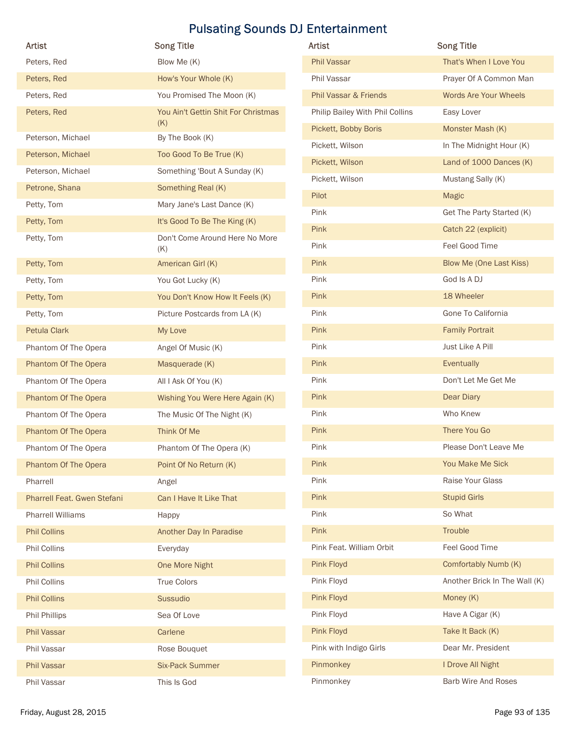| <b>Artist</b>               | <b>Song Title</b>                     | Artist                          | <b>Song Title</b>              |
|-----------------------------|---------------------------------------|---------------------------------|--------------------------------|
| Peters, Red                 | Blow Me (K)                           | Phil Vassar                     | That's When I Love You         |
| Peters, Red                 | How's Your Whole (K)                  | Phil Vassar                     | Prayer Of A Common Man         |
| Peters, Red                 | You Promised The Moon (K)             | Phil Vassar & Friends           | Words Are Your Wheels          |
| Peters, Red                 | You Ain't Gettin Shit For Christmas   | Philip Bailey With Phil Collins | Easy Lover                     |
|                             | (K)                                   | Pickett, Bobby Boris            | Monster Mash (K)               |
| Peterson, Michael           | By The Book (K)                       | Pickett, Wilson                 | In The Midnight Hour (K)       |
| Peterson, Michael           | Too Good To Be True (K)               | Pickett, Wilson                 | Land of 1000 Dances (K)        |
| Peterson, Michael           | Something 'Bout A Sunday (K)          | Pickett, Wilson                 | Mustang Sally (K)              |
| Petrone, Shana              | Something Real (K)                    | Pilot                           | Magic                          |
| Petty, Tom                  | Mary Jane's Last Dance (K)            | Pink                            | Get The Party Started (K)      |
| Petty, Tom                  | It's Good To Be The King (K)          | Pink                            | Catch 22 (explicit)            |
| Petty, Tom                  | Don't Come Around Here No More<br>(K) | Pink                            | Feel Good Time                 |
| Petty, Tom                  | American Girl (K)                     | Pink                            | <b>Blow Me (One Last Kiss)</b> |
| Petty, Tom                  | You Got Lucky (K)                     | Pink                            | God Is A DJ                    |
| Petty, Tom                  | You Don't Know How It Feels (K)       | Pink                            | 18 Wheeler                     |
| Petty, Tom                  | Picture Postcards from LA (K)         | Pink                            | Gone To California             |
| Petula Clark                | My Love                               | Pink                            | <b>Family Portrait</b>         |
| Phantom Of The Opera        | Angel Of Music (K)                    | Pink                            | Just Like A Pill               |
| Phantom Of The Opera        | Masquerade (K)                        | Pink                            | Eventually                     |
| Phantom Of The Opera        | All I Ask Of You (K)                  | Pink                            | Don't Let Me Get Me            |
| Phantom Of The Opera        | Wishing You Were Here Again (K)       | Pink                            | Dear Diary                     |
| Phantom Of The Opera        | The Music Of The Night (K)            | Pink                            | Who Knew                       |
| Phantom Of The Opera        | Think Of Me                           | Pink                            | There You Go                   |
| Phantom Of The Opera        | Phantom Of The Opera (K)              | Pink                            | Please Don't Leave Me          |
| Phantom Of The Opera        | Point Of No Return (K)                | Pink                            | You Make Me Sick               |
| Pharrell                    | Angel                                 | Pink                            | Raise Your Glass               |
| Pharrell Feat. Gwen Stefani | Can I Have It Like That               | Pink                            | <b>Stupid Girls</b>            |
| <b>Pharrell Williams</b>    | Happy                                 | Pink                            | So What                        |
| <b>Phil Collins</b>         | Another Day In Paradise               | Pink                            | Trouble                        |
| Phil Collins                | Everyday                              | Pink Feat. William Orbit        | Feel Good Time                 |
| <b>Phil Collins</b>         | One More Night                        | Pink Floyd                      | Comfortably Numb (K)           |
| Phil Collins                | True Colors                           | Pink Floyd                      | Another Brick In The Wall (K)  |
| <b>Phil Collins</b>         | Sussudio                              | Pink Floyd                      | Money (K)                      |
| Phil Phillips               | Sea Of Love                           | Pink Floyd                      | Have A Cigar (K)               |
| <b>Phil Vassar</b>          | Carlene                               | Pink Floyd                      | Take It Back (K)               |
| Phil Vassar                 | Rose Bouquet                          | Pink with Indigo Girls          | Dear Mr. President             |
| Phil Vassar                 | <b>Six-Pack Summer</b>                | Pinmonkey                       | I Drove All Night              |
| Phil Vassar                 | This Is God                           | Pinmonkey                       | Barb Wire And Roses            |

| Artist                           | <b>Song Title</b>              |
|----------------------------------|--------------------------------|
| <b>Phil Vassar</b>               | That's When I Love You         |
| Phil Vassar                      | Prayer Of A Common Man         |
| <b>Phil Vassar &amp; Friends</b> | <b>Words Are Your Wheels</b>   |
| Philip Bailey With Phil Collins  | Easy Lover                     |
| Pickett, Bobby Boris             | Monster Mash (K)               |
| Pickett, Wilson                  | In The Midnight Hour (K)       |
| Pickett, Wilson                  | Land of 1000 Dances (K)        |
| Pickett, Wilson                  | Mustang Sally (K)              |
| Pilot                            | <b>Magic</b>                   |
| Pink                             | Get The Party Started (K)      |
| Pink                             | Catch 22 (explicit)            |
| Pink                             | Feel Good Time                 |
| Pink                             | <b>Blow Me (One Last Kiss)</b> |
| Pink                             | God Is A DJ                    |
| Pink                             | 18 Wheeler                     |
| Pink                             | Gone To California             |
| Pink                             | <b>Family Portrait</b>         |
| Pink                             | Just Like A Pill               |
| Pink                             | Eventually                     |
| Pink                             | Don't Let Me Get Me            |
| Pink                             | Dear Diary                     |
| Pink                             | Who Knew                       |
| Pink                             | There You Go                   |
| Pink                             | Please Don't Leave Me          |
| Pink                             | You Make Me Sick               |
| Pink                             | Raise Your Glass               |
| Pink                             | <b>Stupid Girls</b>            |
| Pink                             | So What                        |
| Pink                             | Trouble                        |
| Pink Feat. William Orbit         | Feel Good Time                 |
| Pink Floyd                       | Comfortably Numb (K)           |
| Pink Floyd                       | Another Brick In The Wall (K)  |
| Pink Floyd                       | Money (K)                      |
| Pink Floyd                       | Have A Cigar (K)               |
| Pink Floyd                       | Take It Back (K)               |
| Pink with Indigo Girls           | Dear Mr. President             |
| Pinmonkey                        | I Drove All Night              |
| Pinmonkey                        | <b>Barb Wire And Roses</b>     |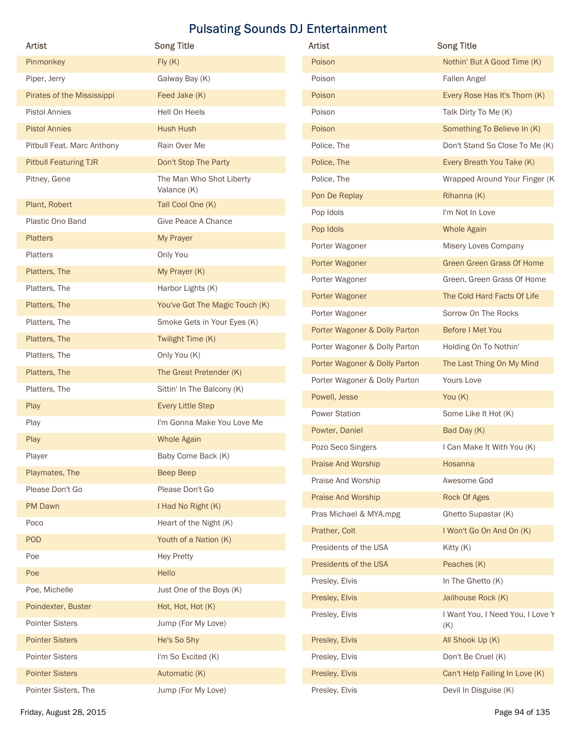| Artist                       | <b>Song Title</b>              | Artist                        | <b>Song Title</b>                       |
|------------------------------|--------------------------------|-------------------------------|-----------------------------------------|
| Pinmonkey                    | Fly(K)                         | Poison                        | Nothin' But A Good Time (K)             |
| Piper, Jerry                 | Galway Bay (K)                 | Poison                        | Fallen Angel                            |
| Pirates of the Mississippi   | Feed Jake (K)                  | Poison                        | Every Rose Has It's Thorn (K)           |
| <b>Pistol Annies</b>         | Hell On Heels                  | Poison                        | Talk Dirty To Me (K)                    |
| <b>Pistol Annies</b>         | <b>Hush Hush</b>               | Poison                        | Something To Believe In (K)             |
| Pitbull Feat. Marc Anthony   | Rain Over Me                   | Police, The                   | Don't Stand So Close To Me (K)          |
| <b>Pitbull Featuring TJR</b> | Don't Stop The Party           | Police, The                   | Every Breath You Take (K)               |
| Pitney, Gene                 | The Man Who Shot Liberty       | Police, The                   | Wrapped Around Your Finger (K           |
|                              | Valance (K)                    | Pon De Replay                 | Rihanna (K)                             |
| Plant, Robert                | Tall Cool One (K)              | Pop Idols                     | I'm Not In Love                         |
| Plastic Ono Band             | Give Peace A Chance            | Pop Idols                     | <b>Whole Again</b>                      |
| <b>Platters</b>              | My Prayer                      | Porter Wagoner                | Misery Loves Company                    |
| Platters                     | Only You                       | Porter Wagoner                | Green Green Grass Of Home               |
| Platters, The                | My Prayer (K)                  | Porter Wagoner                | Green, Green Grass Of Home              |
| Platters, The                | Harbor Lights (K)              | Porter Wagoner                | The Cold Hard Facts Of Life             |
| Platters, The                | You've Got The Magic Touch (K) | Porter Wagoner                | Sorrow On The Rocks                     |
| Platters, The                | Smoke Gets in Your Eyes (K)    | Porter Wagoner & Dolly Parton | Before I Met You                        |
| Platters, The                | Twilight Time (K)              | Porter Wagoner & Dolly Parton | Holding On To Nothin'                   |
| Platters, The                | Only You (K)                   | Porter Wagoner & Dolly Parton | The Last Thing On My Mind               |
| Platters, The                | The Great Pretender (K)        | Porter Wagoner & Dolly Parton | Yours Love                              |
| Platters, The                | Sittin' In The Balcony (K)     | Powell, Jesse                 | You (K)                                 |
| Play                         | <b>Every Little Step</b>       | <b>Power Station</b>          | Some Like It Hot (K)                    |
| Play                         | I'm Gonna Make You Love Me     | Powter, Daniel                | Bad Day (K)                             |
| Play                         | <b>Whole Again</b>             | Pozo Seco Singers             | I Can Make It With You (K)              |
| Player                       | Baby Come Back (K)             |                               |                                         |
| Playmates, The               | Beep Beep                      | Praise And Worship            | Hosanna                                 |
| Please Don't Go              | Please Don't Go                | Praise And Worship            | Awesome God                             |
| PM Dawn                      | I Had No Right (K)             | Praise And Worship            | Rock Of Ages                            |
| Poco                         | Heart of the Night (K)         | Pras Michael & MYA.mpg        | Ghetto Supastar (K)                     |
| POD                          | Youth of a Nation (K)          | Prather, Colt                 | I Won't Go On And On (K)                |
| Poe                          | <b>Hey Pretty</b>              | Presidents of the USA         | Kitty (K)                               |
| Poe                          | Hello                          | Presidents of the USA         | Peaches (K)                             |
| Poe, Michelle                | Just One of the Boys (K)       | Presley, Elvis                | In The Ghetto (K)                       |
| Poindexter, Buster           | Hot, Hot, Hot (K)              | Presley, Elvis                | Jailhouse Rock (K)                      |
| <b>Pointer Sisters</b>       | Jump (For My Love)             | Presley, Elvis                | I Want You, I Need You, I Love Y<br>(K) |
| <b>Pointer Sisters</b>       | He's So Shy                    | Presley, Elvis                | All Shook Up (K)                        |
| <b>Pointer Sisters</b>       | I'm So Excited (K)             | Presley, Elvis                | Don't Be Cruel (K)                      |
| <b>Pointer Sisters</b>       | Automatic (K)                  | Presley, Elvis                | Can't Help Falling In Love (K)          |
| Pointer Sisters, The         | Jump (For My Love)             | Presley, Elvis                | Devil In Disguise (K)                   |
|                              |                                |                               |                                         |

| Artist                        | <b>Song Title</b>                       |
|-------------------------------|-----------------------------------------|
| Poison                        | Nothin' But A Good Time (K)             |
| Poison                        | Fallen Angel                            |
| Poison                        | Every Rose Has It's Thorn (K)           |
| Poison                        | Talk Dirty To Me (K)                    |
| Poison                        | Something To Believe In (K)             |
| Police, The                   | Don't Stand So Close To Me (K)          |
| Police, The                   | Every Breath You Take (K)               |
| Police, The                   | Wrapped Around Your Finger (K           |
| Pon De Replay                 | Rihanna (K)                             |
| Pop Idols                     | I'm Not In Love                         |
| Pop Idols                     | <b>Whole Again</b>                      |
| Porter Wagoner                | Misery Loves Company                    |
| Porter Wagoner                | <b>Green Green Grass Of Home</b>        |
| Porter Wagoner                | Green, Green Grass Of Home              |
| Porter Wagoner                | The Cold Hard Facts Of Life             |
| Porter Wagoner                | Sorrow On The Rocks                     |
| Porter Wagoner & Dolly Parton | <b>Before I Met You</b>                 |
| Porter Wagoner & Dolly Parton | Holding On To Nothin'                   |
| Porter Wagoner & Dolly Parton | The Last Thing On My Mind               |
| Porter Wagoner & Dolly Parton | Yours Love                              |
| Powell, Jesse                 | You (K)                                 |
| <b>Power Station</b>          | Some Like It Hot (K)                    |
| Powter, Daniel                | Bad Day (K)                             |
| Pozo Seco Singers             | I Can Make It With You (K)              |
| <b>Praise And Worship</b>     | Hosanna                                 |
| Praise And Worship            | Awesome God                             |
| Praise And Worship            | Rock Of Ages                            |
| Pras Michael & MYA.mpg        | Ghetto Supastar (K)                     |
| Prather, Colt                 | I Won't Go On And On (K)                |
| Presidents of the USA         | Kitty (K)                               |
| Presidents of the USA         | Peaches (K)                             |
| Presley, Elvis                | In The Ghetto (K)                       |
| Presley, Elvis                | Jailhouse Rock (K)                      |
| Presley, Elvis                | I Want You, I Need You, I Love Y<br>(K) |
| Presley, Elvis                | All Shook Up (K)                        |
| Presley, Elvis                | Don't Be Cruel (K)                      |
| Presley, Elvis                | Can't Help Falling In Love (K)          |
| Presley, Elvis                | Devil In Disguise (K)                   |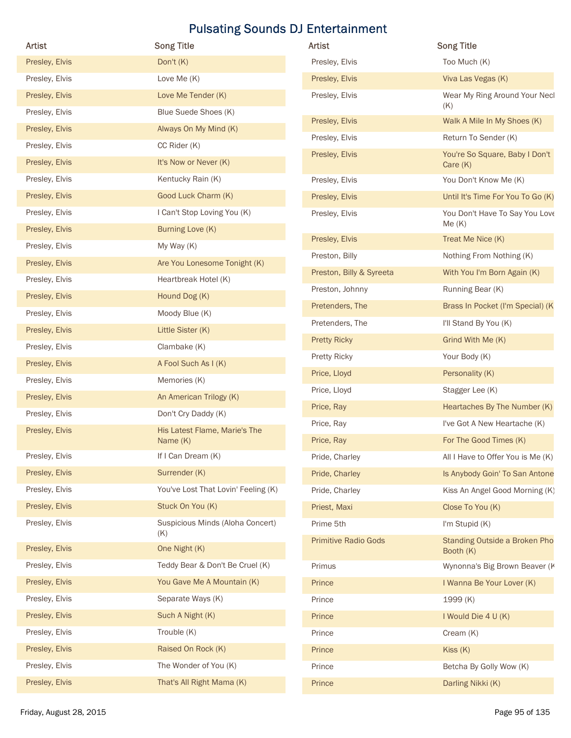| Artist                           | <b>Song Title</b>                         | Artist                      | <b>Song Title</b>                            |
|----------------------------------|-------------------------------------------|-----------------------------|----------------------------------------------|
| Presley, Elvis                   | Don't (K)                                 | Presley, Elvis              | Too Much (K)                                 |
| Presley, Elvis                   | Love Me (K)                               | Presley, Elvis              | Viva Las Vegas (K)                           |
| Presley, Elvis                   | Love Me Tender (K)                        | Presley, Elvis              | Wear My Ring Around Your Necl                |
| Presley, Elvis                   | Blue Suede Shoes (K)                      |                             | (K)                                          |
| Presley, Elvis                   | Always On My Mind (K)                     | Presley, Elvis              | Walk A Mile In My Shoes (K)                  |
| Presley, Elvis                   | CC Rider (K)                              | Presley, Elvis              | Return To Sender (K)                         |
| Presley, Elvis                   | It's Now or Never (K)                     | Presley, Elvis              | You're So Square, Baby I Don't<br>Care (K)   |
| Presley, Elvis                   | Kentucky Rain (K)                         | Presley, Elvis              | You Don't Know Me (K)                        |
| Presley, Elvis                   | Good Luck Charm (K)                       | Presley, Elvis              | Until It's Time For You To Go (K)            |
| Presley, Elvis                   | I Can't Stop Loving You (K)               | Presley, Elvis              | You Don't Have To Say You Love               |
| Presley, Elvis                   | Burning Love (K)                          | Presley, Elvis              | Me(K)<br>Treat Me Nice (K)                   |
| Presley, Elvis                   | My Way (K)                                | Preston, Billy              | Nothing From Nothing (K)                     |
| Presley, Elvis                   | Are You Lonesome Tonight (K)              | Preston, Billy & Syreeta    | With You I'm Born Again (K)                  |
| Presley, Elvis                   | Heartbreak Hotel (K)                      | Preston, Johnny             | Running Bear (K)                             |
| Presley, Elvis                   | Hound Dog (K)                             | Pretenders, The             | Brass In Pocket (I'm Special) (K)            |
| Presley, Elvis                   | Moody Blue (K)                            | Pretenders, The             | I'll Stand By You (K)                        |
| Presley, Elvis                   | Little Sister (K)                         | <b>Pretty Ricky</b>         | Grind With Me (K)                            |
| Presley, Elvis                   | Clambake (K)                              | Pretty Ricky                | Your Body (K)                                |
| Presley, Elvis                   | A Fool Such As I (K)                      | Price, Lloyd                | Personality (K)                              |
| Presley, Elvis                   | Memories (K)                              | Price, Lloyd                | Stagger Lee (K)                              |
| Presley, Elvis                   | An American Trilogy (K)                   | Price, Ray                  | Heartaches By The Number (K)                 |
| Presley, Elvis                   | Don't Cry Daddy (K)                       | Price, Ray                  | I've Got A New Heartache (K)                 |
| Presley, Elvis                   | His Latest Flame, Marie's The<br>Name (K) | Price, Ray                  | For The Good Times (K)                       |
| Presley, Elvis                   | If I Can Dream (K)                        | Pride, Charley              | All I Have to Offer You is Me (K)            |
| Presley, Elvis                   | Surrender (K)                             | Pride, Charley              | Is Anybody Goin' To San Antone               |
| Presley, Elvis                   | You've Lost That Lovin' Feeling (K)       | Pride, Charley              | Kiss An Angel Good Morning (K)               |
| Presley, Elvis                   | Stuck On You (K)                          | Priest, Maxi                | Close To You (K)                             |
| Presley, Elvis                   | Suspicious Minds (Aloha Concert)          | Prime 5th                   | I'm Stupid (K)                               |
|                                  | (K)                                       | <b>Primitive Radio Gods</b> | Standing Outside a Broken Pho                |
| Presley, Elvis                   | One Night (K)                             |                             | Booth (K)                                    |
| Presley, Elvis                   | Teddy Bear & Don't Be Cruel (K)           | Primus                      | Wynonna's Big Brown Beaver (K                |
| Presley, Elvis                   | You Gave Me A Mountain (K)                | Prince                      | I Wanna Be Your Lover (K)                    |
| Presley, Elvis                   | Separate Ways (K)                         | Prince                      | 1999 (K)                                     |
| Presley, Elvis                   | Such A Night (K)                          | Prince                      | I Would Die 4 U (K)                          |
| Presley, Elvis<br>Presley, Elvis | Trouble (K)<br>Raised On Rock (K)         | Prince                      | Cream (K)                                    |
| Presley, Elvis                   | The Wonder of You (K)                     | Prince                      | Kiss (K)                                     |
|                                  | That's All Right Mama (K)                 | Prince                      | Betcha By Golly Wow (K)<br>Darling Nikki (K) |
| Presley, Elvis                   |                                           | Prince                      |                                              |

| <b>Artist</b>               | <b>Song Title</b>                            |
|-----------------------------|----------------------------------------------|
| Presley, Elvis              | Too Much (K)                                 |
| Presley, Elvis              | Viva Las Vegas (K)                           |
| Presley, Elvis              | Wear My Ring Around Your Necl<br>(K)         |
| Presley, Elvis              | Walk A Mile In My Shoes (K)                  |
| Presley, Elvis              | Return To Sender (K)                         |
| Presley, Elvis              | You're So Square, Baby I Don't<br>Care $(K)$ |
| Presley, Elvis              | You Don't Know Me (K)                        |
| Presley, Elvis              | Until It's Time For You To Go (K)            |
| Presley, Elvis              | You Don't Have To Say You Love<br>Me(K)      |
| Presley, Elvis              | Treat Me Nice (K)                            |
| Preston, Billy              | Nothing From Nothing (K)                     |
| Preston, Billy & Syreeta    | With You I'm Born Again (K)                  |
| Preston, Johnny             | Running Bear (K)                             |
| Pretenders, The             | Brass In Pocket (I'm Special) (K             |
| Pretenders, The             | I'll Stand By You (K)                        |
| <b>Pretty Ricky</b>         | Grind With Me (K)                            |
| Pretty Ricky                | Your Body (K)                                |
| Price, Lloyd                | Personality (K)                              |
| Price, Lloyd                | Stagger Lee (K)                              |
| Price, Ray                  | Heartaches By The Number (K)                 |
| Price, Ray                  | I've Got A New Heartache (K)                 |
| Price, Ray                  | For The Good Times (K)                       |
| Pride, Charley              | All I Have to Offer You is Me (K)            |
| Pride, Charley              | Is Anybody Goin' To San Antone               |
| Pride, Charley              | Kiss An Angel Good Morning (K)               |
| Priest, Maxi                | Close To You (K)                             |
| Prime 5th                   | I'm Stupid (K)                               |
| <b>Primitive Radio Gods</b> | Standing Outside a Broken Pho<br>Booth (K)   |
| Primus                      | Wynonna's Big Brown Beaver (K                |
| Prince                      | I Wanna Be Your Lover (K)                    |
| Prince                      | 1999 (K)                                     |
| Prince                      | I Would Die 4 U (K)                          |
| Prince                      | Cream (K)                                    |
| Prince                      | Kiss(K)                                      |
| Prince                      | Betcha By Golly Wow (K)                      |
| Prince                      | Darling Nikki (K)                            |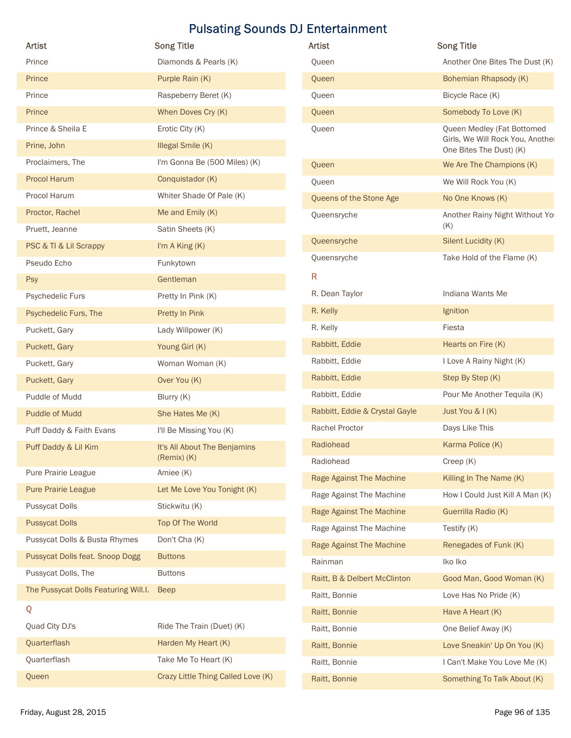| <b>Artist</b>                        |                                            |                                          |                                                                |
|--------------------------------------|--------------------------------------------|------------------------------------------|----------------------------------------------------------------|
|                                      |                                            | <b>Pulsating Sounds DJ Entertainment</b> |                                                                |
| Prince                               | <b>Song Title</b><br>Diamonds & Pearls (K) | Artist<br>Queen                          | <b>Song Title</b><br>Another One Bites The Dust (K)            |
| Prince                               | Purple Rain (K)                            | Queen                                    | Bohemian Rhapsody (K)                                          |
| Prince                               | Raspeberry Beret (K)                       |                                          | Bicycle Race (K)                                               |
| Prince                               | When Doves Cry (K)                         | Queen                                    | Somebody To Love (K)                                           |
|                                      |                                            | Queen                                    |                                                                |
| Prince & Sheila E                    | Erotic City (K)                            | Queen                                    | Queen Medley (Fat Bottomed<br>Girls, We Will Rock You, Another |
| Prine, John                          | Illegal Smile (K)                          |                                          | One Bites The Dust) (K)                                        |
| Proclaimers, The                     | I'm Gonna Be (500 Miles) (K)               | Queen                                    | We Are The Champions (K)                                       |
| <b>Procol Harum</b>                  | Conquistador (K)                           | Queen                                    | We Will Rock You (K)                                           |
| Procol Harum                         | Whiter Shade Of Pale (K)                   | Queens of the Stone Age                  | No One Knows (K)                                               |
| Proctor, Rachel                      | Me and Emily (K)                           | Queensryche                              | Another Rainy Night Without Yo<br>(K)                          |
| Pruett, Jeanne                       | Satin Sheets (K)                           | Queensryche                              | Silent Lucidity (K)                                            |
| PSC & TI & Lil Scrappy               | I'm A King (K)                             | Queensryche                              | Take Hold of the Flame (K)                                     |
| Pseudo Echo                          | Funkytown                                  |                                          |                                                                |
| Psy                                  | Gentleman                                  | R                                        |                                                                |
| Psychedelic Furs                     | Pretty In Pink (K)                         | R. Dean Taylor                           | Indiana Wants Me                                               |
| Psychedelic Furs, The                | Pretty In Pink                             | R. Kelly                                 | Ignition                                                       |
| Puckett, Gary                        | Lady Willpower (K)                         | R. Kelly                                 | Fiesta                                                         |
| Puckett, Gary                        | Young Girl (K)                             | Rabbitt, Eddie                           | Hearts on Fire (K)                                             |
| Puckett, Gary                        | Woman Woman (K)                            | Rabbitt, Eddie                           | I Love A Rainy Night (K)                                       |
| Puckett, Gary                        | Over You (K)                               | Rabbitt, Eddie                           | Step By Step (K)                                               |
| Puddle of Mudd                       | Blurry (K)                                 | Rabbitt, Eddie                           | Pour Me Another Tequila (K)                                    |
| <b>Puddle of Mudd</b>                | She Hates Me (K)                           | Rabbitt, Eddie & Crystal Gayle           | Just You & I (K)                                               |
| Puff Daddy & Faith Evans             | I'll Be Missing You (K)                    | Rachel Proctor                           | Days Like This                                                 |
| Puff Daddy & Lil Kim                 | It's All About The Benjamins               | Radiohead                                | Karma Police (K)                                               |
|                                      | (Remix) (K)                                | Radiohead                                | Creep (K)                                                      |
| Pure Prairie League                  | Amiee (K)                                  | Rage Against The Machine                 | Killing In The Name (K)                                        |
| <b>Pure Prairie League</b>           | Let Me Love You Tonight (K)                | Rage Against The Machine                 | How I Could Just Kill A Man (K)                                |
| <b>Pussycat Dolls</b>                | Stickwitu (K)                              | Rage Against The Machine                 | Guerrilla Radio (K)                                            |
| <b>Pussycat Dolls</b>                | Top Of The World                           | Rage Against The Machine                 | Testify (K)                                                    |
| Pussycat Dolls & Busta Rhymes        | Don't Cha (K)                              | Rage Against The Machine                 | Renegades of Funk (K)                                          |
| Pussycat Dolls feat. Snoop Dogg      | <b>Buttons</b>                             | Rainman                                  | Iko Iko                                                        |
| Pussycat Dolls, The                  | <b>Buttons</b>                             | Raitt, B & Delbert McClinton             | Good Man, Good Woman (K)                                       |
| The Pussycat Dolls Featuring Will.I. | <b>Beep</b>                                | Raitt, Bonnie                            | Love Has No Pride (K)                                          |
| Q                                    |                                            | Raitt, Bonnie                            | Have A Heart (K)                                               |
| Quad City DJ's                       | Ride The Train (Duet) (K)                  | Raitt, Bonnie                            | One Belief Away (K)                                            |
|                                      | Harden My Heart (K)                        | Raitt, Bonnie                            | Love Sneakin' Up On You (K)                                    |
| Quarterflash                         |                                            |                                          |                                                                |
| Quarterflash                         | Take Me To Heart (K)                       | Raitt, Bonnie                            | I Can't Make You Love Me (K)                                   |

| Artist                         | <b>Song Title</b>                                                                         |
|--------------------------------|-------------------------------------------------------------------------------------------|
| Queen                          | Another One Bites The Dust (K)                                                            |
| Queen                          | Bohemian Rhapsody (K)                                                                     |
| Queen                          | Bicycle Race (K)                                                                          |
| Queen                          | Somebody To Love (K)                                                                      |
| Queen                          | Queen Medley (Fat Bottomed<br>Girls, We Will Rock You, Another<br>One Bites The Dust) (K) |
| Queen                          | We Are The Champions (K)                                                                  |
| Queen                          | We Will Rock You (K)                                                                      |
| Queens of the Stone Age        | No One Knows (K)                                                                          |
| Queensryche                    | Another Rainy Night Without Yo<br>(K)                                                     |
| Queensryche                    | Silent Lucidity (K)                                                                       |
| Queensryche                    | Take Hold of the Flame (K)                                                                |
| R                              |                                                                                           |
| R. Dean Taylor                 | Indiana Wants Me                                                                          |
| R. Kelly                       | Ignition                                                                                  |
| R. Kelly                       | Fiesta                                                                                    |
| Rabbitt, Eddie                 | Hearts on Fire (K)                                                                        |
| Rabbitt, Eddie                 | I Love A Rainy Night (K)                                                                  |
| Rabbitt, Eddie                 | Step By Step (K)                                                                          |
| Rabbitt, Eddie                 | Pour Me Another Tequila (K)                                                               |
| Rabbitt, Eddie & Crystal Gayle | Just You & I (K)                                                                          |
| <b>Rachel Proctor</b>          | Days Like This                                                                            |
| Radiohead                      | Karma Police (K)                                                                          |
| Radiohead                      | Creep (K)                                                                                 |
| Rage Against The Machine       | Killing In The Name (K)                                                                   |
| Rage Against The Machine       | How I Could Just Kill A Man (K)                                                           |
| Rage Against The Machine       | Guerrilla Radio (K)                                                                       |
| Rage Against The Machine       | Testify (K)                                                                               |
| Rage Against The Machine       | Renegades of Funk (K)                                                                     |
| Rainman                        | Iko Iko                                                                                   |
| Raitt, B & Delbert McClinton   | Good Man, Good Woman (K)                                                                  |
| Raitt, Bonnie                  | Love Has No Pride (K)                                                                     |
| Raitt, Bonnie                  | Have A Heart (K)                                                                          |
| Raitt, Bonnie                  | One Belief Away (K)                                                                       |
| Raitt, Bonnie                  | Love Sneakin' Up On You (K)                                                               |
| Raitt, Bonnie                  | I Can't Make You Love Me (K)                                                              |
| Raitt, Bonnie                  | Something To Talk About (K)                                                               |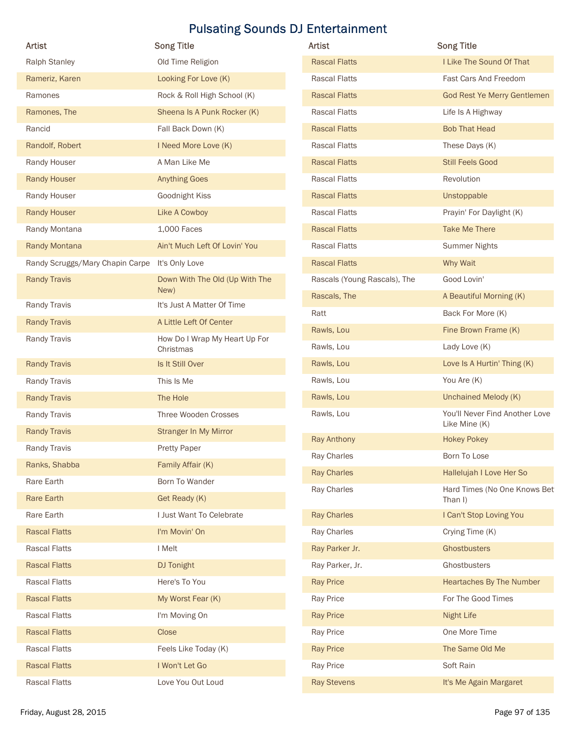| Artist                                         | <b>Song Title</b>                      | Artist                       | <b>Song Title</b>                       |
|------------------------------------------------|----------------------------------------|------------------------------|-----------------------------------------|
| <b>Ralph Stanley</b>                           | Old Time Religion                      | <b>Rascal Flatts</b>         | I Like The Sound Of That                |
| Rameriz, Karen                                 | Looking For Love (K)                   | <b>Rascal Flatts</b>         | Fast Cars And Freedom                   |
| Ramones                                        | Rock & Roll High School (K)            | <b>Rascal Flatts</b>         | God Rest Ye Merry Gentlemen             |
|                                                |                                        | Rascal Flatts                |                                         |
| Ramones, The                                   | Sheena Is A Punk Rocker (K)            |                              | Life Is A Highway                       |
| Rancid                                         | Fall Back Down (K)                     | <b>Rascal Flatts</b>         | <b>Bob That Head</b>                    |
| Randolf, Robert                                | I Need More Love (K)                   | Rascal Flatts                | These Days (K)                          |
| Randy Houser                                   | A Man Like Me                          | <b>Rascal Flatts</b>         | <b>Still Feels Good</b>                 |
| <b>Randy Houser</b>                            | <b>Anything Goes</b>                   | <b>Rascal Flatts</b>         | Revolution                              |
| Randy Houser                                   | Goodnight Kiss                         | <b>Rascal Flatts</b>         | Unstoppable                             |
| <b>Randy Houser</b>                            | Like A Cowboy                          | Rascal Flatts                | Prayin' For Daylight (K)                |
| Randy Montana                                  | 1,000 Faces                            | <b>Rascal Flatts</b>         | <b>Take Me There</b>                    |
| Randy Montana                                  | Ain't Much Left Of Lovin' You          | Rascal Flatts                | <b>Summer Nights</b>                    |
| Randy Scruggs/Mary Chapin Carpe It's Only Love |                                        | <b>Rascal Flatts</b>         | Why Wait                                |
| <b>Randy Travis</b>                            | Down With The Old (Up With The<br>New) | Rascals (Young Rascals), The | Good Lovin'                             |
| Randy Travis                                   | It's Just A Matter Of Time             | Rascals, The                 | A Beautiful Morning (K)                 |
| <b>Randy Travis</b>                            | A Little Left Of Center                | Ratt                         | Back For More (K)                       |
| Randy Travis                                   | How Do I Wrap My Heart Up For          | Rawls, Lou                   | Fine Brown Frame (K)                    |
|                                                | Christmas                              | Rawls, Lou                   | Lady Love (K)                           |
| <b>Randy Travis</b>                            | Is It Still Over                       | Rawls, Lou                   | Love Is A Hurtin' Thing (K)             |
| Randy Travis                                   | This Is Me                             | Rawls, Lou                   | You Are (K)                             |
| <b>Randy Travis</b>                            | The Hole                               | Rawls, Lou                   | Unchained Melody (K)                    |
| Randy Travis                                   | Three Wooden Crosses                   | Rawls, Lou                   | You'll Never Find Another Love          |
| <b>Randy Travis</b>                            | Stranger In My Mirror                  |                              | Like Mine (K)                           |
| Randy Travis                                   | Pretty Paper                           | Ray Anthony                  | <b>Hokey Pokey</b>                      |
| Ranks, Shabba                                  | Family Affair (K)                      | Ray Charles                  | Born To Lose                            |
| Rare Earth                                     | Born To Wander                         | <b>Ray Charles</b>           | Hallelujah I Love Her So                |
| <b>Rare Earth</b>                              | Get Ready (K)                          | Ray Charles                  | Hard Times (No One Knows Bet<br>Than I) |
| Rare Earth                                     | I Just Want To Celebrate               | <b>Ray Charles</b>           | I Can't Stop Loving You                 |
| <b>Rascal Flatts</b>                           | I'm Movin' On                          | Ray Charles                  | Crying Time (K)                         |
| <b>Rascal Flatts</b>                           | I Melt                                 | Ray Parker Jr.               | Ghostbusters                            |
| <b>Rascal Flatts</b>                           | DJ Tonight                             | Ray Parker, Jr.              | Ghostbusters                            |
| <b>Rascal Flatts</b>                           | Here's To You                          | <b>Ray Price</b>             | Heartaches By The Number                |
| <b>Rascal Flatts</b>                           | My Worst Fear (K)                      | Ray Price                    | For The Good Times                      |
| <b>Rascal Flatts</b>                           | I'm Moving On                          | <b>Ray Price</b>             | Night Life                              |
|                                                |                                        |                              | One More Time                           |
| <b>Rascal Flatts</b>                           | Close                                  | Ray Price                    |                                         |
| <b>Rascal Flatts</b>                           | Feels Like Today (K)                   | <b>Ray Price</b>             | The Same Old Me                         |
| <b>Rascal Flatts</b>                           | I Won't Let Go                         | Ray Price                    | Soft Rain                               |
| <b>Rascal Flatts</b>                           | Love You Out Loud                      | <b>Ray Stevens</b>           | It's Me Again Margaret                  |

| <b>Artist</b>                | <b>Song Title</b>                               |
|------------------------------|-------------------------------------------------|
| <b>Rascal Flatts</b>         | I Like The Sound Of That                        |
| <b>Rascal Flatts</b>         | Fast Cars And Freedom                           |
| <b>Rascal Flatts</b>         | God Rest Ye Merry Gentlemen                     |
| <b>Rascal Flatts</b>         | Life Is A Highway                               |
| <b>Rascal Flatts</b>         | <b>Bob That Head</b>                            |
| <b>Rascal Flatts</b>         | These Days (K)                                  |
| <b>Rascal Flatts</b>         | <b>Still Feels Good</b>                         |
| <b>Rascal Flatts</b>         | Revolution                                      |
| <b>Rascal Flatts</b>         | Unstoppable                                     |
| <b>Rascal Flatts</b>         | Prayin' For Daylight (K)                        |
| <b>Rascal Flatts</b>         | <b>Take Me There</b>                            |
| <b>Rascal Flatts</b>         | <b>Summer Nights</b>                            |
| <b>Rascal Flatts</b>         | Why Wait                                        |
| Rascals (Young Rascals), The | Good Lovin'                                     |
| Rascals, The                 | A Beautiful Morning (K)                         |
| Ratt                         | Back For More (K)                               |
| Rawls, Lou                   | Fine Brown Frame (K)                            |
| Rawls, Lou                   | Lady Love (K)                                   |
| Rawls, Lou                   | Love Is A Hurtin' Thing (K)                     |
| Rawls, Lou                   | You Are (K)                                     |
| Rawls, Lou                   | Unchained Melody (K)                            |
| Rawls, Lou                   | You'll Never Find Another Love<br>Like Mine (K) |
| <b>Ray Anthony</b>           | <b>Hokey Pokey</b>                              |
| Ray Charles                  | Born To Lose                                    |
| <b>Ray Charles</b>           | Hallelujah I Love Her So                        |
| Ray Charles                  | Hard Times (No One Knows Bet<br>Than I)         |
| <b>Ray Charles</b>           | I Can't Stop Loving You                         |
| Ray Charles                  | Crying Time (K)                                 |
| Ray Parker Jr.               | Ghostbusters                                    |
| Ray Parker, Jr.              | Ghostbusters                                    |
| <b>Ray Price</b>             | Heartaches By The Number                        |
| Ray Price                    | For The Good Times                              |
| <b>Ray Price</b>             | <b>Night Life</b>                               |
| Ray Price                    | One More Time                                   |
| <b>Ray Price</b>             | The Same Old Me                                 |
| Ray Price                    | Soft Rain                                       |
| <b>Ray Stevens</b>           | It's Me Again Margaret                          |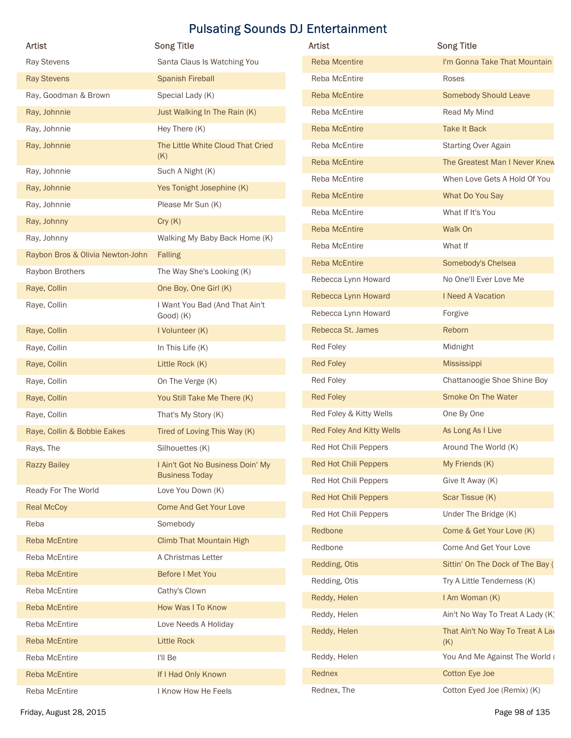| Artist                           | <b>Song Title</b>                                         | Artist                    | <b>Song Title</b>                       |
|----------------------------------|-----------------------------------------------------------|---------------------------|-----------------------------------------|
| Ray Stevens                      | Santa Claus Is Watching You                               | <b>Reba Mcentire</b>      | I'm Gonna Take That Mountain            |
| <b>Ray Stevens</b>               | <b>Spanish Fireball</b>                                   | Reba McEntire             | Roses                                   |
| Ray, Goodman & Brown             | Special Lady (K)                                          | <b>Reba McEntire</b>      | <b>Somebody Should Leave</b>            |
| Ray, Johnnie                     | Just Walking In The Rain (K)                              | Reba McEntire             | Read My Mind                            |
| Ray, Johnnie                     | Hey There (K)                                             | <b>Reba McEntire</b>      | <b>Take It Back</b>                     |
| Ray, Johnnie                     | The Little White Cloud That Cried<br>(K)                  | Reba McEntire             | <b>Starting Over Again</b>              |
| Ray, Johnnie                     | Such A Night (K)                                          | <b>Reba McEntire</b>      | The Greatest Man I Never Knew           |
| Ray, Johnnie                     | Yes Tonight Josephine (K)                                 | Reba McEntire             | When Love Gets A Hold Of You            |
| Ray, Johnnie                     | Please Mr Sun (K)                                         | Reba McEntire             | What Do You Say                         |
| Ray, Johnny                      | Cry(K)                                                    | Reba McEntire             | What If It's You                        |
| Ray, Johnny                      | Walking My Baby Back Home (K)                             | Reba McEntire             | Walk On                                 |
| Raybon Bros & Olivia Newton-John | Falling                                                   | Reba McEntire             | What If                                 |
| Raybon Brothers                  | The Way She's Looking (K)                                 | Reba McEntire             | Somebody's Chelsea                      |
| Raye, Collin                     | One Boy, One Girl (K)                                     | Rebecca Lynn Howard       | No One'll Ever Love Me                  |
| Raye, Collin                     | I Want You Bad (And That Ain't                            | Rebecca Lynn Howard       | I Need A Vacation                       |
|                                  | Good) (K)                                                 | Rebecca Lynn Howard       | Forgive                                 |
| Raye, Collin                     | I Volunteer (K)                                           | Rebecca St. James         | Reborn                                  |
| Raye, Collin                     | In This Life (K)                                          | Red Foley                 | Midnight                                |
| Raye, Collin                     | Little Rock (K)                                           | <b>Red Foley</b>          | Mississippi                             |
| Raye, Collin                     | On The Verge (K)                                          | Red Foley                 | Chattanoogie Shoe Shine Boy             |
| Raye, Collin                     | You Still Take Me There (K)                               | <b>Red Foley</b>          | Smoke On The Water                      |
| Raye, Collin                     | That's My Story (K)                                       | Red Foley & Kitty Wells   | One By One                              |
| Raye, Collin & Bobbie Eakes      | Tired of Loving This Way (K)                              | Red Foley And Kitty Wells | As Long As I Live                       |
| Rays, The                        | Silhouettes (K)                                           | Red Hot Chili Peppers     | Around The World (K)                    |
| <b>Razzy Bailey</b>              | I Ain't Got No Business Doin' My<br><b>Business Today</b> | Red Hot Chili Peppers     | My Friends (K)                          |
| Ready For The World              | Love You Down (K)                                         | Red Hot Chili Peppers     | Give It Away (K)                        |
| <b>Real McCoy</b>                | <b>Come And Get Your Love</b>                             | Red Hot Chili Peppers     | Scar Tissue (K)                         |
| Reba                             | Somebody                                                  | Red Hot Chili Peppers     | Under The Bridge (K)                    |
| <b>Reba McEntire</b>             | <b>Climb That Mountain High</b>                           | Redbone                   | Come & Get Your Love (K)                |
| Reba McEntire                    | A Christmas Letter                                        | Redbone                   | Come And Get Your Love                  |
| <b>Reba McEntire</b>             | Before I Met You                                          | Redding, Otis             | Sittin' On The Dock of The Bay (        |
| Reba McEntire                    | Cathy's Clown                                             | Redding, Otis             | Try A Little Tenderness (K)             |
| <b>Reba McEntire</b>             | How Was I To Know                                         | Reddy, Helen              | I Am Woman (K)                          |
| Reba McEntire                    | Love Needs A Holiday                                      | Reddy, Helen              | Ain't No Way To Treat A Lady (K)        |
| Reba McEntire                    | Little Rock                                               | Reddy, Helen              | That Ain't No Way To Treat A Lad<br>(K) |
| Reba McEntire                    | I'll Be                                                   | Reddy, Helen              | You And Me Against The World (          |
| <b>Reba McEntire</b>             | If I Had Only Known                                       | Rednex                    | Cotton Eye Joe                          |
| Reba McEntire                    | I Know How He Feels                                       | Rednex, The               | Cotton Eyed Joe (Remix) (K)             |
|                                  |                                                           |                           |                                         |

| <b>Artist</b>                | <b>Song Title</b>                       |
|------------------------------|-----------------------------------------|
| <b>Reba Mcentire</b>         | I'm Gonna Take That Mountain            |
| Reba McEntire                | Roses                                   |
| <b>Reba McEntire</b>         | <b>Somebody Should Leave</b>            |
| Reba McEntire                | Read My Mind                            |
| <b>Reba McEntire</b>         | <b>Take It Back</b>                     |
| Reba McEntire                | <b>Starting Over Again</b>              |
| <b>Reba McEntire</b>         | The Greatest Man I Never Knew           |
| Reba McEntire                | When Love Gets A Hold Of You            |
| <b>Reba McEntire</b>         | What Do You Say                         |
| Reba McEntire                | What If It's You                        |
| <b>Reba McEntire</b>         | Walk On                                 |
| Reba McEntire                | What If                                 |
| <b>Reba McEntire</b>         | Somebody's Chelsea                      |
| Rebecca Lynn Howard          | No One'll Ever Love Me                  |
| Rebecca Lynn Howard          | I Need A Vacation                       |
| Rebecca Lynn Howard          | Forgive                                 |
| Rebecca St. James            | Reborn                                  |
| Red Foley                    | Midnight                                |
| <b>Red Foley</b>             | <b>Mississippi</b>                      |
| Red Foley                    | Chattanoogie Shoe Shine Boy             |
| <b>Red Foley</b>             | Smoke On The Water                      |
| Red Foley & Kitty Wells      | One By One                              |
| Red Foley And Kitty Wells    | As Long As I Live                       |
| Red Hot Chili Peppers        | Around The World (K)                    |
| <b>Red Hot Chili Peppers</b> | My Friends (K)                          |
| Red Hot Chili Peppers        | Give It Away (K)                        |
| <b>Red Hot Chili Peppers</b> | Scar Tissue (K)                         |
| Red Hot Chili Peppers        | Under The Bridge (K)                    |
| Redbone                      | Come & Get Your Love (K)                |
| Redbone                      | Come And Get Your Love                  |
| Redding, Otis                | Sittin' On The Dock of The Bay (        |
| Redding, Otis                | Try A Little Tenderness (K)             |
| Reddy, Helen                 | I Am Woman (K)                          |
| Reddy, Helen                 | Ain't No Way To Treat A Lady (K)        |
| Reddy, Helen                 | That Ain't No Way To Treat A Lad<br>(K) |
| Reddy, Helen                 | You And Me Against The World (          |
| Rednex                       | Cotton Eye Joe                          |
| Rednex, The                  | Cotton Eyed Joe (Remix) (K)             |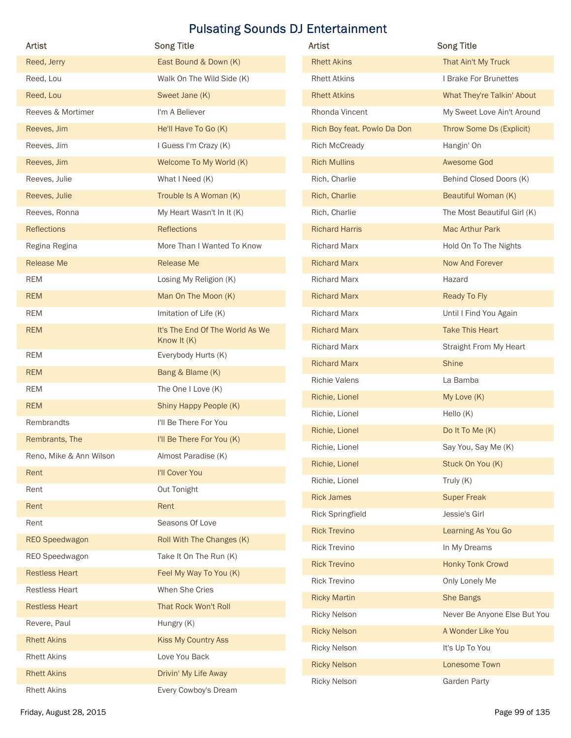| Artist                  | <b>Song Title</b>               | Artist                      | <b>Song Title</b>            |
|-------------------------|---------------------------------|-----------------------------|------------------------------|
| Reed, Jerry             | East Bound & Down (K)           | <b>Rhett Akins</b>          | That Ain't My Truck          |
| Reed, Lou               | Walk On The Wild Side (K)       | <b>Rhett Atkins</b>         | I Brake For Brunettes        |
| Reed, Lou               | Sweet Jane (K)                  | <b>Rhett Atkins</b>         | What They're Talkin' About   |
| Reeves & Mortimer       | I'm A Believer                  | Rhonda Vincent              | My Sweet Love Ain't Around   |
| Reeves, Jim             | He'll Have To Go (K)            | Rich Boy feat. Powlo Da Don | Throw Some Ds (Explicit)     |
| Reeves, Jim             | I Guess I'm Crazy (K)           | Rich McCready               | Hangin' On                   |
| Reeves, Jim             | Welcome To My World (K)         | <b>Rich Mullins</b>         | Awesome God                  |
| Reeves, Julie           | What I Need (K)                 | Rich, Charlie               | Behind Closed Doors (K)      |
| Reeves, Julie           | Trouble Is A Woman (K)          | Rich, Charlie               | Beautiful Woman (K)          |
| Reeves, Ronna           | My Heart Wasn't In It (K)       | Rich, Charlie               | The Most Beautiful Girl (K)  |
| Reflections             | Reflections                     | <b>Richard Harris</b>       | Mac Arthur Park              |
| Regina Regina           | More Than I Wanted To Know      | <b>Richard Marx</b>         | Hold On To The Nights        |
| Release Me              | Release Me                      | <b>Richard Marx</b>         | Now And Forever              |
| REM                     | Losing My Religion (K)          | <b>Richard Marx</b>         | Hazard                       |
| <b>REM</b>              | Man On The Moon (K)             | <b>Richard Marx</b>         | Ready To Fly                 |
| REM                     | Imitation of Life (K)           | <b>Richard Marx</b>         | Until I Find You Again       |
| <b>REM</b>              | It's The End Of The World As We | <b>Richard Marx</b>         | <b>Take This Heart</b>       |
|                         | Know It (K)                     | <b>Richard Marx</b>         | Straight From My Heart       |
| <b>REM</b>              | Everybody Hurts (K)             | <b>Richard Marx</b>         | Shine                        |
| <b>REM</b>              | Bang & Blame (K)                | Richie Valens               | La Bamba                     |
| <b>REM</b>              | The One I Love (K)              | Richie, Lionel              | My Love (K)                  |
| <b>REM</b>              | Shiny Happy People (K)          | Richie, Lionel              | Hello (K)                    |
| Rembrandts              | I'll Be There For You           | Richie, Lionel              | Do It To Me (K)              |
| Rembrants, The          | I'll Be There For You (K)       | Richie, Lionel              | Say You, Say Me (K)          |
| Reno, Mike & Ann Wilson | Almost Paradise (K)             | Richie, Lionel              | Stuck On You (K)             |
| Rent                    | I'll Cover You                  | Richie, Lionel              | Truly (K)                    |
| Rent                    | Out Tonight                     | <b>Rick James</b>           | <b>Super Freak</b>           |
| Rent                    | Rent                            | <b>Rick Springfield</b>     | Jessie's Girl                |
| Rent                    | Seasons Of Love                 | <b>Rick Trevino</b>         | Learning As You Go           |
| REO Speedwagon          | Roll With The Changes (K)       | Rick Trevino                | In My Dreams                 |
| REO Speedwagon          | Take It On The Run (K)          | <b>Rick Trevino</b>         | <b>Honky Tonk Crowd</b>      |
| <b>Restless Heart</b>   | Feel My Way To You (K)          | Rick Trevino                | Only Lonely Me               |
| Restless Heart          | When She Cries                  | <b>Ricky Martin</b>         | She Bangs                    |
| <b>Restless Heart</b>   | That Rock Won't Roll            | Ricky Nelson                | Never Be Anyone Else But You |
| Revere, Paul            | Hungry (K)                      | <b>Ricky Nelson</b>         | A Wonder Like You            |
| <b>Rhett Akins</b>      | Kiss My Country Ass             | Ricky Nelson                | It's Up To You               |
| <b>Rhett Akins</b>      | Love You Back                   | <b>Ricky Nelson</b>         | Lonesome Town                |
| <b>Rhett Akins</b>      | Drivin' My Life Away            | Ricky Nelson                | <b>Garden Party</b>          |
| <b>Rhett Akins</b>      | Every Cowboy's Dream            |                             |                              |

| Artist                      | <b>Song Title</b>            |
|-----------------------------|------------------------------|
| <b>Rhett Akins</b>          | That Ain't My Truck          |
| <b>Rhett Atkins</b>         | I Brake For Brunettes        |
| <b>Rhett Atkins</b>         | What They're Talkin' About   |
| Rhonda Vincent              | My Sweet Love Ain't Around   |
| Rich Boy feat. Powlo Da Don | Throw Some Ds (Explicit)     |
| Rich McCready               | Hangin' On                   |
| <b>Rich Mullins</b>         | Awesome God                  |
| Rich, Charlie               | Behind Closed Doors (K)      |
| Rich, Charlie               | Beautiful Woman (K)          |
| Rich, Charlie               | The Most Beautiful Girl (K)  |
| <b>Richard Harris</b>       | <b>Mac Arthur Park</b>       |
| <b>Richard Marx</b>         | Hold On To The Nights        |
| <b>Richard Marx</b>         | Now And Forever              |
| <b>Richard Marx</b>         | Hazard                       |
| <b>Richard Marx</b>         | Ready To Fly                 |
| <b>Richard Marx</b>         | Until I Find You Again       |
| <b>Richard Marx</b>         | <b>Take This Heart</b>       |
| <b>Richard Marx</b>         | Straight From My Heart       |
| <b>Richard Marx</b>         | <b>Shine</b>                 |
| <b>Richie Valens</b>        | La Bamba                     |
| Richie, Lionel              | My Love (K)                  |
| Richie, Lionel              | Hello (K)                    |
| Richie, Lionel              | Do It To Me $(K)$            |
| Richie, Lionel              | Say You, Say Me (K)          |
| Richie, Lionel              | Stuck On You (K)             |
| Richie, Lionel              | Truly (K)                    |
| <b>Rick James</b>           | <b>Super Freak</b>           |
| <b>Rick Springfield</b>     | Jessie's Girl                |
| <b>Rick Trevino</b>         | Learning As You Go           |
| Rick Trevino                | In My Dreams                 |
| <b>Rick Trevino</b>         | <b>Honky Tonk Crowd</b>      |
| Rick Trevino                | Only Lonely Me               |
| <b>Ricky Martin</b>         | <b>She Bangs</b>             |
| <b>Ricky Nelson</b>         | Never Be Anyone Else But You |
| <b>Ricky Nelson</b>         | A Wonder Like You            |
| <b>Ricky Nelson</b>         | It's Up To You               |
| <b>Ricky Nelson</b>         | Lonesome Town                |
| Ricky Nelson                | Garden Party                 |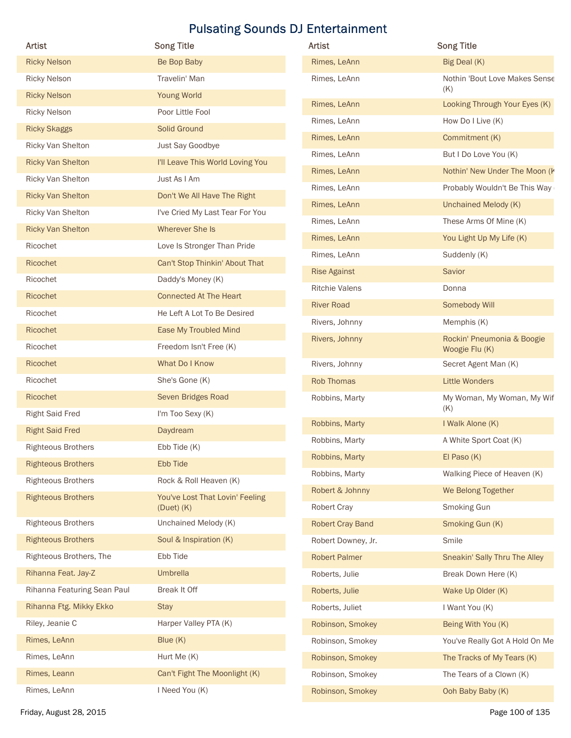| Artist                      | <b>Song Title</b>                                 | Artist                       | <b>Song Title</b>                                      |
|-----------------------------|---------------------------------------------------|------------------------------|--------------------------------------------------------|
| <b>Ricky Nelson</b>         | Be Bop Baby                                       | Rimes, LeAnn                 | Big Deal (K)                                           |
| <b>Ricky Nelson</b>         | Travelin' Man                                     | Rimes, LeAnn                 | Nothin 'Bout Love Makes Sense                          |
| <b>Ricky Nelson</b>         | Young World                                       |                              | (K)                                                    |
| <b>Ricky Nelson</b>         | Poor Little Fool                                  | Rimes, LeAnn                 | Looking Through Your Eyes (K)                          |
| <b>Ricky Skaggs</b>         | Solid Ground                                      | Rimes, LeAnn                 | How Do I Live (K)                                      |
| Ricky Van Shelton           | Just Say Goodbye                                  | Rimes, LeAnn                 | Commitment (K)                                         |
| <b>Ricky Van Shelton</b>    | I'll Leave This World Loving You                  | Rimes, LeAnn<br>Rimes, LeAnn | But I Do Love You (K)<br>Nothin' New Under The Moon (K |
| Ricky Van Shelton           | Just As I Am                                      | Rimes, LeAnn                 | Probably Wouldn't Be This Way                          |
| <b>Ricky Van Shelton</b>    | Don't We All Have The Right                       | Rimes, LeAnn                 | Unchained Melody (K)                                   |
| Ricky Van Shelton           | I've Cried My Last Tear For You                   | Rimes, LeAnn                 | These Arms Of Mine (K)                                 |
| <b>Ricky Van Shelton</b>    | Wherever She Is                                   | Rimes, LeAnn                 | You Light Up My Life (K)                               |
| Ricochet                    | Love Is Stronger Than Pride                       | Rimes, LeAnn                 | Suddenly (K)                                           |
| Ricochet                    | Can't Stop Thinkin' About That                    | <b>Rise Against</b>          | Savior                                                 |
| Ricochet                    | Daddy's Money (K)                                 | <b>Ritchie Valens</b>        | Donna                                                  |
| Ricochet                    | <b>Connected At The Heart</b>                     | <b>River Road</b>            | Somebody Will                                          |
| Ricochet                    | He Left A Lot To Be Desired                       | Rivers, Johnny               | Memphis (K)                                            |
| Ricochet                    | Ease My Troubled Mind                             | Rivers, Johnny               | Rockin' Pneumonia & Boogie                             |
| Ricochet                    | Freedom Isn't Free (K)                            |                              | Woogie Flu (K)                                         |
| Ricochet                    | What Do I Know                                    | Rivers, Johnny               | Secret Agent Man (K)                                   |
| Ricochet                    | She's Gone (K)                                    | Rob Thomas                   | <b>Little Wonders</b>                                  |
| Ricochet                    | Seven Bridges Road                                | Robbins, Marty               | My Woman, My Woman, My Wif<br>(K)                      |
| <b>Right Said Fred</b>      | I'm Too Sexy (K)                                  | Robbins, Marty               | I Walk Alone (K)                                       |
| <b>Right Said Fred</b>      | Daydream                                          | Robbins, Marty               | A White Sport Coat (K)                                 |
| <b>Righteous Brothers</b>   | Ebb Tide (K)                                      | Robbins, Marty               | El Paso (K)                                            |
| <b>Righteous Brothers</b>   | Ebb Tide                                          | Robbins, Marty               | Walking Piece of Heaven (K)                            |
| <b>Righteous Brothers</b>   | Rock & Roll Heaven (K)                            | Robert & Johnny              | We Belong Together                                     |
| <b>Righteous Brothers</b>   | You've Lost That Lovin' Feeling<br>$(Duet)$ $(K)$ | Robert Cray                  | Smoking Gun                                            |
| <b>Righteous Brothers</b>   | Unchained Melody (K)                              | <b>Robert Cray Band</b>      | Smoking Gun (K)                                        |
| <b>Righteous Brothers</b>   | Soul & Inspiration (K)                            | Robert Downey, Jr.           | Smile                                                  |
| Righteous Brothers, The     | Ebb Tide                                          | <b>Robert Palmer</b>         | Sneakin' Sally Thru The Alley                          |
| Rihanna Feat. Jay-Z         | Umbrella                                          | Roberts, Julie               | Break Down Here (K)                                    |
| Rihanna Featuring Sean Paul | Break It Off                                      | Roberts, Julie               | Wake Up Older (K)                                      |
| Rihanna Ftg. Mikky Ekko     | <b>Stay</b>                                       | Roberts, Juliet              | I Want You (K)                                         |
| Riley, Jeanie C             | Harper Valley PTA (K)                             | Robinson, Smokey             | Being With You (K)                                     |
| Rimes, LeAnn                | Blue (K)                                          | Robinson, Smokey             | You've Really Got A Hold On Me                         |
| Rimes, LeAnn                | Hurt Me (K)                                       | Robinson, Smokey             | The Tracks of My Tears (K)                             |
| Rimes, Leann                | Can't Fight The Moonlight (K)                     | Robinson, Smokey             | The Tears of a Clown (K)                               |
| Rimes, LeAnn                | I Need You (K)                                    | Robinson, Smokey             | Ooh Baby Baby (K)                                      |
|                             |                                                   |                              |                                                        |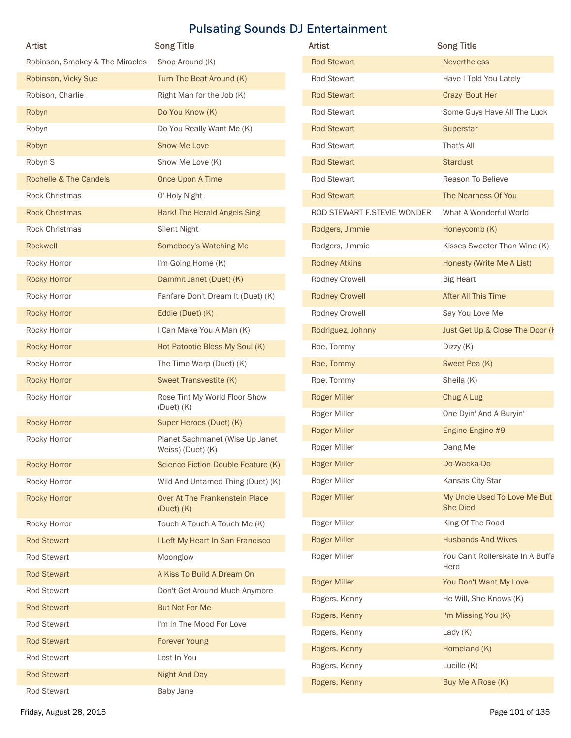| Artist                          | <b>Song Title</b>                                    | Artist                      | <b>Song Title</b>                        |
|---------------------------------|------------------------------------------------------|-----------------------------|------------------------------------------|
| Robinson, Smokey & The Miracles | Shop Around (K)                                      | <b>Rod Stewart</b>          | <b>Nevertheless</b>                      |
| Robinson, Vicky Sue             | Turn The Beat Around (K)                             | Rod Stewart                 | Have I Told You Lately                   |
| Robison, Charlie                | Right Man for the Job (K)                            | <b>Rod Stewart</b>          | Crazy 'Bout Her                          |
| Robyn                           | Do You Know (K)                                      | Rod Stewart                 | Some Guys Have All The Luck              |
| Robyn                           | Do You Really Want Me (K)                            | <b>Rod Stewart</b>          | Superstar                                |
| Robyn                           | Show Me Love                                         | Rod Stewart                 | That's All                               |
| Robyn S                         | Show Me Love (K)                                     | <b>Rod Stewart</b>          | <b>Stardust</b>                          |
| Rochelle & The Candels          | Once Upon A Time                                     | Rod Stewart                 | Reason To Believe                        |
| Rock Christmas                  | O' Holy Night                                        | <b>Rod Stewart</b>          | The Nearness Of You                      |
| <b>Rock Christmas</b>           | Hark! The Herald Angels Sing                         | ROD STEWART F.STEVIE WONDER | What A Wonderful World                   |
| Rock Christmas                  | <b>Silent Night</b>                                  | Rodgers, Jimmie             | Honeycomb (K)                            |
| Rockwell                        | Somebody's Watching Me                               | Rodgers, Jimmie             | Kisses Sweeter Than Wine (K)             |
| Rocky Horror                    | I'm Going Home (K)                                   | <b>Rodney Atkins</b>        | Honesty (Write Me A List)                |
| <b>Rocky Horror</b>             | Dammit Janet (Duet) (K)                              | Rodney Crowell              | <b>Big Heart</b>                         |
| Rocky Horror                    | Fanfare Don't Dream It (Duet) (K)                    | <b>Rodney Crowell</b>       | After All This Time                      |
| <b>Rocky Horror</b>             | Eddie (Duet) (K)                                     | Rodney Crowell              | Say You Love Me                          |
| Rocky Horror                    | I Can Make You A Man (K)                             | Rodriguez, Johnny           | Just Get Up & Close The Door (k          |
| <b>Rocky Horror</b>             | Hot Patootie Bless My Soul (K)                       | Roe, Tommy                  | Dizzy (K)                                |
| Rocky Horror                    | The Time Warp (Duet) (K)                             | Roe, Tommy                  | Sweet Pea (K)                            |
| <b>Rocky Horror</b>             | Sweet Transvestite (K)                               | Roe, Tommy                  | Sheila (K)                               |
| Rocky Horror                    | Rose Tint My World Floor Show                        | <b>Roger Miller</b>         | Chug A Lug                               |
|                                 | $(Duet)$ $(K)$                                       | Roger Miller                | One Dyin' And A Buryin'                  |
| <b>Rocky Horror</b>             | Super Heroes (Duet) (K)                              | <b>Roger Miller</b>         | Engine Engine #9                         |
| Rocky Horror                    | Planet Sachmanet (Wise Up Janet<br>Weiss) (Duet) (K) | Roger Miller                | Dang Me                                  |
| <b>Rocky Horror</b>             | Science Fiction Double Feature (K)                   | <b>Roger Miller</b>         | Do-Wacka-Do                              |
| Rocky Horror                    | Wild And Untamed Thing (Duet) (K)                    | Roger Miller                | Kansas City Star                         |
| <b>Rocky Horror</b>             | Over At The Frankenstein Place<br>$(Duet)$ $(K)$     | <b>Roger Miller</b>         | My Uncle Used To Love Me But<br>She Died |
| Rocky Horror                    | Touch A Touch A Touch Me (K)                         | Roger Miller                | King Of The Road                         |
| <b>Rod Stewart</b>              | I Left My Heart In San Francisco                     | <b>Roger Miller</b>         | <b>Husbands And Wives</b>                |
| Rod Stewart                     | Moonglow                                             | Roger Miller                | You Can't Rollerskate In A Buffa         |
| <b>Rod Stewart</b>              | A Kiss To Build A Dream On                           |                             | Herd                                     |
| Rod Stewart                     | Don't Get Around Much Anymore                        | <b>Roger Miller</b>         | You Don't Want My Love                   |
| <b>Rod Stewart</b>              | <b>But Not For Me</b>                                | Rogers, Kenny               | He Will, She Knows (K)                   |
| <b>Rod Stewart</b>              | I'm In The Mood For Love                             | Rogers, Kenny               | I'm Missing You (K)                      |
| <b>Rod Stewart</b>              | Forever Young                                        | Rogers, Kenny               | Lady $(K)$                               |
| Rod Stewart                     | Lost In You                                          | Rogers, Kenny               | Homeland (K)                             |
|                                 | Night And Day                                        | Rogers, Kenny               | Lucille (K)                              |
| <b>Rod Stewart</b>              |                                                      | Rogers, Kenny               | Buy Me A Rose (K)                        |

| <b>Artist</b>               | <b>Song Title</b>                               |
|-----------------------------|-------------------------------------------------|
| <b>Rod Stewart</b>          | <b>Nevertheless</b>                             |
| Rod Stewart                 | Have I Told You Lately                          |
| <b>Rod Stewart</b>          | Crazy 'Bout Her                                 |
| Rod Stewart                 | Some Guys Have All The Luck                     |
| <b>Rod Stewart</b>          | Superstar                                       |
| Rod Stewart                 | That's All                                      |
| <b>Rod Stewart</b>          | <b>Stardust</b>                                 |
| Rod Stewart                 | Reason To Believe                               |
| <b>Rod Stewart</b>          | The Nearness Of You                             |
| ROD STEWART F.STEVIE WONDER | What A Wonderful World                          |
| Rodgers, Jimmie             | Honeycomb (K)                                   |
| Rodgers, Jimmie             | Kisses Sweeter Than Wine (K)                    |
| <b>Rodney Atkins</b>        | Honesty (Write Me A List)                       |
| Rodney Crowell              | <b>Big Heart</b>                                |
| <b>Rodney Crowell</b>       | After All This Time                             |
| Rodney Crowell              | Say You Love Me                                 |
| Rodriguez, Johnny           | Just Get Up & Close The Door (k                 |
| Roe, Tommy                  | Dizzy (K)                                       |
| Roe, Tommy                  | Sweet Pea (K)                                   |
| Roe, Tommy                  | Sheila (K)                                      |
| <b>Roger Miller</b>         | Chug A Lug                                      |
| Roger Miller                | One Dyin' And A Buryin'                         |
| <b>Roger Miller</b>         | Engine Engine #9                                |
| Roger Miller                | Dang Me                                         |
| <b>Roger Miller</b>         | Do-Wacka-Do                                     |
| Roger Miller                | Kansas City Star                                |
| <b>Roger Miller</b>         | My Uncle Used To Love Me But<br><b>She Died</b> |
| Roger Miller                | King Of The Road                                |
| <b>Roger Miller</b>         | <b>Husbands And Wives</b>                       |
| Roger Miller                | You Can't Rollerskate In A Buffa<br>Herd        |
| <b>Roger Miller</b>         | You Don't Want My Love                          |
| Rogers, Kenny               | He Will, She Knows (K)                          |
| Rogers, Kenny               | I'm Missing You (K)                             |
| Rogers, Kenny               | Lady $(K)$                                      |
| Rogers, Kenny               | Homeland (K)                                    |
| Rogers, Kenny               | Lucille (K)                                     |
| Rogers, Kenny               | Buy Me A Rose (K)                               |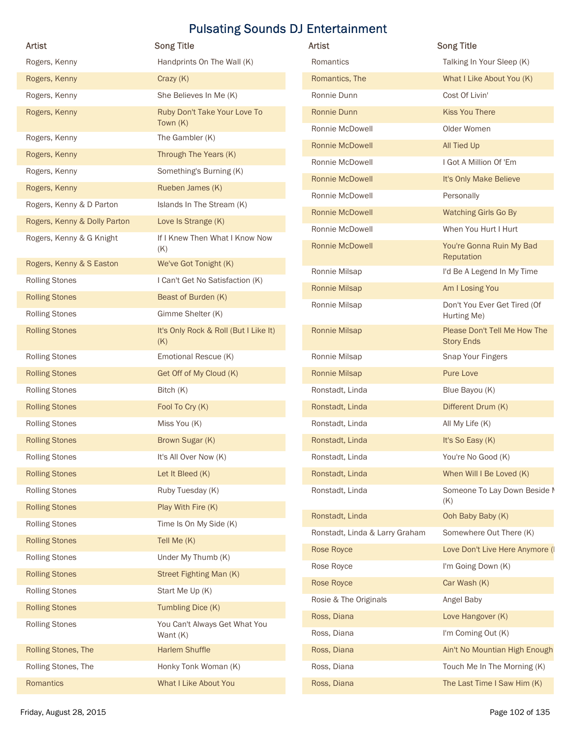| <b>Artist</b>                | <b>Song Title</b>                            | <b>Pulsating Sounds DJ Entertainment</b><br>Artist | <b>Song Title</b>                                 |
|------------------------------|----------------------------------------------|----------------------------------------------------|---------------------------------------------------|
|                              | Handprints On The Wall (K)                   | Romantics                                          | Talking In Your Sleep (K)                         |
| Rogers, Kenny                |                                              |                                                    |                                                   |
| Rogers, Kenny                | Crazy (K)                                    | Romantics, The                                     | What I Like About You (K)                         |
| Rogers, Kenny                | She Believes In Me (K)                       | Ronnie Dunn                                        | Cost Of Livin'                                    |
| Rogers, Kenny                | Ruby Don't Take Your Love To<br>Town $(K)$   | Ronnie Dunn                                        | <b>Kiss You There</b>                             |
| Rogers, Kenny                | The Gambler (K)                              | Ronnie McDowell                                    | Older Women                                       |
| Rogers, Kenny                | Through The Years (K)                        | Ronnie McDowell                                    | All Tied Up                                       |
| Rogers, Kenny                | Something's Burning (K)                      | Ronnie McDowell                                    | I Got A Million Of 'Em                            |
| Rogers, Kenny                | Rueben James (K)                             | Ronnie McDowell                                    | It's Only Make Believe                            |
| Rogers, Kenny & D Parton     | Islands In The Stream (K)                    | Ronnie McDowell                                    | Personally                                        |
| Rogers, Kenny & Dolly Parton | Love Is Strange (K)                          | <b>Ronnie McDowell</b>                             | Watching Girls Go By                              |
| Rogers, Kenny & G Knight     | If I Knew Then What I Know Now               | Ronnie McDowell<br>Ronnie McDowell                 | When You Hurt I Hurt                              |
|                              | (K)                                          |                                                    | You're Gonna Ruin My Bad<br>Reputation            |
| Rogers, Kenny & S Easton     | We've Got Tonight (K)                        | Ronnie Milsap                                      | I'd Be A Legend In My Time                        |
| <b>Rolling Stones</b>        | I Can't Get No Satisfaction (K)              | Ronnie Milsap                                      | Am I Losing You                                   |
| <b>Rolling Stones</b>        | Beast of Burden (K)                          | Ronnie Milsap                                      | Don't You Ever Get Tired (Of                      |
| <b>Rolling Stones</b>        | Gimme Shelter (K)                            |                                                    | Hurting Me)                                       |
| <b>Rolling Stones</b>        | It's Only Rock & Roll (But I Like It)<br>(K) | Ronnie Milsap                                      | Please Don't Tell Me How The<br><b>Story Ends</b> |
| <b>Rolling Stones</b>        | Emotional Rescue (K)                         | Ronnie Milsap                                      | Snap Your Fingers                                 |
| <b>Rolling Stones</b>        | Get Off of My Cloud (K)                      | Ronnie Milsap                                      | Pure Love                                         |
| <b>Rolling Stones</b>        | Bitch (K)                                    | Ronstadt, Linda                                    | Blue Bayou (K)                                    |
| <b>Rolling Stones</b>        | Fool To Cry (K)                              | Ronstadt, Linda                                    | Different Drum (K)                                |
| <b>Rolling Stones</b>        | Miss You (K)                                 | Ronstadt, Linda                                    | All My Life (K)                                   |
| <b>Rolling Stones</b>        | Brown Sugar (K)                              | Ronstadt, Linda                                    | It's So Easy (K)                                  |
| <b>Rolling Stones</b>        | It's All Over Now (K)                        | Ronstadt, Linda                                    | You're No Good (K)                                |
| <b>Rolling Stones</b>        | Let It Bleed (K)                             | Ronstadt, Linda                                    | When Will I Be Loved (K)                          |
| <b>Rolling Stones</b>        | Ruby Tuesday (K)                             | Ronstadt, Linda                                    | Someone To Lay Down Beside I                      |
| <b>Rolling Stones</b>        | Play With Fire (K)                           |                                                    | (K)                                               |
| <b>Rolling Stones</b>        | Time Is On My Side (K)                       | Ronstadt, Linda                                    | Ooh Baby Baby (K)                                 |
| <b>Rolling Stones</b>        | Tell Me (K)                                  | Ronstadt, Linda & Larry Graham                     | Somewhere Out There (K)                           |
| <b>Rolling Stones</b>        | Under My Thumb (K)                           | Rose Royce                                         | Love Don't Live Here Anymore (I                   |
| <b>Rolling Stones</b>        | Street Fighting Man (K)                      | Rose Royce                                         | I'm Going Down (K)                                |
| <b>Rolling Stones</b>        | Start Me Up (K)                              | Rose Royce                                         | Car Wash (K)                                      |
| <b>Rolling Stones</b>        | Tumbling Dice (K)                            | Rosie & The Originals                              | Angel Baby                                        |
| <b>Rolling Stones</b>        | You Can't Always Get What You                | Ross, Diana                                        | Love Hangover (K)                                 |
|                              | Want (K)                                     | Ross, Diana                                        | I'm Coming Out (K)                                |
| Rolling Stones, The          | <b>Harlem Shuffle</b>                        | Ross, Diana                                        | Ain't No Mountian High Enough                     |
| Rolling Stones, The          | Honky Tonk Woman (K)                         | Ross, Diana<br>Ross, Diana                         | Touch Me In The Morning (K)                       |
| Romantics                    | <b>What I Like About You</b>                 |                                                    | The Last Time I Saw Him (K)                       |

| Artist                         | <b>Song Title</b>                                 |
|--------------------------------|---------------------------------------------------|
| Romantics                      | Talking In Your Sleep (K)                         |
| Romantics, The                 | What I Like About You (K)                         |
| Ronnie Dunn                    | Cost Of Livin'                                    |
| Ronnie Dunn                    | <b>Kiss You There</b>                             |
| Ronnie McDowell                | Older Women                                       |
| <b>Ronnie McDowell</b>         | All Tied Up                                       |
| Ronnie McDowell                | I Got A Million Of 'Em                            |
| <b>Ronnie McDowell</b>         | It's Only Make Believe                            |
| Ronnie McDowell                | Personally                                        |
| <b>Ronnie McDowell</b>         | <b>Watching Girls Go By</b>                       |
| Ronnie McDowell                | When You Hurt I Hurt                              |
| <b>Ronnie McDowell</b>         | You're Gonna Ruin My Bad<br>Reputation            |
| Ronnie Milsap                  | I'd Be A Legend In My Time                        |
| <b>Ronnie Milsap</b>           | Am I Losing You                                   |
| Ronnie Milsap                  | Don't You Ever Get Tired (Of<br>Hurting Me)       |
| <b>Ronnie Milsap</b>           | Please Don't Tell Me How The<br><b>Story Ends</b> |
| Ronnie Milsap                  | Snap Your Fingers                                 |
| <b>Ronnie Milsap</b>           | <b>Pure Love</b>                                  |
| Ronstadt, Linda                | Blue Bayou (K)                                    |
| Ronstadt, Linda                | Different Drum (K)                                |
| Ronstadt, Linda                | All My Life (K)                                   |
| Ronstadt, Linda                | It's So Easy (K)                                  |
| Ronstadt, Linda                | You're No Good (K)                                |
| Ronstadt, Linda                | When Will I Be Loved (K)                          |
| Ronstadt, Linda                | Someone To Lay Down Beside M<br>(K)               |
| Ronstadt, Linda                | Ooh Baby Baby (K)                                 |
| Ronstadt, Linda & Larry Graham | Somewhere Out There (K)                           |
| Rose Royce                     | Love Don't Live Here Anymore (I                   |
| Rose Royce                     | I'm Going Down (K)                                |
| Rose Royce                     | Car Wash (K)                                      |
| Rosie & The Originals          | Angel Baby                                        |
| Ross, Diana                    | Love Hangover (K)                                 |
| Ross, Diana                    | I'm Coming Out (K)                                |
| Ross, Diana                    | Ain't No Mountian High Enough                     |
| Ross, Diana                    | Touch Me In The Morning (K)                       |
| Ross, Diana                    | The Last Time I Saw Him (K)                       |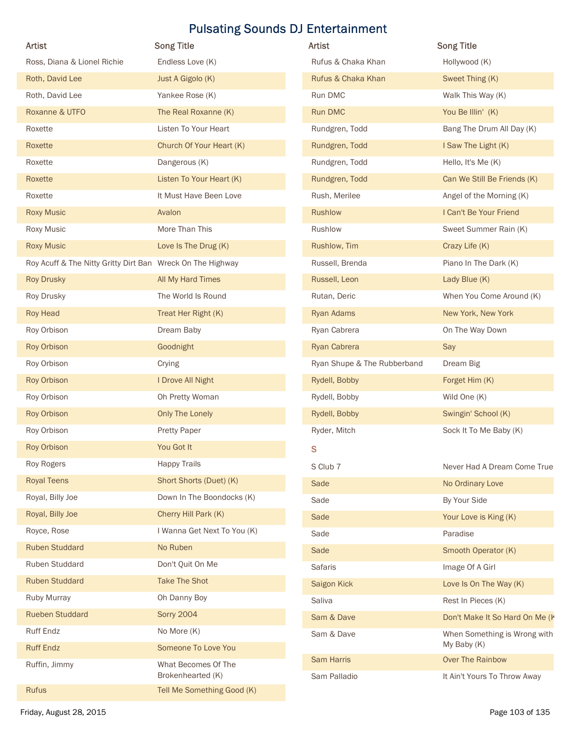|                                                            |                                          | <b>Pulsating Sounds DJ Entertainment</b> |                                                  |
|------------------------------------------------------------|------------------------------------------|------------------------------------------|--------------------------------------------------|
| Artist                                                     | <b>Song Title</b>                        | Artist                                   | <b>Song Title</b>                                |
| Ross, Diana & Lionel Richie                                | Endless Love (K)                         | Rufus & Chaka Khan                       | Hollywood (K)                                    |
| Roth, David Lee                                            | Just A Gigolo (K)                        | Rufus & Chaka Khan                       | Sweet Thing (K)                                  |
| Roth, David Lee                                            | Yankee Rose (K)                          | Run DMC                                  | Walk This Way (K)                                |
| Roxanne & UTFO                                             | The Real Roxanne (K)                     | Run DMC                                  | You Be Illin' (K)                                |
| Roxette                                                    | Listen To Your Heart                     | Rundgren, Todd                           | Bang The Drum All Day (K)                        |
| Roxette                                                    | Church Of Your Heart (K)                 | Rundgren, Todd                           | I Saw The Light (K)                              |
| Roxette                                                    | Dangerous (K)                            | Rundgren, Todd                           | Hello, It's Me (K)                               |
| Roxette                                                    | Listen To Your Heart (K)                 | Rundgren, Todd                           | Can We Still Be Friends (K)                      |
| Roxette                                                    | It Must Have Been Love                   | Rush, Merilee                            | Angel of the Morning (K)                         |
| <b>Roxy Music</b>                                          | Avalon                                   | <b>Rushlow</b>                           | I Can't Be Your Friend                           |
| Roxy Music                                                 | More Than This                           | Rushlow                                  | Sweet Summer Rain (K)                            |
| <b>Roxy Music</b>                                          | Love Is The Drug (K)                     | Rushlow, Tim                             | Crazy Life (K)                                   |
| Roy Acuff & The Nitty Gritty Dirt Ban Wreck On The Highway |                                          | Russell, Brenda                          | Piano In The Dark (K)                            |
| <b>Roy Drusky</b>                                          | All My Hard Times                        | Russell, Leon                            | Lady Blue (K)                                    |
| Roy Drusky                                                 | The World Is Round                       | Rutan, Deric                             | When You Come Around (K)                         |
| Roy Head                                                   | Treat Her Right (K)                      | Ryan Adams                               | New York, New York<br>On The Way Down            |
| Roy Orbison<br>Roy Orbison                                 | Dream Baby<br>Goodnight                  | Ryan Cabrera<br>Ryan Cabrera             | Say                                              |
| Roy Orbison                                                | Crying                                   | Ryan Shupe & The Rubberband              | Dream Big                                        |
| Roy Orbison                                                | I Drove All Night                        | Rydell, Bobby                            | Forget Him (K)                                   |
|                                                            |                                          |                                          |                                                  |
| Roy Orbison<br>Roy Orbison                                 | Oh Pretty Woman<br>Only The Lonely       | Rydell, Bobby<br>Rydell, Bobby           | Wild One (K)<br>Swingin' School (K)              |
| Roy Orbison                                                | <b>Pretty Paper</b>                      | Ryder, Mitch                             | Sock It To Me Baby (K)                           |
| Roy Orbison                                                | You Got It                               |                                          |                                                  |
| Roy Rogers                                                 | <b>Happy Trails</b>                      | ${\bf S}$                                |                                                  |
| <b>Royal Teens</b>                                         | Short Shorts (Duet) (K)                  | S Club 7                                 | Never Had A Dream Come True                      |
| Royal, Billy Joe                                           | Down In The Boondocks (K)                | Sade                                     | No Ordinary Love                                 |
| Royal, Billy Joe                                           | Cherry Hill Park (K)                     | Sade<br>Sade                             | By Your Side                                     |
| Royce, Rose                                                | I Wanna Get Next To You (K)              | Sade                                     | Your Love is King (K)<br>Paradise                |
| <b>Ruben Studdard</b>                                      | No Ruben                                 | Sade                                     | Smooth Operator (K)                              |
| Ruben Studdard                                             | Don't Quit On Me                         | Safaris                                  | Image Of A Girl                                  |
| <b>Ruben Studdard</b>                                      | <b>Take The Shot</b>                     | Saigon Kick                              | Love Is On The Way (K)                           |
| Ruby Murray                                                | Oh Danny Boy                             | Saliva                                   | Rest In Pieces (K)                               |
| <b>Rueben Studdard</b>                                     | <b>Sorry 2004</b>                        | Sam & Dave                               | Don't Make It So Hard On Me (k                   |
| Ruff Endz                                                  | No More (K)                              | Sam & Dave                               | When Something is Wrong with                     |
| <b>Ruff Endz</b>                                           | Someone To Love You                      |                                          | My Baby (K)                                      |
| Ruffin, Jimmy                                              | What Becomes Of The<br>Brokenhearted (K) | Sam Harris<br>Sam Palladio               | Over The Rainbow<br>It Ain't Yours To Throw Away |
| Rufus                                                      | Tell Me Something Good (K)               |                                          |                                                  |
| Friday, August 28, 2015                                    |                                          |                                          | Page 103 of 135                                  |

| Artist                      | <b>Song Title</b>                           |
|-----------------------------|---------------------------------------------|
| Rufus & Chaka Khan          | Hollywood (K)                               |
| Rufus & Chaka Khan          | Sweet Thing (K)                             |
| Run DMC                     | Walk This Way (K)                           |
| Run DMC                     | You Be Illin' (K)                           |
| Rundgren, Todd              | Bang The Drum All Day (K)                   |
| Rundgren, Todd              | I Saw The Light (K)                         |
| Rundgren, Todd              | Hello, It's Me (K)                          |
| Rundgren, Todd              | Can We Still Be Friends (K)                 |
| Rush, Merilee               | Angel of the Morning (K)                    |
| Rushlow                     | I Can't Be Your Friend                      |
| Rushlow                     | Sweet Summer Rain (K)                       |
| Rushlow, Tim                | Crazy Life (K)                              |
| Russell, Brenda             | Piano In The Dark (K)                       |
| Russell, Leon               | Lady Blue (K)                               |
| Rutan, Deric                | When You Come Around (K)                    |
| <b>Ryan Adams</b>           | New York, New York                          |
| Ryan Cabrera                | On The Way Down                             |
| Ryan Cabrera                | Say                                         |
| Ryan Shupe & The Rubberband | Dream Big                                   |
| Rydell, Bobby               | Forget Him (K)                              |
| Rydell, Bobby               | Wild One (K)                                |
| Rydell, Bobby               | Swingin' School (K)                         |
| Ryder, Mitch                | Sock It To Me Baby (K)                      |
| S                           |                                             |
| S Club 7                    | Never Had A Dream Come True                 |
| Sade                        | No Ordinary Love                            |
| Sade                        | By Your Side                                |
| Sade                        | Your Love is King (K)                       |
| Sade                        | Paradise                                    |
| Sade                        | Smooth Operator (K)                         |
| <b>Safaris</b>              | Image Of A Girl                             |
| Saigon Kick                 | Love Is On The Way (K)                      |
| Saliva                      | Rest In Pieces (K)                          |
| Sam & Dave                  | Don't Make It So Hard On Me (K              |
| Sam & Dave                  | When Something is Wrong with<br>My Baby (K) |
| <b>Sam Harris</b>           | <b>Over The Rainbow</b>                     |
| Sam Palladio                | It Ain't Yours To Throw Away                |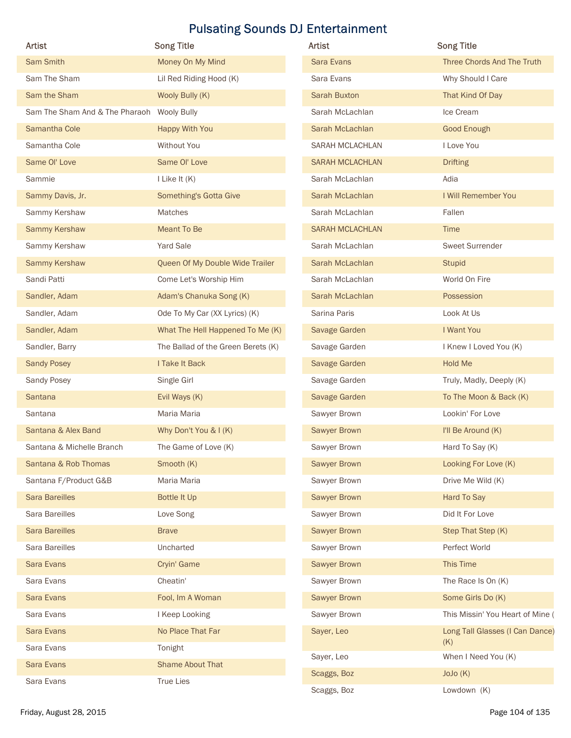|                                            |                                    | <b>Pulsating Sounds DJ Entertainment</b> |                                  |
|--------------------------------------------|------------------------------------|------------------------------------------|----------------------------------|
| Artist                                     | <b>Song Title</b>                  | Artist                                   | <b>Song Title</b>                |
| Sam Smith                                  | Money On My Mind                   | Sara Evans                               | Three Chords And The Truth       |
| Sam The Sham                               | Lil Red Riding Hood (K)            | Sara Evans                               | Why Should I Care                |
| Sam the Sham                               | Wooly Bully (K)                    | <b>Sarah Buxton</b>                      | That Kind Of Day                 |
| Sam The Sham And & The Pharaoh Wooly Bully |                                    | Sarah McLachlan                          | Ice Cream                        |
| Samantha Cole                              | Happy With You                     | Sarah McLachlan                          | <b>Good Enough</b>               |
| Samantha Cole                              | Without You                        | SARAH MCLACHLAN                          | I Love You                       |
| Same Ol' Love                              | Same Ol' Love                      | <b>SARAH MCLACHLAN</b>                   | <b>Drifting</b>                  |
| Sammie                                     | I Like It (K)                      | Sarah McLachlan                          | Adia                             |
| Sammy Davis, Jr.                           | Something's Gotta Give             | Sarah McLachlan                          | I Will Remember You              |
| Sammy Kershaw                              | Matches                            | Sarah McLachlan                          | Fallen                           |
| Sammy Kershaw                              | Meant To Be                        | <b>SARAH MCLACHLAN</b>                   | Time                             |
| Sammy Kershaw                              | Yard Sale                          | Sarah McLachlan                          | <b>Sweet Surrender</b>           |
| Sammy Kershaw                              | Queen Of My Double Wide Trailer    | Sarah McLachlan                          | <b>Stupid</b>                    |
| Sandi Patti                                | Come Let's Worship Him             | Sarah McLachlan                          | World On Fire                    |
| Sandler, Adam                              | Adam's Chanuka Song (K)            | Sarah McLachlan                          | Possession                       |
| Sandler, Adam                              | Ode To My Car (XX Lyrics) (K)      | Sarina Paris                             | Look At Us                       |
| Sandler, Adam                              | What The Hell Happened To Me (K)   | Savage Garden                            | I Want You                       |
| Sandler, Barry                             | The Ballad of the Green Berets (K) | Savage Garden                            | I Knew I Loved You (K)           |
| <b>Sandy Posey</b>                         | I Take It Back                     | Savage Garden                            | Hold Me                          |
| Sandy Posey                                | Single Girl                        | Savage Garden                            | Truly, Madly, Deeply (K)         |
| Santana                                    | Evil Ways (K)                      | Savage Garden                            | To The Moon & Back (K)           |
| Santana                                    | Maria Maria                        | Sawyer Brown                             | Lookin' For Love                 |
| Santana & Alex Band                        | Why Don't You & I (K)              | Sawyer Brown                             | I'll Be Around (K)               |
| Santana & Michelle Branch                  | The Game of Love (K)               | Sawyer Brown                             | Hard To Say (K)                  |
| Santana & Rob Thomas                       | Smooth (K)                         | Sawyer Brown                             | Looking For Love (K)             |
| Santana F/Product G&B                      | Maria Maria                        | Sawyer Brown                             | Drive Me Wild (K)                |
| Sara Bareilles                             | Bottle It Up                       | Sawyer Brown                             | Hard To Say                      |
| Sara Bareilles                             | Love Song                          | Sawyer Brown                             | Did It For Love                  |
| Sara Bareilles                             | <b>Brave</b>                       | Sawyer Brown                             | Step That Step (K)               |
| Sara Bareilles                             | Uncharted                          | Sawyer Brown                             | Perfect World                    |
| Sara Evans                                 | Cryin' Game                        | Sawyer Brown                             | This Time                        |
| Sara Evans                                 | Cheatin'                           | Sawyer Brown                             | The Race Is On (K)               |
| Sara Evans                                 | Fool, Im A Woman                   | Sawyer Brown                             | Some Girls Do (K)                |
| Sara Evans                                 | I Keep Looking                     | Sawyer Brown                             | This Missin' You Heart of Mine ( |
| Sara Evans                                 | No Place That Far                  | Sayer, Leo                               | Long Tall Glasses (I Can Dance)  |
| Sara Evans                                 | Tonight                            |                                          | (K)                              |
| Sara Evans                                 | <b>Shame About That</b>            | Sayer, Leo                               | When I Need You (K)              |
| Sara Evans                                 | <b>True Lies</b>                   | Scaggs, Boz                              | JoJo (K)                         |
|                                            |                                    | Scaggs, Boz                              | Lowdown (K)                      |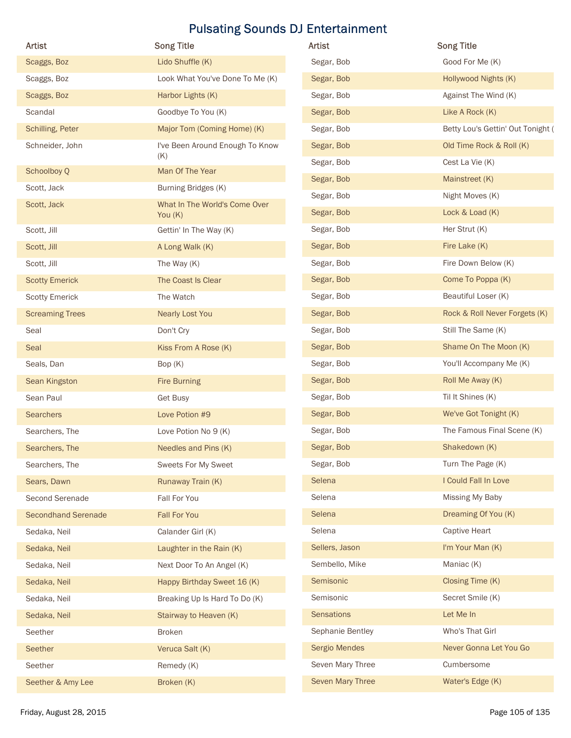| <b>Artist</b>                                 | <b>Song Title</b>                   | <b>Pulsating Sounds DJ Entertainment</b><br>Artist | <b>Song Title</b>                         |
|-----------------------------------------------|-------------------------------------|----------------------------------------------------|-------------------------------------------|
| Scaggs, Boz                                   | Lido Shuffle (K)                    | Segar, Bob                                         | Good For Me (K)                           |
| Scaggs, Boz                                   | Look What You've Done To Me (K)     | Segar, Bob                                         | Hollywood Nights (K)                      |
| Scaggs, Boz                                   | Harbor Lights (K)                   | Segar, Bob                                         | Against The Wind (K)                      |
| Scandal                                       | Goodbye To You (K)                  | Segar, Bob                                         | Like A Rock (K)                           |
| Schilling, Peter                              | Major Tom (Coming Home) (K)         | Segar, Bob                                         | Betty Lou's Gettin' Out Tonight (         |
| Schneider, John                               | I've Been Around Enough To Know     | Segar, Bob                                         | Old Time Rock & Roll (K)                  |
| Schoolboy Q                                   | (K)<br>Man Of The Year              | Segar, Bob                                         | Cest La Vie (K)                           |
| Scott, Jack                                   | Burning Bridges (K)                 | Segar, Bob                                         | Mainstreet (K)                            |
| Scott, Jack                                   | What In The World's Come Over       | Segar, Bob                                         | Night Moves (K)                           |
|                                               | You (K)                             | Segar, Bob                                         | Lock & Load (K)                           |
| Scott, Jill                                   | Gettin' In The Way (K)              | Segar, Bob                                         | Her Strut (K)                             |
| Scott, Jill                                   | A Long Walk (K)                     | Segar, Bob                                         | Fire Lake (K)                             |
| Scott, Jill                                   | The Way (K)                         | Segar, Bob                                         | Fire Down Below (K)                       |
| <b>Scotty Emerick</b>                         | The Coast Is Clear                  | Segar, Bob                                         | Come To Poppa (K)                         |
| <b>Scotty Emerick</b>                         | The Watch                           | Segar, Bob                                         | Beautiful Loser (K)                       |
| <b>Screaming Trees</b>                        | Nearly Lost You                     | Segar, Bob                                         | Rock & Roll Never Forgets (K)             |
| Seal                                          | Don't Cry                           | Segar, Bob                                         | Still The Same (K)                        |
| Seal                                          | Kiss From A Rose (K)                | Segar, Bob                                         | Shame On The Moon (K)                     |
| Seals, Dan                                    | Bop (K)                             | Segar, Bob                                         | You'll Accompany Me (K)                   |
| Sean Kingston                                 | <b>Fire Burning</b>                 | Segar, Bob                                         | Roll Me Away (K)                          |
| Sean Paul                                     | Get Busy                            | Segar, Bob                                         | Til It Shines (K)                         |
| Searchers                                     | Love Potion #9                      | Segar, Bob                                         | We've Got Tonight (K)                     |
| Searchers, The                                | Love Potion No 9 (K)                | Segar, Bob                                         | The Famous Final Scene (K)                |
| Searchers, The                                | Needles and Pins (K)                | Segar, Bob                                         | Shakedown (K)                             |
| Searchers, The                                | Sweets For My Sweet                 | Segar, Bob<br>Selena                               | Turn The Page (K)<br>I Could Fall In Love |
| Sears, Dawn                                   | Runaway Train (K)                   | Selena                                             | Missing My Baby                           |
| Second Serenade<br><b>Secondhand Serenade</b> | Fall For You<br><b>Fall For You</b> | Selena                                             | Dreaming Of You (K)                       |
| Sedaka, Neil                                  | Calander Girl (K)                   | Selena                                             | <b>Captive Heart</b>                      |
| Sedaka, Neil                                  | Laughter in the Rain (K)            | Sellers, Jason                                     | I'm Your Man (K)                          |
| Sedaka, Neil                                  | Next Door To An Angel (K)           | Sembello, Mike                                     | Maniac (K)                                |
| Sedaka, Neil                                  | Happy Birthday Sweet 16 (K)         | Semisonic                                          | Closing Time (K)                          |
| Sedaka, Neil                                  | Breaking Up Is Hard To Do (K)       | Semisonic                                          | Secret Smile (K)                          |
| Sedaka, Neil                                  | Stairway to Heaven (K)              | Sensations                                         | Let Me In                                 |
| Seether                                       | <b>Broken</b>                       | Sephanie Bentley                                   | Who's That Girl                           |
| Seether                                       | Veruca Salt (K)                     | Sergio Mendes                                      | Never Gonna Let You Go                    |
| Seether                                       | Remedy (K)                          | Seven Mary Three                                   | Cumbersome                                |
|                                               |                                     |                                                    |                                           |
| Seether & Amy Lee<br>Friday, August 28, 2015  | Broken (K)                          | Seven Mary Three                                   | Water's Edge (K)                          |

| Artist            | <b>Song Title</b>                 |
|-------------------|-----------------------------------|
| Segar, Bob        | Good For Me (K)                   |
| Segar, Bob        | Hollywood Nights (K)              |
| Segar, Bob        | Against The Wind (K)              |
| Segar, Bob        | Like A Rock (K)                   |
| Segar, Bob        | Betty Lou's Gettin' Out Tonight ( |
| Segar, Bob        | Old Time Rock & Roll (K)          |
| Segar, Bob        | Cest La Vie (K)                   |
| Segar, Bob        | Mainstreet (K)                    |
| Segar, Bob        | Night Moves (K)                   |
| Segar, Bob        | Lock & Load (K)                   |
| Segar, Bob        | Her Strut (K)                     |
| Segar, Bob        | Fire Lake (K)                     |
| Segar, Bob        | Fire Down Below (K)               |
| Segar, Bob        | Come To Poppa (K)                 |
| Segar, Bob        | Beautiful Loser (K)               |
| Segar, Bob        | Rock & Roll Never Forgets (K)     |
| Segar, Bob        | Still The Same (K)                |
| Segar, Bob        | Shame On The Moon (K)             |
| Segar, Bob        | You'll Accompany Me (K)           |
| Segar, Bob        | Roll Me Away (K)                  |
| Segar, Bob        | Til It Shines (K)                 |
| Segar, Bob        | We've Got Tonight (K)             |
| Segar, Bob        | The Famous Final Scene (K)        |
| Segar, Bob        | Shakedown (K)                     |
| Segar, Bob        | Turn The Page (K)                 |
| Selena            | I Could Fall In Love              |
| Selena            | Missing My Baby                   |
| Selena            | Dreaming Of You (K)               |
| Selena            | Captive Heart                     |
| Sellers, Jason    | I'm Your Man (K)                  |
| Sembello, Mike    | Maniac (K)                        |
| Semisonic         | Closing Time (K)                  |
| Semisonic         | Secret Smile (K)                  |
| <b>Sensations</b> | Let Me In                         |
| Sephanie Bentley  | Who's That Girl                   |
| Sergio Mendes     | Never Gonna Let You Go            |
| Seven Mary Three  | Cumbersome                        |
| Seven Mary Three  | Water's Edge (K)                  |
|                   |                                   |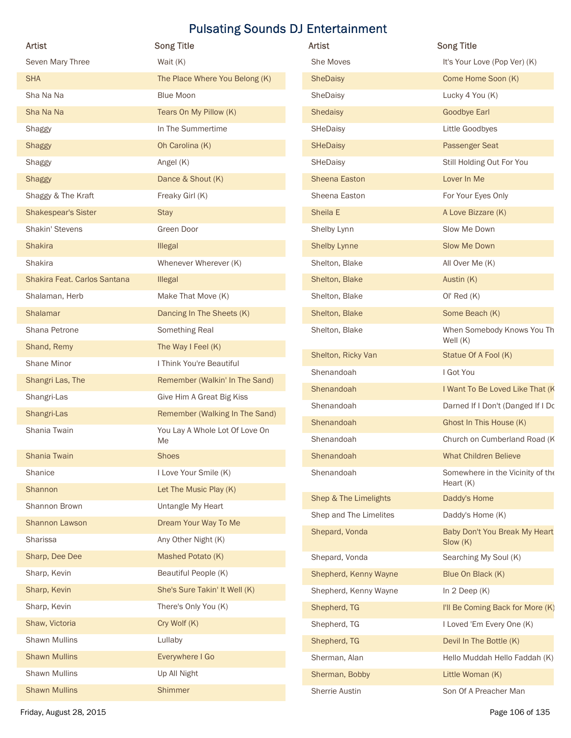| <b>Artist</b>                         | <b>Pulsating Sounds DJ Entertainment</b><br><b>Song Title</b> | <b>Artist</b>            | <b>Song Title</b>                                       |
|---------------------------------------|---------------------------------------------------------------|--------------------------|---------------------------------------------------------|
| Seven Mary Three                      | Wait (K)                                                      | She Moves                | It's Your Love (Pop Ver) (K)                            |
| <b>SHA</b>                            | The Place Where You Belong (K)                                | SheDaisy                 | Come Home Soon (K)                                      |
| Sha Na Na                             | <b>Blue Moon</b>                                              | SheDaisy                 | Lucky 4 You (K)                                         |
| Sha Na Na                             | Tears On My Pillow (K)                                        | Shedaisy                 | <b>Goodbye Earl</b>                                     |
| Shaggy                                | In The Summertime                                             | SHeDaisy                 | Little Goodbyes                                         |
| Shaggy                                | Oh Carolina (K)                                               | SHeDaisy                 | <b>Passenger Seat</b>                                   |
| Shaggy                                | Angel (K)                                                     | SHeDaisy                 | Still Holding Out For You                               |
| <b>Shaggy</b>                         | Dance & Shout (K)                                             | Sheena Easton            | Lover In Me                                             |
| Shaggy & The Kraft                    | Freaky Girl (K)                                               | Sheena Easton            | For Your Eyes Only                                      |
| <b>Shakespear's Sister</b>            | <b>Stay</b>                                                   | Sheila E                 | A Love Bizzare (K)                                      |
| Shakin' Stevens                       | Green Door                                                    | Shelby Lynn              | Slow Me Down                                            |
| <b>Shakira</b>                        | Illegal                                                       | <b>Shelby Lynne</b>      | Slow Me Down                                            |
| Shakira                               | Whenever Wherever (K)                                         | Shelton, Blake           | All Over Me (K)                                         |
| Shakira Feat. Carlos Santana          | <b>Illegal</b>                                                | Shelton, Blake           | Austin (K)                                              |
| Shalaman, Herb                        | Make That Move (K)                                            | Shelton, Blake           | OI' Red (K)                                             |
| Shalamar                              | Dancing In The Sheets (K)                                     | Shelton, Blake           | Some Beach (K)                                          |
| Shana Petrone                         | Something Real                                                | Shelton, Blake           | When Somebody Knows You Th                              |
| Shand, Remy                           | The Way I Feel (K)                                            | Shelton, Ricky Van       | Well $(K)$<br>Statue Of A Fool (K)                      |
| Shane Minor                           | I Think You're Beautiful                                      | Shenandoah               | I Got You                                               |
| Shangri Las, The                      | Remember (Walkin' In The Sand)                                | Shenandoah               | I Want To Be Loved Like That (K                         |
| Shangri-Las                           | Give Him A Great Big Kiss                                     | Shenandoah               | Darned If I Don't (Danged If I Do                       |
| Shangri-Las                           | Remember (Walking In The Sand)                                |                          |                                                         |
| Shania Twain                          | You Lay A Whole Lot Of Love On                                | Shenandoah<br>Shenandoah | Ghost In This House (K)<br>Church on Cumberland Road (K |
| Shania Twain                          | Me<br>Shoes                                                   | Shenandoah               | <b>What Children Believe</b>                            |
| Shanice                               | I Love Your Smile (K)                                         | Shenandoah               | Somewhere in the Vicinity of the                        |
| Shannon                               | Let The Music Play (K)                                        |                          | Heart (K)                                               |
| Shannon Brown                         | Untangle My Heart                                             | Shep & The Limelights    | Daddy's Home                                            |
| Shannon Lawson                        | Dream Your Way To Me                                          | Shep and The Limelites   | Daddy's Home (K)                                        |
| Sharissa                              | Any Other Night (K)                                           | Shepard, Vonda           | Baby Don't You Break My Heart                           |
| Sharp, Dee Dee                        | Mashed Potato (K)                                             |                          | Slow (K)                                                |
| Sharp, Kevin                          | Beautiful People (K)                                          | Shepard, Vonda           | Searching My Soul (K)                                   |
| Sharp, Kevin                          | She's Sure Takin' It Well (K)                                 | Shepherd, Kenny Wayne    | Blue On Black (K)                                       |
|                                       |                                                               | Shepherd, Kenny Wayne    | In $2$ Deep $(K)$                                       |
| Sharp, Kevin                          | There's Only You (K)                                          | Shepherd, TG             | I'll Be Coming Back for More (K)                        |
| Shaw, Victoria                        | Cry Wolf (K)                                                  | Shepherd, TG             | I Loved 'Em Every One (K)                               |
| Shawn Mullins                         | Lullaby                                                       | Shepherd, TG             | Devil In The Bottle (K)                                 |
| <b>Shawn Mullins</b>                  | Everywhere I Go                                               | Sherman, Alan            | Hello Muddah Hello Faddah (K)                           |
| Shawn Mullins<br><b>Shawn Mullins</b> | Up All Night                                                  | Sherman, Bobby           | Little Woman (K)                                        |
|                                       | Shimmer                                                       | Sherrie Austin           | Son Of A Preacher Man                                   |

| Artist                 | <b>Song Title</b>                             |
|------------------------|-----------------------------------------------|
| She Moves              | It's Your Love (Pop Ver) (K)                  |
| <b>SheDaisy</b>        | Come Home Soon (K)                            |
| SheDaisy               | Lucky 4 You (K)                               |
| <b>Shedaisy</b>        | <b>Goodbye Earl</b>                           |
| SHeDaisy               | Little Goodbyes                               |
| <b>SHeDaisy</b>        | <b>Passenger Seat</b>                         |
| SHeDaisy               | Still Holding Out For You                     |
| <b>Sheena Easton</b>   | Lover In Me                                   |
| Sheena Easton          | For Your Eyes Only                            |
| Sheila E               | A Love Bizzare (K)                            |
| Shelby Lynn            | Slow Me Down                                  |
| <b>Shelby Lynne</b>    | Slow Me Down                                  |
| Shelton, Blake         | All Over Me (K)                               |
| Shelton, Blake         | Austin (K)                                    |
| Shelton, Blake         | OI' Red(K)                                    |
| Shelton, Blake         | Some Beach (K)                                |
| Shelton, Blake         | When Somebody Knows You Th<br>Well $(K)$      |
| Shelton, Ricky Van     | Statue Of A Fool (K)                          |
| Shenandoah             | I Got You                                     |
| Shenandoah             | I Want To Be Loved Like That (K               |
| Shenandoah             | Darned If I Don't (Danged If I Do             |
| Shenandoah             | Ghost In This House (K)                       |
| Shenandoah             | Church on Cumberland Road (K                  |
| Shenandoah             | <b>What Children Believe</b>                  |
| Shenandoah             | Somewhere in the Vicinity of the<br>Heart (K) |
| Shep & The Limelights  | Daddy's Home                                  |
| Shep and The Limelites | Daddy's Home (K)                              |
| Shepard, Vonda         | Baby Don't You Break My Heart<br>Slow (K)     |
| Shepard, Vonda         | Searching My Soul (K)                         |
| Shepherd, Kenny Wayne  | Blue On Black (K)                             |
| Shepherd, Kenny Wayne  | In $2$ Deep $(K)$                             |
| Shepherd, TG           | I'll Be Coming Back for More (K)              |
| Shepherd, TG           | I Loved 'Em Every One (K)                     |
| Shepherd, TG           | Devil In The Bottle (K)                       |
| Sherman, Alan          | Hello Muddah Hello Faddah (K)                 |
| Sherman, Bobby         | Little Woman (K)                              |
| Sherrie Austin         | Son Of A Preacher Man                         |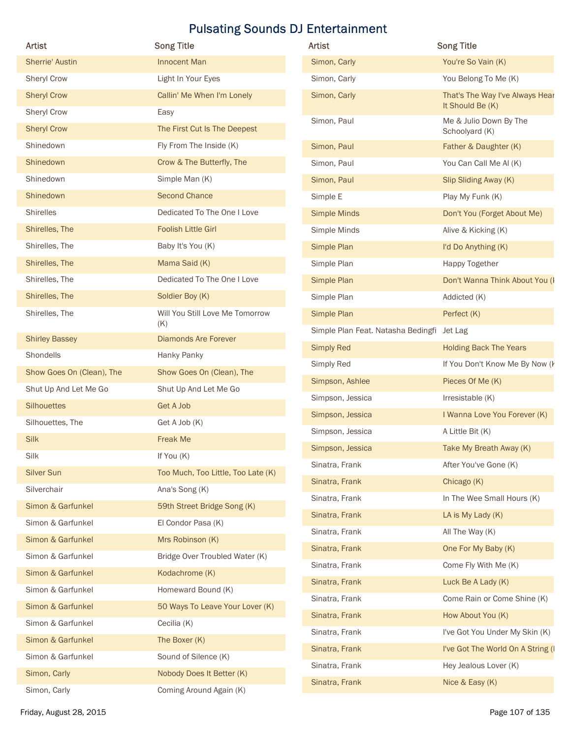| Artist                    | <b>Song Title</b>                      | Artist                                            | <b>Song Title</b>                        |
|---------------------------|----------------------------------------|---------------------------------------------------|------------------------------------------|
| Sherrie' Austin           | Innocent Man                           | Simon, Carly                                      | You're So Vain (K)                       |
| Sheryl Crow               | Light In Your Eyes                     | Simon, Carly                                      | You Belong To Me (K)                     |
| <b>Sheryl Crow</b>        | Callin' Me When I'm Lonely             | Simon, Carly                                      | That's The Way I've Always Hear          |
| Sheryl Crow               | Easy                                   |                                                   | It Should Be (K)                         |
| <b>Sheryl Crow</b>        | The First Cut Is The Deepest           | Simon, Paul                                       | Me & Julio Down By The<br>Schoolyard (K) |
| Shinedown                 | Fly From The Inside (K)                | Simon, Paul                                       | Father & Daughter (K)                    |
| Shinedown                 | Crow & The Butterfly, The              | Simon, Paul                                       | You Can Call Me Al (K)                   |
| Shinedown                 | Simple Man (K)                         | Simon, Paul                                       | Slip Sliding Away (K)                    |
| Shinedown                 | <b>Second Chance</b>                   | Simple E                                          | Play My Funk (K)                         |
| <b>Shirelles</b>          | Dedicated To The One I Love            | <b>Simple Minds</b>                               | Don't You (Forget About Me)              |
| Shirelles, The            | <b>Foolish Little Girl</b>             | Simple Minds                                      | Alive & Kicking (K)                      |
| Shirelles, The            | Baby It's You (K)                      | Simple Plan                                       | I'd Do Anything (K)                      |
| Shirelles, The            | Mama Said (K)                          | Simple Plan                                       | Happy Together                           |
| Shirelles, The            | Dedicated To The One I Love            | Simple Plan                                       | Don't Wanna Think About You (I           |
| Shirelles, The            | Soldier Boy (K)                        | Simple Plan                                       | Addicted (K)                             |
| Shirelles, The            | Will You Still Love Me Tomorrow<br>(K) | Simple Plan<br>Simple Plan Feat. Natasha Bedingfi | Perfect (K)<br>Jet Lag                   |
| <b>Shirley Bassey</b>     | <b>Diamonds Are Forever</b>            |                                                   | <b>Holding Back The Years</b>            |
| Shondells                 | Hanky Panky                            | <b>Simply Red</b><br>Simply Red                   | If You Don't Know Me By Now (I           |
| Show Goes On (Clean), The | Show Goes On (Clean), The              | Simpson, Ashlee                                   | Pieces Of Me (K)                         |
| Shut Up And Let Me Go     | Shut Up And Let Me Go                  | Simpson, Jessica                                  | Irresistable (K)                         |
| <b>Silhouettes</b>        | <b>Get A Job</b>                       | Simpson, Jessica                                  | I Wanna Love You Forever (K)             |
| Silhouettes, The          | Get A Job (K)                          | Simpson, Jessica                                  | A Little Bit (K)                         |
| Silk                      | Freak Me                               | Simpson, Jessica                                  | Take My Breath Away (K)                  |
| Silk                      | If You (K)                             | Sinatra, Frank                                    | After You've Gone (K)                    |
| <b>Silver Sun</b>         | Too Much, Too Little, Too Late (K)     | Sinatra, Frank                                    | Chicago (K)                              |
| Silverchair               | Ana's Song (K)                         | Sinatra, Frank                                    | In The Wee Small Hours (K)               |
| Simon & Garfunkel         | 59th Street Bridge Song (K)            | Sinatra, Frank                                    | LA is My Lady (K)                        |
| Simon & Garfunkel         | El Condor Pasa (K)                     | Sinatra, Frank                                    | All The Way (K)                          |
| Simon & Garfunkel         | Mrs Robinson (K)                       | Sinatra, Frank                                    | One For My Baby (K)                      |
| Simon & Garfunkel         | Bridge Over Troubled Water (K)         | Sinatra, Frank                                    | Come Fly With Me (K)                     |
| Simon & Garfunkel         | Kodachrome (K)                         | Sinatra, Frank                                    | Luck Be A Lady (K)                       |
| Simon & Garfunkel         | Homeward Bound (K)                     | Sinatra, Frank                                    | Come Rain or Come Shine (K)              |
| Simon & Garfunkel         | 50 Ways To Leave Your Lover (K)        | Sinatra, Frank                                    | How About You (K)                        |
| Simon & Garfunkel         | Cecilia (K)                            | Sinatra, Frank                                    | I've Got You Under My Skin (K)           |
| Simon & Garfunkel         | The Boxer (K)                          | Sinatra, Frank                                    | I've Got The World On A String (I        |
| Simon & Garfunkel         | Sound of Silence (K)                   | Sinatra, Frank                                    | Hey Jealous Lover (K)                    |
| Simon, Carly              | Nobody Does It Better (K)              | Sinatra, Frank                                    | Nice & Easy (K)                          |
| Simon, Carly              | Coming Around Again (K)                |                                                   |                                          |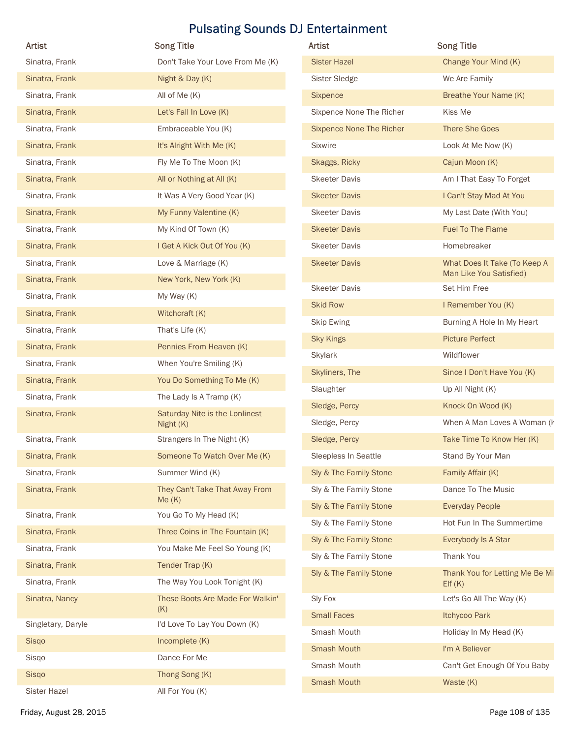| Artist             | <b>Song Title</b>                       | Artist                          | <b>Song Title</b>                        |
|--------------------|-----------------------------------------|---------------------------------|------------------------------------------|
| Sinatra, Frank     | Don't Take Your Love From Me (K)        | <b>Sister Hazel</b>             | Change Your Mind (K)                     |
| Sinatra, Frank     | Night & Day (K)                         | Sister Sledge                   | We Are Family                            |
| Sinatra, Frank     | All of Me (K)                           | Sixpence                        | Breathe Your Name (K)                    |
| Sinatra, Frank     | Let's Fall In Love (K)                  | Sixpence None The Richer        | Kiss Me                                  |
| Sinatra, Frank     | Embraceable You (K)                     | <b>Sixpence None The Richer</b> | There She Goes                           |
| Sinatra, Frank     | It's Alright With Me (K)                | Sixwire                         | Look At Me Now (K)                       |
| Sinatra, Frank     | Fly Me To The Moon (K)                  | Skaggs, Ricky                   | Cajun Moon (K)                           |
| Sinatra, Frank     | All or Nothing at All (K)               | <b>Skeeter Davis</b>            | Am I That Easy To Forget                 |
| Sinatra, Frank     | It Was A Very Good Year (K)             | <b>Skeeter Davis</b>            | I Can't Stay Mad At You                  |
| Sinatra, Frank     | My Funny Valentine (K)                  | <b>Skeeter Davis</b>            | My Last Date (With You)                  |
| Sinatra, Frank     | My Kind Of Town (K)                     | <b>Skeeter Davis</b>            | Fuel To The Flame                        |
| Sinatra, Frank     | I Get A Kick Out Of You (K)             | <b>Skeeter Davis</b>            | Homebreaker                              |
| Sinatra, Frank     | Love & Marriage (K)                     | <b>Skeeter Davis</b>            | What Does It Take (To Keep A             |
| Sinatra, Frank     | New York, New York (K)                  |                                 | Man Like You Satisfied)                  |
| Sinatra, Frank     | My Way (K)                              | <b>Skeeter Davis</b>            | Set Him Free                             |
| Sinatra, Frank     | Witchcraft (K)                          | <b>Skid Row</b>                 | I Remember You (K)                       |
| Sinatra, Frank     | That's Life (K)                         | <b>Skip Ewing</b>               | Burning A Hole In My Heart               |
| Sinatra, Frank     | Pennies From Heaven (K)                 | <b>Sky Kings</b>                | <b>Picture Perfect</b>                   |
| Sinatra, Frank     | When You're Smiling (K)                 | Skylark                         | Wildflower                               |
| Sinatra, Frank     | You Do Something To Me (K)              | Skyliners, The                  | Since I Don't Have You (K)               |
| Sinatra, Frank     | The Lady Is A Tramp (K)                 | Slaughter                       | Up All Night (K)                         |
| Sinatra, Frank     | Saturday Nite is the Lonlinest          | Sledge, Percy                   | Knock On Wood (K)                        |
|                    | Night (K)                               | Sledge, Percy                   | When A Man Loves A Woman (k              |
| Sinatra, Frank     | Strangers In The Night (K)              | Sledge, Percy                   | Take Time To Know Her (K)                |
| Sinatra, Frank     | Someone To Watch Over Me (K)            | Sleepless In Seattle            | Stand By Your Man                        |
| Sinatra, Frank     | Summer Wind (K)                         | Sly & The Family Stone          | Family Affair (K)                        |
| Sinatra, Frank     | They Can't Take That Away From<br>Me(K) | Sly & The Family Stone          | Dance To The Music                       |
| Sinatra, Frank     | You Go To My Head (K)                   | Sly & The Family Stone          | <b>Everyday People</b>                   |
| Sinatra, Frank     | Three Coins in The Fountain (K)         | Sly & The Family Stone          | Hot Fun In The Summertime                |
| Sinatra, Frank     | You Make Me Feel So Young (K)           | Sly & The Family Stone          | Everybody Is A Star                      |
| Sinatra, Frank     | Tender Trap (K)                         | Sly & The Family Stone          | Thank You                                |
| Sinatra, Frank     | The Way You Look Tonight (K)            | Sly & The Family Stone          | Thank You for Letting Me Be Mi<br>EIf(K) |
| Sinatra, Nancy     | These Boots Are Made For Walkin'<br>(K) | Sly Fox                         | Let's Go All The Way (K)                 |
| Singletary, Daryle | I'd Love To Lay You Down (K)            | <b>Small Faces</b>              | Itchycoo Park                            |
| Sisqo              | Incomplete (K)                          | Smash Mouth                     | Holiday In My Head (K)                   |
| Sisqo              | Dance For Me                            | <b>Smash Mouth</b>              | I'm A Believer                           |
|                    |                                         | Smash Mouth                     | Can't Get Enough Of You Baby             |
| Sisqo              | Thong Song (K)                          | <b>Smash Mouth</b>              | Waste (K)                                |

| <b>Artist</b>                   | <b>Song Title</b>                                       |
|---------------------------------|---------------------------------------------------------|
| <b>Sister Hazel</b>             | Change Your Mind (K)                                    |
| <b>Sister Sledge</b>            | We Are Family                                           |
| Sixpence                        | Breathe Your Name (K)                                   |
| Sixpence None The Richer        | Kiss Me                                                 |
| <b>Sixpence None The Richer</b> | <b>There She Goes</b>                                   |
| <b>Sixwire</b>                  | Look At Me Now (K)                                      |
| Skaggs, Ricky                   | Cajun Moon (K)                                          |
| <b>Skeeter Davis</b>            | Am I That Easy To Forget                                |
| <b>Skeeter Davis</b>            | I Can't Stay Mad At You                                 |
| <b>Skeeter Davis</b>            | My Last Date (With You)                                 |
| <b>Skeeter Davis</b>            | <b>Fuel To The Flame</b>                                |
| <b>Skeeter Davis</b>            | Homebreaker                                             |
| <b>Skeeter Davis</b>            | What Does It Take (To Keep A<br>Man Like You Satisfied) |
| <b>Skeeter Davis</b>            | Set Him Free                                            |
| <b>Skid Row</b>                 | I Remember You (K)                                      |
| Skip Ewing                      | Burning A Hole In My Heart                              |
| <b>Sky Kings</b>                | <b>Picture Perfect</b>                                  |
| <b>Skylark</b>                  | Wildflower                                              |
| Skyliners, The                  | Since I Don't Have You (K)                              |
| Slaughter                       | Up All Night (K)                                        |
| Sledge, Percy                   | Knock On Wood (K)                                       |
| Sledge, Percy                   | When A Man Loves A Woman (k                             |
| Sledge, Percy                   | Take Time To Know Her (K)                               |
| Sleepless In Seattle            | Stand By Your Man                                       |
| Sly & The Family Stone          | Family Affair (K)                                       |
| Sly & The Family Stone          | Dance To The Music                                      |
| Sly & The Family Stone          | <b>Everyday People</b>                                  |
| Sly & The Family Stone          | Hot Fun In The Summertime                               |
| Sly & The Family Stone          | Everybody Is A Star                                     |
| Sly & The Family Stone          | Thank You                                               |
| Sly & The Family Stone          | Thank You for Letting Me Be Mi<br>EIf(K)                |
| Sly Fox                         | Let's Go All The Way (K)                                |
| <b>Small Faces</b>              | Itchycoo Park                                           |
| Smash Mouth                     | Holiday In My Head (K)                                  |
| <b>Smash Mouth</b>              | I'm A Believer                                          |
| Smash Mouth                     | Can't Get Enough Of You Baby                            |
| Smash Mouth                     | Waste (K)                                               |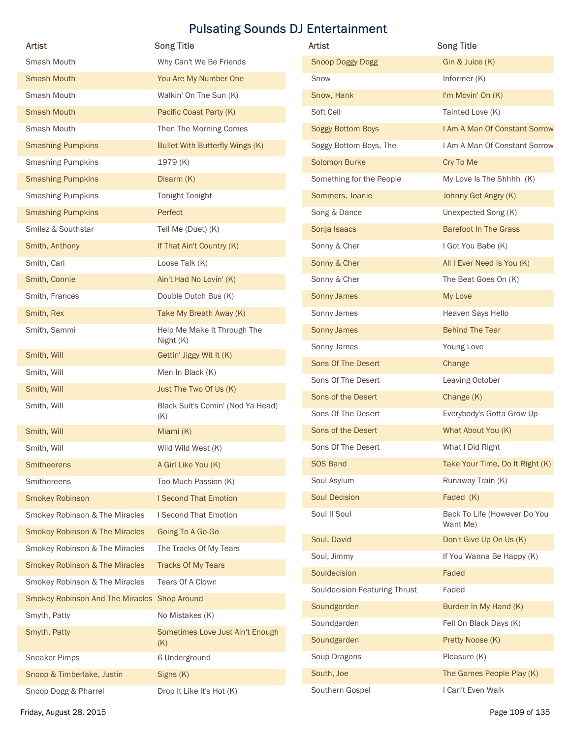|                                              |                                          | <b>Pulsating Sounds DJ Entertainment</b> |                                          |
|----------------------------------------------|------------------------------------------|------------------------------------------|------------------------------------------|
| <b>Artist</b>                                | <b>Song Title</b>                        | <b>Artist</b>                            | <b>Song Title</b>                        |
| Smash Mouth                                  | Why Can't We Be Friends                  | <b>Snoop Doggy Dogg</b>                  | Gin & Juice (K)                          |
| <b>Smash Mouth</b>                           | You Are My Number One                    | Snow                                     | Informer (K)                             |
| Smash Mouth                                  | Walkin' On The Sun (K)                   | Snow, Hank                               | I'm Movin' On (K)                        |
| <b>Smash Mouth</b>                           | Pacific Coast Party (K)                  | Soft Cell                                | Tainted Love (K)                         |
| Smash Mouth                                  | Then The Morning Comes                   | Soggy Bottom Boys                        | I Am A Man Of Constant Sorrow            |
| <b>Smashing Pumpkins</b>                     | Bullet With Butterfly Wings (K)          | Soggy Bottom Boys, The                   | I Am A Man Of Constant Sorrow            |
| <b>Smashing Pumpkins</b>                     | 1979 (K)                                 | Solomon Burke                            | Cry To Me                                |
| <b>Smashing Pumpkins</b>                     | Disarm (K)                               | Something for the People                 | My Love Is The Shhhh (K)                 |
| <b>Smashing Pumpkins</b>                     | Tonight Tonight                          | Sommers, Joanie                          | Johnny Get Angry (K)                     |
| <b>Smashing Pumpkins</b>                     | Perfect                                  | Song & Dance                             | Unexpected Song (K)                      |
| Smilez & Southstar                           | Tell Me (Duet) (K)                       | Sonja Isaacs                             | <b>Barefoot In The Grass</b>             |
| Smith, Anthony                               | If That Ain't Country (K)                | Sonny & Cher                             | I Got You Babe (K)                       |
| Smith, Carl                                  | Loose Talk (K)                           | Sonny & Cher                             | All I Ever Need Is You (K)               |
| Smith, Connie                                | Ain't Had No Lovin' (K)                  | Sonny & Cher                             | The Beat Goes On (K)                     |
| Smith, Frances                               | Double Dutch Bus (K)                     | Sonny James                              | My Love                                  |
| Smith, Rex                                   | Take My Breath Away (K)                  | Sonny James                              | Heaven Says Hello                        |
| Smith, Sammi                                 | Help Me Make It Through The<br>Night (K) | Sonny James                              | <b>Behind The Tear</b>                   |
| Smith, Will                                  | Gettin' Jiggy Wit It (K)                 | Sonny James                              | Young Love                               |
| Smith, Will                                  | Men In Black (K)                         | Sons Of The Desert                       | Change                                   |
| Smith, Will                                  | Just The Two Of Us (K)                   | Sons Of The Desert                       | Leaving October                          |
| Smith, Will                                  | Black Suit's Comin' (Nod Ya Head)        | Sons of the Desert                       | Change (K)                               |
|                                              | (K)                                      | Sons Of The Desert                       | Everybody's Gotta Grow Up                |
| Smith, Will                                  | Miami (K)                                | Sons of the Desert                       | What About You (K)                       |
| Smith, Will                                  | Wild Wild West (K)                       | Sons Of The Desert                       | What I Did Right                         |
| Smitheerens                                  | A Girl Like You (K)                      | SOS Band                                 | Take Your Time, Do It Right (K)          |
| Smithereens                                  | Too Much Passion (K)                     | Soul Asylum                              | Runaway Train (K)                        |
| <b>Smokey Robinson</b>                       | <b>I Second That Emotion</b>             | Soul Decision                            | Faded (K)                                |
| Smokey Robinson & The Miracles               | I Second That Emotion                    | Soul II Soul                             | Back To Life (However Do You<br>Want Me) |
| Smokey Robinson & The Miracles               | Going To A Go-Go                         | Soul, David                              | Don't Give Up On Us (K)                  |
| Smokey Robinson & The Miracles               | The Tracks Of My Tears                   | Soul, Jimmy                              | If You Wanna Be Happy (K)                |
| Smokey Robinson & The Miracles               | <b>Tracks Of My Tears</b>                | Souldecision                             | Faded                                    |
| Smokey Robinson & The Miracles               | Tears Of A Clown                         | Souldecision Featuring Thrust            | Faded                                    |
| Smokey Robinson And The Miracles Shop Around |                                          | Soundgarden                              | Burden In My Hand (K)                    |
| Smyth, Patty                                 | No Mistakes (K)                          | Soundgarden                              | Fell On Black Days (K)                   |
| Smyth, Patty                                 | Sometimes Love Just Ain't Enough         | Soundgarden                              | Pretty Noose (K)                         |
| Sneaker Pimps                                | (K)<br>6 Underground                     | Soup Dragons                             | Pleasure (K)                             |
| Snoop & Timberlake, Justin                   | Signs (K)                                | South, Joe                               | The Games People Play (K)                |
| Snoop Dogg & Pharrel                         | Drop It Like It's Hot (K)                | Southern Gospel                          | I Can't Even Walk                        |
|                                              |                                          |                                          |                                          |

| <b>Artist</b>                        | <b>Song Title</b>                        |
|--------------------------------------|------------------------------------------|
| <b>Snoop Doggy Dogg</b>              | Gin & Juice (K)                          |
| Snow                                 | Informer (K)                             |
| Snow, Hank                           | I'm Movin' On (K)                        |
| Soft Cell                            | Tainted Love (K)                         |
| <b>Soggy Bottom Boys</b>             | I Am A Man Of Constant Sorrow            |
| Soggy Bottom Boys, The               | I Am A Man Of Constant Sorrow            |
| <b>Solomon Burke</b>                 | Cry To Me                                |
| Something for the People             | My Love Is The Shhhh (K)                 |
| Sommers, Joanie                      | Johnny Get Angry (K)                     |
| Song & Dance                         | Unexpected Song (K)                      |
| Sonja Isaacs                         | <b>Barefoot In The Grass</b>             |
| Sonny & Cher                         | I Got You Babe (K)                       |
| Sonny & Cher                         | All I Ever Need Is You (K)               |
| Sonny & Cher                         | The Beat Goes On (K)                     |
| Sonny James                          | My Love                                  |
| Sonny James                          | Heaven Says Hello                        |
| Sonny James                          | <b>Behind The Tear</b>                   |
| Sonny James                          | Young Love                               |
| Sons Of The Desert                   | Change                                   |
| Sons Of The Desert                   | Leaving October                          |
| Sons of the Desert                   | Change (K)                               |
| Sons Of The Desert                   | Everybody's Gotta Grow Up                |
| Sons of the Desert                   | What About You (K)                       |
| Sons Of The Desert                   | What I Did Right                         |
| SOS Band                             | Take Your Time, Do It Right (K)          |
| Soul Asylum                          | Runaway Train (K)                        |
| <b>Soul Decision</b>                 | Faded (K)                                |
| Soul II Soul                         | Back To Life (However Do You<br>Want Me) |
| Soul, David                          | Don't Give Up On Us (K)                  |
| Soul, Jimmy                          | If You Wanna Be Happy (K)                |
| Souldecision                         | Faded                                    |
| <b>Souldecision Featuring Thrust</b> | Faded                                    |
| Soundgarden                          | Burden In My Hand (K)                    |
| Soundgarden                          | Fell On Black Days (K)                   |
| Soundgarden                          | Pretty Noose (K)                         |
| Soup Dragons                         | Pleasure (K)                             |
| South, Joe                           | The Games People Play (K)                |
| Southern Gospel                      | I Can't Even Walk                        |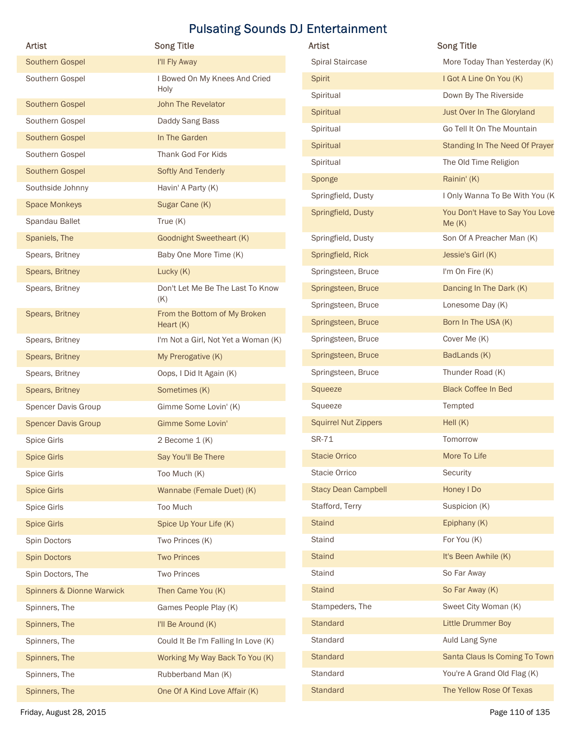| Artist                             | <b>Pulsating Sounds DJ Entertainment</b><br><b>Song Title</b> | Artist                      | <b>Song Title</b>                       |
|------------------------------------|---------------------------------------------------------------|-----------------------------|-----------------------------------------|
| Southern Gospel                    | I'll Fly Away                                                 | Spiral Staircase            | More Today Than Yesterday (K)           |
| Southern Gospel                    | I Bowed On My Knees And Cried                                 | Spirit                      | I Got A Line On You (K)                 |
|                                    | Holy                                                          | Spiritual                   | Down By The Riverside                   |
| Southern Gospel                    | John The Revelator                                            | Spiritual                   | Just Over In The Gloryland              |
| Southern Gospel                    | Daddy Sang Bass<br>In The Garden                              | Spiritual                   | Go Tell It On The Mountain              |
| Southern Gospel                    | Thank God For Kids                                            | Spiritual                   | Standing In The Need Of Prayer          |
| Southern Gospel<br>Southern Gospel | Softly And Tenderly                                           | Spiritual                   | The Old Time Religion                   |
| Southside Johnny                   | Havin' A Party (K)                                            | Sponge                      | Rainin' (K)                             |
| <b>Space Monkeys</b>               | Sugar Cane (K)                                                | Springfield, Dusty          | I Only Wanna To Be With You (K          |
| Spandau Ballet                     | True $(K)$                                                    | Springfield, Dusty          | You Don't Have to Say You Love<br>Me(K) |
| Spaniels, The                      | <b>Goodnight Sweetheart (K)</b>                               | Springfield, Dusty          | Son Of A Preacher Man (K)               |
| Spears, Britney                    | Baby One More Time (K)                                        | Springfield, Rick           | Jessie's Girl (K)                       |
| Spears, Britney                    | Lucky (K)                                                     | Springsteen, Bruce          | I'm On Fire (K)                         |
| Spears, Britney                    | Don't Let Me Be The Last To Know                              | Springsteen, Bruce          | Dancing In The Dark (K)                 |
|                                    | (K)                                                           | Springsteen, Bruce          | Lonesome Day (K)                        |
| Spears, Britney                    | From the Bottom of My Broken<br>Heart $(K)$                   | Springsteen, Bruce          | Born In The USA (K)                     |
| Spears, Britney                    | I'm Not a Girl, Not Yet a Woman (K)                           | Springsteen, Bruce          | Cover Me (K)                            |
| Spears, Britney                    | My Prerogative (K)                                            | Springsteen, Bruce          | BadLands (K)                            |
| Spears, Britney                    | Oops, I Did It Again (K)                                      | Springsteen, Bruce          | Thunder Road (K)                        |
| Spears, Britney                    | Sometimes (K)                                                 | Squeeze                     | <b>Black Coffee In Bed</b>              |
| Spencer Davis Group                | Gimme Some Lovin' (K)                                         | Squeeze                     | Tempted                                 |
| <b>Spencer Davis Group</b>         | Gimme Some Lovin'                                             | <b>Squirrel Nut Zippers</b> | Hell (K)                                |
| Spice Girls                        | 2 Become 1 (K)                                                | SR-71                       | Tomorrow                                |
| <b>Spice Girls</b>                 | Say You'll Be There                                           | <b>Stacie Orrico</b>        | More To Life                            |
| Spice Girls                        | Too Much (K)                                                  | Stacie Orrico               | Security                                |
| <b>Spice Girls</b>                 | Wannabe (Female Duet) (K)                                     | <b>Stacy Dean Campbell</b>  | Honey I Do                              |
| Spice Girls                        | Too Much                                                      | Stafford, Terry             | Suspicion (K)                           |
| <b>Spice Girls</b>                 | Spice Up Your Life (K)                                        | <b>Staind</b>               | Epiphany (K)                            |
| Spin Doctors                       | Two Princes (K)                                               | Staind                      | For You (K)                             |
| Spin Doctors                       | <b>Two Princes</b>                                            | <b>Staind</b>               | It's Been Awhile (K)                    |
| Spin Doctors, The                  | <b>Two Princes</b>                                            | Staind                      | So Far Away                             |
| Spinners & Dionne Warwick          | Then Came You (K)                                             | <b>Staind</b>               | So Far Away (K)                         |
| Spinners, The                      | Games People Play (K)                                         | Stampeders, The             | Sweet City Woman (K)                    |
| Spinners, The                      | I'll Be Around (K)                                            | Standard                    | Little Drummer Boy                      |
| Spinners, The                      | Could It Be I'm Falling In Love (K)                           | Standard                    | Auld Lang Syne                          |
| Spinners, The                      | Working My Way Back To You (K)                                | Standard                    | Santa Claus Is Coming To Town           |
| Spinners, The                      | Rubberband Man (K)                                            | Standard                    | You're A Grand Old Flag (K)             |
| Spinners, The                      | One Of A Kind Love Affair (K)                                 | Standard                    | The Yellow Rose Of Texas                |
| Friday, August 28, 2015            |                                                               |                             | Page 110 of 135                         |

| Artist                      | <b>Song Title</b>                       |
|-----------------------------|-----------------------------------------|
| <b>Spiral Staircase</b>     | More Today Than Yesterday (K)           |
| Spirit                      | I Got A Line On You (K)                 |
| Spiritual                   | Down By The Riverside                   |
| Spiritual                   | Just Over In The Gloryland              |
| Spiritual                   | Go Tell It On The Mountain              |
| Spiritual                   | Standing In The Need Of Prayer          |
| Spiritual                   | The Old Time Religion                   |
| Sponge                      | Rainin' (K)                             |
| Springfield, Dusty          | I Only Wanna To Be With You (K          |
| Springfield, Dusty          | You Don't Have to Say You Love<br>Me(K) |
| Springfield, Dusty          | Son Of A Preacher Man (K)               |
| Springfield, Rick           | Jessie's Girl (K)                       |
| Springsteen, Bruce          | I'm On Fire (K)                         |
| Springsteen, Bruce          | Dancing In The Dark (K)                 |
| Springsteen, Bruce          | Lonesome Day (K)                        |
| Springsteen, Bruce          | Born In The USA (K)                     |
| Springsteen, Bruce          | Cover Me (K)                            |
| Springsteen, Bruce          | BadLands (K)                            |
| Springsteen, Bruce          | Thunder Road (K)                        |
| Squeeze                     | <b>Black Coffee In Bed</b>              |
| Squeeze                     | Tempted                                 |
| <b>Squirrel Nut Zippers</b> | Hell $(K)$                              |
| SR-71                       | Tomorrow                                |
| <b>Stacie Orrico</b>        | More To Life                            |
| Stacie Orrico               | Security                                |
| <b>Stacy Dean Campbell</b>  | Honey I Do                              |
| Stafford, Terry             | Suspicion (K)                           |
| <b>Staind</b>               | Epiphany (K)                            |
| Staind                      | For You (K)                             |
| <b>Staind</b>               | It's Been Awhile (K)                    |
| <b>Staind</b>               | So Far Away                             |
| <b>Staind</b>               | So Far Away (K)                         |
| Stampeders, The             | Sweet City Woman (K)                    |
| Standard                    | <b>Little Drummer Boy</b>               |
| Standard                    | Auld Lang Syne                          |
| Standard                    | Santa Claus Is Coming To Town           |
| Standard                    | You're A Grand Old Flag (K)             |
| <b>Standard</b>             | The Yellow Rose Of Texas                |
|                             |                                         |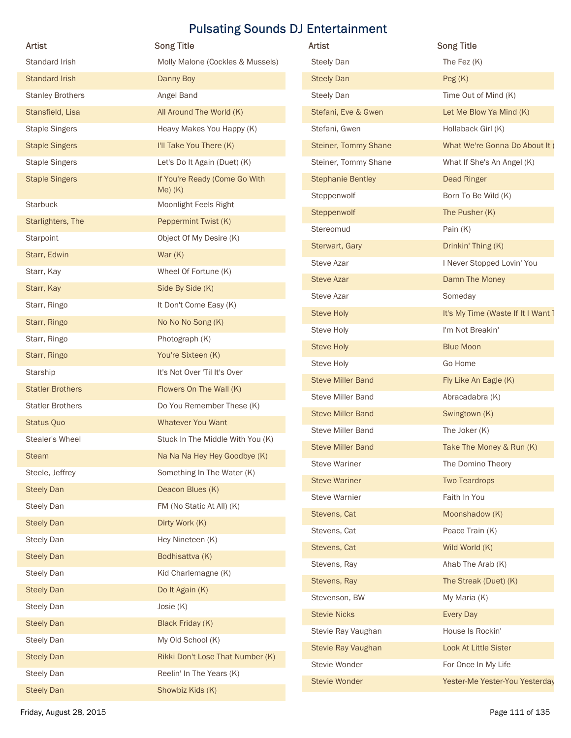| Artist                  | <b>Song Title</b>                          | Artist                      | <b>Song Title</b>                  |
|-------------------------|--------------------------------------------|-----------------------------|------------------------------------|
| Standard Irish          | Molly Malone (Cockles & Mussels)           | <b>Steely Dan</b>           | The Fez (K)                        |
| <b>Standard Irish</b>   | Danny Boy                                  | <b>Steely Dan</b>           | Peg(K)                             |
| <b>Stanley Brothers</b> | Angel Band                                 | <b>Steely Dan</b>           | Time Out of Mind (K)               |
| Stansfield, Lisa        | All Around The World (K)                   | Stefani, Eve & Gwen         | Let Me Blow Ya Mind (K)            |
| <b>Staple Singers</b>   | Heavy Makes You Happy (K)                  | Stefani, Gwen               | Hollaback Girl (K)                 |
| <b>Staple Singers</b>   | I'll Take You There (K)                    | <b>Steiner, Tommy Shane</b> | What We're Gonna Do About It (     |
| <b>Staple Singers</b>   | Let's Do It Again (Duet) (K)               | Steiner, Tommy Shane        | What If She's An Angel (K)         |
| <b>Staple Singers</b>   | If You're Ready (Come Go With<br>$Me)$ (K) | <b>Stephanie Bentley</b>    | <b>Dead Ringer</b>                 |
| Starbuck                | Moonlight Feels Right                      | Steppenwolf                 | Born To Be Wild (K)                |
| Starlighters, The       | Peppermint Twist (K)                       | Steppenwolf                 | The Pusher (K)                     |
| Starpoint               | Object Of My Desire (K)                    | Stereomud                   | Pain (K)                           |
| Starr, Edwin            | War $(K)$                                  | Sterwart, Gary              | Drinkin' Thing (K)                 |
| Starr, Kay              | Wheel Of Fortune (K)                       | Steve Azar                  | I Never Stopped Lovin' You         |
| Starr, Kay              | Side By Side (K)                           | <b>Steve Azar</b>           | Damn The Money                     |
| Starr, Ringo            | It Don't Come Easy (K)                     | Steve Azar                  | Someday                            |
| Starr, Ringo            | No No No Song (K)                          | <b>Steve Holy</b>           | It's My Time (Waste If It I Want 1 |
| Starr, Ringo            | Photograph (K)                             | Steve Holy                  | I'm Not Breakin'                   |
| Starr, Ringo            | You're Sixteen (K)                         | <b>Steve Holy</b>           | <b>Blue Moon</b>                   |
| Starship                | It's Not Over 'Til It's Over               | Steve Holy                  | Go Home                            |
| <b>Statler Brothers</b> | Flowers On The Wall (K)                    | <b>Steve Miller Band</b>    | Fly Like An Eagle (K)              |
| <b>Statler Brothers</b> | Do You Remember These (K)                  | Steve Miller Band           | Abracadabra (K)                    |
| Status Quo              | Whatever You Want                          | <b>Steve Miller Band</b>    | Swingtown (K)                      |
| Stealer's Wheel         | Stuck In The Middle With You (K)           | Steve Miller Band           | The Joker (K)                      |
| Steam                   | Na Na Na Hey Hey Goodbye (K)               | <b>Steve Miller Band</b>    | Take The Money & Run (K)           |
| Steele, Jeffrey         | Something In The Water (K)                 | <b>Steve Wariner</b>        | The Domino Theory                  |
| <b>Steely Dan</b>       | Deacon Blues (K)                           | <b>Steve Wariner</b>        | <b>Two Teardrops</b>               |
| <b>Steely Dan</b>       | FM (No Static At All) (K)                  | <b>Steve Warnier</b>        | Faith In You                       |
| <b>Steely Dan</b>       | Dirty Work (K)                             | Stevens, Cat                | Moonshadow (K)                     |
| <b>Steely Dan</b>       | Hey Nineteen (K)                           | Stevens, Cat                | Peace Train (K)                    |
| <b>Steely Dan</b>       | Bodhisattva (K)                            | Stevens, Cat                | Wild World (K)                     |
| <b>Steely Dan</b>       | Kid Charlemagne (K)                        | Stevens, Ray                | Ahab The Arab (K)                  |
| <b>Steely Dan</b>       | Do It Again (K)                            | Stevens, Ray                | The Streak (Duet) (K)              |
| <b>Steely Dan</b>       | Josie (K)                                  | Stevenson, BW               | My Maria (K)                       |
| <b>Steely Dan</b>       | Black Friday (K)                           | <b>Stevie Nicks</b>         | Every Day                          |
| Steely Dan              | My Old School (K)                          | Stevie Ray Vaughan          | House Is Rockin'                   |
| <b>Steely Dan</b>       | Rikki Don't Lose That Number (K)           | Stevie Ray Vaughan          | Look At Little Sister              |
| Steely Dan              | Reelin' In The Years (K)                   | Stevie Wonder               | For Once In My Life                |
|                         | Showbiz Kids (K)                           | Stevie Wonder               | Yester-Me Yester-You Yesterday     |
| <b>Steely Dan</b>       |                                            |                             |                                    |

| <b>Artist</b>               | <b>Song Title</b>                  |
|-----------------------------|------------------------------------|
| <b>Steely Dan</b>           | The Fez $(K)$                      |
| <b>Steely Dan</b>           | Peg(K)                             |
| <b>Steely Dan</b>           | Time Out of Mind (K)               |
| Stefani, Eve & Gwen         | Let Me Blow Ya Mind (K)            |
| Stefani, Gwen               | Hollaback Girl (K)                 |
| <b>Steiner, Tommy Shane</b> | What We're Gonna Do About It (     |
| Steiner, Tommy Shane        | What If She's An Angel (K)         |
| <b>Stephanie Bentley</b>    | <b>Dead Ringer</b>                 |
| Steppenwolf                 | Born To Be Wild (K)                |
| Steppenwolf                 | The Pusher (K)                     |
| Stereomud                   | Pain $(K)$                         |
| Sterwart, Gary              | Drinkin' Thing (K)                 |
| <b>Steve Azar</b>           | I Never Stopped Lovin' You         |
| <b>Steve Azar</b>           | Damn The Money                     |
| <b>Steve Azar</b>           | Someday                            |
| <b>Steve Holy</b>           | It's My Time (Waste If It I Want 1 |
| Steve Holy                  | I'm Not Breakin'                   |
| <b>Steve Holy</b>           | <b>Blue Moon</b>                   |
| Steve Holy                  | Go Home                            |
| <b>Steve Miller Band</b>    | Fly Like An Eagle (K)              |
| <b>Steve Miller Band</b>    | Abracadabra (K)                    |
| <b>Steve Miller Band</b>    | Swingtown (K)                      |
| <b>Steve Miller Band</b>    | The Joker (K)                      |
| <b>Steve Miller Band</b>    | Take The Money & Run (K)           |
| <b>Steve Wariner</b>        | The Domino Theory                  |
| <b>Steve Wariner</b>        | <b>Two Teardrops</b>               |
| <b>Steve Warnier</b>        | Faith In You                       |
| Stevens, Cat                | Moonshadow (K)                     |
| Stevens, Cat                | Peace Train (K)                    |
| Stevens, Cat                | Wild World (K)                     |
| Stevens, Ray                | Ahab The Arab (K)                  |
| Stevens, Ray                | The Streak (Duet) (K)              |
| Stevenson, BW               | My Maria (K)                       |
| <b>Stevie Nicks</b>         | <b>Every Day</b>                   |
| Stevie Ray Vaughan          | House Is Rockin'                   |
| Stevie Ray Vaughan          | Look At Little Sister              |
| Stevie Wonder               | For Once In My Life                |
| <b>Stevie Wonder</b>        | Yester-Me Yester-You Yesterday     |
|                             |                                    |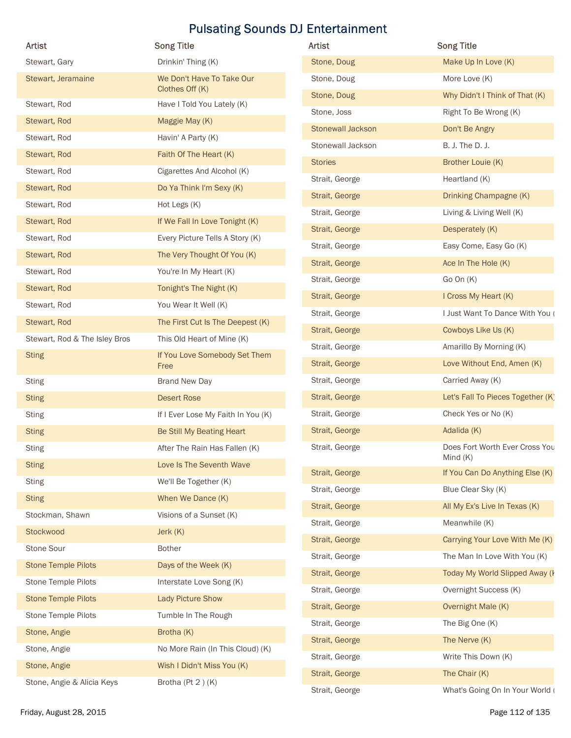|                               |                                              | <b>Pulsating Sounds DJ Entertainment</b> |                                                         |
|-------------------------------|----------------------------------------------|------------------------------------------|---------------------------------------------------------|
| Artist                        | <b>Song Title</b>                            | <b>Artist</b>                            | <b>Song Title</b>                                       |
| Stewart, Gary                 | Drinkin' Thing (K)                           | Stone, Doug                              | Make Up In Love (K)                                     |
| Stewart, Jeramaine            | We Don't Have To Take Our<br>Clothes Off (K) | Stone, Doug                              | More Love (K)                                           |
| Stewart, Rod                  | Have I Told You Lately (K)                   | Stone, Doug<br>Stone, Joss               | Why Didn't I Think of That (K)<br>Right To Be Wrong (K) |
| Stewart, Rod                  | Maggie May (K)                               | <b>Stonewall Jackson</b>                 | Don't Be Angry                                          |
| Stewart, Rod                  | Havin' A Party (K)                           | Stonewall Jackson                        | B. J. The D. J.                                         |
| Stewart, Rod                  | Faith Of The Heart (K)                       | <b>Stories</b>                           | Brother Louie (K)                                       |
| Stewart, Rod                  | Cigarettes And Alcohol (K)                   | Strait, George                           | Heartland (K)                                           |
| Stewart, Rod                  | Do Ya Think I'm Sexy (K)                     | Strait, George                           | Drinking Champagne (K)                                  |
| Stewart, Rod                  | Hot Legs (K)                                 | Strait, George                           | Living & Living Well (K)                                |
| Stewart, Rod                  | If We Fall In Love Tonight (K)               | Strait, George                           | Desperately (K)                                         |
| Stewart, Rod                  | Every Picture Tells A Story (K)              | Strait, George                           | Easy Come, Easy Go (K)                                  |
| Stewart, Rod                  | The Very Thought Of You (K)                  | Strait, George                           | Ace In The Hole (K)                                     |
| Stewart, Rod                  | You're In My Heart (K)                       | Strait, George                           | Go On (K)                                               |
| Stewart, Rod                  | Tonight's The Night (K)                      | Strait, George                           | I Cross My Heart (K)                                    |
| Stewart, Rod                  | You Wear It Well (K)                         | Strait, George                           | I Just Want To Dance With You (                         |
| Stewart, Rod                  | The First Cut Is The Deepest (K)             | Strait, George                           | Cowboys Like Us (K)                                     |
| Stewart, Rod & The Isley Bros | This Old Heart of Mine (K)                   | Strait, George                           | Amarillo By Morning (K)                                 |
| <b>Sting</b>                  | If You Love Somebody Set Them<br>Free        | Strait, George                           | Love Without End, Amen (K)                              |
| <b>Sting</b>                  | <b>Brand New Day</b>                         | Strait, George                           | Carried Away (K)                                        |
| <b>Sting</b>                  | <b>Desert Rose</b>                           | Strait, George                           | Let's Fall To Pieces Together (K)                       |
| <b>Sting</b>                  | If I Ever Lose My Faith In You (K)           | Strait, George                           | Check Yes or No (K)                                     |
| <b>Sting</b>                  | Be Still My Beating Heart                    | Strait, George                           | Adalida (K)                                             |
| <b>Sting</b>                  | After The Rain Has Fallen (K)                | Strait, George                           | Does Fort Worth Ever Cross You                          |
| <b>Sting</b>                  | Love Is The Seventh Wave                     |                                          | Mind (K)                                                |
| <b>Sting</b>                  | We'll Be Together (K)                        | Strait, George                           | If You Can Do Anything Else (K)                         |
| <b>Sting</b>                  | When We Dance (K)                            | Strait, George                           | Blue Clear Sky (K)                                      |
| Stockman, Shawn               | Visions of a Sunset (K)                      | Strait, George                           | All My Ex's Live In Texas (K)                           |
| Stockwood                     | Jerk (K)                                     | Strait, George                           | Meanwhile (K)                                           |
| Stone Sour                    | <b>Bother</b>                                | Strait, George                           | Carrying Your Love With Me (K)                          |
| <b>Stone Temple Pilots</b>    | Days of the Week (K)                         | Strait, George                           | The Man In Love With You (K)                            |
| Stone Temple Pilots           | Interstate Love Song (K)                     | Strait, George                           | Today My World Slipped Away (I                          |
| <b>Stone Temple Pilots</b>    | Lady Picture Show                            | Strait, George                           | Overnight Success (K)                                   |
| Stone Temple Pilots           | Tumble In The Rough                          | Strait, George                           | Overnight Male (K)                                      |
| Stone, Angie                  | Brotha (K)                                   | Strait, George                           | The Big One (K)                                         |
| Stone, Angie                  | No More Rain (In This Cloud) (K)             | Strait, George                           | The Nerve (K)                                           |
| Stone, Angie                  | Wish I Didn't Miss You (K)                   | Strait, George                           | Write This Down (K)                                     |
| Stone, Angie & Alicia Keys    | Brotha (Pt 2)(K)                             | Strait, George                           | The Chair (K)                                           |

| Artist                        | <b>Song Title</b>                  | Artist                           | <b>Song Title</b>                                     |
|-------------------------------|------------------------------------|----------------------------------|-------------------------------------------------------|
| Stewart, Gary                 | Drinkin' Thing (K)                 | Stone, Doug                      | Make Up In Love (K)                                   |
| Stewart, Jeramaine            | We Don't Have To Take Our          | Stone, Doug                      | More Love (K)                                         |
|                               | Clothes Off (K)                    | Stone, Doug                      | Why Didn't I Think of That (K)                        |
| Stewart, Rod                  | Have I Told You Lately (K)         | Stone, Joss                      | Right To Be Wrong (K)                                 |
| Stewart, Rod                  | Maggie May (K)                     | <b>Stonewall Jackson</b>         | Don't Be Angry                                        |
| Stewart, Rod                  | Havin' A Party (K)                 | Stonewall Jackson                | B. J. The D. J.                                       |
| Stewart, Rod                  | Faith Of The Heart (K)             | <b>Stories</b>                   | Brother Louie (K)                                     |
| Stewart, Rod                  | Cigarettes And Alcohol (K)         | Strait, George                   | Heartland (K)                                         |
| Stewart, Rod                  | Do Ya Think I'm Sexy (K)           | Strait, George                   | Drinking Champagne (K)                                |
| Stewart, Rod                  | Hot Legs (K)                       | Strait, George                   | Living & Living Well (K)                              |
| Stewart, Rod                  | If We Fall In Love Tonight (K)     | Strait, George                   | Desperately (K)                                       |
| Stewart, Rod                  | Every Picture Tells A Story (K)    | Strait, George                   | Easy Come, Easy Go (K)                                |
| Stewart, Rod                  | The Very Thought Of You (K)        | Strait, George                   | Ace In The Hole (K)                                   |
| Stewart, Rod                  | You're In My Heart (K)             | Strait, George                   | Go On $(K)$                                           |
| Stewart, Rod                  | Tonight's The Night (K)            | Strait, George                   | I Cross My Heart (K)                                  |
| Stewart, Rod                  | You Wear It Well (K)               | Strait, George                   | I Just Want To Dance With You (                       |
| Stewart, Rod                  | The First Cut Is The Deepest (K)   |                                  |                                                       |
| Stewart, Rod & The Isley Bros | This Old Heart of Mine (K)         | Strait, George                   | Cowboys Like Us (K)                                   |
| <b>Sting</b>                  | If You Love Somebody Set Them      | Strait, George<br>Strait, George | Amarillo By Morning (K)<br>Love Without End, Amen (K) |
| Sting                         | Free<br><b>Brand New Day</b>       | Strait, George                   | Carried Away (K)                                      |
|                               | <b>Desert Rose</b>                 | Strait, George                   | Let's Fall To Pieces Together (K)                     |
| <b>Sting</b>                  |                                    | Strait, George                   | Check Yes or No (K)                                   |
| <b>Sting</b>                  | If I Ever Lose My Faith In You (K) |                                  |                                                       |
| <b>Sting</b>                  | Be Still My Beating Heart          | Strait, George                   | Adalida (K)                                           |
| <b>Sting</b>                  | After The Rain Has Fallen (K)      | Strait, George                   | Does Fort Worth Ever Cross You<br>Mind $(K)$          |
| <b>Sting</b>                  | Love Is The Seventh Wave           | Strait, George                   | If You Can Do Anything Else (K)                       |
| Sting                         | We'll Be Together (K)              | Strait, George                   | Blue Clear Sky (K)                                    |
| <b>Sting</b>                  | When We Dance (K)                  | Strait, George                   | All My Ex's Live In Texas (K)                         |
| Stockman, Shawn               | Visions of a Sunset (K)            | Strait, George                   | Meanwhile (K)                                         |
| Stockwood                     | Jerk (K)                           | Strait, George                   | Carrying Your Love With Me (K)                        |
| Stone Sour                    | <b>Bother</b>                      | Strait, George                   | The Man In Love With You (K)                          |
| <b>Stone Temple Pilots</b>    | Days of the Week (K)               | Strait, George                   | Today My World Slipped Away (                         |
| Stone Temple Pilots           | Interstate Love Song (K)           | Strait, George                   | Overnight Success (K)                                 |
| <b>Stone Temple Pilots</b>    | <b>Lady Picture Show</b>           |                                  |                                                       |
| Stone Temple Pilots           | Tumble In The Rough                | Strait, George                   | Overnight Male (K)                                    |
| Stone, Angie                  | Brotha (K)                         | Strait, George                   | The Big One (K)                                       |
| Stone, Angie                  | No More Rain (In This Cloud) (K)   | Strait, George                   | The Nerve (K)                                         |
| Stone, Angie                  | Wish I Didn't Miss You (K)         | Strait, George                   | Write This Down (K)                                   |
| Stone, Angie & Alicia Keys    | Brotha (Pt 2)(K)                   | Strait, George                   | The Chair (K)                                         |
|                               |                                    | Strait, George                   | What's Going On In Your World (                       |
| Friday, August 28, 2015       |                                    |                                  | Page 112 of 135                                       |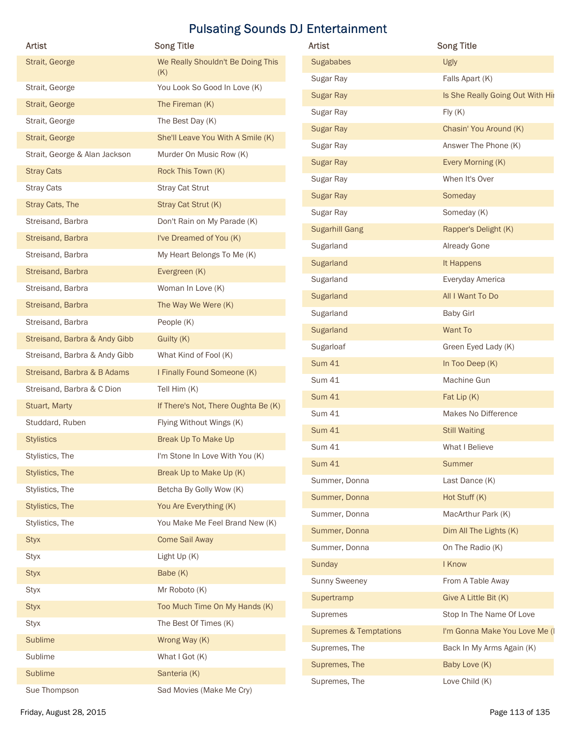| <b>Artist</b>                 | <b>Song Title</b>                   | Artist                            | <b>Song Title</b>                |
|-------------------------------|-------------------------------------|-----------------------------------|----------------------------------|
| Strait, George                | We Really Shouldn't Be Doing This   | Sugababes                         | Ugly                             |
| Strait, George                | (K)<br>You Look So Good In Love (K) | Sugar Ray                         | Falls Apart (K)                  |
| Strait, George                | The Fireman (K)                     | <b>Sugar Ray</b>                  | Is She Really Going Out With Hir |
| Strait, George                | The Best Day (K)                    | Sugar Ray                         | Fly(K)                           |
| Strait, George                | She'll Leave You With A Smile (K)   | <b>Sugar Ray</b>                  | Chasin' You Around (K)           |
| Strait, George & Alan Jackson | Murder On Music Row (K)             | Sugar Ray                         | Answer The Phone (K)             |
| <b>Stray Cats</b>             | Rock This Town (K)                  | Sugar Ray                         | Every Morning (K)                |
| <b>Stray Cats</b>             | Stray Cat Strut                     | Sugar Ray                         | When It's Over                   |
| Stray Cats, The               | Stray Cat Strut (K)                 | <b>Sugar Ray</b>                  | Someday                          |
| Streisand, Barbra             | Don't Rain on My Parade (K)         | Sugar Ray                         | Someday (K)                      |
| Streisand, Barbra             | I've Dreamed of You (K)             | <b>Sugarhill Gang</b>             | Rapper's Delight (K)             |
| Streisand, Barbra             | My Heart Belongs To Me (K)          | Sugarland                         | Already Gone                     |
| Streisand, Barbra             | Evergreen (K)                       | Sugarland                         | It Happens                       |
| Streisand, Barbra             | Woman In Love (K)                   | Sugarland                         | Everyday America                 |
| Streisand, Barbra             | The Way We Were (K)                 | Sugarland                         | All I Want To Do                 |
| Streisand, Barbra             | People (K)                          | Sugarland                         | <b>Baby Girl</b>                 |
| Streisand, Barbra & Andy Gibb | Guilty (K)                          | Sugarland                         | Want To                          |
| Streisand, Barbra & Andy Gibb | What Kind of Fool (K)               | Sugarloaf                         | Green Eyed Lady (K)              |
| Streisand, Barbra & B Adams   | I Finally Found Someone (K)         | <b>Sum 41</b>                     | In Too Deep (K)                  |
| Streisand, Barbra & C Dion    | Tell Him (K)                        | <b>Sum 41</b>                     | Machine Gun                      |
| Stuart, Marty                 | If There's Not, There Oughta Be (K) | <b>Sum 41</b>                     | Fat Lip (K)                      |
| Studdard, Ruben               | Flying Without Wings (K)            | <b>Sum 41</b>                     | Makes No Difference              |
| <b>Stylistics</b>             | Break Up To Make Up                 | <b>Sum 41</b>                     | <b>Still Waiting</b>             |
| Stylistics, The               | I'm Stone In Love With You (K)      | <b>Sum 41</b>                     | What I Believe                   |
| Stylistics, The               | Break Up to Make Up (K)             | <b>Sum 41</b>                     | Summer                           |
| Stylistics, The               | Betcha By Golly Wow (K)             | Summer, Donna                     | Last Dance (K)                   |
| Stylistics, The               | You Are Everything (K)              | Summer, Donna                     | Hot Stuff (K)                    |
| Stylistics, The               | You Make Me Feel Brand New (K)      | Summer, Donna                     | MacArthur Park (K)               |
| <b>Styx</b>                   | <b>Come Sail Away</b>               | Summer, Donna                     | Dim All The Lights (K)           |
| <b>Styx</b>                   | Light Up (K)                        | Summer, Donna                     | On The Radio (K)                 |
| <b>Styx</b>                   | Babe (K)                            | Sunday                            | I Know                           |
| <b>Styx</b>                   | Mr Roboto (K)                       | Sunny Sweeney                     | From A Table Away                |
| <b>Styx</b>                   | Too Much Time On My Hands (K)       | Supertramp                        | Give A Little Bit (K)            |
| Styx                          | The Best Of Times (K)               | Supremes                          | Stop In The Name Of Love         |
| Sublime                       | Wrong Way (K)                       | <b>Supremes &amp; Temptations</b> | I'm Gonna Make You Love Me (I    |
| Sublime                       | What I Got (K)                      | Supremes, The                     | Back In My Arms Again (K)        |
|                               | Santeria (K)                        | Supremes, The                     | Baby Love (K)                    |
| Sublime                       |                                     | Supremes, The                     | Love Child (K)                   |

| <b>Sugababes</b><br>Ugly<br>Falls Apart (K)<br>Sugar Ray<br><b>Sugar Ray</b><br>Fly(K)<br>Sugar Ray<br><b>Sugar Ray</b><br>Chasin' You Around (K)<br>Answer The Phone (K)<br>Sugar Ray<br>Every Morning (K)<br><b>Sugar Ray</b><br>When It's Over<br>Sugar Ray<br><b>Sugar Ray</b><br>Someday<br>Someday (K)<br>Sugar Ray<br><b>Sugarhill Gang</b><br>Rapper's Delight (K)<br>Sugarland<br>Already Gone<br>Sugarland<br>It Happens<br>Sugarland<br>Everyday America<br>All I Want To Do<br><b>Sugarland</b><br>Sugarland<br><b>Baby Girl</b><br>Sugarland<br>Want To<br>Sugarloaf<br>Green Eyed Lady (K)<br><b>Sum 41</b><br>In Too Deep (K)<br><b>Sum 41</b><br>Machine Gun<br><b>Sum 41</b><br>Fat Lip (K)<br><b>Sum 41</b><br>Makes No Difference<br><b>Sum 41</b><br><b>Still Waiting</b><br><b>Sum 41</b><br>What I Believe<br><b>Sum 41</b><br>Summer<br>Summer, Donna<br>Last Dance (K)<br>Summer, Donna<br>Hot Stuff (K)<br>Summer, Donna<br>MacArthur Park (K)<br>Summer, Donna<br>Dim All The Lights (K)<br>Summer, Donna<br>On The Radio (K)<br>Sunday<br>I Know |
|-----------------------------------------------------------------------------------------------------------------------------------------------------------------------------------------------------------------------------------------------------------------------------------------------------------------------------------------------------------------------------------------------------------------------------------------------------------------------------------------------------------------------------------------------------------------------------------------------------------------------------------------------------------------------------------------------------------------------------------------------------------------------------------------------------------------------------------------------------------------------------------------------------------------------------------------------------------------------------------------------------------------------------------------------------------------------------|
|                                                                                                                                                                                                                                                                                                                                                                                                                                                                                                                                                                                                                                                                                                                                                                                                                                                                                                                                                                                                                                                                             |
| Is She Really Going Out With Hir                                                                                                                                                                                                                                                                                                                                                                                                                                                                                                                                                                                                                                                                                                                                                                                                                                                                                                                                                                                                                                            |
|                                                                                                                                                                                                                                                                                                                                                                                                                                                                                                                                                                                                                                                                                                                                                                                                                                                                                                                                                                                                                                                                             |
|                                                                                                                                                                                                                                                                                                                                                                                                                                                                                                                                                                                                                                                                                                                                                                                                                                                                                                                                                                                                                                                                             |
|                                                                                                                                                                                                                                                                                                                                                                                                                                                                                                                                                                                                                                                                                                                                                                                                                                                                                                                                                                                                                                                                             |
|                                                                                                                                                                                                                                                                                                                                                                                                                                                                                                                                                                                                                                                                                                                                                                                                                                                                                                                                                                                                                                                                             |
|                                                                                                                                                                                                                                                                                                                                                                                                                                                                                                                                                                                                                                                                                                                                                                                                                                                                                                                                                                                                                                                                             |
|                                                                                                                                                                                                                                                                                                                                                                                                                                                                                                                                                                                                                                                                                                                                                                                                                                                                                                                                                                                                                                                                             |
|                                                                                                                                                                                                                                                                                                                                                                                                                                                                                                                                                                                                                                                                                                                                                                                                                                                                                                                                                                                                                                                                             |
|                                                                                                                                                                                                                                                                                                                                                                                                                                                                                                                                                                                                                                                                                                                                                                                                                                                                                                                                                                                                                                                                             |
|                                                                                                                                                                                                                                                                                                                                                                                                                                                                                                                                                                                                                                                                                                                                                                                                                                                                                                                                                                                                                                                                             |
|                                                                                                                                                                                                                                                                                                                                                                                                                                                                                                                                                                                                                                                                                                                                                                                                                                                                                                                                                                                                                                                                             |
|                                                                                                                                                                                                                                                                                                                                                                                                                                                                                                                                                                                                                                                                                                                                                                                                                                                                                                                                                                                                                                                                             |
|                                                                                                                                                                                                                                                                                                                                                                                                                                                                                                                                                                                                                                                                                                                                                                                                                                                                                                                                                                                                                                                                             |
|                                                                                                                                                                                                                                                                                                                                                                                                                                                                                                                                                                                                                                                                                                                                                                                                                                                                                                                                                                                                                                                                             |
|                                                                                                                                                                                                                                                                                                                                                                                                                                                                                                                                                                                                                                                                                                                                                                                                                                                                                                                                                                                                                                                                             |
|                                                                                                                                                                                                                                                                                                                                                                                                                                                                                                                                                                                                                                                                                                                                                                                                                                                                                                                                                                                                                                                                             |
|                                                                                                                                                                                                                                                                                                                                                                                                                                                                                                                                                                                                                                                                                                                                                                                                                                                                                                                                                                                                                                                                             |
|                                                                                                                                                                                                                                                                                                                                                                                                                                                                                                                                                                                                                                                                                                                                                                                                                                                                                                                                                                                                                                                                             |
|                                                                                                                                                                                                                                                                                                                                                                                                                                                                                                                                                                                                                                                                                                                                                                                                                                                                                                                                                                                                                                                                             |
|                                                                                                                                                                                                                                                                                                                                                                                                                                                                                                                                                                                                                                                                                                                                                                                                                                                                                                                                                                                                                                                                             |
|                                                                                                                                                                                                                                                                                                                                                                                                                                                                                                                                                                                                                                                                                                                                                                                                                                                                                                                                                                                                                                                                             |
|                                                                                                                                                                                                                                                                                                                                                                                                                                                                                                                                                                                                                                                                                                                                                                                                                                                                                                                                                                                                                                                                             |
|                                                                                                                                                                                                                                                                                                                                                                                                                                                                                                                                                                                                                                                                                                                                                                                                                                                                                                                                                                                                                                                                             |
|                                                                                                                                                                                                                                                                                                                                                                                                                                                                                                                                                                                                                                                                                                                                                                                                                                                                                                                                                                                                                                                                             |
|                                                                                                                                                                                                                                                                                                                                                                                                                                                                                                                                                                                                                                                                                                                                                                                                                                                                                                                                                                                                                                                                             |
|                                                                                                                                                                                                                                                                                                                                                                                                                                                                                                                                                                                                                                                                                                                                                                                                                                                                                                                                                                                                                                                                             |
|                                                                                                                                                                                                                                                                                                                                                                                                                                                                                                                                                                                                                                                                                                                                                                                                                                                                                                                                                                                                                                                                             |
|                                                                                                                                                                                                                                                                                                                                                                                                                                                                                                                                                                                                                                                                                                                                                                                                                                                                                                                                                                                                                                                                             |
|                                                                                                                                                                                                                                                                                                                                                                                                                                                                                                                                                                                                                                                                                                                                                                                                                                                                                                                                                                                                                                                                             |
|                                                                                                                                                                                                                                                                                                                                                                                                                                                                                                                                                                                                                                                                                                                                                                                                                                                                                                                                                                                                                                                                             |
| <b>Sunny Sweeney</b><br>From A Table Away                                                                                                                                                                                                                                                                                                                                                                                                                                                                                                                                                                                                                                                                                                                                                                                                                                                                                                                                                                                                                                   |
| Supertramp<br>Give A Little Bit (K)                                                                                                                                                                                                                                                                                                                                                                                                                                                                                                                                                                                                                                                                                                                                                                                                                                                                                                                                                                                                                                         |
| Stop In The Name Of Love<br>Supremes                                                                                                                                                                                                                                                                                                                                                                                                                                                                                                                                                                                                                                                                                                                                                                                                                                                                                                                                                                                                                                        |
| <b>Supremes &amp; Temptations</b><br>I'm Gonna Make You Love Me (I                                                                                                                                                                                                                                                                                                                                                                                                                                                                                                                                                                                                                                                                                                                                                                                                                                                                                                                                                                                                          |
| Back In My Arms Again (K)<br>Supremes, The                                                                                                                                                                                                                                                                                                                                                                                                                                                                                                                                                                                                                                                                                                                                                                                                                                                                                                                                                                                                                                  |
| Supremes, The<br>Baby Love (K)                                                                                                                                                                                                                                                                                                                                                                                                                                                                                                                                                                                                                                                                                                                                                                                                                                                                                                                                                                                                                                              |
| Supremes, The<br>Love Child (K)                                                                                                                                                                                                                                                                                                                                                                                                                                                                                                                                                                                                                                                                                                                                                                                                                                                                                                                                                                                                                                             |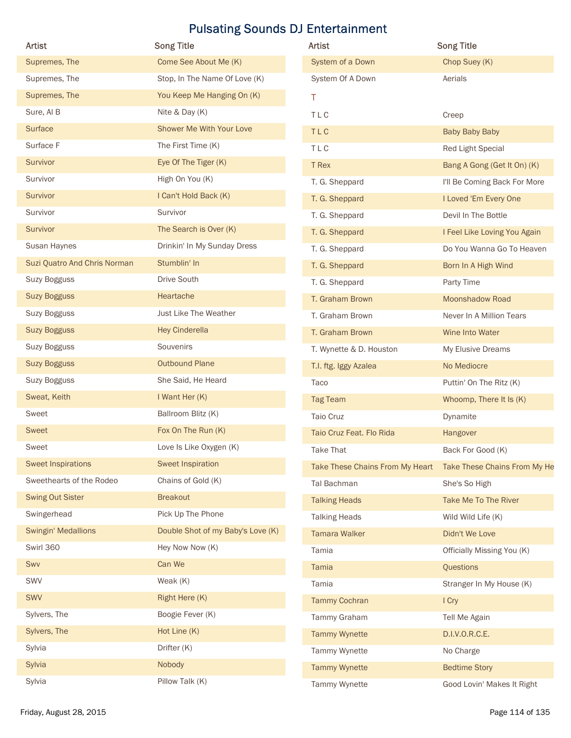| Artist                       | <b>Song Title</b>                 | <b>Pulsating Sounds DJ Entertainment</b><br>Artist | <b>Song Title</b>            |
|------------------------------|-----------------------------------|----------------------------------------------------|------------------------------|
| Supremes, The                | Come See About Me (K)             | System of a Down                                   | Chop Suey (K)                |
| Supremes, The                | Stop, In The Name Of Love (K)     | System Of A Down                                   | Aerials                      |
| Supremes, The                | You Keep Me Hanging On (K)        | T.                                                 |                              |
| Sure, Al B                   | Nite & Day (K)                    | TLC                                                | Creep                        |
| Surface                      | Shower Me With Your Love          | TLC                                                | <b>Baby Baby Baby</b>        |
| Surface F                    | The First Time (K)                | TLC                                                | Red Light Special            |
| Survivor                     | Eye Of The Tiger (K)              | T Rex                                              | Bang A Gong (Get It On) (K)  |
| Survivor                     | High On You (K)                   | T. G. Sheppard                                     | I'll Be Coming Back For More |
| Survivor                     | I Can't Hold Back (K)             | T. G. Sheppard                                     | I Loved 'Em Every One        |
| Survivor                     | Survivor                          | T. G. Sheppard                                     | Devil In The Bottle          |
| Survivor                     | The Search is Over (K)            | T. G. Sheppard                                     | I Feel Like Loving You Again |
| Susan Haynes                 | Drinkin' In My Sunday Dress       | T. G. Sheppard                                     | Do You Wanna Go To Heaven    |
| Suzi Quatro And Chris Norman | Stumblin' In                      | T. G. Sheppard                                     | Born In A High Wind          |
| Suzy Bogguss                 | Drive South                       | T. G. Sheppard                                     | Party Time                   |
| <b>Suzy Bogguss</b>          | Heartache                         | T. Graham Brown                                    | Moonshadow Road              |
| Suzy Bogguss                 | Just Like The Weather             | T. Graham Brown                                    | Never In A Million Tears     |
| <b>Suzy Bogguss</b>          | <b>Hey Cinderella</b>             | T. Graham Brown                                    | Wine Into Water              |
| Suzy Bogguss                 | Souvenirs                         | T. Wynette & D. Houston                            | My Elusive Dreams            |
| <b>Suzy Bogguss</b>          | <b>Outbound Plane</b>             | T.I. ftg. Iggy Azalea                              | No Mediocre                  |
| Suzy Bogguss                 | She Said, He Heard                | Taco                                               | Puttin' On The Ritz (K)      |
| Sweat, Keith                 | I Want Her (K)                    | <b>Tag Team</b>                                    | Whoomp, There It Is (K)      |
| Sweet                        | Ballroom Blitz (K)                | Taio Cruz                                          | Dynamite                     |
| Sweet                        | Fox On The Run (K)                | Taio Cruz Feat. Flo Rida                           | Hangover                     |
| Sweet                        | Love Is Like Oxygen (K)           | Take That                                          | Back For Good (K)            |
| <b>Sweet Inspirations</b>    | Sweet Inspiration                 | Take These Chains From My Heart                    | Take These Chains From My He |
| Sweethearts of the Rodeo     | Chains of Gold (K)                | Tal Bachman                                        | She's So High                |
| <b>Swing Out Sister</b>      | <b>Breakout</b>                   | <b>Talking Heads</b>                               | Take Me To The River         |
| Swingerhead                  | Pick Up The Phone                 | <b>Talking Heads</b>                               | Wild Wild Life (K)           |
| <b>Swingin' Medallions</b>   | Double Shot of my Baby's Love (K) | <b>Tamara Walker</b>                               | Didn't We Love               |
| Swirl 360                    | Hey Now Now (K)                   | Tamia                                              | Officially Missing You (K)   |
| Swv                          | Can We                            | Tamia                                              | Questions                    |
| SWV                          | Weak (K)                          | Tamia                                              | Stranger In My House (K)     |
| SWV                          | Right Here (K)                    | <b>Tammy Cochran</b>                               | I Cry                        |
| Sylvers, The                 | Boogie Fever (K)                  | Tammy Graham                                       | Tell Me Again                |
| Sylvers, The                 | Hot Line (K)                      | <b>Tammy Wynette</b>                               | D.I.V.O.R.C.E.               |
| Sylvia                       | Drifter (K)                       | Tammy Wynette                                      | No Charge                    |
|                              | Nobody                            | <b>Tammy Wynette</b>                               | <b>Bedtime Story</b>         |
| Sylvia                       |                                   |                                                    |                              |

| <b>Artist</b>                   | <b>Song Title</b>            |
|---------------------------------|------------------------------|
| System of a Down                | Chop Suey (K)                |
| System Of A Down                | Aerials                      |
| т                               |                              |
| TLC                             | Creep                        |
| <b>TLC</b>                      | Baby Baby Baby               |
| <b>TLC</b>                      | Red Light Special            |
| T Rex                           | Bang A Gong (Get It On) (K)  |
| T. G. Sheppard                  | I'll Be Coming Back For More |
| T. G. Sheppard                  | I Loved 'Em Every One        |
| T. G. Sheppard                  | Devil In The Bottle          |
| T. G. Sheppard                  | I Feel Like Loving You Again |
| T. G. Sheppard                  | Do You Wanna Go To Heaven    |
| T. G. Sheppard                  | Born In A High Wind          |
| T. G. Sheppard                  | Party Time                   |
| T. Graham Brown                 | <b>Moonshadow Road</b>       |
| T. Graham Brown                 | Never In A Million Tears     |
| T. Graham Brown                 | Wine Into Water              |
| T. Wynette & D. Houston         | My Elusive Dreams            |
| T.I. ftg. Iggy Azalea           | No Mediocre                  |
| Taco                            | Puttin' On The Ritz (K)      |
| <b>Tag Team</b>                 | Whoomp, There It Is (K)      |
| Taio Cruz                       | Dynamite                     |
| Taio Cruz Feat. Flo Rida        | Hangover                     |
| <b>Take That</b>                | Back For Good (K)            |
| Take These Chains From My Heart | Take These Chains From My He |
| Tal Bachman                     | She's So High                |
| <b>Talking Heads</b>            | Take Me To The River         |
| <b>Talking Heads</b>            | Wild Wild Life (K)           |
| <b>Tamara Walker</b>            | Didn't We Love               |
| Tamia                           | Officially Missing You (K)   |
| Tamia                           | Questions                    |
| Tamia                           | Stranger In My House (K)     |
| <b>Tammy Cochran</b>            | I Cry                        |
| Tammy Graham                    | Tell Me Again                |
| <b>Tammy Wynette</b>            | D.I.V.O.R.C.E.               |
| Tammy Wynette                   | No Charge                    |
| <b>Tammy Wynette</b>            | <b>Bedtime Story</b>         |
| Tammy Wynette                   | Good Lovin' Makes It Right   |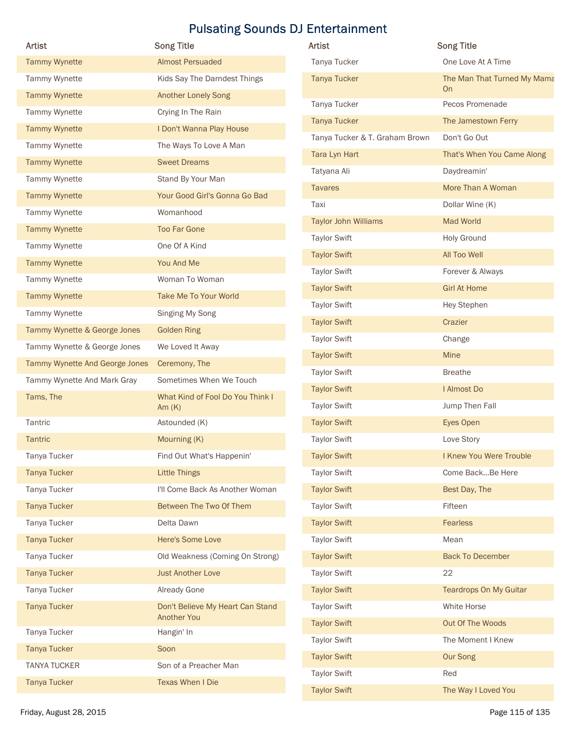|                                |                                              | <b>Pulsating Sounds DJ Entertainment</b> |                                          |
|--------------------------------|----------------------------------------------|------------------------------------------|------------------------------------------|
| Artist                         | <b>Song Title</b>                            | <b>Artist</b>                            | <b>Song Title</b>                        |
| <b>Tammy Wynette</b>           | <b>Almost Persuaded</b>                      | Tanya Tucker                             | One Love At A Time                       |
| Tammy Wynette                  | Kids Say The Darndest Things                 | <b>Tanya Tucker</b>                      | The Man That Turned My Mama<br><b>On</b> |
| <b>Tammy Wynette</b>           | <b>Another Lonely Song</b>                   | Tanya Tucker                             | Pecos Promenade                          |
| Tammy Wynette                  | Crying In The Rain                           | <b>Tanya Tucker</b>                      | The Jamestown Ferry                      |
| <b>Tammy Wynette</b>           | I Don't Wanna Play House                     | Tanya Tucker & T. Graham Brown           | Don't Go Out                             |
| Tammy Wynette                  | The Ways To Love A Man                       | Tara Lyn Hart                            | That's When You Came Along               |
| <b>Tammy Wynette</b>           | <b>Sweet Dreams</b>                          | Tatyana Ali                              | Daydreamin'                              |
| Tammy Wynette                  | Stand By Your Man                            | <b>Tavares</b>                           | More Than A Woman                        |
| <b>Tammy Wynette</b>           | Your Good Girl's Gonna Go Bad                | Taxi                                     | Dollar Wine (K)                          |
| Tammy Wynette                  | Womanhood                                    | <b>Taylor John Williams</b>              | Mad World                                |
| <b>Tammy Wynette</b>           | <b>Too Far Gone</b>                          | <b>Taylor Swift</b>                      | <b>Holy Ground</b>                       |
| Tammy Wynette                  | One Of A Kind                                | <b>Taylor Swift</b>                      | All Too Well                             |
| <b>Tammy Wynette</b>           | You And Me                                   | <b>Taylor Swift</b>                      | Forever & Always                         |
| Tammy Wynette                  | Woman To Woman                               | <b>Taylor Swift</b>                      | <b>Girl At Home</b>                      |
| <b>Tammy Wynette</b>           | Take Me To Your World                        | <b>Taylor Swift</b>                      | Hey Stephen                              |
| Tammy Wynette                  | Singing My Song                              | <b>Taylor Swift</b>                      | Crazier                                  |
| Tammy Wynette & George Jones   | <b>Golden Ring</b>                           | <b>Taylor Swift</b>                      | Change                                   |
| Tammy Wynette & George Jones   | We Loved It Away                             | <b>Taylor Swift</b>                      | Mine                                     |
| Tammy Wynette And George Jones | Ceremony, The                                | <b>Taylor Swift</b>                      | <b>Breathe</b>                           |
| Tammy Wynette And Mark Gray    | Sometimes When We Touch                      | <b>Taylor Swift</b>                      | I Almost Do                              |
| Tams, The                      | What Kind of Fool Do You Think I<br>Am $(K)$ | <b>Taylor Swift</b>                      | Jump Then Fall                           |
| Tantric                        | Astounded (K)                                | <b>Taylor Swift</b>                      | Eyes Open                                |
| Tantric                        | Mourning (K)                                 | <b>Taylor Swift</b>                      | Love Story                               |
| Tanya Tucker                   | Find Out What's Happenin'                    | <b>Taylor Swift</b>                      | I Knew You Were Trouble                  |
| <b>Tanya Tucker</b>            | <b>Little Things</b>                         | <b>Taylor Swift</b>                      | Come BackBe Here                         |
| Tanya Tucker                   | I'll Come Back As Another Woman              | <b>Taylor Swift</b>                      | Best Day, The                            |
| <b>Tanya Tucker</b>            | Between The Two Of Them                      | <b>Taylor Swift</b>                      | Fifteen                                  |
| Tanya Tucker                   | Delta Dawn                                   | <b>Taylor Swift</b>                      | Fearless                                 |
| <b>Tanya Tucker</b>            | Here's Some Love                             | <b>Taylor Swift</b>                      | Mean                                     |
| Tanya Tucker                   | Old Weakness (Coming On Strong)              | <b>Taylor Swift</b>                      | <b>Back To December</b>                  |
| <b>Tanya Tucker</b>            | <b>Just Another Love</b>                     | <b>Taylor Swift</b>                      | 22                                       |
| Tanya Tucker                   | Already Gone                                 | <b>Taylor Swift</b>                      | <b>Teardrops On My Guitar</b>            |
| <b>Tanya Tucker</b>            | Don't Believe My Heart Can Stand             | <b>Taylor Swift</b>                      | White Horse                              |
|                                | <b>Another You</b>                           | <b>Taylor Swift</b>                      | Out Of The Woods                         |
| Tanya Tucker                   | Hangin' In                                   | <b>Taylor Swift</b>                      | The Moment I Knew                        |
| <b>Tanya Tucker</b>            | Soon                                         | <b>Taylor Swift</b>                      | Our Song                                 |
| <b>TANYA TUCKER</b>            | Son of a Preacher Man                        | <b>Taylor Swift</b>                      | Red                                      |
| <b>Tanya Tucker</b>            | <b>Texas When I Die</b>                      |                                          |                                          |

| Artist                         | <b>Song Title</b>                                      | Artist                         | <b>Song Title</b>             |
|--------------------------------|--------------------------------------------------------|--------------------------------|-------------------------------|
| <b>Tammy Wynette</b>           | <b>Almost Persuaded</b>                                | Tanya Tucker                   | One Love At A Time            |
| Tammy Wynette                  | Kids Say The Darndest Things                           | <b>Tanya Tucker</b>            | The Man That Turned My Mama   |
| <b>Tammy Wynette</b>           | Another Lonely Song                                    |                                | <b>On</b>                     |
| Tammy Wynette                  | Crying In The Rain                                     | Tanya Tucker                   | Pecos Promenade               |
| <b>Tammy Wynette</b>           | I Don't Wanna Play House                               | <b>Tanya Tucker</b>            | The Jamestown Ferry           |
| Tammy Wynette                  | The Ways To Love A Man                                 | Tanya Tucker & T. Graham Brown | Don't Go Out                  |
| <b>Tammy Wynette</b>           | <b>Sweet Dreams</b>                                    | Tara Lyn Hart                  | That's When You Came Along    |
| Tammy Wynette                  | Stand By Your Man                                      | Tatyana Ali                    | Daydreamin'                   |
| <b>Tammy Wynette</b>           | Your Good Girl's Gonna Go Bad                          | <b>Tavares</b>                 | More Than A Woman             |
| Tammy Wynette                  | Womanhood                                              | Taxi                           | Dollar Wine (K)               |
| <b>Tammy Wynette</b>           | Too Far Gone                                           | <b>Taylor John Williams</b>    | Mad World                     |
| Tammy Wynette                  | One Of A Kind                                          | <b>Taylor Swift</b>            | <b>Holy Ground</b>            |
| <b>Tammy Wynette</b>           | You And Me                                             | <b>Taylor Swift</b>            | All Too Well                  |
| Tammy Wynette                  | Woman To Woman                                         | <b>Taylor Swift</b>            | Forever & Always              |
| <b>Tammy Wynette</b>           | Take Me To Your World                                  | <b>Taylor Swift</b>            | <b>Girl At Home</b>           |
| Tammy Wynette                  | Singing My Song                                        | <b>Taylor Swift</b>            | Hey Stephen                   |
|                                |                                                        | <b>Taylor Swift</b>            | Crazier                       |
| Tammy Wynette & George Jones   | <b>Golden Ring</b>                                     | <b>Taylor Swift</b>            | Change                        |
| Tammy Wynette & George Jones   | We Loved It Away                                       | <b>Taylor Swift</b>            | Mine                          |
| Tammy Wynette And George Jones | Ceremony, The                                          | <b>Taylor Swift</b>            | <b>Breathe</b>                |
| Tammy Wynette And Mark Gray    | Sometimes When We Touch                                | <b>Taylor Swift</b>            | I Almost Do                   |
| Tams, The                      | What Kind of Fool Do You Think I<br>Am $(K)$           | <b>Taylor Swift</b>            | Jump Then Fall                |
| Tantric                        | Astounded (K)                                          | <b>Taylor Swift</b>            | Eyes Open                     |
| Tantric                        | Mourning (K)                                           | <b>Taylor Swift</b>            | Love Story                    |
| Tanya Tucker                   | Find Out What's Happenin'                              | <b>Taylor Swift</b>            | I Knew You Were Trouble       |
| <b>Tanya Tucker</b>            | <b>Little Things</b>                                   | <b>Taylor Swift</b>            | Come BackBe Here              |
| Tanya Tucker                   | I'll Come Back As Another Woman                        | <b>Taylor Swift</b>            | Best Day, The                 |
| <b>Tanya Tucker</b>            | Between The Two Of Them                                | <b>Taylor Swift</b>            | Fifteen                       |
| Tanya Tucker                   | Delta Dawn                                             | <b>Taylor Swift</b>            | Fearless                      |
| <b>Tanya Tucker</b>            | Here's Some Love                                       | <b>Taylor Swift</b>            | Mean                          |
| Tanya Tucker                   | Old Weakness (Coming On Strong)                        | <b>Taylor Swift</b>            | <b>Back To December</b>       |
| <b>Tanya Tucker</b>            | <b>Just Another Love</b>                               | <b>Taylor Swift</b>            | 22                            |
| Tanya Tucker                   | Already Gone                                           | <b>Taylor Swift</b>            | <b>Teardrops On My Guitar</b> |
| <b>Tanya Tucker</b>            | Don't Believe My Heart Can Stand<br><b>Another You</b> | <b>Taylor Swift</b>            | White Horse                   |
| Tanya Tucker                   | Hangin' In                                             | <b>Taylor Swift</b>            | Out Of The Woods              |
| <b>Tanya Tucker</b>            | Soon                                                   | <b>Taylor Swift</b>            | The Moment I Knew             |
| <b>TANYA TUCKER</b>            | Son of a Preacher Man                                  | <b>Taylor Swift</b>            | Our Song                      |
| <b>Tanya Tucker</b>            | <b>Texas When I Die</b>                                | <b>Taylor Swift</b>            | Red                           |
|                                |                                                        | <b>Taylor Swift</b>            | The Way I Loved You           |
| Friday, August 28, 2015        |                                                        |                                | Page 115 of 135               |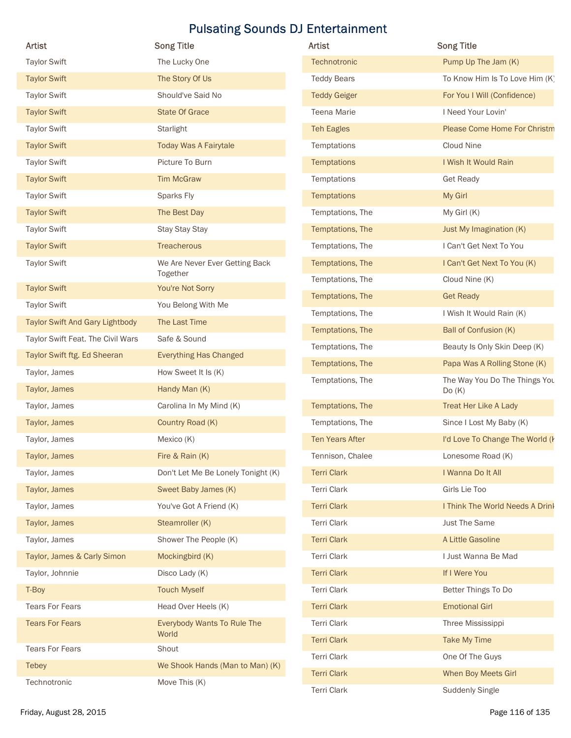| <b>Artist</b>                     | <b>Song Title</b>                          | Artist                               | <b>Song Title</b>                                            |
|-----------------------------------|--------------------------------------------|--------------------------------------|--------------------------------------------------------------|
| <b>Taylor Swift</b>               | The Lucky One                              | Technotronic                         | Pump Up The Jam (K)                                          |
| <b>Taylor Swift</b>               | The Story Of Us                            | <b>Teddy Bears</b>                   | To Know Him Is To Love Him (K)                               |
| <b>Taylor Swift</b>               | Should've Said No                          | <b>Teddy Geiger</b>                  | For You I Will (Confidence)                                  |
| <b>Taylor Swift</b>               | <b>State Of Grace</b>                      | Teena Marie                          | I Need Your Lovin'                                           |
| <b>Taylor Swift</b>               | Starlight                                  | <b>Teh Eagles</b>                    | Please Come Home For Christm                                 |
| <b>Taylor Swift</b>               | <b>Today Was A Fairytale</b>               | Temptations                          | Cloud Nine                                                   |
| <b>Taylor Swift</b>               | Picture To Burn                            | Temptations                          | I Wish It Would Rain                                         |
| <b>Taylor Swift</b>               | <b>Tim McGraw</b>                          | Temptations                          | <b>Get Ready</b>                                             |
| <b>Taylor Swift</b>               | Sparks Fly                                 | Temptations                          | My Girl                                                      |
| <b>Taylor Swift</b>               | The Best Day                               | Temptations, The                     | My Girl (K)                                                  |
| <b>Taylor Swift</b>               | Stay Stay Stay                             | Temptations, The                     | Just My Imagination (K)                                      |
| <b>Taylor Swift</b>               | Treacherous                                | Temptations, The                     | I Can't Get Next To You                                      |
| <b>Taylor Swift</b>               | We Are Never Ever Getting Back<br>Together | Temptations, The                     | I Can't Get Next To You (K)                                  |
| <b>Taylor Swift</b>               | You're Not Sorry                           | Temptations, The                     | Cloud Nine (K)                                               |
| <b>Taylor Swift</b>               | You Belong With Me                         | Temptations, The                     | <b>Get Ready</b>                                             |
| Taylor Swift And Gary Lightbody   | The Last Time                              | Temptations, The<br>Temptations, The | I Wish It Would Rain (K)                                     |
| Taylor Swift Feat. The Civil Wars | Safe & Sound                               |                                      | Ball of Confusion (K)                                        |
| Taylor Swift ftg. Ed Sheeran      | <b>Everything Has Changed</b>              | Temptations, The<br>Temptations, The | Beauty Is Only Skin Deep (K)<br>Papa Was A Rolling Stone (K) |
| Taylor, James                     | How Sweet It Is (K)                        | Temptations, The                     | The Way You Do The Things You                                |
| Taylor, James                     | Handy Man (K)                              |                                      | Do(K)                                                        |
| Taylor, James                     | Carolina In My Mind (K)                    | Temptations, The                     | Treat Her Like A Lady                                        |
| Taylor, James                     | Country Road (K)                           | Temptations, The                     | Since I Lost My Baby (K)                                     |
| Taylor, James                     | Mexico (K)                                 | Ten Years After                      | I'd Love To Change The World (I                              |
| Taylor, James                     | Fire & Rain (K)                            | Tennison, Chalee                     | Lonesome Road (K)                                            |
| Taylor, James                     | Don't Let Me Be Lonely Tonight (K)         | <b>Terri Clark</b>                   | I Wanna Do It All                                            |
| Taylor, James                     | Sweet Baby James (K)                       | Terri Clark                          | Girls Lie Too                                                |
| Taylor, James                     | You've Got A Friend (K)                    | <b>Terri Clark</b>                   | I Think The World Needs A Drink                              |
| Taylor, James                     | Steamroller (K)                            | Terri Clark                          | Just The Same                                                |
| Taylor, James                     | Shower The People (K)                      | <b>Terri Clark</b>                   | A Little Gasoline                                            |
| Taylor, James & Carly Simon       | Mockingbird (K)                            | Terri Clark                          | I Just Wanna Be Mad                                          |
| Taylor, Johnnie                   | Disco Lady (K)                             | <b>Terri Clark</b>                   | If I Were You                                                |
| T-Boy                             | <b>Touch Myself</b>                        | Terri Clark                          | Better Things To Do                                          |
| <b>Tears For Fears</b>            | Head Over Heels (K)                        | <b>Terri Clark</b>                   | <b>Emotional Girl</b>                                        |
| <b>Tears For Fears</b>            | Everybody Wants To Rule The<br>World       | Terri Clark                          | Three Mississippi                                            |
| <b>Tears For Fears</b>            | Shout                                      | <b>Terri Clark</b>                   | Take My Time                                                 |
| <b>Tebey</b>                      | We Shook Hands (Man to Man) (K)            | <b>Terri Clark</b>                   | One Of The Guys                                              |
| Technotronic                      | Move This (K)                              | <b>Terri Clark</b>                   | When Boy Meets Girl                                          |
|                                   |                                            | <b>Terri Clark</b>                   | <b>Suddenly Single</b>                                       |

| <b>Artist</b>          | <b>Song Title</b>                      |
|------------------------|----------------------------------------|
| Technotronic           | Pump Up The Jam (K)                    |
| <b>Teddy Bears</b>     | To Know Him Is To Love Him (K)         |
| <b>Teddy Geiger</b>    | For You I Will (Confidence)            |
| <b>Teena Marie</b>     | I Need Your Lovin'                     |
| <b>Teh Eagles</b>      | <b>Please Come Home For Christm</b>    |
| Temptations            | Cloud Nine                             |
| <b>Temptations</b>     | I Wish It Would Rain                   |
| Temptations            | <b>Get Ready</b>                       |
| <b>Temptations</b>     | My Girl                                |
| Temptations, The       | My Girl (K)                            |
| Temptations, The       | Just My Imagination (K)                |
| Temptations, The       | I Can't Get Next To You                |
| Temptations, The       | I Can't Get Next To You (K)            |
| Temptations, The       | Cloud Nine (K)                         |
| Temptations, The       | <b>Get Ready</b>                       |
| Temptations, The       | I Wish It Would Rain (K)               |
| Temptations, The       | Ball of Confusion (K)                  |
| Temptations, The       | Beauty Is Only Skin Deep (K)           |
| Temptations, The       | Papa Was A Rolling Stone (K)           |
| Temptations, The       | The Way You Do The Things You<br>Do(K) |
| Temptations, The       | <b>Treat Her Like A Lady</b>           |
| Temptations, The       | Since I Lost My Baby (K)               |
| <b>Ten Years After</b> | I'd Love To Change The World (k        |
| Tennison, Chalee       | Lonesome Road (K)                      |
| <b>Terri Clark</b>     | I Wanna Do It All                      |
| <b>Terri Clark</b>     | Girls Lie Too                          |
| <b>Terri Clark</b>     | I Think The World Needs A Drink        |
| <b>Terri Clark</b>     | <b>Just The Same</b>                   |
| <b>Terri Clark</b>     | A Little Gasoline                      |
| <b>Terri Clark</b>     | I Just Wanna Be Mad                    |
| <b>Terri Clark</b>     | If I Were You                          |
| <b>Terri Clark</b>     | Better Things To Do                    |
| <b>Terri Clark</b>     | <b>Emotional Girl</b>                  |
| Terri Clark            | Three Mississippi                      |
| <b>Terri Clark</b>     | Take My Time                           |
| <b>Terri Clark</b>     | One Of The Guys                        |
| <b>Terri Clark</b>     | When Boy Meets Girl                    |
| <b>Terri Clark</b>     | <b>Suddenly Single</b>                 |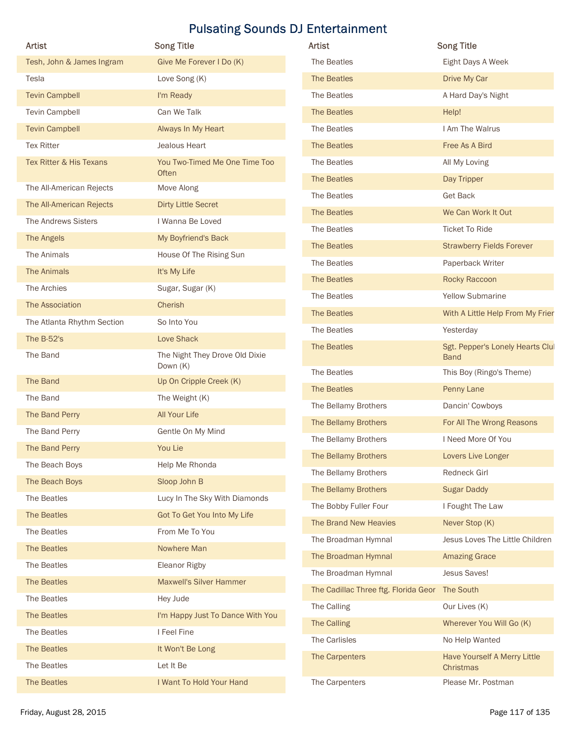| Artist                     | <b>Pulsating Sounds DJ Entertainment</b><br><b>Song Title</b> | Artist                                         | <b>Song Title</b>                       |
|----------------------------|---------------------------------------------------------------|------------------------------------------------|-----------------------------------------|
| Tesh, John & James Ingram  | Give Me Forever I Do (K)                                      | The Beatles                                    | Eight Days A Week                       |
| Tesla                      | Love Song (K)                                                 | The Beatles                                    | Drive My Car                            |
| <b>Tevin Campbell</b>      | I'm Ready                                                     | The Beatles                                    | A Hard Day's Night                      |
| Tevin Campbell             | Can We Talk                                                   | The Beatles                                    | Help!                                   |
| <b>Tevin Campbell</b>      | Always In My Heart                                            | The Beatles                                    | I Am The Walrus                         |
| <b>Tex Ritter</b>          | Jealous Heart                                                 | The Beatles                                    | Free As A Bird                          |
| Tex Ritter & His Texans    | You Two-Timed Me One Time Too                                 | The Beatles                                    | All My Loving                           |
|                            | Often                                                         | The Beatles                                    | Day Tripper                             |
| The All-American Rejects   | Move Along                                                    | The Beatles                                    | <b>Get Back</b>                         |
| The All-American Rejects   | <b>Dirty Little Secret</b>                                    | The Beatles                                    | We Can Work It Out                      |
| The Andrews Sisters        | I Wanna Be Loved                                              | The Beatles                                    | Ticket To Ride                          |
| The Angels                 | My Boyfriend's Back                                           | The Beatles                                    | <b>Strawberry Fields Forever</b>        |
| The Animals                | House Of The Rising Sun                                       | The Beatles                                    | Paperback Writer                        |
| The Animals                | It's My Life                                                  | The Beatles                                    | Rocky Raccoon                           |
| The Archies                | Sugar, Sugar (K)                                              | The Beatles                                    | <b>Yellow Submarine</b>                 |
| The Association            | Cherish                                                       | The Beatles                                    | With A Little Help From My Frier        |
| The Atlanta Rhythm Section | So Into You                                                   | The Beatles                                    | Yesterday                               |
| The B-52's                 | Love Shack                                                    | The Beatles                                    | Sgt. Pepper's Lonely Hearts Clul        |
| The Band                   | The Night They Drove Old Dixie<br>Down (K)                    | The Beatles                                    | <b>Band</b><br>This Boy (Ringo's Theme) |
| The Band                   | Up On Cripple Creek (K)                                       | The Beatles                                    | Penny Lane                              |
| The Band                   | The Weight (K)                                                | The Bellamy Brothers                           | Dancin' Cowboys                         |
| The Band Perry             | All Your Life                                                 |                                                |                                         |
| The Band Perry             | Gentle On My Mind                                             | The Bellamy Brothers                           | For All The Wrong Reasons               |
| The Band Perry             | You Lie                                                       | The Bellamy Brothers                           | I Need More Of You                      |
| The Beach Boys             | Help Me Rhonda                                                | The Bellamy Brothers                           | Lovers Live Longer                      |
| The Beach Boys             | Sloop John B                                                  | The Bellamy Brothers                           | Redneck Girl                            |
| The Beatles                | Lucy In The Sky With Diamonds                                 | The Bellamy Brothers                           | <b>Sugar Daddy</b>                      |
| The Beatles                | Got To Get You Into My Life                                   | The Bobby Fuller Four                          | I Fought The Law                        |
| The Beatles                | From Me To You                                                | The Brand New Heavies                          | Never Stop (K)                          |
| The Beatles                | Nowhere Man                                                   | The Broadman Hymnal                            | Jesus Loves The Little Children         |
| The Beatles                | Eleanor Rigby                                                 | The Broadman Hymnal                            | <b>Amazing Grace</b>                    |
| The Beatles                | <b>Maxwell's Silver Hammer</b>                                | The Broadman Hymnal                            | Jesus Saves!                            |
| The Beatles                | Hey Jude                                                      | The Cadillac Three ftg. Florida Geor The South |                                         |
| The Beatles                | I'm Happy Just To Dance With You                              | The Calling                                    | Our Lives (K)                           |
| The Beatles                | I Feel Fine                                                   | The Calling                                    | Wherever You Will Go (K)                |
| The Beatles                | It Won't Be Long                                              | The Carlisles                                  | No Help Wanted                          |
| The Beatles                | Let It Be                                                     | The Carpenters                                 | Have Yourself A Merry Little            |
| The Beatles                | I Want To Hold Your Hand                                      | The Carpenters                                 | Christmas<br>Please Mr. Postman         |
|                            |                                                               |                                                |                                         |

| Artist                               | <b>Song Title</b>                               |
|--------------------------------------|-------------------------------------------------|
| The Beatles                          | Eight Days A Week                               |
| The Beatles                          | Drive My Car                                    |
| The Beatles                          | A Hard Day's Night                              |
| The Beatles                          | Help!                                           |
| The Beatles                          | I Am The Walrus                                 |
| The Beatles                          | Free As A Bird                                  |
| The Beatles                          | All My Loving                                   |
| The Beatles                          | Day Tripper                                     |
| The Beatles                          | <b>Get Back</b>                                 |
| The Beatles                          | We Can Work It Out                              |
| The Beatles                          | <b>Ticket To Ride</b>                           |
| The Beatles                          | <b>Strawberry Fields Forever</b>                |
| The Beatles                          | Paperback Writer                                |
| The Beatles                          | Rocky Raccoon                                   |
| The Beatles                          | <b>Yellow Submarine</b>                         |
| The Beatles                          | With A Little Help From My Frier                |
| The Beatles                          | Yesterday                                       |
| The Beatles                          | Sgt. Pepper's Lonely Hearts Clul<br><b>Band</b> |
| The Beatles                          | This Boy (Ringo's Theme)                        |
| The Beatles                          | Penny Lane                                      |
| The Bellamy Brothers                 | Dancin' Cowboys                                 |
| The Bellamy Brothers                 | For All The Wrong Reasons                       |
| The Bellamy Brothers                 | I Need More Of You                              |
| The Bellamy Brothers                 | Lovers Live Longer                              |
| The Bellamy Brothers                 | Redneck Girl                                    |
| The Bellamy Brothers                 | <b>Sugar Daddy</b>                              |
| The Bobby Fuller Four                | I Fought The Law                                |
| The Brand New Heavies                | Never Stop (K)                                  |
| The Broadman Hymnal                  | Jesus Loves The Little Children                 |
| The Broadman Hymnal                  | <b>Amazing Grace</b>                            |
| The Broadman Hymnal                  | Jesus Saves!                                    |
| The Cadillac Three ftg. Florida Geor | The South                                       |
| The Calling                          | Our Lives (K)                                   |
| The Calling                          | Wherever You Will Go (K)                        |
| The Carlisles                        | No Help Wanted                                  |
| The Carpenters                       | Have Yourself A Merry Little<br>Christmas       |
| The Carpenters                       | Please Mr. Postman                              |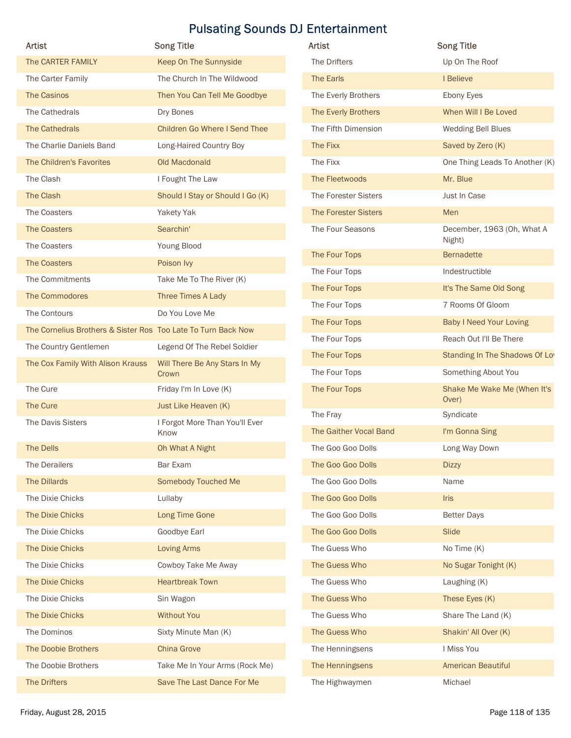| Artist                                                        | <b>Song Title</b>                      | Artist                 | <b>Song Title</b>                                         |
|---------------------------------------------------------------|----------------------------------------|------------------------|-----------------------------------------------------------|
| The CARTER FAMILY                                             | Keep On The Sunnyside                  | The Drifters           | Up On The Roof                                            |
| The Carter Family                                             | The Church In The Wildwood             | The Earls              | I Believe                                                 |
| The Casinos                                                   | Then You Can Tell Me Goodbye           | The Everly Brothers    | Ebony Eyes                                                |
| The Cathedrals                                                | Dry Bones                              | The Everly Brothers    | When Will I Be Loved                                      |
| The Cathedrals                                                | Children Go Where I Send Thee          | The Fifth Dimension    | Wedding Bell Blues                                        |
| The Charlie Daniels Band                                      | Long-Haired Country Boy                | The Fixx               | Saved by Zero (K)                                         |
| The Children's Favorites                                      | Old Macdonald                          | The Fixx               | One Thing Leads To Another (K)                            |
| The Clash                                                     | I Fought The Law                       | The Fleetwoods         | Mr. Blue                                                  |
| The Clash                                                     | Should I Stay or Should I Go (K)       | The Forester Sisters   | Just In Case                                              |
| The Coasters                                                  | Yakety Yak                             | The Forester Sisters   | Men                                                       |
| The Coasters                                                  | Searchin'                              | The Four Seasons       | December, 1963 (Oh, What A                                |
| The Coasters                                                  | Young Blood                            |                        | Night)                                                    |
| The Coasters                                                  | Poison Ivy                             | The Four Tops          | <b>Bernadette</b>                                         |
| The Commitments                                               | Take Me To The River (K)               | The Four Tops          | Indestructible                                            |
| The Commodores                                                | Three Times A Lady                     | The Four Tops          | It's The Same Old Song                                    |
| The Contours                                                  | Do You Love Me                         | The Four Tops          | 7 Rooms Of Gloom                                          |
| The Cornelius Brothers & Sister Ros Too Late To Turn Back Now |                                        | The Four Tops          | <b>Baby I Need Your Loving</b><br>Reach Out I'll Be There |
| The Country Gentlemen                                         | Legend Of The Rebel Soldier            | The Four Tops          |                                                           |
| The Cox Family With Alison Krauss                             | Will There Be Any Stars In My          | The Four Tops          | Standing In The Shadows Of Lo                             |
|                                                               | Crown                                  | The Four Tops          | Something About You                                       |
| The Cure                                                      | Friday I'm In Love (K)                 | The Four Tops          | Shake Me Wake Me (When It's<br>Over)                      |
| The Cure                                                      | Just Like Heaven (K)                   | The Fray               | Syndicate                                                 |
| The Davis Sisters                                             | I Forgot More Than You'll Ever<br>Know | The Gaither Vocal Band | I'm Gonna Sing                                            |
| The Dells                                                     | Oh What A Night                        | The Goo Goo Dolls      | Long Way Down                                             |
| The Derailers                                                 | Bar Exam                               | The Goo Goo Dolls      | <b>Dizzy</b>                                              |
| The Dillards                                                  | <b>Somebody Touched Me</b>             | The Goo Goo Dolls      | Name                                                      |
| The Dixie Chicks                                              | Lullaby                                | The Goo Goo Dolls      | Iris                                                      |
| The Dixie Chicks                                              | Long Time Gone                         | The Goo Goo Dolls      | <b>Better Days</b>                                        |
| The Dixie Chicks                                              | Goodbye Earl                           | The Goo Goo Dolls      | Slide                                                     |
| The Dixie Chicks                                              | <b>Loving Arms</b>                     | The Guess Who          | No Time (K)                                               |
| The Dixie Chicks                                              | Cowboy Take Me Away                    | The Guess Who          | No Sugar Tonight (K)                                      |
| The Dixie Chicks                                              | <b>Heartbreak Town</b>                 | The Guess Who          | Laughing (K)                                              |
| The Dixie Chicks                                              | Sin Wagon                              | The Guess Who          | These Eyes (K)                                            |
| The Dixie Chicks                                              | <b>Without You</b>                     | The Guess Who          | Share The Land (K)                                        |
| The Dominos                                                   | Sixty Minute Man (K)                   | The Guess Who          | Shakin' All Over (K)                                      |
| The Doobie Brothers                                           | <b>China Grove</b>                     | The Henningsens        | I Miss You                                                |
| The Doobie Brothers                                           | Take Me In Your Arms (Rock Me)         | The Henningsens        | <b>American Beautiful</b>                                 |
| The Drifters                                                  | Save The Last Dance For Me             | The Highwaymen         | Michael                                                   |
| Friday, August 28, 2015                                       |                                        |                        | Page 118 of 135                                           |

| Artist                                                        | <b>Song Title</b>                      | Artist                         | <b>Song Title</b>                        |
|---------------------------------------------------------------|----------------------------------------|--------------------------------|------------------------------------------|
| The CARTER FAMILY                                             | Keep On The Sunnyside                  | The Drifters                   | Up On The Roof                           |
| The Carter Family                                             | The Church In The Wildwood             | The Earls                      | I Believe                                |
| The Casinos                                                   | Then You Can Tell Me Goodbye           | The Everly Brothers            | Ebony Eyes                               |
| The Cathedrals                                                | Dry Bones                              | The Everly Brothers            | When Will I Be Loved                     |
| The Cathedrals                                                | <b>Children Go Where I Send Thee</b>   | The Fifth Dimension            | Wedding Bell Blues                       |
| The Charlie Daniels Band                                      | Long-Haired Country Boy                | The Fixx                       | Saved by Zero (K)                        |
| The Children's Favorites                                      | Old Macdonald                          | The Fixx                       | One Thing Leads To Another (K)           |
| The Clash                                                     | I Fought The Law                       | The Fleetwoods                 | Mr. Blue                                 |
| The Clash                                                     | Should I Stay or Should I Go (K)       | The Forester Sisters           | Just In Case                             |
| The Coasters                                                  | Yakety Yak                             | The Forester Sisters           | Men                                      |
| <b>The Coasters</b>                                           | Searchin'                              | The Four Seasons               | December, 1963 (Oh, What A               |
| The Coasters                                                  | Young Blood                            |                                | Night)                                   |
| <b>The Coasters</b>                                           | Poison Ivy                             | The Four Tops                  | <b>Bernadette</b>                        |
| The Commitments                                               | Take Me To The River (K)               | The Four Tops<br>The Four Tops | Indestructible<br>It's The Same Old Song |
| The Commodores                                                | Three Times A Lady                     | The Four Tops                  | 7 Rooms Of Gloom                         |
| The Contours                                                  | Do You Love Me                         | The Four Tops                  | <b>Baby I Need Your Loving</b>           |
| The Cornelius Brothers & Sister Ros Too Late To Turn Back Now |                                        | The Four Tops                  | Reach Out I'll Be There                  |
| The Country Gentlemen                                         | Legend Of The Rebel Soldier            | The Four Tops                  | Standing In The Shadows Of Lo            |
| The Cox Family With Alison Krauss                             | Will There Be Any Stars In My          |                                | Something About You                      |
| The Cure                                                      | Crown<br>Friday I'm In Love (K)        | The Four Tops<br>The Four Tops | Shake Me Wake Me (When It's              |
| The Cure                                                      | Just Like Heaven (K)                   |                                | Over)                                    |
| The Davis Sisters                                             |                                        | The Fray                       | Syndicate                                |
|                                                               | I Forgot More Than You'll Ever<br>Know | The Gaither Vocal Band         | I'm Gonna Sing                           |
| The Dells                                                     | Oh What A Night                        | The Goo Goo Dolls              | Long Way Down                            |
| The Derailers                                                 | Bar Exam                               | The Goo Goo Dolls              | <b>Dizzy</b>                             |
| The Dillards                                                  | Somebody Touched Me                    | The Goo Goo Dolls              | Name                                     |
| The Dixie Chicks                                              | Lullaby                                | The Goo Goo Dolls              | <b>Iris</b>                              |
| The Dixie Chicks                                              | Long Time Gone                         | The Goo Goo Dolls              | <b>Better Days</b>                       |
| The Dixie Chicks                                              | Goodbye Earl                           | The Goo Goo Dolls              | Slide                                    |
| The Dixie Chicks                                              | <b>Loving Arms</b>                     | The Guess Who                  | No Time (K)                              |
| The Dixie Chicks                                              | Cowboy Take Me Away                    | The Guess Who                  | No Sugar Tonight (K)                     |
| The Dixie Chicks                                              | <b>Heartbreak Town</b>                 | The Guess Who                  | Laughing (K)                             |
| The Dixie Chicks                                              | Sin Wagon                              | The Guess Who                  | These Eyes (K)                           |
| The Dixie Chicks                                              | <b>Without You</b>                     | The Guess Who                  | Share The Land (K)                       |
| The Dominos                                                   | Sixty Minute Man (K)                   | The Guess Who                  | Shakin' All Over (K)                     |
| The Doobie Brothers                                           | China Grove                            | The Henningsens                | I Miss You                               |
| The Doobie Brothers                                           | Take Me In Your Arms (Rock Me)         | The Henningsens                | American Beautiful                       |
| The Drifters                                                  | Save The Last Dance For Me             | The Highwaymen                 | Michael                                  |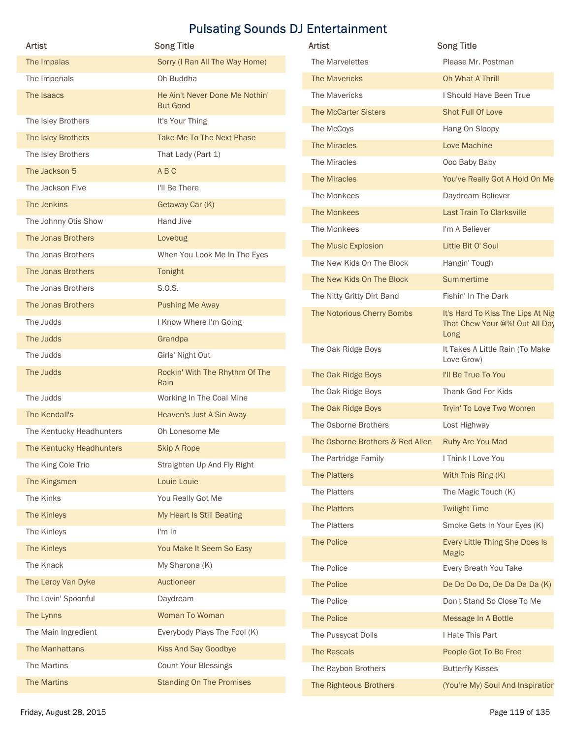|                          |                                                   | <b>Pulsating Sounds DJ Entertainment</b>                 |                                                                     |
|--------------------------|---------------------------------------------------|----------------------------------------------------------|---------------------------------------------------------------------|
| Artist                   | <b>Song Title</b>                                 | Artist                                                   | <b>Song Title</b>                                                   |
| The Impalas              | Sorry (I Ran All The Way Home)                    | The Marvelettes                                          | Please Mr. Postman                                                  |
| The Imperials            | Oh Buddha                                         | The Mavericks                                            | Oh What A Thrill                                                    |
| The Isaacs               | He Ain't Never Done Me Nothin'<br><b>But Good</b> | The Mavericks                                            | I Should Have Been True                                             |
| The Isley Brothers       | It's Your Thing                                   | The McCarter Sisters                                     | Shot Full Of Love                                                   |
| The Isley Brothers       | Take Me To The Next Phase                         | The McCoys                                               | Hang On Sloopy                                                      |
| The Isley Brothers       | That Lady (Part 1)                                | The Miracles                                             | Love Machine                                                        |
| The Jackson 5            | ABC                                               | The Miracles                                             | Ooo Baby Baby                                                       |
| The Jackson Five         | I'll Be There                                     | The Miracles                                             | You've Really Got A Hold On Me                                      |
| The Jenkins              | Getaway Car (K)                                   | The Monkees                                              | Daydream Believer                                                   |
| The Johnny Otis Show     | Hand Jive                                         | The Monkees                                              | <b>Last Train To Clarksville</b>                                    |
| The Jonas Brothers       | Lovebug                                           | The Monkees                                              | I'm A Believer                                                      |
| The Jonas Brothers       | When You Look Me In The Eyes                      | The Music Explosion                                      | Little Bit O' Soul                                                  |
| The Jonas Brothers       | Tonight                                           | The New Kids On The Block                                | Hangin' Tough                                                       |
| The Jonas Brothers       | S.O.S.                                            | The New Kids On The Block                                | Summertime                                                          |
| The Jonas Brothers       | <b>Pushing Me Away</b>                            | The Nitty Gritty Dirt Band<br>The Notorious Cherry Bombs | Fishin' In The Dark                                                 |
| The Judds                | I Know Where I'm Going                            |                                                          | It's Hard To Kiss The Lips At Nig<br>That Chew Your @%! Out All Day |
| The Judds                | Grandpa                                           |                                                          | Long                                                                |
| The Judds                | Girls' Night Out                                  | The Oak Ridge Boys                                       | It Takes A Little Rain (To Make<br>Love Grow)                       |
| The Judds                | Rockin' With The Rhythm Of The                    | The Oak Ridge Boys                                       | I'll Be True To You                                                 |
| The Judds                | Rain<br>Working In The Coal Mine                  | The Oak Ridge Boys                                       | Thank God For Kids                                                  |
| The Kendall's            | Heaven's Just A Sin Away                          | The Oak Ridge Boys                                       | Tryin' To Love Two Women                                            |
| The Kentucky Headhunters | Oh Lonesome Me                                    | The Osborne Brothers                                     | Lost Highway                                                        |
| The Kentucky Headhunters | <b>Skip A Rope</b>                                | The Osborne Brothers & Red Allen                         | Ruby Are You Mad                                                    |
| The King Cole Trio       | Straighten Up And Fly Right                       | The Partridge Family                                     | I Think I Love You                                                  |
| The Kingsmen             | Louie Louie                                       | The Platters                                             | With This Ring (K)                                                  |
| The Kinks                | You Really Got Me                                 | The Platters                                             | The Magic Touch (K)                                                 |
| The Kinleys              | My Heart Is Still Beating                         | The Platters                                             | <b>Twilight Time</b>                                                |
| The Kinleys              | I'm In                                            | The Platters                                             | Smoke Gets In Your Eyes (K)                                         |
| The Kinleys              | You Make It Seem So Easy                          | The Police                                               | Every Little Thing She Does Is                                      |
| The Knack                | My Sharona (K)                                    | The Police                                               | <b>Magic</b><br>Every Breath You Take                               |
| The Leroy Van Dyke       | Auctioneer                                        | The Police                                               | De Do Do Do, De Da Da Da (K)                                        |
| The Lovin' Spoonful      | Daydream                                          | The Police                                               | Don't Stand So Close To Me                                          |
| The Lynns                | Woman To Woman                                    | The Police                                               | Message In A Bottle                                                 |
| The Main Ingredient      | Everybody Plays The Fool (K)                      | The Pussycat Dolls                                       | I Hate This Part                                                    |
| The Manhattans           | <b>Kiss And Say Goodbye</b>                       | The Rascals                                              | People Got To Be Free                                               |
| The Martins              | <b>Count Your Blessings</b>                       | The Raybon Brothers                                      | <b>Butterfly Kisses</b>                                             |
|                          | <b>Standing On The Promises</b>                   | The Righteous Brothers                                   | (You're My) Soul And Inspiration                                    |
| The Martins              |                                                   |                                                          |                                                                     |

| <b>Artist</b>                    | <b>Song Title</b>                                                           |
|----------------------------------|-----------------------------------------------------------------------------|
| The Marvelettes                  | Please Mr. Postman                                                          |
| <b>The Mavericks</b>             | Oh What A Thrill                                                            |
| The Mavericks                    | I Should Have Been True                                                     |
| <b>The McCarter Sisters</b>      | Shot Full Of Love                                                           |
| The McCoys                       | Hang On Sloopy                                                              |
| The Miracles                     | Love Machine                                                                |
| The Miracles                     | Ooo Baby Baby                                                               |
| The Miracles                     | You've Really Got A Hold On Me                                              |
| The Monkees                      | Daydream Believer                                                           |
| The Monkees                      | Last Train To Clarksville                                                   |
| The Monkees                      | I'm A Believer                                                              |
| The Music Explosion              | Little Bit O' Soul                                                          |
| The New Kids On The Block        | Hangin' Tough                                                               |
| The New Kids On The Block        | <b>Summertime</b>                                                           |
| The Nitty Gritty Dirt Band       | Fishin' In The Dark                                                         |
| The Notorious Cherry Bombs       | It's Hard To Kiss The Lips At Nig<br>That Chew Your @%! Out All Day<br>Long |
| The Oak Ridge Boys               | It Takes A Little Rain (To Make<br>Love Grow)                               |
| The Oak Ridge Boys               | I'll Be True To You                                                         |
| The Oak Ridge Boys               | Thank God For Kids                                                          |
| The Oak Ridge Boys               | Tryin' To Love Two Women                                                    |
| The Osborne Brothers             | Lost Highway                                                                |
| The Osborne Brothers & Red Allen | Ruby Are You Mad                                                            |
| The Partridge Family             | I Think I Love You                                                          |
| The Platters                     | With This Ring (K)                                                          |
| The Platters                     | The Magic Touch (K)                                                         |
| The Platters                     | <b>Twilight Time</b>                                                        |
| The Platters                     | Smoke Gets In Your Eyes (K)                                                 |
| <b>The Police</b>                | Every Little Thing She Does Is<br><b>Magic</b>                              |
| The Police                       | Every Breath You Take                                                       |
| The Police                       | De Do Do Do, De Da Da Da (K)                                                |
| The Police                       | Don't Stand So Close To Me                                                  |
| The Police                       | Message In A Bottle                                                         |
| The Pussycat Dolls               | I Hate This Part                                                            |
| The Rascals                      | People Got To Be Free                                                       |
| The Raybon Brothers              | <b>Butterfly Kisses</b>                                                     |
| The Righteous Brothers           | (You're My) Soul And Inspiration                                            |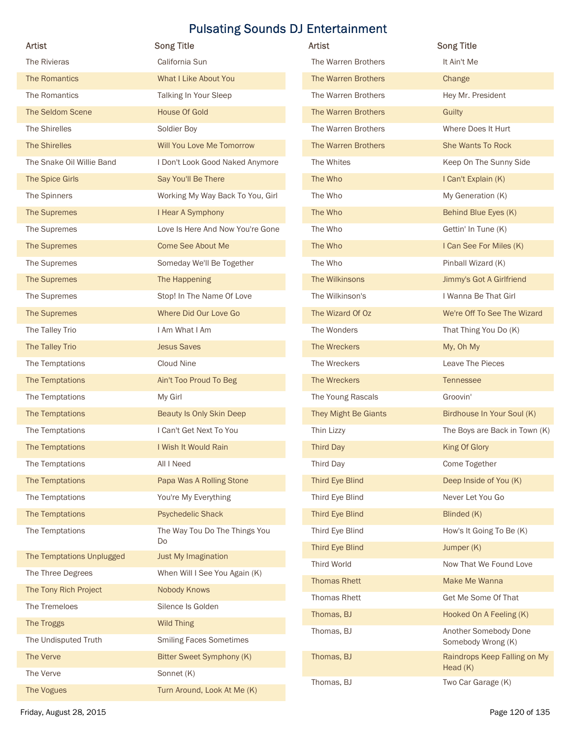|                                       |                                  | <b>Pulsating Sounds DJ Entertainment</b> |                                             |
|---------------------------------------|----------------------------------|------------------------------------------|---------------------------------------------|
| Artist                                | <b>Song Title</b>                | <b>Artist</b>                            | <b>Song Title</b>                           |
| The Rivieras                          | California Sun                   | The Warren Brothers                      | It Ain't Me                                 |
| The Romantics                         | What I Like About You            | The Warren Brothers                      | Change                                      |
| The Romantics                         | Talking In Your Sleep            | The Warren Brothers                      | Hey Mr. President                           |
| The Seldom Scene                      | House Of Gold                    | The Warren Brothers                      | Guilty                                      |
| The Shirelles                         | Soldier Boy                      | The Warren Brothers                      | Where Does It Hurt                          |
| <b>The Shirelles</b>                  | Will You Love Me Tomorrow        | The Warren Brothers                      | She Wants To Rock                           |
| The Snake Oil Willie Band             | I Don't Look Good Naked Anymore  | The Whites                               | Keep On The Sunny Side                      |
| The Spice Girls                       | Say You'll Be There              | The Who                                  | I Can't Explain (K)                         |
| The Spinners                          | Working My Way Back To You, Girl | The Who                                  | My Generation (K)                           |
| The Supremes                          | I Hear A Symphony                | The Who                                  | Behind Blue Eyes (K)                        |
| The Supremes                          | Love Is Here And Now You're Gone | The Who                                  | Gettin' In Tune (K)                         |
| The Supremes                          | <b>Come See About Me</b>         | The Who                                  | I Can See For Miles (K)                     |
| The Supremes                          | Someday We'll Be Together        | The Who                                  | Pinball Wizard (K)                          |
| The Supremes                          | The Happening                    | The Wilkinsons                           | Jimmy's Got A Girlfriend                    |
| The Supremes                          | Stop! In The Name Of Love        | The Wilkinson's                          | I Wanna Be That Girl                        |
| The Supremes                          | Where Did Our Love Go            | The Wizard Of Oz                         | We're Off To See The Wizard                 |
| The Talley Trio                       | I Am What I Am                   | The Wonders                              | That Thing You Do (K)                       |
| The Talley Trio                       | <b>Jesus Saves</b>               | The Wreckers                             | My, Oh My                                   |
| The Temptations                       | Cloud Nine                       | The Wreckers                             | Leave The Pieces                            |
| The Temptations                       | Ain't Too Proud To Beg           | The Wreckers                             | Tennessee                                   |
| The Temptations                       | My Girl                          | The Young Rascals                        | Groovin'                                    |
| The Temptations                       | Beauty Is Only Skin Deep         | They Might Be Giants                     | Birdhouse In Your Soul (K)                  |
| The Temptations                       | I Can't Get Next To You          | Thin Lizzy                               | The Boys are Back in Town (K)               |
| The Temptations                       | I Wish It Would Rain             | Third Day                                | King Of Glory                               |
| The Temptations                       | All I Need                       | Third Day                                | Come Together                               |
| The Temptations                       | Papa Was A Rolling Stone         | Third Eye Blind                          | Deep Inside of You (K)                      |
| The Temptations                       | You're My Everything             | Third Eye Blind                          | Never Let You Go                            |
| The Temptations                       | <b>Psychedelic Shack</b>         | Third Eye Blind                          | Blinded (K)                                 |
| The Temptations                       | The Way Tou Do The Things You    | Third Eye Blind                          | How's It Going To Be (K)                    |
|                                       | Do                               | Third Eye Blind                          | Jumper (K)                                  |
| The Temptations Unplugged             | Just My Imagination              | <b>Third World</b>                       | Now That We Found Love                      |
| The Three Degrees                     | When Will I See You Again (K)    | <b>Thomas Rhett</b>                      | Make Me Wanna                               |
| The Tony Rich Project                 | Nobody Knows                     | Thomas Rhett                             | Get Me Some Of That                         |
| The Tremeloes                         | Silence Is Golden                |                                          |                                             |
| The Troggs                            | Wild Thing                       | Thomas, BJ                               | Hooked On A Feeling (K)                     |
| The Undisputed Truth                  | <b>Smiling Faces Sometimes</b>   | Thomas, BJ                               | Another Somebody Done<br>Somebody Wrong (K) |
| The Verve                             | Bitter Sweet Symphony (K)        | Thomas, BJ                               | Raindrops Keep Falling on My                |
| The Verve                             | Sonnet (K)                       |                                          | Head (K)                                    |
|                                       |                                  |                                          |                                             |
| The Vogues<br>Friday, August 28, 2015 | Turn Around, Look At Me (K)      | Thomas, BJ                               | Two Car Garage (K)<br>Page 120 of 135       |

| <b>Artist</b>        | <b>Song Title</b>                           |
|----------------------|---------------------------------------------|
| The Warren Brothers  | It Ain't Me                                 |
| The Warren Brothers  | Change                                      |
| The Warren Brothers  | Hey Mr. President                           |
| The Warren Brothers  | Guilty                                      |
| The Warren Brothers  | Where Does It Hurt                          |
| The Warren Brothers  | <b>She Wants To Rock</b>                    |
| The Whites           | Keep On The Sunny Side                      |
| The Who              | I Can't Explain (K)                         |
| The Who              | My Generation (K)                           |
| The Who              | Behind Blue Eyes (K)                        |
| The Who              | Gettin' In Tune (K)                         |
| The Who              | I Can See For Miles (K)                     |
| The Who              | Pinball Wizard (K)                          |
| The Wilkinsons       | Jimmy's Got A Girlfriend                    |
| The Wilkinson's      | I Wanna Be That Girl                        |
| The Wizard Of Oz     | We're Off To See The Wizard                 |
| The Wonders          | That Thing You Do (K)                       |
| The Wreckers         | My, Oh My                                   |
| The Wreckers         | Leave The Pieces                            |
| The Wreckers         | <b>Tennessee</b>                            |
| The Young Rascals    | Groovin'                                    |
| They Might Be Giants | Birdhouse In Your Soul (K)                  |
| Thin Lizzy           | The Boys are Back in Town (K)               |
| <b>Third Day</b>     | King Of Glory                               |
| Third Day            | Come Together                               |
| Third Eye Blind      | Deep Inside of You (K)                      |
| Third Eye Blind      | Never Let You Go                            |
| Third Eye Blind      | Blinded (K)                                 |
| Third Eye Blind      | How's It Going To Be (K)                    |
| Third Eye Blind      | Jumper (K)                                  |
| Third World          | Now That We Found Love                      |
| <b>Thomas Rhett</b>  | Make Me Wanna                               |
| Thomas Rhett         | Get Me Some Of That                         |
| Thomas, BJ           | Hooked On A Feeling (K)                     |
| Thomas, BJ           | Another Somebody Done<br>Somebody Wrong (K) |
| Thomas, BJ           | Raindrops Keep Falling on My<br>Head $(K)$  |
| Thomas, BJ           | Two Car Garage (K)                          |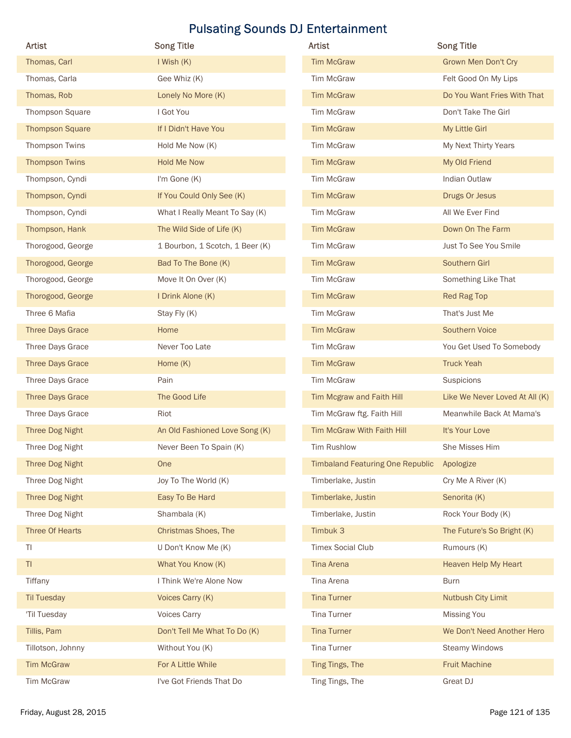| Artist                  | <b>Song Title</b>               | Artist                                  | <b>Song Title</b>              |
|-------------------------|---------------------------------|-----------------------------------------|--------------------------------|
| Thomas, Carl            | I Wish (K)                      | <b>Tim McGraw</b>                       | <b>Grown Men Don't Cry</b>     |
| Thomas, Carla           | Gee Whiz (K)                    | Tim McGraw                              | Felt Good On My Lips           |
| Thomas, Rob             | Lonely No More (K)              | <b>Tim McGraw</b>                       | Do You Want Fries With That    |
| Thompson Square         | I Got You                       | Tim McGraw                              | Don't Take The Girl            |
| <b>Thompson Square</b>  | If I Didn't Have You            | <b>Tim McGraw</b>                       | My Little Girl                 |
| Thompson Twins          | Hold Me Now (K)                 | Tim McGraw                              | My Next Thirty Years           |
| <b>Thompson Twins</b>   | <b>Hold Me Now</b>              | <b>Tim McGraw</b>                       | My Old Friend                  |
| Thompson, Cyndi         | I'm Gone (K)                    | Tim McGraw                              | Indian Outlaw                  |
| Thompson, Cyndi         | If You Could Only See (K)       | <b>Tim McGraw</b>                       | Drugs Or Jesus                 |
| Thompson, Cyndi         | What I Really Meant To Say (K)  | Tim McGraw                              | All We Ever Find               |
| Thompson, Hank          | The Wild Side of Life (K)       | <b>Tim McGraw</b>                       | Down On The Farm               |
| Thorogood, George       | 1 Bourbon, 1 Scotch, 1 Beer (K) | Tim McGraw                              | Just To See You Smile          |
| Thorogood, George       | Bad To The Bone (K)             | <b>Tim McGraw</b>                       | Southern Girl                  |
| Thorogood, George       | Move It On Over (K)             | Tim McGraw                              | Something Like That            |
| Thorogood, George       | I Drink Alone (K)               | <b>Tim McGraw</b>                       | Red Rag Top                    |
| Three 6 Mafia           | Stay Fly (K)                    | Tim McGraw                              | That's Just Me                 |
| <b>Three Days Grace</b> | Home                            | <b>Tim McGraw</b>                       | Southern Voice                 |
| Three Days Grace        | Never Too Late                  | Tim McGraw                              | You Get Used To Somebody       |
| <b>Three Days Grace</b> | Home (K)                        | <b>Tim McGraw</b>                       | <b>Truck Yeah</b>              |
| Three Days Grace        | Pain                            | Tim McGraw                              | Suspicions                     |
| <b>Three Days Grace</b> | The Good Life                   | Tim Mcgraw and Faith Hill               | Like We Never Loved At All (K) |
| Three Days Grace        | Riot                            | Tim McGraw ftg. Faith Hill              | Meanwhile Back At Mama's       |
| Three Dog Night         | An Old Fashioned Love Song (K)  | Tim McGraw With Faith Hill              | It's Your Love                 |
| Three Dog Night         | Never Been To Spain (K)         | Tim Rushlow                             | She Misses Him                 |
| Three Dog Night         | One                             | <b>Timbaland Featuring One Republic</b> | Apologize                      |
| Three Dog Night         | Joy To The World (K)            | Timberlake, Justin                      | Cry Me A River (K)             |
| Three Dog Night         | Easy To Be Hard                 | Timberlake, Justin                      | Senorita (K)                   |
| Three Dog Night         | Shambala (K)                    | Timberlake, Justin                      | Rock Your Body (K)             |
| Three Of Hearts         | <b>Christmas Shoes, The</b>     | Timbuk 3                                | The Future's So Bright (K)     |
| TI                      | U Don't Know Me (K)             | <b>Timex Social Club</b>                | Rumours (K)                    |
| T1                      | What You Know (K)               | Tina Arena                              | Heaven Help My Heart           |
| Tiffany                 | I Think We're Alone Now         | Tina Arena                              | <b>Burn</b>                    |
| <b>Til Tuesday</b>      | Voices Carry (K)                | <b>Tina Turner</b>                      | Nutbush City Limit             |
| 'Til Tuesday            | Voices Carry                    | Tina Turner                             | <b>Missing You</b>             |
| Tillis, Pam             | Don't Tell Me What To Do (K)    | <b>Tina Turner</b>                      | We Don't Need Another Hero     |
| Tillotson, Johnny       | Without You (K)                 | <b>Tina Turner</b>                      | <b>Steamy Windows</b>          |
| <b>Tim McGraw</b>       | For A Little While              | Ting Tings, The                         | <b>Fruit Machine</b>           |
|                         |                                 |                                         |                                |
| Tim McGraw              | I've Got Friends That Do        | Ting Tings, The                         | Great DJ                       |

| Artist                                  | <b>Song Title</b>              |
|-----------------------------------------|--------------------------------|
| <b>Tim McGraw</b>                       | <b>Grown Men Don't Cry</b>     |
| <b>Tim McGraw</b>                       | Felt Good On My Lips           |
| <b>Tim McGraw</b>                       | Do You Want Fries With That    |
| <b>Tim McGraw</b>                       | Don't Take The Girl            |
| <b>Tim McGraw</b>                       | My Little Girl                 |
| <b>Tim McGraw</b>                       | My Next Thirty Years           |
| <b>Tim McGraw</b>                       | My Old Friend                  |
| <b>Tim McGraw</b>                       | Indian Outlaw                  |
| <b>Tim McGraw</b>                       | Drugs Or Jesus                 |
| <b>Tim McGraw</b>                       | All We Ever Find               |
| <b>Tim McGraw</b>                       | Down On The Farm               |
| <b>Tim McGraw</b>                       | Just To See You Smile          |
| <b>Tim McGraw</b>                       | Southern Girl                  |
| <b>Tim McGraw</b>                       | Something Like That            |
| <b>Tim McGraw</b>                       | <b>Red Rag Top</b>             |
| <b>Tim McGraw</b>                       | That's Just Me                 |
| <b>Tim McGraw</b>                       | <b>Southern Voice</b>          |
| <b>Tim McGraw</b>                       | You Get Used To Somebody       |
| <b>Tim McGraw</b>                       | <b>Truck Yeah</b>              |
| <b>Tim McGraw</b>                       | Suspicions                     |
| Tim Mcgraw and Faith Hill               | Like We Never Loved At All (K) |
| Tim McGraw ftg. Faith Hill              | Meanwhile Back At Mama's       |
| Tim McGraw With Faith Hill              | It's Your Love                 |
| <b>Tim Rushlow</b>                      | She Misses Him                 |
| <b>Timbaland Featuring One Republic</b> | Apologize                      |
| Timberlake, Justin                      | Cry Me A River (K)             |
| Timberlake, Justin                      | Senorita (K)                   |
| Timberlake, Justin                      | Rock Your Body (K)             |
| Timbuk 3                                | The Future's So Bright (K)     |
| <b>Timex Social Club</b>                | Rumours (K)                    |
| <b>Tina Arena</b>                       | <b>Heaven Help My Heart</b>    |
| Tina Arena                              | <b>Burn</b>                    |
| <b>Tina Turner</b>                      | <b>Nutbush City Limit</b>      |
| Tina Turner                             | Missing You                    |
|                                         |                                |
| <b>Tina Turner</b>                      | We Don't Need Another Hero     |
| <b>Tina Turner</b>                      | <b>Steamy Windows</b>          |
| Ting Tings, The                         | <b>Fruit Machine</b>           |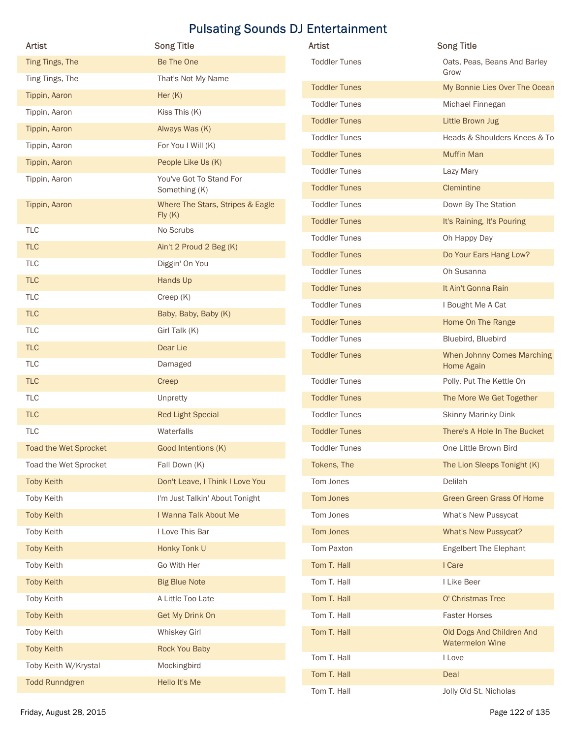| Artist                | <b>Pulsating Sounds DJ Entertainment</b><br><b>Song Title</b> | Artist                                       | <b>Song Title</b>                                 |
|-----------------------|---------------------------------------------------------------|----------------------------------------------|---------------------------------------------------|
| Ting Tings, The       | Be The One                                                    | <b>Toddler Tunes</b>                         | Oats, Peas, Beans And Barley                      |
| Ting Tings, The       | That's Not My Name                                            |                                              | Grow                                              |
| Tippin, Aaron         | Her (K)                                                       | <b>Toddler Tunes</b><br><b>Toddler Tunes</b> | My Bonnie Lies Over The Ocean<br>Michael Finnegan |
| Tippin, Aaron         | Kiss This (K)                                                 | <b>Toddler Tunes</b>                         | Little Brown Jug                                  |
| Tippin, Aaron         | Always Was (K)                                                | <b>Toddler Tunes</b>                         | Heads & Shoulders Knees & To                      |
| Tippin, Aaron         | For You I Will (K)                                            | <b>Toddler Tunes</b>                         | <b>Muffin Man</b>                                 |
| Tippin, Aaron         | People Like Us (K)                                            | <b>Toddler Tunes</b>                         | Lazy Mary                                         |
| Tippin, Aaron         | You've Got To Stand For<br>Something (K)                      | <b>Toddler Tunes</b>                         | Clemintine                                        |
| Tippin, Aaron         | Where The Stars, Stripes & Eagle                              | <b>Toddler Tunes</b>                         | Down By The Station                               |
|                       | Fly(K)                                                        | <b>Toddler Tunes</b>                         | It's Raining, It's Pouring                        |
| TLC                   | No Scrubs                                                     | <b>Toddler Tunes</b>                         | Oh Happy Day                                      |
| <b>TLC</b>            | Ain't 2 Proud 2 Beg (K)                                       | <b>Toddler Tunes</b>                         | Do Your Ears Hang Low?                            |
| TLC                   | Diggin' On You                                                | <b>Toddler Tunes</b>                         | Oh Susanna                                        |
| <b>TLC</b>            | Hands Up                                                      | <b>Toddler Tunes</b>                         | It Ain't Gonna Rain                               |
| TLC                   | Creep (K)                                                     | <b>Toddler Tunes</b>                         | I Bought Me A Cat                                 |
| <b>TLC</b>            | Baby, Baby, Baby (K)                                          | <b>Toddler Tunes</b>                         | Home On The Range                                 |
| TLC                   | Girl Talk (K)                                                 | <b>Toddler Tunes</b>                         | Bluebird, Bluebird                                |
| <b>TLC</b><br>TLC     | Dear Lie<br>Damaged                                           | <b>Toddler Tunes</b>                         | When Johnny Comes Marching<br>Home Again          |
| <b>TLC</b>            | Creep                                                         | <b>Toddler Tunes</b>                         | Polly, Put The Kettle On                          |
| TLC                   | Unpretty                                                      | <b>Toddler Tunes</b>                         | The More We Get Together                          |
| <b>TLC</b>            | <b>Red Light Special</b>                                      | <b>Toddler Tunes</b>                         | Skinny Marinky Dink                               |
| TLC                   | Waterfalls                                                    | <b>Toddler Tunes</b>                         | There's A Hole In The Bucket                      |
| Toad the Wet Sprocket | Good Intentions (K)                                           | <b>Toddler Tunes</b>                         | One Little Brown Bird                             |
| Toad the Wet Sprocket | Fall Down (K)                                                 | Tokens, The                                  | The Lion Sleeps Tonight (K)                       |
| <b>Toby Keith</b>     | Don't Leave, I Think I Love You                               | Tom Jones                                    | Delilah                                           |
| Toby Keith            | I'm Just Talkin' About Tonight                                | Tom Jones                                    | <b>Green Green Grass Of Home</b>                  |
| <b>Toby Keith</b>     | I Wanna Talk About Me                                         | Tom Jones                                    | What's New Pussycat                               |
| Toby Keith            | I Love This Bar                                               | Tom Jones                                    | What's New Pussycat?                              |
| <b>Toby Keith</b>     | Honky Tonk U                                                  | Tom Paxton                                   | <b>Engelbert The Elephant</b>                     |
| Toby Keith            | Go With Her                                                   | Tom T. Hall                                  | I Care                                            |
| <b>Toby Keith</b>     | <b>Big Blue Note</b>                                          | Tom T. Hall                                  | I Like Beer                                       |
| Toby Keith            | A Little Too Late                                             | Tom T. Hall                                  | O' Christmas Tree                                 |
| <b>Toby Keith</b>     | Get My Drink On                                               | Tom T. Hall                                  | <b>Faster Horses</b>                              |
| Toby Keith            | Whiskey Girl                                                  | Tom T. Hall                                  | Old Dogs And Children And                         |
| <b>Toby Keith</b>     | Rock You Baby                                                 | Tom T. Hall                                  | <b>Watermelon Wine</b>                            |
| Toby Keith W/Krystal  | Mockingbird                                                   | Tom T. Hall                                  | I Love<br>Deal                                    |
|                       | Hello It's Me                                                 |                                              |                                                   |

| <b>Artist</b>        | <b>Song Title</b>                                   |
|----------------------|-----------------------------------------------------|
| <b>Toddler Tunes</b> | Oats, Peas, Beans And Barley<br>Grow                |
| <b>Toddler Tunes</b> | My Bonnie Lies Over The Ocean                       |
| <b>Toddler Tunes</b> | Michael Finnegan                                    |
| <b>Toddler Tunes</b> | Little Brown Jug                                    |
| <b>Toddler Tunes</b> | Heads & Shoulders Knees & To                        |
| <b>Toddler Tunes</b> | <b>Muffin Man</b>                                   |
| <b>Toddler Tunes</b> | Lazy Mary                                           |
| <b>Toddler Tunes</b> | Clemintine                                          |
| <b>Toddler Tunes</b> | Down By The Station                                 |
| <b>Toddler Tunes</b> | It's Raining, It's Pouring                          |
| <b>Toddler Tunes</b> | Oh Happy Day                                        |
| <b>Toddler Tunes</b> | Do Your Ears Hang Low?                              |
| <b>Toddler Tunes</b> | Oh Susanna                                          |
| <b>Toddler Tunes</b> | It Ain't Gonna Rain                                 |
| <b>Toddler Tunes</b> | I Bought Me A Cat                                   |
| <b>Toddler Tunes</b> | Home On The Range                                   |
| <b>Toddler Tunes</b> | Bluebird, Bluebird                                  |
| <b>Toddler Tunes</b> | When Johnny Comes Marching<br>Home Again            |
| <b>Toddler Tunes</b> | Polly, Put The Kettle On                            |
| <b>Toddler Tunes</b> | The More We Get Together                            |
| <b>Toddler Tunes</b> | <b>Skinny Marinky Dink</b>                          |
| <b>Toddler Tunes</b> | There's A Hole In The Bucket                        |
| <b>Toddler Tunes</b> | One Little Brown Bird                               |
| Tokens, The          | The Lion Sleeps Tonight (K)                         |
| Tom Jones            | Delilah                                             |
| Tom Jones            | Green Green Grass Of Home                           |
| Tom Jones            | What's New Pussycat                                 |
| Tom Jones            | <b>What's New Pussycat?</b>                         |
| Tom Paxton           | <b>Engelbert The Elephant</b>                       |
| Tom T. Hall          | I Care                                              |
| Tom T. Hall          | I Like Beer                                         |
| Tom T. Hall          | O' Christmas Tree                                   |
| Tom T. Hall          | <b>Faster Horses</b>                                |
| Tom T. Hall          | Old Dogs And Children And<br><b>Watermelon Wine</b> |
| Tom T. Hall          | I Love                                              |
| Tom T. Hall          | Deal                                                |
| Tom T. Hall          | Jolly Old St. Nicholas                              |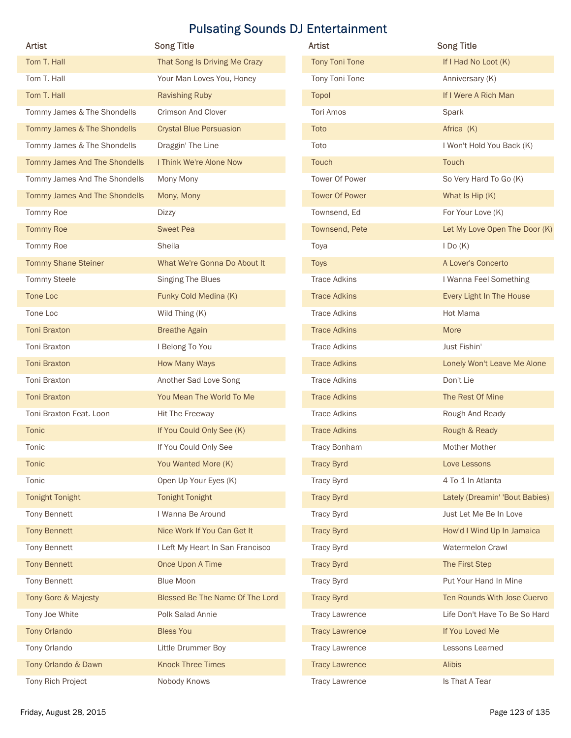|                               |                                  | <b>Pulsating Sounds DJ Entertainment</b> |                                |
|-------------------------------|----------------------------------|------------------------------------------|--------------------------------|
| Artist                        | <b>Song Title</b>                | Artist                                   | <b>Song Title</b>              |
| Tom T. Hall                   | That Song Is Driving Me Crazy    | <b>Tony Toni Tone</b>                    | If I Had No Loot (K)           |
| Tom T. Hall                   | Your Man Loves You, Honey        | Tony Toni Tone                           | Anniversary (K)                |
| Tom T. Hall                   | <b>Ravishing Ruby</b>            | Topol                                    | If I Were A Rich Man           |
| Tommy James & The Shondells   | Crimson And Clover               | Tori Amos                                | Spark                          |
| Tommy James & The Shondells   | <b>Crystal Blue Persuasion</b>   | Toto                                     | Africa (K)                     |
| Tommy James & The Shondells   | Draggin' The Line                | Toto                                     | I Won't Hold You Back (K)      |
| Tommy James And The Shondells | I Think We're Alone Now          | Touch                                    | Touch                          |
| Tommy James And The Shondells | Mony Mony                        | Tower Of Power                           | So Very Hard To Go (K)         |
| Tommy James And The Shondells | Mony, Mony                       | <b>Tower Of Power</b>                    | What Is Hip (K)                |
| Tommy Roe                     | <b>Dizzy</b>                     | Townsend, Ed                             | For Your Love (K)              |
| <b>Tommy Roe</b>              | <b>Sweet Pea</b>                 | Townsend, Pete                           | Let My Love Open The Door (K)  |
| Tommy Roe                     | Sheila                           | Toya                                     | $I$ Do $(K)$                   |
| <b>Tommy Shane Steiner</b>    | What We're Gonna Do About It     | <b>Toys</b>                              | A Lover's Concerto             |
| Tommy Steele                  | Singing The Blues                | <b>Trace Adkins</b>                      | I Wanna Feel Something         |
| Tone Loc                      | Funky Cold Medina (K)            | <b>Trace Adkins</b>                      | Every Light In The House       |
| Tone Loc                      | Wild Thing (K)                   | <b>Trace Adkins</b>                      | Hot Mama                       |
| <b>Toni Braxton</b>           | <b>Breathe Again</b>             | <b>Trace Adkins</b>                      | More                           |
| Toni Braxton                  | I Belong To You                  | <b>Trace Adkins</b>                      | Just Fishin'                   |
| <b>Toni Braxton</b>           | How Many Ways                    | <b>Trace Adkins</b>                      | Lonely Won't Leave Me Alone    |
| Toni Braxton                  | Another Sad Love Song            | <b>Trace Adkins</b>                      | Don't Lie                      |
| Toni Braxton                  | You Mean The World To Me         | <b>Trace Adkins</b>                      | The Rest Of Mine               |
| Toni Braxton Feat. Loon       | Hit The Freeway                  | <b>Trace Adkins</b>                      | Rough And Ready                |
| Tonic                         | If You Could Only See (K)        | <b>Trace Adkins</b>                      | Rough & Ready                  |
| Tonic                         | If You Could Only See            | Tracy Bonham                             | Mother Mother                  |
| Tonic                         | You Wanted More (K)              | <b>Tracy Byrd</b>                        | Love Lessons                   |
| Tonic                         | Open Up Your Eyes (K)            | <b>Tracy Byrd</b>                        | 4 To 1 In Atlanta              |
| <b>Tonight Tonight</b>        | <b>Tonight Tonight</b>           | <b>Tracy Byrd</b>                        | Lately (Dreamin' 'Bout Babies) |
| Tony Bennett                  | I Wanna Be Around                | <b>Tracy Byrd</b>                        | Just Let Me Be In Love         |
| <b>Tony Bennett</b>           | Nice Work If You Can Get It      | <b>Tracy Byrd</b>                        | How'd I Wind Up In Jamaica     |
| Tony Bennett                  | I Left My Heart In San Francisco | <b>Tracy Byrd</b>                        | Watermelon Crawl               |
| <b>Tony Bennett</b>           | Once Upon A Time                 | <b>Tracy Byrd</b>                        | The First Step                 |
| Tony Bennett                  | <b>Blue Moon</b>                 | <b>Tracy Byrd</b>                        | Put Your Hand In Mine          |
| Tony Gore & Majesty           | Blessed Be The Name Of The Lord  | <b>Tracy Byrd</b>                        | Ten Rounds With Jose Cuervo    |
| Tony Joe White                | Polk Salad Annie                 | <b>Tracy Lawrence</b>                    | Life Don't Have To Be So Hard  |
| <b>Tony Orlando</b>           | <b>Bless You</b>                 | <b>Tracy Lawrence</b>                    | If You Loved Me                |
| Tony Orlando                  | Little Drummer Boy               | <b>Tracy Lawrence</b>                    | Lessons Learned                |
| Tony Orlando & Dawn           | <b>Knock Three Times</b>         | <b>Tracy Lawrence</b>                    | Alibis                         |
|                               | Nobody Knows                     | <b>Tracy Lawrence</b>                    | Is That A Tear                 |
| Tony Rich Project             |                                  |                                          |                                |

| <b>Artist</b>         | <b>Song Title</b>              |
|-----------------------|--------------------------------|
| <b>Tony Toni Tone</b> | If I Had No Loot (K)           |
| Tony Toni Tone        | Anniversary (K)                |
| Topol                 | If I Were A Rich Man           |
| <b>Tori Amos</b>      | Spark                          |
| Toto                  | Africa (K)                     |
| Toto                  | I Won't Hold You Back (K)      |
| <b>Touch</b>          | Touch                          |
| <b>Tower Of Power</b> | So Very Hard To Go (K)         |
| <b>Tower Of Power</b> | What Is Hip (K)                |
| Townsend, Ed          | For Your Love (K)              |
| Townsend, Pete        | Let My Love Open The Door (K)  |
| Toya                  | $I$ Do $(K)$                   |
| <b>Toys</b>           | A Lover's Concerto             |
| <b>Trace Adkins</b>   | I Wanna Feel Something         |
| <b>Trace Adkins</b>   | Every Light In The House       |
| <b>Trace Adkins</b>   | Hot Mama                       |
| <b>Trace Adkins</b>   | More                           |
| <b>Trace Adkins</b>   | Just Fishin'                   |
| <b>Trace Adkins</b>   | Lonely Won't Leave Me Alone    |
| <b>Trace Adkins</b>   | Don't Lie                      |
| <b>Trace Adkins</b>   | The Rest Of Mine               |
| <b>Trace Adkins</b>   | Rough And Ready                |
| <b>Trace Adkins</b>   | Rough & Ready                  |
| <b>Tracy Bonham</b>   | Mother Mother                  |
| <b>Tracy Byrd</b>     | Love Lessons                   |
| <b>Tracy Byrd</b>     | 4 To 1 In Atlanta              |
| <b>Tracy Byrd</b>     | Lately (Dreamin' 'Bout Babies) |
| <b>Tracy Byrd</b>     | Just Let Me Be In Love         |
| <b>Tracy Byrd</b>     | How'd I Wind Up In Jamaica     |
| <b>Tracy Byrd</b>     | Watermelon Crawl               |
| <b>Tracy Byrd</b>     | The First Step                 |
| <b>Tracy Byrd</b>     | Put Your Hand In Mine          |
| <b>Tracy Byrd</b>     | Ten Rounds With Jose Cuervo    |
| <b>Tracy Lawrence</b> | Life Don't Have To Be So Hard  |
| <b>Tracy Lawrence</b> | If You Loved Me                |
| <b>Tracy Lawrence</b> | Lessons Learned                |
| <b>Tracy Lawrence</b> | <b>Alibis</b>                  |
| <b>Tracy Lawrence</b> | Is That A Tear                 |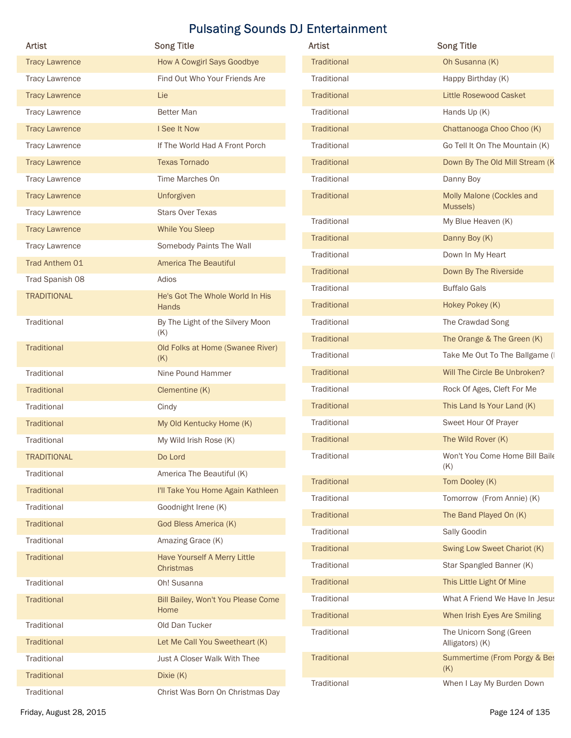| <b>Artist</b>         | <b>Song Title</b>                          | <b>Pulsating Sounds DJ Entertainment</b><br>Artist | <b>Song Title</b>                          |
|-----------------------|--------------------------------------------|----------------------------------------------------|--------------------------------------------|
| <b>Tracy Lawrence</b> | How A Cowgirl Says Goodbye                 | Traditional                                        | Oh Susanna (K)                             |
| <b>Tracy Lawrence</b> | Find Out Who Your Friends Are              | Traditional                                        | Happy Birthday (K)                         |
| <b>Tracy Lawrence</b> | Lie                                        | Traditional                                        | Little Rosewood Casket                     |
| <b>Tracy Lawrence</b> | Better Man                                 | Traditional                                        | Hands Up (K)                               |
| <b>Tracy Lawrence</b> | I See It Now                               | Traditional                                        | Chattanooga Choo Choo (K)                  |
| <b>Tracy Lawrence</b> | If The World Had A Front Porch             | Traditional                                        | Go Tell It On The Mountain (K)             |
| <b>Tracy Lawrence</b> | <b>Texas Tornado</b>                       | Traditional                                        | Down By The Old Mill Stream (K             |
| <b>Tracy Lawrence</b> | Time Marches On                            | Traditional                                        | Danny Boy                                  |
| <b>Tracy Lawrence</b> | Unforgiven                                 | Traditional                                        | Molly Malone (Cockles and                  |
| <b>Tracy Lawrence</b> | <b>Stars Over Texas</b>                    | Traditional                                        | Mussels)<br>My Blue Heaven (K)             |
| <b>Tracy Lawrence</b> | While You Sleep                            | Traditional                                        | Danny Boy (K)                              |
| <b>Tracy Lawrence</b> | Somebody Paints The Wall                   | Traditional                                        | Down In My Heart                           |
| Trad Anthem 01        | <b>America The Beautiful</b>               | Traditional                                        | Down By The Riverside                      |
| Trad Spanish 08       | Adios                                      | Traditional                                        | <b>Buffalo Gals</b>                        |
| <b>TRADITIONAL</b>    | He's Got The Whole World In His<br>Hands   | Traditional                                        | Hokey Pokey (K)                            |
| Traditional           | By The Light of the Silvery Moon           | Traditional                                        | The Crawdad Song                           |
|                       | (K)                                        | Traditional                                        | The Orange & The Green (K)                 |
| Traditional           | Old Folks at Home (Swanee River)<br>(K)    | Traditional                                        | Take Me Out To The Ballgame (I             |
| Traditional           | Nine Pound Hammer                          | Traditional                                        | Will The Circle Be Unbroken?               |
| Traditional           | Clementine (K)                             | Traditional                                        | Rock Of Ages, Cleft For Me                 |
| Traditional           | Cindy                                      | Traditional                                        | This Land Is Your Land (K)                 |
| Traditional           | My Old Kentucky Home (K)                   | Traditional                                        | Sweet Hour Of Prayer                       |
| Traditional           | My Wild Irish Rose (K)                     | Traditional                                        | The Wild Rover (K)                         |
| <b>TRADITIONAL</b>    | Do Lord                                    | Traditional                                        | Won't You Come Home Bill Baile             |
| Traditional           | America The Beautiful (K)                  | Traditional                                        | (K)<br>Tom Dooley (K)                      |
| Traditional           | I'll Take You Home Again Kathleen          | Traditional                                        | Tomorrow (From Annie) (K)                  |
| Traditional           | Goodnight Irene (K)                        | Traditional                                        | The Band Played On (K)                     |
| Traditional           | God Bless America (K)                      | Traditional                                        | Sally Goodin                               |
| Traditional           | Amazing Grace (K)                          | Traditional                                        | Swing Low Sweet Chariot (K)                |
| Traditional           | Have Yourself A Merry Little<br>Christmas  | Traditional                                        | Star Spangled Banner (K)                   |
| Traditional           | Oh! Susanna                                | Traditional                                        | This Little Light Of Mine                  |
| Traditional           | Bill Bailey, Won't You Please Come<br>Home | Traditional                                        | What A Friend We Have In Jesus             |
| Traditional           | Old Dan Tucker                             | Traditional                                        | When Irish Eyes Are Smiling                |
| Traditional           | Let Me Call You Sweetheart (K)             | Traditional                                        | The Unicorn Song (Green<br>Alligators) (K) |
| Traditional           | Just A Closer Walk With Thee               | Traditional                                        | Summertime (From Porgy & Bes               |
| Traditional           | Dixie (K)                                  |                                                    | (K)                                        |
| Traditional           | Christ Was Born On Christmas Day           | Traditional                                        | When I Lay My Burden Down                  |
|                       |                                            |                                                    |                                            |

| Artist             | <b>Song Title</b>                          |
|--------------------|--------------------------------------------|
| <b>Traditional</b> | Oh Susanna (K)                             |
| Traditional        | Happy Birthday (K)                         |
| Traditional        | Little Rosewood Casket                     |
| Traditional        | Hands Up (K)                               |
| Traditional        | Chattanooga Choo Choo (K)                  |
| Traditional        | Go Tell It On The Mountain (K)             |
| Traditional        | Down By The Old Mill Stream (K             |
| Traditional        | Danny Boy                                  |
| Traditional        | Molly Malone (Cockles and<br>Mussels)      |
| Traditional        | My Blue Heaven (K)                         |
| Traditional        | Danny Boy (K)                              |
| Traditional        | Down In My Heart                           |
| Traditional        | Down By The Riverside                      |
| Traditional        | <b>Buffalo Gals</b>                        |
| Traditional        | Hokey Pokey (K)                            |
| Traditional        | The Crawdad Song                           |
| Traditional        | The Orange & The Green (K)                 |
| Traditional        | Take Me Out To The Ballgame (I             |
| Traditional        | Will The Circle Be Unbroken?               |
| Traditional        | Rock Of Ages, Cleft For Me                 |
| Traditional        | This Land Is Your Land (K)                 |
| Traditional        | Sweet Hour Of Prayer                       |
| Traditional        | The Wild Rover (K)                         |
| Traditional        | Won't You Come Home Bill Baile<br>(K)      |
| Traditional        | Tom Dooley (K)                             |
| Traditional        | Tomorrow (From Annie) (K)                  |
| Traditional        | The Band Played On (K)                     |
| Traditional        | Sally Goodin                               |
| Traditional        | Swing Low Sweet Chariot (K)                |
| Traditional        | Star Spangled Banner (K)                   |
| Traditional        | This Little Light Of Mine                  |
| Traditional        | What A Friend We Have In Jesus             |
| Traditional        | When Irish Eyes Are Smiling                |
| Traditional        | The Unicorn Song (Green<br>Alligators) (K) |
| Traditional        | Summertime (From Porgy & Bes<br>(K)        |
| Traditional        | When I Lay My Burden Down                  |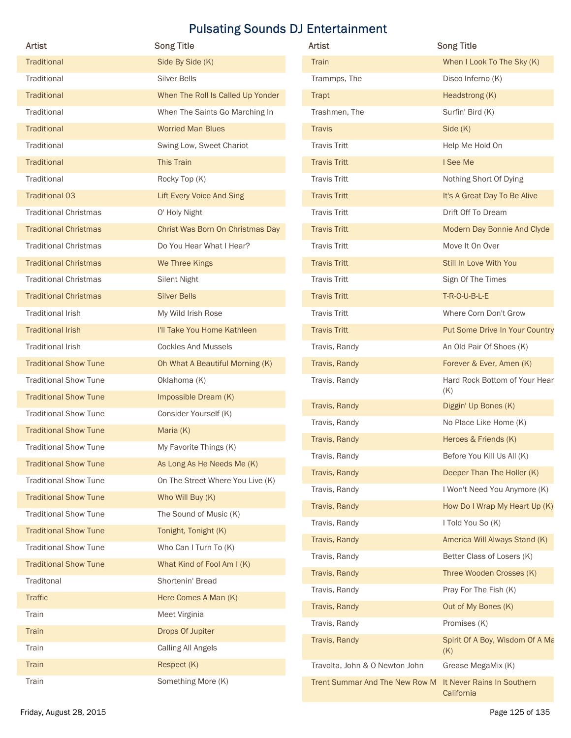| Artist                                                       | <b>Song Title</b>                   | Artist                                                    | <b>Song Title</b>                      |
|--------------------------------------------------------------|-------------------------------------|-----------------------------------------------------------|----------------------------------------|
| Traditional                                                  | Side By Side (K)                    | Train                                                     | When I Look To The Sky (K)             |
| Traditional                                                  | Silver Bells                        | Trammps, The                                              | Disco Inferno (K)                      |
| Traditional                                                  | When The Roll Is Called Up Yonder   | Trapt                                                     | Headstrong (K)                         |
| Traditional                                                  | When The Saints Go Marching In      | Trashmen, The                                             | Surfin' Bird (K)                       |
| Traditional                                                  | <b>Worried Man Blues</b>            | <b>Travis</b>                                             | Side (K)                               |
| Traditional                                                  | Swing Low, Sweet Chariot            | <b>Travis Tritt</b>                                       | Help Me Hold On                        |
| Traditional                                                  | This Train                          | <b>Travis Tritt</b>                                       | I See Me                               |
| Traditional                                                  | Rocky Top (K)                       | <b>Travis Tritt</b>                                       | Nothing Short Of Dying                 |
| <b>Traditional 03</b>                                        | <b>Lift Every Voice And Sing</b>    | <b>Travis Tritt</b>                                       | It's A Great Day To Be Alive           |
| <b>Traditional Christmas</b>                                 | O' Holy Night                       | <b>Travis Tritt</b>                                       | Drift Off To Dream                     |
| <b>Traditional Christmas</b>                                 | Christ Was Born On Christmas Day    | <b>Travis Tritt</b>                                       | Modern Day Bonnie And Clyde            |
| <b>Traditional Christmas</b>                                 | Do You Hear What I Hear?            | <b>Travis Tritt</b>                                       | Move It On Over                        |
| <b>Traditional Christmas</b>                                 | We Three Kings                      | <b>Travis Tritt</b>                                       | Still In Love With You                 |
| <b>Traditional Christmas</b>                                 | Silent Night                        | <b>Travis Tritt</b>                                       | Sign Of The Times                      |
| <b>Traditional Christmas</b>                                 | <b>Silver Bells</b>                 | <b>Travis Tritt</b>                                       | T-R-O-U-B-L-E                          |
| <b>Traditional Irish</b>                                     | My Wild Irish Rose                  | <b>Travis Tritt</b>                                       | Where Corn Don't Grow                  |
| <b>Traditional Irish</b>                                     | I'll Take You Home Kathleen         | <b>Travis Tritt</b>                                       | Put Some Drive In Your Country         |
| <b>Traditional Irish</b>                                     | <b>Cockles And Mussels</b>          | Travis, Randy                                             | An Old Pair Of Shoes (K)               |
| <b>Traditional Show Tune</b>                                 | Oh What A Beautiful Morning (K)     | Travis, Randy                                             | Forever & Ever, Amen (K)               |
| <b>Traditional Show Tune</b>                                 | Oklahoma (K)                        | Travis, Randy                                             | Hard Rock Bottom of Your Hear<br>(K)   |
| <b>Traditional Show Tune</b>                                 | Impossible Dream (K)                | Travis, Randy                                             | Diggin' Up Bones (K)                   |
| <b>Traditional Show Tune</b>                                 | Consider Yourself (K)               | Travis, Randy                                             | No Place Like Home (K)                 |
| <b>Traditional Show Tune</b><br><b>Traditional Show Tune</b> | Maria (K)<br>My Favorite Things (K) | Travis, Randy                                             | Heroes & Friends (K)                   |
| <b>Traditional Show Tune</b>                                 | As Long As He Needs Me (K)          | Travis, Randy                                             | Before You Kill Us All (K)             |
| <b>Traditional Show Tune</b>                                 | On The Street Where You Live (K)    | Travis, Randy                                             | Deeper Than The Holler (K)             |
| <b>Traditional Show Tune</b>                                 | Who Will Buy (K)                    | Travis, Randy                                             | I Won't Need You Anymore (K)           |
| <b>Traditional Show Tune</b>                                 | The Sound of Music (K)              | Travis, Randy                                             | How Do I Wrap My Heart Up (K)          |
| <b>Traditional Show Tune</b>                                 | Tonight, Tonight (K)                | Travis, Randy                                             | I Told You So (K)                      |
| <b>Traditional Show Tune</b>                                 | Who Can I Turn To (K)               | Travis, Randy                                             | America Will Always Stand (K)          |
| <b>Traditional Show Tune</b>                                 | What Kind of Fool Am I (K)          | Travis, Randy                                             | Better Class of Losers (K)             |
| Traditonal                                                   | Shortenin' Bread                    | Travis, Randy                                             | Three Wooden Crosses (K)               |
| Traffic                                                      | Here Comes A Man (K)                | Travis, Randy                                             | Pray For The Fish (K)                  |
| Train                                                        | Meet Virginia                       | Travis, Randy                                             | Out of My Bones (K)                    |
| Train                                                        | Drops Of Jupiter                    | Travis, Randy                                             | Promises (K)                           |
| Train                                                        | <b>Calling All Angels</b>           | Travis, Randy                                             | Spirit Of A Boy, Wisdom Of A Ma<br>(K) |
| Train                                                        | Respect (K)                         | Travolta, John & O Newton John                            | Grease MegaMix (K)                     |
| Train                                                        | Something More (K)                  | Trent Summar And The New Row M It Never Rains In Southern |                                        |

| Artist                       | <b>Song Title</b>                 | <b>Artist</b>                  | <b>Song Title</b>               |
|------------------------------|-----------------------------------|--------------------------------|---------------------------------|
| Traditional                  | Side By Side (K)                  | Train                          | When I Look To The Sky (K)      |
| Traditional                  | Silver Bells                      | Trammps, The                   | Disco Inferno (K)               |
| Traditional                  | When The Roll Is Called Up Yonder | Trapt                          | Headstrong (K)                  |
| Traditional                  | When The Saints Go Marching In    | Trashmen, The                  | Surfin' Bird (K)                |
| Traditional                  | <b>Worried Man Blues</b>          | <b>Travis</b>                  | Side (K)                        |
| Traditional                  | Swing Low, Sweet Chariot          | <b>Travis Tritt</b>            | Help Me Hold On                 |
| Traditional                  | This Train                        | <b>Travis Tritt</b>            | I See Me                        |
| Traditional                  | Rocky Top (K)                     | <b>Travis Tritt</b>            | Nothing Short Of Dying          |
| <b>Traditional 03</b>        | <b>Lift Every Voice And Sing</b>  | <b>Travis Tritt</b>            | It's A Great Day To Be Alive    |
| <b>Traditional Christmas</b> | O' Holy Night                     | <b>Travis Tritt</b>            | Drift Off To Dream              |
| <b>Traditional Christmas</b> | Christ Was Born On Christmas Day  | <b>Travis Tritt</b>            | Modern Day Bonnie And Clyde     |
| <b>Traditional Christmas</b> | Do You Hear What I Hear?          | <b>Travis Tritt</b>            | Move It On Over                 |
| <b>Traditional Christmas</b> | We Three Kings                    | <b>Travis Tritt</b>            | Still In Love With You          |
| <b>Traditional Christmas</b> | Silent Night                      | <b>Travis Tritt</b>            | Sign Of The Times               |
| <b>Traditional Christmas</b> | <b>Silver Bells</b>               | <b>Travis Tritt</b>            | T-R-O-U-B-L-E                   |
| <b>Traditional Irish</b>     | My Wild Irish Rose                | <b>Travis Tritt</b>            | Where Corn Don't Grow           |
| <b>Traditional Irish</b>     | I'll Take You Home Kathleen       | <b>Travis Tritt</b>            | Put Some Drive In Your Country  |
| Traditional Irish            | <b>Cockles And Mussels</b>        | Travis, Randy                  | An Old Pair Of Shoes (K)        |
| <b>Traditional Show Tune</b> | Oh What A Beautiful Morning (K)   | Travis, Randy                  | Forever & Ever, Amen (K)        |
| <b>Traditional Show Tune</b> | Oklahoma (K)                      | Travis, Randy                  | Hard Rock Bottom of Your Hear   |
| <b>Traditional Show Tune</b> | Impossible Dream (K)              |                                | (K)                             |
| <b>Traditional Show Tune</b> | Consider Yourself (K)             | Travis, Randy                  | Diggin' Up Bones (K)            |
| <b>Traditional Show Tune</b> | Maria (K)                         | Travis, Randy                  | No Place Like Home (K)          |
| <b>Traditional Show Tune</b> | My Favorite Things (K)            | Travis, Randy                  | Heroes & Friends (K)            |
| <b>Traditional Show Tune</b> | As Long As He Needs Me (K)        | Travis, Randy                  | Before You Kill Us All (K)      |
| <b>Traditional Show Tune</b> | On The Street Where You Live (K)  | Travis, Randy                  | Deeper Than The Holler (K)      |
| <b>Traditional Show Tune</b> | Who Will Buy (K)                  | Travis, Randy                  | I Won't Need You Anymore (K)    |
| <b>Traditional Show Tune</b> | The Sound of Music (K)            | Travis, Randy                  | How Do I Wrap My Heart Up (K)   |
| <b>Traditional Show Tune</b> | Tonight, Tonight (K)              | Travis, Randy                  | I Told You So (K)               |
| <b>Traditional Show Tune</b> | Who Can I Turn To (K)             | Travis, Randy                  | America Will Always Stand (K)   |
| <b>Traditional Show Tune</b> | What Kind of Fool Am I (K)        | Travis, Randy                  | Better Class of Losers (K)      |
| Traditonal                   | Shortenin' Bread                  | Travis, Randy                  | Three Wooden Crosses (K)        |
| <b>Traffic</b>               | Here Comes A Man (K)              | Travis, Randy                  | Pray For The Fish (K)           |
| Train                        | Meet Virginia                     | Travis, Randy                  | Out of My Bones (K)             |
| Train                        | Drops Of Jupiter                  | Travis, Randy                  | Promises (K)                    |
| Train                        | Calling All Angels                | Travis, Randy                  | Spirit Of A Boy, Wisdom Of A Ma |
| Train                        | Respect (K)                       | Travolta, John & O Newton John | (K)<br>Grease MegaMix (K)       |
| Train                        | Something More (K)                | Trent Summar And The New Row M | It Never Rains In Southern      |
|                              |                                   |                                | California                      |
| Friday, August 28, 2015      |                                   |                                | Page 125 of 135                 |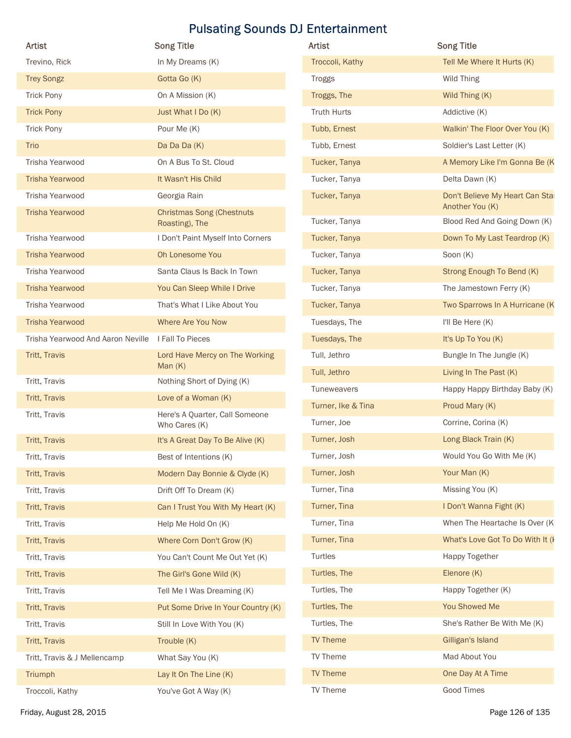| Artist                                              | <b>Song Title</b>                                  | Artist             | <b>Song Title</b>                                 |
|-----------------------------------------------------|----------------------------------------------------|--------------------|---------------------------------------------------|
| Trevino, Rick                                       | In My Dreams (K)                                   | Troccoli, Kathy    | Tell Me Where It Hurts (K)                        |
| <b>Trey Songz</b>                                   | Gotta Go (K)                                       | Troggs             | Wild Thing                                        |
| <b>Trick Pony</b>                                   | On A Mission (K)                                   | Troggs, The        | Wild Thing (K)                                    |
| <b>Trick Pony</b>                                   | Just What I Do (K)                                 | <b>Truth Hurts</b> | Addictive (K)                                     |
| <b>Trick Pony</b>                                   | Pour Me (K)                                        | Tubb, Ernest       | Walkin' The Floor Over You (K)                    |
| Trio                                                | Da Da Da (K)                                       | Tubb, Ernest       | Soldier's Last Letter (K)                         |
| Trisha Yearwood                                     | On A Bus To St. Cloud                              | Tucker, Tanya      | A Memory Like I'm Gonna Be (K                     |
| <b>Trisha Yearwood</b>                              | It Wasn't His Child                                | Tucker, Tanya      | Delta Dawn (K)                                    |
| Trisha Yearwood                                     | Georgia Rain                                       | Tucker, Tanya      | Don't Believe My Heart Can Sta<br>Another You (K) |
| <b>Trisha Yearwood</b>                              | <b>Christmas Song (Chestnuts</b><br>Roasting), The | Tucker, Tanya      | Blood Red And Going Down (K)                      |
| Trisha Yearwood                                     | I Don't Paint Myself Into Corners                  | Tucker, Tanya      | Down To My Last Teardrop (K)                      |
| <b>Trisha Yearwood</b>                              | Oh Lonesome You                                    | Tucker, Tanya      | Soon (K)                                          |
| Trisha Yearwood                                     | Santa Claus Is Back In Town                        | Tucker, Tanya      | Strong Enough To Bend (K)                         |
| <b>Trisha Yearwood</b>                              | You Can Sleep While I Drive                        | Tucker, Tanya      | The Jamestown Ferry (K)                           |
| Trisha Yearwood                                     | That's What I Like About You                       | Tucker, Tanya      | Two Sparrows In A Hurricane (K                    |
| <b>Trisha Yearwood</b>                              | Where Are You Now                                  | Tuesdays, The      | I'll Be Here (K)                                  |
| Trisha Yearwood And Aaron Neville  I Fall To Pieces |                                                    | Tuesdays, The      | It's Up To You (K)                                |
| Tritt, Travis                                       | Lord Have Mercy on The Working                     | Tull, Jethro       | Bungle In The Jungle (K)                          |
|                                                     | Man $(K)$                                          | Tull, Jethro       | Living In The Past (K)                            |
| Tritt, Travis                                       | Nothing Short of Dying (K)                         | Tuneweavers        | Happy Happy Birthday Baby (K)                     |
| Tritt, Travis                                       | Love of a Woman (K)                                | Turner, Ike & Tina | Proud Mary (K)                                    |
| Tritt, Travis                                       | Here's A Quarter, Call Someone<br>Who Cares (K)    | Turner, Joe        | Corrine, Corina (K)                               |
| Tritt, Travis                                       | It's A Great Day To Be Alive (K)                   | Turner, Josh       | Long Black Train (K)                              |
| Tritt, Travis                                       | Best of Intentions (K)                             | Turner, Josh       | Would You Go With Me (K)                          |
| Tritt, Travis                                       | Modern Day Bonnie & Clyde (K)                      | Turner, Josh       | Your Man (K)                                      |
| Tritt, Travis                                       | Drift Off To Dream (K)                             | Turner, Tina       | Missing You (K)                                   |
| Tritt, Travis                                       | Can I Trust You With My Heart (K)                  | Turner, Tina       | I Don't Wanna Fight (K)                           |
| Tritt, Travis                                       | Help Me Hold On (K)                                | Turner, Tina       | When The Heartache Is Over (K)                    |
| Tritt, Travis                                       | Where Corn Don't Grow (K)                          | Turner, Tina       | What's Love Got To Do With It (I                  |
| Tritt, Travis                                       | You Can't Count Me Out Yet (K)                     | Turtles            | Happy Together                                    |
| Tritt, Travis                                       | The Girl's Gone Wild (K)                           | Turtles, The       | Elenore (K)                                       |
| Tritt, Travis                                       | Tell Me I Was Dreaming (K)                         | Turtles, The       | Happy Together (K)                                |
| Tritt, Travis                                       | Put Some Drive In Your Country (K)                 | Turtles, The       | You Showed Me                                     |
| Tritt, Travis                                       | Still In Love With You (K)                         | Turtles, The       | She's Rather Be With Me (K)                       |
| Tritt, Travis                                       | Trouble (K)                                        | TV Theme           | Gilligan's Island                                 |
| Tritt, Travis & J Mellencamp                        | What Say You (K)                                   | TV Theme           | Mad About You                                     |
| Triumph                                             | Lay It On The Line (K)                             | TV Theme           | One Day At A Time                                 |
| Troccoli, Kathy                                     |                                                    | TV Theme           | <b>Good Times</b>                                 |
|                                                     | You've Got A Way (K)                               |                    |                                                   |

| <b>Artist</b>      | <b>Song Title</b>                                  |
|--------------------|----------------------------------------------------|
| Troccoli, Kathy    | Tell Me Where It Hurts (K)                         |
| <b>Troggs</b>      | Wild Thing                                         |
| Troggs, The        | Wild Thing (K)                                     |
| <b>Truth Hurts</b> | Addictive (K)                                      |
| Tubb, Ernest       | Walkin' The Floor Over You (K)                     |
| Tubb, Ernest       | Soldier's Last Letter (K)                          |
| Tucker, Tanya      | A Memory Like I'm Gonna Be (K                      |
| Tucker, Tanya      | Delta Dawn (K)                                     |
| Tucker, Tanya      | Don't Believe My Heart Can Stal<br>Another You (K) |
| Tucker, Tanya      | Blood Red And Going Down (K)                       |
| Tucker, Tanya      | Down To My Last Teardrop (K)                       |
| Tucker, Tanya      | Soon (K)                                           |
| Tucker, Tanya      | Strong Enough To Bend (K)                          |
| Tucker, Tanya      | The Jamestown Ferry (K)                            |
| Tucker, Tanya      | Two Sparrows In A Hurricane (K                     |
| Tuesdays, The      | I'll Be Here (K)                                   |
| Tuesdays, The      | It's Up To You (K)                                 |
| Tull, Jethro       | Bungle In The Jungle (K)                           |
| Tull, Jethro       | Living In The Past (K)                             |
| <b>Tuneweavers</b> | Happy Happy Birthday Baby (K)                      |
| Turner, Ike & Tina | Proud Mary (K)                                     |
| Turner, Joe        | Corrine, Corina (K)                                |
| Turner, Josh       | Long Black Train (K)                               |
| Turner, Josh       | Would You Go With Me (K)                           |
| Turner, Josh       | Your Man (K)                                       |
| Turner, Tina       | Missing You (K)                                    |
| Turner, Tina       | I Don't Wanna Fight (K)                            |
| Turner, Tina       | When The Heartache Is Over (K)                     |
| Turner, Tina       | What's Love Got To Do With It (I                   |
| Turtles            | Happy Together                                     |
| Turtles, The       | Elenore (K)                                        |
| Turtles, The       | Happy Together (K)                                 |
| Turtles, The       | You Showed Me                                      |
| Turtles, The       | She's Rather Be With Me (K)                        |
| <b>TV Theme</b>    | Gilligan's Island                                  |
| TV Theme           | Mad About You                                      |
| <b>TV Theme</b>    | One Day At A Time                                  |
| TV Theme           | Good Times                                         |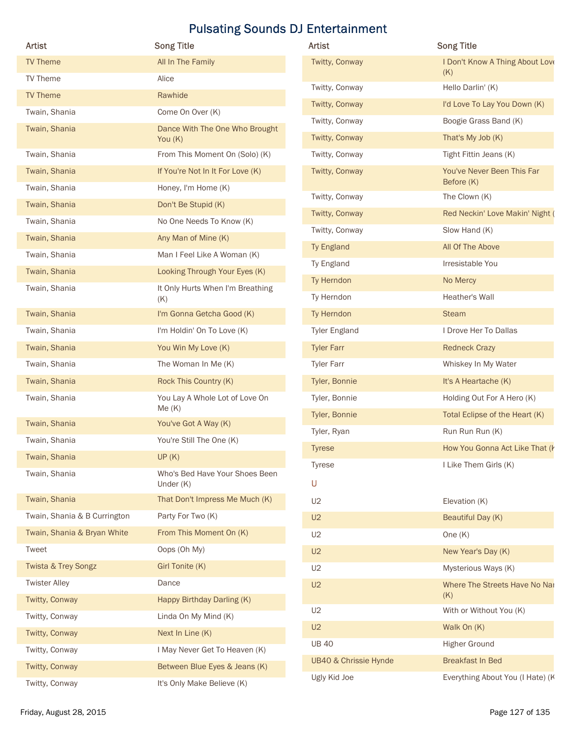| Artist                         | <b>Song Title</b>                           | Artist                | <b>Song Title</b>                      |
|--------------------------------|---------------------------------------------|-----------------------|----------------------------------------|
| TV Theme                       | All In The Family                           | Twitty, Conway        | I Don't Know A Thing About Love<br>(K) |
| TV Theme                       | Alice                                       | Twitty, Conway        | Hello Darlin' (K)                      |
| TV Theme                       | Rawhide                                     | Twitty, Conway        | I'd Love To Lay You Down (K)           |
| Twain, Shania                  | Come On Over (K)                            | Twitty, Conway        | Boogie Grass Band (K)                  |
| Twain, Shania                  | Dance With The One Who Brought<br>You (K)   | Twitty, Conway        | That's My Job (K)                      |
| Twain, Shania                  | From This Moment On (Solo) (K)              | Twitty, Conway        | Tight Fittin Jeans (K)                 |
| Twain, Shania                  | If You're Not In It For Love (K)            | Twitty, Conway        | You've Never Been This Far             |
| Twain, Shania                  | Honey, I'm Home (K)                         |                       | Before (K)                             |
| Twain, Shania                  | Don't Be Stupid (K)                         | Twitty, Conway        | The Clown (K)                          |
| Twain, Shania                  | No One Needs To Know (K)                    | Twitty, Conway        | Red Neckin' Love Makin' Night (        |
| Twain, Shania                  | Any Man of Mine (K)                         | Twitty, Conway        | Slow Hand (K)                          |
| Twain, Shania                  | Man I Feel Like A Woman (K)                 | Ty England            | All Of The Above                       |
| Twain, Shania                  | Looking Through Your Eyes (K)               | Ty England            | Irresistable You                       |
| Twain, Shania                  | It Only Hurts When I'm Breathing            | Ty Herndon            | No Mercy                               |
|                                | (K)                                         | Ty Herndon            | Heather's Wall                         |
| Twain, Shania                  | I'm Gonna Getcha Good (K)                   | Ty Herndon            | Steam                                  |
| Twain, Shania                  | I'm Holdin' On To Love (K)                  | <b>Tyler England</b>  | I Drove Her To Dallas                  |
| Twain, Shania                  | You Win My Love (K)                         | <b>Tyler Farr</b>     | <b>Redneck Crazy</b>                   |
| Twain, Shania                  | The Woman In Me (K)                         | <b>Tyler Farr</b>     | Whiskey In My Water                    |
| Twain, Shania                  | Rock This Country (K)                       | Tyler, Bonnie         | It's A Heartache (K)                   |
| Twain, Shania                  | You Lay A Whole Lot of Love On              | Tyler, Bonnie         | Holding Out For A Hero (K)             |
| Twain, Shania                  | Me(K)<br>You've Got A Way (K)               | Tyler, Bonnie         | Total Eclipse of the Heart (K)         |
| Twain, Shania                  | You're Still The One (K)                    | Tyler, Ryan           | Run Run Run (K)                        |
|                                |                                             | <b>Tyrese</b>         | How You Gonna Act Like That (k         |
| Twain, Shania                  | UP(K)                                       | Tyrese                | I Like Them Girls (K)                  |
| Twain, Shania                  | Who's Bed Have Your Shoes Been<br>Under (K) | U                     |                                        |
| Twain, Shania                  | That Don't Impress Me Much (K)              | U2                    | Elevation (K)                          |
| Twain, Shania & B Currington   | Party For Two (K)                           | U2                    | Beautiful Day (K)                      |
| Twain, Shania & Bryan White    | From This Moment On (K)                     | U2                    | One $(K)$                              |
| Tweet                          | Oops (Oh My)                                | U2                    | New Year's Day (K)                     |
| <b>Twista &amp; Trey Songz</b> | Girl Tonite (K)                             | U2                    | Mysterious Ways (K)                    |
| <b>Twister Alley</b>           | Dance                                       | U2                    | Where The Streets Have No Nar          |
| Twitty, Conway                 | Happy Birthday Darling (K)                  |                       | (K)                                    |
| Twitty, Conway                 | Linda On My Mind (K)                        | U2                    | With or Without You (K)                |
| Twitty, Conway                 | Next In Line (K)                            | U2                    | Walk On (K)                            |
| Twitty, Conway                 | I May Never Get To Heaven (K)               | <b>UB 40</b>          | <b>Higher Ground</b>                   |
| Twitty, Conway                 | Between Blue Eyes & Jeans (K)               | UB40 & Chrissie Hynde | <b>Breakfast In Bed</b>                |
| Twitty, Conway                 | It's Only Make Believe (K)                  | Ugly Kid Joe          | Everything About You (I Hate) (K       |
|                                |                                             |                       |                                        |

| <b>Artist</b>                    | <b>Song Title</b>                        |
|----------------------------------|------------------------------------------|
| Twitty, Conway                   | I Don't Know A Thing About Love<br>(K)   |
| Twitty, Conway                   | Hello Darlin' (K)                        |
| Twitty, Conway                   | I'd Love To Lay You Down (K)             |
| Twitty, Conway                   | Boogie Grass Band (K)                    |
| Twitty, Conway                   | That's My Job (K)                        |
| Twitty, Conway                   | Tight Fittin Jeans (K)                   |
| Twitty, Conway                   | You've Never Been This Far<br>Before (K) |
| Twitty, Conway                   | The Clown (K)                            |
| Twitty, Conway                   | Red Neckin' Love Makin' Night (          |
| Twitty, Conway                   | Slow Hand (K)                            |
| Ty England                       | All Of The Above                         |
| Ty England                       | Irresistable You                         |
| Ty Herndon                       | No Mercy                                 |
| Ty Herndon                       | Heather's Wall                           |
| Ty Herndon                       | <b>Steam</b>                             |
| <b>Tyler England</b>             | I Drove Her To Dallas                    |
| <b>Tyler Farr</b>                | <b>Redneck Crazy</b>                     |
| <b>Tyler Farr</b>                | Whiskey In My Water                      |
| Tyler, Bonnie                    | It's A Heartache (K)                     |
| Tyler, Bonnie                    | Holding Out For A Hero (K)               |
| Tyler, Bonnie                    | Total Eclipse of the Heart (K)           |
| Tyler, Ryan                      | Run Run Run (K)                          |
| <b>Tyrese</b>                    | How You Gonna Act Like That (k           |
| <b>Tyrese</b>                    | I Like Them Girls (K)                    |
| U                                |                                          |
| U2                               | Elevation (K)                            |
| U2                               | Beautiful Day (K)                        |
| U2                               | One $(K)$                                |
| U2                               | New Year's Day (K)                       |
| U2                               | Mysterious Ways (K)                      |
| U2                               | Where The Streets Have No Nar<br>(K)     |
| U2                               | With or Without You (K)                  |
| U2                               | Walk On (K)                              |
| <b>UB 40</b>                     | Higher Ground                            |
| <b>UB40 &amp; Chrissie Hynde</b> | <b>Breakfast In Bed</b>                  |
| Ugly Kid Joe                     | Everything About You (I Hate) (K         |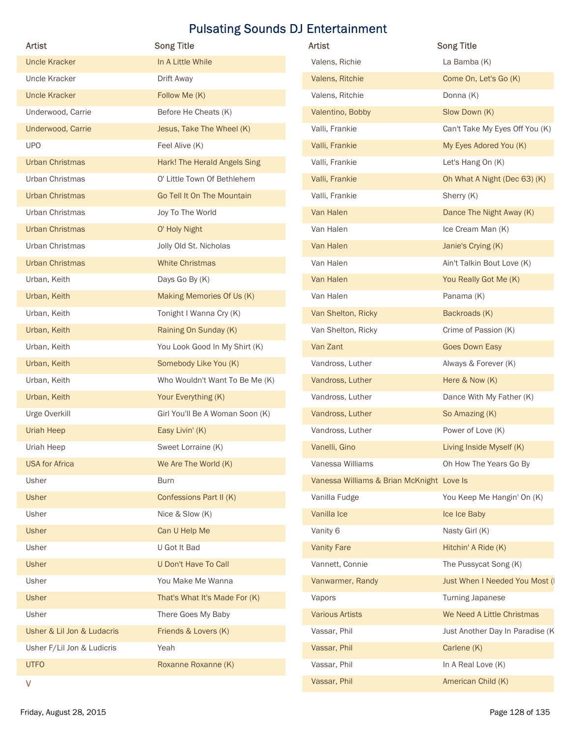|                                 | <b>Pulsating Sounds DJ Entertainment</b>                    |                                           |                                                   |
|---------------------------------|-------------------------------------------------------------|-------------------------------------------|---------------------------------------------------|
| Artist                          | <b>Song Title</b>                                           | Artist                                    | <b>Song Title</b>                                 |
| <b>Uncle Kracker</b>            | In A Little While                                           | Valens, Richie                            | La Bamba (K)                                      |
| Uncle Kracker                   | Drift Away                                                  | Valens, Ritchie                           | Come On, Let's Go (K)                             |
| <b>Uncle Kracker</b>            | Follow Me (K)                                               | Valens, Ritchie                           | Donna (K)                                         |
| Underwood, Carrie               | Before He Cheats (K)                                        | Valentino, Bobby                          | Slow Down (K)                                     |
| Underwood, Carrie<br><b>UPO</b> | Jesus, Take The Wheel (K)                                   | Valli, Frankie                            | Can't Take My Eyes Off You (K)                    |
| <b>Urban Christmas</b>          | Feel Alive (K)                                              | Valli, Frankie                            | My Eyes Adored You (K)                            |
| Urban Christmas                 | Hark! The Herald Angels Sing<br>O' Little Town Of Bethlehem | Valli, Frankie<br>Valli, Frankie          | Let's Hang On (K)<br>Oh What A Night (Dec 63) (K) |
| <b>Urban Christmas</b>          | Go Tell It On The Mountain                                  | Valli, Frankie                            | Sherry (K)                                        |
| Urban Christmas                 | Joy To The World                                            | Van Halen                                 | Dance The Night Away (K)                          |
| <b>Urban Christmas</b>          | O' Holy Night                                               | Van Halen                                 | Ice Cream Man (K)                                 |
| Urban Christmas                 | Jolly Old St. Nicholas                                      | Van Halen                                 | Janie's Crying (K)                                |
| <b>Urban Christmas</b>          | <b>White Christmas</b>                                      | Van Halen                                 | Ain't Talkin Bout Love (K)                        |
| Urban, Keith                    | Days Go By (K)                                              | Van Halen                                 | You Really Got Me (K)                             |
| Urban, Keith                    | Making Memories Of Us (K)                                   | Van Halen                                 | Panama (K)                                        |
| Urban, Keith                    | Tonight I Wanna Cry (K)                                     | Van Shelton, Ricky                        | Backroads (K)                                     |
| Urban, Keith                    | Raining On Sunday (K)                                       | Van Shelton, Ricky                        | Crime of Passion (K)                              |
| Urban, Keith                    | You Look Good In My Shirt (K)                               | Van Zant                                  | <b>Goes Down Easy</b>                             |
| Urban, Keith                    | Somebody Like You (K)                                       | Vandross, Luther                          | Always & Forever (K)                              |
| Urban, Keith                    | Who Wouldn't Want To Be Me (K)                              | Vandross, Luther                          | Here & Now (K)                                    |
| Urban, Keith                    | Your Everything (K)                                         | Vandross, Luther                          | Dance With My Father (K)                          |
| Urge Overkill                   | Girl You'll Be A Woman Soon (K)                             | Vandross, Luther                          | So Amazing (K)                                    |
| <b>Uriah Heep</b>               | Easy Livin' (K)                                             | Vandross, Luther                          | Power of Love (K)                                 |
| Uriah Heep                      | Sweet Lorraine (K)                                          | Vanelli, Gino                             | Living Inside Myself (K)                          |
| <b>USA</b> for Africa           | We Are The World (K)                                        | Vanessa Williams                          | Oh How The Years Go By                            |
| Usher                           | <b>Burn</b>                                                 | Vanessa Williams & Brian McKnight Love Is |                                                   |
| Usher                           | Confessions Part II (K)                                     | Vanilla Fudge                             | You Keep Me Hangin' On (K)                        |
| Usher                           | Nice & Slow (K)                                             | Vanilla Ice                               | Ice Ice Baby                                      |
| Usher                           | Can U Help Me                                               | Vanity 6                                  | Nasty Girl (K)                                    |
| Usher                           | U Got It Bad                                                | <b>Vanity Fare</b>                        | Hitchin' A Ride (K)                               |
| Usher                           | U Don't Have To Call                                        | Vannett, Connie                           | The Pussycat Song (K)                             |
| Usher                           | You Make Me Wanna                                           | Vanwarmer, Randy                          | Just When I Needed You Most (I                    |
| Usher                           | That's What It's Made For (K)                               | Vapors                                    | <b>Turning Japanese</b>                           |
| Usher                           | There Goes My Baby                                          | <b>Various Artists</b>                    | We Need A Little Christmas                        |
| Usher & Lil Jon & Ludacris      | Friends & Lovers (K)                                        | Vassar, Phil                              | Just Another Day In Paradise (K                   |
| Usher F/Lil Jon & Ludicris      | Yeah                                                        | Vassar, Phil                              | Carlene (K)                                       |
| <b>UTFO</b>                     | Roxanne Roxanne (K)                                         | Vassar, Phil                              | In A Real Love (K)                                |
|                                 |                                                             |                                           |                                                   |

| Artist                     | <b>Song Title</b>               | Artist                                    | <b>Song Title</b>               |
|----------------------------|---------------------------------|-------------------------------------------|---------------------------------|
| <b>Uncle Kracker</b>       | In A Little While               | Valens, Richie                            | La Bamba (K)                    |
| Uncle Kracker              | Drift Away                      | Valens, Ritchie                           | Come On, Let's Go (K)           |
| <b>Uncle Kracker</b>       | Follow Me (K)                   | Valens, Ritchie                           | Donna (K)                       |
| Underwood, Carrie          | Before He Cheats (K)            | Valentino, Bobby                          | Slow Down (K)                   |
| Underwood, Carrie          | Jesus, Take The Wheel (K)       | Valli, Frankie                            | Can't Take My Eyes Off You (K)  |
| <b>UPO</b>                 | Feel Alive (K)                  | Valli, Frankie                            | My Eyes Adored You (K)          |
| <b>Urban Christmas</b>     | Hark! The Herald Angels Sing    | Valli, Frankie                            | Let's Hang On (K)               |
| Urban Christmas            | O' Little Town Of Bethlehem     | Valli, Frankie                            | Oh What A Night (Dec 63) (K)    |
| <b>Urban Christmas</b>     | Go Tell It On The Mountain      | Valli, Frankie                            | Sherry (K)                      |
| Urban Christmas            | Joy To The World                | Van Halen                                 | Dance The Night Away (K)        |
| <b>Urban Christmas</b>     | O' Holy Night                   | Van Halen                                 | Ice Cream Man (K)               |
| Urban Christmas            | Jolly Old St. Nicholas          | Van Halen                                 | Janie's Crying (K)              |
| <b>Urban Christmas</b>     | <b>White Christmas</b>          | Van Halen                                 | Ain't Talkin Bout Love (K)      |
| Urban, Keith               | Days Go By (K)                  | Van Halen                                 | You Really Got Me (K)           |
| Urban, Keith               | Making Memories Of Us (K)       | Van Halen                                 | Panama (K)                      |
| Urban, Keith               | Tonight I Wanna Cry (K)         | Van Shelton, Ricky                        | Backroads (K)                   |
| Urban, Keith               | Raining On Sunday (K)           | Van Shelton, Ricky                        | Crime of Passion (K)            |
| Urban, Keith               | You Look Good In My Shirt (K)   | Van Zant                                  | <b>Goes Down Easy</b>           |
| Urban, Keith               | Somebody Like You (K)           | Vandross, Luther                          | Always & Forever (K)            |
| Urban, Keith               | Who Wouldn't Want To Be Me (K)  | Vandross, Luther                          | Here & Now (K)                  |
| Urban, Keith               | Your Everything (K)             | Vandross, Luther                          | Dance With My Father (K)        |
| Urge Overkill              | Girl You'll Be A Woman Soon (K) | Vandross, Luther                          | So Amazing (K)                  |
| Uriah Heep                 | Easy Livin' (K)                 | Vandross, Luther                          | Power of Love (K)               |
| Uriah Heep                 | Sweet Lorraine (K)              | Vanelli, Gino                             | Living Inside Myself (K)        |
| <b>USA for Africa</b>      | We Are The World (K)            | Vanessa Williams                          | Oh How The Years Go By          |
| Usher                      | <b>Burn</b>                     | Vanessa Williams & Brian McKnight Love Is |                                 |
| <b>Usher</b>               | Confessions Part II (K)         | Vanilla Fudge                             | You Keep Me Hangin' On (K)      |
| Usher                      | Nice & Slow (K)                 | Vanilla Ice                               | Ice Ice Baby                    |
| <b>Usher</b>               | Can U Help Me                   | Vanity 6                                  | Nasty Girl (K)                  |
| Usher                      | U Got It Bad                    | <b>Vanity Fare</b>                        | Hitchin' A Ride (K)             |
| <b>Usher</b>               | U Don't Have To Call            | Vannett, Connie                           | The Pussycat Song (K)           |
| Usher                      | You Make Me Wanna               | Vanwarmer, Randy                          | Just When I Needed You Most (I  |
| <b>Usher</b>               | That's What It's Made For (K)   | Vapors                                    | <b>Turning Japanese</b>         |
| Usher                      | There Goes My Baby              | <b>Various Artists</b>                    | We Need A Little Christmas      |
| Usher & Lil Jon & Ludacris | Friends & Lovers (K)            | Vassar, Phil                              | Just Another Day In Paradise (K |
| Usher F/Lil Jon & Ludicris | Yeah                            | Vassar, Phil                              | Carlene (K)                     |
| <b>UTFO</b>                | Roxanne Roxanne (K)             | Vassar, Phil                              | In A Real Love (K)              |
| ٧                          |                                 | Vassar, Phil                              | American Child (K)              |
| Friday, August 28, 2015    |                                 |                                           | Page 128 of 135                 |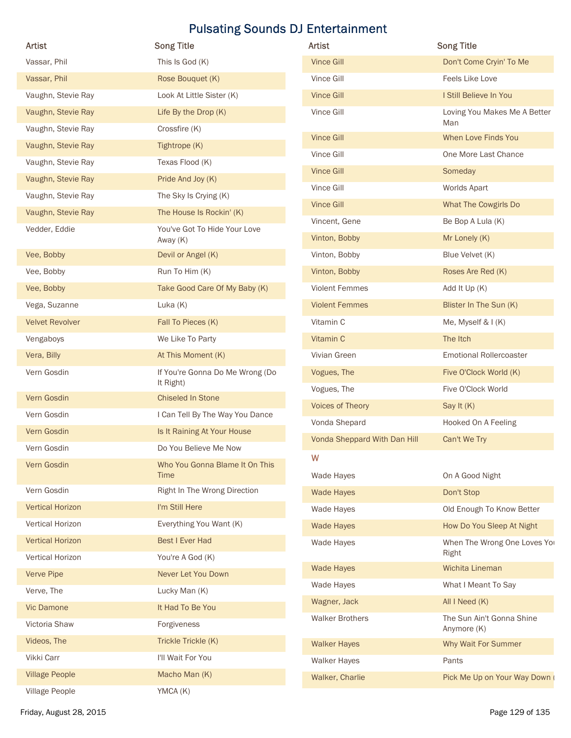| Artist                  | <b>Song Title</b>                            | <b>Pulsating Sounds DJ Entertainment</b><br>Artist | <b>Song Title</b>                            |
|-------------------------|----------------------------------------------|----------------------------------------------------|----------------------------------------------|
| Vassar, Phil            | This Is God (K)                              | <b>Vince Gill</b>                                  | Don't Come Cryin' To Me                      |
| Vassar, Phil            | Rose Bouquet (K)                             | Vince Gill                                         | Feels Like Love                              |
| Vaughn, Stevie Ray      | Look At Little Sister (K)                    | <b>Vince Gill</b>                                  | I Still Believe In You                       |
| Vaughn, Stevie Ray      | Life By the Drop (K)                         | Vince Gill                                         | Loving You Makes Me A Better<br>Man          |
| Vaughn, Stevie Ray      | Crossfire (K)                                | <b>Vince Gill</b>                                  | When Love Finds You                          |
| Vaughn, Stevie Ray      | Tightrope (K)                                | Vince Gill                                         | One More Last Chance                         |
| Vaughn, Stevie Ray      | Texas Flood (K)                              | <b>Vince Gill</b>                                  | Someday                                      |
| Vaughn, Stevie Ray      | Pride And Joy (K)                            | Vince Gill                                         | Worlds Apart                                 |
| Vaughn, Stevie Ray      | The Sky Is Crying (K)                        | <b>Vince Gill</b>                                  | What The Cowgirls Do                         |
| Vaughn, Stevie Ray      | The House Is Rockin' (K)                     | Vincent, Gene                                      | Be Bop A Lula (K)                            |
| Vedder, Eddie           | You've Got To Hide Your Love<br>Away (K)     | Vinton, Bobby                                      | Mr Lonely (K)                                |
| Vee, Bobby              | Devil or Angel (K)                           | Vinton, Bobby                                      | Blue Velvet (K)                              |
| Vee, Bobby              | Run To Him (K)                               | Vinton, Bobby                                      | Roses Are Red (K)                            |
| Vee, Bobby              | Take Good Care Of My Baby (K)                | <b>Violent Femmes</b>                              | Add It Up (K)                                |
| Vega, Suzanne           | Luka (K)                                     | <b>Violent Femmes</b>                              | Blister In The Sun (K)                       |
| <b>Velvet Revolver</b>  | Fall To Pieces (K)                           | Vitamin C                                          | Me, Myself & I (K)                           |
| Vengaboys               | We Like To Party                             | Vitamin C                                          | The Itch                                     |
| Vera, Billy             | At This Moment (K)                           | Vivian Green                                       | <b>Emotional Rollercoaster</b>               |
| Vern Gosdin             | If You're Gonna Do Me Wrong (Do<br>It Right) | Vogues, The<br>Vogues, The                         | Five O'Clock World (K)<br>Five O'Clock World |
| Vern Gosdin             | <b>Chiseled In Stone</b>                     | <b>Voices of Theory</b>                            | Say It (K)                                   |
| Vern Gosdin             | I Can Tell By The Way You Dance              | Vonda Shepard                                      | Hooked On A Feeling                          |
| Vern Gosdin             | Is It Raining At Your House                  | Vonda Sheppard With Dan Hill                       | Can't We Try                                 |
| Vern Gosdin             | Do You Believe Me Now                        | W                                                  |                                              |
| Vern Gosdin             | Who You Gonna Blame It On This<br>Time       | Wade Hayes                                         | On A Good Night                              |
| Vern Gosdin             | Right In The Wrong Direction                 | <b>Wade Hayes</b>                                  | Don't Stop                                   |
| <b>Vertical Horizon</b> | I'm Still Here                               | Wade Hayes                                         | Old Enough To Know Better                    |
| Vertical Horizon        | Everything You Want (K)                      | <b>Wade Hayes</b>                                  | How Do You Sleep At Night                    |
| <b>Vertical Horizon</b> | Best I Ever Had                              | Wade Hayes                                         | When The Wrong One Loves You                 |
| Vertical Horizon        | You're A God (K)                             |                                                    | Right                                        |
| Verve Pipe              | Never Let You Down                           | Wade Hayes                                         | Wichita Lineman                              |
| Verve, The              | Lucky Man (K)                                | Wade Hayes                                         | What I Meant To Say                          |
| Vic Damone              | It Had To Be You                             | Wagner, Jack                                       | All I Need (K)                               |
| Victoria Shaw           | Forgiveness                                  | <b>Walker Brothers</b>                             | The Sun Ain't Gonna Shine<br>Anymore (K)     |
| Videos, The             | Trickle Trickle (K)                          | <b>Walker Hayes</b>                                | Why Wait For Summer                          |
| Vikki Carr              | I'll Wait For You                            | Walker Hayes                                       | Pants                                        |
| <b>Village People</b>   | Macho Man (K)                                | Walker, Charlie                                    | Pick Me Up on Your Way Down                  |
|                         |                                              |                                                    |                                              |

| <b>Artist</b>                | <b>Song Title</b>                        |
|------------------------------|------------------------------------------|
| <b>Vince Gill</b>            | Don't Come Cryin' To Me                  |
| Vince Gill                   | Feels Like Love                          |
| <b>Vince Gill</b>            | I Still Believe In You                   |
| Vince Gill                   | Loving You Makes Me A Better<br>Man      |
| <b>Vince Gill</b>            | When Love Finds You                      |
| Vince Gill                   | One More Last Chance                     |
| <b>Vince Gill</b>            | Someday                                  |
| Vince Gill                   | Worlds Apart                             |
| <b>Vince Gill</b>            | What The Cowgirls Do                     |
| Vincent, Gene                | Be Bop A Lula (K)                        |
| Vinton, Bobby                | Mr Lonely (K)                            |
| Vinton, Bobby                | Blue Velvet (K)                          |
| Vinton, Bobby                | Roses Are Red (K)                        |
| <b>Violent Femmes</b>        | Add It Up (K)                            |
| <b>Violent Femmes</b>        | Blister In The Sun (K)                   |
| Vitamin C                    | Me, Myself & I (K)                       |
| Vitamin C                    | The Itch                                 |
| Vivian Green                 | <b>Emotional Rollercoaster</b>           |
| Vogues, The                  | Five O'Clock World (K)                   |
| Vogues, The                  | Five O'Clock World                       |
| Voices of Theory             | Say It (K)                               |
| Vonda Shepard                | Hooked On A Feeling                      |
| Vonda Sheppard With Dan Hill | Can't We Try                             |
| W                            |                                          |
| Wade Hayes                   | On A Good Night                          |
| <b>Wade Hayes</b>            | Don't Stop                               |
| Wade Hayes                   | Old Enough To Know Better                |
| <b>Wade Hayes</b>            | How Do You Sleep At Night                |
| Wade Hayes                   | When The Wrong One Loves Yor<br>Right    |
| <b>Wade Hayes</b>            | Wichita Lineman                          |
| Wade Hayes                   | What I Meant To Say                      |
| Wagner, Jack                 | All I Need (K)                           |
| <b>Walker Brothers</b>       | The Sun Ain't Gonna Shine<br>Anymore (K) |
| <b>Walker Hayes</b>          | Why Wait For Summer                      |
| <b>Walker Hayes</b>          | Pants                                    |
| Walker, Charlie              | Pick Me Up on Your Way Down (            |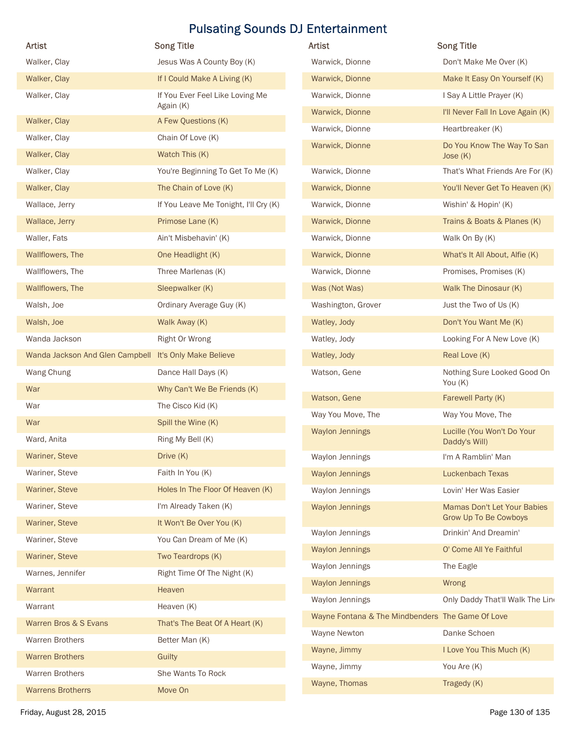|                                                        | <b>Song Title</b>                        | Artist                                           | <b>Song Title</b>                             |
|--------------------------------------------------------|------------------------------------------|--------------------------------------------------|-----------------------------------------------|
| Walker, Clay                                           | Jesus Was A County Boy (K)               | Warwick, Dionne                                  | Don't Make Me Over (K)                        |
| Walker, Clay                                           | If I Could Make A Living (K)             | Warwick, Dionne                                  | Make It Easy On Yourself (K)                  |
| Walker, Clay                                           | If You Ever Feel Like Loving Me          | Warwick, Dionne                                  | I Say A Little Prayer (K)                     |
|                                                        | Again (K)                                | Warwick, Dionne                                  | I'll Never Fall In Love Again (K)             |
| Walker, Clay<br>Walker, Clay                           | A Few Questions (K)<br>Chain Of Love (K) | Warwick, Dionne                                  | Heartbreaker (K)                              |
| Walker, Clay                                           | Watch This (K)                           | Warwick, Dionne                                  | Do You Know The Way To San                    |
| Walker, Clay                                           | You're Beginning To Get To Me (K)        | Warwick, Dionne                                  | Jose $(K)$<br>That's What Friends Are For (K) |
| Walker, Clay                                           | The Chain of Love (K)                    | Warwick, Dionne                                  | You'll Never Get To Heaven (K)                |
| Wallace, Jerry                                         | If You Leave Me Tonight, I'll Cry (K)    | Warwick, Dionne                                  | Wishin' & Hopin' (K)                          |
| Wallace, Jerry                                         | Primose Lane (K)                         | Warwick, Dionne                                  | Trains & Boats & Planes (K)                   |
| Waller, Fats                                           | Ain't Misbehavin' (K)                    | Warwick, Dionne                                  | Walk On By (K)                                |
| Wallflowers, The                                       | One Headlight (K)                        | Warwick, Dionne                                  | What's It All About, Alfie (K)                |
| Wallflowers, The                                       | Three Marlenas (K)                       | Warwick, Dionne                                  | Promises, Promises (K)                        |
| Wallflowers, The                                       | Sleepwalker (K)                          | Was (Not Was)                                    | Walk The Dinosaur (K)                         |
| Walsh, Joe                                             | Ordinary Average Guy (K)                 | Washington, Grover                               | Just the Two of Us (K)                        |
| Walsh, Joe                                             | Walk Away (K)                            | Watley, Jody                                     | Don't You Want Me (K)                         |
| Wanda Jackson                                          | Right Or Wrong                           | Watley, Jody                                     | Looking For A New Love (K)                    |
| Wanda Jackson And Glen Campbell It's Only Make Believe |                                          | Watley, Jody                                     | Real Love (K)                                 |
| Wang Chung                                             | Dance Hall Days (K)                      | Watson, Gene                                     | Nothing Sure Looked Good On                   |
| War                                                    | Why Can't We Be Friends (K)              |                                                  | You (K)                                       |
| War                                                    | The Cisco Kid (K)                        | Watson, Gene                                     | Farewell Party (K)                            |
| War                                                    | Spill the Wine (K)                       | Way You Move, The                                | Way You Move, The                             |
| Ward, Anita                                            | Ring My Bell (K)                         | <b>Waylon Jennings</b>                           | Lucille (You Won't Do Your<br>Daddy's Will)   |
| Wariner, Steve                                         | Drive (K)                                | Waylon Jennings                                  | I'm A Ramblin' Man                            |
| Wariner, Steve                                         | Faith In You (K)                         | <b>Waylon Jennings</b>                           | Luckenbach Texas                              |
| Wariner, Steve                                         | Holes In The Floor Of Heaven (K)         | Waylon Jennings                                  | Lovin' Her Was Easier                         |
| Wariner, Steve                                         | I'm Already Taken (K)                    | <b>Waylon Jennings</b>                           | Mamas Don't Let Your Babies                   |
| Wariner, Steve                                         | It Won't Be Over You (K)                 |                                                  | Grow Up To Be Cowboys                         |
| Wariner, Steve                                         | You Can Dream of Me (K)                  | Waylon Jennings                                  | Drinkin' And Dreamin'                         |
| Wariner, Steve                                         | Two Teardrops (K)                        | <b>Waylon Jennings</b>                           | O' Come All Ye Faithful                       |
| Warnes, Jennifer                                       | Right Time Of The Night (K)              | Waylon Jennings                                  | The Eagle                                     |
| Warrant                                                | Heaven                                   | <b>Waylon Jennings</b>                           | Wrong                                         |
| Warrant                                                | Heaven (K)                               | Waylon Jennings                                  | Only Daddy That'll Walk The Lind              |
| Warren Bros & S Evans                                  | That's The Beat Of A Heart (K)           | Wayne Fontana & The Mindbenders The Game Of Love |                                               |
| Warren Brothers                                        | Better Man (K)                           | Wayne Newton                                     | Danke Schoen                                  |
| <b>Warren Brothers</b>                                 | Guilty                                   | Wayne, Jimmy                                     | I Love You This Much (K)                      |
| <b>Warren Brothers</b>                                 | She Wants To Rock                        | Wayne, Jimmy                                     | You Are (K)                                   |
|                                                        | Move On                                  | Wayne, Thomas                                    | Tragedy (K)                                   |

| <b>Artist</b>                                    | <b>Song Title</b>                                           |
|--------------------------------------------------|-------------------------------------------------------------|
| Warwick, Dionne                                  | Don't Make Me Over (K)                                      |
| Warwick, Dionne                                  | Make It Easy On Yourself (K)                                |
| Warwick, Dionne                                  | I Say A Little Prayer (K)                                   |
| Warwick, Dionne                                  | I'll Never Fall In Love Again (K)                           |
| Warwick, Dionne                                  | Heartbreaker (K)                                            |
| Warwick, Dionne                                  | Do You Know The Way To San<br>Jose $(K)$                    |
| Warwick, Dionne                                  | That's What Friends Are For (K)                             |
| Warwick, Dionne                                  | You'll Never Get To Heaven (K)                              |
| Warwick, Dionne                                  | Wishin' & Hopin' (K)                                        |
| Warwick, Dionne                                  | Trains & Boats & Planes (K)                                 |
| Warwick, Dionne                                  | Walk On By (K)                                              |
| Warwick, Dionne                                  | What's It All About, Alfie (K)                              |
| Warwick, Dionne                                  | Promises, Promises (K)                                      |
| Was (Not Was)                                    | Walk The Dinosaur (K)                                       |
| Washington, Grover                               | Just the Two of Us (K)                                      |
| Watley, Jody                                     | Don't You Want Me (K)                                       |
| Watley, Jody                                     | Looking For A New Love (K)                                  |
| Watley, Jody                                     | Real Love (K)                                               |
| Watson, Gene                                     | Nothing Sure Looked Good On<br>You $(K)$                    |
| Watson, Gene                                     | Farewell Party (K)                                          |
| Way You Move, The                                | Way You Move, The                                           |
| <b>Waylon Jennings</b>                           | Lucille (You Won't Do Your<br>Daddy's Will)                 |
| Waylon Jennings                                  | I'm A Ramblin' Man                                          |
| <b>Waylon Jennings</b>                           | <b>Luckenbach Texas</b>                                     |
| Waylon Jennings                                  | Lovin' Her Was Easier                                       |
| <b>Waylon Jennings</b>                           | Mamas Don't Let Your Babies<br><b>Grow Up To Be Cowboys</b> |
| Waylon Jennings                                  | Drinkin' And Dreamin'                                       |
| <b>Waylon Jennings</b>                           | O' Come All Ye Faithful                                     |
| Waylon Jennings                                  | The Eagle                                                   |
| <b>Waylon Jennings</b>                           | Wrong                                                       |
| Waylon Jennings                                  | Only Daddy That'll Walk The Lind                            |
| Wayne Fontana & The Mindbenders The Game Of Love |                                                             |
| Wayne Newton                                     | Danke Schoen                                                |
| Wayne, Jimmy                                     | I Love You This Much (K)                                    |
| Wayne, Jimmy                                     | You Are (K)                                                 |
| Wayne, Thomas                                    | Tragedy (K)                                                 |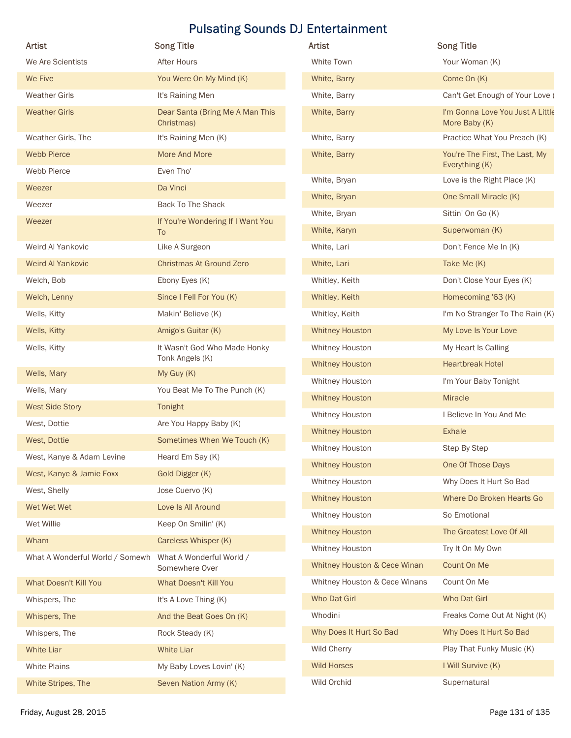|                                                          | <b>Pulsating Sounds DJ Entertainment</b>      |                                                 |                                                   |
|----------------------------------------------------------|-----------------------------------------------|-------------------------------------------------|---------------------------------------------------|
| Artist                                                   | <b>Song Title</b>                             | Artist                                          | <b>Song Title</b>                                 |
| We Are Scientists                                        | After Hours                                   | White Town                                      | Your Woman (K)                                    |
| We Five                                                  | You Were On My Mind (K)                       | White, Barry                                    | Come On (K)                                       |
| <b>Weather Girls</b>                                     | It's Raining Men                              | White, Barry                                    | Can't Get Enough of Your Love (                   |
| <b>Weather Girls</b>                                     | Dear Santa (Bring Me A Man This<br>Christmas) | White, Barry                                    | I'm Gonna Love You Just A Little<br>More Baby (K) |
| Weather Girls, The                                       | It's Raining Men (K)                          | White, Barry                                    | Practice What You Preach (K)                      |
| <b>Webb Pierce</b>                                       | More And More                                 | White, Barry                                    | You're The First, The Last, My                    |
| Webb Pierce                                              | Even Tho'                                     | White, Bryan                                    | Everything (K)<br>Love is the Right Place (K)     |
| Weezer                                                   | Da Vinci                                      | White, Bryan                                    | One Small Miracle (K)                             |
| Weezer                                                   | <b>Back To The Shack</b>                      | White, Bryan                                    | Sittin' On Go (K)                                 |
| Weezer                                                   | If You're Wondering If I Want You<br>To       | White, Karyn                                    | Superwoman (K)                                    |
| Weird Al Yankovic                                        | Like A Surgeon                                | White, Lari                                     | Don't Fence Me In (K)                             |
| Weird Al Yankovic                                        | <b>Christmas At Ground Zero</b>               | White, Lari                                     | Take Me (K)                                       |
| Welch, Bob                                               | Ebony Eyes (K)                                | Whitley, Keith                                  | Don't Close Your Eyes (K)                         |
| Welch, Lenny                                             | Since I Fell For You (K)                      | Whitley, Keith                                  | Homecoming '63 (K)                                |
| Wells, Kitty                                             | Makin' Believe (K)                            | Whitley, Keith                                  | I'm No Stranger To The Rain (K)                   |
| Wells, Kitty                                             | Amigo's Guitar (K)                            | <b>Whitney Houston</b>                          | My Love Is Your Love                              |
| Wells, Kitty                                             | It Wasn't God Who Made Honky                  | Whitney Houston                                 | My Heart Is Calling                               |
|                                                          | Tonk Angels (K)                               | <b>Whitney Houston</b>                          | <b>Heartbreak Hotel</b>                           |
| Wells, Mary                                              | My Guy (K)                                    | Whitney Houston                                 | I'm Your Baby Tonight                             |
| Wells, Mary                                              | You Beat Me To The Punch (K)                  | <b>Whitney Houston</b>                          | Miracle                                           |
| <b>West Side Story</b>                                   | Tonight                                       | Whitney Houston                                 | I Believe In You And Me                           |
| West, Dottie                                             | Are You Happy Baby (K)                        |                                                 |                                                   |
| West, Dottie                                             | Sometimes When We Touch (K)                   | <b>Whitney Houston</b>                          | <b>Exhale</b>                                     |
| West, Kanye & Adam Levine                                | Heard Em Say (K)                              | Whitney Houston                                 | Step By Step                                      |
| West, Kanye & Jamie Foxx                                 | Gold Digger (K)                               | <b>Whitney Houston</b>                          | One Of Those Days                                 |
| West, Shelly                                             | Jose Cuervo (K)                               | Whitney Houston                                 | Why Does It Hurt So Bad                           |
| Wet Wet Wet                                              | Love Is All Around                            | <b>Whitney Houston</b>                          | Where Do Broken Hearts Go                         |
| Wet Willie                                               | Keep On Smilin' (K)                           | Whitney Houston                                 | So Emotional                                      |
| Wham                                                     | Careless Whisper (K)                          | <b>Whitney Houston</b>                          | The Greatest Love Of All                          |
| What A Wonderful World / Somewh What A Wonderful World / | Somewhere Over                                | Whitney Houston<br>Whitney Houston & Cece Winan | Try It On My Own<br>Count On Me                   |
| What Doesn't Kill You                                    | What Doesn't Kill You                         | Whitney Houston & Cece Winans                   | Count On Me                                       |
| Whispers, The                                            | It's A Love Thing (K)                         | Who Dat Girl                                    | Who Dat Girl                                      |
| Whispers, The                                            | And the Beat Goes On (K)                      | Whodini                                         | Freaks Come Out At Night (K)                      |
| Whispers, The                                            | Rock Steady (K)                               | Why Does It Hurt So Bad                         | Why Does It Hurt So Bad                           |
| <b>White Liar</b>                                        | White Liar                                    | Wild Cherry                                     | Play That Funky Music (K)                         |
| White Plains                                             | My Baby Loves Lovin' (K)                      | <b>Wild Horses</b>                              | I Will Survive (K)                                |
| White Stripes, The                                       |                                               | Wild Orchid                                     | Supernatural                                      |
|                                                          | Seven Nation Army (K)                         |                                                 |                                                   |

| Artist                        | <b>Song Title</b>                                 |
|-------------------------------|---------------------------------------------------|
| White Town                    | Your Woman (K)                                    |
| White, Barry                  | Come On (K)                                       |
| White, Barry                  | Can't Get Enough of Your Love (                   |
| White, Barry                  | I'm Gonna Love You Just A Little<br>More Baby (K) |
| White, Barry                  | Practice What You Preach (K)                      |
| White, Barry                  | You're The First, The Last, My<br>Everything (K)  |
| White, Bryan                  | Love is the Right Place (K)                       |
| White, Bryan                  | One Small Miracle (K)                             |
| White, Bryan                  | Sittin' On Go (K)                                 |
| White, Karyn                  | Superwoman (K)                                    |
| White, Lari                   | Don't Fence Me In (K)                             |
| White, Lari                   | Take Me (K)                                       |
| Whitley, Keith                | Don't Close Your Eyes (K)                         |
| Whitley, Keith                | Homecoming '63 (K)                                |
| Whitley, Keith                | I'm No Stranger To The Rain (K)                   |
| <b>Whitney Houston</b>        | My Love Is Your Love                              |
| Whitney Houston               | My Heart Is Calling                               |
| <b>Whitney Houston</b>        | <b>Heartbreak Hotel</b>                           |
| Whitney Houston               | I'm Your Baby Tonight                             |
| <b>Whitney Houston</b>        | <b>Miracle</b>                                    |
| Whitney Houston               | I Believe In You And Me                           |
| <b>Whitney Houston</b>        | <b>Exhale</b>                                     |
| Whitney Houston               | Step By Step                                      |
| <b>Whitney Houston</b>        | One Of Those Days                                 |
| Whitney Houston               | Why Does It Hurt So Bad                           |
| <b>Whitney Houston</b>        | Where Do Broken Hearts Go                         |
| Whitney Houston               | So Emotional                                      |
| <b>Whitney Houston</b>        | The Greatest Love Of All                          |
| Whitney Houston               | Try It On My Own                                  |
| Whitney Houston & Cece Winan  | Count On Me                                       |
| Whitney Houston & Cece Winans | Count On Me                                       |
| Who Dat Girl                  | Who Dat Girl                                      |
| Whodini                       | Freaks Come Out At Night (K)                      |
| Why Does It Hurt So Bad       | Why Does It Hurt So Bad                           |
| Wild Cherry                   | Play That Funky Music (K)                         |
| <b>Wild Horses</b>            | I Will Survive (K)                                |
| Wild Orchid                   | Supernatural                                      |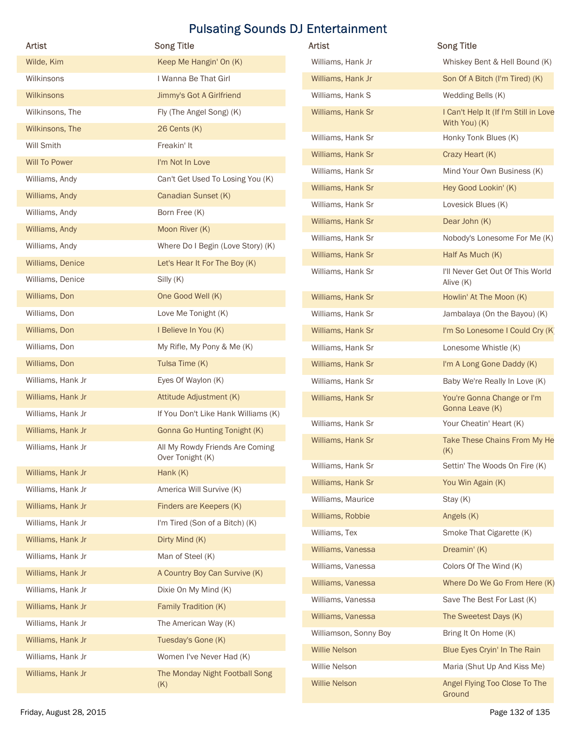| Artist                  | <b>Pulsating Sounds DJ Entertainment</b><br><b>Song Title</b> | Artist                | <b>Song Title</b>                             |
|-------------------------|---------------------------------------------------------------|-----------------------|-----------------------------------------------|
| Wilde, Kim              | Keep Me Hangin' On (K)                                        | Williams, Hank Jr     | Whiskey Bent & Hell Bound (K)                 |
| Wilkinsons              | I Wanna Be That Girl                                          | Williams, Hank Jr     | Son Of A Bitch (I'm Tired) (K)                |
| Wilkinsons              | Jimmy's Got A Girlfriend                                      | Williams, Hank S      | Wedding Bells (K)                             |
| Wilkinsons, The         | Fly (The Angel Song) (K)                                      | Williams, Hank Sr     | I Can't Help It (If I'm Still in Love         |
| Wilkinsons, The         | $26$ Cents $(K)$                                              |                       | With You) (K)                                 |
| Will Smith              | Freakin' It                                                   | Williams, Hank Sr     | Honky Tonk Blues (K)                          |
| <b>Will To Power</b>    | I'm Not In Love                                               | Williams, Hank Sr     | Crazy Heart (K)                               |
| Williams, Andy          | Can't Get Used To Losing You (K)                              | Williams, Hank Sr     | Mind Your Own Business (K)                    |
| Williams, Andy          | Canadian Sunset (K)                                           | Williams, Hank Sr     | Hey Good Lookin' (K)                          |
| Williams, Andy          | Born Free (K)                                                 | Williams, Hank Sr     | Lovesick Blues (K)                            |
| Williams, Andy          | Moon River (K)                                                | Williams, Hank Sr     | Dear John (K)                                 |
| Williams, Andy          | Where Do I Begin (Love Story) (K)                             | Williams, Hank Sr     | Nobody's Lonesome For Me (K)                  |
| Williams, Denice        | Let's Hear It For The Boy (K)                                 | Williams, Hank Sr     | Half As Much (K)                              |
| Williams, Denice        | Silly (K)                                                     | Williams, Hank Sr     | I'll Never Get Out Of This World<br>Alive (K) |
| Williams, Don           | One Good Well (K)                                             | Williams, Hank Sr     | Howlin' At The Moon (K)                       |
| Williams, Don           | Love Me Tonight (K)                                           | Williams, Hank Sr     | Jambalaya (On the Bayou) (K)                  |
| Williams, Don           | I Believe In You (K)                                          | Williams, Hank Sr     | I'm So Lonesome I Could Cry (K)               |
| Williams, Don           | My Rifle, My Pony & Me (K)                                    | Williams, Hank Sr     | Lonesome Whistle (K)                          |
| Williams, Don           | Tulsa Time (K)                                                | Williams, Hank Sr     | I'm A Long Gone Daddy (K)                     |
| Williams, Hank Jr       | Eyes Of Waylon (K)                                            | Williams, Hank Sr     | Baby We're Really In Love (K)                 |
| Williams, Hank Jr       | Attitude Adjustment (K)                                       | Williams, Hank Sr     | You're Gonna Change or I'm                    |
| Williams, Hank Jr       | If You Don't Like Hank Williams (K)                           |                       | Gonna Leave (K)                               |
| Williams, Hank Jr       | <b>Gonna Go Hunting Tonight (K)</b>                           | Williams, Hank Sr     | Your Cheatin' Heart (K)                       |
| Williams, Hank Jr       | All My Rowdy Friends Are Coming<br>Over Tonight (K)           | Williams, Hank Sr     | Take These Chains From My He<br>(K)           |
| Williams, Hank Jr       | Hank $(K)$                                                    | Williams, Hank Sr     | Settin' The Woods On Fire (K)                 |
| Williams, Hank Jr       | America Will Survive (K)                                      | Williams, Hank Sr     | You Win Again (K)                             |
| Williams, Hank Jr       | Finders are Keepers (K)                                       | Williams, Maurice     | Stay (K)                                      |
| Williams, Hank Jr       | I'm Tired (Son of a Bitch) (K)                                | Williams, Robbie      | Angels (K)                                    |
| Williams, Hank Jr       | Dirty Mind (K)                                                | Williams, Tex         | Smoke That Cigarette (K)                      |
| Williams, Hank Jr       | Man of Steel (K)                                              | Williams, Vanessa     | Dreamin' (K)                                  |
| Williams, Hank Jr       | A Country Boy Can Survive (K)                                 | Williams, Vanessa     | Colors Of The Wind (K)                        |
| Williams, Hank Jr       | Dixie On My Mind (K)                                          | Williams, Vanessa     | Where Do We Go From Here (K)                  |
| Williams, Hank Jr       | Family Tradition (K)                                          | Williams, Vanessa     | Save The Best For Last (K)                    |
| Williams, Hank Jr       | The American Way (K)                                          | Williams, Vanessa     | The Sweetest Days (K)                         |
| Williams, Hank Jr       | Tuesday's Gone (K)                                            | Williamson, Sonny Boy | Bring It On Home (K)                          |
| Williams, Hank Jr       | Women I've Never Had (K)                                      | <b>Willie Nelson</b>  | Blue Eyes Cryin' In The Rain                  |
| Williams, Hank Jr       | The Monday Night Football Song                                | Willie Nelson         | Maria (Shut Up And Kiss Me)                   |
|                         | (K)                                                           | <b>Willie Nelson</b>  | Angel Flying Too Close To The                 |
| Friday, August 28, 2015 |                                                               |                       | Ground<br>Page 132 of 135                     |

| Artist                | <b>Song Title</b>                                      |
|-----------------------|--------------------------------------------------------|
| Williams, Hank Jr     | Whiskey Bent & Hell Bound (K)                          |
| Williams, Hank Jr     | Son Of A Bitch (I'm Tired) (K)                         |
| Williams, Hank S      | Wedding Bells (K)                                      |
| Williams, Hank Sr     | I Can't Help It (If I'm Still in Love<br>With You) (K) |
| Williams, Hank Sr     | Honky Tonk Blues (K)                                   |
| Williams, Hank Sr     | Crazy Heart (K)                                        |
| Williams, Hank Sr     | Mind Your Own Business (K)                             |
| Williams, Hank Sr     | Hey Good Lookin' (K)                                   |
| Williams, Hank Sr     | Lovesick Blues (K)                                     |
| Williams, Hank Sr     | Dear John (K)                                          |
| Williams, Hank Sr     | Nobody's Lonesome For Me (K)                           |
| Williams, Hank Sr     | Half As Much (K)                                       |
| Williams, Hank Sr     | I'll Never Get Out Of This World<br>Alive (K)          |
| Williams, Hank Sr     | Howlin' At The Moon (K)                                |
| Williams, Hank Sr     | Jambalaya (On the Bayou) (K)                           |
| Williams, Hank Sr     | I'm So Lonesome I Could Cry (K)                        |
| Williams, Hank Sr     | Lonesome Whistle (K)                                   |
| Williams, Hank Sr     | I'm A Long Gone Daddy (K)                              |
| Williams, Hank Sr     | Baby We're Really In Love (K)                          |
| Williams, Hank Sr     | You're Gonna Change or I'm<br>Gonna Leave (K)          |
| Williams, Hank Sr     | Your Cheatin' Heart (K)                                |
| Williams, Hank Sr     | Take These Chains From My He<br>(K)                    |
| Williams, Hank Sr     | Settin' The Woods On Fire (K)                          |
| Williams, Hank Sr     | You Win Again (K)                                      |
| Williams, Maurice     | Stay (K)                                               |
| Williams, Robbie      | Angels (K)                                             |
| Williams, Tex         | Smoke That Cigarette (K)                               |
| Williams, Vanessa     | Dreamin' (K)                                           |
| Williams, Vanessa     | Colors Of The Wind (K)                                 |
| Williams, Vanessa     | Where Do We Go From Here (K)                           |
| Williams, Vanessa     | Save The Best For Last (K)                             |
| Williams, Vanessa     | The Sweetest Days (K)                                  |
| Williamson, Sonny Boy | Bring It On Home (K)                                   |
| <b>Willie Nelson</b>  | Blue Eyes Cryin' In The Rain                           |
| Willie Nelson         | Maria (Shut Up And Kiss Me)                            |
| <b>Willie Nelson</b>  | Angel Flying Too Close To The<br>Ground                |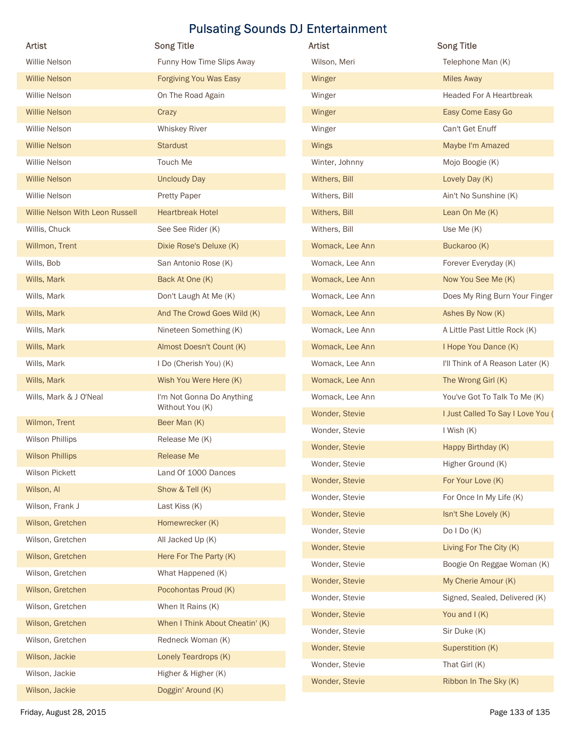|                                 |                                 | <b>Pulsating Sounds DJ Entertainment</b> |                                   |
|---------------------------------|---------------------------------|------------------------------------------|-----------------------------------|
| Artist                          | <b>Song Title</b>               | Artist                                   | <b>Song Title</b>                 |
| Willie Nelson                   | Funny How Time Slips Away       | Wilson, Meri                             | Telephone Man (K)                 |
| <b>Willie Nelson</b>            | <b>Forgiving You Was Easy</b>   | Winger                                   | <b>Miles Away</b>                 |
| Willie Nelson                   | On The Road Again               | Winger                                   | <b>Headed For A Heartbreak</b>    |
| <b>Willie Nelson</b>            | Crazy                           | Winger                                   | Easy Come Easy Go                 |
| Willie Nelson                   | <b>Whiskey River</b>            | Winger                                   | Can't Get Enuff                   |
| <b>Willie Nelson</b>            | <b>Stardust</b>                 | Wings                                    | Maybe I'm Amazed                  |
| Willie Nelson                   | Touch Me                        | Winter, Johnny                           | Mojo Boogie (K)                   |
| <b>Willie Nelson</b>            | <b>Uncloudy Day</b>             | Withers, Bill                            | Lovely Day (K)                    |
| Willie Nelson                   | <b>Pretty Paper</b>             | Withers, Bill                            | Ain't No Sunshine (K)             |
| Willie Nelson With Leon Russell | <b>Heartbreak Hotel</b>         | Withers, Bill                            | Lean On Me (K)                    |
| Willis, Chuck                   | See See Rider (K)               | Withers, Bill                            | Use Me (K)                        |
| Willmon, Trent                  | Dixie Rose's Deluxe (K)         | Womack, Lee Ann                          | Buckaroo (K)                      |
| Wills, Bob                      | San Antonio Rose (K)            | Womack, Lee Ann                          | Forever Everyday (K)              |
| Wills, Mark                     | Back At One (K)                 | Womack, Lee Ann                          | Now You See Me (K)                |
| Wills, Mark                     | Don't Laugh At Me (K)           | Womack, Lee Ann                          | Does My Ring Burn Your Finger     |
| Wills, Mark                     | And The Crowd Goes Wild (K)     | Womack, Lee Ann                          | Ashes By Now (K)                  |
| Wills, Mark                     | Nineteen Something (K)          | Womack, Lee Ann                          | A Little Past Little Rock (K)     |
| Wills, Mark                     | Almost Doesn't Count (K)        | Womack, Lee Ann                          | I Hope You Dance (K)              |
| Wills, Mark                     | I Do (Cherish You) (K)          | Womack, Lee Ann                          | I'll Think of A Reason Later (K)  |
| Wills, Mark                     | Wish You Were Here (K)          | Womack, Lee Ann                          | The Wrong Girl (K)                |
| Wills, Mark & J O'Neal          | I'm Not Gonna Do Anything       | Womack, Lee Ann                          | You've Got To Talk To Me (K)      |
|                                 | Without You (K)                 | Wonder, Stevie                           | I Just Called To Say I Love You ( |
| Wilmon, Trent                   | Beer Man (K)                    | Wonder, Stevie                           | I Wish (K)                        |
| Wilson Phillips                 | Release Me (K)                  | Wonder, Stevie                           | Happy Birthday (K)                |
| <b>Wilson Phillips</b>          | Release Me                      | Wonder, Stevie                           | Higher Ground (K)                 |
| Wilson Pickett                  | Land Of 1000 Dances             | Wonder, Stevie                           | For Your Love (K)                 |
| Wilson, Al                      | Show & Tell (K)                 | Wonder, Stevie                           | For Once In My Life (K)           |
| Wilson, Frank J                 | Last Kiss (K)                   | Wonder, Stevie                           | Isn't She Lovely (K)              |
| Wilson, Gretchen                | Homewrecker (K)                 | Wonder, Stevie                           | Do $I$ Do $(K)$                   |
| Wilson, Gretchen                | All Jacked Up (K)               | Wonder, Stevie                           | Living For The City (K)           |
| Wilson, Gretchen                | Here For The Party (K)          |                                          |                                   |
| Wilson, Gretchen                | What Happened (K)               | Wonder, Stevie                           | Boogie On Reggae Woman (K)        |
| Wilson, Gretchen                | Pocohontas Proud (K)            | Wonder, Stevie                           | My Cherie Amour (K)               |
| Wilson, Gretchen                | When It Rains (K)               | Wonder, Stevie                           | Signed, Sealed, Delivered (K)     |
| Wilson, Gretchen                | When I Think About Cheatin' (K) | Wonder, Stevie                           | You and $I(K)$                    |
| Wilson, Gretchen                | Redneck Woman (K)               | Wonder, Stevie                           | Sir Duke (K)                      |
| Wilson, Jackie                  | Lonely Teardrops (K)            | Wonder, Stevie                           | Superstition (K)                  |
| Wilson, Jackie                  | Higher & Higher (K)             | Wonder, Stevie                           | That Girl (K)                     |
|                                 | Doggin' Around (K)              | Wonder, Stevie                           | Ribbon In The Sky (K)             |
| Wilson, Jackie                  |                                 |                                          |                                   |

| Artist          | <b>Song Title</b>                 |
|-----------------|-----------------------------------|
| Wilson, Meri    | Telephone Man (K)                 |
| Winger          | <b>Miles Away</b>                 |
| Winger          | <b>Headed For A Heartbreak</b>    |
| Winger          | Easy Come Easy Go                 |
| Winger          | Can't Get Enuff                   |
| <b>Wings</b>    | Maybe I'm Amazed                  |
| Winter, Johnny  | Mojo Boogie (K)                   |
| Withers, Bill   | Lovely Day (K)                    |
| Withers, Bill   | Ain't No Sunshine (K)             |
| Withers, Bill   | Lean On Me (K)                    |
| Withers, Bill   | Use Me (K)                        |
| Womack, Lee Ann | Buckaroo (K)                      |
| Womack, Lee Ann | Forever Everyday (K)              |
| Womack, Lee Ann | Now You See Me (K)                |
| Womack, Lee Ann | Does My Ring Burn Your Finger     |
| Womack, Lee Ann | Ashes By Now (K)                  |
| Womack, Lee Ann | A Little Past Little Rock (K)     |
| Womack, Lee Ann | I Hope You Dance (K)              |
| Womack, Lee Ann | I'll Think of A Reason Later (K)  |
| Womack, Lee Ann | The Wrong Girl (K)                |
| Womack, Lee Ann | You've Got To Talk To Me (K)      |
| Wonder, Stevie  | I Just Called To Say I Love You ( |
| Wonder, Stevie  | I Wish (K)                        |
| Wonder, Stevie  | Happy Birthday (K)                |
| Wonder, Stevie  | Higher Ground (K)                 |
| Wonder, Stevie  | For Your Love (K)                 |
| Wonder, Stevie  | For Once In My Life (K)           |
| Wonder, Stevie  | Isn't She Lovely (K)              |
| Wonder, Stevie  | DoIDo(K)                          |
| Wonder, Stevie  | Living For The City (K)           |
| Wonder, Stevie  | Boogie On Reggae Woman (K)        |
| Wonder, Stevie  | My Cherie Amour (K)               |
| Wonder, Stevie  | Signed, Sealed, Delivered (K)     |
| Wonder, Stevie  | You and $I(K)$                    |
| Wonder, Stevie  | Sir Duke (K)                      |
| Wonder, Stevie  | Superstition (K)                  |
| Wonder, Stevie  | That Girl (K)                     |
| Wonder, Stevie  | Ribbon In The Sky (K)             |
|                 |                                   |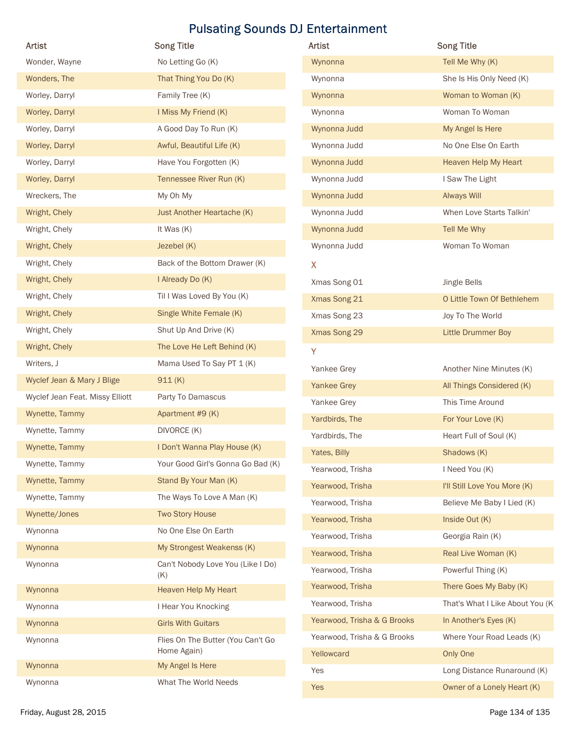|                                 | <b>Pulsating Sounds DJ Entertainment</b>         |                                           |                                       |
|---------------------------------|--------------------------------------------------|-------------------------------------------|---------------------------------------|
| Artist                          | <b>Song Title</b>                                | <b>Artist</b>                             | <b>Song Title</b>                     |
| Wonder, Wayne                   | No Letting Go (K)                                | Wynonna                                   | Tell Me Why (K)                       |
| Wonders, The                    | That Thing You Do (K)                            | Wynonna                                   | She Is His Only Need (K)              |
| Worley, Darryl                  | Family Tree (K)                                  | Wynonna                                   | Woman to Woman (K)                    |
| Worley, Darryl                  | I Miss My Friend (K)                             | Wynonna                                   | Woman To Woman                        |
| Worley, Darryl                  | A Good Day To Run (K)                            | Wynonna Judd                              | My Angel Is Here                      |
| Worley, Darryl                  | Awful, Beautiful Life (K)                        | Wynonna Judd                              | No One Else On Earth                  |
| Worley, Darryl                  | Have You Forgotten (K)                           | Wynonna Judd                              | Heaven Help My Heart                  |
| Worley, Darryl                  | Tennessee River Run (K)                          | Wynonna Judd                              | I Saw The Light                       |
| Wreckers, The                   | My Oh My                                         | Wynonna Judd                              | Always Will                           |
| Wright, Chely                   | Just Another Heartache (K)                       | Wynonna Judd                              | When Love Starts Talkin'              |
| Wright, Chely                   | It Was (K)                                       | Wynonna Judd                              | Tell Me Why                           |
| Wright, Chely                   | Jezebel (K)                                      | Wynonna Judd                              | Woman To Woman                        |
| Wright, Chely                   | Back of the Bottom Drawer (K)                    | X.                                        |                                       |
| Wright, Chely                   | I Already Do (K)                                 | Xmas Song 01                              | Jingle Bells                          |
| Wright, Chely                   | Til I Was Loved By You (K)                       | Xmas Song 21                              | O Little Town Of Bethlehem            |
| Wright, Chely                   | Single White Female (K)                          | Xmas Song 23                              | Joy To The World                      |
| Wright, Chely                   | Shut Up And Drive (K)                            | Xmas Song 29                              | <b>Little Drummer Boy</b>             |
| Wright, Chely                   | The Love He Left Behind (K)                      | Y                                         |                                       |
| Writers, J                      | Mama Used To Say PT 1 (K)                        | Yankee Grey                               | Another Nine Minutes (K)              |
| Wyclef Jean & Mary J Blige      | 911(K)                                           | <b>Yankee Grey</b>                        | All Things Considered (K)             |
| Wyclef Jean Feat. Missy Elliott | Party To Damascus                                | Yankee Grey                               | This Time Around                      |
| Wynette, Tammy                  | Apartment #9 (K)                                 | Yardbirds, The                            | For Your Love (K)                     |
| Wynette, Tammy                  | DIVORCE (K)                                      | Yardbirds, The                            | Heart Full of Soul (K)                |
| Wynette, Tammy                  | I Don't Wanna Play House (K)                     | Yates, Billy                              | Shadows (K)                           |
| Wynette, Tammy                  | Your Good Girl's Gonna Go Bad (K)                | Yearwood, Trisha                          | I Need You (K)                        |
| Wynette, Tammy                  | Stand By Your Man (K)                            | Yearwood, Trisha                          | I'll Still Love You More (K)          |
| Wynette, Tammy                  | The Ways To Love A Man (K)                       | Yearwood, Trisha                          | Believe Me Baby I Lied (K)            |
| Wynette/Jones                   | <b>Two Story House</b>                           | Yearwood, Trisha                          | Inside Out (K)                        |
| Wynonna                         | No One Else On Earth                             | Yearwood, Trisha                          | Georgia Rain (K)                      |
| Wynonna                         | My Strongest Weakenss (K)                        | Yearwood, Trisha                          | Real Live Woman (K)                   |
| Wynonna                         | Can't Nobody Love You (Like I Do)<br>(K)         | Yearwood, Trisha                          | Powerful Thing (K)                    |
| Wynonna                         | Heaven Help My Heart                             | Yearwood, Trisha                          | There Goes My Baby (K)                |
| Wynonna                         | I Hear You Knocking                              | Yearwood, Trisha                          | That's What I Like About You (K)      |
| Wynonna                         | <b>Girls With Guitars</b>                        | Yearwood, Trisha & G Brooks               | In Another's Eyes (K)                 |
| Wynonna                         | Flies On The Butter (You Can't Go<br>Home Again) | Yearwood, Trisha & G Brooks<br>Yellowcard | Where Your Road Leads (K)<br>Only One |
| Wynonna                         | My Angel Is Here                                 | Yes                                       | Long Distance Runaround (K)           |
| Wynonna                         | What The World Needs                             | $V_{\alpha}$                              | Owner of a Longhi Hoort (V)           |

| Artist                          | <b>Song Title</b>                                | Artist                      | <b>Song Title</b>                                          |
|---------------------------------|--------------------------------------------------|-----------------------------|------------------------------------------------------------|
| Wonder, Wayne                   | No Letting Go (K)                                | Wynonna                     | Tell Me Why (K)                                            |
| Wonders, The                    | That Thing You Do (K)                            | Wynonna                     | She Is His Only Need (K)                                   |
| Worley, Darryl                  | Family Tree (K)                                  | Wynonna                     | Woman to Woman (K)                                         |
| Worley, Darryl                  | I Miss My Friend (K)                             | Wynonna                     | Woman To Woman                                             |
| Worley, Darryl                  | A Good Day To Run (K)                            | Wynonna Judd                | My Angel Is Here                                           |
| Worley, Darryl                  | Awful, Beautiful Life (K)                        | Wynonna Judd                | No One Else On Earth                                       |
| Worley, Darryl                  | Have You Forgotten (K)                           | Wynonna Judd                | Heaven Help My Heart                                       |
| Worley, Darryl                  | Tennessee River Run (K)                          | Wynonna Judd                | I Saw The Light                                            |
| Wreckers, The                   | My Oh My                                         | Wynonna Judd                | <b>Always Will</b>                                         |
| Wright, Chely                   | Just Another Heartache (K)                       | Wynonna Judd                | When Love Starts Talkin'                                   |
| Wright, Chely                   | It Was (K)                                       | Wynonna Judd                | Tell Me Why                                                |
| Wright, Chely                   | Jezebel (K)                                      | Wynonna Judd                | Woman To Woman                                             |
| Wright, Chely                   | Back of the Bottom Drawer (K)                    | $\mathbf{X}$                |                                                            |
| Wright, Chely                   | I Already Do (K)                                 | Xmas Song 01                | Jingle Bells                                               |
| Wright, Chely                   | Til I Was Loved By You (K)                       | Xmas Song 21                | O Little Town Of Bethlehem                                 |
| Wright, Chely                   | Single White Female (K)                          | Xmas Song 23                | Joy To The World                                           |
| Wright, Chely                   | Shut Up And Drive (K)                            | Xmas Song 29                | Little Drummer Boy                                         |
| Wright, Chely                   | The Love He Left Behind (K)                      | Y                           |                                                            |
| Writers, J                      | Mama Used To Say PT 1 (K)                        | Yankee Grey                 | Another Nine Minutes (K)                                   |
| Wyclef Jean & Mary J Blige      | 911(K)                                           | <b>Yankee Grey</b>          | All Things Considered (K)                                  |
| Wyclef Jean Feat. Missy Elliott | Party To Damascus                                | Yankee Grey                 | This Time Around                                           |
| Wynette, Tammy                  | Apartment #9 (K)                                 | Yardbirds, The              | For Your Love (K)                                          |
| Wynette, Tammy                  | DIVORCE (K)                                      | Yardbirds, The              | Heart Full of Soul (K)                                     |
| Wynette, Tammy                  | I Don't Wanna Play House (K)                     | Yates, Billy                | Shadows (K)                                                |
| Wynette, Tammy                  | Your Good Girl's Gonna Go Bad (K)                | Yearwood, Trisha            | I Need You (K)                                             |
| Wynette, Tammy                  | Stand By Your Man (K)                            | Yearwood, Trisha            | I'll Still Love You More (K)                               |
| Wynette, Tammy                  | The Ways To Love A Man (K)                       | Yearwood, Trisha            | Believe Me Baby I Lied (K)                                 |
| Wynette/Jones                   | <b>Two Story House</b>                           | Yearwood, Trisha            | Inside Out (K)                                             |
| Wynonna                         | No One Else On Earth                             | Yearwood, Trisha            | Georgia Rain (K)                                           |
| Wynonna                         | My Strongest Weakenss (K)                        | Yearwood, Trisha            | Real Live Woman (K)                                        |
| Wynonna                         | Can't Nobody Love You (Like I Do)                | Yearwood, Trisha            | Powerful Thing (K)                                         |
|                                 | (K)                                              | Yearwood, Trisha            |                                                            |
| Wynonna                         | Heaven Help My Heart                             | Yearwood, Trisha            | There Goes My Baby (K)<br>That's What I Like About You (K) |
| Wynonna                         | I Hear You Knocking                              |                             |                                                            |
| Wynonna                         | <b>Girls With Guitars</b>                        | Yearwood, Trisha & G Brooks | In Another's Eyes (K)                                      |
| Wynonna                         | Flies On The Butter (You Can't Go<br>Home Again) | Yearwood, Trisha & G Brooks | Where Your Road Leads (K)                                  |
| Wynonna                         | My Angel Is Here                                 | Yellowcard                  | Only One                                                   |
| Wynonna                         | What The World Needs                             | Yes                         | Long Distance Runaround (K)                                |
|                                 |                                                  | Yes                         | Owner of a Lonely Heart (K)                                |
| Friday, August 28, 2015         |                                                  |                             | Page 134 of 135                                            |